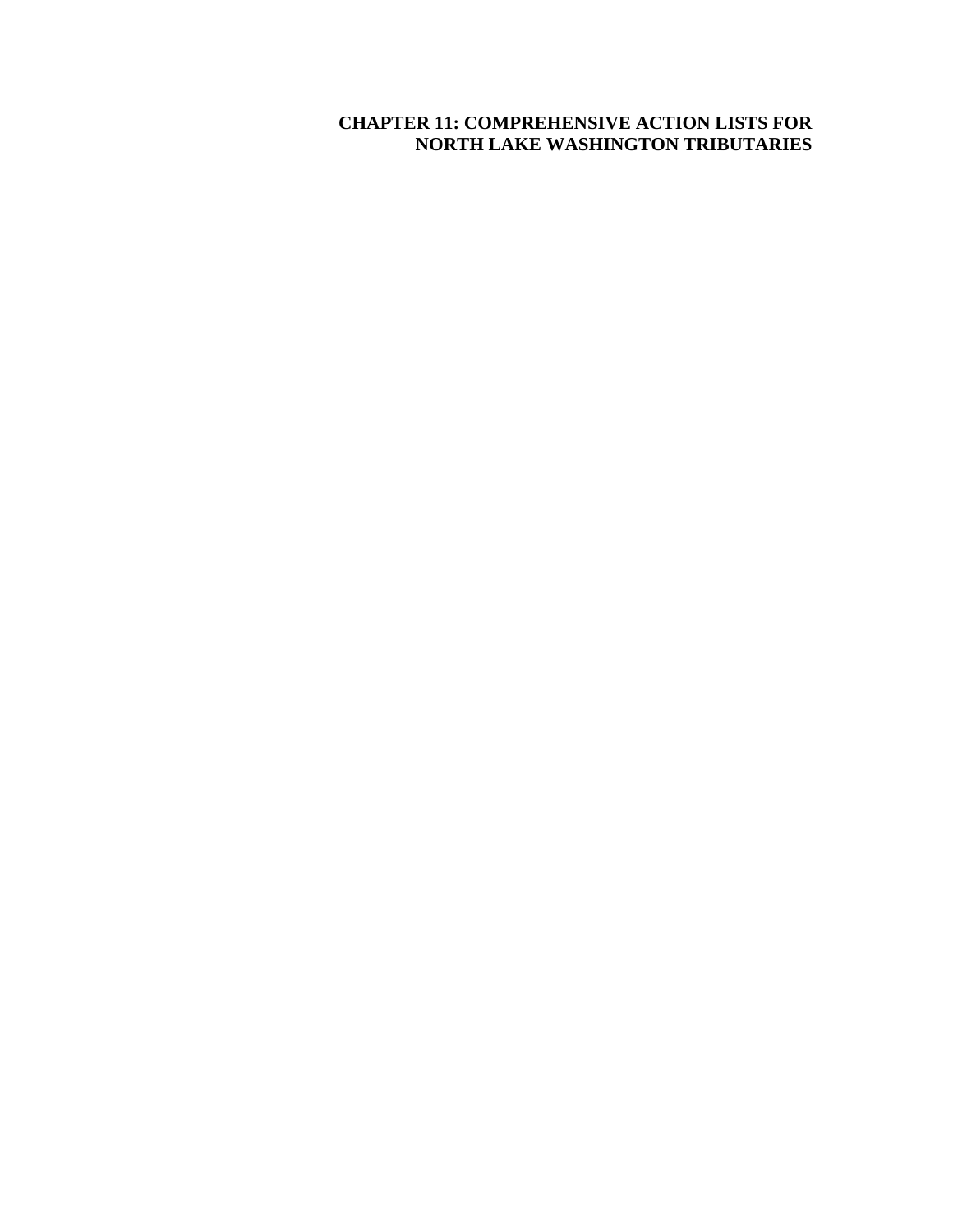# **CHAPTER 11: COMPREHENSIVE ACTION LISTS FOR NORTH LAKE WASHINGTON TRIBUTARIES**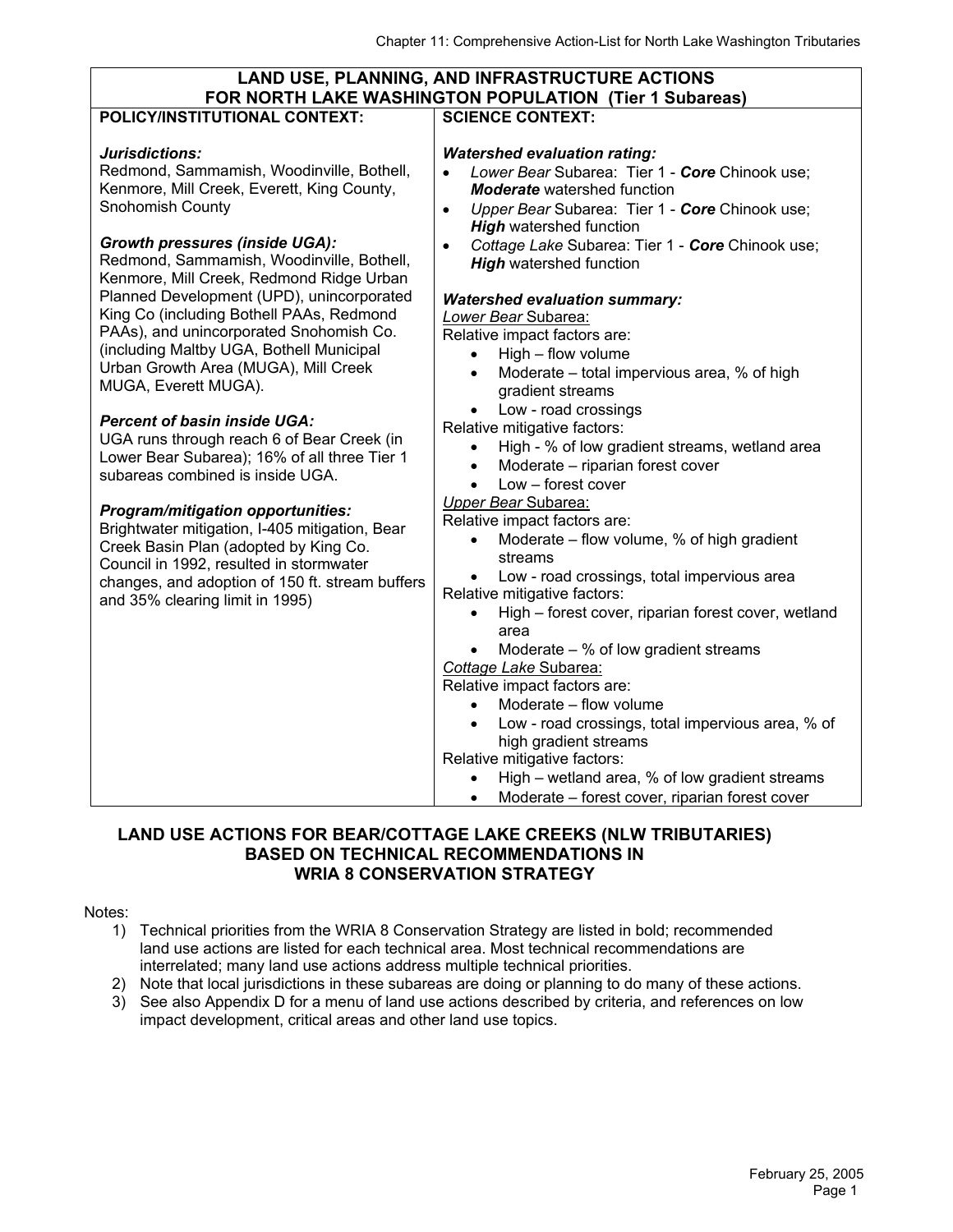| <b>LAND USE, PLANNING, AND INFRASTRUCTURE ACTIONS</b>                                                                                                                                                                                                                                                                                                                                                                                                                                                                                                                                                                                                                                                                                                                                                                                                                          |                                                                                                                                                                                                                                                                                                                                                                                                                                                                                                                                                                                                                                                                                                                                                                                                                                                                                 |  |  |  |  |  |
|--------------------------------------------------------------------------------------------------------------------------------------------------------------------------------------------------------------------------------------------------------------------------------------------------------------------------------------------------------------------------------------------------------------------------------------------------------------------------------------------------------------------------------------------------------------------------------------------------------------------------------------------------------------------------------------------------------------------------------------------------------------------------------------------------------------------------------------------------------------------------------|---------------------------------------------------------------------------------------------------------------------------------------------------------------------------------------------------------------------------------------------------------------------------------------------------------------------------------------------------------------------------------------------------------------------------------------------------------------------------------------------------------------------------------------------------------------------------------------------------------------------------------------------------------------------------------------------------------------------------------------------------------------------------------------------------------------------------------------------------------------------------------|--|--|--|--|--|
|                                                                                                                                                                                                                                                                                                                                                                                                                                                                                                                                                                                                                                                                                                                                                                                                                                                                                | FOR NORTH LAKE WASHINGTON POPULATION (Tier 1 Subareas)                                                                                                                                                                                                                                                                                                                                                                                                                                                                                                                                                                                                                                                                                                                                                                                                                          |  |  |  |  |  |
|                                                                                                                                                                                                                                                                                                                                                                                                                                                                                                                                                                                                                                                                                                                                                                                                                                                                                |                                                                                                                                                                                                                                                                                                                                                                                                                                                                                                                                                                                                                                                                                                                                                                                                                                                                                 |  |  |  |  |  |
| <b>POLICY/INSTITUTIONAL CONTEXT:</b><br>Jurisdictions:<br>Redmond, Sammamish, Woodinville, Bothell,<br>Kenmore, Mill Creek, Everett, King County,<br><b>Snohomish County</b><br><b>Growth pressures (inside UGA):</b><br>Redmond, Sammamish, Woodinville, Bothell,<br>Kenmore, Mill Creek, Redmond Ridge Urban<br>Planned Development (UPD), unincorporated<br>King Co (including Bothell PAAs, Redmond<br>PAAs), and unincorporated Snohomish Co.<br>(including Maltby UGA, Bothell Municipal<br>Urban Growth Area (MUGA), Mill Creek<br>MUGA, Everett MUGA).<br><b>Percent of basin inside UGA:</b><br>UGA runs through reach 6 of Bear Creek (in<br>Lower Bear Subarea); 16% of all three Tier 1<br>subareas combined is inside UGA.<br><b>Program/mitigation opportunities:</b><br>Brightwater mitigation, I-405 mitigation, Bear<br>Creek Basin Plan (adopted by King Co. | <b>SCIENCE CONTEXT:</b><br><b>Watershed evaluation rating:</b><br>Lower Bear Subarea: Tier 1 - Core Chinook use:<br><b>Moderate</b> watershed function<br>Upper Bear Subarea: Tier 1 - Core Chinook use;<br>$\bullet$<br><b>High</b> watershed function<br>Cottage Lake Subarea: Tier 1 - Core Chinook use;<br>$\bullet$<br><b>High watershed function</b><br><b>Watershed evaluation summary:</b><br>Lower Bear Subarea:<br>Relative impact factors are:<br>High - flow volume<br>$\bullet$<br>Moderate – total impervious area, % of high<br>$\bullet$<br>gradient streams<br>Low - road crossings<br>Relative mitigative factors:<br>High - % of low gradient streams, wetland area<br>Moderate - riparian forest cover<br>$\bullet$<br>Low - forest cover<br>$\bullet$<br>Upper Bear Subarea:<br>Relative impact factors are:<br>Moderate - flow volume, % of high gradient |  |  |  |  |  |
| Council in 1992, resulted in stormwater<br>changes, and adoption of 150 ft. stream buffers                                                                                                                                                                                                                                                                                                                                                                                                                                                                                                                                                                                                                                                                                                                                                                                     | streams<br>Low - road crossings, total impervious area                                                                                                                                                                                                                                                                                                                                                                                                                                                                                                                                                                                                                                                                                                                                                                                                                          |  |  |  |  |  |
| and 35% clearing limit in 1995)                                                                                                                                                                                                                                                                                                                                                                                                                                                                                                                                                                                                                                                                                                                                                                                                                                                | Relative mitigative factors:                                                                                                                                                                                                                                                                                                                                                                                                                                                                                                                                                                                                                                                                                                                                                                                                                                                    |  |  |  |  |  |
|                                                                                                                                                                                                                                                                                                                                                                                                                                                                                                                                                                                                                                                                                                                                                                                                                                                                                | High - forest cover, riparian forest cover, wetland<br>area                                                                                                                                                                                                                                                                                                                                                                                                                                                                                                                                                                                                                                                                                                                                                                                                                     |  |  |  |  |  |
|                                                                                                                                                                                                                                                                                                                                                                                                                                                                                                                                                                                                                                                                                                                                                                                                                                                                                | Moderate $-$ % of low gradient streams                                                                                                                                                                                                                                                                                                                                                                                                                                                                                                                                                                                                                                                                                                                                                                                                                                          |  |  |  |  |  |
|                                                                                                                                                                                                                                                                                                                                                                                                                                                                                                                                                                                                                                                                                                                                                                                                                                                                                | Cottage Lake Subarea:                                                                                                                                                                                                                                                                                                                                                                                                                                                                                                                                                                                                                                                                                                                                                                                                                                                           |  |  |  |  |  |
|                                                                                                                                                                                                                                                                                                                                                                                                                                                                                                                                                                                                                                                                                                                                                                                                                                                                                | Relative impact factors are:<br>Moderate - flow volume<br>$\bullet$                                                                                                                                                                                                                                                                                                                                                                                                                                                                                                                                                                                                                                                                                                                                                                                                             |  |  |  |  |  |
|                                                                                                                                                                                                                                                                                                                                                                                                                                                                                                                                                                                                                                                                                                                                                                                                                                                                                | Low - road crossings, total impervious area, % of<br>$\bullet$                                                                                                                                                                                                                                                                                                                                                                                                                                                                                                                                                                                                                                                                                                                                                                                                                  |  |  |  |  |  |
|                                                                                                                                                                                                                                                                                                                                                                                                                                                                                                                                                                                                                                                                                                                                                                                                                                                                                | high gradient streams<br>Relative mitigative factors:                                                                                                                                                                                                                                                                                                                                                                                                                                                                                                                                                                                                                                                                                                                                                                                                                           |  |  |  |  |  |
|                                                                                                                                                                                                                                                                                                                                                                                                                                                                                                                                                                                                                                                                                                                                                                                                                                                                                | High – wetland area, % of low gradient streams                                                                                                                                                                                                                                                                                                                                                                                                                                                                                                                                                                                                                                                                                                                                                                                                                                  |  |  |  |  |  |
|                                                                                                                                                                                                                                                                                                                                                                                                                                                                                                                                                                                                                                                                                                                                                                                                                                                                                | Moderate – forest cover, riparian forest cover                                                                                                                                                                                                                                                                                                                                                                                                                                                                                                                                                                                                                                                                                                                                                                                                                                  |  |  |  |  |  |

#### **LAND USE ACTIONS FOR BEAR/COTTAGE LAKE CREEKS (NLW TRIBUTARIES) BASED ON TECHNICAL RECOMMENDATIONS IN WRIA 8 CONSERVATION STRATEGY**

#### Notes:

- 1) Technical priorities from the WRIA 8 Conservation Strategy are listed in bold; recommended land use actions are listed for each technical area. Most technical recommendations are interrelated; many land use actions address multiple technical priorities.
- 2) Note that local jurisdictions in these subareas are doing or planning to do many of these actions.
- 3) See also Appendix D for a menu of land use actions described by criteria, and references on low impact development, critical areas and other land use topics.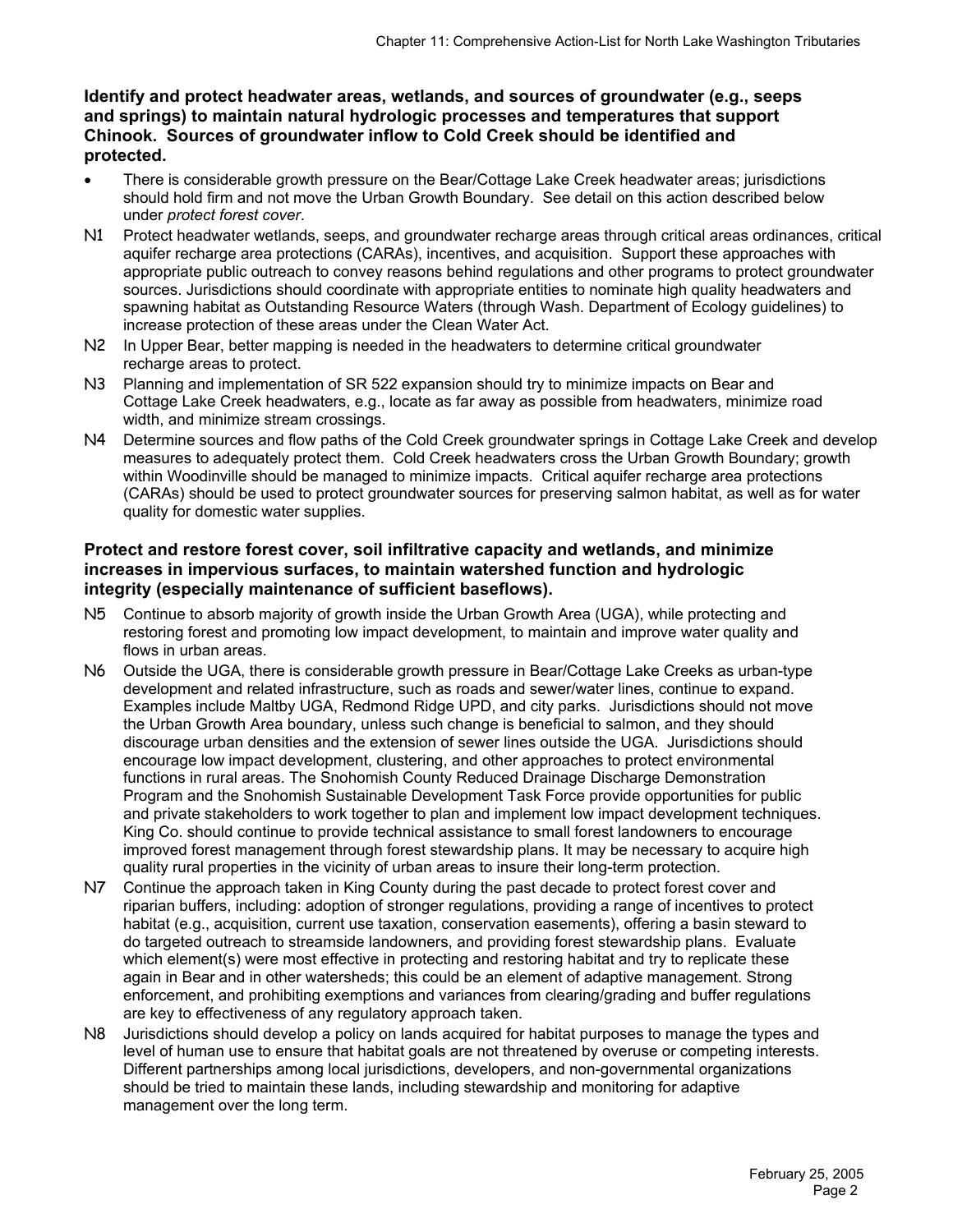**Identify and protect headwater areas, wetlands, and sources of groundwater (e.g., seeps and springs) to maintain natural hydrologic processes and temperatures that support Chinook. Sources of groundwater inflow to Cold Creek should be identified and protected.** 

- There is considerable growth pressure on the Bear/Cottage Lake Creek headwater areas; jurisdictions should hold firm and not move the Urban Growth Boundary. See detail on this action described below under *protect forest cover*.
- N1 Protect headwater wetlands, seeps, and groundwater recharge areas through critical areas ordinances, critical aquifer recharge area protections (CARAs), incentives, and acquisition. Support these approaches with appropriate public outreach to convey reasons behind regulations and other programs to protect groundwater sources. Jurisdictions should coordinate with appropriate entities to nominate high quality headwaters and spawning habitat as Outstanding Resource Waters (through Wash. Department of Ecology guidelines) to increase protection of these areas under the Clean Water Act.
- N2 In Upper Bear, better mapping is needed in the headwaters to determine critical groundwater recharge areas to protect.
- N3 Planning and implementation of SR 522 expansion should try to minimize impacts on Bear and Cottage Lake Creek headwaters, e.g., locate as far away as possible from headwaters, minimize road width, and minimize stream crossings.
- N4 Determine sources and flow paths of the Cold Creek groundwater springs in Cottage Lake Creek and develop measures to adequately protect them. Cold Creek headwaters cross the Urban Growth Boundary; growth within Woodinville should be managed to minimize impacts. Critical aquifer recharge area protections (CARAs) should be used to protect groundwater sources for preserving salmon habitat, as well as for water quality for domestic water supplies.

#### **Protect and restore forest cover, soil infiltrative capacity and wetlands, and minimize increases in impervious surfaces, to maintain watershed function and hydrologic integrity (especially maintenance of sufficient baseflows).**

- N5 Continue to absorb majority of growth inside the Urban Growth Area (UGA), while protecting and restoring forest and promoting low impact development, to maintain and improve water quality and flows in urban areas.
- N6 Outside the UGA, there is considerable growth pressure in Bear/Cottage Lake Creeks as urban-type development and related infrastructure, such as roads and sewer/water lines, continue to expand. Examples include Maltby UGA, Redmond Ridge UPD, and city parks. Jurisdictions should not move the Urban Growth Area boundary, unless such change is beneficial to salmon, and they should discourage urban densities and the extension of sewer lines outside the UGA. Jurisdictions should encourage low impact development, clustering, and other approaches to protect environmental functions in rural areas. The Snohomish County Reduced Drainage Discharge Demonstration Program and the Snohomish Sustainable Development Task Force provide opportunities for public and private stakeholders to work together to plan and implement low impact development techniques. King Co. should continue to provide technical assistance to small forest landowners to encourage improved forest management through forest stewardship plans. It may be necessary to acquire high quality rural properties in the vicinity of urban areas to insure their long-term protection.
- N7 Continue the approach taken in King County during the past decade to protect forest cover and riparian buffers, including: adoption of stronger regulations, providing a range of incentives to protect habitat (e.g., acquisition, current use taxation, conservation easements), offering a basin steward to do targeted outreach to streamside landowners, and providing forest stewardship plans. Evaluate which element(s) were most effective in protecting and restoring habitat and try to replicate these again in Bear and in other watersheds; this could be an element of adaptive management. Strong enforcement, and prohibiting exemptions and variances from clearing/grading and buffer regulations are key to effectiveness of any regulatory approach taken.
- N8 Jurisdictions should develop a policy on lands acquired for habitat purposes to manage the types and level of human use to ensure that habitat goals are not threatened by overuse or competing interests. Different partnerships among local jurisdictions, developers, and non-governmental organizations should be tried to maintain these lands, including stewardship and monitoring for adaptive management over the long term.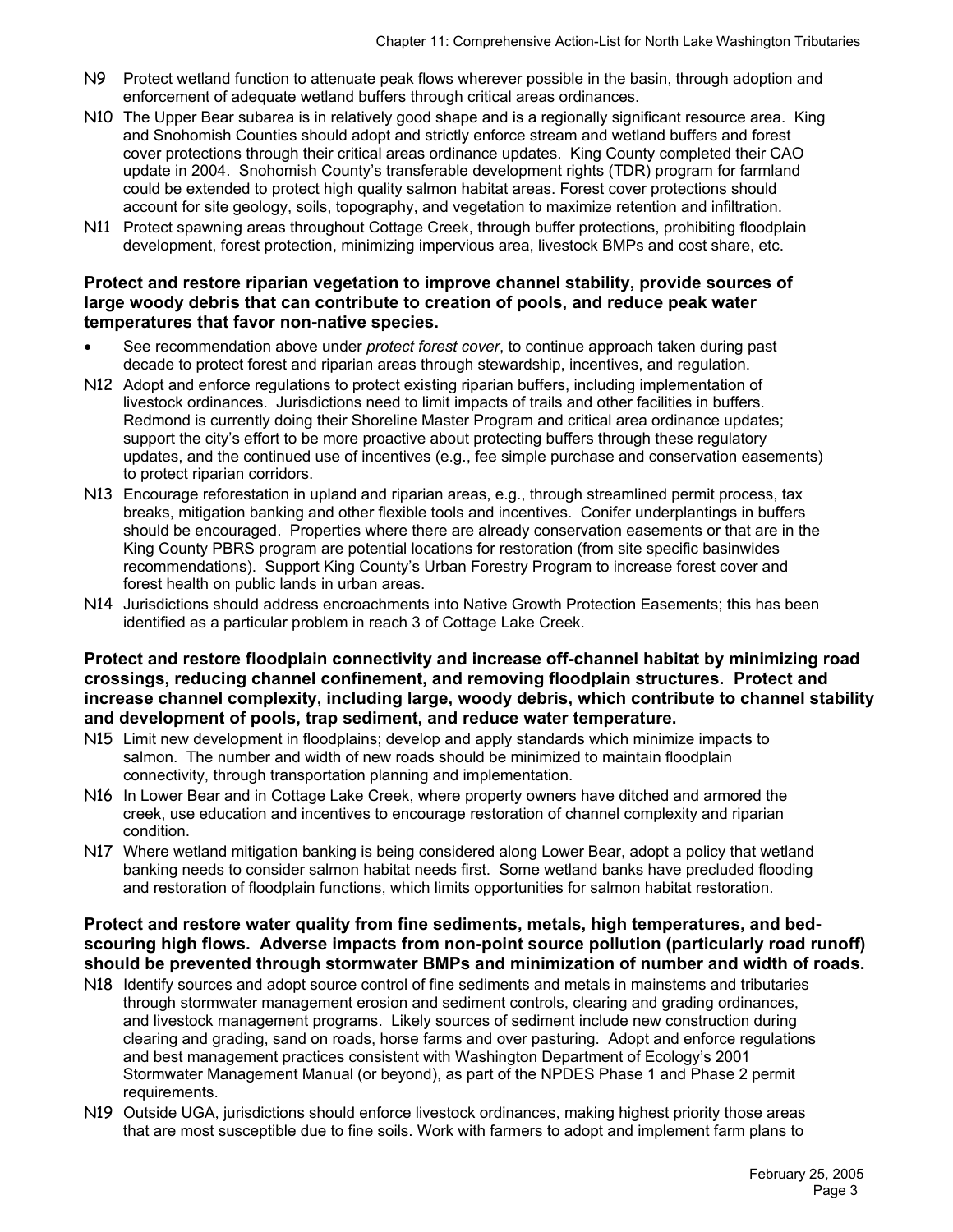- N9 Protect wetland function to attenuate peak flows wherever possible in the basin, through adoption and enforcement of adequate wetland buffers through critical areas ordinances.
- N10 The Upper Bear subarea is in relatively good shape and is a regionally significant resource area. King and Snohomish Counties should adopt and strictly enforce stream and wetland buffers and forest cover protections through their critical areas ordinance updates. King County completed their CAO update in 2004. Snohomish County's transferable development rights (TDR) program for farmland could be extended to protect high quality salmon habitat areas. Forest cover protections should account for site geology, soils, topography, and vegetation to maximize retention and infiltration.
- N11 Protect spawning areas throughout Cottage Creek, through buffer protections, prohibiting floodplain development, forest protection, minimizing impervious area, livestock BMPs and cost share, etc.

#### **Protect and restore riparian vegetation to improve channel stability, provide sources of large woody debris that can contribute to creation of pools, and reduce peak water temperatures that favor non-native species.**

- See recommendation above under *protect forest cover*, to continue approach taken during past decade to protect forest and riparian areas through stewardship, incentives, and regulation.
- N12 Adopt and enforce regulations to protect existing riparian buffers, including implementation of livestock ordinances. Jurisdictions need to limit impacts of trails and other facilities in buffers. Redmond is currently doing their Shoreline Master Program and critical area ordinance updates; support the city's effort to be more proactive about protecting buffers through these regulatory updates, and the continued use of incentives (e.g., fee simple purchase and conservation easements) to protect riparian corridors.
- N13 Encourage reforestation in upland and riparian areas, e.g., through streamlined permit process, tax breaks, mitigation banking and other flexible tools and incentives. Conifer underplantings in buffers should be encouraged. Properties where there are already conservation easements or that are in the King County PBRS program are potential locations for restoration (from site specific basinwides recommendations). Support King County's Urban Forestry Program to increase forest cover and forest health on public lands in urban areas.
- N14 Jurisdictions should address encroachments into Native Growth Protection Easements; this has been identified as a particular problem in reach 3 of Cottage Lake Creek.

#### **Protect and restore floodplain connectivity and increase off-channel habitat by minimizing road crossings, reducing channel confinement, and removing floodplain structures. Protect and increase channel complexity, including large, woody debris, which contribute to channel stability and development of pools, trap sediment, and reduce water temperature.**

- N15 Limit new development in floodplains; develop and apply standards which minimize impacts to salmon. The number and width of new roads should be minimized to maintain floodplain connectivity, through transportation planning and implementation.
- N16 In Lower Bear and in Cottage Lake Creek, where property owners have ditched and armored the creek, use education and incentives to encourage restoration of channel complexity and riparian condition.
- N17 Where wetland mitigation banking is being considered along Lower Bear, adopt a policy that wetland banking needs to consider salmon habitat needs first. Some wetland banks have precluded flooding and restoration of floodplain functions, which limits opportunities for salmon habitat restoration.

#### **Protect and restore water quality from fine sediments, metals, high temperatures, and bedscouring high flows. Adverse impacts from non-point source pollution (particularly road runoff) should be prevented through stormwater BMPs and minimization of number and width of roads.**

- N18 Identify sources and adopt source control of fine sediments and metals in mainstems and tributaries through stormwater management erosion and sediment controls, clearing and grading ordinances, and livestock management programs. Likely sources of sediment include new construction during clearing and grading, sand on roads, horse farms and over pasturing. Adopt and enforce regulations and best management practices consistent with Washington Department of Ecology's 2001 Stormwater Management Manual (or beyond), as part of the NPDES Phase 1 and Phase 2 permit requirements.
- N19 Outside UGA, jurisdictions should enforce livestock ordinances, making highest priority those areas that are most susceptible due to fine soils. Work with farmers to adopt and implement farm plans to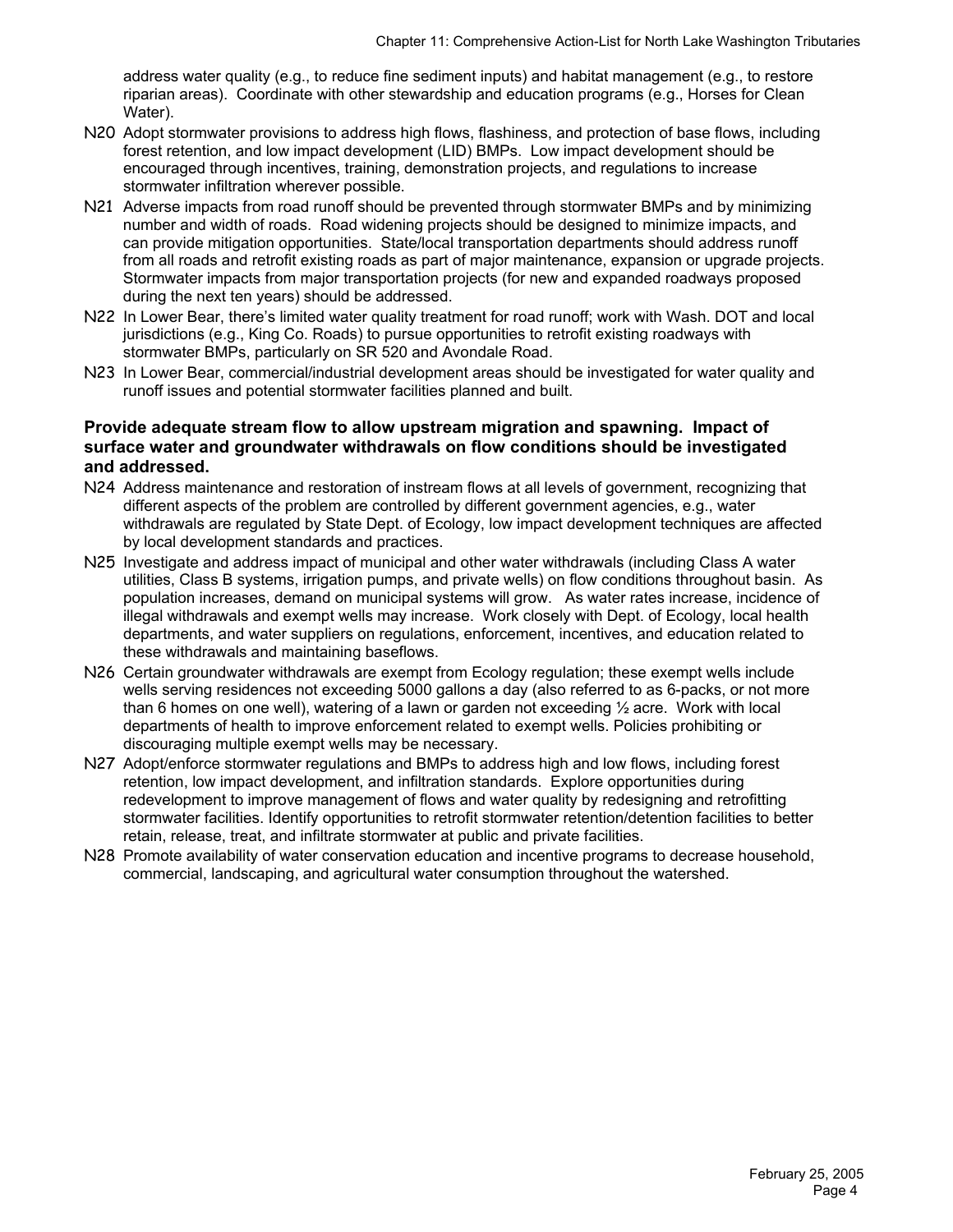address water quality (e.g., to reduce fine sediment inputs) and habitat management (e.g., to restore riparian areas). Coordinate with other stewardship and education programs (e.g., Horses for Clean Water).

- N20 Adopt stormwater provisions to address high flows, flashiness, and protection of base flows, including forest retention, and low impact development (LID) BMPs. Low impact development should be encouraged through incentives, training, demonstration projects, and regulations to increase stormwater infiltration wherever possible.
- N21 Adverse impacts from road runoff should be prevented through stormwater BMPs and by minimizing number and width of roads. Road widening projects should be designed to minimize impacts, and can provide mitigation opportunities. State/local transportation departments should address runoff from all roads and retrofit existing roads as part of major maintenance, expansion or upgrade projects. Stormwater impacts from major transportation projects (for new and expanded roadways proposed during the next ten years) should be addressed.
- N22 In Lower Bear, there's limited water quality treatment for road runoff; work with Wash. DOT and local jurisdictions (e.g., King Co. Roads) to pursue opportunities to retrofit existing roadways with stormwater BMPs, particularly on SR 520 and Avondale Road.
- N23 In Lower Bear, commercial/industrial development areas should be investigated for water quality and runoff issues and potential stormwater facilities planned and built.

#### **Provide adequate stream flow to allow upstream migration and spawning. Impact of surface water and groundwater withdrawals on flow conditions should be investigated and addressed.**

- N24 Address maintenance and restoration of instream flows at all levels of government, recognizing that different aspects of the problem are controlled by different government agencies, e.g., water withdrawals are regulated by State Dept. of Ecology, low impact development techniques are affected by local development standards and practices.
- N25 Investigate and address impact of municipal and other water withdrawals (including Class A water utilities, Class B systems, irrigation pumps, and private wells) on flow conditions throughout basin. As population increases, demand on municipal systems will grow. As water rates increase, incidence of illegal withdrawals and exempt wells may increase. Work closely with Dept. of Ecology, local health departments, and water suppliers on regulations, enforcement, incentives, and education related to these withdrawals and maintaining baseflows.
- N26 Certain groundwater withdrawals are exempt from Ecology regulation; these exempt wells include wells serving residences not exceeding 5000 gallons a day (also referred to as 6-packs, or not more than 6 homes on one well), watering of a lawn or garden not exceeding ½ acre. Work with local departments of health to improve enforcement related to exempt wells. Policies prohibiting or discouraging multiple exempt wells may be necessary.
- N27 Adopt/enforce stormwater regulations and BMPs to address high and low flows, including forest retention, low impact development, and infiltration standards. Explore opportunities during redevelopment to improve management of flows and water quality by redesigning and retrofitting stormwater facilities. Identify opportunities to retrofit stormwater retention/detention facilities to better retain, release, treat, and infiltrate stormwater at public and private facilities.
- N28 Promote availability of water conservation education and incentive programs to decrease household, commercial, landscaping, and agricultural water consumption throughout the watershed.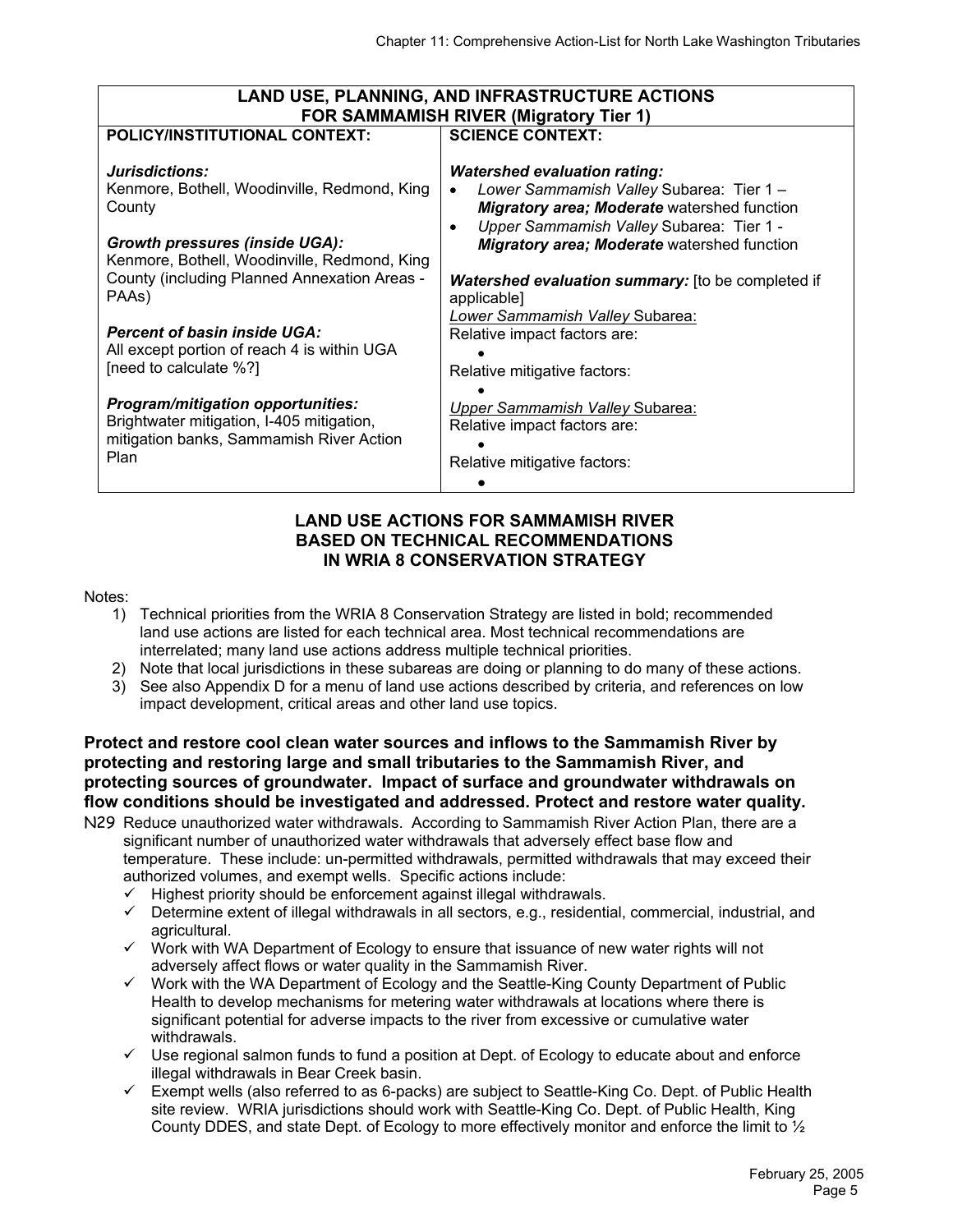| <b>LAND USE, PLANNING, AND INFRASTRUCTURE ACTIONS</b>                                                                                                                                                                      |                                                                                                                                                                                                                                                                                                                    |  |  |  |  |  |  |
|----------------------------------------------------------------------------------------------------------------------------------------------------------------------------------------------------------------------------|--------------------------------------------------------------------------------------------------------------------------------------------------------------------------------------------------------------------------------------------------------------------------------------------------------------------|--|--|--|--|--|--|
|                                                                                                                                                                                                                            | <b>FOR SAMMAMISH RIVER (Migratory Tier 1)</b>                                                                                                                                                                                                                                                                      |  |  |  |  |  |  |
| POLICY/INSTITUTIONAL CONTEXT:                                                                                                                                                                                              | <b>SCIENCE CONTEXT:</b>                                                                                                                                                                                                                                                                                            |  |  |  |  |  |  |
| Jurisdictions:<br>Kenmore, Bothell, Woodinville, Redmond, King<br>County<br><b>Growth pressures (inside UGA):</b><br>Kenmore, Bothell, Woodinville, Redmond, King<br>County (including Planned Annexation Areas -<br>PAAs) | <b>Watershed evaluation rating:</b><br>Lower Sammamish Valley Subarea: Tier 1 -<br><b>Migratory area; Moderate</b> watershed function<br>Upper Sammamish Valley Subarea: Tier 1 -<br><b>Migratory area; Moderate</b> watershed function<br><b>Watershed evaluation summary:</b> [to be completed if<br>applicable] |  |  |  |  |  |  |
| <b>Percent of basin inside UGA:</b><br>All except portion of reach 4 is within UGA<br>[need to calculate %?]                                                                                                               | Lower Sammamish Valley Subarea:<br>Relative impact factors are:<br>Relative mitigative factors:                                                                                                                                                                                                                    |  |  |  |  |  |  |
| <b>Program/mitigation opportunities:</b><br>Brightwater mitigation, I-405 mitigation,<br>mitigation banks, Sammamish River Action<br>Plan                                                                                  | Upper Sammamish Valley Subarea:<br>Relative impact factors are:<br>Relative mitigative factors:                                                                                                                                                                                                                    |  |  |  |  |  |  |

#### **LAND USE ACTIONS FOR SAMMAMISH RIVER BASED ON TECHNICAL RECOMMENDATIONS IN WRIA 8 CONSERVATION STRATEGY**

#### Notes:

- 1) Technical priorities from the WRIA 8 Conservation Strategy are listed in bold; recommended land use actions are listed for each technical area. Most technical recommendations are interrelated; many land use actions address multiple technical priorities.
- 2) Note that local jurisdictions in these subareas are doing or planning to do many of these actions.
- 3) See also Appendix D for a menu of land use actions described by criteria, and references on low impact development, critical areas and other land use topics.

## **Protect and restore cool clean water sources and inflows to the Sammamish River by protecting and restoring large and small tributaries to the Sammamish River, and protecting sources of groundwater. Impact of surface and groundwater withdrawals on flow conditions should be investigated and addressed. Protect and restore water quality.**

- N29 Reduce unauthorized water withdrawals. According to Sammamish River Action Plan, there are a significant number of unauthorized water withdrawals that adversely effect base flow and temperature. These include: un-permitted withdrawals, permitted withdrawals that may exceed their authorized volumes, and exempt wells. Specific actions include:
	- $\checkmark$  Highest priority should be enforcement against illegal withdrawals.
	- $\checkmark$  Determine extent of illegal withdrawals in all sectors, e.g., residential, commercial, industrial, and agricultural.
	- $\checkmark$  Work with WA Department of Ecology to ensure that issuance of new water rights will not adversely affect flows or water quality in the Sammamish River.
	- $\checkmark$  Work with the WA Department of Ecology and the Seattle-King County Department of Public Health to develop mechanisms for metering water withdrawals at locations where there is significant potential for adverse impacts to the river from excessive or cumulative water withdrawals.
	- $\checkmark$  Use regional salmon funds to fund a position at Dept. of Ecology to educate about and enforce illegal withdrawals in Bear Creek basin.
	- $\checkmark$  Exempt wells (also referred to as 6-packs) are subject to Seattle-King Co. Dept. of Public Health site review. WRIA jurisdictions should work with Seattle-King Co. Dept. of Public Health, King County DDES, and state Dept. of Ecology to more effectively monitor and enforce the limit to  $\frac{1}{2}$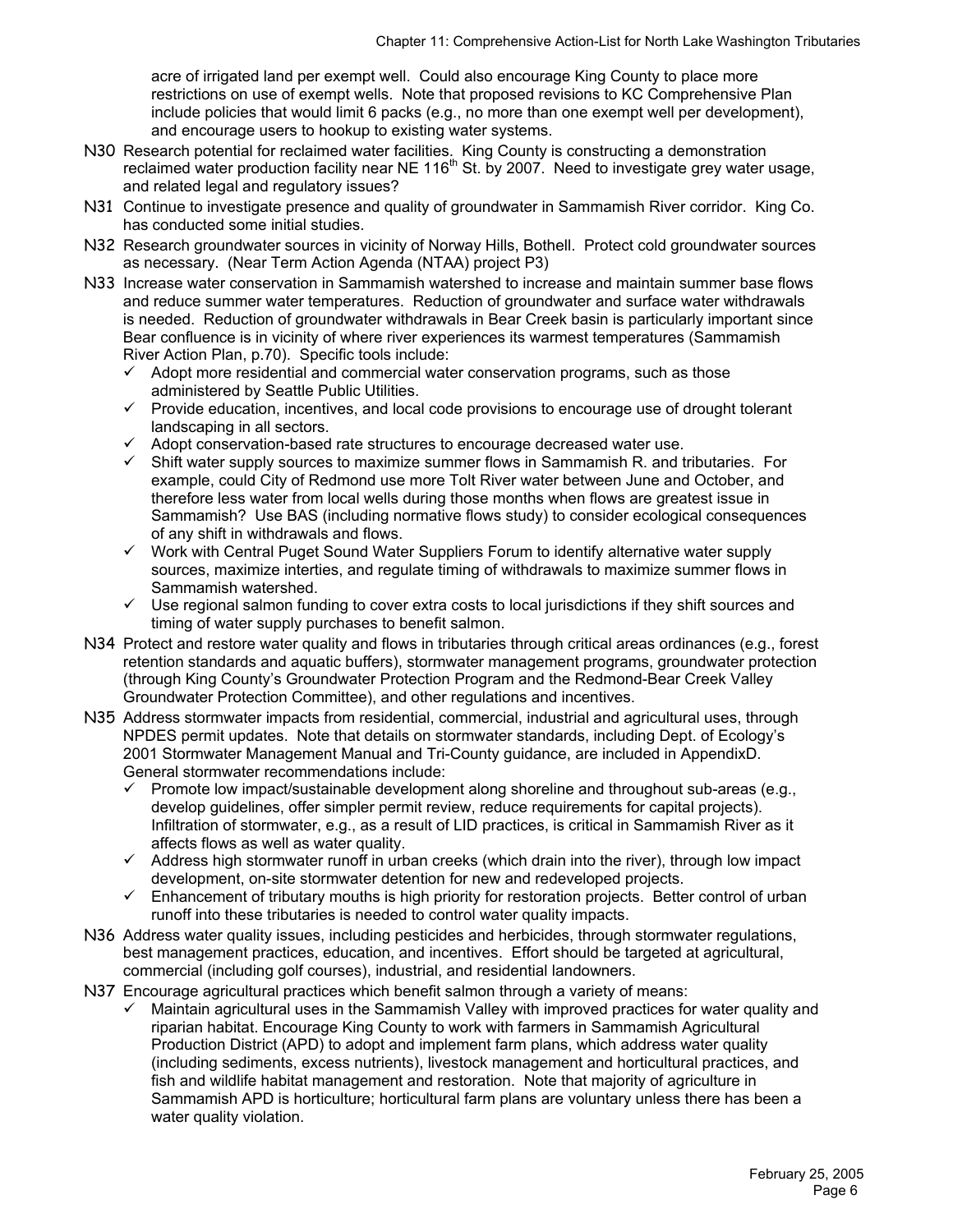acre of irrigated land per exempt well. Could also encourage King County to place more restrictions on use of exempt wells. Note that proposed revisions to KC Comprehensive Plan include policies that would limit 6 packs (e.g., no more than one exempt well per development), and encourage users to hookup to existing water systems.

- N30 Research potential for reclaimed water facilities. King County is constructing a demonstration reclaimed water production facility near NE 116<sup>th</sup> St. by 2007. Need to investigate grey water usage, and related legal and regulatory issues?
- N31 Continue to investigate presence and quality of groundwater in Sammamish River corridor. King Co. has conducted some initial studies.
- N32 Research groundwater sources in vicinity of Norway Hills, Bothell. Protect cold groundwater sources as necessary. (Near Term Action Agenda (NTAA) project P3)
- N33 Increase water conservation in Sammamish watershed to increase and maintain summer base flows and reduce summer water temperatures. Reduction of groundwater and surface water withdrawals is needed. Reduction of groundwater withdrawals in Bear Creek basin is particularly important since Bear confluence is in vicinity of where river experiences its warmest temperatures (Sammamish River Action Plan, p.70). Specific tools include:
	- $\checkmark$  Adopt more residential and commercial water conservation programs, such as those administered by Seattle Public Utilities.
	- $\checkmark$  Provide education, incentives, and local code provisions to encourage use of drought tolerant landscaping in all sectors.
	- $\checkmark$  Adopt conservation-based rate structures to encourage decreased water use.
	- Shift water supply sources to maximize summer flows in Sammamish R. and tributaries. For example, could City of Redmond use more Tolt River water between June and October, and therefore less water from local wells during those months when flows are greatest issue in Sammamish? Use BAS (including normative flows study) to consider ecological consequences of any shift in withdrawals and flows.
	- $\checkmark$  Work with Central Puget Sound Water Suppliers Forum to identify alternative water supply sources, maximize interties, and regulate timing of withdrawals to maximize summer flows in Sammamish watershed.
	- Use regional salmon funding to cover extra costs to local jurisdictions if they shift sources and timing of water supply purchases to benefit salmon.
- N34 Protect and restore water quality and flows in tributaries through critical areas ordinances (e.g., forest retention standards and aquatic buffers), stormwater management programs, groundwater protection (through King County's Groundwater Protection Program and the Redmond-Bear Creek Valley Groundwater Protection Committee), and other regulations and incentives.
- N35 Address stormwater impacts from residential, commercial, industrial and agricultural uses, through NPDES permit updates. Note that details on stormwater standards, including Dept. of Ecology's 2001 Stormwater Management Manual and Tri-County guidance, are included in AppendixD. General stormwater recommendations include:
	- $\checkmark$  Promote low impact/sustainable development along shoreline and throughout sub-areas (e.g., develop guidelines, offer simpler permit review, reduce requirements for capital projects). Infiltration of stormwater, e.g., as a result of LID practices, is critical in Sammamish River as it affects flows as well as water quality.
	- $\checkmark$  Address high stormwater runoff in urban creeks (which drain into the river), through low impact development, on-site stormwater detention for new and redeveloped projects.
	- $\checkmark$  Enhancement of tributary mouths is high priority for restoration projects. Better control of urban runoff into these tributaries is needed to control water quality impacts.
- N36 Address water quality issues, including pesticides and herbicides, through stormwater regulations, best management practices, education, and incentives. Effort should be targeted at agricultural, commercial (including golf courses), industrial, and residential landowners.
- N37 Encourage agricultural practices which benefit salmon through a variety of means:
	- $\checkmark$  Maintain agricultural uses in the Sammamish Valley with improved practices for water quality and riparian habitat. Encourage King County to work with farmers in Sammamish Agricultural Production District (APD) to adopt and implement farm plans, which address water quality (including sediments, excess nutrients), livestock management and horticultural practices, and fish and wildlife habitat management and restoration. Note that majority of agriculture in Sammamish APD is horticulture; horticultural farm plans are voluntary unless there has been a water quality violation.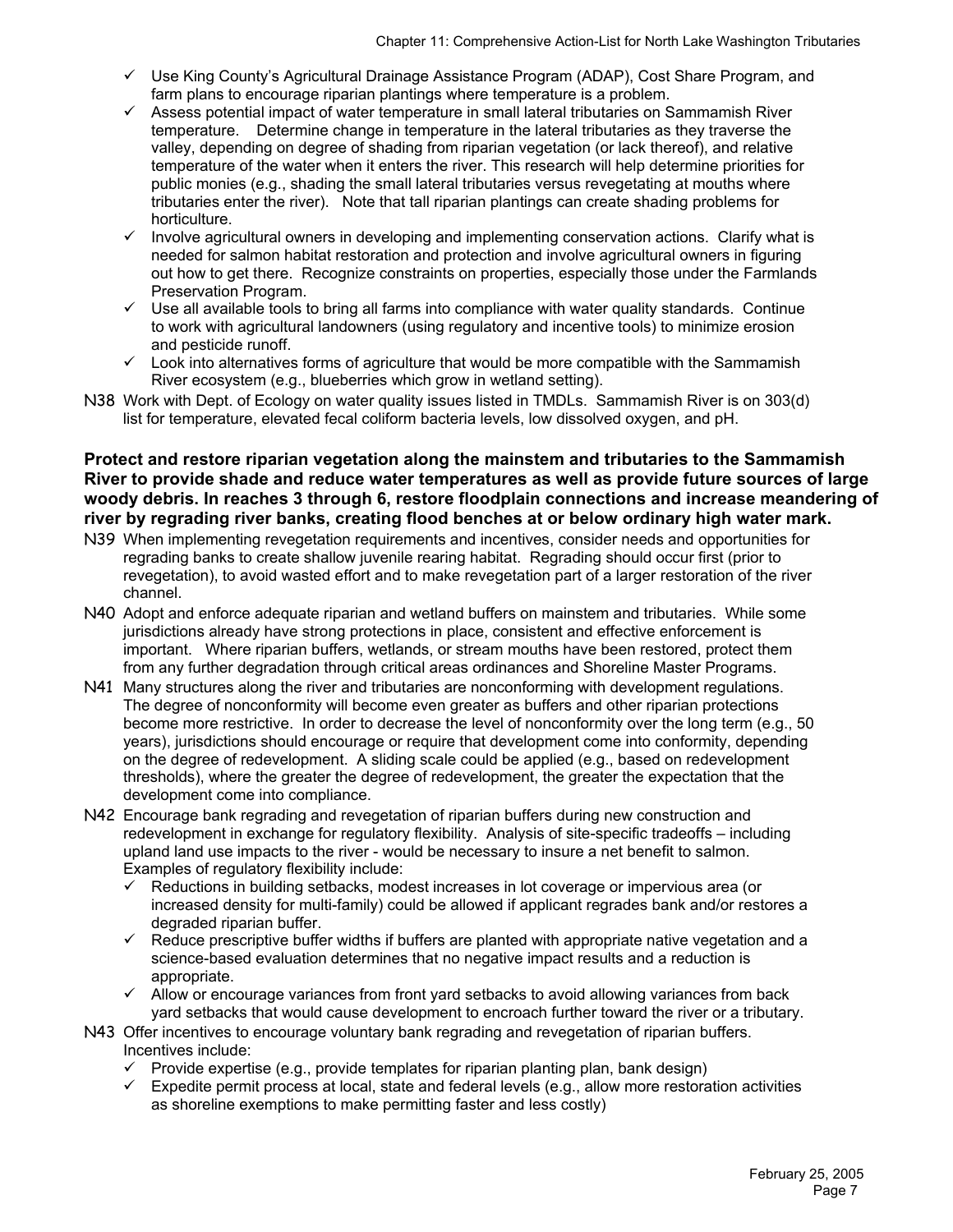- $\checkmark$  Use King County's Agricultural Drainage Assistance Program (ADAP), Cost Share Program, and farm plans to encourage riparian plantings where temperature is a problem.
- $\checkmark$  Assess potential impact of water temperature in small lateral tributaries on Sammamish River temperature. Determine change in temperature in the lateral tributaries as they traverse the valley, depending on degree of shading from riparian vegetation (or lack thereof), and relative temperature of the water when it enters the river. This research will help determine priorities for public monies (e.g., shading the small lateral tributaries versus revegetating at mouths where tributaries enter the river). Note that tall riparian plantings can create shading problems for horticulture.
- $\checkmark$  Involve agricultural owners in developing and implementing conservation actions. Clarify what is needed for salmon habitat restoration and protection and involve agricultural owners in figuring out how to get there. Recognize constraints on properties, especially those under the Farmlands Preservation Program.
- $\checkmark$  Use all available tools to bring all farms into compliance with water quality standards. Continue to work with agricultural landowners (using regulatory and incentive tools) to minimize erosion and pesticide runoff.
- $\checkmark$  Look into alternatives forms of agriculture that would be more compatible with the Sammamish River ecosystem (e.g., blueberries which grow in wetland setting).
- N38 Work with Dept. of Ecology on water quality issues listed in TMDLs. Sammamish River is on 303(d) list for temperature, elevated fecal coliform bacteria levels, low dissolved oxygen, and pH.

**Protect and restore riparian vegetation along the mainstem and tributaries to the Sammamish River to provide shade and reduce water temperatures as well as provide future sources of large woody debris. In reaches 3 through 6, restore floodplain connections and increase meandering of river by regrading river banks, creating flood benches at or below ordinary high water mark.** 

- N39 When implementing revegetation requirements and incentives, consider needs and opportunities for regrading banks to create shallow juvenile rearing habitat. Regrading should occur first (prior to revegetation), to avoid wasted effort and to make revegetation part of a larger restoration of the river channel.
- N40 Adopt and enforce adequate riparian and wetland buffers on mainstem and tributaries. While some jurisdictions already have strong protections in place, consistent and effective enforcement is important. Where riparian buffers, wetlands, or stream mouths have been restored, protect them from any further degradation through critical areas ordinances and Shoreline Master Programs.
- N41 Many structures along the river and tributaries are nonconforming with development regulations. The degree of nonconformity will become even greater as buffers and other riparian protections become more restrictive. In order to decrease the level of nonconformity over the long term (e.g., 50 years), jurisdictions should encourage or require that development come into conformity, depending on the degree of redevelopment. A sliding scale could be applied (e.g., based on redevelopment thresholds), where the greater the degree of redevelopment, the greater the expectation that the development come into compliance.
- N42 Encourage bank regrading and revegetation of riparian buffers during new construction and redevelopment in exchange for regulatory flexibility. Analysis of site-specific tradeoffs – including upland land use impacts to the river - would be necessary to insure a net benefit to salmon. Examples of regulatory flexibility include:
	- 9 Reductions in building setbacks, modest increases in lot coverage or impervious area (or increased density for multi-family) could be allowed if applicant regrades bank and/or restores a degraded riparian buffer.
	- $\checkmark$  Reduce prescriptive buffer widths if buffers are planted with appropriate native vegetation and a science-based evaluation determines that no negative impact results and a reduction is appropriate.
	- $\checkmark$  Allow or encourage variances from front yard setbacks to avoid allowing variances from back yard setbacks that would cause development to encroach further toward the river or a tributary.
- N43 Offer incentives to encourage voluntary bank regrading and revegetation of riparian buffers. Incentives include:
	- $\checkmark$  Provide expertise (e.g., provide templates for riparian planting plan, bank design)
	- $\checkmark$  Expedite permit process at local, state and federal levels (e.g., allow more restoration activities as shoreline exemptions to make permitting faster and less costly)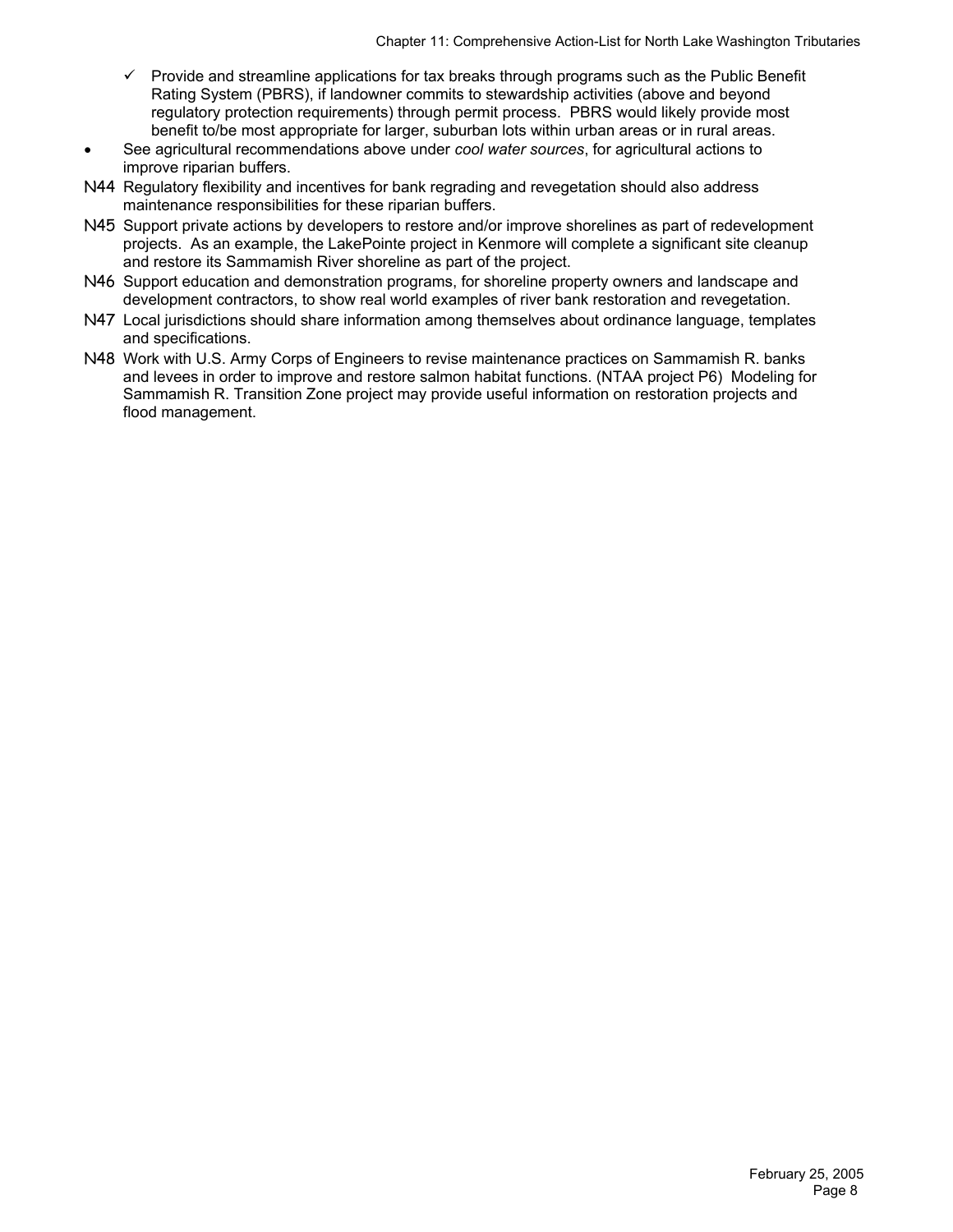- $\checkmark$  Provide and streamline applications for tax breaks through programs such as the Public Benefit Rating System (PBRS), if landowner commits to stewardship activities (above and beyond regulatory protection requirements) through permit process. PBRS would likely provide most benefit to/be most appropriate for larger, suburban lots within urban areas or in rural areas.
- See agricultural recommendations above under *cool water sources*, for agricultural actions to improve riparian buffers.
- N44 Regulatory flexibility and incentives for bank regrading and revegetation should also address maintenance responsibilities for these riparian buffers.
- N45 Support private actions by developers to restore and/or improve shorelines as part of redevelopment projects. As an example, the LakePointe project in Kenmore will complete a significant site cleanup and restore its Sammamish River shoreline as part of the project.
- N46 Support education and demonstration programs, for shoreline property owners and landscape and development contractors, to show real world examples of river bank restoration and revegetation.
- N47 Local jurisdictions should share information among themselves about ordinance language, templates and specifications.
- N48 Work with U.S. Army Corps of Engineers to revise maintenance practices on Sammamish R. banks and levees in order to improve and restore salmon habitat functions. (NTAA project P6) Modeling for Sammamish R. Transition Zone project may provide useful information on restoration projects and flood management.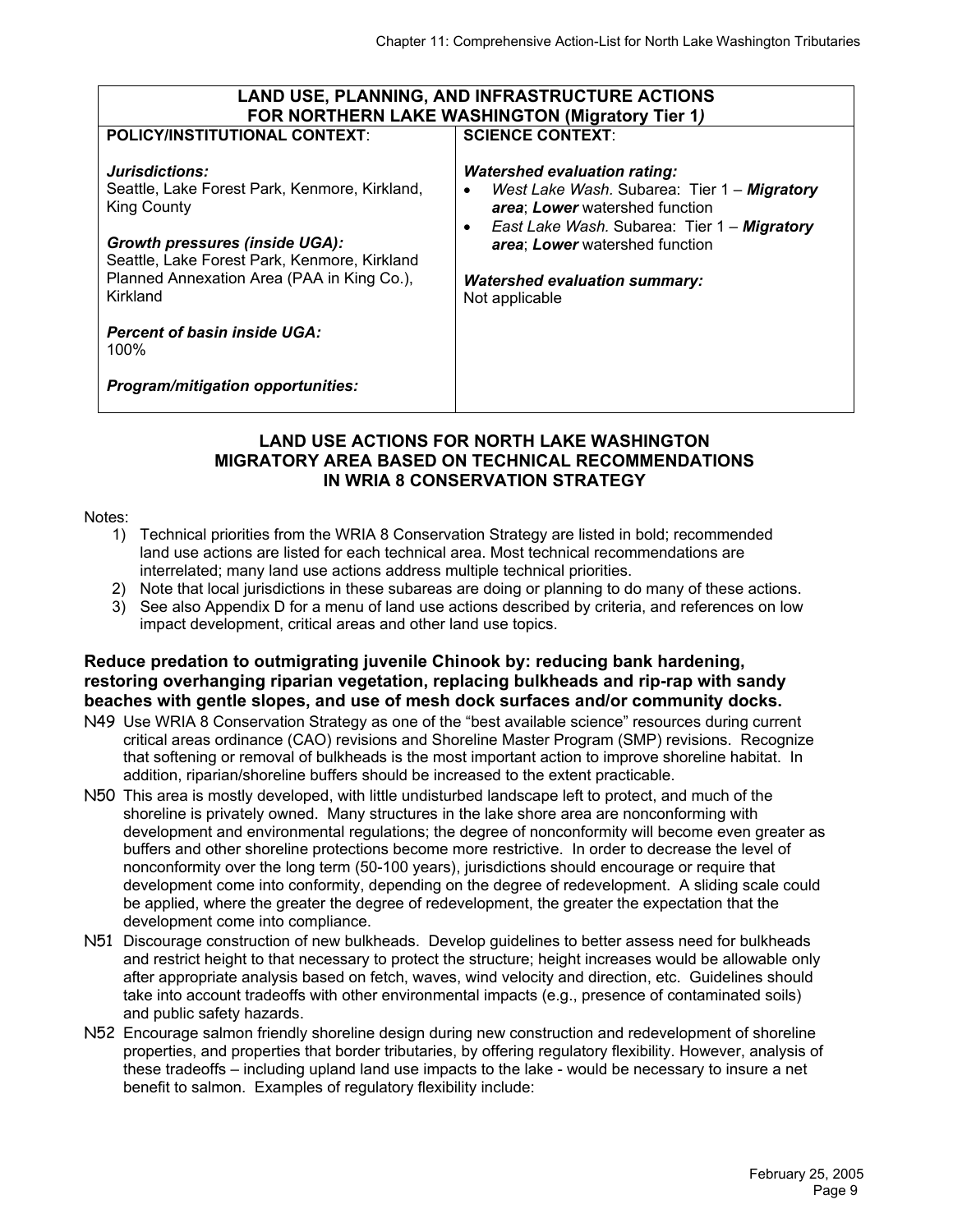| <b>LAND USE, PLANNING, AND INFRASTRUCTURE ACTIONS</b>                                                                                                                                                                                                                                                                               |                                                                                                                                                                                                                                                                                           |  |  |  |  |
|-------------------------------------------------------------------------------------------------------------------------------------------------------------------------------------------------------------------------------------------------------------------------------------------------------------------------------------|-------------------------------------------------------------------------------------------------------------------------------------------------------------------------------------------------------------------------------------------------------------------------------------------|--|--|--|--|
|                                                                                                                                                                                                                                                                                                                                     | FOR NORTHERN LAKE WASHINGTON (Migratory Tier 1)                                                                                                                                                                                                                                           |  |  |  |  |
| <b>POLICY/INSTITUTIONAL CONTEXT:</b>                                                                                                                                                                                                                                                                                                | <b>SCIENCE CONTEXT:</b>                                                                                                                                                                                                                                                                   |  |  |  |  |
| Jurisdictions:<br>Seattle, Lake Forest Park, Kenmore, Kirkland,<br><b>King County</b><br><b>Growth pressures (inside UGA):</b><br>Seattle, Lake Forest Park, Kenmore, Kirkland<br>Planned Annexation Area (PAA in King Co.),<br>Kirkland<br><b>Percent of basin inside UGA:</b><br>100%<br><b>Program/mitigation opportunities:</b> | <b>Watershed evaluation rating:</b><br>West Lake Wash. Subarea: Tier 1 - Migratory<br>$\bullet$<br>area; Lower watershed function<br>East Lake Wash. Subarea: Tier 1 - Migratory<br>$\bullet$<br>area; Lower watershed function<br><b>Watershed evaluation summary:</b><br>Not applicable |  |  |  |  |

#### **LAND USE ACTIONS FOR NORTH LAKE WASHINGTON MIGRATORY AREA BASED ON TECHNICAL RECOMMENDATIONS IN WRIA 8 CONSERVATION STRATEGY**

#### Notes:

- 1) Technical priorities from the WRIA 8 Conservation Strategy are listed in bold; recommended land use actions are listed for each technical area. Most technical recommendations are interrelated; many land use actions address multiple technical priorities.
- 2) Note that local jurisdictions in these subareas are doing or planning to do many of these actions.
- 3) See also Appendix D for a menu of land use actions described by criteria, and references on low impact development, critical areas and other land use topics.

#### **Reduce predation to outmigrating juvenile Chinook by: reducing bank hardening, restoring overhanging riparian vegetation, replacing bulkheads and rip-rap with sandy beaches with gentle slopes, and use of mesh dock surfaces and/or community docks.**

- N49 Use WRIA 8 Conservation Strategy as one of the "best available science" resources during current critical areas ordinance (CAO) revisions and Shoreline Master Program (SMP) revisions. Recognize that softening or removal of bulkheads is the most important action to improve shoreline habitat. In addition, riparian/shoreline buffers should be increased to the extent practicable.
- N50 This area is mostly developed, with little undisturbed landscape left to protect, and much of the shoreline is privately owned. Many structures in the lake shore area are nonconforming with development and environmental regulations; the degree of nonconformity will become even greater as buffers and other shoreline protections become more restrictive. In order to decrease the level of nonconformity over the long term (50-100 years), jurisdictions should encourage or require that development come into conformity, depending on the degree of redevelopment. A sliding scale could be applied, where the greater the degree of redevelopment, the greater the expectation that the development come into compliance.
- N51 Discourage construction of new bulkheads. Develop guidelines to better assess need for bulkheads and restrict height to that necessary to protect the structure; height increases would be allowable only after appropriate analysis based on fetch, waves, wind velocity and direction, etc. Guidelines should take into account tradeoffs with other environmental impacts (e.g., presence of contaminated soils) and public safety hazards.
- N52 Encourage salmon friendly shoreline design during new construction and redevelopment of shoreline properties, and properties that border tributaries, by offering regulatory flexibility. However, analysis of these tradeoffs – including upland land use impacts to the lake - would be necessary to insure a net benefit to salmon. Examples of regulatory flexibility include: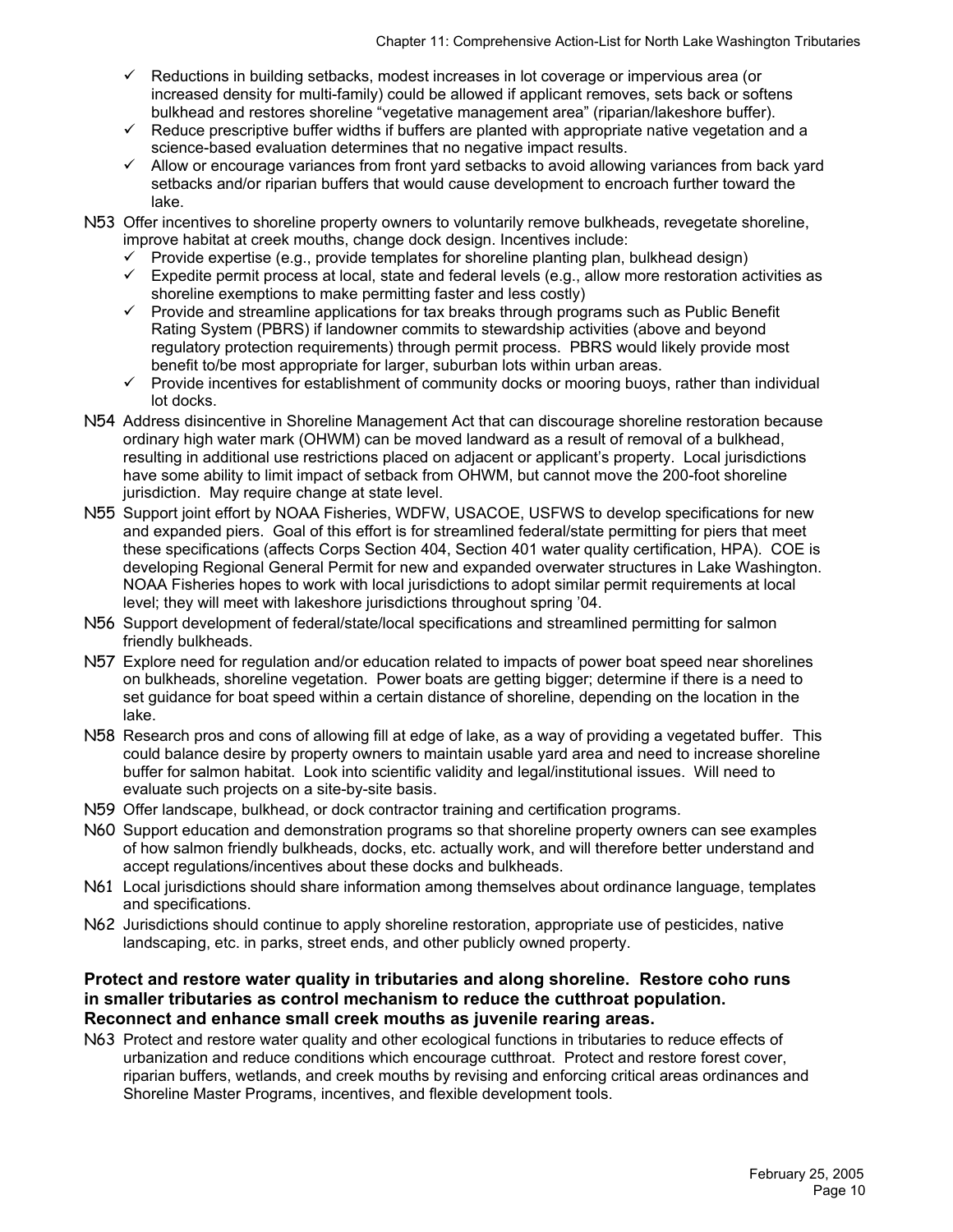- $\checkmark$  Reductions in building setbacks, modest increases in lot coverage or impervious area (or increased density for multi-family) could be allowed if applicant removes, sets back or softens bulkhead and restores shoreline "vegetative management area" (riparian/lakeshore buffer).
- $\checkmark$  Reduce prescriptive buffer widths if buffers are planted with appropriate native vegetation and a science-based evaluation determines that no negative impact results.
- $\checkmark$  Allow or encourage variances from front yard setbacks to avoid allowing variances from back yard setbacks and/or riparian buffers that would cause development to encroach further toward the lake.
- N53 Offer incentives to shoreline property owners to voluntarily remove bulkheads, revegetate shoreline, improve habitat at creek mouths, change dock design. Incentives include:
	- $\checkmark$  Provide expertise (e.g., provide templates for shoreline planting plan, bulkhead design)
	- Expedite permit process at local, state and federal levels (e.g., allow more restoration activities as shoreline exemptions to make permitting faster and less costly)
	- $\checkmark$  Provide and streamline applications for tax breaks through programs such as Public Benefit Rating System (PBRS) if landowner commits to stewardship activities (above and beyond regulatory protection requirements) through permit process. PBRS would likely provide most benefit to/be most appropriate for larger, suburban lots within urban areas.
	- Provide incentives for establishment of community docks or mooring buoys, rather than individual lot docks.
- N54 Address disincentive in Shoreline Management Act that can discourage shoreline restoration because ordinary high water mark (OHWM) can be moved landward as a result of removal of a bulkhead, resulting in additional use restrictions placed on adjacent or applicant's property. Local jurisdictions have some ability to limit impact of setback from OHWM, but cannot move the 200-foot shoreline jurisdiction. May require change at state level.
- N55 Support joint effort by NOAA Fisheries, WDFW, USACOE, USFWS to develop specifications for new and expanded piers. Goal of this effort is for streamlined federal/state permitting for piers that meet these specifications (affects Corps Section 404, Section 401 water quality certification, HPA). COE is developing Regional General Permit for new and expanded overwater structures in Lake Washington. NOAA Fisheries hopes to work with local jurisdictions to adopt similar permit requirements at local level; they will meet with lakeshore jurisdictions throughout spring '04.
- N56 Support development of federal/state/local specifications and streamlined permitting for salmon friendly bulkheads.
- N57 Explore need for regulation and/or education related to impacts of power boat speed near shorelines on bulkheads, shoreline vegetation. Power boats are getting bigger; determine if there is a need to set guidance for boat speed within a certain distance of shoreline, depending on the location in the lake.
- N58 Research pros and cons of allowing fill at edge of lake, as a way of providing a vegetated buffer. This could balance desire by property owners to maintain usable yard area and need to increase shoreline buffer for salmon habitat. Look into scientific validity and legal/institutional issues. Will need to evaluate such projects on a site-by-site basis.
- N59 Offer landscape, bulkhead, or dock contractor training and certification programs.
- N60 Support education and demonstration programs so that shoreline property owners can see examples of how salmon friendly bulkheads, docks, etc. actually work, and will therefore better understand and accept regulations/incentives about these docks and bulkheads.
- N61 Local jurisdictions should share information among themselves about ordinance language, templates and specifications.
- N62 Jurisdictions should continue to apply shoreline restoration, appropriate use of pesticides, native landscaping, etc. in parks, street ends, and other publicly owned property.

#### **Protect and restore water quality in tributaries and along shoreline. Restore coho runs in smaller tributaries as control mechanism to reduce the cutthroat population. Reconnect and enhance small creek mouths as juvenile rearing areas.**

N63 Protect and restore water quality and other ecological functions in tributaries to reduce effects of urbanization and reduce conditions which encourage cutthroat. Protect and restore forest cover, riparian buffers, wetlands, and creek mouths by revising and enforcing critical areas ordinances and Shoreline Master Programs, incentives, and flexible development tools.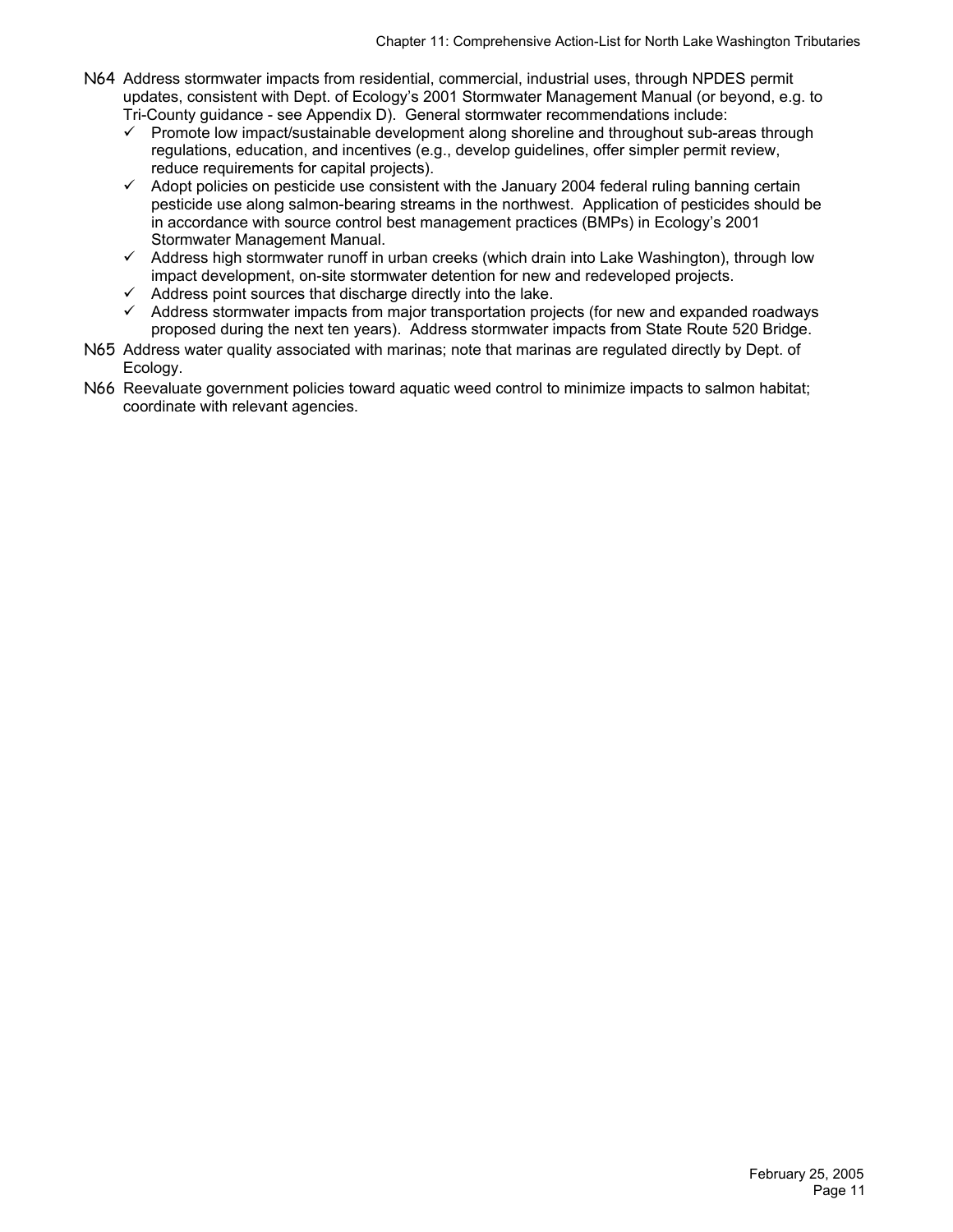- N64 Address stormwater impacts from residential, commercial, industrial uses, through NPDES permit updates, consistent with Dept. of Ecology's 2001 Stormwater Management Manual (or beyond, e.g. to Tri-County guidance - see Appendix D). General stormwater recommendations include:
	- $\checkmark$  Promote low impact/sustainable development along shoreline and throughout sub-areas through regulations, education, and incentives (e.g., develop guidelines, offer simpler permit review, reduce requirements for capital projects).
	- $\checkmark$  Adopt policies on pesticide use consistent with the January 2004 federal ruling banning certain pesticide use along salmon-bearing streams in the northwest. Application of pesticides should be in accordance with source control best management practices (BMPs) in Ecology's 2001 Stormwater Management Manual.
	- $\checkmark$  Address high stormwater runoff in urban creeks (which drain into Lake Washington), through low impact development, on-site stormwater detention for new and redeveloped projects.
	- $\checkmark$  Address point sources that discharge directly into the lake.
	- $\checkmark$  Address stormwater impacts from major transportation projects (for new and expanded roadways proposed during the next ten years). Address stormwater impacts from State Route 520 Bridge.
- N65 Address water quality associated with marinas; note that marinas are regulated directly by Dept. of Ecology.
- N66 Reevaluate government policies toward aquatic weed control to minimize impacts to salmon habitat; coordinate with relevant agencies.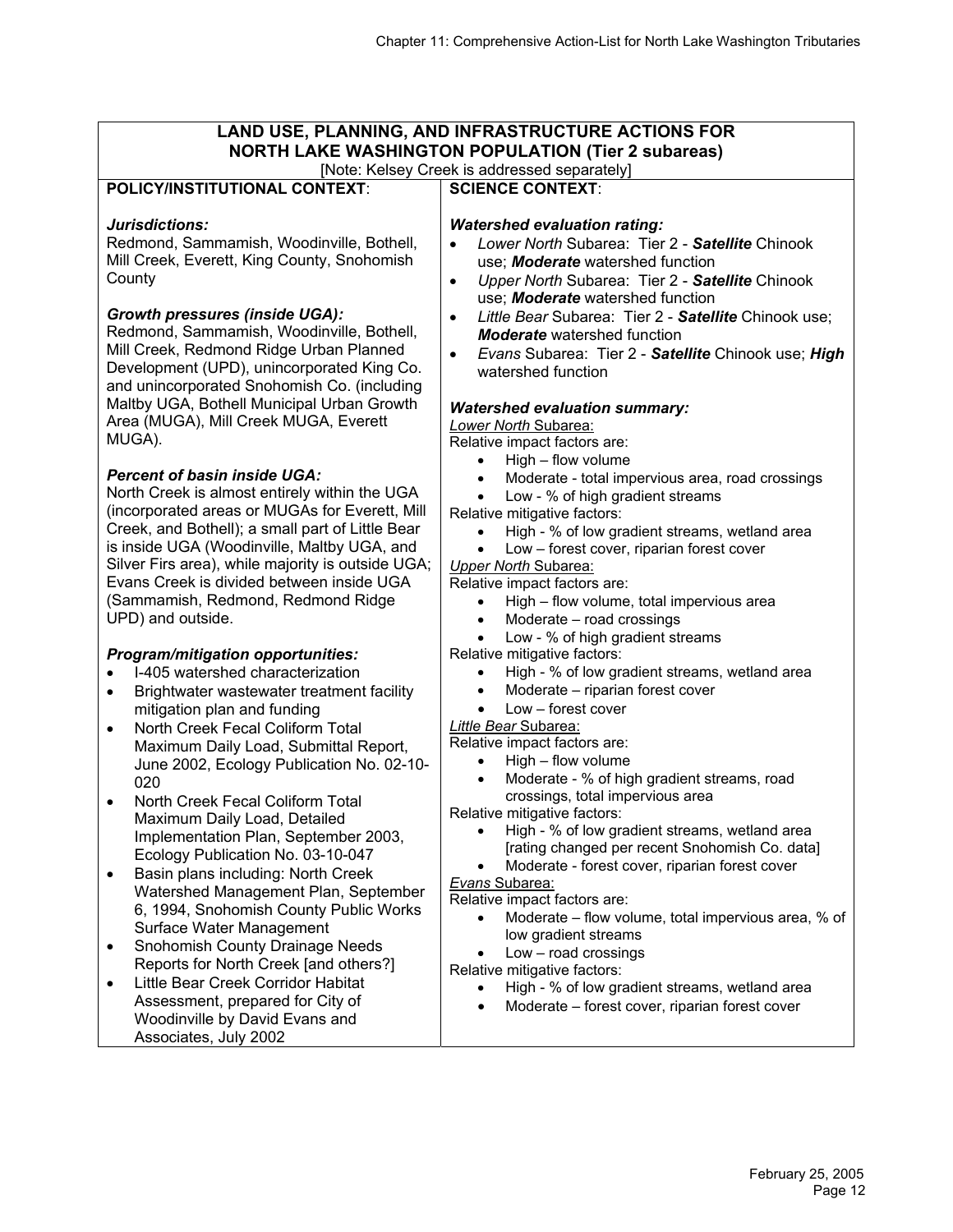#### **LAND USE, PLANNING, AND INFRASTRUCTURE ACTIONS FOR NORTH LAKE WASHINGTON POPULATION (Tier 2 subareas)** [Note: Kelsey Creek is addressed separately] **POLICY/INSTITUTIONAL CONTEXT**: *Jurisdictions:*  Redmond, Sammamish, Woodinville, Bothell, Mill Creek, Everett, King County, Snohomish **County** *Growth pressures (inside UGA):*  Redmond, Sammamish, Woodinville, Bothell, Mill Creek, Redmond Ridge Urban Planned Development (UPD), unincorporated King Co. and unincorporated Snohomish Co. (including Maltby UGA, Bothell Municipal Urban Growth Area (MUGA), Mill Creek MUGA, Everett MUGA). *Percent of basin inside UGA:*  North Creek is almost entirely within the UGA (incorporated areas or MUGAs for Everett, Mill Creek, and Bothell); a small part of Little Bear is inside UGA (Woodinville, Maltby UGA, and Silver Firs area), while majority is outside UGA; Evans Creek is divided between inside UGA (Sammamish, Redmond, Redmond Ridge UPD) and outside. *Program/mitigation opportunities:*  • I-405 watershed characterization • Brightwater wastewater treatment facility mitigation plan and funding • North Creek Fecal Coliform Total Maximum Daily Load, Submittal Report, June 2002, Ecology Publication No. 02-10- 020 • North Creek Fecal Coliform Total Maximum Daily Load, Detailed Implementation Plan, September 2003, Ecology Publication No. 03-10-047 • Basin plans including: North Creek Watershed Management Plan, September 6, 1994, Snohomish County Public Works Surface Water Management • Snohomish County Drainage Needs Reports for North Creek [and others?] • Little Bear Creek Corridor Habitat Assessment, prepared for City of Woodinville by David Evans and Associates, July 2002 **SCIENCE CONTEXT**: *Watershed evaluation rating:*  • *Lower North* Subarea: Tier 2 - *Satellite* Chinook use; *Moderate* watershed function • *Upper North* Subarea: Tier 2 - *Satellite* Chinook use; *Moderate* watershed function • *Little Bear* Subarea: Tier 2 - *Satellite* Chinook use; *Moderate* watershed function • *Evans* Subarea: Tier 2 - *Satellite* Chinook use; *High* watershed function *Watershed evaluation summary: Lower North* Subarea: Relative impact factors are: • High – flow volume Moderate - total impervious area, road crossings • Low - % of high gradient streams Relative mitigative factors: High - % of low gradient streams, wetland area Low – forest cover, riparian forest cover *Upper North* Subarea: Relative impact factors are: • High – flow volume, total impervious area Moderate – road crossings Low - % of high gradient streams Relative mitigative factors: • High - % of low gradient streams, wetland area Moderate – riparian forest cover Low – forest cover *Little Bear* Subarea: Relative impact factors are: • High – flow volume • Moderate - % of high gradient streams, road crossings, total impervious area Relative mitigative factors: High - % of low gradient streams, wetland area [rating changed per recent Snohomish Co. data] Moderate - forest cover, riparian forest cover *Evans* Subarea: Relative impact factors are: • Moderate – flow volume, total impervious area, % of low gradient streams  $Low - road crossinas$ Relative mitigative factors: • High - % of low gradient streams, wetland area Moderate – forest cover, riparian forest cover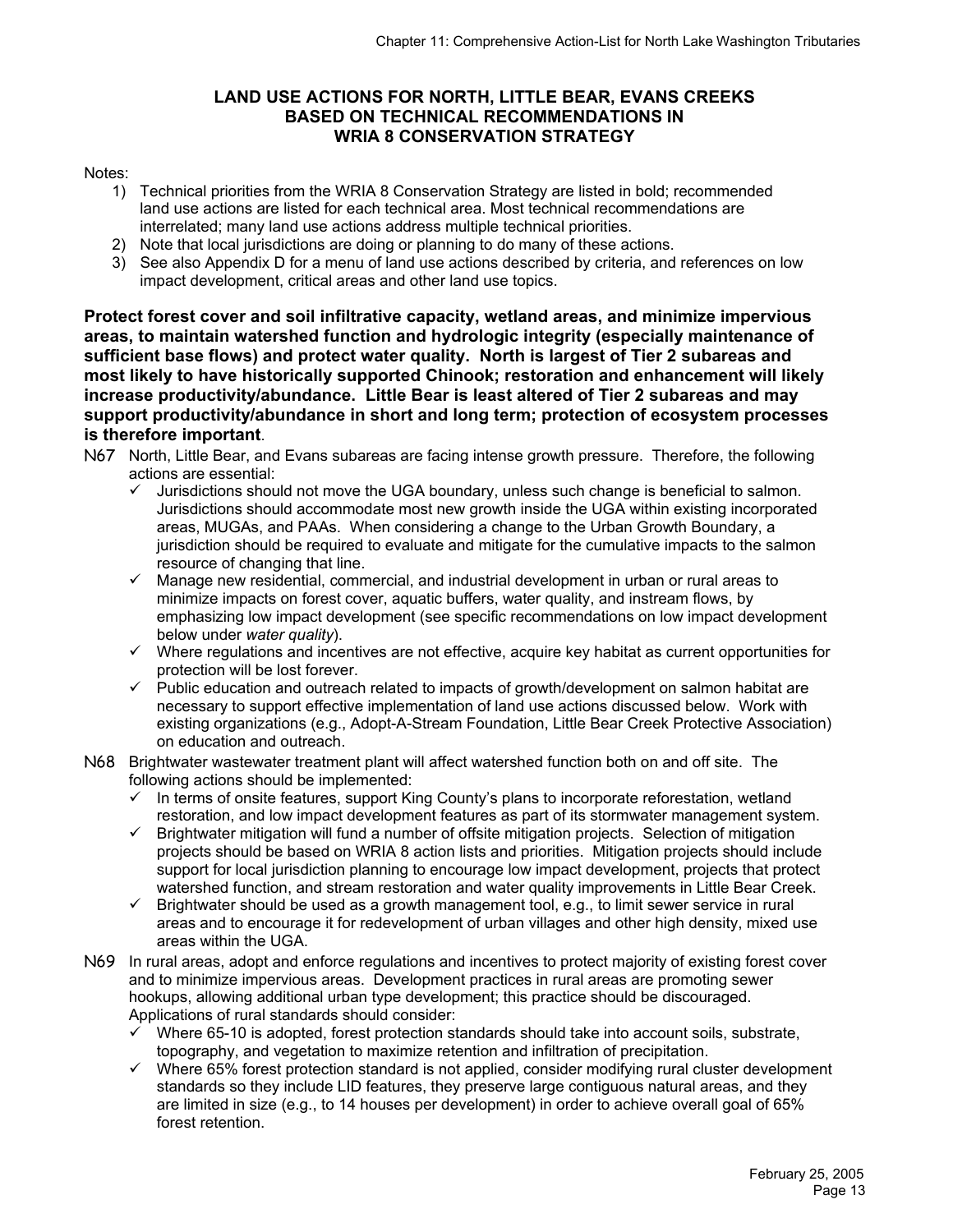## **LAND USE ACTIONS FOR NORTH, LITTLE BEAR, EVANS CREEKS BASED ON TECHNICAL RECOMMENDATIONS IN WRIA 8 CONSERVATION STRATEGY**

#### Notes:

- 1) Technical priorities from the WRIA 8 Conservation Strategy are listed in bold; recommended land use actions are listed for each technical area. Most technical recommendations are interrelated; many land use actions address multiple technical priorities.
- 2) Note that local jurisdictions are doing or planning to do many of these actions.
- 3) See also Appendix D for a menu of land use actions described by criteria, and references on low impact development, critical areas and other land use topics.

**Protect forest cover and soil infiltrative capacity, wetland areas, and minimize impervious areas, to maintain watershed function and hydrologic integrity (especially maintenance of sufficient base flows) and protect water quality. North is largest of Tier 2 subareas and most likely to have historically supported Chinook; restoration and enhancement will likely increase productivity/abundance. Little Bear is least altered of Tier 2 subareas and may support productivity/abundance in short and long term; protection of ecosystem processes is therefore important**.

- N67 North, Little Bear, and Evans subareas are facing intense growth pressure. Therefore, the following actions are essential:
	- Jurisdictions should not move the UGA boundary, unless such change is beneficial to salmon. Jurisdictions should accommodate most new growth inside the UGA within existing incorporated areas, MUGAs, and PAAs. When considering a change to the Urban Growth Boundary, a jurisdiction should be required to evaluate and mitigate for the cumulative impacts to the salmon resource of changing that line.
	- $\checkmark$  Manage new residential, commercial, and industrial development in urban or rural areas to minimize impacts on forest cover, aquatic buffers, water quality, and instream flows, by emphasizing low impact development (see specific recommendations on low impact development below under *water quality*).
	- $\checkmark$  Where regulations and incentives are not effective, acquire key habitat as current opportunities for protection will be lost forever.
	- $\checkmark$  Public education and outreach related to impacts of growth/development on salmon habitat are necessary to support effective implementation of land use actions discussed below. Work with existing organizations (e.g., Adopt-A-Stream Foundation, Little Bear Creek Protective Association) on education and outreach.
- N68 Brightwater wastewater treatment plant will affect watershed function both on and off site. The following actions should be implemented:
	- $\checkmark$  In terms of onsite features, support King County's plans to incorporate reforestation, wetland restoration, and low impact development features as part of its stormwater management system.
	- $\checkmark$  Brightwater mitigation will fund a number of offsite mitigation projects. Selection of mitigation projects should be based on WRIA 8 action lists and priorities. Mitigation projects should include support for local jurisdiction planning to encourage low impact development, projects that protect watershed function, and stream restoration and water quality improvements in Little Bear Creek.
	- $\checkmark$  Brightwater should be used as a growth management tool, e.g., to limit sewer service in rural areas and to encourage it for redevelopment of urban villages and other high density, mixed use areas within the UGA.
- N69 In rural areas, adopt and enforce regulations and incentives to protect majority of existing forest cover and to minimize impervious areas. Development practices in rural areas are promoting sewer hookups, allowing additional urban type development; this practice should be discouraged. Applications of rural standards should consider:
	- Where 65-10 is adopted, forest protection standards should take into account soils, substrate, topography, and vegetation to maximize retention and infiltration of precipitation.
	- $\checkmark$  Where 65% forest protection standard is not applied, consider modifying rural cluster development standards so they include LID features, they preserve large contiguous natural areas, and they are limited in size (e.g., to 14 houses per development) in order to achieve overall goal of 65% forest retention.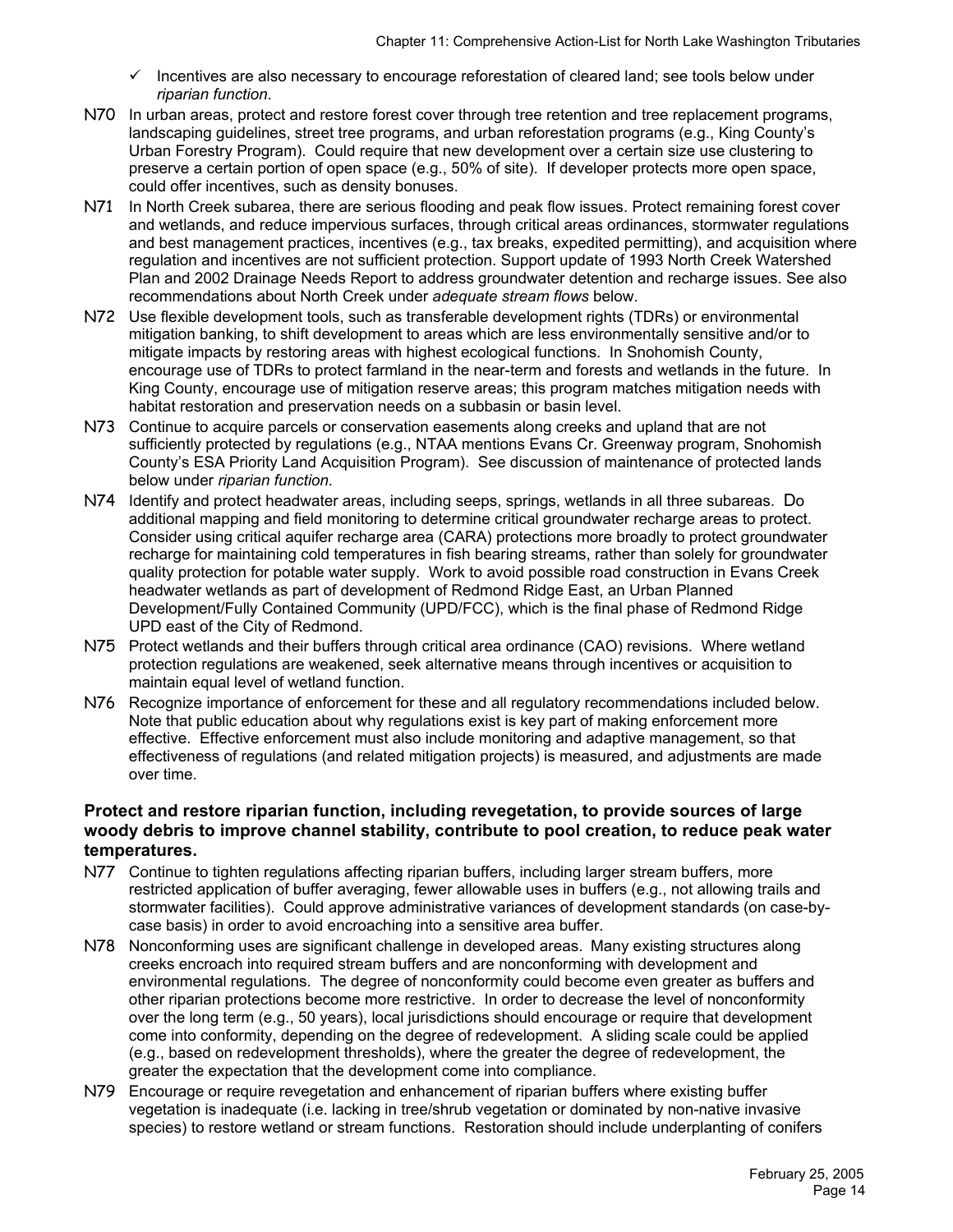- $\checkmark$  Incentives are also necessary to encourage reforestation of cleared land; see tools below under *riparian function*.
- N70 In urban areas, protect and restore forest cover through tree retention and tree replacement programs, landscaping guidelines, street tree programs, and urban reforestation programs (e.g., King County's Urban Forestry Program). Could require that new development over a certain size use clustering to preserve a certain portion of open space (e.g., 50% of site). If developer protects more open space, could offer incentives, such as density bonuses.
- N71 In North Creek subarea, there are serious flooding and peak flow issues. Protect remaining forest cover and wetlands, and reduce impervious surfaces, through critical areas ordinances, stormwater regulations and best management practices, incentives (e.g., tax breaks, expedited permitting), and acquisition where regulation and incentives are not sufficient protection. Support update of 1993 North Creek Watershed Plan and 2002 Drainage Needs Report to address groundwater detention and recharge issues. See also recommendations about North Creek under *adequate stream flows* below.
- N72 Use flexible development tools, such as transferable development rights (TDRs) or environmental mitigation banking, to shift development to areas which are less environmentally sensitive and/or to mitigate impacts by restoring areas with highest ecological functions. In Snohomish County, encourage use of TDRs to protect farmland in the near-term and forests and wetlands in the future. In King County, encourage use of mitigation reserve areas; this program matches mitigation needs with habitat restoration and preservation needs on a subbasin or basin level.
- N73 Continue to acquire parcels or conservation easements along creeks and upland that are not sufficiently protected by regulations (e.g., NTAA mentions Evans Cr. Greenway program, Snohomish County's ESA Priority Land Acquisition Program). See discussion of maintenance of protected lands below under *riparian function.*
- N74 Identify and protect headwater areas, including seeps, springs, wetlands in all three subareas. Do additional mapping and field monitoring to determine critical groundwater recharge areas to protect. Consider using critical aquifer recharge area (CARA) protections more broadly to protect groundwater recharge for maintaining cold temperatures in fish bearing streams, rather than solely for groundwater quality protection for potable water supply. Work to avoid possible road construction in Evans Creek headwater wetlands as part of development of Redmond Ridge East, an Urban Planned Development/Fully Contained Community (UPD/FCC), which is the final phase of Redmond Ridge UPD east of the City of Redmond.
- N75 Protect wetlands and their buffers through critical area ordinance (CAO) revisions. Where wetland protection regulations are weakened, seek alternative means through incentives or acquisition to maintain equal level of wetland function.
- N76 Recognize importance of enforcement for these and all regulatory recommendations included below. Note that public education about why regulations exist is key part of making enforcement more effective. Effective enforcement must also include monitoring and adaptive management, so that effectiveness of regulations (and related mitigation projects) is measured, and adjustments are made over time.

#### **Protect and restore riparian function, including revegetation, to provide sources of large woody debris to improve channel stability, contribute to pool creation, to reduce peak water temperatures.**

- N77 Continue to tighten regulations affecting riparian buffers, including larger stream buffers, more restricted application of buffer averaging, fewer allowable uses in buffers (e.g., not allowing trails and stormwater facilities). Could approve administrative variances of development standards (on case-bycase basis) in order to avoid encroaching into a sensitive area buffer.
- N78 Nonconforming uses are significant challenge in developed areas.Many existing structures along creeks encroach into required stream buffers and are nonconforming with development and environmental regulations. The degree of nonconformity could become even greater as buffers and other riparian protections become more restrictive. In order to decrease the level of nonconformity over the long term (e.g., 50 years), local jurisdictions should encourage or require that development come into conformity, depending on the degree of redevelopment. A sliding scale could be applied (e.g., based on redevelopment thresholds), where the greater the degree of redevelopment, the greater the expectation that the development come into compliance.
- N79 Encourage or require revegetation and enhancement of riparian buffers where existing buffer vegetation is inadequate (i.e. lacking in tree/shrub vegetation or dominated by non-native invasive species) to restore wetland or stream functions. Restoration should include underplanting of conifers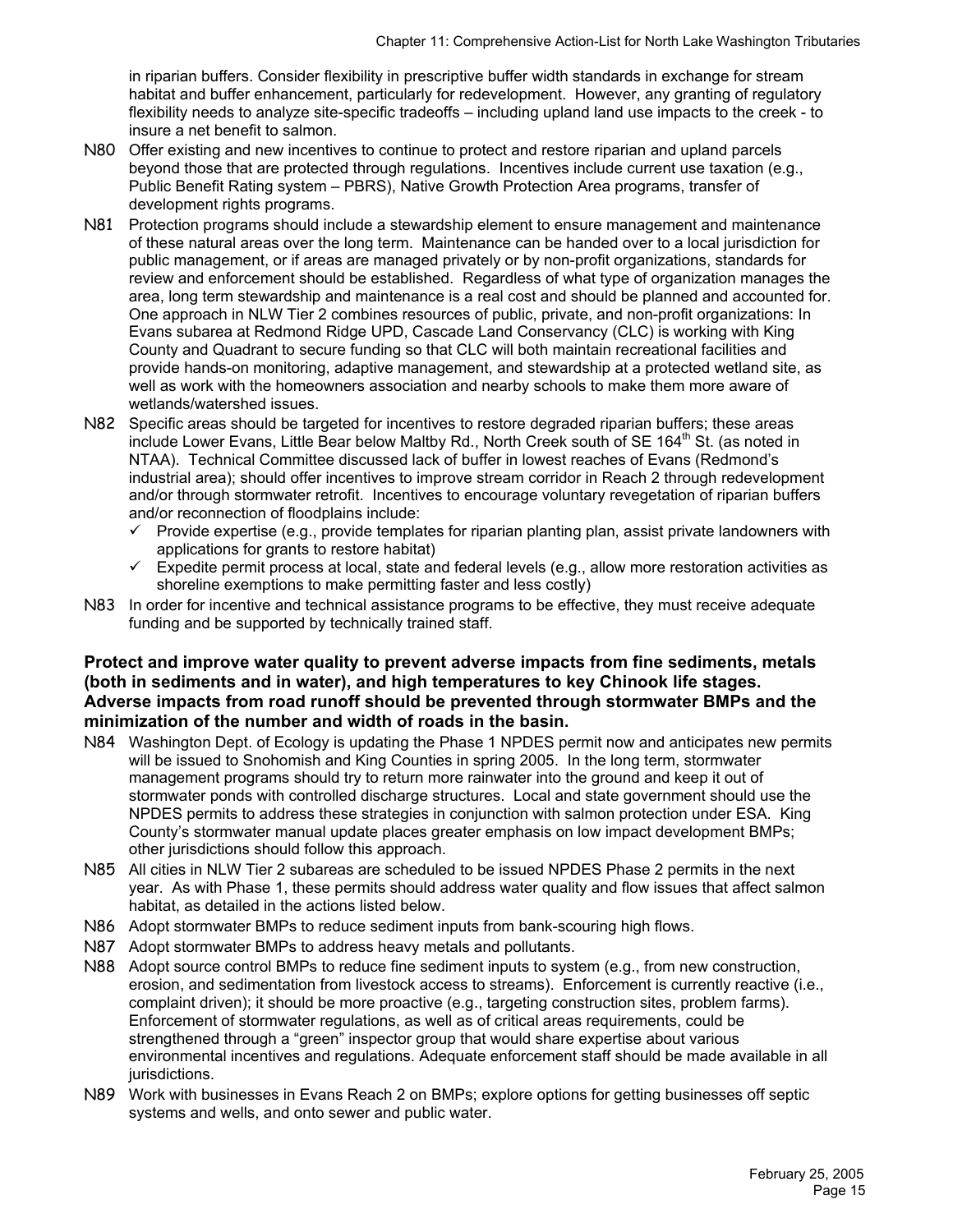in riparian buffers. Consider flexibility in prescriptive buffer width standards in exchange for stream habitat and buffer enhancement, particularly for redevelopment. However, any granting of regulatory flexibility needs to analyze site-specific tradeoffs – including upland land use impacts to the creek - to insure a net benefit to salmon.

- N80 Offer existing and new incentives to continue to protect and restore riparian and upland parcels beyond those that are protected through regulations. Incentives include current use taxation (e.g., Public Benefit Rating system – PBRS), Native Growth Protection Area programs, transfer of development rights programs.
- N81 Protection programs should include a stewardship element to ensure management and maintenance of these natural areas over the long term. Maintenance can be handed over to a local jurisdiction for public management, or if areas are managed privately or by non-profit organizations, standards for review and enforcement should be established. Regardless of what type of organization manages the area, long term stewardship and maintenance is a real cost and should be planned and accounted for. One approach in NLW Tier 2 combines resources of public, private, and non-profit organizations: In Evans subarea at Redmond Ridge UPD, Cascade Land Conservancy (CLC) is working with King County and Quadrant to secure funding so that CLC will both maintain recreational facilities and provide hands-on monitoring, adaptive management, and stewardship at a protected wetland site, as well as work with the homeowners association and nearby schools to make them more aware of wetlands/watershed issues.
- N82 Specific areas should be targeted for incentives to restore degraded riparian buffers; these areas include Lower Evans, Little Bear below Maltby Rd., North Creek south of SE 164<sup>th</sup> St. (as noted in NTAA). Technical Committee discussed lack of buffer in lowest reaches of Evans (Redmond's industrial area); should offer incentives to improve stream corridor in Reach 2 through redevelopment and/or through stormwater retrofit. Incentives to encourage voluntary revegetation of riparian buffers and/or reconnection of floodplains include:
	- $\checkmark$  Provide expertise (e.g., provide templates for riparian planting plan, assist private landowners with applications for grants to restore habitat)
	- $\checkmark$  Expedite permit process at local, state and federal levels (e.g., allow more restoration activities as shoreline exemptions to make permitting faster and less costly)
- N83 In order for incentive and technical assistance programs to be effective, they must receive adequate funding and be supported by technically trained staff.

#### **Protect and improve water quality to prevent adverse impacts from fine sediments, metals (both in sediments and in water), and high temperatures to key Chinook life stages. Adverse impacts from road runoff should be prevented through stormwater BMPs and the minimization of the number and width of roads in the basin.**

- N84 Washington Dept. of Ecology is updating the Phase 1 NPDES permit now and anticipates new permits will be issued to Snohomish and King Counties in spring 2005. In the long term, stormwater management programs should try to return more rainwater into the ground and keep it out of stormwater ponds with controlled discharge structures. Local and state government should use the NPDES permits to address these strategies in conjunction with salmon protection under ESA. King County's stormwater manual update places greater emphasis on low impact development BMPs; other jurisdictions should follow this approach.
- N85 All cities in NLW Tier 2 subareas are scheduled to be issued NPDES Phase 2 permits in the next year. As with Phase 1, these permits should address water quality and flow issues that affect salmon habitat, as detailed in the actions listed below.
- N86 Adopt stormwater BMPs to reduce sediment inputs from bank-scouring high flows.
- N87 Adopt stormwater BMPs to address heavy metals and pollutants.
- N88 Adopt source control BMPs to reduce fine sediment inputs to system (e.g., from new construction, erosion, and sedimentation from livestock access to streams). Enforcement is currently reactive (i.e., complaint driven); it should be more proactive (e.g., targeting construction sites, problem farms). Enforcement of stormwater regulations, as well as of critical areas requirements, could be strengthened through a "green" inspector group that would share expertise about various environmental incentives and regulations. Adequate enforcement staff should be made available in all jurisdictions.
- N89 Work with businesses in Evans Reach 2 on BMPs; explore options for getting businesses off septic systems and wells, and onto sewer and public water.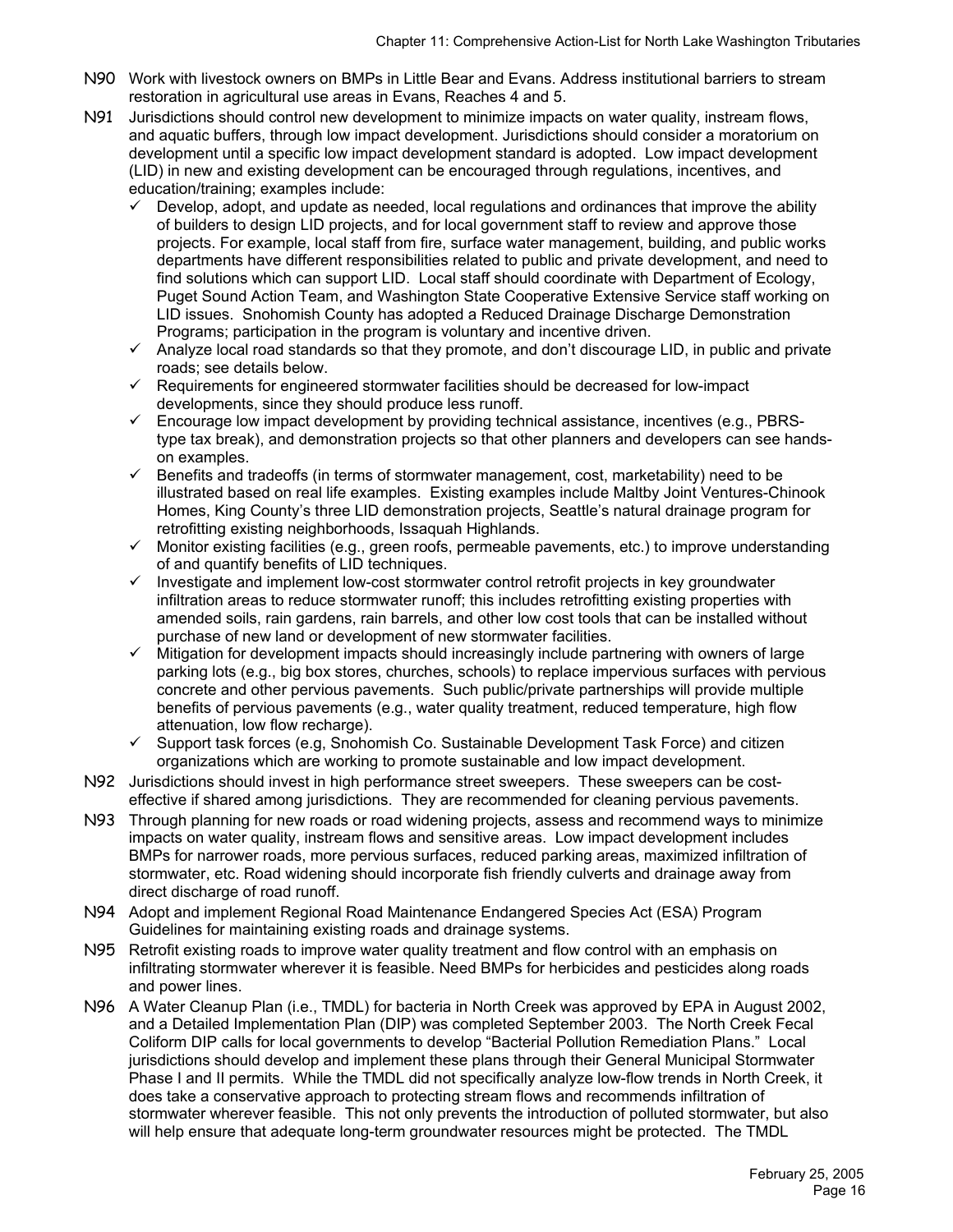- N90 Work with livestock owners on BMPs in Little Bear and Evans. Address institutional barriers to stream restoration in agricultural use areas in Evans, Reaches 4 and 5.
- N91 Jurisdictions should control new development to minimize impacts on water quality, instream flows, and aquatic buffers, through low impact development. Jurisdictions should consider a moratorium on development until a specific low impact development standard is adopted. Low impact development (LID) in new and existing development can be encouraged through regulations, incentives, and education/training; examples include:
	- $\checkmark$  Develop, adopt, and update as needed, local regulations and ordinances that improve the ability of builders to design LID projects, and for local government staff to review and approve those projects. For example, local staff from fire, surface water management, building, and public works departments have different responsibilities related to public and private development, and need to find solutions which can support LID. Local staff should coordinate with Department of Ecology, Puget Sound Action Team, and Washington State Cooperative Extensive Service staff working on LID issues. Snohomish County has adopted a Reduced Drainage Discharge Demonstration Programs; participation in the program is voluntary and incentive driven.
	- $\checkmark$  Analyze local road standards so that they promote, and don't discourage LID, in public and private roads; see details below.
	- $\checkmark$  Requirements for engineered stormwater facilities should be decreased for low-impact developments, since they should produce less runoff.
	- $\checkmark$  Encourage low impact development by providing technical assistance, incentives (e.g., PBRStype tax break), and demonstration projects so that other planners and developers can see handson examples.
	- $\checkmark$  Benefits and tradeoffs (in terms of stormwater management, cost, marketability) need to be illustrated based on real life examples. Existing examples include Maltby Joint Ventures-Chinook Homes, King County's three LID demonstration projects, Seattle's natural drainage program for retrofitting existing neighborhoods, Issaquah Highlands.
	- $\checkmark$  Monitor existing facilities (e.g., green roofs, permeable pavements, etc.) to improve understanding of and quantify benefits of LID techniques.
	- $\checkmark$  Investigate and implement low-cost stormwater control retrofit projects in key groundwater infiltration areas to reduce stormwater runoff; this includes retrofitting existing properties with amended soils, rain gardens, rain barrels, and other low cost tools that can be installed without purchase of new land or development of new stormwater facilities.
	- 9 Mitigation for development impacts should increasingly include partnering with owners of large parking lots (e.g., big box stores, churches, schools) to replace impervious surfaces with pervious concrete and other pervious pavements. Such public/private partnerships will provide multiple benefits of pervious pavements (e.g., water quality treatment, reduced temperature, high flow attenuation, low flow recharge).
	- $\checkmark$  Support task forces (e.g, Snohomish Co. Sustainable Development Task Force) and citizen organizations which are working to promote sustainable and low impact development.
- N92 Jurisdictions should invest in high performance street sweepers. These sweepers can be costeffective if shared among jurisdictions. They are recommended for cleaning pervious pavements.
- N93 Through planning for new roads or road widening projects, assess and recommend ways to minimize impacts on water quality, instream flows and sensitive areas. Low impact development includes BMPs for narrower roads, more pervious surfaces, reduced parking areas, maximized infiltration of stormwater, etc. Road widening should incorporate fish friendly culverts and drainage away from direct discharge of road runoff.
- N94 Adopt and implement Regional Road Maintenance Endangered Species Act (ESA) Program Guidelines for maintaining existing roads and drainage systems.
- N95 Retrofit existing roads to improve water quality treatment and flow control with an emphasis on infiltrating stormwater wherever it is feasible. Need BMPs for herbicides and pesticides along roads and power lines.
- N96 A Water Cleanup Plan (i.e., TMDL) for bacteria in North Creek was approved by EPA in August 2002, and a Detailed Implementation Plan (DIP) was completed September 2003. The North Creek Fecal Coliform DIP calls for local governments to develop "Bacterial Pollution Remediation Plans." Local jurisdictions should develop and implement these plans through their General Municipal Stormwater Phase I and II permits. While the TMDL did not specifically analyze low-flow trends in North Creek, it does take a conservative approach to protecting stream flows and recommends infiltration of stormwater wherever feasible. This not only prevents the introduction of polluted stormwater, but also will help ensure that adequate long-term groundwater resources might be protected. The TMDL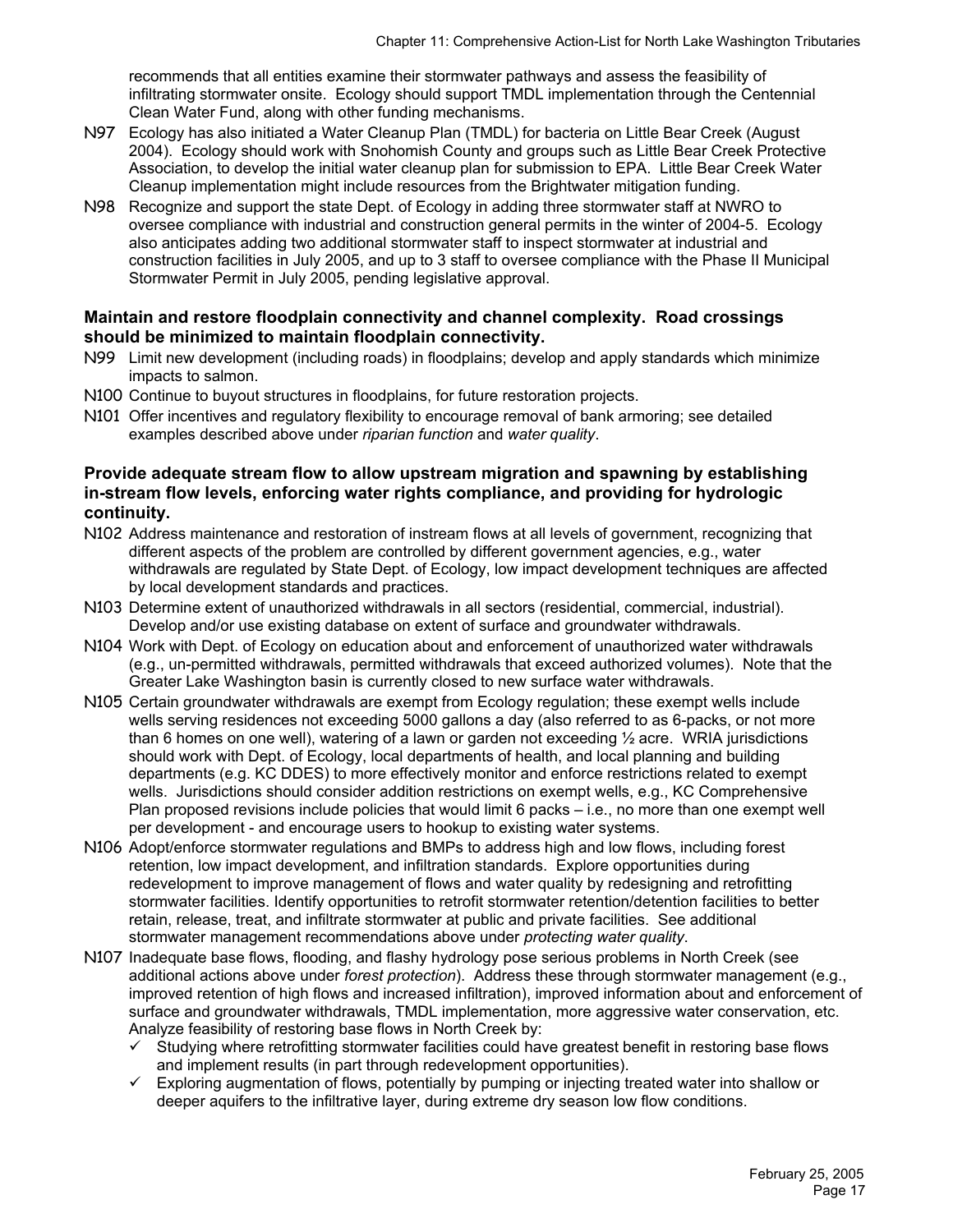recommends that all entities examine their stormwater pathways and assess the feasibility of infiltrating stormwater onsite. Ecology should support TMDL implementation through the Centennial Clean Water Fund, along with other funding mechanisms.

- N97 Ecology has also initiated a Water Cleanup Plan (TMDL) for bacteria on Little Bear Creek (August 2004). Ecology should work with Snohomish County and groups such as Little Bear Creek Protective Association, to develop the initial water cleanup plan for submission to EPA. Little Bear Creek Water Cleanup implementation might include resources from the Brightwater mitigation funding.
- N98 Recognize and support the state Dept. of Ecology in adding three stormwater staff at NWRO to oversee compliance with industrial and construction general permits in the winter of 2004-5. Ecology also anticipates adding two additional stormwater staff to inspect stormwater at industrial and construction facilities in July 2005, and up to 3 staff to oversee compliance with the Phase II Municipal Stormwater Permit in July 2005, pending legislative approval.

#### **Maintain and restore floodplain connectivity and channel complexity. Road crossings should be minimized to maintain floodplain connectivity.**

- N99 Limit new development (including roads) in floodplains; develop and apply standards which minimize impacts to salmon.
- N100 Continue to buyout structures in floodplains, for future restoration projects.
- N101 Offer incentives and regulatory flexibility to encourage removal of bank armoring; see detailed examples described above under *riparian function* and *water quality*.

#### **Provide adequate stream flow to allow upstream migration and spawning by establishing in-stream flow levels, enforcing water rights compliance, and providing for hydrologic continuity.**

- N102 Address maintenance and restoration of instream flows at all levels of government, recognizing that different aspects of the problem are controlled by different government agencies, e.g., water withdrawals are regulated by State Dept. of Ecology, low impact development techniques are affected by local development standards and practices.
- N103 Determine extent of unauthorized withdrawals in all sectors (residential, commercial, industrial). Develop and/or use existing database on extent of surface and groundwater withdrawals.
- N104 Work with Dept. of Ecology on education about and enforcement of unauthorized water withdrawals (e.g., un-permitted withdrawals, permitted withdrawals that exceed authorized volumes). Note that the Greater Lake Washington basin is currently closed to new surface water withdrawals.
- N105 Certain groundwater withdrawals are exempt from Ecology regulation; these exempt wells include wells serving residences not exceeding 5000 gallons a day (also referred to as 6-packs, or not more than 6 homes on one well), watering of a lawn or garden not exceeding ½ acre. WRIA jurisdictions should work with Dept. of Ecology, local departments of health, and local planning and building departments (e.g. KC DDES) to more effectively monitor and enforce restrictions related to exempt wells. Jurisdictions should consider addition restrictions on exempt wells, e.g., KC Comprehensive Plan proposed revisions include policies that would limit 6 packs – i.e., no more than one exempt well per development - and encourage users to hookup to existing water systems.
- N106 Adopt/enforce stormwater regulations and BMPs to address high and low flows, including forest retention, low impact development, and infiltration standards. Explore opportunities during redevelopment to improve management of flows and water quality by redesigning and retrofitting stormwater facilities. Identify opportunities to retrofit stormwater retention/detention facilities to better retain, release, treat, and infiltrate stormwater at public and private facilities. See additional stormwater management recommendations above under *protecting water quality*.
- N107 Inadequate base flows, flooding, and flashy hydrology pose serious problems in North Creek (see additional actions above under *forest protection*). Address these through stormwater management (e.g., improved retention of high flows and increased infiltration), improved information about and enforcement of surface and groundwater withdrawals, TMDL implementation, more aggressive water conservation, etc. Analyze feasibility of restoring base flows in North Creek by:
	- Studying where retrofitting stormwater facilities could have greatest benefit in restoring base flows and implement results (in part through redevelopment opportunities).
	- $\checkmark$  Exploring augmentation of flows, potentially by pumping or injecting treated water into shallow or deeper aquifers to the infiltrative layer, during extreme dry season low flow conditions.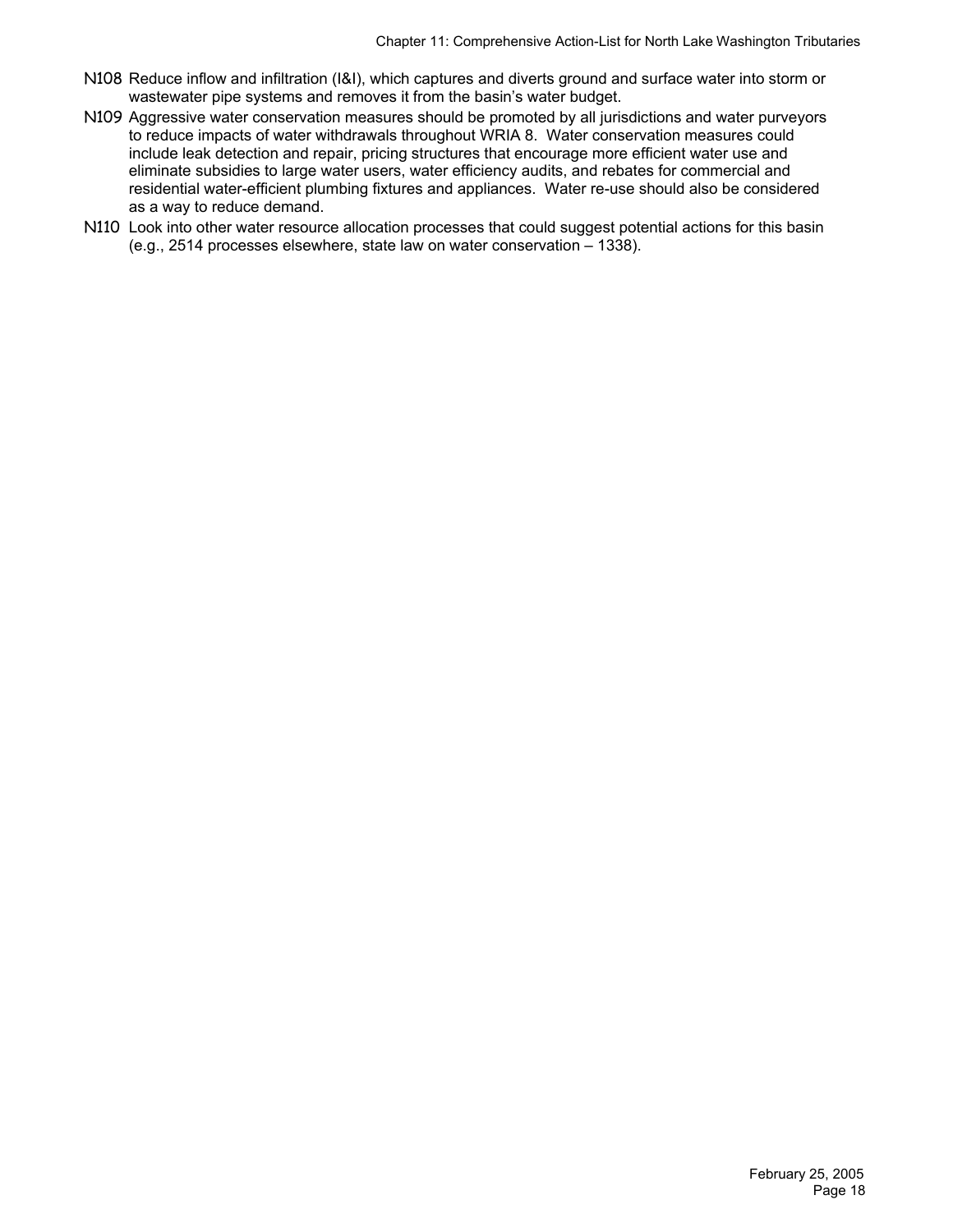- N108 Reduce inflow and infiltration (I&I), which captures and diverts ground and surface water into storm or wastewater pipe systems and removes it from the basin's water budget.
- N109 Aggressive water conservation measures should be promoted by all jurisdictions and water purveyors to reduce impacts of water withdrawals throughout WRIA 8. Water conservation measures could include leak detection and repair, pricing structures that encourage more efficient water use and eliminate subsidies to large water users, water efficiency audits, and rebates for commercial and residential water-efficient plumbing fixtures and appliances. Water re-use should also be considered as a way to reduce demand.
- N110 Look into other water resource allocation processes that could suggest potential actions for this basin (e.g., 2514 processes elsewhere, state law on water conservation – 1338).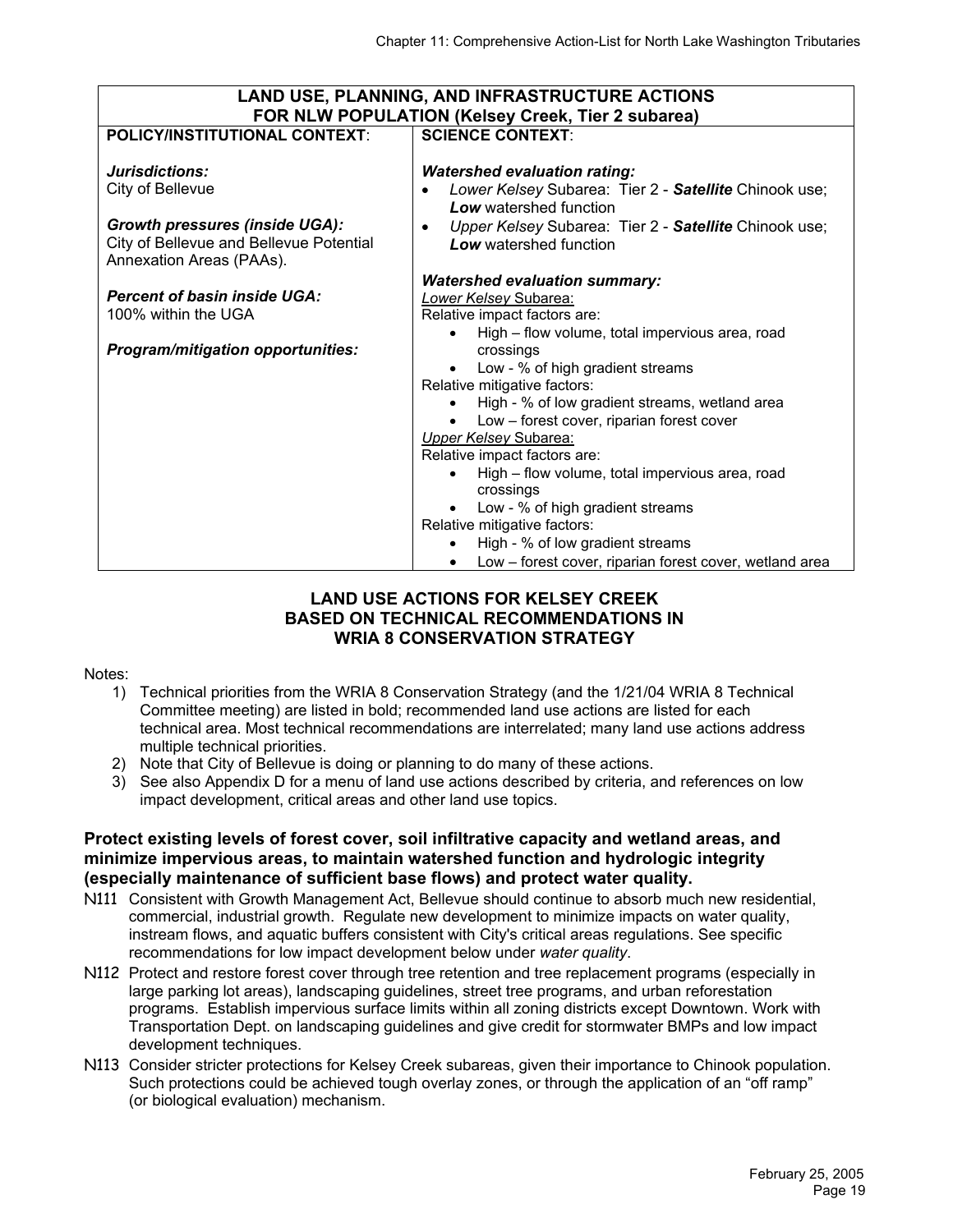| <b>LAND USE, PLANNING, AND INFRASTRUCTURE ACTIONS</b> |                                                                  |  |  |  |  |  |
|-------------------------------------------------------|------------------------------------------------------------------|--|--|--|--|--|
|                                                       | FOR NLW POPULATION (Kelsey Creek, Tier 2 subarea)                |  |  |  |  |  |
| <b>POLICY/INSTITUTIONAL CONTEXT:</b>                  | <b>SCIENCE CONTEXT:</b>                                          |  |  |  |  |  |
|                                                       |                                                                  |  |  |  |  |  |
| Jurisdictions:                                        | <b>Watershed evaluation rating:</b>                              |  |  |  |  |  |
| City of Bellevue                                      | Lower Kelsey Subarea: Tier 2 - Satellite Chinook use;            |  |  |  |  |  |
|                                                       | Low watershed function                                           |  |  |  |  |  |
| <b>Growth pressures (inside UGA):</b>                 | Upper Kelsey Subarea: Tier 2 - Satellite Chinook use;            |  |  |  |  |  |
| City of Bellevue and Bellevue Potential               | <b>Low</b> watershed function                                    |  |  |  |  |  |
| Annexation Areas (PAAs).                              |                                                                  |  |  |  |  |  |
|                                                       | <b>Watershed evaluation summary:</b>                             |  |  |  |  |  |
| <b>Percent of basin inside UGA:</b>                   | Lower Kelsey Subarea:                                            |  |  |  |  |  |
| 100% within the UGA                                   | Relative impact factors are:                                     |  |  |  |  |  |
|                                                       | High – flow volume, total impervious area, road                  |  |  |  |  |  |
| <b>Program/mitigation opportunities:</b>              | crossings                                                        |  |  |  |  |  |
|                                                       | Low - % of high gradient streams                                 |  |  |  |  |  |
|                                                       | Relative mitigative factors:                                     |  |  |  |  |  |
|                                                       | High - % of low gradient streams, wetland area                   |  |  |  |  |  |
|                                                       | Low - forest cover, riparian forest cover                        |  |  |  |  |  |
|                                                       | <b>Upper Kelsey Subarea:</b>                                     |  |  |  |  |  |
|                                                       | Relative impact factors are:                                     |  |  |  |  |  |
|                                                       | High - flow volume, total impervious area, road                  |  |  |  |  |  |
|                                                       | crossings                                                        |  |  |  |  |  |
|                                                       | Low - % of high gradient streams<br>Relative mitigative factors: |  |  |  |  |  |
|                                                       | High - % of low gradient streams                                 |  |  |  |  |  |
|                                                       |                                                                  |  |  |  |  |  |
|                                                       | Low – forest cover, riparian forest cover, wetland area          |  |  |  |  |  |

#### **LAND USE ACTIONS FOR KELSEY CREEK BASED ON TECHNICAL RECOMMENDATIONS IN WRIA 8 CONSERVATION STRATEGY**

#### Notes:

- 1) Technical priorities from the WRIA 8 Conservation Strategy (and the 1/21/04 WRIA 8 Technical Committee meeting) are listed in bold; recommended land use actions are listed for each technical area. Most technical recommendations are interrelated; many land use actions address multiple technical priorities.
- 2) Note that City of Bellevue is doing or planning to do many of these actions.
- 3) See also Appendix D for a menu of land use actions described by criteria, and references on low impact development, critical areas and other land use topics.

#### **Protect existing levels of forest cover, soil infiltrative capacity and wetland areas, and minimize impervious areas, to maintain watershed function and hydrologic integrity (especially maintenance of sufficient base flows) and protect water quality.**

- N111 Consistent with Growth Management Act, Bellevue should continue to absorb much new residential, commercial, industrial growth. Regulate new development to minimize impacts on water quality, instream flows, and aquatic buffers consistent with City's critical areas regulations. See specific recommendations for low impact development below under *water quality*.
- N112 Protect and restore forest cover through tree retention and tree replacement programs (especially in large parking lot areas), landscaping guidelines, street tree programs, and urban reforestation programs. Establish impervious surface limits within all zoning districts except Downtown. Work with Transportation Dept. on landscaping guidelines and give credit for stormwater BMPs and low impact development techniques.
- N113 Consider stricter protections for Kelsey Creek subareas, given their importance to Chinook population. Such protections could be achieved tough overlay zones, or through the application of an "off ramp" (or biological evaluation) mechanism.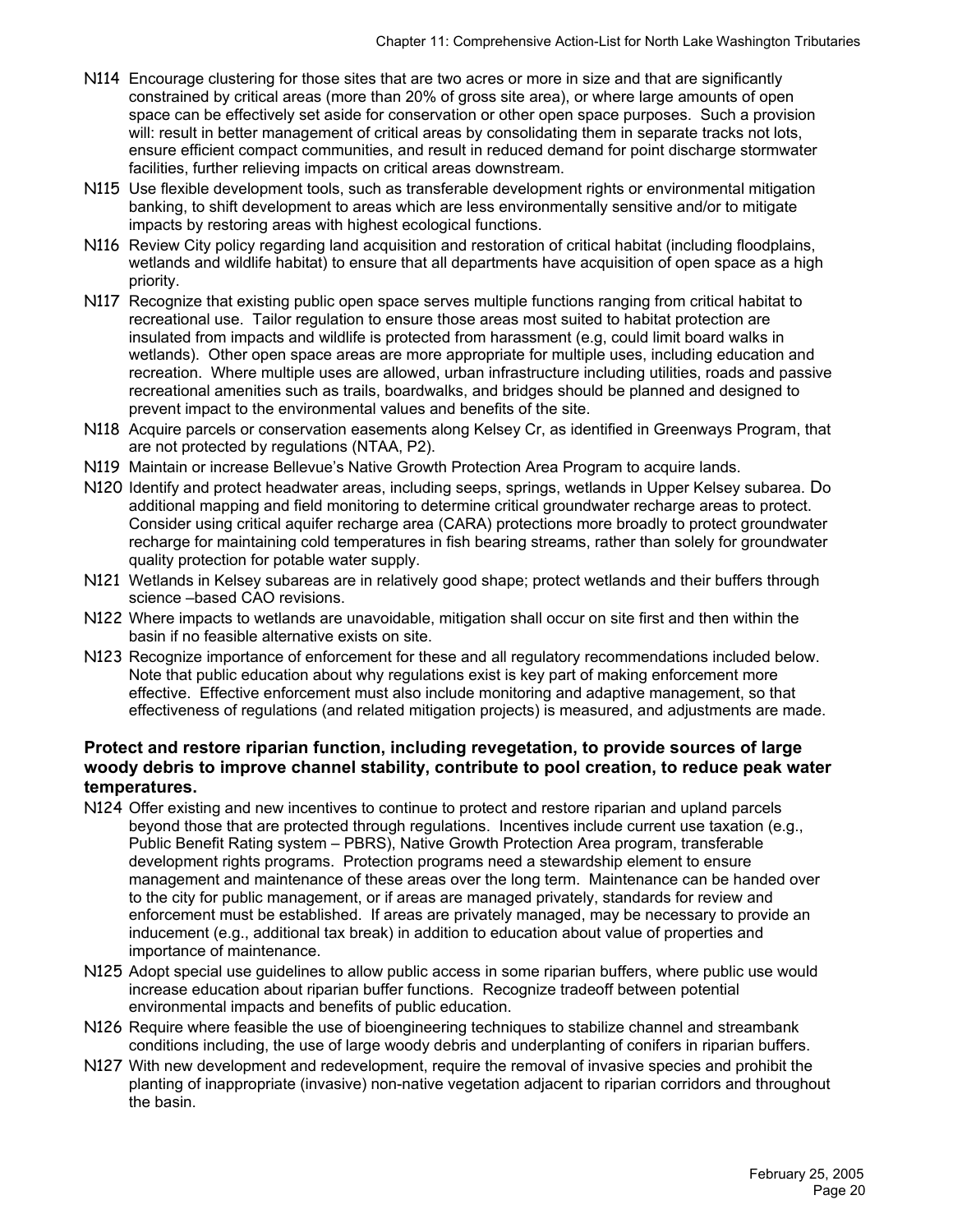- N114 Encourage clustering for those sites that are two acres or more in size and that are significantly constrained by critical areas (more than 20% of gross site area), or where large amounts of open space can be effectively set aside for conservation or other open space purposes. Such a provision will: result in better management of critical areas by consolidating them in separate tracks not lots, ensure efficient compact communities, and result in reduced demand for point discharge stormwater facilities, further relieving impacts on critical areas downstream.
- N115 Use flexible development tools, such as transferable development rights or environmental mitigation banking, to shift development to areas which are less environmentally sensitive and/or to mitigate impacts by restoring areas with highest ecological functions.
- N116 Review City policy regarding land acquisition and restoration of critical habitat (including floodplains, wetlands and wildlife habitat) to ensure that all departments have acquisition of open space as a high priority.
- N117 Recognize that existing public open space serves multiple functions ranging from critical habitat to recreational use. Tailor regulation to ensure those areas most suited to habitat protection are insulated from impacts and wildlife is protected from harassment (e.g, could limit board walks in wetlands). Other open space areas are more appropriate for multiple uses, including education and recreation. Where multiple uses are allowed, urban infrastructure including utilities, roads and passive recreational amenities such as trails, boardwalks, and bridges should be planned and designed to prevent impact to the environmental values and benefits of the site.
- N118 Acquire parcels or conservation easements along Kelsey Cr, as identified in Greenways Program, that are not protected by regulations (NTAA, P2).
- N119 Maintain or increase Bellevue's Native Growth Protection Area Program to acquire lands.
- N120 Identify and protect headwater areas, including seeps, springs, wetlands in Upper Kelsey subarea. Do additional mapping and field monitoring to determine critical groundwater recharge areas to protect. Consider using critical aquifer recharge area (CARA) protections more broadly to protect groundwater recharge for maintaining cold temperatures in fish bearing streams, rather than solely for groundwater quality protection for potable water supply.
- N121 Wetlands in Kelsey subareas are in relatively good shape; protect wetlands and their buffers through science –based CAO revisions.
- N122 Where impacts to wetlands are unavoidable, mitigation shall occur on site first and then within the basin if no feasible alternative exists on site.
- N123 Recognize importance of enforcement for these and all regulatory recommendations included below. Note that public education about why regulations exist is key part of making enforcement more effective. Effective enforcement must also include monitoring and adaptive management, so that effectiveness of regulations (and related mitigation projects) is measured, and adjustments are made.

#### **Protect and restore riparian function, including revegetation, to provide sources of large woody debris to improve channel stability, contribute to pool creation, to reduce peak water temperatures.**

- N124 Offer existing and new incentives to continue to protect and restore riparian and upland parcels beyond those that are protected through regulations. Incentives include current use taxation (e.g., Public Benefit Rating system – PBRS), Native Growth Protection Area program, transferable development rights programs. Protection programs need a stewardship element to ensure management and maintenance of these areas over the long term. Maintenance can be handed over to the city for public management, or if areas are managed privately, standards for review and enforcement must be established. If areas are privately managed, may be necessary to provide an inducement (e.g., additional tax break) in addition to education about value of properties and importance of maintenance.
- N125 Adopt special use guidelines to allow public access in some riparian buffers, where public use would increase education about riparian buffer functions. Recognize tradeoff between potential environmental impacts and benefits of public education.
- N126 Require where feasible the use of bioengineering techniques to stabilize channel and streambank conditions including, the use of large woody debris and underplanting of conifers in riparian buffers.
- N127 With new development and redevelopment, require the removal of invasive species and prohibit the planting of inappropriate (invasive) non-native vegetation adjacent to riparian corridors and throughout the basin.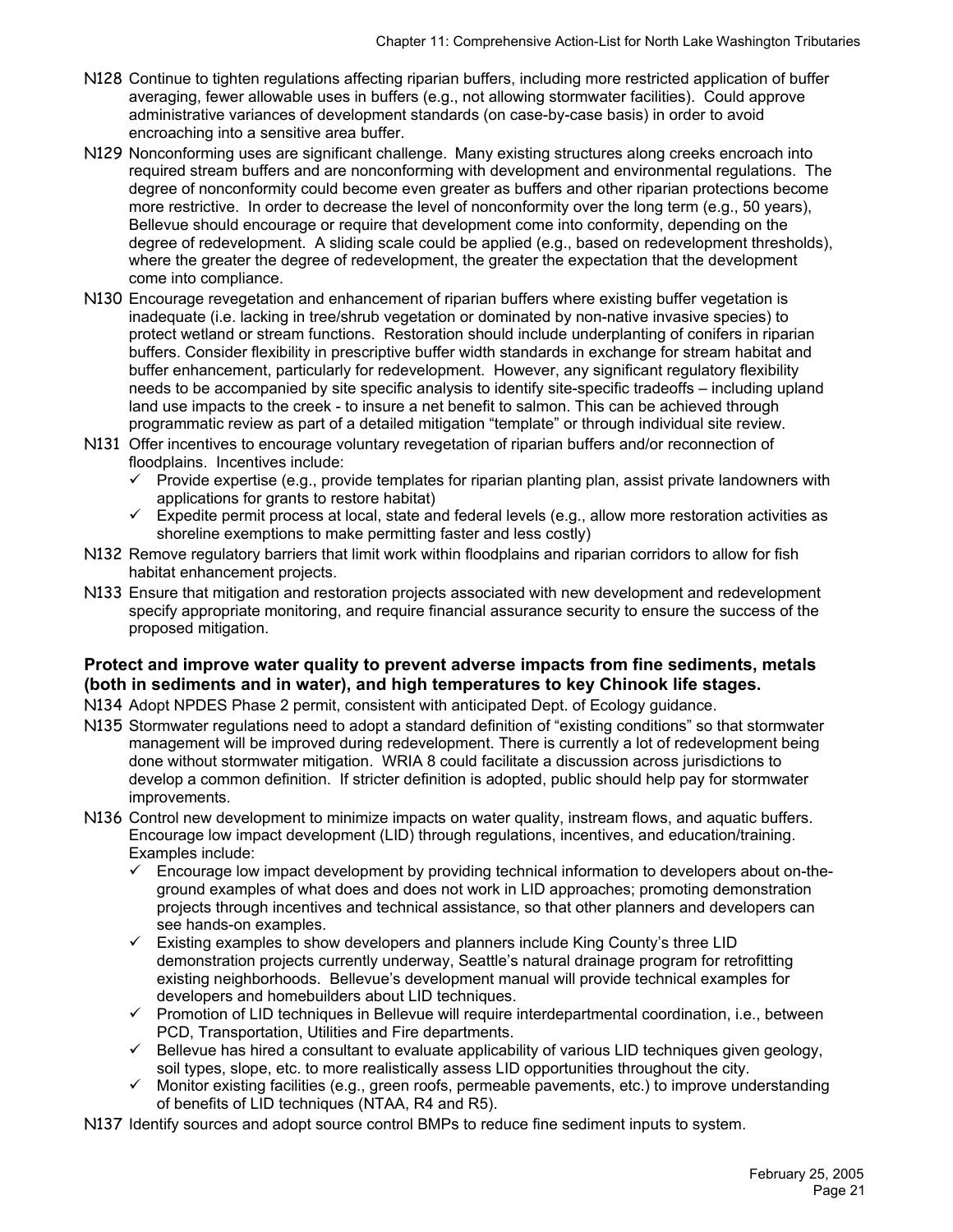- N128 Continue to tighten regulations affecting riparian buffers, including more restricted application of buffer averaging, fewer allowable uses in buffers (e.g., not allowing stormwater facilities). Could approve administrative variances of development standards (on case-by-case basis) in order to avoid encroaching into a sensitive area buffer.
- N129 Nonconforming uses are significant challenge.Many existing structures along creeks encroach into required stream buffers and are nonconforming with development and environmental regulations. The degree of nonconformity could become even greater as buffers and other riparian protections become more restrictive. In order to decrease the level of nonconformity over the long term (e.g., 50 years), Bellevue should encourage or require that development come into conformity, depending on the degree of redevelopment. A sliding scale could be applied (e.g., based on redevelopment thresholds), where the greater the degree of redevelopment, the greater the expectation that the development come into compliance.
- N130 Encourage revegetation and enhancement of riparian buffers where existing buffer vegetation is inadequate (i.e. lacking in tree/shrub vegetation or dominated by non-native invasive species) to protect wetland or stream functions. Restoration should include underplanting of conifers in riparian buffers. Consider flexibility in prescriptive buffer width standards in exchange for stream habitat and buffer enhancement, particularly for redevelopment. However, any significant regulatory flexibility needs to be accompanied by site specific analysis to identify site-specific tradeoffs – including upland land use impacts to the creek - to insure a net benefit to salmon. This can be achieved through programmatic review as part of a detailed mitigation "template" or through individual site review.
- N131 Offer incentives to encourage voluntary revegetation of riparian buffers and/or reconnection of floodplains. Incentives include:
	- $\checkmark$  Provide expertise (e.g., provide templates for riparian planting plan, assist private landowners with applications for grants to restore habitat)
	- $\checkmark$  Expedite permit process at local, state and federal levels (e.g., allow more restoration activities as shoreline exemptions to make permitting faster and less costly)
- N132 Remove regulatory barriers that limit work within floodplains and riparian corridors to allow for fish habitat enhancement projects.
- N133 Ensure that mitigation and restoration projects associated with new development and redevelopment specify appropriate monitoring, and require financial assurance security to ensure the success of the proposed mitigation.

#### **Protect and improve water quality to prevent adverse impacts from fine sediments, metals (both in sediments and in water), and high temperatures to key Chinook life stages.**

- N134 Adopt NPDES Phase 2 permit, consistent with anticipated Dept. of Ecology guidance.
- N135 Stormwater regulations need to adopt a standard definition of "existing conditions" so that stormwater management will be improved during redevelopment. There is currently a lot of redevelopment being done without stormwater mitigation. WRIA 8 could facilitate a discussion across jurisdictions to develop a common definition. If stricter definition is adopted, public should help pay for stormwater improvements.
- N136 Control new development to minimize impacts on water quality, instream flows, and aquatic buffers. Encourage low impact development (LID) through regulations, incentives, and education/training. Examples include:
	- $\checkmark$  Encourage low impact development by providing technical information to developers about on-theground examples of what does and does not work in LID approaches; promoting demonstration projects through incentives and technical assistance, so that other planners and developers can see hands-on examples.
	- $\checkmark$  Existing examples to show developers and planners include King County's three LID demonstration projects currently underway, Seattle's natural drainage program for retrofitting existing neighborhoods. Bellevue's development manual will provide technical examples for developers and homebuilders about LID techniques.
	- $\checkmark$  Promotion of LID techniques in Bellevue will require interdepartmental coordination, i.e., between PCD, Transportation, Utilities and Fire departments.
	- $\checkmark$  Bellevue has hired a consultant to evaluate applicability of various LID techniques given geology, soil types, slope, etc. to more realistically assess LID opportunities throughout the city.
	- $\checkmark$  Monitor existing facilities (e.g., green roofs, permeable pavements, etc.) to improve understanding of benefits of LID techniques (NTAA, R4 and R5).
- N137 Identify sources and adopt source control BMPs to reduce fine sediment inputs to system.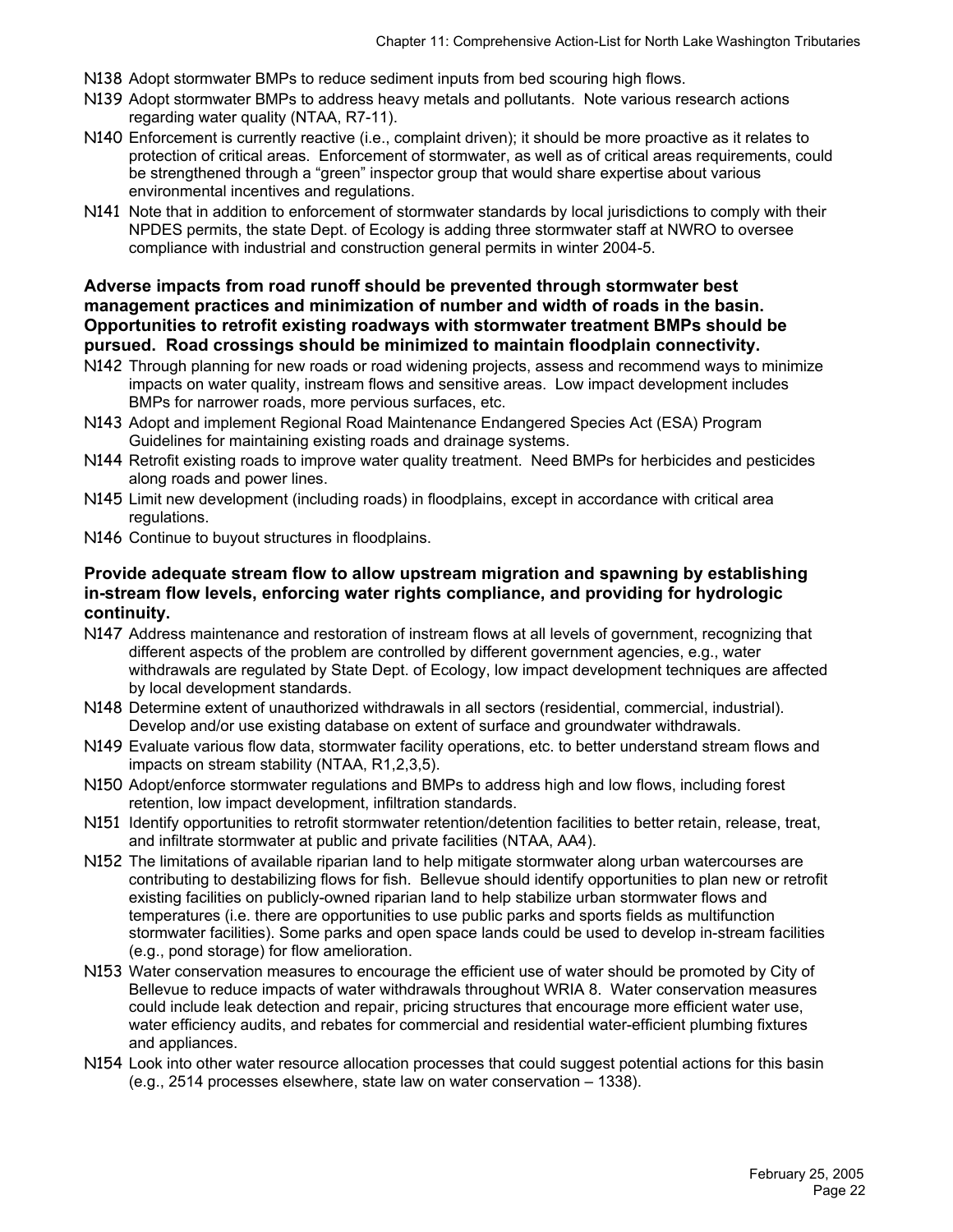- N138 Adopt stormwater BMPs to reduce sediment inputs from bed scouring high flows.
- N139 Adopt stormwater BMPs to address heavy metals and pollutants. Note various research actions regarding water quality (NTAA, R7-11).
- N140 Enforcement is currently reactive (i.e., complaint driven); it should be more proactive as it relates to protection of critical areas. Enforcement of stormwater, as well as of critical areas requirements, could be strengthened through a "green" inspector group that would share expertise about various environmental incentives and regulations.
- N141 Note that in addition to enforcement of stormwater standards by local jurisdictions to comply with their NPDES permits, the state Dept. of Ecology is adding three stormwater staff at NWRO to oversee compliance with industrial and construction general permits in winter 2004-5.

#### **Adverse impacts from road runoff should be prevented through stormwater best management practices and minimization of number and width of roads in the basin. Opportunities to retrofit existing roadways with stormwater treatment BMPs should be pursued. Road crossings should be minimized to maintain floodplain connectivity.**

- N142 Through planning for new roads or road widening projects, assess and recommend ways to minimize impacts on water quality, instream flows and sensitive areas. Low impact development includes BMPs for narrower roads, more pervious surfaces, etc.
- N143 Adopt and implement Regional Road Maintenance Endangered Species Act (ESA) Program Guidelines for maintaining existing roads and drainage systems.
- N144 Retrofit existing roads to improve water quality treatment. Need BMPs for herbicides and pesticides along roads and power lines.
- N145 Limit new development (including roads) in floodplains, except in accordance with critical area regulations.
- N146 Continue to buyout structures in floodplains.

#### **Provide adequate stream flow to allow upstream migration and spawning by establishing in-stream flow levels, enforcing water rights compliance, and providing for hydrologic continuity.**

- N147 Address maintenance and restoration of instream flows at all levels of government, recognizing that different aspects of the problem are controlled by different government agencies, e.g., water withdrawals are regulated by State Dept. of Ecology, low impact development techniques are affected by local development standards.
- N148 Determine extent of unauthorized withdrawals in all sectors (residential, commercial, industrial). Develop and/or use existing database on extent of surface and groundwater withdrawals.
- N149 Evaluate various flow data, stormwater facility operations, etc. to better understand stream flows and impacts on stream stability (NTAA, R1,2,3,5).
- N150 Adopt/enforce stormwater regulations and BMPs to address high and low flows, including forest retention, low impact development, infiltration standards.
- N151 Identify opportunities to retrofit stormwater retention/detention facilities to better retain, release, treat, and infiltrate stormwater at public and private facilities (NTAA, AA4).
- N152 The limitations of available riparian land to help mitigate stormwater along urban watercourses are contributing to destabilizing flows for fish. Bellevue should identify opportunities to plan new or retrofit existing facilities on publicly-owned riparian land to help stabilize urban stormwater flows and temperatures (i.e. there are opportunities to use public parks and sports fields as multifunction stormwater facilities). Some parks and open space lands could be used to develop in-stream facilities (e.g., pond storage) for flow amelioration.
- N153 Water conservation measures to encourage the efficient use of water should be promoted by City of Bellevue to reduce impacts of water withdrawals throughout WRIA 8. Water conservation measures could include leak detection and repair, pricing structures that encourage more efficient water use, water efficiency audits, and rebates for commercial and residential water-efficient plumbing fixtures and appliances.
- N154 Look into other water resource allocation processes that could suggest potential actions for this basin (e.g., 2514 processes elsewhere, state law on water conservation – 1338).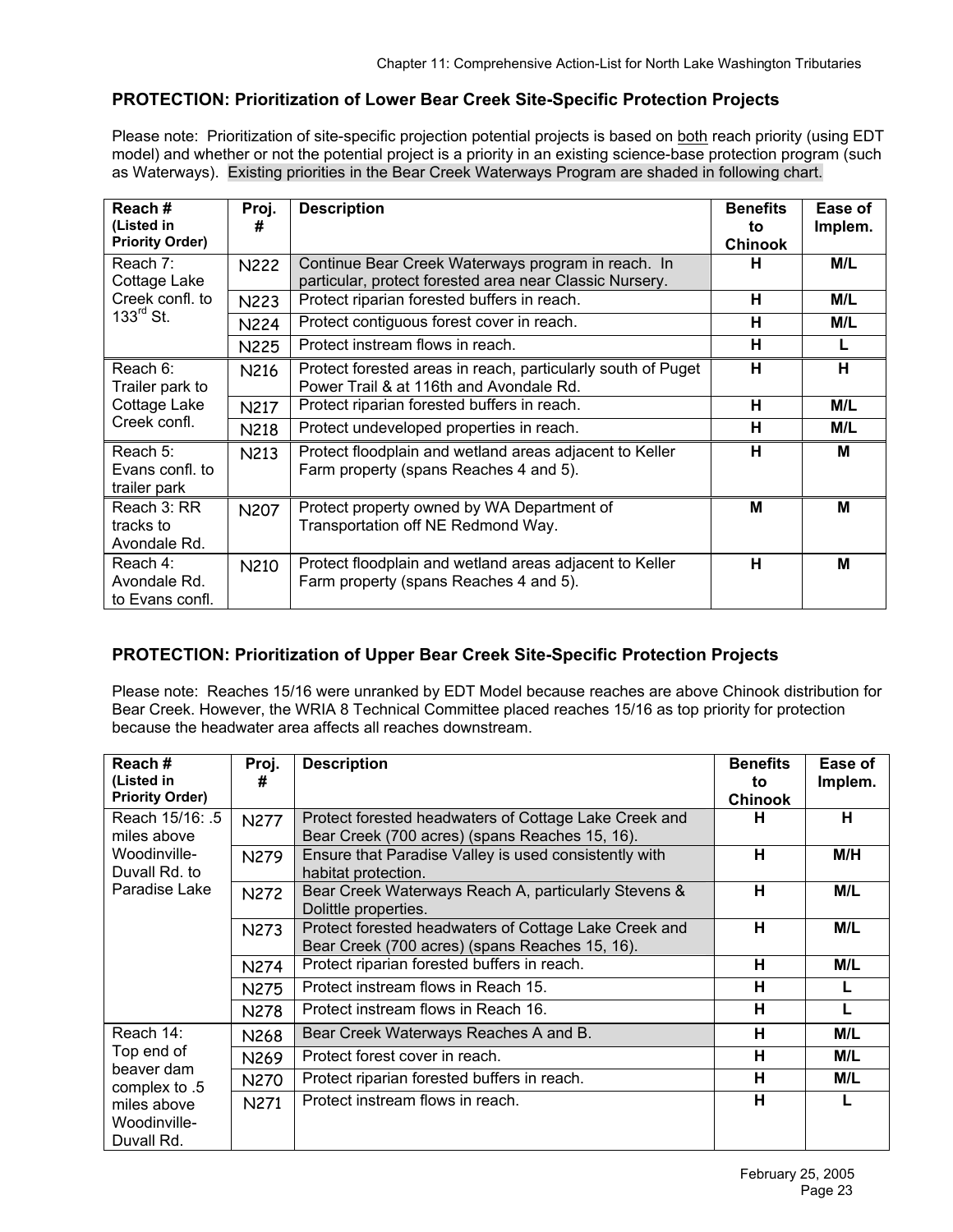## **PROTECTION: Prioritization of Lower Bear Creek Site-Specific Protection Projects**

Please note: Prioritization of site-specific projection potential projects is based on both reach priority (using EDT model) and whether or not the potential project is a priority in an existing science-base protection program (such as Waterways). Existing priorities in the Bear Creek Waterways Program are shaded in following chart.

| Reach#<br>(Listed in<br><b>Priority Order)</b> | Proj.<br># | <b>Description</b>                                                                                            | <b>Benefits</b><br>to<br><b>Chinook</b> | Ease of<br>Implem. |
|------------------------------------------------|------------|---------------------------------------------------------------------------------------------------------------|-----------------------------------------|--------------------|
| Reach 7:<br>Cottage Lake                       | N222       | Continue Bear Creek Waterways program in reach. In<br>particular, protect forested area near Classic Nursery. | н                                       | M/L                |
| Creek confl. to                                | N223       | Protect riparian forested buffers in reach.                                                                   | н                                       | M/L                |
| $133^{\text{rd}}$ St.                          | N224       | Protect contiguous forest cover in reach.                                                                     | н                                       | M/L                |
|                                                | N225       | Protect instream flows in reach.                                                                              | н                                       |                    |
| Reach 6:<br>Trailer park to                    | N216       | Protect forested areas in reach, particularly south of Puget<br>Power Trail & at 116th and Avondale Rd.       | н                                       | н                  |
| Cottage Lake                                   | N217       | Protect riparian forested buffers in reach.                                                                   | н                                       | M/L                |
| Creek confl.                                   | N218       | Protect undeveloped properties in reach.                                                                      | н                                       | M/L                |
| Reach 5:<br>Evans confl. to<br>trailer park    | N213       | Protect floodplain and wetland areas adjacent to Keller<br>Farm property (spans Reaches 4 and 5).             | н                                       | м                  |
| Reach 3: RR<br>tracks to<br>Avondale Rd.       | N207       | Protect property owned by WA Department of<br>Transportation off NE Redmond Way.                              | м                                       | M                  |
| Reach 4:<br>Avondale Rd.<br>to Evans confl.    | N210       | Protect floodplain and wetland areas adjacent to Keller<br>Farm property (spans Reaches 4 and 5).             | н                                       | M                  |

## **PROTECTION: Prioritization of Upper Bear Creek Site-Specific Protection Projects**

Please note: Reaches 15/16 were unranked by EDT Model because reaches are above Chinook distribution for Bear Creek. However, the WRIA 8 Technical Committee placed reaches 15/16 as top priority for protection because the headwater area affects all reaches downstream.

| Reach#<br>(Listed in<br><b>Priority Order)</b>                           | Proj.<br>#       | <b>Description</b>                                                                                      | <b>Benefits</b><br>to<br><b>Chinook</b> | Ease of<br>Implem. |
|--------------------------------------------------------------------------|------------------|---------------------------------------------------------------------------------------------------------|-----------------------------------------|--------------------|
| Reach 15/16: .5<br>miles above                                           | <b>N277</b>      | Protect forested headwaters of Cottage Lake Creek and<br>Bear Creek (700 acres) (spans Reaches 15, 16). | н                                       | н                  |
| Woodinville-<br>Duvall Rd. to                                            | <b>N279</b>      | Ensure that Paradise Valley is used consistently with<br>habitat protection.                            | н                                       | M/H                |
| Paradise Lake                                                            | <b>N272</b>      | Bear Creek Waterways Reach A, particularly Stevens &<br>Dolittle properties.                            | н                                       | M/L                |
|                                                                          | N273             | Protect forested headwaters of Cottage Lake Creek and<br>Bear Creek (700 acres) (spans Reaches 15, 16). | н                                       | M/L                |
|                                                                          | N274             | Protect riparian forested buffers in reach.                                                             | н                                       | M/L                |
|                                                                          | N275             | Protect instream flows in Reach 15.                                                                     | н                                       | L                  |
|                                                                          | N278             | Protect instream flows in Reach 16.                                                                     | н                                       |                    |
| Reach 14:                                                                | N268             | Bear Creek Waterways Reaches A and B.                                                                   | н                                       | M/L                |
| Top end of                                                               | N <sub>269</sub> | Protect forest cover in reach.                                                                          | н                                       | M/L                |
| beaver dam<br>complex to .5<br>miles above<br>Woodinville-<br>Duvall Rd. | <b>N270</b>      | Protect riparian forested buffers in reach.                                                             | н                                       | M/L                |
|                                                                          | N271             | Protect instream flows in reach.                                                                        | н                                       |                    |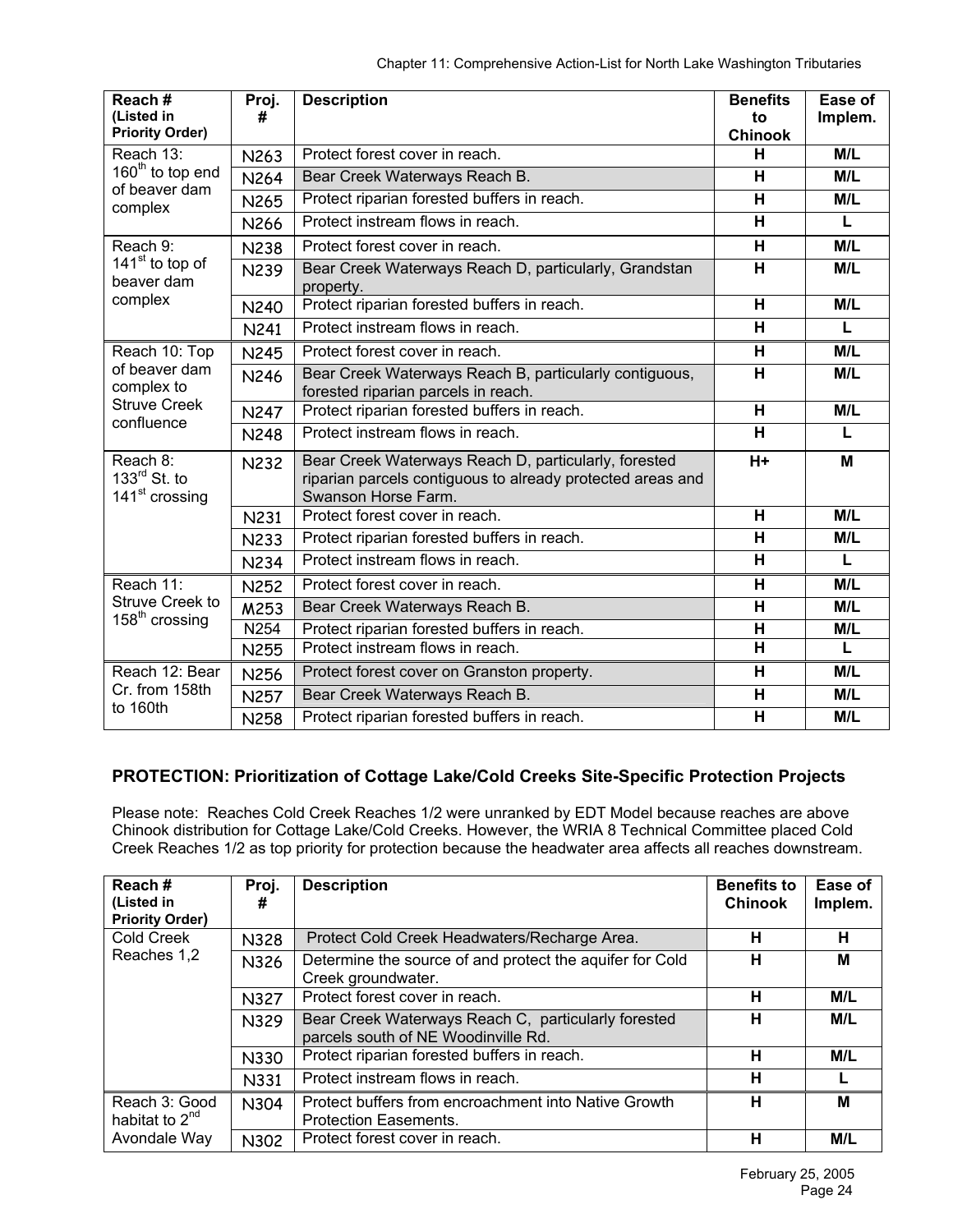| Reach#<br>(Listed in<br><b>Priority Order)</b>         | Proj.<br>#  | <b>Description</b>                                                                                                                        | <b>Benefits</b><br>to<br><b>Chinook</b> | Ease of<br>Implem. |
|--------------------------------------------------------|-------------|-------------------------------------------------------------------------------------------------------------------------------------------|-----------------------------------------|--------------------|
| Reach 13:                                              | N263        | Protect forest cover in reach.                                                                                                            | н                                       | M/L                |
| 160 <sup>th</sup> to top end                           | N264        | Bear Creek Waterways Reach B.                                                                                                             | H                                       | M/L                |
| of beaver dam<br>complex                               | N265        | Protect riparian forested buffers in reach.                                                                                               | н                                       | M/L                |
|                                                        | N266        | Protect instream flows in reach.                                                                                                          | H                                       | $\mathbf{L}$       |
| Reach 9:                                               | <b>N238</b> | Protect forest cover in reach.                                                                                                            | H                                       | M/L                |
| 141 <sup>st</sup> to top of<br>beaver dam              | <b>N239</b> | Bear Creek Waterways Reach D, particularly, Grandstan<br>property.                                                                        | H                                       | M/L                |
| complex                                                | <b>N240</b> | Protect riparian forested buffers in reach.                                                                                               | $\overline{\mathsf{H}}$                 | M/L                |
|                                                        | N241        | Protect instream flows in reach.                                                                                                          | H                                       | L                  |
| Reach 10: Top                                          | <b>N245</b> | Protect forest cover in reach.                                                                                                            | н                                       | M/L                |
| of beaver dam<br>complex to                            | <b>N246</b> | Bear Creek Waterways Reach B, particularly contiguous,<br>forested riparian parcels in reach.                                             | H                                       | M/L                |
| <b>Struve Creek</b><br>confluence                      | <b>N247</b> | Protect riparian forested buffers in reach.                                                                                               | $\overline{\mathsf{H}}$                 | M/L                |
|                                                        | <b>N248</b> | Protect instream flows in reach.                                                                                                          | н                                       | L                  |
| Reach 8:<br>133rd St. to<br>141 <sup>st</sup> crossing | <b>N232</b> | Bear Creek Waterways Reach D, particularly, forested<br>riparian parcels contiguous to already protected areas and<br>Swanson Horse Farm. | $H+$                                    | M                  |
|                                                        | <b>N231</b> | Protect forest cover in reach.                                                                                                            | н                                       | M/L                |
|                                                        | <b>N233</b> | Protect riparian forested buffers in reach.                                                                                               | H                                       | M/L                |
|                                                        | <b>N234</b> | Protect instream flows in reach.                                                                                                          | H                                       | $\mathbf{L}$       |
| Reach 11:                                              | N252        | Protect forest cover in reach.                                                                                                            | н                                       | M/L                |
| <b>Struve Creek to</b><br>$158th$ crossing             | M253        | Bear Creek Waterways Reach B.                                                                                                             | H                                       | M/L                |
|                                                        | N254        | Protect riparian forested buffers in reach.                                                                                               | H                                       | M/L                |
|                                                        | N255        | Protect instream flows in reach.                                                                                                          | $\overline{\mathsf{H}}$                 | L                  |
| Reach 12: Bear                                         | N256        | Protect forest cover on Granston property.                                                                                                | н                                       | M/L                |
| Cr. from 158th                                         | N257        | Bear Creek Waterways Reach B.                                                                                                             | H                                       | M/L                |
| to 160th                                               | <b>N258</b> | Protect riparian forested buffers in reach.                                                                                               | H                                       | M/L                |

## **PROTECTION: Prioritization of Cottage Lake/Cold Creeks Site-Specific Protection Projects**

Please note: Reaches Cold Creek Reaches 1/2 were unranked by EDT Model because reaches are above Chinook distribution for Cottage Lake/Cold Creeks. However, the WRIA 8 Technical Committee placed Cold Creek Reaches 1/2 as top priority for protection because the headwater area affects all reaches downstream.

| Reach#<br>(Listed in<br><b>Priority Order)</b> | Proj.<br># | <b>Description</b>                                                                         | <b>Benefits to</b><br>Chinook | Ease of<br>Implem. |
|------------------------------------------------|------------|--------------------------------------------------------------------------------------------|-------------------------------|--------------------|
| Cold Creek                                     | N328       | Protect Cold Creek Headwaters/Recharge Area.                                               | н                             | н                  |
| Reaches 1,2                                    | N326       | Determine the source of and protect the aquifer for Cold<br>Creek groundwater.             | н                             | M                  |
|                                                | N327       | Protect forest cover in reach.                                                             | н                             | M/L                |
|                                                | N329       | Bear Creek Waterways Reach C, particularly forested<br>parcels south of NE Woodinville Rd. | н                             | M/L                |
|                                                | N330       | Protect riparian forested buffers in reach.                                                | н                             | M/L                |
|                                                | N331       | Protect instream flows in reach.                                                           | н                             |                    |
| Reach 3: Good<br>habitat to $2^{nd}$           | N304       | Protect buffers from encroachment into Native Growth<br><b>Protection Easements.</b>       | н                             | М                  |
| Avondale Way                                   | N302       | Protect forest cover in reach.                                                             | н                             | M/L                |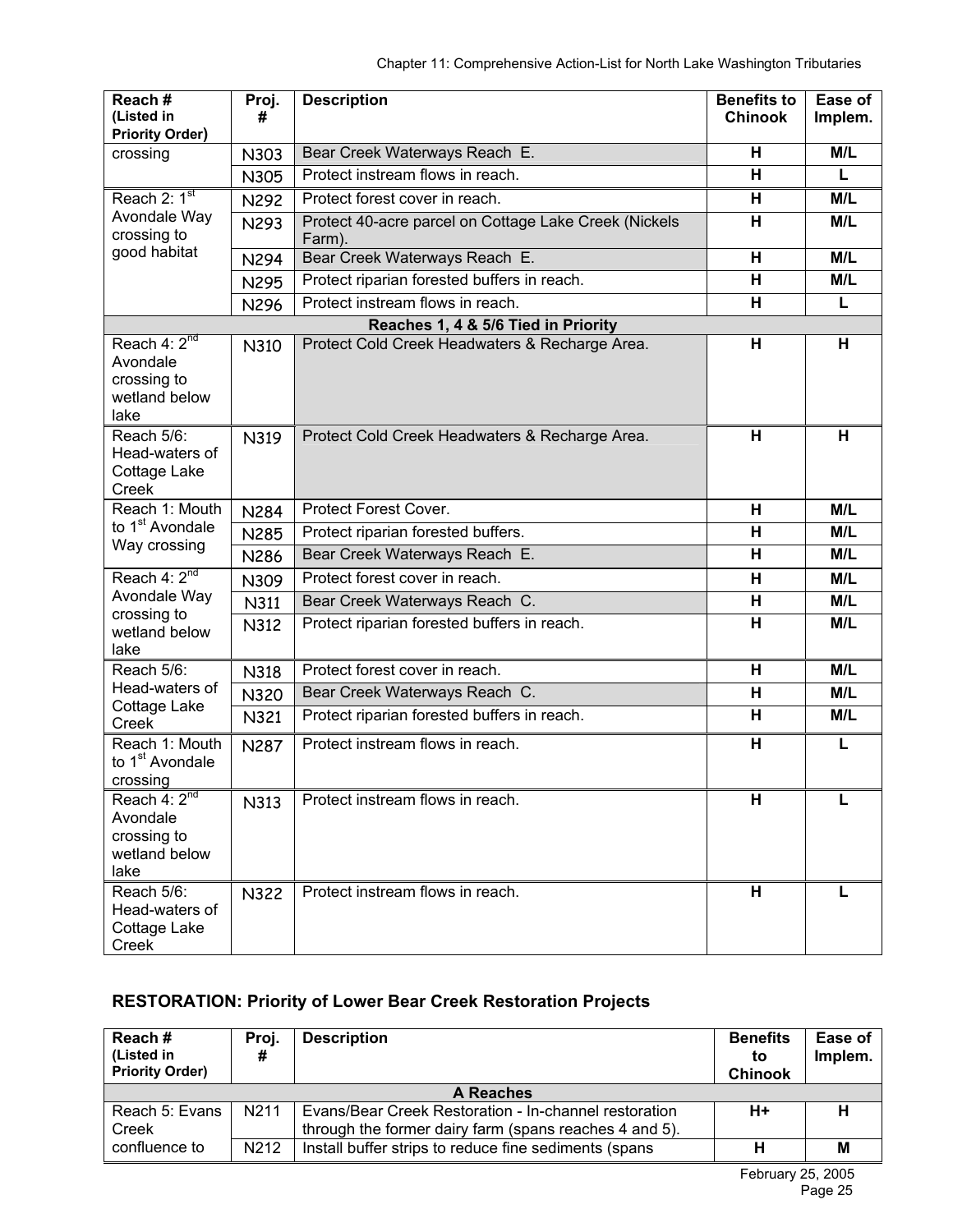| Reach#<br>(Listed in                                                 | Proj.<br>#  | <b>Description</b>                                              | <b>Benefits to</b><br><b>Chinook</b> | Ease of<br>Implem. |
|----------------------------------------------------------------------|-------------|-----------------------------------------------------------------|--------------------------------------|--------------------|
| <b>Priority Order)</b><br>crossing                                   | N303        | Bear Creek Waterways Reach E.                                   | H                                    | M/L                |
|                                                                      | <b>N305</b> | Protect instream flows in reach.                                | H                                    | L                  |
| Reach 2: 1st                                                         | N292        | Protect forest cover in reach.                                  | H                                    | M/L                |
| Avondale Way<br>crossing to                                          | N293        | Protect 40-acre parcel on Cottage Lake Creek (Nickels<br>Farm). | H                                    | M/L                |
| good habitat                                                         | N294        | Bear Creek Waterways Reach E.                                   | H                                    | M/L                |
|                                                                      | N295        | Protect riparian forested buffers in reach.                     | H                                    | M/L                |
|                                                                      | N296        | Protect instream flows in reach.                                | н                                    | L                  |
|                                                                      |             | Reaches 1, 4 & 5/6 Tied in Priority                             |                                      |                    |
| Reach $4:2^{nd}$<br>Avondale<br>crossing to<br>wetland below<br>lake | N310        | Protect Cold Creek Headwaters & Recharge Area.                  | H                                    | H                  |
| Reach 5/6:<br>Head-waters of<br>Cottage Lake<br>Creek                | N319        | Protect Cold Creek Headwaters & Recharge Area.                  | H                                    | H                  |
| Reach 1: Mouth                                                       | <b>N284</b> | Protect Forest Cover.                                           | H                                    | M/L                |
| to 1 <sup>st</sup> Avondale<br>Way crossing                          | N285        | Protect riparian forested buffers.                              | H                                    | M/L                |
|                                                                      | N286        | Bear Creek Waterways Reach E.                                   | H                                    | M/L                |
| Reach 4: 2 <sup>nd</sup>                                             | N309        | Protect forest cover in reach.                                  | H                                    | M/L                |
| Avondale Way<br>crossing to                                          | N311        | Bear Creek Waterways Reach C.                                   | H                                    | M/L                |
| wetland below<br>lake                                                | N312        | Protect riparian forested buffers in reach.                     | H                                    | M/L                |
| Reach 5/6:                                                           | N318        | Protect forest cover in reach.                                  | н                                    | M/L                |
| Head-waters of                                                       | N320        | Bear Creek Waterways Reach C.                                   | H                                    | M/L                |
| Cottage Lake<br>Creek                                                | N321        | Protect riparian forested buffers in reach.                     | H                                    | M/L                |
| Reach 1: Mouth<br>to 1 <sup>st</sup> Avondale<br>crossing            | <b>N287</b> | Protect instream flows in reach.                                | H                                    |                    |
| Reach $4:2^{nd}$<br>Avondale<br>crossing to<br>wetland below<br>lake | N313        | Protect instream flows in reach.                                | H                                    |                    |
| Reach 5/6:<br>Head-waters of<br>Cottage Lake<br>Creek                | <b>N322</b> | Protect instream flows in reach.                                | H                                    |                    |

# **RESTORATION: Priority of Lower Bear Creek Restoration Projects**

| Reach#                 | Proj.             | <b>Description</b>                                     | <b>Benefits</b> | Ease of |
|------------------------|-------------------|--------------------------------------------------------|-----------------|---------|
| (Listed in             |                   |                                                        | to              | Implem. |
| <b>Priority Order)</b> |                   |                                                        | <b>Chinook</b>  |         |
|                        | A Reaches         |                                                        |                 |         |
| Reach 5: Evans         | N <sub>2</sub> 11 | Evans/Bear Creek Restoration - In-channel restoration  | $H+$            | н       |
| Creek                  |                   | through the former dairy farm (spans reaches 4 and 5). |                 |         |
| confluence to          | N <sub>2</sub> 12 | Install buffer strips to reduce fine sediments (spans) |                 | M       |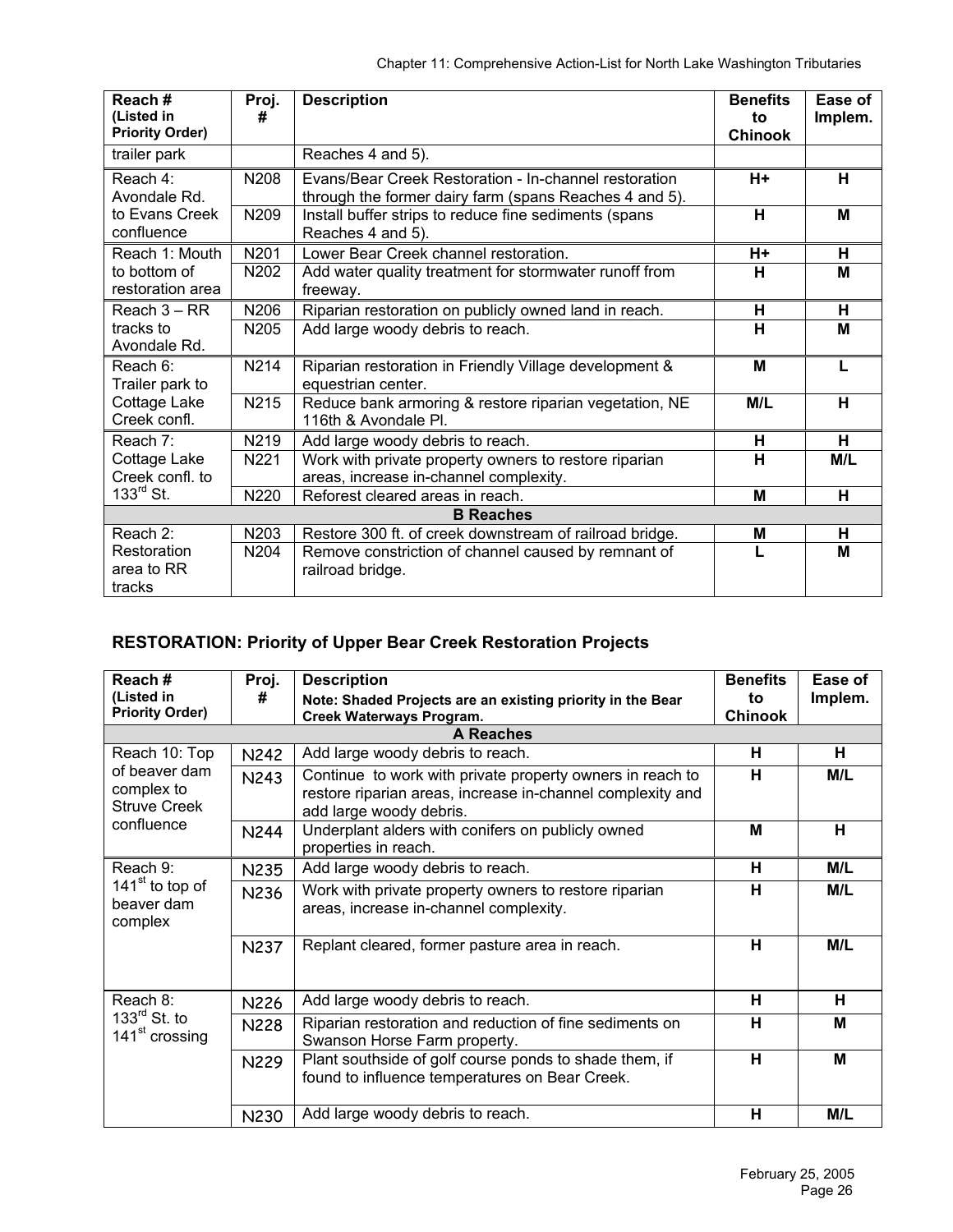| Reach#<br>(Listed in   | Proj.<br># | <b>Description</b>                                      | <b>Benefits</b><br>to | Ease of<br>Implem. |
|------------------------|------------|---------------------------------------------------------|-----------------------|--------------------|
| <b>Priority Order)</b> |            |                                                         | <b>Chinook</b>        |                    |
| trailer park           |            | Reaches 4 and 5).                                       |                       |                    |
| Reach 4:               | N208       | Evans/Bear Creek Restoration - In-channel restoration   | $H+$                  | н                  |
| Avondale Rd.           |            | through the former dairy farm (spans Reaches 4 and 5).  |                       |                    |
| to Evans Creek         | N209       | Install buffer strips to reduce fine sediments (spans   | н                     | M                  |
| confluence             |            | Reaches 4 and 5).                                       |                       |                    |
| Reach 1: Mouth         | N201       | Lower Bear Creek channel restoration.                   | H+                    | н                  |
| to bottom of           | N202       | Add water quality treatment for stormwater runoff from  | н                     | М                  |
| restoration area       |            | freeway.                                                |                       |                    |
| Reach $3 - RR$         | N206       | Riparian restoration on publicly owned land in reach.   | н                     | н                  |
| tracks to              | N205       | Add large woody debris to reach.                        | н                     | м                  |
| Avondale Rd.           |            |                                                         |                       |                    |
| Reach 6:               | N214       | Riparian restoration in Friendly Village development &  | M                     | $\mathbf{I}$       |
| Trailer park to        |            | equestrian center.                                      |                       |                    |
| Cottage Lake           | N215       | Reduce bank armoring & restore riparian vegetation, NE  | M/L                   | н                  |
| Creek confl.           |            | 116th & Avondale Pl.                                    |                       |                    |
| Reach 7:               | N219       | Add large woody debris to reach.                        | н                     | H                  |
| Cottage Lake           | N221       | Work with private property owners to restore riparian   | н                     | M/L                |
| Creek confl. to        |            | areas, increase in-channel complexity.                  |                       |                    |
| $133^{\text{rd}}$ St.  | N220       | Reforest cleared areas in reach.                        | M                     | н                  |
|                        |            | <b>B</b> Reaches                                        |                       |                    |
| Reach 2:               | N203       | Restore 300 ft. of creek downstream of railroad bridge. | M                     | н                  |
| Restoration            | N204       | Remove constriction of channel caused by remnant of     |                       | M                  |
| area to RR             |            | railroad bridge.                                        |                       |                    |
| tracks                 |            |                                                         |                       |                    |

# **RESTORATION: Priority of Upper Bear Creek Restoration Projects**

| Reach#<br>(Listed in<br><b>Priority Order)</b>                   | Proj.<br>#  | <b>Description</b><br>Note: Shaded Projects are an existing priority in the Bear<br>Creek Waterways Program.                                       | <b>Benefits</b><br>to<br><b>Chinook</b> | Ease of<br>Implem. |
|------------------------------------------------------------------|-------------|----------------------------------------------------------------------------------------------------------------------------------------------------|-----------------------------------------|--------------------|
|                                                                  |             | <b>A Reaches</b>                                                                                                                                   |                                         |                    |
| Reach 10: Top                                                    | <b>N242</b> | Add large woody debris to reach.                                                                                                                   | н                                       | н                  |
| of beaver dam<br>complex to<br><b>Struve Creek</b><br>confluence | N243        | Continue to work with private property owners in reach to<br>restore riparian areas, increase in-channel complexity and<br>add large woody debris. | н                                       | M/L                |
|                                                                  | <b>N244</b> | Underplant alders with conifers on publicly owned<br>properties in reach.                                                                          | M                                       | н                  |
| Reach 9:<br>$141st$ to top of<br>beaver dam<br>complex           | N235        | Add large woody debris to reach.                                                                                                                   | н                                       | M/L                |
|                                                                  | N236        | Work with private property owners to restore riparian<br>areas, increase in-channel complexity.                                                    | н                                       | M/L                |
|                                                                  | <b>N237</b> | Replant cleared, former pasture area in reach.                                                                                                     | н                                       | M/L                |
| Reach 8:                                                         | <b>N226</b> | Add large woody debris to reach.                                                                                                                   | н                                       | н                  |
| $133^{\text{rd}}$ St. to<br>141 <sup>st</sup> crossing           | <b>N228</b> | Riparian restoration and reduction of fine sediments on<br>Swanson Horse Farm property.                                                            | H                                       | М                  |
|                                                                  | N229        | Plant southside of golf course ponds to shade them, if<br>found to influence temperatures on Bear Creek.                                           | н                                       | м                  |
|                                                                  | N230        | Add large woody debris to reach.                                                                                                                   | н                                       | M/L                |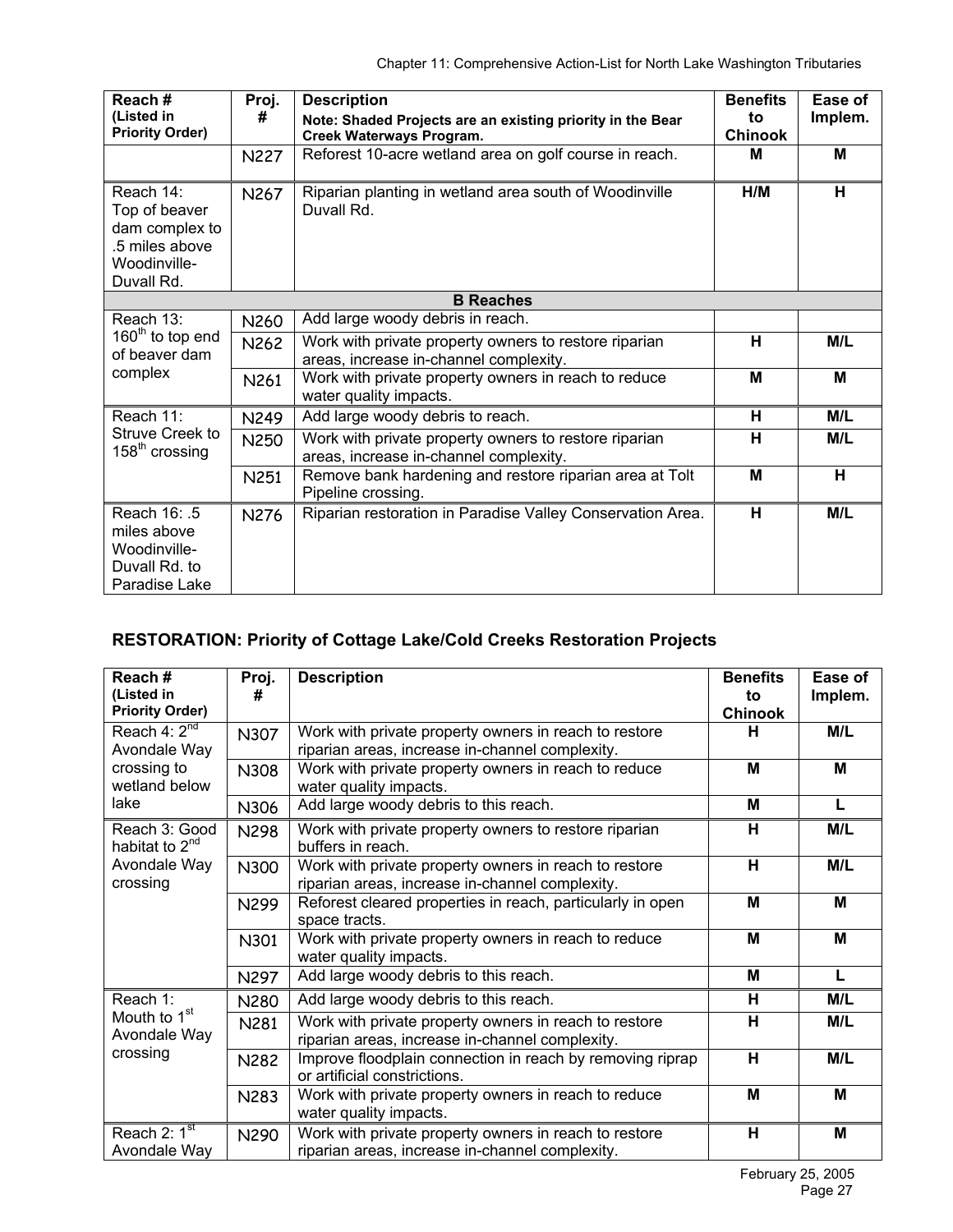| Reach#<br>(Listed in<br><b>Priority Order)</b>                                               | Proj.<br>#<br>N227 | <b>Description</b><br>Note: Shaded Projects are an existing priority in the Bear<br>Creek Waterways Program.<br>Reforest 10-acre wetland area on golf course in reach. | <b>Benefits</b><br>to<br><b>Chinook</b><br>M | Ease of<br>Implem.<br>M |
|----------------------------------------------------------------------------------------------|--------------------|------------------------------------------------------------------------------------------------------------------------------------------------------------------------|----------------------------------------------|-------------------------|
| Reach 14:<br>Top of beaver<br>dam complex to<br>.5 miles above<br>Woodinville-<br>Duvall Rd. | N267               | Riparian planting in wetland area south of Woodinville<br>Duvall Rd.                                                                                                   | H/M                                          | H                       |
|                                                                                              |                    | <b>B</b> Reaches                                                                                                                                                       |                                              |                         |
| Reach 13:                                                                                    | N260               | Add large woody debris in reach.                                                                                                                                       |                                              |                         |
| 160 <sup>th</sup> to top end<br>of beaver dam<br>complex                                     | N262               | Work with private property owners to restore riparian<br>areas, increase in-channel complexity.                                                                        | н                                            | M/L                     |
|                                                                                              | N261               | Work with private property owners in reach to reduce<br>water quality impacts.                                                                                         | M                                            | M                       |
| Reach 11:                                                                                    | <b>N249</b>        | Add large woody debris to reach.                                                                                                                                       | н                                            | M/L                     |
| Struve Creek to<br>158 <sup>th</sup> crossing                                                | N250               | Work with private property owners to restore riparian<br>areas, increase in-channel complexity.                                                                        | н                                            | M/L                     |
|                                                                                              | N251               | Remove bank hardening and restore riparian area at Tolt<br>Pipeline crossing.                                                                                          | M                                            | H                       |
| Reach 16: .5<br>miles above<br>Woodinville-<br>Duvall Rd. to<br>Paradise Lake                | <b>N276</b>        | Riparian restoration in Paradise Valley Conservation Area.                                                                                                             | H                                            | M/L                     |

# **RESTORATION: Priority of Cottage Lake/Cold Creeks Restoration Projects**

| Reach#<br>(Listed in<br><b>Priority Order)</b>       | Proj.<br>#  | <b>Description</b>                                                                                       | <b>Benefits</b><br>to<br><b>Chinook</b> | Ease of<br>Implem. |
|------------------------------------------------------|-------------|----------------------------------------------------------------------------------------------------------|-----------------------------------------|--------------------|
| Reach $4:2^{nd}$<br>Avondale Way                     | N307        | Work with private property owners in reach to restore<br>riparian areas, increase in-channel complexity. | н                                       | M/L                |
| crossing to<br>wetland below                         | <b>N308</b> | Work with private property owners in reach to reduce<br>water quality impacts.                           | M                                       | м                  |
| lake                                                 | N306        | Add large woody debris to this reach.                                                                    | M                                       | L                  |
| Reach 3: Good<br>habitat to 2 <sup>nd</sup>          | <b>N298</b> | Work with private property owners to restore riparian<br>buffers in reach.                               | н                                       | M/L                |
| Avondale Way<br>crossing                             | N300        | Work with private property owners in reach to restore<br>riparian areas, increase in-channel complexity. | H                                       | M/L                |
|                                                      | N299        | Reforest cleared properties in reach, particularly in open<br>space tracts.                              | M                                       | M                  |
|                                                      | N301        | Work with private property owners in reach to reduce<br>water quality impacts.                           | M                                       | M                  |
|                                                      | N297        | Add large woody debris to this reach.                                                                    | M                                       | L                  |
| Reach 1:                                             | N280        | Add large woody debris to this reach.                                                                    | н                                       | M/L                |
| Mouth to 1 <sup>st</sup><br>Avondale Way<br>crossing | N281        | Work with private property owners in reach to restore<br>riparian areas, increase in-channel complexity. | н                                       | M/L                |
|                                                      | N282        | Improve floodplain connection in reach by removing riprap<br>or artificial constrictions.                | Н                                       | M/L                |
|                                                      | N283        | Work with private property owners in reach to reduce<br>water quality impacts.                           | M                                       | M                  |
| Reach 2: $1st$<br>Avondale Way                       | N290        | Work with private property owners in reach to restore<br>riparian areas, increase in-channel complexity. | н                                       | M                  |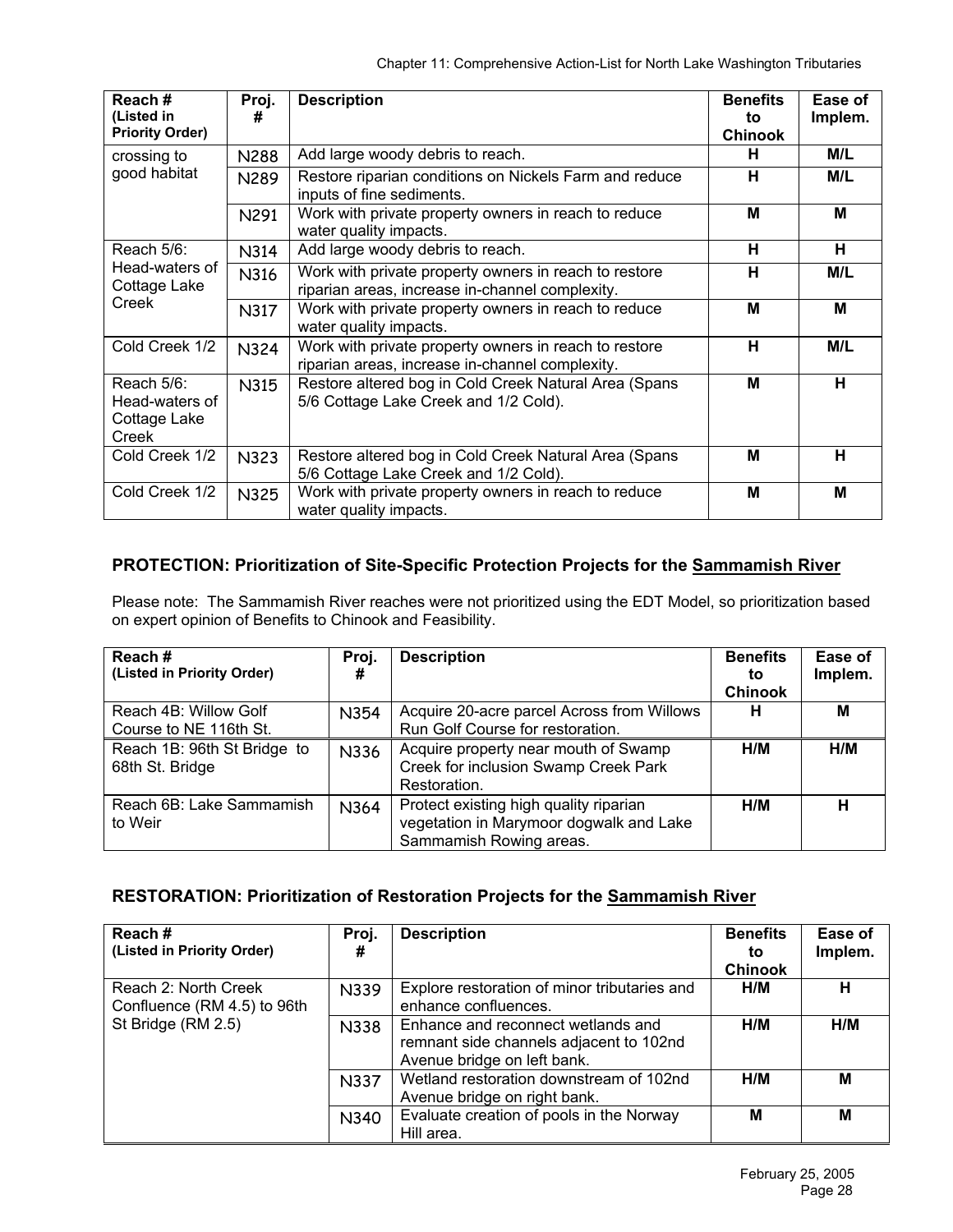| Reach#<br>(Listed in<br><b>Priority Order)</b>        | Proj.<br>#  | <b>Description</b>                                                                                       | <b>Benefits</b><br>to<br><b>Chinook</b> | Ease of<br>Implem. |
|-------------------------------------------------------|-------------|----------------------------------------------------------------------------------------------------------|-----------------------------------------|--------------------|
| crossing to                                           | <b>N288</b> | Add large woody debris to reach.                                                                         | н                                       | M/L                |
| good habitat                                          | N289        | Restore riparian conditions on Nickels Farm and reduce<br>inputs of fine sediments.                      | н                                       | M/L                |
|                                                       | N291        | Work with private property owners in reach to reduce<br>water quality impacts.                           | M                                       | M                  |
| Reach $5/6$ :                                         | N314        | Add large woody debris to reach.                                                                         | н                                       | н                  |
| Head-waters of<br>Cottage Lake<br>Creek               | N316        | Work with private property owners in reach to restore<br>riparian areas, increase in-channel complexity. | н                                       | M/L                |
|                                                       | N317        | Work with private property owners in reach to reduce<br>water quality impacts.                           | М                                       | M                  |
| Cold Creek 1/2                                        | <b>N324</b> | Work with private property owners in reach to restore<br>riparian areas, increase in-channel complexity. | н                                       | M/L                |
| Reach 5/6:<br>Head-waters of<br>Cottage Lake<br>Creek | N315        | Restore altered bog in Cold Creek Natural Area (Spans<br>5/6 Cottage Lake Creek and 1/2 Cold).           | M                                       | н                  |
| Cold Creek 1/2                                        | <b>N323</b> | Restore altered bog in Cold Creek Natural Area (Spans<br>5/6 Cottage Lake Creek and 1/2 Cold).           | М                                       | н                  |
| Cold Creek 1/2                                        | <b>N325</b> | Work with private property owners in reach to reduce<br>water quality impacts.                           | M                                       | M                  |

## **PROTECTION: Prioritization of Site-Specific Protection Projects for the Sammamish River**

Please note: The Sammamish River reaches were not prioritized using the EDT Model, so prioritization based on expert opinion of Benefits to Chinook and Feasibility.

| Reach#<br>(Listed in Priority Order)            | Proj.<br># | <b>Description</b>                                                                                           | <b>Benefits</b><br>to<br><b>Chinook</b> | Ease of<br>Implem. |
|-------------------------------------------------|------------|--------------------------------------------------------------------------------------------------------------|-----------------------------------------|--------------------|
| Reach 4B: Willow Golf<br>Course to NE 116th St. | N354       | Acquire 20-acre parcel Across from Willows<br>Run Golf Course for restoration.                               | н                                       | м                  |
| Reach 1B: 96th St Bridge to<br>68th St. Bridge  | N336       | Acquire property near mouth of Swamp<br>Creek for inclusion Swamp Creek Park<br>Restoration.                 | H/M                                     | H/M                |
| Reach 6B: Lake Sammamish<br>to Weir             | N364       | Protect existing high quality riparian<br>vegetation in Marymoor dogwalk and Lake<br>Sammamish Rowing areas. | H/M                                     | н                  |

## **RESTORATION: Prioritization of Restoration Projects for the Sammamish River**

| Reach#<br>(Listed in Priority Order)                | Proj.<br># | <b>Description</b>                                                                                           | <b>Benefits</b><br>to<br><b>Chinook</b> | Ease of<br>Implem. |
|-----------------------------------------------------|------------|--------------------------------------------------------------------------------------------------------------|-----------------------------------------|--------------------|
| Reach 2: North Creek<br>Confluence (RM 4.5) to 96th | N339       | Explore restoration of minor tributaries and<br>enhance confluences.                                         | H/M                                     | н                  |
| St Bridge (RM 2.5)                                  | N338       | Enhance and reconnect wetlands and<br>remnant side channels adjacent to 102nd<br>Avenue bridge on left bank. | H/M                                     | H/M                |
|                                                     | N337       | Wetland restoration downstream of 102nd<br>Avenue bridge on right bank.                                      | H/M                                     | M                  |
|                                                     | N340       | Evaluate creation of pools in the Norway<br>Hill area.                                                       | М                                       | M                  |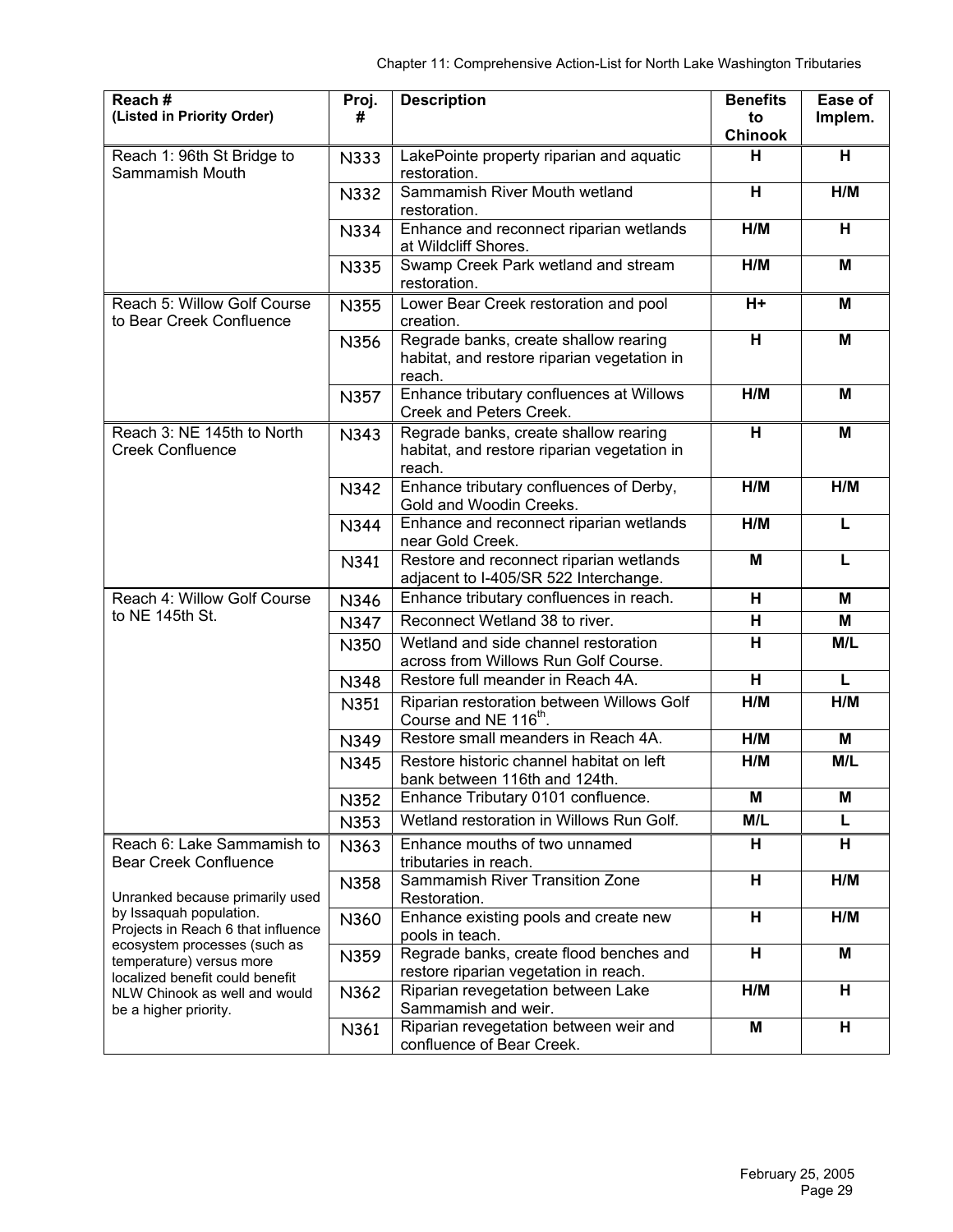| Reach#<br>(Listed in Priority Order)                                                                                                                                                            | Proj.<br>#  | <b>Description</b>                                                                             | <b>Benefits</b><br>to | Ease of<br>Implem. |
|-------------------------------------------------------------------------------------------------------------------------------------------------------------------------------------------------|-------------|------------------------------------------------------------------------------------------------|-----------------------|--------------------|
|                                                                                                                                                                                                 |             |                                                                                                | <b>Chinook</b><br>н   | н                  |
| Reach 1: 96th St Bridge to<br>Sammamish Mouth                                                                                                                                                   | N333        | LakePointe property riparian and aquatic<br>restoration.                                       |                       |                    |
|                                                                                                                                                                                                 | N332        | Sammamish River Mouth wetland<br>restoration.                                                  | н                     | H/M                |
|                                                                                                                                                                                                 | N334        | Enhance and reconnect riparian wetlands<br>at Wildcliff Shores.                                | H/M                   | н                  |
|                                                                                                                                                                                                 | N335        | Swamp Creek Park wetland and stream<br>restoration.                                            | H/M                   | M                  |
| Reach 5: Willow Golf Course<br>to Bear Creek Confluence                                                                                                                                         | N355        | Lower Bear Creek restoration and pool<br>creation.                                             | H+                    | Μ                  |
|                                                                                                                                                                                                 | N356        | Regrade banks, create shallow rearing<br>habitat, and restore riparian vegetation in<br>reach. | н                     | M                  |
|                                                                                                                                                                                                 | N357        | Enhance tributary confluences at Willows<br>Creek and Peters Creek.                            | H/M                   | M                  |
| Reach 3: NE 145th to North<br><b>Creek Confluence</b>                                                                                                                                           | N343        | Regrade banks, create shallow rearing<br>habitat, and restore riparian vegetation in<br>reach. | н                     | M                  |
|                                                                                                                                                                                                 | N342        | Enhance tributary confluences of Derby,<br>Gold and Woodin Creeks.                             | H/M                   | H/M                |
|                                                                                                                                                                                                 | <b>N344</b> | Enhance and reconnect riparian wetlands<br>near Gold Creek.                                    | H/M                   | L                  |
|                                                                                                                                                                                                 | N341        | Restore and reconnect riparian wetlands<br>adjacent to I-405/SR 522 Interchange.               | M                     | L                  |
| Reach 4: Willow Golf Course                                                                                                                                                                     | N346        | Enhance tributary confluences in reach.                                                        | H                     | м                  |
| to NE 145th St.                                                                                                                                                                                 | <b>N347</b> | Reconnect Wetland 38 to river.                                                                 | н                     | M                  |
|                                                                                                                                                                                                 | N350        | Wetland and side channel restoration<br>across from Willows Run Golf Course.                   | H                     | M/L                |
|                                                                                                                                                                                                 | N348        | Restore full meander in Reach 4A.                                                              | H                     | L                  |
|                                                                                                                                                                                                 | N351        | Riparian restoration between Willows Golf<br>Course and NE 116 <sup>th</sup> .                 | H/M                   | H/M                |
|                                                                                                                                                                                                 | N349        | Restore small meanders in Reach 4A.                                                            | H/M                   | Μ                  |
|                                                                                                                                                                                                 | N345        | Restore historic channel habitat on left<br>bank between 116th and 124th.                      | H/M                   | M/L                |
|                                                                                                                                                                                                 | N352        | Enhance Tributary 0101 confluence.                                                             | M                     | M                  |
|                                                                                                                                                                                                 | N353        | Wetland restoration in Willows Run Golf.                                                       | M/L                   | L                  |
| Reach 6: Lake Sammamish to<br><b>Bear Creek Confluence</b>                                                                                                                                      | N363        | Enhance mouths of two unnamed<br>tributaries in reach.                                         | н                     | н                  |
| Unranked because primarily used<br>by Issaquah population.<br>Projects in Reach 6 that influence<br>ecosystem processes (such as<br>temperature) versus more<br>localized benefit could benefit | N358        | Sammamish River Transition Zone<br>Restoration.                                                | н                     | H/M                |
|                                                                                                                                                                                                 | N360        | Enhance existing pools and create new<br>pools in teach.                                       | н                     | H/M                |
|                                                                                                                                                                                                 | N359        | Regrade banks, create flood benches and<br>restore riparian vegetation in reach.               | H                     | M                  |
| NLW Chinook as well and would<br>be a higher priority.                                                                                                                                          | N362        | Riparian revegetation between Lake<br>Sammamish and weir.                                      | H/M                   | н                  |
|                                                                                                                                                                                                 | N361        | Riparian revegetation between weir and<br>confluence of Bear Creek.                            | M                     | н                  |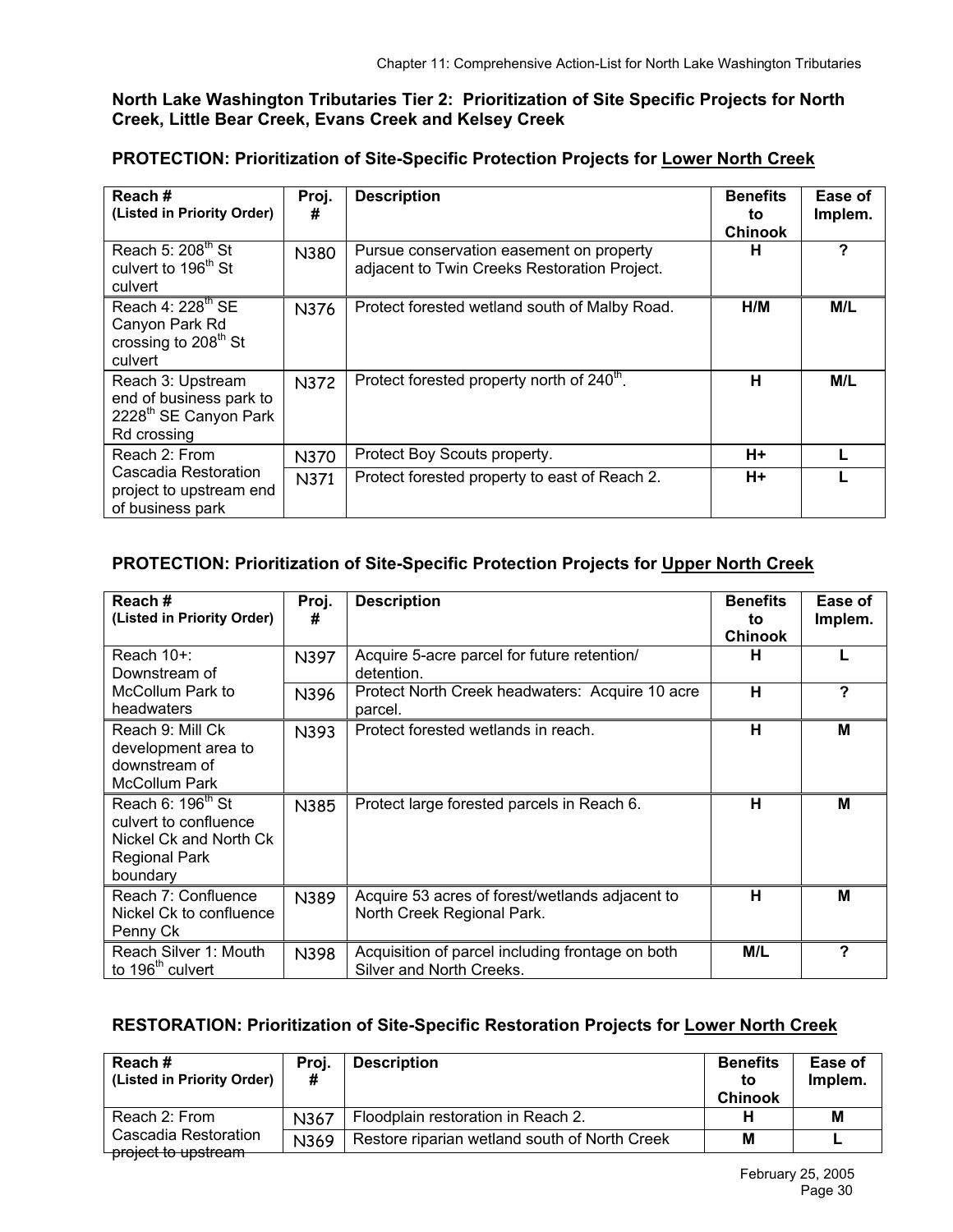#### **North Lake Washington Tributaries Tier 2: Prioritization of Site Specific Projects for North Creek, Little Bear Creek, Evans Creek and Kelsey Creek**

## **PROTECTION: Prioritization of Site-Specific Protection Projects for Lower North Creek**

| Reach#<br>(Listed in Priority Order)                                                             | Proj.<br>#  | <b>Description</b>                                                                       | <b>Benefits</b><br>to<br><b>Chinook</b> | Ease of<br>Implem. |
|--------------------------------------------------------------------------------------------------|-------------|------------------------------------------------------------------------------------------|-----------------------------------------|--------------------|
| Reach 5: $208th$ St<br>culvert to 196 <sup>th</sup> St<br>culvert                                | N380        | Pursue conservation easement on property<br>adjacent to Twin Creeks Restoration Project. | н                                       | ?                  |
| Reach 4: 228 <sup>th</sup> SE<br>Canyon Park Rd<br>crossing to 208 <sup>th</sup> St<br>culvert   | N376        | Protect forested wetland south of Malby Road.                                            | H/M                                     | M/L                |
| Reach 3: Upstream<br>end of business park to<br>2228 <sup>th</sup> SE Canyon Park<br>Rd crossing | N372        | Protect forested property north of 240 <sup>th</sup> .                                   | н                                       | M/L                |
| Reach 2: From                                                                                    | <b>N370</b> | Protect Boy Scouts property.                                                             | H+                                      |                    |
| Cascadia Restoration<br>project to upstream end<br>of business park                              | N371        | Protect forested property to east of Reach 2.                                            | H+                                      |                    |

## **PROTECTION: Prioritization of Site-Specific Protection Projects for Upper North Creek**

| Reach#<br>(Listed in Priority Order)                                                                                 | Proj.<br># | <b>Description</b>                                                            | <b>Benefits</b><br>to<br><b>Chinook</b> | Ease of<br>Implem. |
|----------------------------------------------------------------------------------------------------------------------|------------|-------------------------------------------------------------------------------|-----------------------------------------|--------------------|
| Reach 10+:<br>Downstream of                                                                                          | N397       | Acquire 5-acre parcel for future retention/<br>detention.                     | н                                       |                    |
| McCollum Park to<br>headwaters                                                                                       | N396       | Protect North Creek headwaters: Acquire 10 acre<br>parcel.                    | н                                       | ?                  |
| Reach 9: Mill Ck<br>development area to<br>downstream of<br><b>McCollum Park</b>                                     | N393       | Protect forested wetlands in reach.                                           | н                                       | M                  |
| Reach 6: 196 <sup>th</sup> St<br>culvert to confluence<br>Nickel Ck and North Ck<br><b>Regional Park</b><br>boundary | N385       | Protect large forested parcels in Reach 6.                                    | н                                       | M                  |
| Reach 7: Confluence<br>Nickel Ck to confluence<br>Penny Ck                                                           | N389       | Acquire 53 acres of forest/wetlands adjacent to<br>North Creek Regional Park. | н                                       | M                  |
| Reach Silver 1: Mouth<br>to 196 <sup>th</sup> culvert                                                                | N398       | Acquisition of parcel including frontage on both<br>Silver and North Creeks.  | M/L                                     | ?                  |

## **RESTORATION: Prioritization of Site-Specific Restoration Projects for Lower North Creek**

| Reach#<br>(Listed in Priority Order)        | Proj.<br># | <b>Description</b>                            | <b>Benefits</b><br>to<br><b>Chinook</b> | Ease of<br>Implem. |
|---------------------------------------------|------------|-----------------------------------------------|-----------------------------------------|--------------------|
| Reach 2: From                               | N367       | Floodplain restoration in Reach 2.            |                                         | M                  |
| Cascadia Restoration<br>project to upstream | N369       | Restore riparian wetland south of North Creek | M                                       |                    |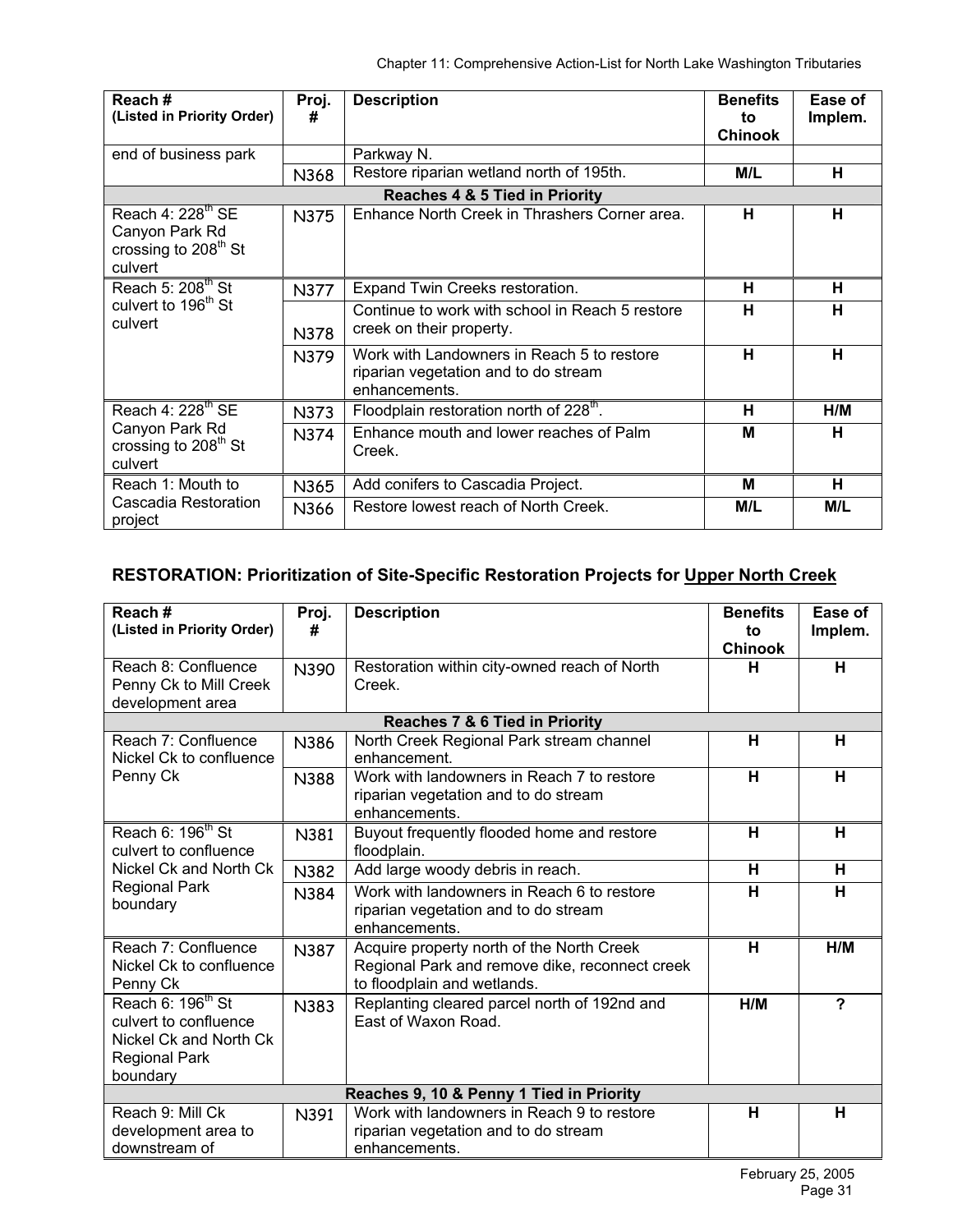| Reach#<br>(Listed in Priority Order)                                                 | Proj.<br>#  | <b>Description</b>                                                                                  | <b>Benefits</b><br>to<br><b>Chinook</b> | Ease of<br>Implem. |
|--------------------------------------------------------------------------------------|-------------|-----------------------------------------------------------------------------------------------------|-----------------------------------------|--------------------|
| end of business park                                                                 |             | Parkway N.                                                                                          |                                         |                    |
|                                                                                      | N368        | Restore riparian wetland north of 195th.                                                            | M/L                                     | н                  |
|                                                                                      |             | Reaches 4 & 5 Tied in Priority                                                                      |                                         |                    |
| Reach 4: $228th$ SE<br>Canyon Park Rd<br>crossing to 208 <sup>th</sup> St<br>culvert | <b>N375</b> | Enhance North Creek in Thrashers Corner area.                                                       | н                                       | н                  |
| Reach 5: 208 <sup>th</sup> St                                                        | N377        | Expand Twin Creeks restoration.                                                                     | н                                       | н                  |
| culvert to 196 <sup>th</sup> St<br>culvert                                           | N378        | Continue to work with school in Reach 5 restore<br>creek on their property.                         | н                                       | н                  |
|                                                                                      | N379        | Work with Landowners in Reach 5 to restore<br>riparian vegetation and to do stream<br>enhancements. | н                                       | н                  |
| Reach 4: 228 <sup>th</sup> SE                                                        | N373        | Floodplain restoration north of 228 <sup>th</sup> .                                                 | н                                       | H/M                |
| Canyon Park Rd<br>crossing to 208 <sup>th</sup> St<br>culvert                        | N374        | Enhance mouth and lower reaches of Palm<br>Creek.                                                   | м                                       | н                  |
| Reach 1: Mouth to                                                                    | N365        | Add conifers to Cascadia Project.                                                                   | м                                       | н                  |
| Cascadia Restoration<br>project                                                      | N366        | Restore lowest reach of North Creek.                                                                | M/L                                     | M/L                |

## **RESTORATION: Prioritization of Site-Specific Restoration Projects for Upper North Creek**

| Reach#<br>(Listed in Priority Order)                                                                                 | Proj.<br>#  | <b>Description</b>                                                                                                         | <b>Benefits</b><br>to<br>Chinook | Ease of<br>Implem. |  |  |
|----------------------------------------------------------------------------------------------------------------------|-------------|----------------------------------------------------------------------------------------------------------------------------|----------------------------------|--------------------|--|--|
| Reach 8: Confluence<br>Penny Ck to Mill Creek<br>development area                                                    | N390        | Restoration within city-owned reach of North<br>Creek.                                                                     | н                                | H                  |  |  |
|                                                                                                                      |             | <b>Reaches 7 &amp; 6 Tied in Priority</b>                                                                                  |                                  |                    |  |  |
| Reach 7: Confluence<br>Nickel Ck to confluence                                                                       | N386        | North Creek Regional Park stream channel<br>enhancement.                                                                   | Н                                | H                  |  |  |
| Penny Ck                                                                                                             | <b>N388</b> | Work with landowners in Reach 7 to restore<br>riparian vegetation and to do stream<br>enhancements.                        | H                                | н                  |  |  |
| Reach 6: 196 <sup>th</sup> St<br>culvert to confluence<br>Nickel Ck and North Ck                                     | N381        | Buyout frequently flooded home and restore<br>floodplain.                                                                  | н                                | H                  |  |  |
|                                                                                                                      | N382        | Add large woody debris in reach.                                                                                           | н                                | н                  |  |  |
| <b>Regional Park</b><br>boundary                                                                                     | N384        | Work with landowners in Reach 6 to restore<br>riparian vegetation and to do stream<br>enhancements.                        | H                                | H                  |  |  |
| Reach 7: Confluence<br>Nickel Ck to confluence<br>Penny Ck                                                           | N387        | Acquire property north of the North Creek<br>Regional Park and remove dike, reconnect creek<br>to floodplain and wetlands. | н                                | H/M                |  |  |
| Reach 6: 196 <sup>th</sup> St<br>culvert to confluence<br>Nickel Ck and North Ck<br><b>Regional Park</b><br>boundary | N383        | Replanting cleared parcel north of 192nd and<br>East of Waxon Road.                                                        | H/M                              | ?                  |  |  |
| Reaches 9, 10 & Penny 1 Tied in Priority                                                                             |             |                                                                                                                            |                                  |                    |  |  |
| Reach 9: Mill Ck<br>development area to<br>downstream of                                                             | N391        | Work with landowners in Reach 9 to restore<br>riparian vegetation and to do stream<br>enhancements.                        | н                                | H                  |  |  |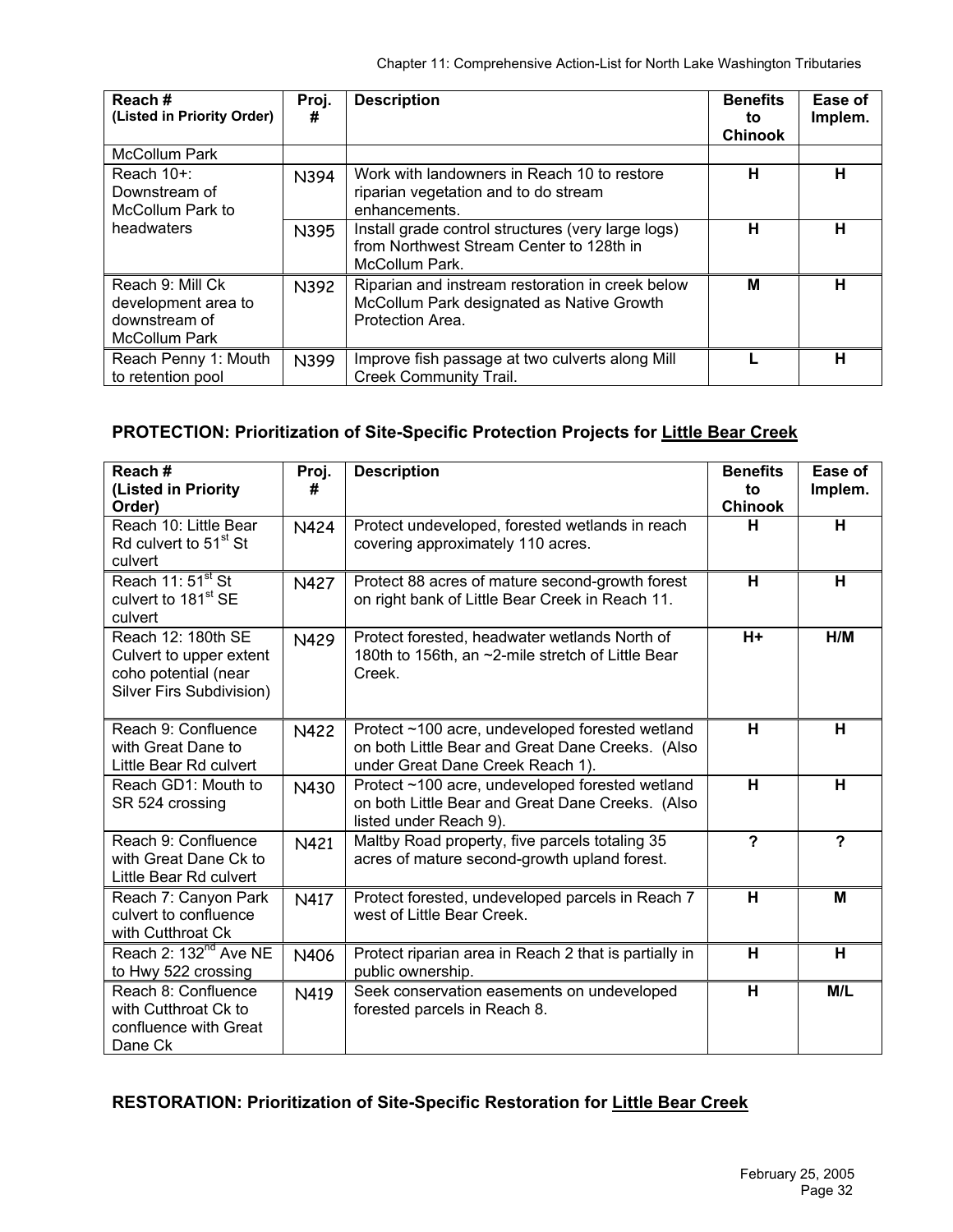| Reach#<br>(Listed in Priority Order)                                      | Proj.<br># | <b>Description</b>                                                                                                | <b>Benefits</b><br>to<br><b>Chinook</b> | Ease of<br>Implem. |
|---------------------------------------------------------------------------|------------|-------------------------------------------------------------------------------------------------------------------|-----------------------------------------|--------------------|
| McCollum Park                                                             |            |                                                                                                                   |                                         |                    |
| Reach 10+:<br>Downstream of<br>McCollum Park to                           | N394       | Work with landowners in Reach 10 to restore<br>riparian vegetation and to do stream<br>enhancements.              | н                                       | н                  |
| headwaters                                                                | N395       | Install grade control structures (very large logs)<br>from Northwest Stream Center to 128th in<br>McCollum Park.  | н                                       | н                  |
| Reach 9: Mill Ck<br>development area to<br>downstream of<br>McCollum Park | N392       | Riparian and instream restoration in creek below<br>McCollum Park designated as Native Growth<br>Protection Area. | М                                       | н                  |
| Reach Penny 1: Mouth<br>to retention pool                                 | N399       | Improve fish passage at two culverts along Mill<br><b>Creek Community Trail.</b>                                  |                                         | н                  |

# **PROTECTION: Prioritization of Site-Specific Protection Projects for Little Bear Creek**

| Reach#<br>(Listed in Priority<br>Order)                                                           | Proj.<br># | <b>Description</b>                                                                                                                      | <b>Benefits</b><br>to<br><b>Chinook</b> | Ease of<br>Implem.      |
|---------------------------------------------------------------------------------------------------|------------|-----------------------------------------------------------------------------------------------------------------------------------------|-----------------------------------------|-------------------------|
| Reach 10: Little Bear<br>Rd culvert to 51 <sup>st</sup> St<br>culvert                             | N424       | Protect undeveloped, forested wetlands in reach<br>covering approximately 110 acres.                                                    | н                                       | н                       |
| Reach 11: 51 <sup>st</sup> St<br>culvert to 181 <sup>st</sup> SE<br>culvert                       | N427       | Protect 88 acres of mature second-growth forest<br>on right bank of Little Bear Creek in Reach 11.                                      | н                                       | н                       |
| Reach 12: 180th SE<br>Culvert to upper extent<br>coho potential (near<br>Silver Firs Subdivision) | N429       | Protect forested, headwater wetlands North of<br>180th to 156th, an ~2-mile stretch of Little Bear<br>Creek.                            | $H +$                                   | H/M                     |
| Reach 9: Confluence<br>with Great Dane to<br>Little Bear Rd culvert                               | N422       | Protect ~100 acre, undeveloped forested wetland<br>on both Little Bear and Great Dane Creeks. (Also<br>under Great Dane Creek Reach 1). | H                                       | н                       |
| Reach GD1: Mouth to<br>SR 524 crossing                                                            | N430       | Protect ~100 acre, undeveloped forested wetland<br>on both Little Bear and Great Dane Creeks. (Also<br>listed under Reach 9).           | H                                       | H                       |
| Reach 9: Confluence<br>with Great Dane Ck to<br>Little Bear Rd culvert                            | N421       | Maltby Road property, five parcels totaling 35<br>acres of mature second-growth upland forest.                                          | $\overline{\mathbf{?}}$                 | $\overline{\mathbf{?}}$ |
| Reach 7: Canyon Park<br>culvert to confluence<br>with Cutthroat Ck                                | N417       | Protect forested, undeveloped parcels in Reach 7<br>west of Little Bear Creek.                                                          | H                                       | M                       |
| Reach 2: 132 <sup>nd</sup> Ave NE<br>to Hwy 522 crossing                                          | N406       | Protect riparian area in Reach 2 that is partially in<br>public ownership.                                                              | н                                       | н                       |
| Reach 8: Confluence<br>with Cutthroat Ck to<br>confluence with Great<br>Dane Ck                   | N419       | Seek conservation easements on undeveloped<br>forested parcels in Reach 8.                                                              | н                                       | M/L                     |

# **RESTORATION: Prioritization of Site-Specific Restoration for Little Bear Creek**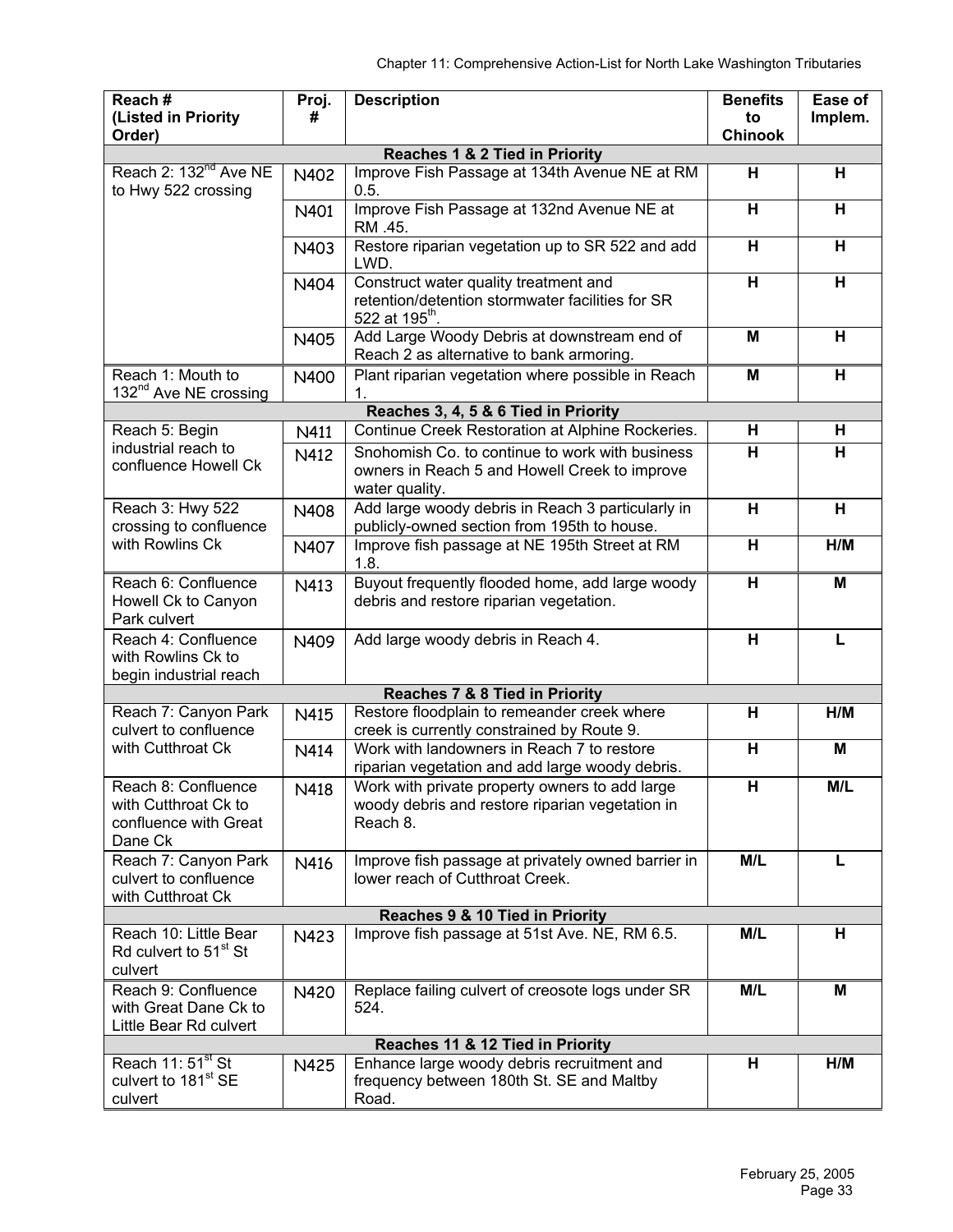| Reach#<br>(Listed in Priority                                                   | Proj.<br>#  | <b>Description</b>                                                                                                      | <b>Benefits</b><br>to   | Ease of<br>Implem. |
|---------------------------------------------------------------------------------|-------------|-------------------------------------------------------------------------------------------------------------------------|-------------------------|--------------------|
| Order)                                                                          |             |                                                                                                                         | <b>Chinook</b>          |                    |
|                                                                                 |             | <b>Reaches 1 &amp; 2 Tied in Priority</b>                                                                               |                         |                    |
| Reach 2: 132 <sup>nd</sup> Ave NE<br>to Hwy 522 crossing                        | N402        | Improve Fish Passage at 134th Avenue NE at RM<br>0.5.                                                                   | н                       | н                  |
|                                                                                 | N401        | Improve Fish Passage at 132nd Avenue NE at<br>RM .45.                                                                   | H                       | н                  |
|                                                                                 | N403        | Restore riparian vegetation up to SR 522 and add<br>LWD.                                                                | H                       | Н                  |
|                                                                                 | N404        | Construct water quality treatment and<br>retention/detention stormwater facilities for SR<br>522 at 195 <sup>th</sup> . | H                       | H                  |
|                                                                                 | N405        | Add Large Woody Debris at downstream end of<br>Reach 2 as alternative to bank armoring.                                 | M                       | н                  |
| Reach 1: Mouth to<br>132 <sup>nd</sup> Ave NE crossing                          | N400        | Plant riparian vegetation where possible in Reach<br>1.                                                                 | M                       | Н                  |
|                                                                                 |             | Reaches 3, 4, 5 & 6 Tied in Priority                                                                                    |                         |                    |
| Reach 5: Begin                                                                  | N411        | Continue Creek Restoration at Alphine Rockeries.                                                                        | Н                       | н                  |
| industrial reach to<br>confluence Howell Ck                                     | N412        | Snohomish Co, to continue to work with business<br>owners in Reach 5 and Howell Creek to improve<br>water quality.      | H                       | н                  |
| Reach 3: Hwy 522<br>crossing to confluence                                      | <b>N408</b> | Add large woody debris in Reach 3 particularly in<br>publicly-owned section from 195th to house.                        | H                       | н                  |
| with Rowlins Ck                                                                 | N407        | Improve fish passage at NE 195th Street at RM<br>1.8.                                                                   | H                       | H/M                |
| Reach 6: Confluence<br>Howell Ck to Canyon<br>Park culvert                      | N413        | Buyout frequently flooded home, add large woody<br>debris and restore riparian vegetation.                              | H                       | M                  |
| Reach 4: Confluence<br>with Rowlins Ck to<br>begin industrial reach             | N409        | Add large woody debris in Reach 4.                                                                                      | H                       | L                  |
|                                                                                 |             | Reaches 7 & 8 Tied in Priority                                                                                          |                         |                    |
| Reach 7: Canyon Park<br>culvert to confluence                                   | N415        | Restore floodplain to remeander creek where<br>creek is currently constrained by Route 9.                               | Н                       | H/M                |
| with Cutthroat Ck                                                               | N414        | Work with landowners in Reach 7 to restore<br>riparian vegetation and add large woody debris.                           | $\overline{\mathsf{H}}$ | M                  |
| Reach 8: Confluence<br>with Cutthroat Ck to<br>confluence with Great<br>Dane Ck | N418        | Work with private property owners to add large<br>woody debris and restore riparian vegetation in<br>Reach 8.           | H                       | M/L                |
| Reach 7: Canyon Park<br>culvert to confluence<br>with Cutthroat Ck              | N416        | Improve fish passage at privately owned barrier in<br>lower reach of Cutthroat Creek.                                   | M/L                     | L                  |
| Reaches 9 & 10 Tied in Priority                                                 |             |                                                                                                                         |                         |                    |
| Reach 10: Little Bear<br>Rd culvert to 51 <sup>st</sup> St<br>culvert           | N423        | Improve fish passage at 51st Ave. NE, RM 6.5.                                                                           | M/L                     | н                  |
| Reach 9: Confluence<br>with Great Dane Ck to<br>Little Bear Rd culvert          | N420        | Replace failing culvert of creosote logs under SR<br>524.                                                               | M/L                     | м                  |
| Reaches 11 & 12 Tied in Priority                                                |             |                                                                                                                         |                         |                    |
| Reach 11: 51 <sup>st</sup> St<br>culvert to 181 <sup>st</sup> SE<br>culvert     | N425        | Enhance large woody debris recruitment and<br>frequency between 180th St. SE and Maltby<br>Road.                        | н                       | H/M                |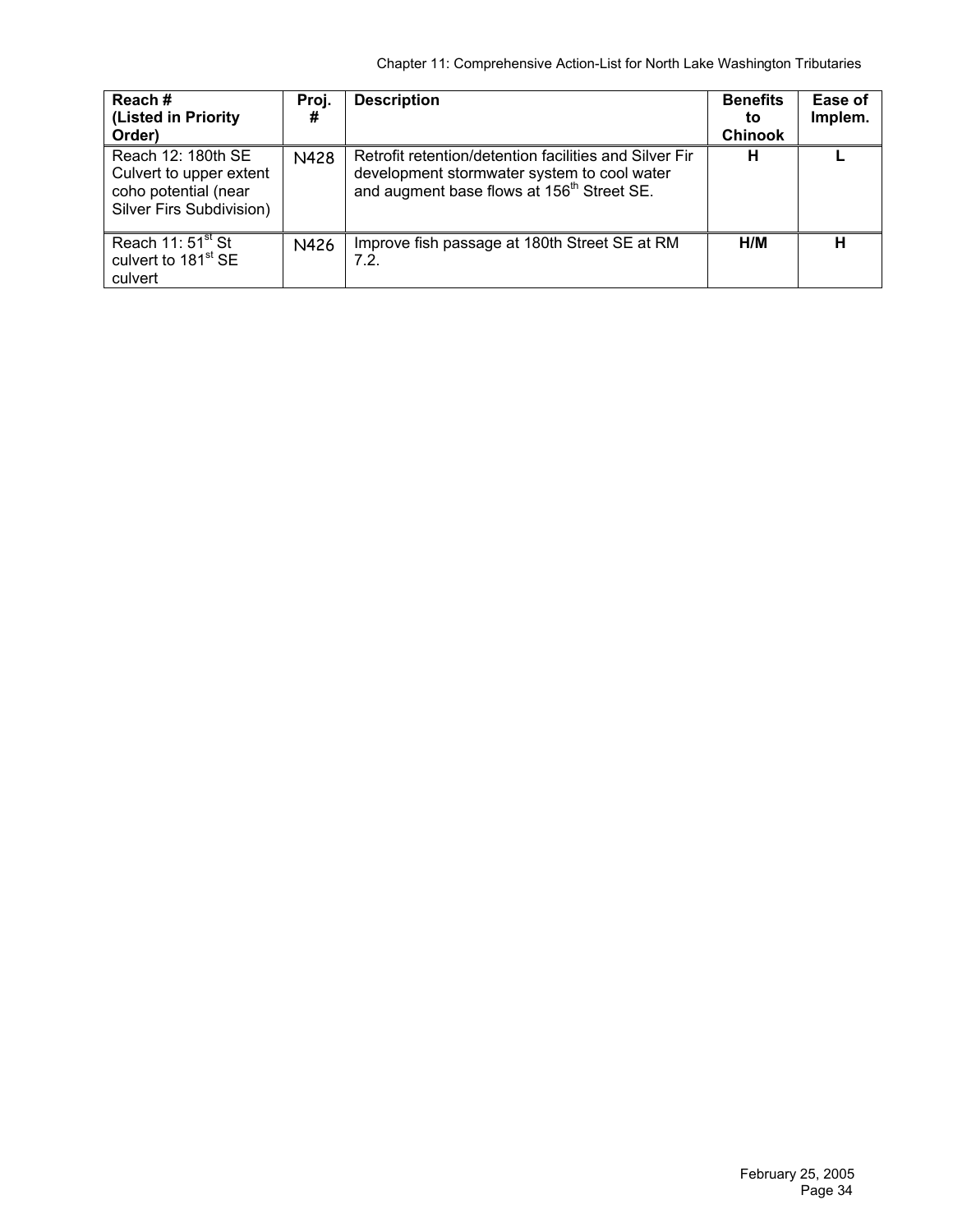| Reach#<br>(Listed in Priority<br>Order)                                                           | Proj.<br># | <b>Description</b>                                                                                                                                              | <b>Benefits</b><br>to<br><b>Chinook</b> | Ease of<br>Implem. |
|---------------------------------------------------------------------------------------------------|------------|-----------------------------------------------------------------------------------------------------------------------------------------------------------------|-----------------------------------------|--------------------|
| Reach 12: 180th SE<br>Culvert to upper extent<br>coho potential (near<br>Silver Firs Subdivision) | N428       | Retrofit retention/detention facilities and Silver Fir<br>development stormwater system to cool water<br>and augment base flows at 156 <sup>th</sup> Street SE. | н                                       |                    |
| Reach $11:51st$ St<br>culvert to 181 <sup>st</sup> SE<br>culvert                                  | N426       | Improve fish passage at 180th Street SE at RM<br>7.2.                                                                                                           | H/M                                     | н                  |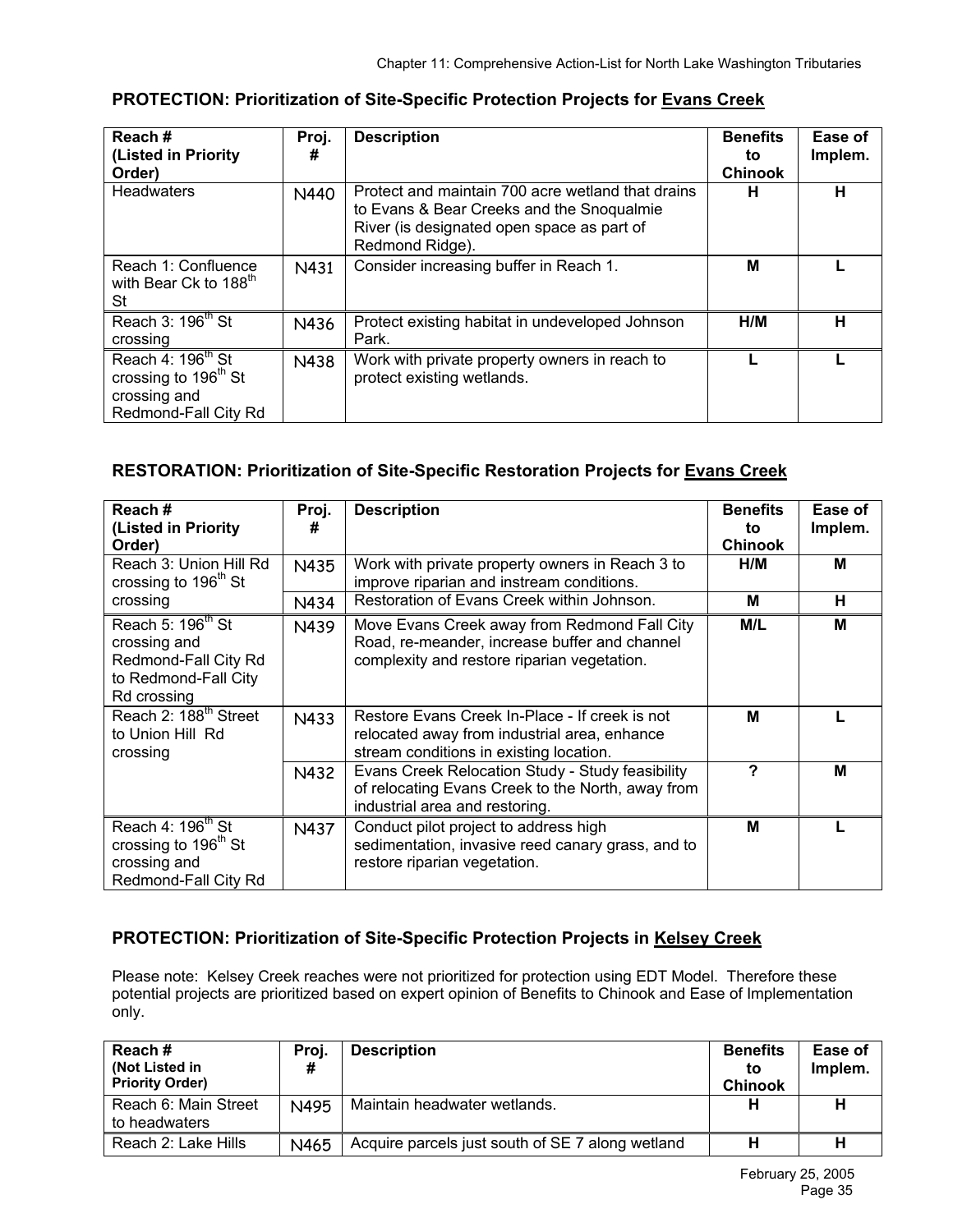| Reach#<br>(Listed in Priority<br>Order)                                                                   | Proj.<br># | <b>Description</b>                                                                                                                                              | <b>Benefits</b><br>to<br><b>Chinook</b> | Ease of<br>Implem. |
|-----------------------------------------------------------------------------------------------------------|------------|-----------------------------------------------------------------------------------------------------------------------------------------------------------------|-----------------------------------------|--------------------|
| <b>Headwaters</b>                                                                                         | N440       | Protect and maintain 700 acre wetland that drains<br>to Evans & Bear Creeks and the Snoqualmie<br>River (is designated open space as part of<br>Redmond Ridge). | н                                       | н                  |
| Reach 1: Confluence<br>with Bear Ck to 188 <sup>th</sup><br>St                                            | N431       | Consider increasing buffer in Reach 1.                                                                                                                          | М                                       |                    |
| Reach 3: 196 <sup>th</sup> St<br>crossing                                                                 | N436       | Protect existing habitat in undeveloped Johnson<br>Park.                                                                                                        | H/M                                     | н                  |
| Reach 4: 196 <sup>th</sup> St<br>crossing to 196 <sup>th</sup> St<br>crossing and<br>Redmond-Fall City Rd | N438       | Work with private property owners in reach to<br>protect existing wetlands.                                                                                     |                                         |                    |

#### **PROTECTION: Prioritization of Site-Specific Protection Projects for Evans Creek**

## **RESTORATION: Prioritization of Site-Specific Restoration Projects for Evans Creek**

| Reach#<br>(Listed in Priority<br>Order)                                                                      | Proj.<br># | <b>Description</b>                                                                                                                           | <b>Benefits</b><br>to<br><b>Chinook</b> | Ease of<br>Implem. |
|--------------------------------------------------------------------------------------------------------------|------------|----------------------------------------------------------------------------------------------------------------------------------------------|-----------------------------------------|--------------------|
| Reach 3: Union Hill Rd<br>crossing to 196 <sup>th</sup> St                                                   | N435       | Work with private property owners in Reach 3 to<br>improve riparian and instream conditions.                                                 | H/M                                     | M                  |
| crossing                                                                                                     | N434       | Restoration of Evans Creek within Johnson.                                                                                                   | М                                       | н                  |
| Reach 5: 196 <sup>th</sup> St<br>crossing and<br>Redmond-Fall City Rd<br>to Redmond-Fall City<br>Rd crossing | N439       | Move Evans Creek away from Redmond Fall City<br>Road, re-meander, increase buffer and channel<br>complexity and restore riparian vegetation. | M/L                                     | M                  |
| Reach 2: 188 <sup>th</sup> Street<br>to Union Hill Rd<br>crossing                                            | N433       | Restore Evans Creek In-Place - If creek is not<br>relocated away from industrial area, enhance<br>stream conditions in existing location.    | м                                       |                    |
|                                                                                                              | N432       | Evans Creek Relocation Study - Study feasibility<br>of relocating Evans Creek to the North, away from<br>industrial area and restoring.      | 7                                       | M                  |
| Reach 4: 196 <sup>th</sup> St<br>crossing to 196 <sup>th</sup> St<br>crossing and<br>Redmond-Fall City Rd    | N437       | Conduct pilot project to address high<br>sedimentation, invasive reed canary grass, and to<br>restore riparian vegetation.                   | М                                       |                    |

## **PROTECTION: Prioritization of Site-Specific Protection Projects in Kelsey Creek**

Please note: Kelsey Creek reaches were not prioritized for protection using EDT Model. Therefore these potential projects are prioritized based on expert opinion of Benefits to Chinook and Ease of Implementation only.

| <b>Reach#</b><br>(Not Listed in<br><b>Priority Order)</b> | Proj.<br># | <b>Description</b>                               | <b>Benefits</b><br>to<br><b>Chinook</b> | Ease of<br>Implem. |
|-----------------------------------------------------------|------------|--------------------------------------------------|-----------------------------------------|--------------------|
| Reach 6: Main Street<br>to headwaters                     | N495       | Maintain headwater wetlands.                     | н                                       | ш                  |
| Reach 2: Lake Hills                                       | N465       | Acquire parcels just south of SE 7 along wetland | н                                       |                    |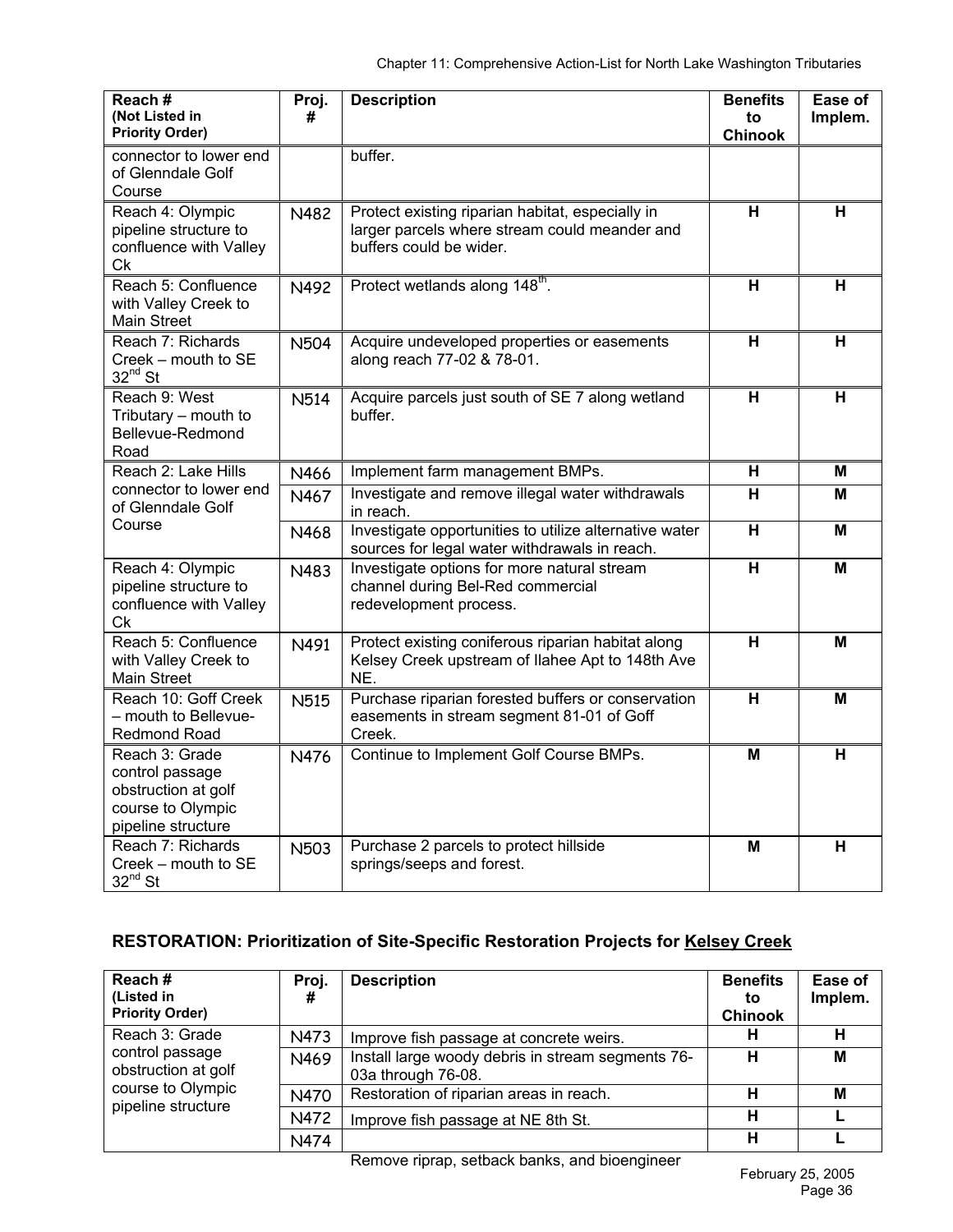| Reach#<br>(Not Listed in<br><b>Priority Order)</b>                                                  | Proj.<br>#  | <b>Description</b>                                                                                                           | <b>Benefits</b><br>to<br><b>Chinook</b> | Ease of<br>Implem.      |
|-----------------------------------------------------------------------------------------------------|-------------|------------------------------------------------------------------------------------------------------------------------------|-----------------------------------------|-------------------------|
| connector to lower end<br>of Glenndale Golf<br>Course                                               |             | buffer.                                                                                                                      |                                         |                         |
| Reach 4: Olympic<br>pipeline structure to<br>confluence with Valley<br>Сk                           | N482        | Protect existing riparian habitat, especially in<br>larger parcels where stream could meander and<br>buffers could be wider. | н                                       | н                       |
| Reach 5: Confluence<br>with Valley Creek to<br>Main Street                                          | N492        | Protect wetlands along 148 <sup>th</sup> .                                                                                   | $\overline{\mathbf{H}}$                 | $\overline{\mathbf{H}}$ |
| Reach 7: Richards<br>Creek - mouth to SE<br>$32^{nd}$ St                                            | <b>N504</b> | Acquire undeveloped properties or easements<br>along reach 77-02 & 78-01.                                                    | н                                       | н                       |
| Reach 9: West<br>Tributary - mouth to<br>Bellevue-Redmond<br>Road                                   | <b>N514</b> | Acquire parcels just south of SE 7 along wetland<br>buffer.                                                                  | н                                       | H                       |
| Reach 2: Lake Hills                                                                                 | N466        | Implement farm management BMPs.                                                                                              | н                                       | М                       |
| connector to lower end<br>of Glenndale Golf                                                         | N467        | Investigate and remove illegal water withdrawals<br>in reach.                                                                | $\overline{\mathsf{H}}$                 | $\overline{M}$          |
| Course                                                                                              | N468        | Investigate opportunities to utilize alternative water<br>sources for legal water withdrawals in reach.                      | н                                       | M                       |
| Reach 4: Olympic<br>pipeline structure to<br>confluence with Valley<br><b>Ck</b>                    | N483        | Investigate options for more natural stream<br>channel during Bel-Red commercial<br>redevelopment process.                   | $\overline{\mathsf{H}}$                 | M                       |
| Reach 5: Confluence<br>with Valley Creek to<br><b>Main Street</b>                                   | N491        | Protect existing coniferous riparian habitat along<br>Kelsey Creek upstream of Ilahee Apt to 148th Ave<br>NE.                | н                                       | М                       |
| Reach 10: Goff Creek<br>- mouth to Bellevue-<br><b>Redmond Road</b>                                 | <b>N515</b> | Purchase riparian forested buffers or conservation<br>easements in stream segment 81-01 of Goff<br>Creek.                    | $\overline{\mathbf{H}}$                 | M                       |
| Reach 3: Grade<br>control passage<br>obstruction at golf<br>course to Olympic<br>pipeline structure | N476        | Continue to Implement Golf Course BMPs.                                                                                      | M                                       | H                       |
| Reach 7: Richards<br>Creek – mouth to SE<br>$32^{nd}$ St                                            | <b>N503</b> | Purchase 2 parcels to protect hillside<br>springs/seeps and forest.                                                          | M                                       | н                       |

# **RESTORATION: Prioritization of Site-Specific Restoration Projects for Kelsey Creek**

| Reach#<br>(Listed in<br><b>Priority Order)</b> | Proj.<br># | <b>Description</b>                                                      | <b>Benefits</b><br>to<br><b>Chinook</b> | Ease of<br>Implem. |
|------------------------------------------------|------------|-------------------------------------------------------------------------|-----------------------------------------|--------------------|
| Reach 3: Grade                                 | N473       | Improve fish passage at concrete weirs.                                 | н                                       | н                  |
| control passage<br>obstruction at golf         | N469       | Install large woody debris in stream segments 76-<br>03a through 76-08. | н                                       | M                  |
| course to Olympic<br>pipeline structure        | N470       | Restoration of riparian areas in reach.                                 | н                                       | M                  |
|                                                | N472       | Improve fish passage at NE 8th St.                                      | н                                       |                    |
|                                                | N474       |                                                                         | н                                       |                    |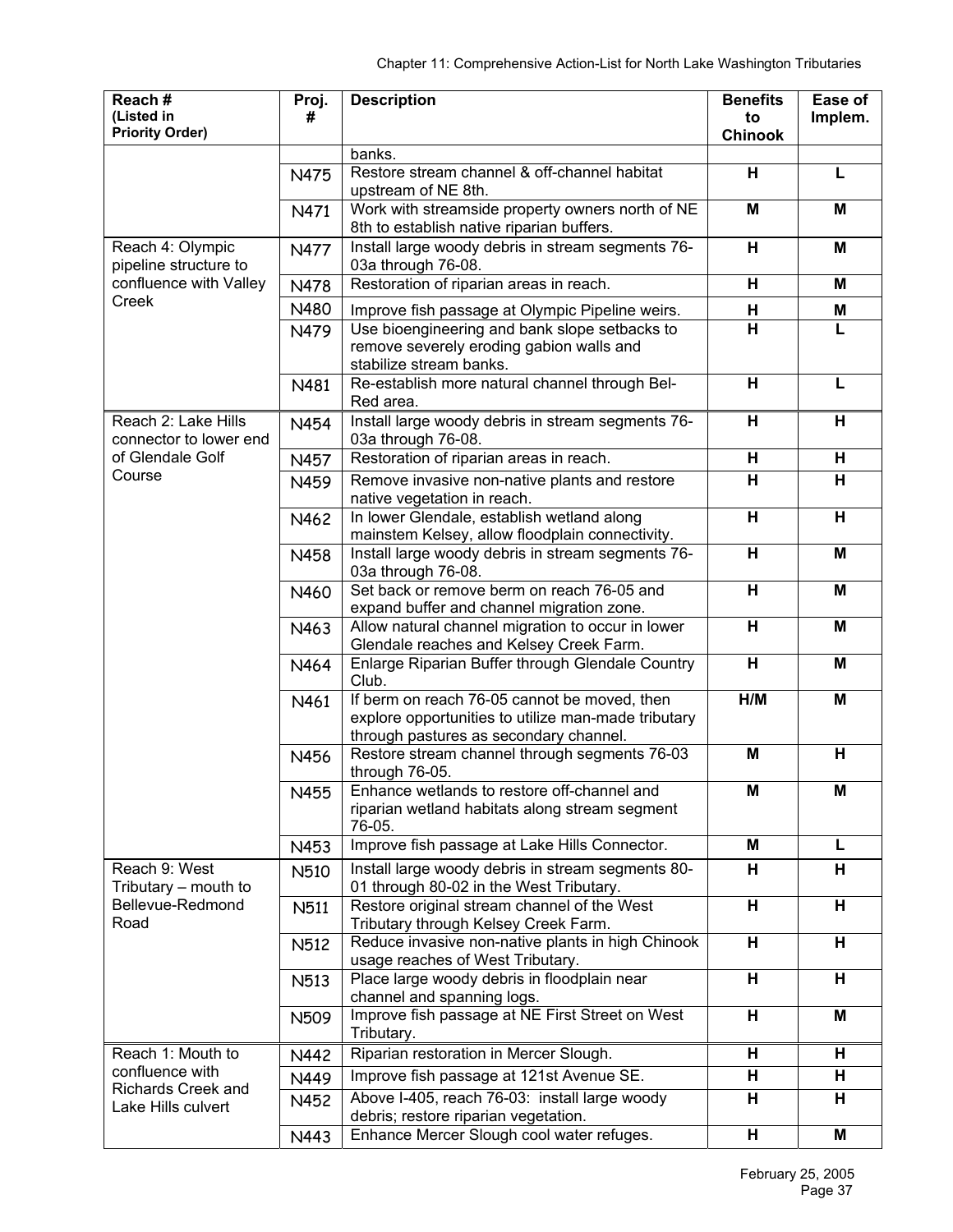| Reach#                    | Proj.            | <b>Description</b>                                                                        | <b>Benefits</b>              | Ease of |
|---------------------------|------------------|-------------------------------------------------------------------------------------------|------------------------------|---------|
| (Listed in                | #                |                                                                                           | to                           | Implem. |
| <b>Priority Order)</b>    |                  |                                                                                           | <b>Chinook</b>               |         |
|                           |                  | banks.                                                                                    |                              |         |
|                           | N475             | Restore stream channel & off-channel habitat                                              | н                            | L       |
|                           |                  | upstream of NE 8th.<br>Work with streamside property owners north of NE                   | $\overline{\mathsf{M}}$      | M       |
|                           | N471             | 8th to establish native riparian buffers.                                                 |                              |         |
| Reach 4: Olympic          | N477             | Install large woody debris in stream segments 76-                                         | H                            | M       |
| pipeline structure to     |                  | 03a through 76-08.                                                                        |                              |         |
| confluence with Valley    | N478             | Restoration of riparian areas in reach.                                                   | н                            | M       |
| Creek                     | N480             |                                                                                           |                              |         |
|                           |                  | Improve fish passage at Olympic Pipeline weirs.                                           | н<br>$\overline{\mathsf{H}}$ | M<br>L  |
|                           | N479             | Use bioengineering and bank slope setbacks to<br>remove severely eroding gabion walls and |                              |         |
|                           |                  | stabilize stream banks.                                                                   |                              |         |
|                           | N481             | Re-establish more natural channel through Bel-                                            | н                            | L       |
|                           |                  | Red area.                                                                                 |                              |         |
| Reach 2: Lake Hills       | N454             | Install large woody debris in stream segments 76-                                         | H                            | н       |
| connector to lower end    |                  | 03a through 76-08.                                                                        |                              |         |
| of Glendale Golf          | N457             | Restoration of riparian areas in reach.                                                   | н                            | н       |
| Course                    | N459             | Remove invasive non-native plants and restore                                             | $\overline{H}$               | H       |
|                           |                  | native vegetation in reach.                                                               |                              |         |
|                           | N462             | In lower Glendale, establish wetland along                                                | H                            | н       |
|                           |                  | mainstem Kelsey, allow floodplain connectivity.                                           |                              |         |
|                           | N458             | Install large woody debris in stream segments 76-                                         | н                            | M       |
|                           |                  | 03a through 76-08.                                                                        |                              |         |
|                           | N460             | Set back or remove berm on reach 76-05 and                                                | $\overline{\mathbf{H}}$      | M       |
|                           |                  | expand buffer and channel migration zone.                                                 |                              |         |
|                           | N463             | Allow natural channel migration to occur in lower                                         | H                            | M       |
|                           |                  | Glendale reaches and Kelsey Creek Farm.                                                   |                              |         |
|                           | N464             | Enlarge Riparian Buffer through Glendale Country<br>Club.                                 | H                            | M       |
|                           | N461             | If berm on reach 76-05 cannot be moved, then                                              | H/M                          | M       |
|                           |                  | explore opportunities to utilize man-made tributary                                       |                              |         |
|                           |                  | through pastures as secondary channel.                                                    |                              |         |
|                           | N456             | Restore stream channel through segments 76-03                                             | M                            | н       |
|                           |                  | through 76-05.                                                                            |                              |         |
|                           | N455             | Enhance wetlands to restore off-channel and                                               | м                            | м       |
|                           |                  | riparian wetland habitats along stream segment                                            |                              |         |
|                           |                  | 76-05.                                                                                    |                              |         |
|                           | N453             | Improve fish passage at Lake Hills Connector.                                             | М                            | L       |
| Reach 9: West             | N510             | Install large woody debris in stream segments 80-                                         | H.                           | н       |
| Tributary – mouth to      |                  | 01 through 80-02 in the West Tributary.                                                   |                              |         |
| Bellevue-Redmond          | N511             | Restore original stream channel of the West                                               | $\overline{\mathbf{H}}$      | н       |
| Road                      |                  | Tributary through Kelsey Creek Farm.                                                      |                              |         |
|                           | N512             | Reduce invasive non-native plants in high Chinook<br>usage reaches of West Tributary.     | $\overline{\mathbf{H}}$      | н       |
|                           |                  | Place large woody debris in floodplain near                                               | H                            | н       |
|                           | N513             | channel and spanning logs.                                                                |                              |         |
|                           | N <sub>509</sub> | Improve fish passage at NE First Street on West                                           | н                            | M       |
|                           |                  | Tributary.                                                                                |                              |         |
| Reach 1: Mouth to         | N442             | Riparian restoration in Mercer Slough.                                                    | н                            | н       |
| confluence with           | N449             | Improve fish passage at 121st Avenue SE.                                                  | н                            | н       |
| <b>Richards Creek and</b> |                  | Above I-405, reach 76-03: install large woody                                             | H                            | н       |
| Lake Hills culvert        | N452             | debris; restore riparian vegetation.                                                      |                              |         |
|                           | N443             | Enhance Mercer Slough cool water refuges.                                                 | H                            | M       |
|                           |                  |                                                                                           |                              |         |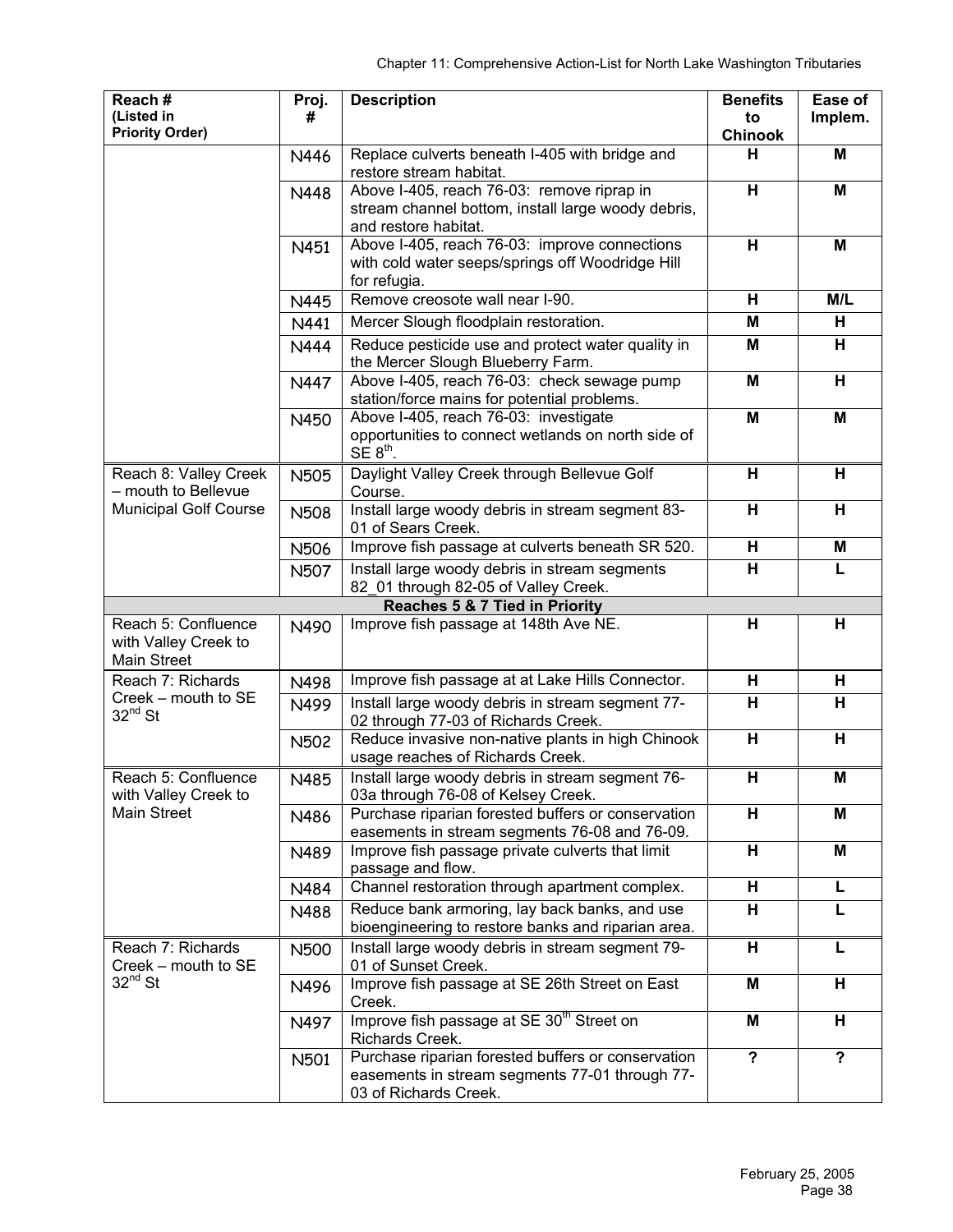| Reach#<br>(Listed in                                              | Proj.<br>#  | <b>Description</b>                                                                                                            | <b>Benefits</b><br>to   | Ease of<br>Implem. |
|-------------------------------------------------------------------|-------------|-------------------------------------------------------------------------------------------------------------------------------|-------------------------|--------------------|
| <b>Priority Order)</b>                                            |             |                                                                                                                               | <b>Chinook</b>          |                    |
|                                                                   | N446        | Replace culverts beneath I-405 with bridge and<br>restore stream habitat.                                                     | н                       | M                  |
|                                                                   | N448        | Above I-405, reach 76-03: remove riprap in                                                                                    | $\overline{\mathbf{H}}$ | M                  |
|                                                                   |             | stream channel bottom, install large woody debris,                                                                            |                         |                    |
|                                                                   | N451        | and restore habitat.<br>Above I-405, reach 76-03: improve connections                                                         | Н                       | M                  |
|                                                                   |             | with cold water seeps/springs off Woodridge Hill                                                                              |                         |                    |
|                                                                   | N445        | for refugia.<br>Remove creosote wall near I-90.                                                                               | H                       | M/L                |
|                                                                   | N441        | Mercer Slough floodplain restoration.                                                                                         | M                       | н                  |
|                                                                   | <b>N444</b> | Reduce pesticide use and protect water quality in<br>the Mercer Slough Blueberry Farm.                                        | M                       | н                  |
|                                                                   | N447        | Above I-405, reach 76-03: check sewage pump<br>station/force mains for potential problems.                                    | M                       | н                  |
|                                                                   | N450        | Above I-405, reach 76-03: investigate<br>opportunities to connect wetlands on north side of                                   | M                       | M                  |
|                                                                   |             | $SE 8th$ .                                                                                                                    |                         |                    |
| Reach 8: Valley Creek<br>- mouth to Bellevue                      | <b>N505</b> | Daylight Valley Creek through Bellevue Golf<br>Course.                                                                        | н                       | н                  |
| <b>Municipal Golf Course</b>                                      | <b>N508</b> | Install large woody debris in stream segment 83-<br>01 of Sears Creek.                                                        | H                       | н                  |
|                                                                   | N506        | Improve fish passage at culverts beneath SR 520.                                                                              | H                       | M                  |
|                                                                   | <b>N507</b> | Install large woody debris in stream segments<br>82_01 through 82-05 of Valley Creek.                                         | H                       | L                  |
|                                                                   |             | Reaches 5 & 7 Tied in Priority                                                                                                |                         |                    |
| Reach 5: Confluence<br>with Valley Creek to<br><b>Main Street</b> | N490        | Improve fish passage at 148th Ave NE.                                                                                         | н                       | н                  |
| Reach 7: Richards                                                 | N498        | Improve fish passage at at Lake Hills Connector.                                                                              | H                       | н                  |
| Creek - mouth to SE<br>$32^{nd}$ St                               | N499        | Install large woody debris in stream segment 77-<br>02 through 77-03 of Richards Creek.                                       | н                       | н                  |
|                                                                   | <b>N502</b> | Reduce invasive non-native plants in high Chinook<br>usage reaches of Richards Creek.                                         | Н                       | н                  |
| Reach 5: Confluence<br>with Valley Creek to                       | N485        | Install large woody debris in stream segment 76-<br>03a through 76-08 of Kelsey Creek.                                        | н                       | M                  |
| <b>Main Street</b>                                                | N486        | Purchase riparian forested buffers or conservation<br>easements in stream segments 76-08 and 76-09.                           | н                       | M                  |
|                                                                   | N489        | Improve fish passage private culverts that limit<br>passage and flow.                                                         | H                       | M                  |
|                                                                   | N484        | Channel restoration through apartment complex.                                                                                | $\overline{\mathbf{H}}$ | L                  |
|                                                                   | N488        | Reduce bank armoring, lay back banks, and use<br>bioengineering to restore banks and riparian area.                           | H                       | L                  |
| Reach 7: Richards<br>Creek - mouth to SE                          | N500        | Install large woody debris in stream segment 79-<br>01 of Sunset Creek.                                                       | н                       | L                  |
| $32^{nd}$ St                                                      | N496        | Improve fish passage at SE 26th Street on East<br>Creek.                                                                      | M                       | н                  |
|                                                                   | N497        | Improve fish passage at SE 30 <sup>th</sup> Street on<br>Richards Creek.                                                      | M                       | н                  |
|                                                                   | N501        | Purchase riparian forested buffers or conservation<br>easements in stream segments 77-01 through 77-<br>03 of Richards Creek. | $\overline{?}$          | $\overline{?}$     |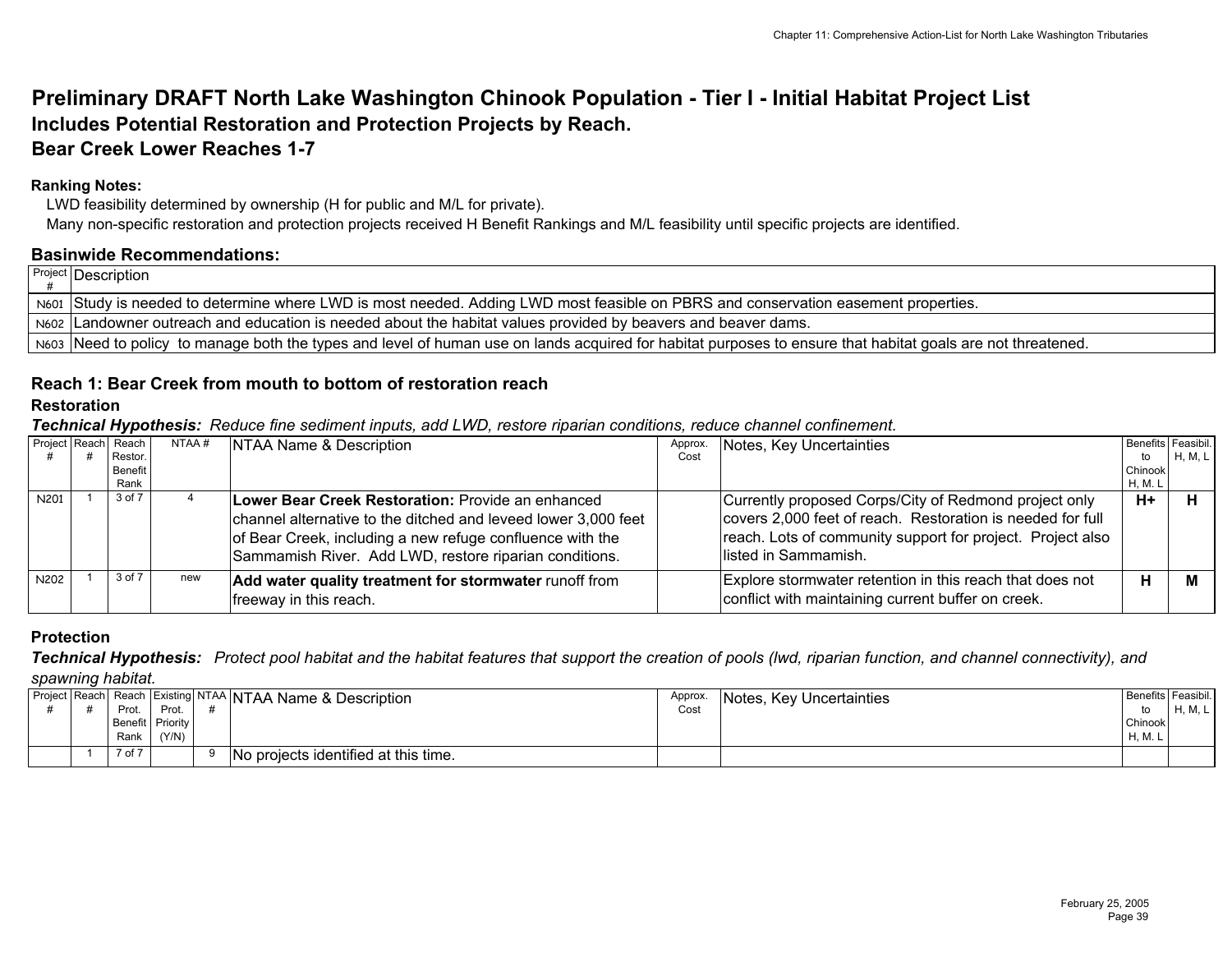# **Preliminary DRAFT North Lake Washington Chinook Population - Tier I - Initial Habitat Project List Includes Potential Restoration and Protection Projects by Reach. Bear Creek Lower Reaches 1-7**

## **Ranking Notes:**

LWD feasibility determined by ownership (H for public and M/L for private).

Many non-specific restoration and protection projects received H Benefit Rankings and M/L feasibility until specific projects are identified.

#### **Basinwide Recommendations:**

| Project Description                                                                                                                                         |
|-------------------------------------------------------------------------------------------------------------------------------------------------------------|
| N601 Study is needed to determine where LWD is most needed. Adding LWD most feasible on PBRS and conservation easement properties.                          |
| N602 Landowner outreach and education is needed about the habitat values provided by beavers and beaver dams.                                               |
| Neos Need to policy to manage both the types and level of human use on lands acquired for habitat purposes to ensure that habitat goals are not threatened. |

# **Reach 1: Bear Creek from mouth to bottom of restoration reach**

# **Restoration**

*Technical Hypothesis: Reduce fine sediment inputs, add LWD, restore riparian conditions, reduce channel confinement.* 

| Project Reach    | Reach              | NTAA # | NTAA Name & Description                                        | Approx. | Notes, Key Uncertainties                                   |               | Benefits Feasibil. |
|------------------|--------------------|--------|----------------------------------------------------------------|---------|------------------------------------------------------------|---------------|--------------------|
|                  | Restor.<br>Benefit |        |                                                                | Cost    |                                                            | to<br>Chinook | H, M, L            |
|                  | Rank               |        |                                                                |         |                                                            |               |                    |
|                  |                    |        |                                                                |         |                                                            | H, M. L       |                    |
| N <sub>201</sub> | 3 of 7             |        | Lower Bear Creek Restoration: Provide an enhanced              |         | Currently proposed Corps/City of Redmond project only      | $H+$          |                    |
|                  |                    |        | channel alternative to the ditched and leveed lower 3,000 feet |         | covers 2,000 feet of reach. Restoration is needed for full |               |                    |
|                  |                    |        | of Bear Creek, including a new refuge confluence with the      |         | reach. Lots of community support for project. Project also |               |                    |
|                  |                    |        | Sammamish River. Add LWD, restore riparian conditions.         |         | llisted in Sammamish.                                      |               |                    |
|                  |                    |        |                                                                |         |                                                            |               |                    |
| N <sub>202</sub> | 3 of 7             | new    | Add water quality treatment for stormwater runoff from         |         | Explore stormwater retention in this reach that does not   | н             |                    |
|                  |                    |        | freeway in this reach.                                         |         | conflict with maintaining current buffer on creek.         |               |                    |
|                  |                    |        |                                                                |         |                                                            |               |                    |

## **Protection**

*Technical Hypothesis: Protect pool habitat and the habitat features that support the creation of pools (lwd, riparian function, and channel connectivity), and* 

*spawning habitat.*

| Project Reach |                  |       | Jun Reach Existing NTAA NTAA Name & Description | Approx. | Notes, Key Uncertainties |         | Benefits Feasibil. |
|---------------|------------------|-------|-------------------------------------------------|---------|--------------------------|---------|--------------------|
|               | Prot             | Prot  |                                                 | Cost    |                          | to      | H, M, L            |
|               | Benefit Priority |       |                                                 |         |                          | Chinook |                    |
|               | Rank             | (Y/N) |                                                 |         |                          | H, M. L |                    |
|               | 7 of 7           |       | No projects identified at this time.            |         |                          |         |                    |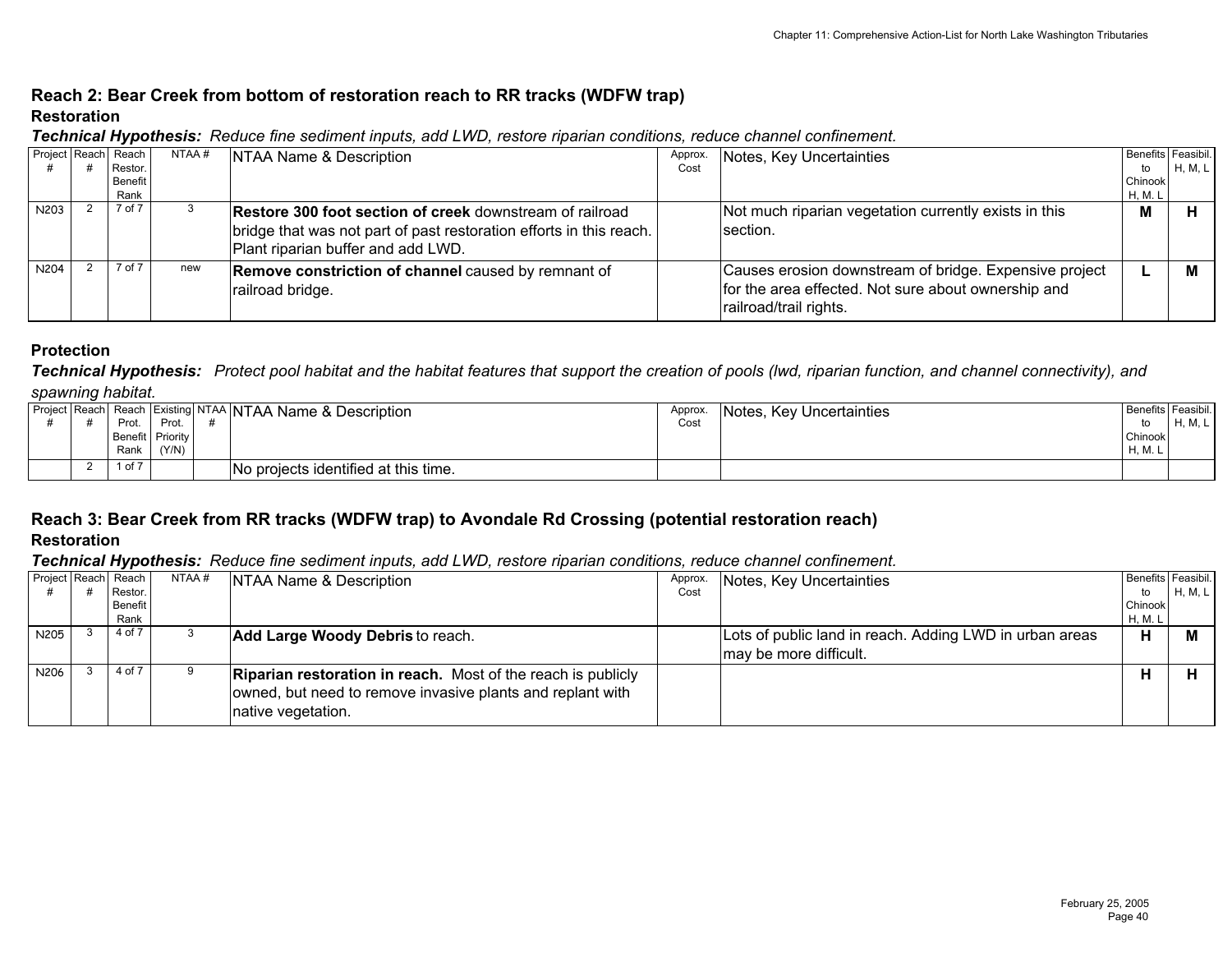# **Reach 2: Bear Creek from bottom of restoration reach to RR tracks (WDFW trap) Restoration**

|  |  |  |  | Technical Hypothesis: Reduce fine sediment inputs, add LWD, restore riparian conditions, reduce channel confinement. |
|--|--|--|--|----------------------------------------------------------------------------------------------------------------------|
|--|--|--|--|----------------------------------------------------------------------------------------------------------------------|

| Project Reach Reach | Restor.         | NTAA # | NTAA Name & Description                                                                                                                                               | Approx.<br>Cost | Notes, Key Uncertainties                                                                                                                | Benefits Feasibil.<br>to | H, M, L |
|---------------------|-----------------|--------|-----------------------------------------------------------------------------------------------------------------------------------------------------------------------|-----------------|-----------------------------------------------------------------------------------------------------------------------------------------|--------------------------|---------|
|                     | Benefit<br>Rank |        |                                                                                                                                                                       |                 |                                                                                                                                         | Chinook<br>H, M. L       |         |
| N203                | 7 of 7          |        | Restore 300 foot section of creek downstream of railroad<br>bridge that was not part of past restoration efforts in this reach.<br>Plant riparian buffer and add LWD. |                 | Not much riparian vegetation currently exists in this<br>Isection.                                                                      | М                        |         |
| N204                | 7 of 7          | new    | <b>Remove constriction of channel caused by remnant of</b><br>railroad bridge.                                                                                        |                 | Causes erosion downstream of bridge. Expensive project<br>for the area effected. Not sure about ownership and<br>railroad/trail rights. |                          |         |

#### **Protection**

*Technical Hypothesis: Protect pool habitat and the habitat features that support the creation of pools (lwd, riparian function, and channel connectivity), and spawning habitat.*

|  |        |                  | Project Reach Reach Existing NTAA NTAA Name & Description | Approx. | Notes, Key Uncertainties | Benefits Feasibil. |         |
|--|--------|------------------|-----------------------------------------------------------|---------|--------------------------|--------------------|---------|
|  | Prot.  | Prot.            |                                                           | Cost    |                          |                    | H. M. L |
|  |        | Benefit Priority |                                                           |         |                          | Chinook            |         |
|  | Rank   | (Y/N)            |                                                           |         |                          | H, M.              |         |
|  | l of 7 |                  | No projects identified at this time.                      |         |                          |                    |         |

# **Reach 3: Bear Creek from RR tracks (WDFW trap) to Avondale Rd Crossing (potential restoration reach)**

**Restoration**

| Project Reach Reach |                | NTAA# | NTAA Name & Description                                                          | Approx. | Notes, Key Uncertainties                                |         | Benefits Feasibil. |
|---------------------|----------------|-------|----------------------------------------------------------------------------------|---------|---------------------------------------------------------|---------|--------------------|
|                     | Restor.        |       |                                                                                  | Cost    |                                                         | to      | H, M, L            |
|                     | <b>Benefit</b> |       |                                                                                  |         |                                                         | Chinook |                    |
|                     | Rank           |       |                                                                                  |         |                                                         | H, M. L |                    |
| N205                | 4 of 7         |       | Add Large Woody Debris to reach.                                                 |         | Lots of public land in reach. Adding LWD in urban areas | н       |                    |
|                     |                |       |                                                                                  |         | may be more difficult.                                  |         |                    |
| N206                | 4 of 7         |       | <b>Riparian restoration in reach.</b> Most of the reach is publicly              |         |                                                         | н       |                    |
|                     |                |       | owned, but need to remove invasive plants and replant with<br>native vegetation. |         |                                                         |         |                    |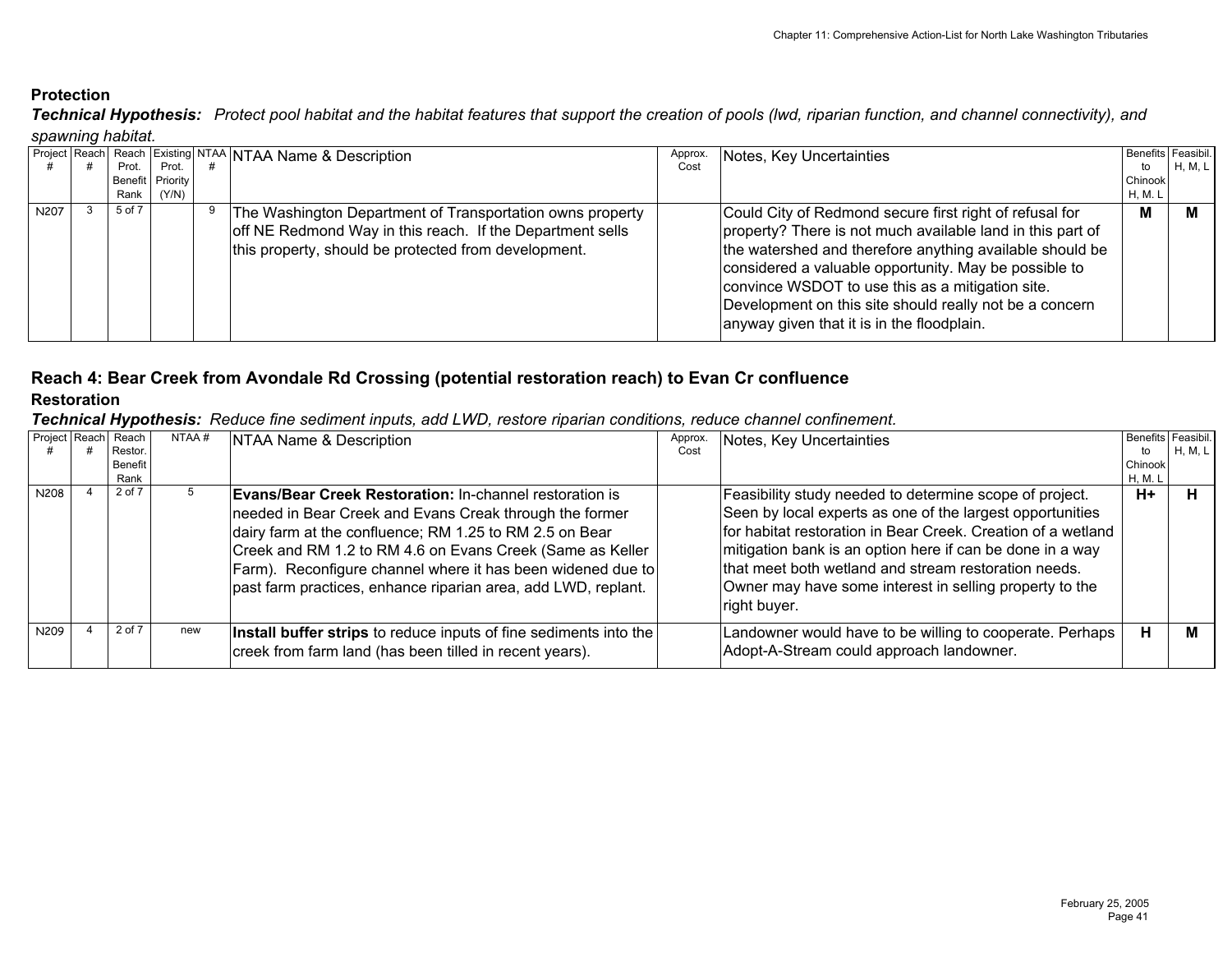*Technical Hypothesis: Protect pool habitat and the habitat features that support the creation of pools (lwd, riparian function, and channel connectivity), and spawning habitat.*

|      |        |                  | Project Reach Reach Existing NTAA NTAA Name & Description | Approx. | Notes, Key Uncertainties                                   | Benefits Feasibil. |         |
|------|--------|------------------|-----------------------------------------------------------|---------|------------------------------------------------------------|--------------------|---------|
|      | Prot.  | Prot.            |                                                           | Cost    |                                                            | to                 | H, M, L |
|      |        | Benefit Priority |                                                           |         |                                                            | Chinook            |         |
|      | Rank   | (Y/N)            |                                                           |         |                                                            | H, M. L            |         |
| N207 | 5 of 7 |                  | The Washington Department of Transportation owns property |         | Could City of Redmond secure first right of refusal for    | м                  |         |
|      |        |                  | off NE Redmond Way in this reach. If the Department sells |         | property? There is not much available land in this part of |                    |         |
|      |        |                  | this property, should be protected from development.      |         | the watershed and therefore anything available should be   |                    |         |
|      |        |                  |                                                           |         | considered a valuable opportunity. May be possible to      |                    |         |
|      |        |                  |                                                           |         | convince WSDOT to use this as a mitigation site.           |                    |         |
|      |        |                  |                                                           |         | Development on this site should really not be a concern    |                    |         |
|      |        |                  |                                                           |         |                                                            |                    |         |
|      |        |                  |                                                           |         | anyway given that it is in the floodplain.                 |                    |         |
|      |        |                  |                                                           |         |                                                            |                    |         |

# **Reach 4: Bear Creek from Avondale Rd Crossing (potential restoration reach) to Evan Cr confluence**

## **Restoration**

|      | Project Reach Reach<br>Restor.<br><b>Benefit</b><br>Rank | NTAA# | NTAA Name & Description                                                                                                                                                                                                                                                                                                                                                           | Approx.<br>Cost | Notes, Key Uncertainties                                                                                                                                                                                                                                                                                                                                                             | Benefits Feasibil.<br>to<br>Chinook<br>H, M. L | <b>H, M, L</b> |
|------|----------------------------------------------------------|-------|-----------------------------------------------------------------------------------------------------------------------------------------------------------------------------------------------------------------------------------------------------------------------------------------------------------------------------------------------------------------------------------|-----------------|--------------------------------------------------------------------------------------------------------------------------------------------------------------------------------------------------------------------------------------------------------------------------------------------------------------------------------------------------------------------------------------|------------------------------------------------|----------------|
| N208 | 2 of 7                                                   |       | <b>Evans/Bear Creek Restoration: In-channel restoration is</b><br>needed in Bear Creek and Evans Creak through the former<br>dairy farm at the confluence; RM 1.25 to RM 2.5 on Bear<br>Creek and RM 1.2 to RM 4.6 on Evans Creek (Same as Keller<br>Farm). Reconfigure channel where it has been widened due to<br>past farm practices, enhance riparian area, add LWD, replant. |                 | Feasibility study needed to determine scope of project.<br>Seen by local experts as one of the largest opportunities<br>for habitat restoration in Bear Creek. Creation of a wetland<br>mitigation bank is an option here if can be done in a way<br>that meet both wetland and stream restoration needs.<br>Owner may have some interest in selling property to the<br>right buyer. | $H+$                                           |                |
| N209 | 2 of 7                                                   | new   | Install buffer strips to reduce inputs of fine sediments into the<br>creek from farm land (has been tilled in recent years).                                                                                                                                                                                                                                                      |                 | Landowner would have to be willing to cooperate. Perhaps  <br>Adopt-A-Stream could approach landowner.                                                                                                                                                                                                                                                                               | н                                              | м              |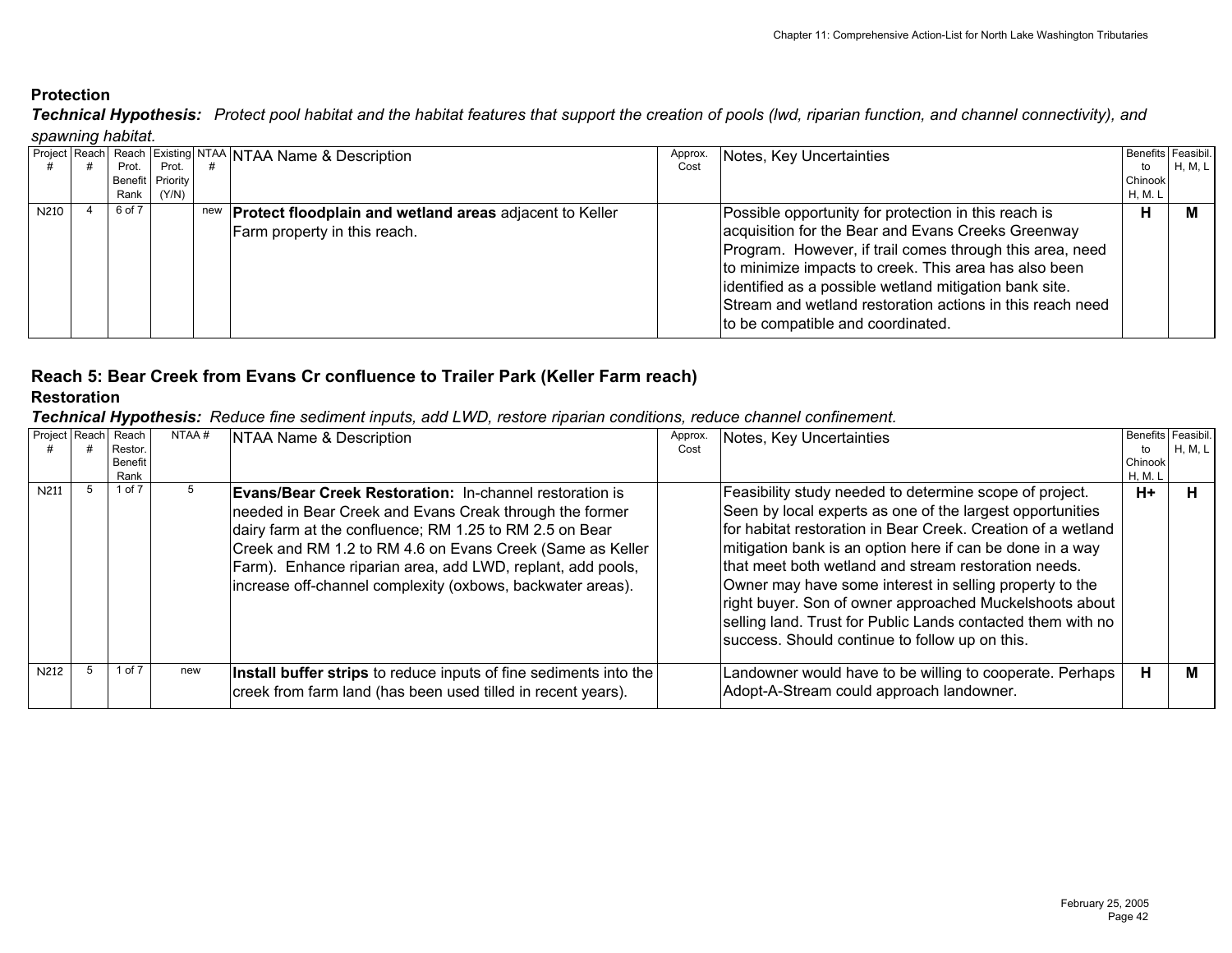*Technical Hypothesis: Protect pool habitat and the habitat features that support the creation of pools (lwd, riparian function, and channel connectivity), and spawning habitat.*

|      |  |         |                  |     | Project Reach Reach Existing NTAA NTAA Name & Description      | Approx. | Notes, Key Uncertainties                                  |         | Benefits Feasibil. |  |  |
|------|--|---------|------------------|-----|----------------------------------------------------------------|---------|-----------------------------------------------------------|---------|--------------------|--|--|
|      |  | Prot. I | Prot.            |     |                                                                | Cost    |                                                           | to      | H, M, L            |  |  |
|      |  |         | Benefit Priority |     |                                                                |         |                                                           | Chinook |                    |  |  |
|      |  | Rank I  | (Y/N)            |     |                                                                |         |                                                           | H, M. L |                    |  |  |
| N210 |  | 6 of 7  |                  | new | <b>Protect floodplain and wetland areas</b> adjacent to Keller |         | Possible opportunity for protection in this reach is      | н       |                    |  |  |
|      |  |         |                  |     | Farm property in this reach.                                   |         | acquisition for the Bear and Evans Creeks Greenway        |         |                    |  |  |
|      |  |         |                  |     |                                                                |         | Program. However, if trail comes through this area, need  |         |                    |  |  |
|      |  |         |                  |     |                                                                |         | to minimize impacts to creek. This area has also been     |         |                    |  |  |
|      |  |         |                  |     |                                                                |         | identified as a possible wetland mitigation bank site.    |         |                    |  |  |
|      |  |         |                  |     |                                                                |         |                                                           |         |                    |  |  |
|      |  |         |                  |     |                                                                |         | Stream and wetland restoration actions in this reach need |         |                    |  |  |
|      |  |         |                  |     |                                                                |         | to be compatible and coordinated.                         |         |                    |  |  |
|      |  |         |                  |     |                                                                |         |                                                           |         |                    |  |  |

# **Reach 5: Bear Creek from Evans Cr confluence to Trailer Park (Keller Farm reach) Restoration**

| Project Reach | Reach<br>Restor.<br>Benefit<br>Rank | NTAA# | NTAA Name & Description                                                                                                                                                                                                                                                                                                                                                       | Approx.<br>Cost | Notes, Key Uncertainties                                                                                                                                                                                                                                                                                                                                                                                                                                                                                                                         | tο<br>Chinook<br>H, M. L | Benefits Feasibil.<br>H, M, L |
|---------------|-------------------------------------|-------|-------------------------------------------------------------------------------------------------------------------------------------------------------------------------------------------------------------------------------------------------------------------------------------------------------------------------------------------------------------------------------|-----------------|--------------------------------------------------------------------------------------------------------------------------------------------------------------------------------------------------------------------------------------------------------------------------------------------------------------------------------------------------------------------------------------------------------------------------------------------------------------------------------------------------------------------------------------------------|--------------------------|-------------------------------|
| N211          | 1 of 7                              |       | <b>Evans/Bear Creek Restoration: In-channel restoration is</b><br>needed in Bear Creek and Evans Creak through the former<br>dairy farm at the confluence; RM 1.25 to RM 2.5 on Bear<br>Creek and RM 1.2 to RM 4.6 on Evans Creek (Same as Keller<br>Farm). Enhance riparian area, add LWD, replant, add pools,<br>increase off-channel complexity (oxbows, backwater areas). |                 | Feasibility study needed to determine scope of project.<br>Seen by local experts as one of the largest opportunities<br>for habitat restoration in Bear Creek. Creation of a wetland<br>mitigation bank is an option here if can be done in a way<br>that meet both wetland and stream restoration needs.<br>Owner may have some interest in selling property to the<br>right buyer. Son of owner approached Muckelshoots about<br>selling land. Trust for Public Lands contacted them with no<br>success. Should continue to follow up on this. | $H+$                     | н                             |
| N212          | $1$ of $7$                          | new   | Install buffer strips to reduce inputs of fine sediments into the<br>creek from farm land (has been used tilled in recent years).                                                                                                                                                                                                                                             |                 | Landowner would have to be willing to cooperate. Perhaps<br>Adopt-A-Stream could approach landowner.                                                                                                                                                                                                                                                                                                                                                                                                                                             | н                        | м                             |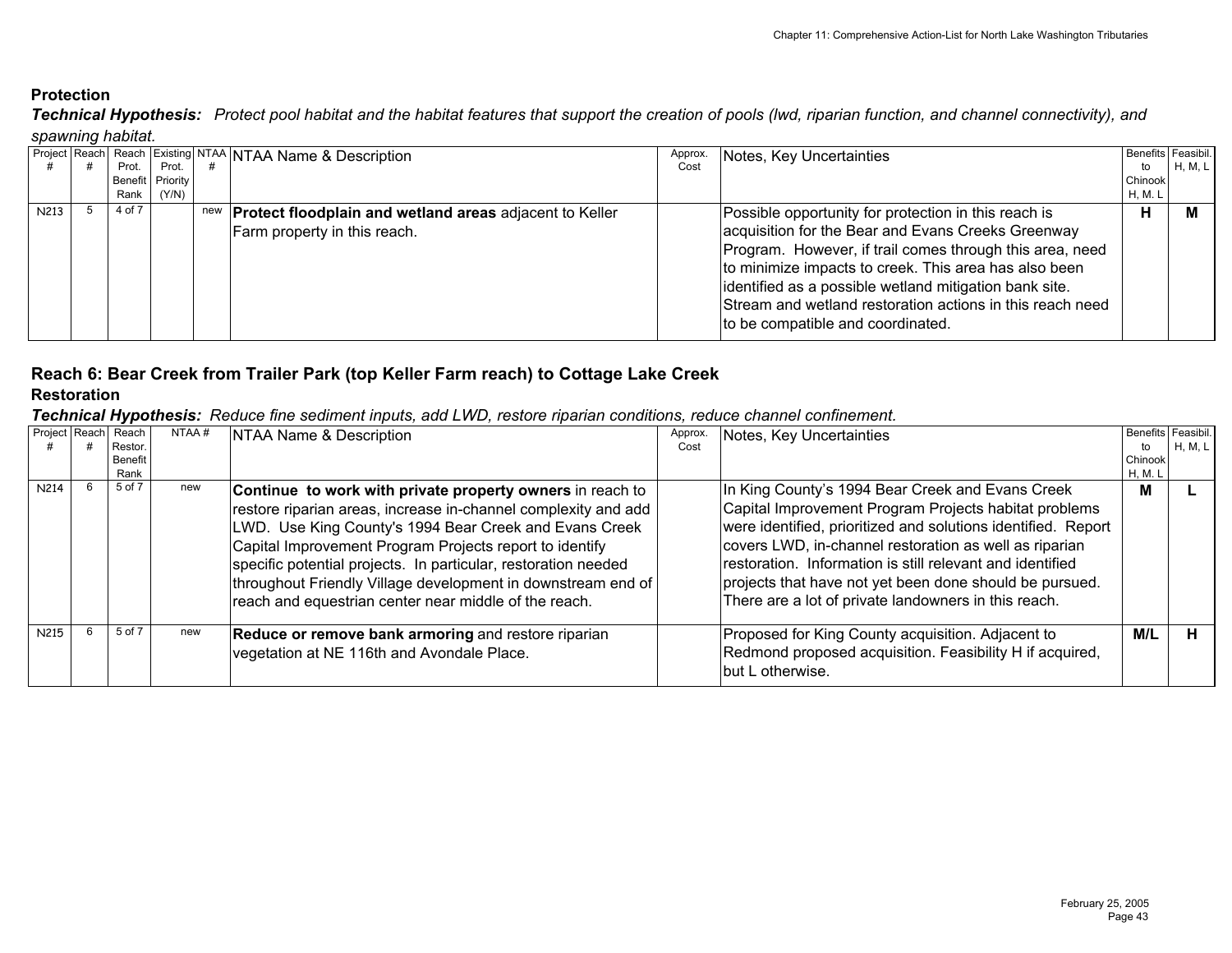*Technical Hypothesis: Protect pool habitat and the habitat features that support the creation of pools (lwd, riparian function, and channel connectivity), and spawning habitat.*

|      |        |                  | Project Reach Reach Existing NTAA NTAA Name & Description          | Approx. | Notes, Key Uncertainties                                  |         | Benefits Feasibil. |
|------|--------|------------------|--------------------------------------------------------------------|---------|-----------------------------------------------------------|---------|--------------------|
|      | Prot.  | Prot.            |                                                                    | Cost    |                                                           | to      | H, M, L            |
|      |        | Benefit Priority |                                                                    |         |                                                           | Chinook |                    |
|      | Rank   | (Y/N)            |                                                                    |         |                                                           | H, M. L |                    |
| N213 | 4 of 7 |                  | new <b>Protect floodplain and wetland areas</b> adjacent to Keller |         | Possible opportunity for protection in this reach is      | н       | м                  |
|      |        |                  | Farm property in this reach.                                       |         | acquisition for the Bear and Evans Creeks Greenway        |         |                    |
|      |        |                  |                                                                    |         | Program. However, if trail comes through this area, need  |         |                    |
|      |        |                  |                                                                    |         | to minimize impacts to creek. This area has also been     |         |                    |
|      |        |                  |                                                                    |         | identified as a possible wetland mitigation bank site.    |         |                    |
|      |        |                  |                                                                    |         |                                                           |         |                    |
|      |        |                  |                                                                    |         | Stream and wetland restoration actions in this reach need |         |                    |
|      |        |                  |                                                                    |         | to be compatible and coordinated.                         |         |                    |
|      |        |                  |                                                                    |         |                                                           |         |                    |

# **Reach 6: Bear Creek from Trailer Park (top Keller Farm reach) to Cottage Lake Creek**

# **Restoration**

| Project Reach | Reach<br>Restor.<br>Benefit<br>Rank | NTAA# | NTAA Name & Description                                                                                                                                                                                                                                                                                                                                                                                                                      | Approx.<br>Cost | Notes, Key Uncertainties                                                                                                                                                                                                                                                                                                                                                                                             | Benefits Feasibil.<br>to<br>Chinook<br>H, M. L | H, M, L |
|---------------|-------------------------------------|-------|----------------------------------------------------------------------------------------------------------------------------------------------------------------------------------------------------------------------------------------------------------------------------------------------------------------------------------------------------------------------------------------------------------------------------------------------|-----------------|----------------------------------------------------------------------------------------------------------------------------------------------------------------------------------------------------------------------------------------------------------------------------------------------------------------------------------------------------------------------------------------------------------------------|------------------------------------------------|---------|
| N214          | 5 of 7                              | new   | Continue to work with private property owners in reach to<br>restore riparian areas, increase in-channel complexity and add<br>LWD. Use King County's 1994 Bear Creek and Evans Creek<br>Capital Improvement Program Projects report to identify<br>specific potential projects. In particular, restoration needed<br> throughout Friendly Village development in downstream end of<br>reach and equestrian center near middle of the reach. |                 | In King County's 1994 Bear Creek and Evans Creek<br>Capital Improvement Program Projects habitat problems<br>were identified, prioritized and solutions identified. Report<br>covers LWD, in-channel restoration as well as riparian<br>restoration. Information is still relevant and identified<br>projects that have not yet been done should be pursued.<br>There are a lot of private landowners in this reach. | M                                              |         |
| N215          | 5 of 7                              | new   | Reduce or remove bank armoring and restore riparian<br>vegetation at NE 116th and Avondale Place.                                                                                                                                                                                                                                                                                                                                            |                 | Proposed for King County acquisition. Adjacent to<br>Redmond proposed acquisition. Feasibility H if acquired,<br>but L otherwise.                                                                                                                                                                                                                                                                                    | M/L                                            |         |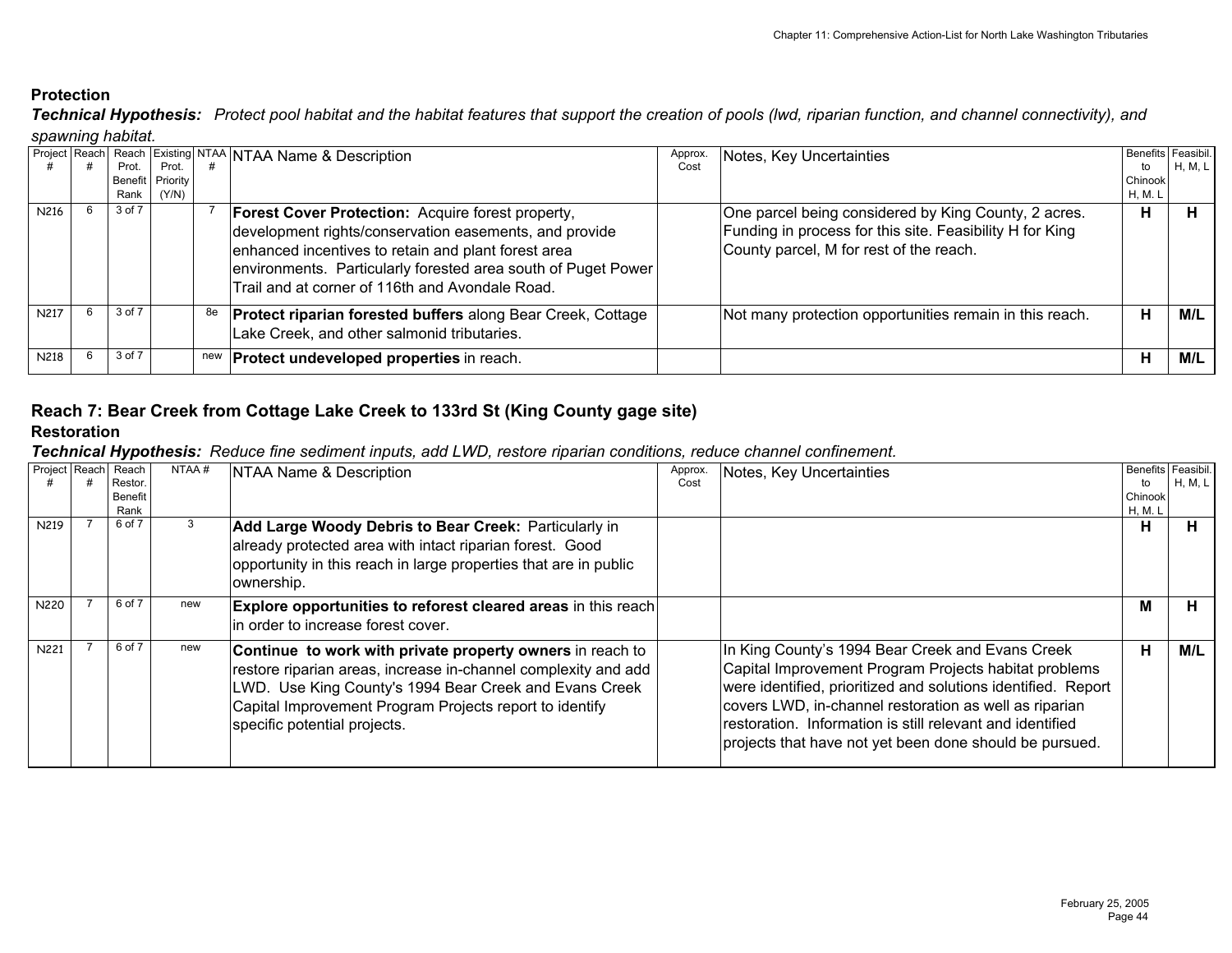*Technical Hypothesis: Protect pool habitat and the habitat features that support the creation of pools (lwd, riparian function, and channel connectivity), and spawning habitat.*

| Project Reach |        |                  |     | <b>Reach Existing NTAA NTAA Name &amp; Description</b>                                                                                                                                                                                                                                        | Approx. | Notes, Key Uncertainties                                                                                                                                    |         | Benefits Feasibil. |
|---------------|--------|------------------|-----|-----------------------------------------------------------------------------------------------------------------------------------------------------------------------------------------------------------------------------------------------------------------------------------------------|---------|-------------------------------------------------------------------------------------------------------------------------------------------------------------|---------|--------------------|
|               | Prot.  | Prot.            |     |                                                                                                                                                                                                                                                                                               | Cost    |                                                                                                                                                             | to      | H, M, L            |
|               |        | Benefit Priority |     |                                                                                                                                                                                                                                                                                               |         |                                                                                                                                                             | Chinook |                    |
|               | Rank   | (Y/N)            |     |                                                                                                                                                                                                                                                                                               |         |                                                                                                                                                             | H, M. L |                    |
| N216          | 3 of 7 |                  |     | <b>Forest Cover Protection:</b> Acquire forest property,<br>development rights/conservation easements, and provide<br>enhanced incentives to retain and plant forest area<br>environments. Particularly forested area south of Puget Power<br>Trail and at corner of 116th and Avondale Road. |         | One parcel being considered by King County, 2 acres.<br>Funding in process for this site. Feasibility H for King<br>County parcel, M for rest of the reach. | н       |                    |
| <b>N217</b>   | 3 of 7 |                  | 8e  | <b>Protect riparian forested buffers along Bear Creek, Cottage</b><br>Lake Creek, and other salmonid tributaries.                                                                                                                                                                             |         | Not many protection opportunities remain in this reach.                                                                                                     | н       | M/L                |
| N218          | 3 of 7 |                  | new | <b>Protect undeveloped properties in reach.</b>                                                                                                                                                                                                                                               |         |                                                                                                                                                             | н       | M/L                |

# **Reach 7: Bear Creek from Cottage Lake Creek to 133rd St (King County gage site)**

# **Restoration**

| Project Reach | Reach<br>Restor.<br><b>Benefit</b><br>Rank | NTAA# | NTAA Name & Description                                                                                                                                                                                                                                                          | Approx.<br>Cost | Notes, Key Uncertainties                                                                                                                                                                                                                                                                                                                                     | to<br>Chinook<br>H, M. L | Benefits Feasibil.<br>H, M, L |
|---------------|--------------------------------------------|-------|----------------------------------------------------------------------------------------------------------------------------------------------------------------------------------------------------------------------------------------------------------------------------------|-----------------|--------------------------------------------------------------------------------------------------------------------------------------------------------------------------------------------------------------------------------------------------------------------------------------------------------------------------------------------------------------|--------------------------|-------------------------------|
| N219          | 6 of 7                                     | 3     | Add Large Woody Debris to Bear Creek: Particularly in<br>already protected area with intact riparian forest. Good<br>opportunity in this reach in large properties that are in public<br>ownership.                                                                              |                 |                                                                                                                                                                                                                                                                                                                                                              | н                        | п.                            |
| N220          | 6 of 7                                     | new   | <b>Explore opportunities to reforest cleared areas in this reach</b><br>in order to increase forest cover.                                                                                                                                                                       |                 |                                                                                                                                                                                                                                                                                                                                                              | M                        | н.                            |
| N221          | 6 of 7                                     | new   | Continue to work with private property owners in reach to<br>restore riparian areas, increase in-channel complexity and add<br>LWD. Use King County's 1994 Bear Creek and Evans Creek<br>Capital Improvement Program Projects report to identify<br>specific potential projects. |                 | In King County's 1994 Bear Creek and Evans Creek<br>Capital Improvement Program Projects habitat problems<br>were identified, prioritized and solutions identified. Report<br>covers LWD, in-channel restoration as well as riparian<br>restoration. Information is still relevant and identified<br>projects that have not yet been done should be pursued. | н                        | M/L                           |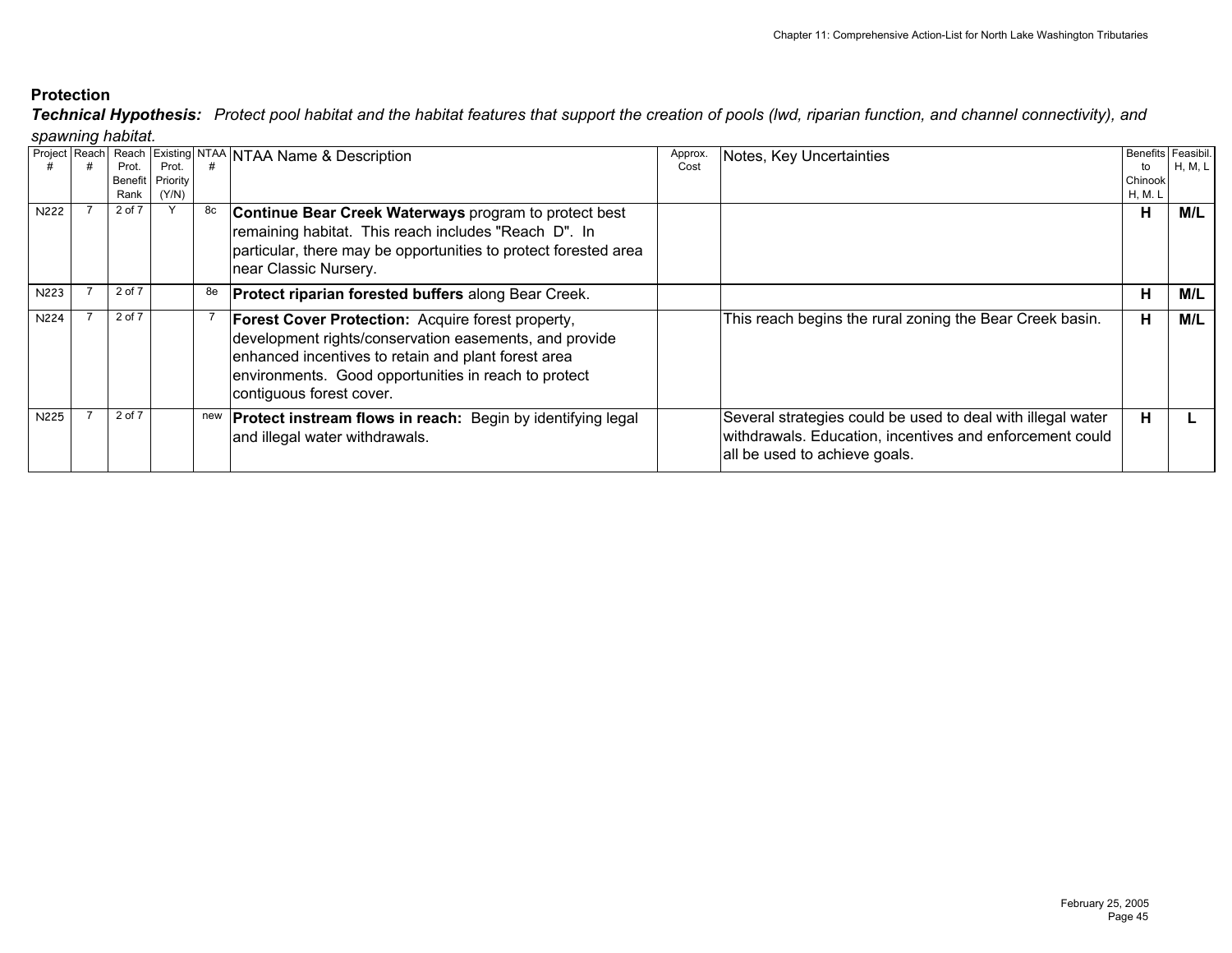*Technical Hypothesis: Protect pool habitat and the habitat features that support the creation of pools (lwd, riparian function, and channel connectivity), and spawning habitat.*

|      |        |                  |     | Project Reach Reach Existing NTAA NTAA Name & Description          | Approx. | Notes, Key Uncertainties                                    |         | Benefits Feasibil. |
|------|--------|------------------|-----|--------------------------------------------------------------------|---------|-------------------------------------------------------------|---------|--------------------|
|      | Prot.  | Prot.            |     |                                                                    | Cost    |                                                             | to      | H, M, L            |
|      |        | Benefit Priority |     |                                                                    |         |                                                             | Chinook |                    |
|      | Rank   | (Y/N)            |     |                                                                    |         |                                                             | H, M. L |                    |
| N222 | 2 of 7 |                  | 8c  | Continue Bear Creek Waterways program to protect best              |         |                                                             | н       | M/L                |
|      |        |                  |     | remaining habitat. This reach includes "Reach D". In               |         |                                                             |         |                    |
|      |        |                  |     | particular, there may be opportunities to protect forested area    |         |                                                             |         |                    |
|      |        |                  |     |                                                                    |         |                                                             |         |                    |
|      |        |                  |     | near Classic Nursery.                                              |         |                                                             |         |                    |
| N223 | 2 of 7 |                  | 8e  | <b>Protect riparian forested buffers along Bear Creek.</b>         |         |                                                             | Н       | M/L                |
|      |        |                  |     |                                                                    |         |                                                             |         |                    |
| N224 | 2 of 7 |                  |     | Forest Cover Protection: Acquire forest property,                  |         | This reach begins the rural zoning the Bear Creek basin.    | н       | M/L                |
|      |        |                  |     | development rights/conservation easements, and provide             |         |                                                             |         |                    |
|      |        |                  |     | enhanced incentives to retain and plant forest area                |         |                                                             |         |                    |
|      |        |                  |     | environments. Good opportunities in reach to protect               |         |                                                             |         |                    |
|      |        |                  |     |                                                                    |         |                                                             |         |                    |
|      |        |                  |     | contiguous forest cover.                                           |         |                                                             |         |                    |
| N225 | 2 of 7 |                  | new | <b>Protect instream flows in reach:</b> Begin by identifying legal |         | Several strategies could be used to deal with illegal water | н       |                    |
|      |        |                  |     | and illegal water withdrawals.                                     |         | withdrawals. Education, incentives and enforcement could    |         |                    |
|      |        |                  |     |                                                                    |         |                                                             |         |                    |
|      |        |                  |     |                                                                    |         | all be used to achieve goals.                               |         |                    |
|      |        |                  |     |                                                                    |         |                                                             |         |                    |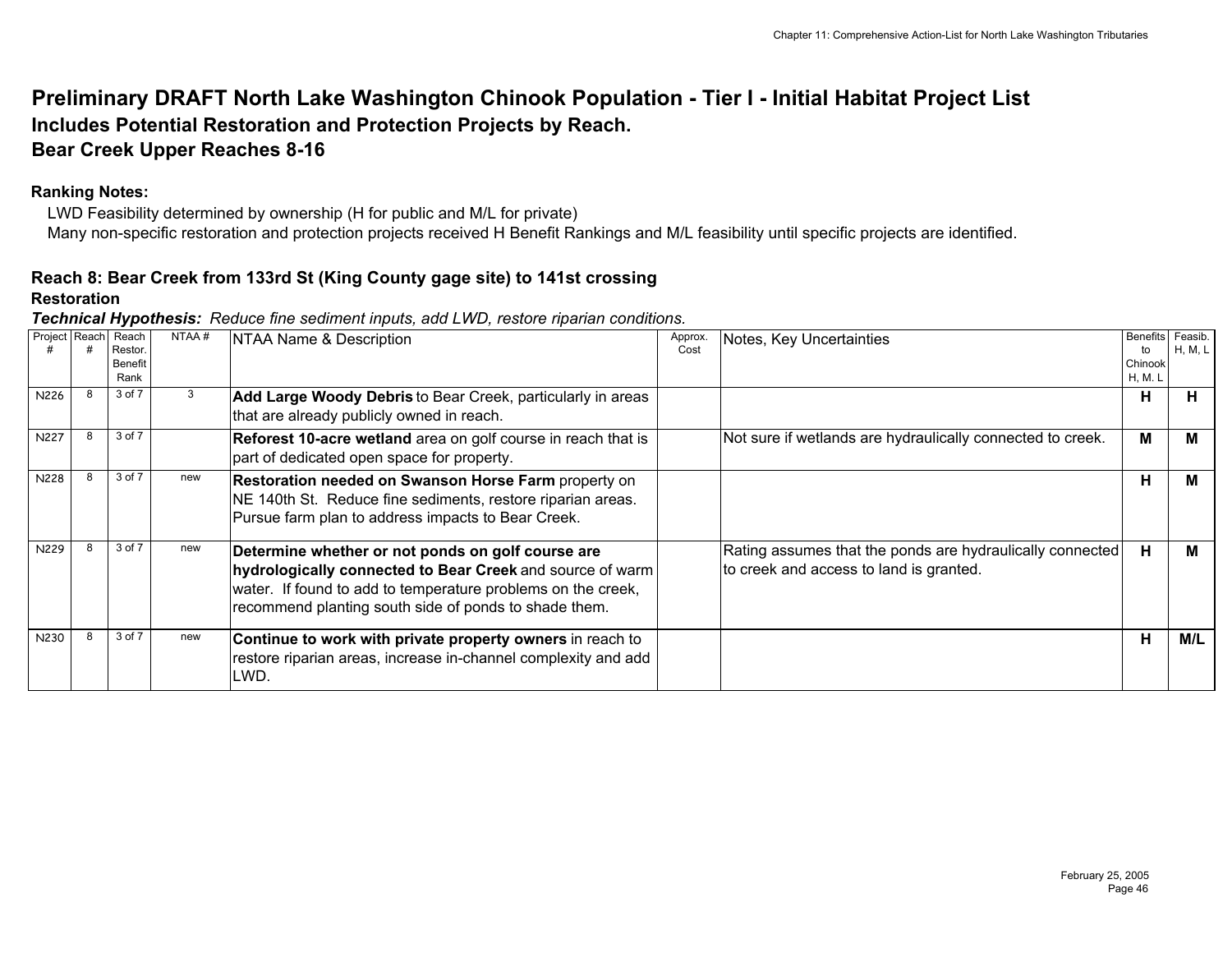# **Preliminary DRAFT North Lake Washington Chinook Population - Tier I - Initial Habitat Project List Includes Potential Restoration and Protection Projects by Reach. Bear Creek Upper Reaches 8-16**

## **Ranking Notes:**

 LWD Feasibility determined by ownership (H for public and M/L for private) Many non-specific restoration and protection projects received H Benefit Rankings and M/L feasibility until specific projects are identified.

# **Reach 8: Bear Creek from 133rd St (King County gage site) to 141st crossing**

#### **Restoration**

|               | . .                                       |       |                                                                                                                                                                                                                                         |                 |                                                                                                      |                                             |                    |
|---------------|-------------------------------------------|-------|-----------------------------------------------------------------------------------------------------------------------------------------------------------------------------------------------------------------------------------------|-----------------|------------------------------------------------------------------------------------------------------|---------------------------------------------|--------------------|
| Project Reach | Reach<br>Restor<br><b>Benefit</b><br>Rank | NTAA# | NTAA Name & Description                                                                                                                                                                                                                 | Approx.<br>Cost | Notes, Key Uncertainties                                                                             | <b>Benefits</b><br>to<br>Chinook<br>H, M. L | Feasib.<br>H, M, L |
| N226          | 3 of 7                                    |       | Add Large Woody Debris to Bear Creek, particularly in areas<br>that are already publicly owned in reach.                                                                                                                                |                 |                                                                                                      | н                                           | Н.                 |
| N227          | 3 of 7                                    |       | Reforest 10-acre wetland area on golf course in reach that is<br>part of dedicated open space for property.                                                                                                                             |                 | Not sure if wetlands are hydraulically connected to creek.                                           | м                                           | M                  |
| N228          | 3 of 7                                    | new   | <b>Restoration needed on Swanson Horse Farm property on</b><br>NE 140th St. Reduce fine sediments, restore riparian areas.<br>Pursue farm plan to address impacts to Bear Creek.                                                        |                 |                                                                                                      | н                                           | M                  |
| N229          | 3 of 7                                    | new   | Determine whether or not ponds on golf course are<br>hydrologically connected to Bear Creek and source of warm<br>water. If found to add to temperature problems on the creek,<br>recommend planting south side of ponds to shade them. |                 | Rating assumes that the ponds are hydraulically connected<br>to creek and access to land is granted. | н                                           | M                  |
| N230          | 3 of 7                                    | new   | Continue to work with private property owners in reach to<br>restore riparian areas, increase in-channel complexity and add<br>LWD.                                                                                                     |                 |                                                                                                      | н                                           | M/L                |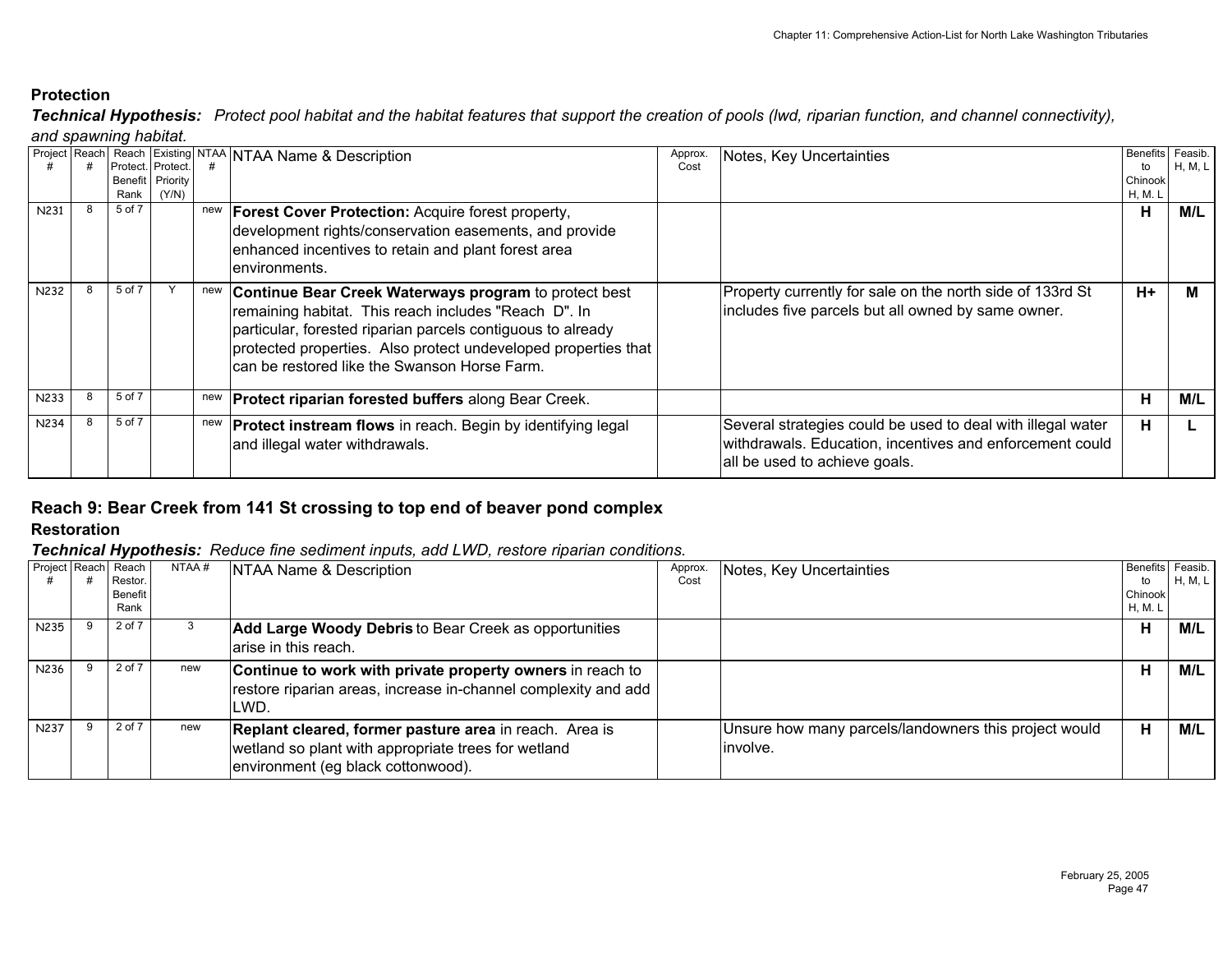*and spawning habitat. Technical Hypothesis: Protect pool habitat and the habitat features that support the creation of pools (lwd, riparian function, and channel connectivity),* 

|             |                   |                    |     | Project Reach Reach Existing NTAA NTAA Name & Description          | Approx. |                                                             |         | Benefits Feasib. |
|-------------|-------------------|--------------------|-----|--------------------------------------------------------------------|---------|-------------------------------------------------------------|---------|------------------|
|             | Protect. Protect. |                    |     |                                                                    | Cost    | Notes, Key Uncertainties                                    |         |                  |
|             |                   |                    |     |                                                                    |         |                                                             | to      | H, M, L          |
|             |                   | Benefit   Priority |     |                                                                    |         |                                                             | Chinook |                  |
|             | Rank              | (Y/N)              |     |                                                                    |         |                                                             | H, M. L |                  |
| N231        | 5 of 7            |                    | new | <b>Forest Cover Protection: Acquire forest property,</b>           |         |                                                             | н       | M/L              |
|             |                   |                    |     | development rights/conservation easements, and provide             |         |                                                             |         |                  |
|             |                   |                    |     |                                                                    |         |                                                             |         |                  |
|             |                   |                    |     | enhanced incentives to retain and plant forest area                |         |                                                             |         |                  |
|             |                   |                    |     | Ienvironments.                                                     |         |                                                             |         |                  |
|             |                   |                    |     |                                                                    |         |                                                             |         |                  |
| <b>N232</b> | 5 of 7            |                    | new | Continue Bear Creek Waterways program to protect best              |         | Property currently for sale on the north side of 133rd St   | $H+$    | м                |
|             |                   |                    |     |                                                                    |         | includes five parcels but all owned by same owner.          |         |                  |
|             |                   |                    |     | remaining habitat. This reach includes "Reach D". In               |         |                                                             |         |                  |
|             |                   |                    |     | particular, forested riparian parcels contiguous to already        |         |                                                             |         |                  |
|             |                   |                    |     | protected properties. Also protect undeveloped properties that     |         |                                                             |         |                  |
|             |                   |                    |     |                                                                    |         |                                                             |         |                  |
|             |                   |                    |     | can be restored like the Swanson Horse Farm.                       |         |                                                             |         |                  |
|             |                   |                    |     |                                                                    |         |                                                             |         |                  |
| N233        | 5 of 7            |                    |     | new <b>Protect riparian forested buffers</b> along Bear Creek.     |         |                                                             | н       | M/L              |
|             |                   |                    |     |                                                                    |         |                                                             |         |                  |
| <b>N234</b> | 5 of 7            |                    | new | <b>Protect instream flows</b> in reach. Begin by identifying legal |         | Several strategies could be used to deal with illegal water | н       |                  |
|             |                   |                    |     |                                                                    |         |                                                             |         |                  |
|             |                   |                    |     | and illegal water withdrawals.                                     |         | withdrawals. Education, incentives and enforcement could    |         |                  |
|             |                   |                    |     |                                                                    |         | all be used to achieve goals.                               |         |                  |
|             |                   |                    |     |                                                                    |         |                                                             |         |                  |

#### **Reach 9: Bear Creek from 141 St crossing to top end of beaver pond complex Restoration**

|             | Project Reach Reach<br>Restor.<br><b>Benefit</b><br>Rank | NTAA# | NTAA Name & Description                                                                                                                             | Approx.<br>Cost | Notes, Key Uncertainties                                           | <b>Benefits</b><br>to<br>Chinook<br>H, M. L | Feasib.<br>H, M, L |
|-------------|----------------------------------------------------------|-------|-----------------------------------------------------------------------------------------------------------------------------------------------------|-----------------|--------------------------------------------------------------------|---------------------------------------------|--------------------|
| N235        | 2 of 7                                                   |       | Add Large Woody Debris to Bear Creek as opportunities<br>arise in this reach.                                                                       |                 |                                                                    | н                                           | M/L                |
| N236        | 2 of 7                                                   | new   | Continue to work with private property owners in reach to<br>restore riparian areas, increase in-channel complexity and add<br>LWD.                 |                 |                                                                    | н                                           | M/L                |
| <b>N237</b> | 2 of 7                                                   | new   | Replant cleared, former pasture area in reach. Area is<br>wetland so plant with appropriate trees for wetland<br>environment (eg black cottonwood). |                 | Unsure how many parcels/landowners this project would<br>linvolve. | н                                           | M/L                |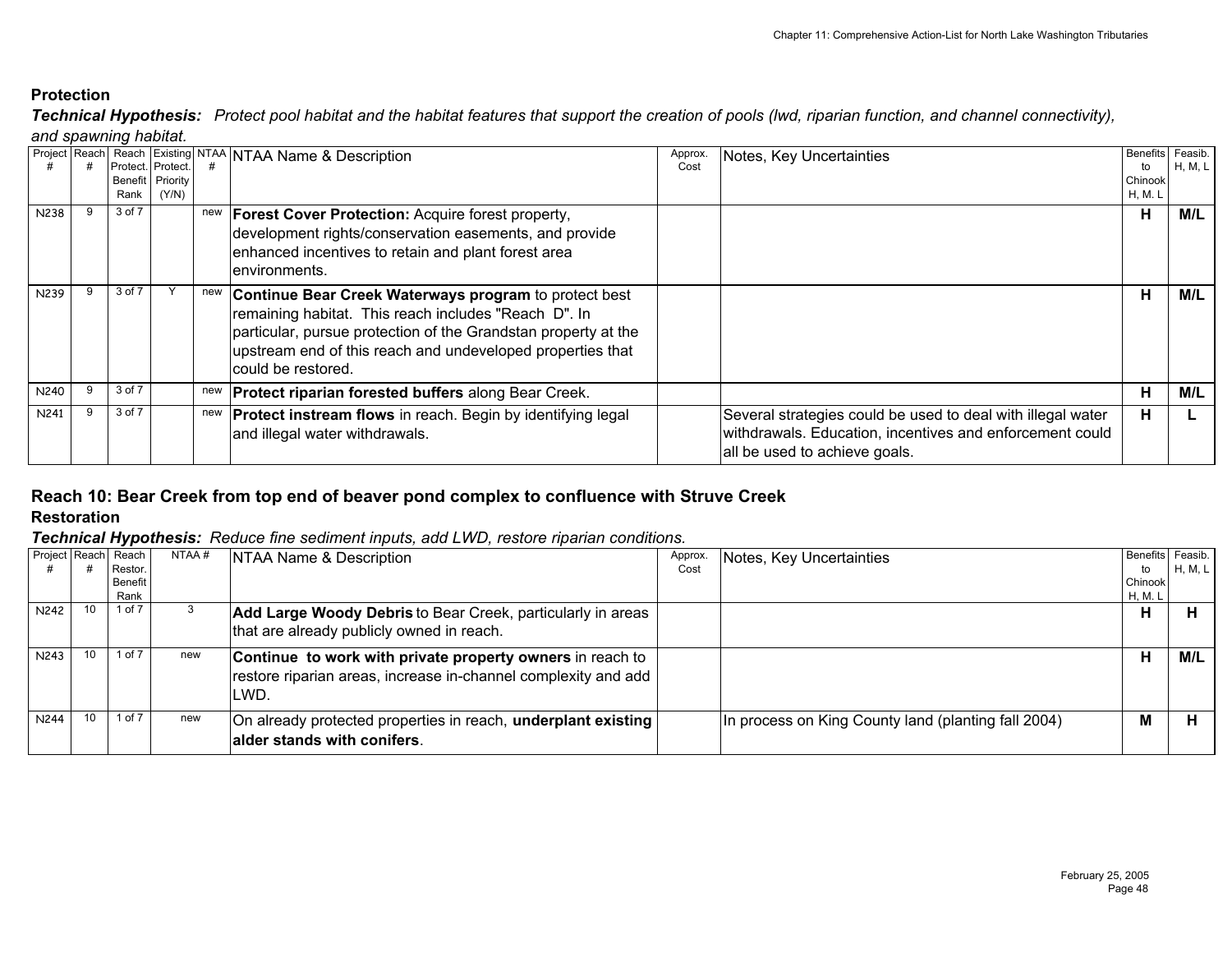*and spawning habitat. Technical Hypothesis: Protect pool habitat and the habitat features that support the creation of pools (lwd, riparian function, and channel connectivity),* 

| Project Reach | Benefit  <br>Rank | Protect. Protect.<br>Priority<br>(Y/N) |     | Reach Existing NTAA NTAA Name & Description                                                                                                                                                                                                                         | Approx.<br>Cost | Notes, Key Uncertainties                                                                                                                                 | to<br>Chinook<br><b>H, M. L</b> | Benefits Feasib.<br>H, M, L |
|---------------|-------------------|----------------------------------------|-----|---------------------------------------------------------------------------------------------------------------------------------------------------------------------------------------------------------------------------------------------------------------------|-----------------|----------------------------------------------------------------------------------------------------------------------------------------------------------|---------------------------------|-----------------------------|
| N238          | 3 of 7            |                                        |     | new   Forest Cover Protection: Acquire forest property,<br>development rights/conservation easements, and provide<br>enhanced incentives to retain and plant forest area<br>lenvironments.                                                                          |                 |                                                                                                                                                          | н                               | M/L                         |
| N239          | 3 of 7            |                                        | new | Continue Bear Creek Waterways program to protect best<br>remaining habitat. This reach includes "Reach D". In<br>particular, pursue protection of the Grandstan property at the<br>upstream end of this reach and undeveloped properties that<br>could be restored. |                 |                                                                                                                                                          | Н                               | M/L                         |
| N240          | 3 of 7            |                                        | new | <b>Protect riparian forested buffers along Bear Creek.</b>                                                                                                                                                                                                          |                 |                                                                                                                                                          | н                               | M/L                         |
| N241          | 3 of 7            |                                        | new | <b>Protect instream flows</b> in reach. Begin by identifying legal<br>and illegal water withdrawals.                                                                                                                                                                |                 | Several strategies could be used to deal with illegal water<br>withdrawals. Education, incentives and enforcement could<br>all be used to achieve goals. | н                               |                             |

# **Reach 10: Bear Creek from top end of beaver pond complex to confluence with Struve Creek**

**Restoration**

|                  | Project Reach Reach<br>Restor. | NTAA # | NTAA Name & Description                                                                                                             | Approx.<br>Cost | Notes, Key Uncertainties                            | Benefits Feasib.<br>to | H, M, L |
|------------------|--------------------------------|--------|-------------------------------------------------------------------------------------------------------------------------------------|-----------------|-----------------------------------------------------|------------------------|---------|
|                  | <b>Benefit</b><br>Rank         |        |                                                                                                                                     |                 |                                                     | Chinook<br>H, M. L     |         |
| N242             | 1 of 7                         |        | Add Large Woody Debris to Bear Creek, particularly in areas<br>that are already publicly owned in reach.                            |                 |                                                     | н                      | н       |
| N243             | 1 of $7$                       | new    | Continue to work with private property owners in reach to<br>restore riparian areas, increase in-channel complexity and add<br>LWD. |                 |                                                     | н                      | M/L     |
| N <sub>244</sub> | 1 of 7                         | new    | On already protected properties in reach, underplant existing<br>lalder stands with conifers.                                       |                 | In process on King County land (planting fall 2004) | M                      | н       |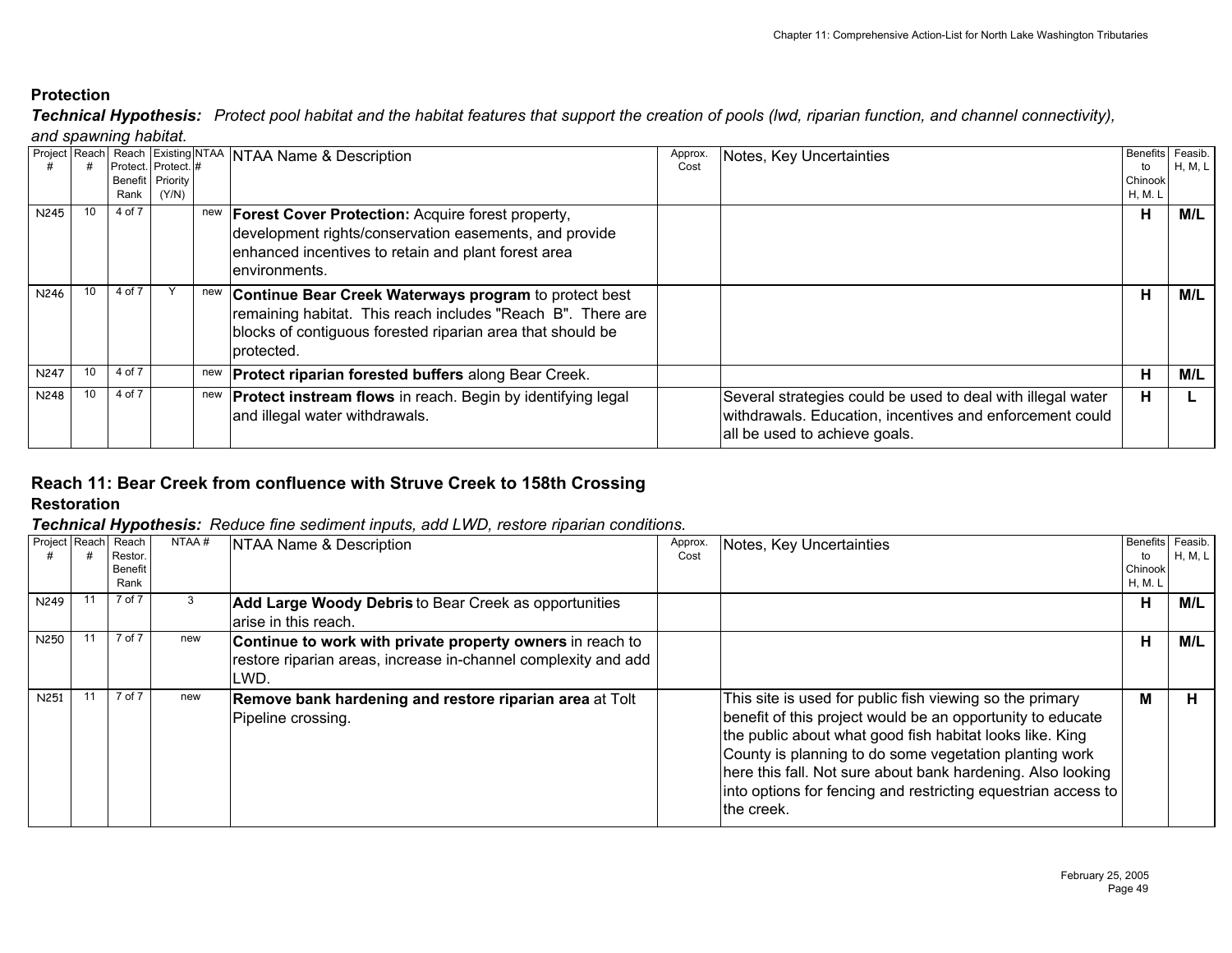*and spawning habitat. Technical Hypothesis: Protect pool habitat and the habitat features that support the creation of pools (lwd, riparian function, and channel connectivity),* 

|             |                 | Rank   | Protect. Protect. #<br>Benefit Priority<br>(Y/N) |     | Project Reach Reach Existing NTAA NTAA Name & Description                                                                                                                                                | Approx.<br>Cost | Notes, Key Uncertainties                                                                                                                                 | <b>Benefits</b><br>to<br>Chinook<br>H, M. L | Feasib.<br>H, M, L |
|-------------|-----------------|--------|--------------------------------------------------|-----|----------------------------------------------------------------------------------------------------------------------------------------------------------------------------------------------------------|-----------------|----------------------------------------------------------------------------------------------------------------------------------------------------------|---------------------------------------------|--------------------|
| N245        | 10 <sup>1</sup> | 4 of 7 |                                                  | new | <b>Forest Cover Protection: Acquire forest property,</b><br>development rights/conservation easements, and provide<br>enhanced incentives to retain and plant forest area<br>lenvironments.              |                 |                                                                                                                                                          | н                                           | M/L                |
| N246        |                 | 4 of 7 |                                                  | new | <b>Continue Bear Creek Waterways program to protect best</b><br>remaining habitat. This reach includes "Reach B". There are<br>blocks of contiguous forested riparian area that should be<br>Iprotected. |                 |                                                                                                                                                          | н                                           | M/L                |
| <b>N247</b> |                 | 4 of 7 |                                                  | new | <b>Protect riparian forested buffers along Bear Creek.</b>                                                                                                                                               |                 |                                                                                                                                                          | н                                           | M/L                |
| <b>N248</b> |                 | 4 of 7 |                                                  | new | <b>Protect instream flows</b> in reach. Begin by identifying legal<br>and illegal water withdrawals.                                                                                                     |                 | Several strategies could be used to deal with illegal water<br>withdrawals. Education, incentives and enforcement could<br>all be used to achieve goals. | н                                           |                    |

## **Reach 11: Bear Creek from confluence with Struve Creek to 158th Crossing Restoration**

| Project Reach | Reach          | NTAA# | NTAA Name & Description                                        | Approx. | Notes, Key Uncertainties                                      | Benefits Feasib. |           |
|---------------|----------------|-------|----------------------------------------------------------------|---------|---------------------------------------------------------------|------------------|-----------|
|               | Restor.        |       |                                                                | Cost    |                                                               | to               | H, M, L I |
|               | <b>Benefit</b> |       |                                                                |         |                                                               | Chinook          |           |
|               | Rank           |       |                                                                |         |                                                               | H, M. L          |           |
| N249          | 7 of 7         | 3     | <b>Add Large Woody Debris to Bear Creek as opportunities</b>   |         |                                                               | Н                | M/L       |
|               |                |       | arise in this reach.                                           |         |                                                               |                  |           |
| N250          | 7 of 7         | new   | Continue to work with private property owners in reach to      |         |                                                               | н                | M/L       |
|               |                |       | restore riparian areas, increase in-channel complexity and add |         |                                                               |                  |           |
|               |                |       | LWD.                                                           |         |                                                               |                  |           |
| N251          | 7 of 7         | new   | Remove bank hardening and restore riparian area at Tolt        |         | This site is used for public fish viewing so the primary      | м                | н.        |
|               |                |       | Pipeline crossing.                                             |         | benefit of this project would be an opportunity to educate    |                  |           |
|               |                |       |                                                                |         | the public about what good fish habitat looks like. King      |                  |           |
|               |                |       |                                                                |         |                                                               |                  |           |
|               |                |       |                                                                |         | County is planning to do some vegetation planting work        |                  |           |
|               |                |       |                                                                |         | here this fall. Not sure about bank hardening. Also looking   |                  |           |
|               |                |       |                                                                |         | into options for fencing and restricting equestrian access to |                  |           |
|               |                |       |                                                                |         |                                                               |                  |           |
|               |                |       |                                                                |         | the creek.                                                    |                  |           |
|               |                |       |                                                                |         |                                                               |                  |           |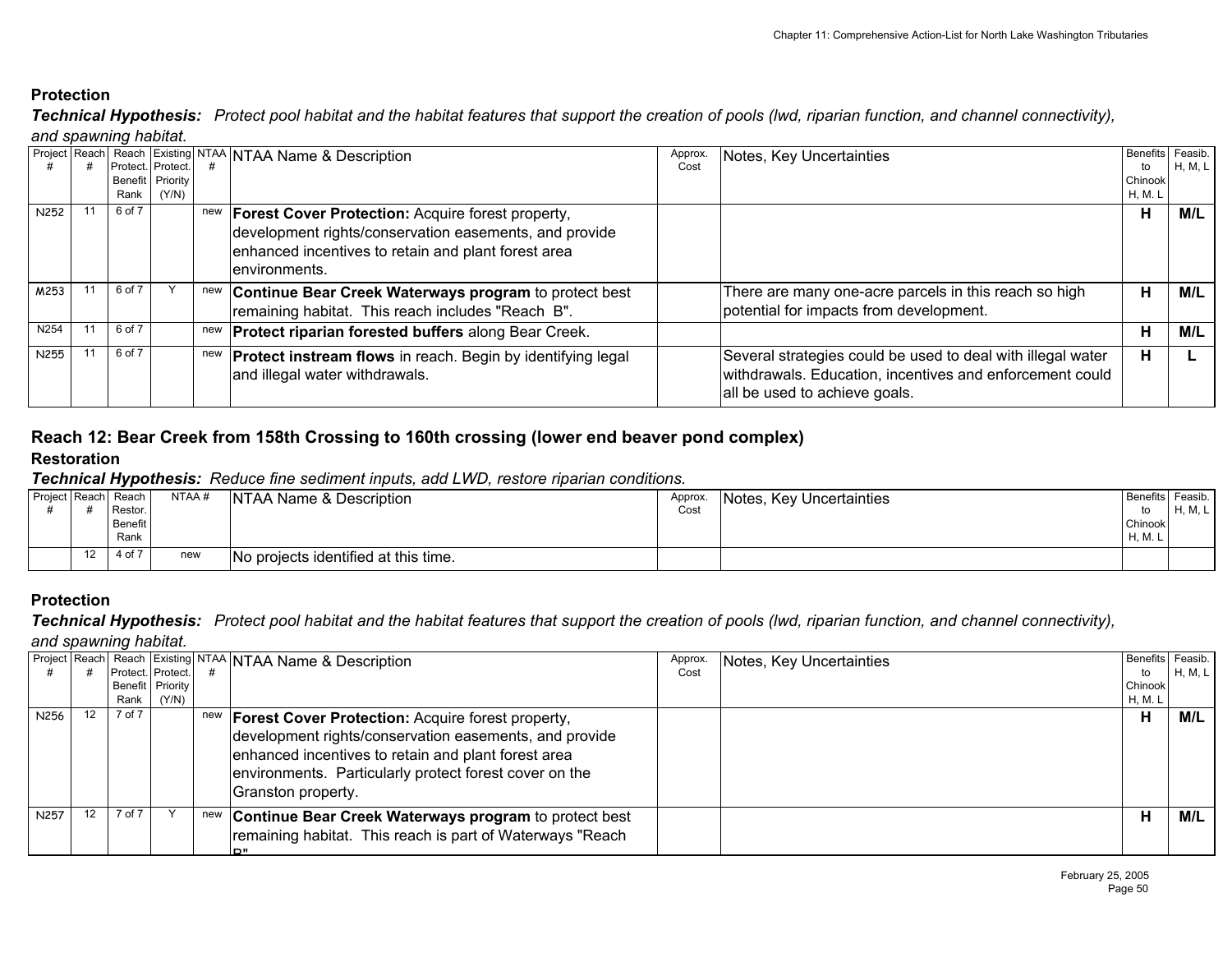*and spawning habitat. Technical Hypothesis: Protect pool habitat and the habitat features that support the creation of pools (lwd, riparian function, and channel connectivity),* 

| Project Reach    |                   |                  |     | Reach Existing NTAA NTAA Name & Description                        | Approx. | Notes, Key Uncertainties                                    | Benefits Feasib. |         |
|------------------|-------------------|------------------|-----|--------------------------------------------------------------------|---------|-------------------------------------------------------------|------------------|---------|
|                  | Protect. Protect. |                  |     |                                                                    | Cost    |                                                             | to               | H, M, L |
|                  |                   | Benefit Priority |     |                                                                    |         |                                                             | Chinook          |         |
|                  | Rank              | (Y/N)            |     |                                                                    |         |                                                             | H, M. L          |         |
| N <sub>252</sub> | 6 of 7            |                  | new | <b>Forest Cover Protection: Acquire forest property,</b>           |         |                                                             | н                | M/L     |
|                  |                   |                  |     | development rights/conservation easements, and provide             |         |                                                             |                  |         |
|                  |                   |                  |     |                                                                    |         |                                                             |                  |         |
|                  |                   |                  |     | enhanced incentives to retain and plant forest area                |         |                                                             |                  |         |
|                  |                   |                  |     | lenvironments.                                                     |         |                                                             |                  |         |
| M253             | 6 of 7            |                  | new | Continue Bear Creek Waterways program to protect best              |         | There are many one-acre parcels in this reach so high       | н                | M/L     |
|                  |                   |                  |     |                                                                    |         | potential for impacts from development.                     |                  |         |
|                  |                   |                  |     | remaining habitat. This reach includes "Reach B".                  |         |                                                             |                  |         |
| N254             | 6 of 7            |                  | new | <b>Protect riparian forested buffers along Bear Creek.</b>         |         |                                                             | н                | M/L     |
| N255             | 6 of 7            |                  | new | <b>Protect instream flows</b> in reach. Begin by identifying legal |         | Several strategies could be used to deal with illegal water | н                |         |
|                  |                   |                  |     |                                                                    |         |                                                             |                  |         |
|                  |                   |                  |     | and illegal water withdrawals.                                     |         | withdrawals. Education, incentives and enforcement could    |                  |         |
|                  |                   |                  |     |                                                                    |         | all be used to achieve goals.                               |                  |         |
|                  |                   |                  |     |                                                                    |         |                                                             |                  |         |

# **Reach 12: Bear Creek from 158th Crossing to 160th crossing (lower end beaver pond complex)**

#### **Restoration**

*Technical Hypothesis: Reduce fine sediment inputs, add LWD, restore riparian conditions.* 

| Project Reach Reach |    | Restor.<br>Benefit<br>Rank | NTAA # | NTAA Name & Description              | Approx.<br>Cost | Notes, Key Uncertainties | Benefits Feasib.<br>Chinook<br><sup>H, M. I</sup> | <b>H.M.L</b> |
|---------------------|----|----------------------------|--------|--------------------------------------|-----------------|--------------------------|---------------------------------------------------|--------------|
|                     | 12 | 4 of 7                     | new    | No projects identified at this time. |                 |                          |                                                   |              |

## **Protection**

*Technical Hypothesis: Protect pool habitat and the habitat features that support the creation of pools (lwd, riparian function, and channel connectivity),* 

#### *and spawning habitat.*

|                  |    | Protect. Protect.<br>Rank | Benefit Priority<br>(Y/N) |     | Project Reach  Reach Existing NTAA NTAA Name & Description                                                                                                                                                                                                    | Approx.<br>Cost | Notes, Key Uncertainties | Benefits Feasib.<br>to<br>Chinook<br>H, M. L | H, M, L |
|------------------|----|---------------------------|---------------------------|-----|---------------------------------------------------------------------------------------------------------------------------------------------------------------------------------------------------------------------------------------------------------------|-----------------|--------------------------|----------------------------------------------|---------|
| N <sub>256</sub> | 12 | 7 of 7                    |                           |     | new <b>Forest Cover Protection:</b> Acquire forest property,<br>development rights/conservation easements, and provide<br>enhanced incentives to retain and plant forest area<br>environments. Particularly protect forest cover on the<br>Granston property. |                 |                          | Н                                            | M/L     |
| N <sub>257</sub> |    | 7 of 7                    |                           | new | Continue Bear Creek Waterways program to protect best<br>remaining habitat. This reach is part of Waterways "Reach<br>יים ו                                                                                                                                   |                 |                          | н                                            | M/L     |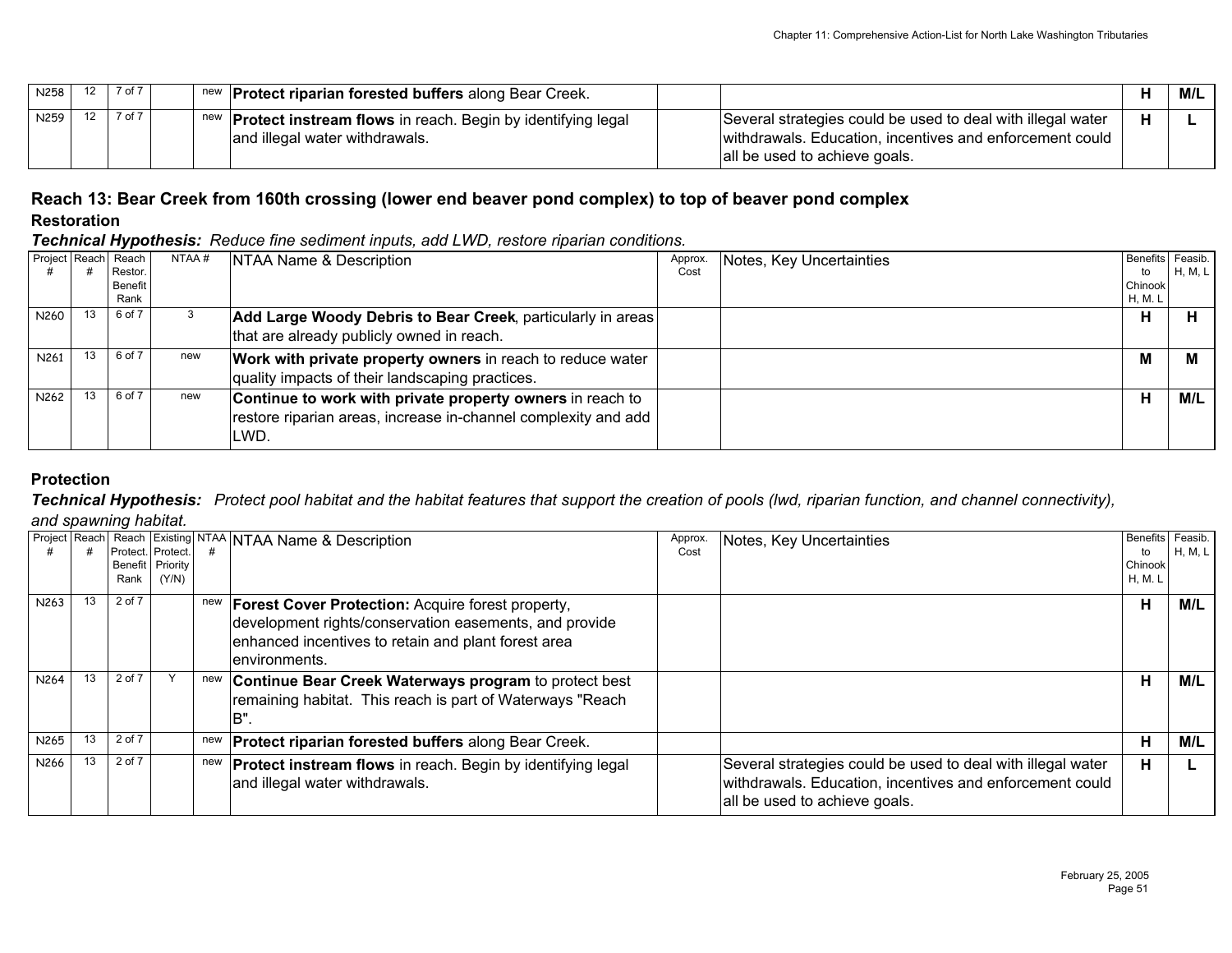| N258 |                 | 12 7 of 7 |  | new <b>Protect riparian forested buffers</b> along Bear Creek.                                           |                                                                                                                                                          |   | M/L |
|------|-----------------|-----------|--|----------------------------------------------------------------------------------------------------------|----------------------------------------------------------------------------------------------------------------------------------------------------------|---|-----|
| N259 | 12 <sup>7</sup> | 7 of 7    |  | new <b>Protect instream flows</b> in reach. Begin by identifying legal<br>and illegal water withdrawals. | Several strategies could be used to deal with illegal water<br>withdrawals. Education, incentives and enforcement could<br>all be used to achieve goals. | н |     |

# **Reach 13: Bear Creek from 160th crossing (lower end beaver pond complex) to top of beaver pond complex Restoration**

*Technical Hypothesis: Reduce fine sediment inputs, add LWD, restore riparian conditions.* 

|                  |    | Project Reach Reach<br>Restor.<br>Benefit<br>Rank | NTAA # | NTAA Name & Description                                                                                                             | Approx.<br>Cost | Notes, Key Uncertainties | Benefits Feasib.<br>to<br>Chinook<br>H, M. L | H, M, L |
|------------------|----|---------------------------------------------------|--------|-------------------------------------------------------------------------------------------------------------------------------------|-----------------|--------------------------|----------------------------------------------|---------|
| N260             | 13 | 6 of 7                                            |        | Add Large Woody Debris to Bear Creek, particularly in areas<br>that are already publicly owned in reach.                            |                 |                          | н                                            | н       |
| N <sub>261</sub> |    | 6 of 7                                            | new    | Work with private property owners in reach to reduce water<br>quality impacts of their landscaping practices.                       |                 |                          | м                                            | М       |
| N <sub>262</sub> | 13 | 6 of 7                                            | new    | Continue to work with private property owners in reach to<br>restore riparian areas, increase in-channel complexity and add<br>LWD. |                 |                          | н                                            | M/L     |

# **Protection**

*Technical Hypothesis: Protect pool habitat and the habitat features that support the creation of pools (lwd, riparian function, and channel connectivity),* 

*and spawning habitat.*

|                  |    | Rank   | Protect. Protect.<br>Benefit Priority<br>(Y/N) |     | Project Reach Reach Existing NTAA NTAA Name & Description                                                                                                                                  | Approx.<br>Cost | Notes, Key Uncertainties                                                                                                                                 | Benefits Feasib.<br>to<br>Chinook<br>H, M. L | H, M, L |
|------------------|----|--------|------------------------------------------------|-----|--------------------------------------------------------------------------------------------------------------------------------------------------------------------------------------------|-----------------|----------------------------------------------------------------------------------------------------------------------------------------------------------|----------------------------------------------|---------|
| N263             | 13 | 2 of 7 |                                                | new | <b>Forest Cover Protection: Acquire forest property,</b><br>development rights/conservation easements, and provide<br>enhanced incentives to retain and plant forest area<br>environments. |                 |                                                                                                                                                          | н                                            | M/L     |
| N <sub>264</sub> | 13 | 2 of 7 |                                                | new | Continue Bear Creek Waterways program to protect best<br>remaining habitat. This reach is part of Waterways "Reach<br>'B                                                                   |                 |                                                                                                                                                          | н                                            | M/L     |
| N265             |    | 2 of 7 |                                                |     | new <b>Protect riparian forested buffers</b> along Bear Creek.                                                                                                                             |                 |                                                                                                                                                          | н                                            | M/L     |
| N266             | 13 | 2 of 7 |                                                |     | new <b>Protect instream flows</b> in reach. Begin by identifying legal<br>and illegal water withdrawals.                                                                                   |                 | Several strategies could be used to deal with illegal water<br>withdrawals. Education, incentives and enforcement could<br>all be used to achieve goals. | н                                            |         |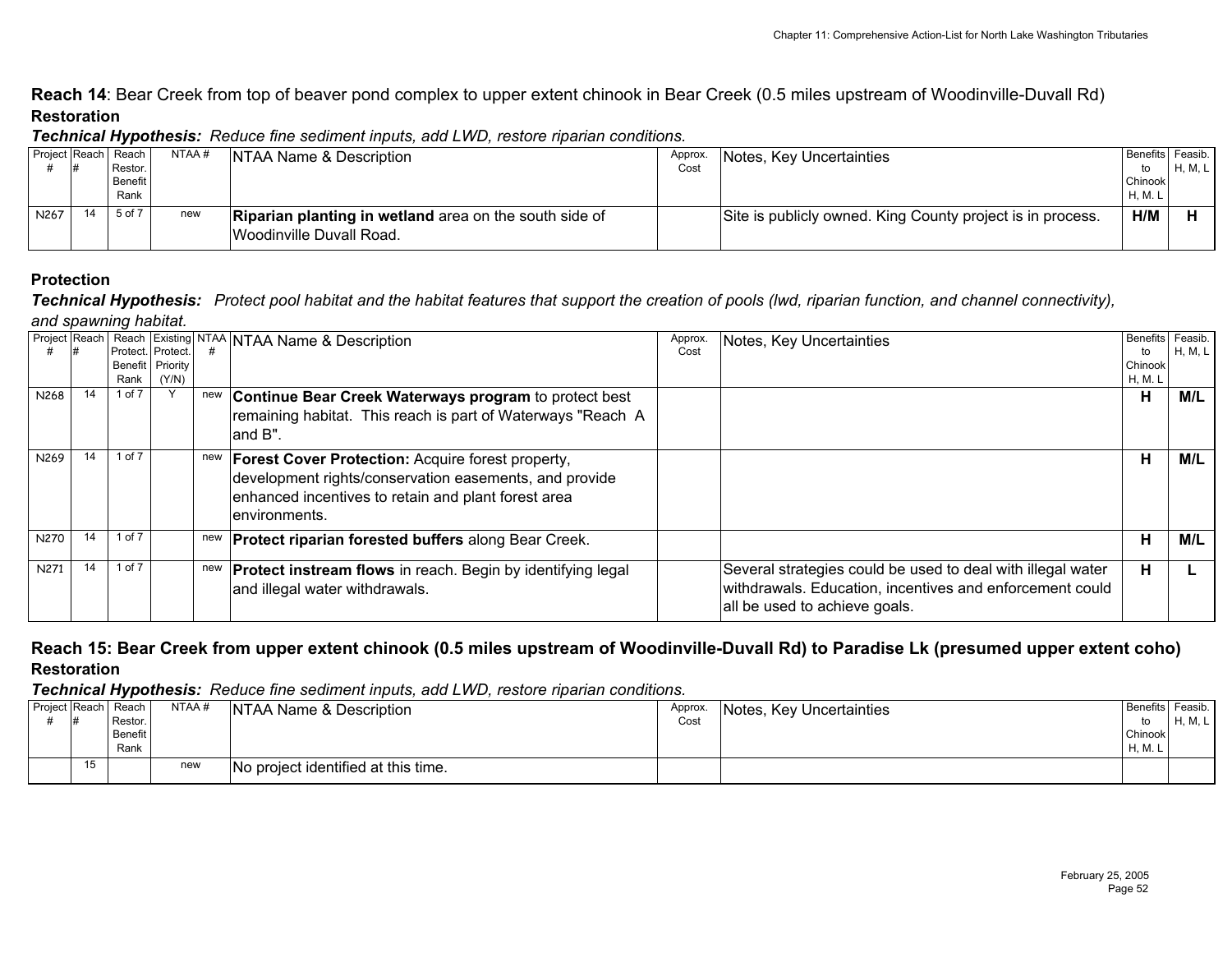**Reach 14**: Bear Creek from top of beaver pond complex to upper extent chinook in Bear Creek (0.5 miles upstream of Woodinville-Duvall Rd) **Restoration**

|                   |                     |       | <b>Technical Hypothesis.</b> The duce line sediment imputs, and EVVD, restore inparian conditions. |         |                                                            |                  |         |
|-------------------|---------------------|-------|----------------------------------------------------------------------------------------------------|---------|------------------------------------------------------------|------------------|---------|
|                   | Project Reach Reach | NTAA# | NTAA Name & Description                                                                            | Approx. | <b>Notes. Key Uncertainties</b>                            | Benefits Feasib. |         |
|                   | Restor.             |       |                                                                                                    | Cost    |                                                            |                  | H, M, L |
|                   | <b>Benefit</b>      |       |                                                                                                    |         |                                                            | Chinook          |         |
|                   | Rank                |       |                                                                                                    |         |                                                            | <b>H, M. L</b>   |         |
| N <sub>26</sub> 7 | 5 of 7              | new   | Riparian planting in wetland area on the south side of                                             |         | Site is publicly owned. King County project is in process. | H/M              |         |
|                   |                     |       | Woodinville Duvall Road.                                                                           |         |                                                            |                  |         |

#### *Technical Hypothesis: Reduce fine sediment inputs, add LWD, restore riparian conditions.*

#### **Protection**

*and spawning habitat. Technical Hypothesis: Protect pool habitat and the habitat features that support the creation of pools (lwd, riparian function, and channel connectivity),* 

|             |    |          |                   |     | Project Reach   Reach Existing NTAA   NTAA Name & Description          | Approx. | Notes, Key Uncertainties                                    | <b>Benefits</b> | Feasib. |
|-------------|----|----------|-------------------|-----|------------------------------------------------------------------------|---------|-------------------------------------------------------------|-----------------|---------|
|             |    |          | Protect. Protect. |     |                                                                        | Cost    |                                                             | to              | H, M, L |
|             |    |          | Benefit Priority  |     |                                                                        |         |                                                             | Chinook         |         |
|             |    | Rank     | (Y/N)             |     |                                                                        |         |                                                             | H, M. L         |         |
| N268        | 14 | 1 of 7   |                   | new | Continue Bear Creek Waterways program to protect best                  |         |                                                             | н               | M/L     |
|             |    |          |                   |     | remaining habitat. This reach is part of Waterways "Reach A            |         |                                                             |                 |         |
|             |    |          |                   |     |                                                                        |         |                                                             |                 |         |
|             |    |          |                   |     | land B".                                                               |         |                                                             |                 |         |
| N269        |    | 1 of 7   |                   |     |                                                                        |         |                                                             | н               |         |
|             |    |          |                   |     | new <b>Forest Cover Protection:</b> Acquire forest property,           |         |                                                             |                 | M/L     |
|             |    |          |                   |     | development rights/conservation easements, and provide                 |         |                                                             |                 |         |
|             |    |          |                   |     | enhanced incentives to retain and plant forest area                    |         |                                                             |                 |         |
|             |    |          |                   |     |                                                                        |         |                                                             |                 |         |
|             |    |          |                   |     | lenvironments.                                                         |         |                                                             |                 |         |
| <b>N270</b> |    | 1 of 7   |                   |     | new <b>Protect riparian forested buffers</b> along Bear Creek.         |         |                                                             | н               | M/L     |
|             |    |          |                   |     |                                                                        |         |                                                             |                 |         |
| N271        |    | 1 of $7$ |                   |     | new <b>Protect instream flows</b> in reach. Begin by identifying legal |         | Several strategies could be used to deal with illegal water | н               |         |
|             |    |          |                   |     |                                                                        |         | withdrawals. Education, incentives and enforcement could    |                 |         |
|             |    |          |                   |     | and illegal water withdrawals.                                         |         |                                                             |                 |         |
|             |    |          |                   |     |                                                                        |         | all be used to achieve goals.                               |                 |         |
|             |    |          |                   |     |                                                                        |         |                                                             |                 |         |

# **Reach 15: Bear Creek from upper extent chinook (0.5 miles upstream of Woodinville-Duvall Rd) to Paradise Lk (presumed upper extent coho) Restoration**

| Project Reach Reach | 1# | Restor.<br><b>Benefit</b><br>Rank | NTAA# | <b>NTAA Name &amp; Description</b>  | Approx.<br>Cost | Notes, Key Uncertainties | Benefits Feasib.<br>to<br>Chinook<br>H, M. I | H, M, L |
|---------------------|----|-----------------------------------|-------|-------------------------------------|-----------------|--------------------------|----------------------------------------------|---------|
|                     | 15 |                                   | new   | No project identified at this time. |                 |                          |                                              |         |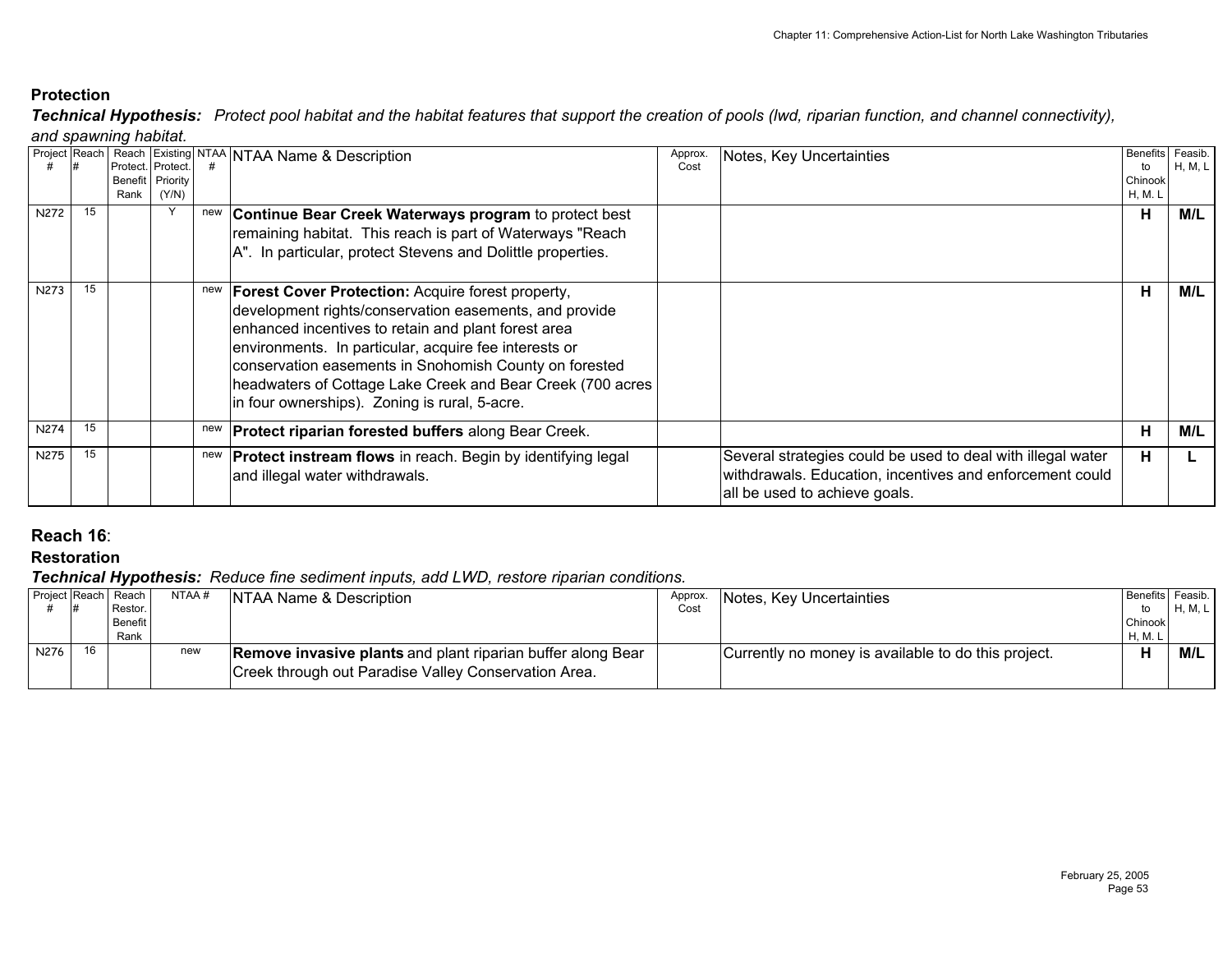*and spawning habitat. Technical Hypothesis: Protect pool habitat and the habitat features that support the creation of pools (lwd, riparian function, and channel connectivity),* 

| N272        | 15 | Protect. Protect.<br>Rank | Benefit Priority<br>(Y/N) | new | Project Reach Reach Existing NTAA NTAA Name & Description<br>Continue Bear Creek Waterways program to protect best<br>remaining habitat. This reach is part of Waterways "Reach                                                                                                                                                                                                                                          | Approx.<br>Cost | Notes, Key Uncertainties                                                                                                                                 | <b>Benefits</b><br>to<br>Chinook<br>H, M. L<br>н | Feasib.<br>H, M, L<br>M/L |
|-------------|----|---------------------------|---------------------------|-----|--------------------------------------------------------------------------------------------------------------------------------------------------------------------------------------------------------------------------------------------------------------------------------------------------------------------------------------------------------------------------------------------------------------------------|-----------------|----------------------------------------------------------------------------------------------------------------------------------------------------------|--------------------------------------------------|---------------------------|
| N273        | 15 |                           |                           |     | A". In particular, protect Stevens and Dolittle properties.<br>new   Forest Cover Protection: Acquire forest property,<br>development rights/conservation easements, and provide<br>enhanced incentives to retain and plant forest area<br>environments. In particular, acquire fee interests or<br>conservation easements in Snohomish County on forested<br>headwaters of Cottage Lake Creek and Bear Creek (700 acres |                 |                                                                                                                                                          | н                                                | M/L                       |
| <b>N274</b> | 15 |                           |                           |     | in four ownerships). Zoning is rural, 5-acre.<br><b>Protect riparian forested buffers along Bear Creek.</b>                                                                                                                                                                                                                                                                                                              |                 |                                                                                                                                                          | н                                                | M/L                       |
| N275        | 15 |                           |                           |     | new <b>Protect instream flows</b> in reach. Begin by identifying legal<br>and illegal water withdrawals.                                                                                                                                                                                                                                                                                                                 |                 | Several strategies could be used to deal with illegal water<br>withdrawals. Education, incentives and enforcement could<br>all be used to achieve goals. | н                                                |                           |

# **Reach 16**:

**Restoration**

| Benefits Feasib. |                    |
|------------------|--------------------|
|                  |                    |
| to               | H, M, L            |
|                  |                    |
|                  |                    |
|                  | M/L                |
|                  |                    |
|                  | Chinook<br>H, M, L |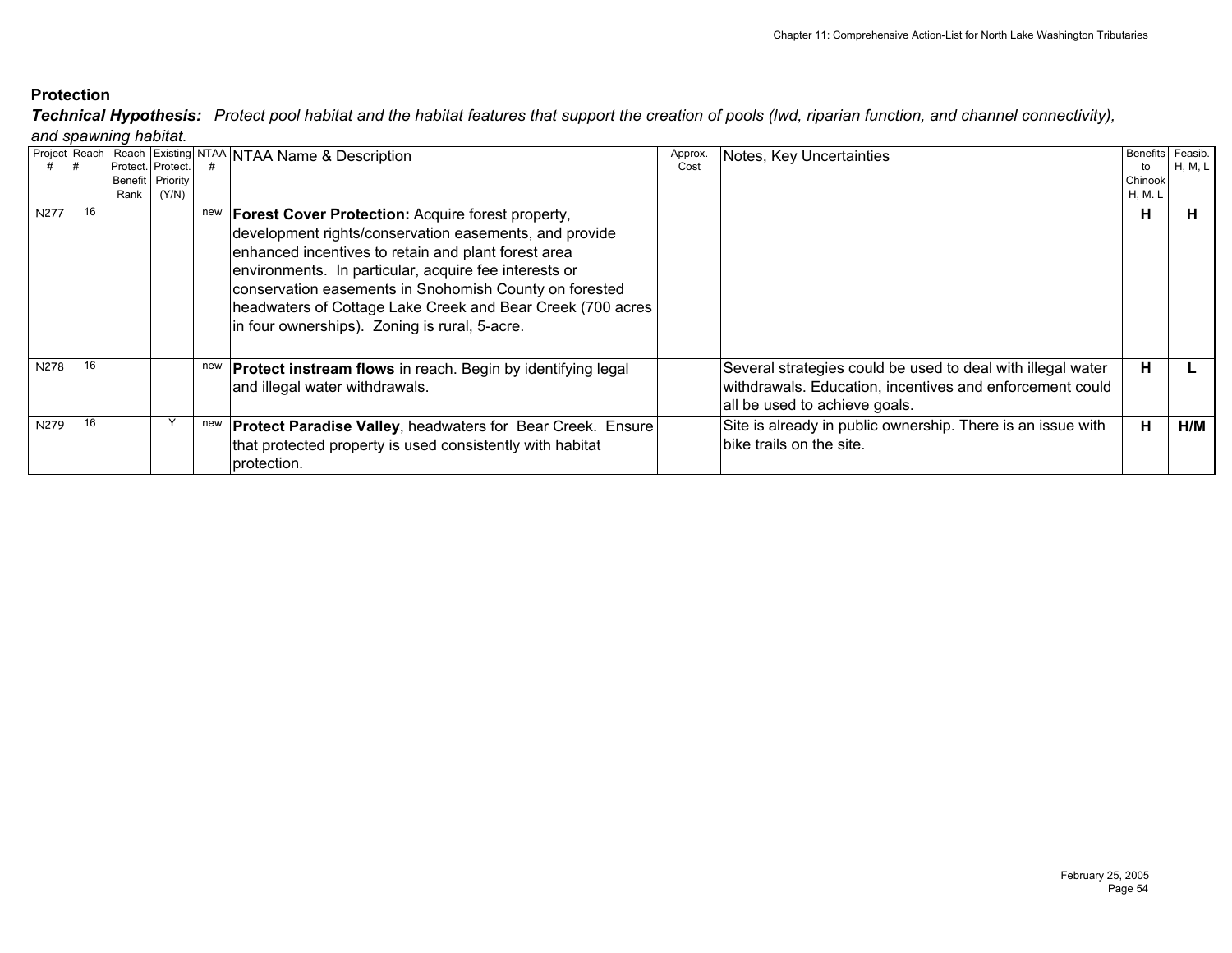*and spawning habitat. Technical Hypothesis: Protect pool habitat and the habitat features that support the creation of pools (lwd, riparian function, and channel connectivity),* 

| Project Reach |    |         |                   |     | Reach Existing NTAA NTAA Name & Description                        | Approx. | Notes, Key Uncertainties                                    |         | Benefits Feasib. |
|---------------|----|---------|-------------------|-----|--------------------------------------------------------------------|---------|-------------------------------------------------------------|---------|------------------|
|               |    |         | Protect. Protect. |     |                                                                    | Cost    |                                                             | to      | H, M, L I        |
|               |    | Benefit | Priority          |     |                                                                    |         |                                                             | Chinook |                  |
|               |    | Rank    | (Y/N)             |     |                                                                    |         |                                                             | H, M. L |                  |
| N277          | 16 |         |                   | new | <b>Forest Cover Protection: Acquire forest property,</b>           |         |                                                             | н       | н.               |
|               |    |         |                   |     | development rights/conservation easements, and provide             |         |                                                             |         |                  |
|               |    |         |                   |     | enhanced incentives to retain and plant forest area                |         |                                                             |         |                  |
|               |    |         |                   |     |                                                                    |         |                                                             |         |                  |
|               |    |         |                   |     | environments. In particular, acquire fee interests or              |         |                                                             |         |                  |
|               |    |         |                   |     | conservation easements in Snohomish County on forested             |         |                                                             |         |                  |
|               |    |         |                   |     | headwaters of Cottage Lake Creek and Bear Creek (700 acres         |         |                                                             |         |                  |
|               |    |         |                   |     | in four ownerships). Zoning is rural, 5-acre.                      |         |                                                             |         |                  |
|               |    |         |                   |     |                                                                    |         |                                                             |         |                  |
|               |    |         |                   |     |                                                                    |         |                                                             |         |                  |
| N278          | 16 |         |                   | new | <b>Protect instream flows</b> in reach. Begin by identifying legal |         | Several strategies could be used to deal with illegal water | н       |                  |
|               |    |         |                   |     | and illegal water withdrawals.                                     |         | withdrawals. Education, incentives and enforcement could    |         |                  |
|               |    |         |                   |     |                                                                    |         | all be used to achieve goals.                               |         |                  |
|               |    |         |                   |     |                                                                    |         |                                                             |         |                  |
| N279          | 16 |         |                   | new | <b>Protect Paradise Valley, headwaters for Bear Creek. Ensure</b>  |         | Site is already in public ownership. There is an issue with | н       | H/M              |
|               |    |         |                   |     | that protected property is used consistently with habitat          |         | bike trails on the site.                                    |         |                  |
|               |    |         |                   |     | protection.                                                        |         |                                                             |         |                  |
|               |    |         |                   |     |                                                                    |         |                                                             |         |                  |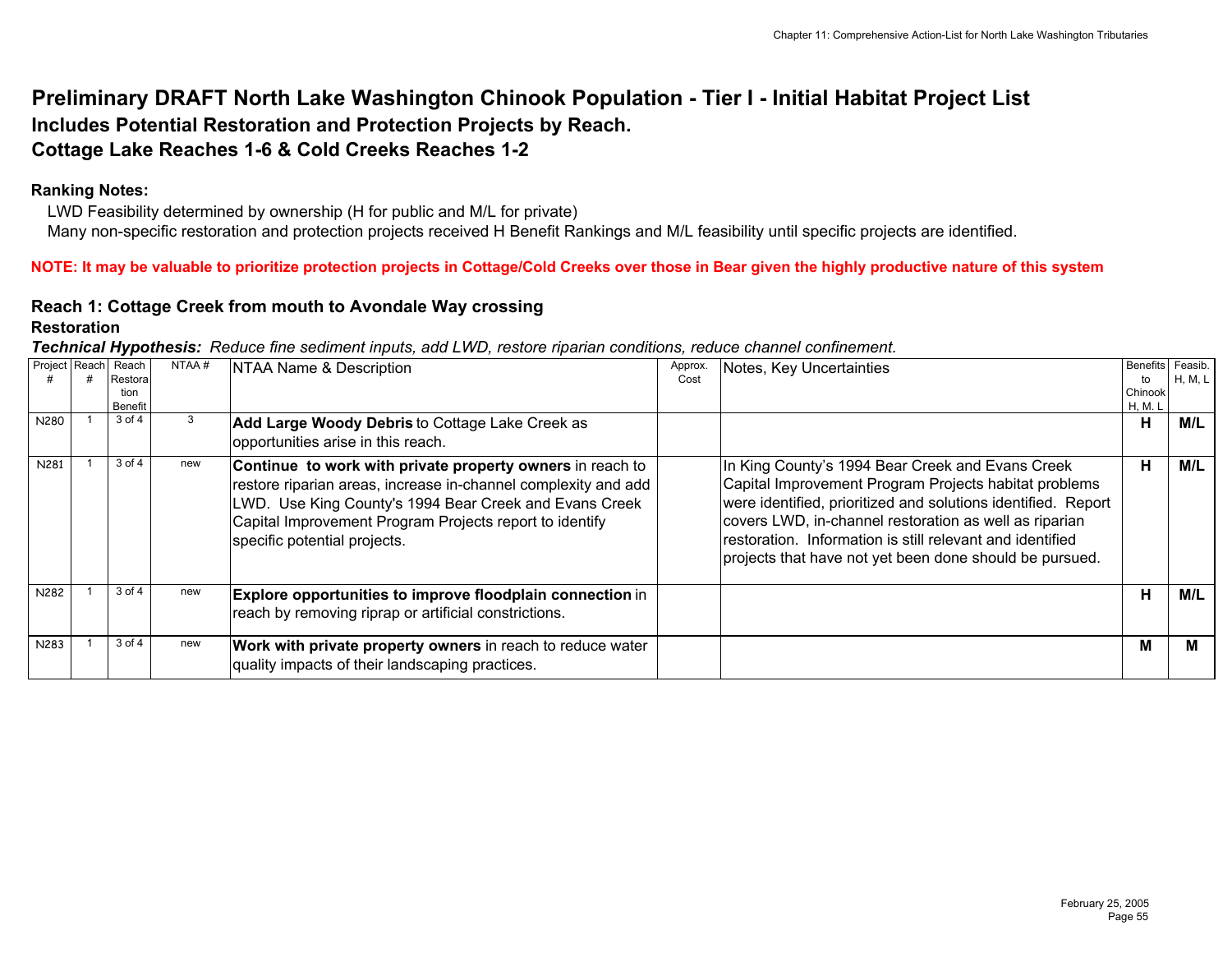# **Preliminary DRAFT North Lake Washington Chinook Population - Tier I - Initial Habitat Project List Includes Potential Restoration and Protection Projects by Reach. Cottage Lake Reaches 1-6 & Cold Creeks Reaches 1-2**

#### **Ranking Notes:**

 LWD Feasibility determined by ownership (H for public and M/L for private) Many non-specific restoration and protection projects received H Benefit Rankings and M/L feasibility until specific projects are identified.

**NOTE: It may be valuable to prioritize protection projects in Cottage/Cold Creeks over those in Bear given the highly productive nature of this system**

#### **Reach 1: Cottage Creek from mouth to Avondale Way crossing Restoration**

| Technical Hypothesis: Reduce fine sediment inputs, add LWD, restore riparian conditions, reduce channel confinement. |  |  |
|----------------------------------------------------------------------------------------------------------------------|--|--|
|                                                                                                                      |  |  |

| Project Reach<br>N280 | Reach<br>Restora<br>tion<br><b>Benefit</b><br>3 of 4 | NTAA#<br>3 | NTAA Name & Description<br>Add Large Woody Debris to Cottage Lake Creek as                                                                                                                                                                                                                                             | Approx.<br>Cost | <b>Notes, Key Uncertainties</b>                                                                                                                                                                                                                                                                                                                              | to<br>Chinook<br>H, M. L<br>н | Benefits Feasib.<br>H, M, L<br>M/L |
|-----------------------|------------------------------------------------------|------------|------------------------------------------------------------------------------------------------------------------------------------------------------------------------------------------------------------------------------------------------------------------------------------------------------------------------|-----------------|--------------------------------------------------------------------------------------------------------------------------------------------------------------------------------------------------------------------------------------------------------------------------------------------------------------------------------------------------------------|-------------------------------|------------------------------------|
| N281                  | 3 of 4                                               | new        | opportunities arise in this reach.<br>Continue to work with private property owners in reach to<br>restore riparian areas, increase in-channel complexity and add<br>LWD. Use King County's 1994 Bear Creek and Evans Creek<br>Capital Improvement Program Projects report to identify<br>specific potential projects. |                 | In King County's 1994 Bear Creek and Evans Creek<br>Capital Improvement Program Projects habitat problems<br>were identified, prioritized and solutions identified. Report<br>covers LWD, in-channel restoration as well as riparian<br>restoration. Information is still relevant and identified<br>projects that have not yet been done should be pursued. | н                             | M/L                                |
| N282                  | 3 of 4                                               | new        | Explore opportunities to improve floodplain connection in<br>reach by removing riprap or artificial constrictions.                                                                                                                                                                                                     |                 |                                                                                                                                                                                                                                                                                                                                                              | н                             | M/L                                |
| N283                  | $3$ of $4$                                           | new        | Work with private property owners in reach to reduce water<br>quality impacts of their landscaping practices.                                                                                                                                                                                                          |                 |                                                                                                                                                                                                                                                                                                                                                              | M                             | м                                  |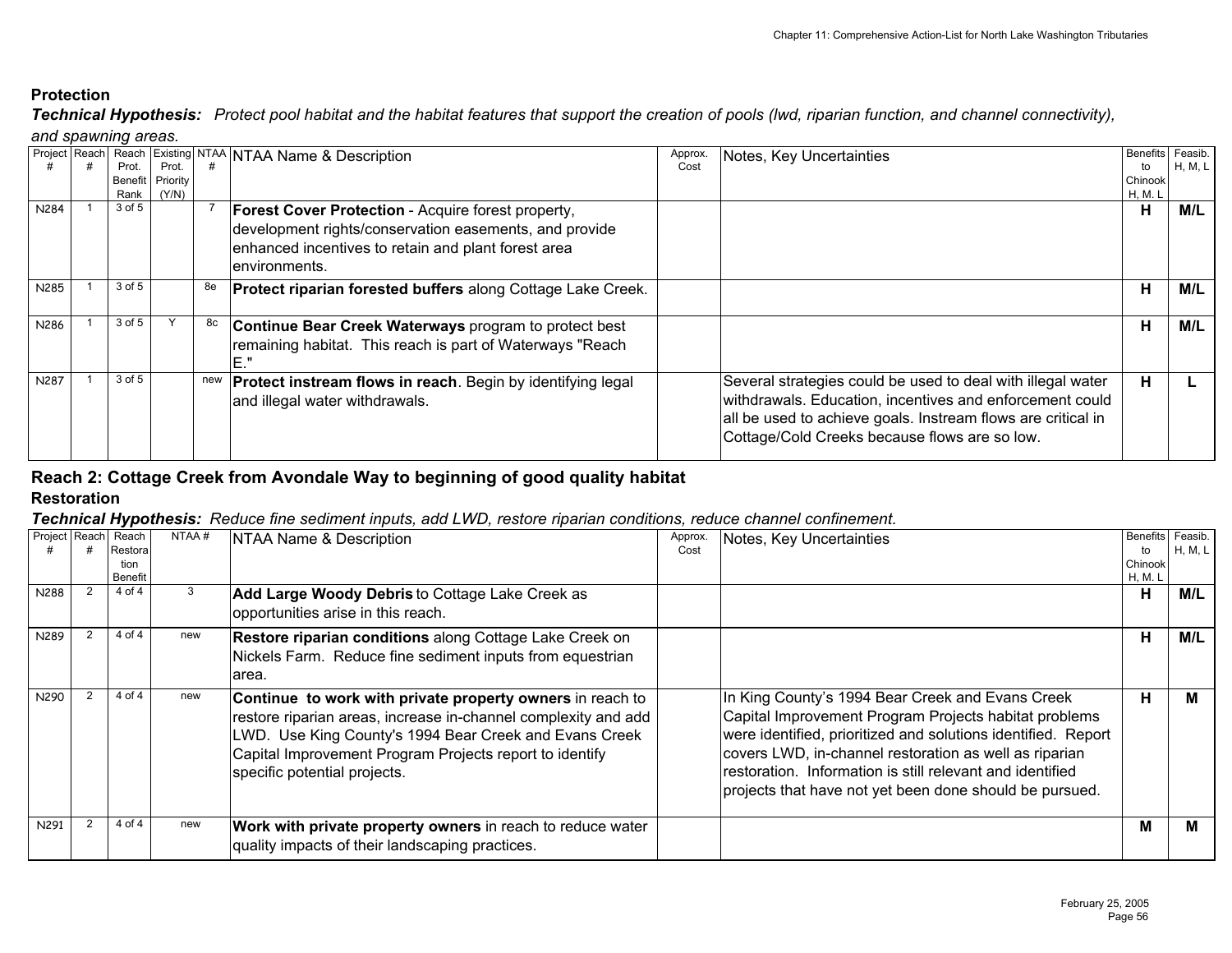*Technical Hypothesis: Protect pool habitat and the habitat features that support the creation of pools (lwd, riparian function, and channel connectivity), and spawning areas.*

|      |                |          |    | <b>Project Reach Reach Existing NTAA NTAA Name &amp; Description</b> | Approx. | Notes, Key Uncertainties                                     | <b>Benefits</b> | Feasib. |
|------|----------------|----------|----|----------------------------------------------------------------------|---------|--------------------------------------------------------------|-----------------|---------|
|      | Prot.          | Prot     |    |                                                                      | Cost    |                                                              | to              | H, M, L |
|      | <b>Benefit</b> | Priority |    |                                                                      |         |                                                              | Chinook         |         |
|      | Rank           | (Y/N)    |    |                                                                      |         |                                                              | H, M. L         |         |
| N284 | 3 of 5         |          |    | Forest Cover Protection - Acquire forest property,                   |         |                                                              | н               | M/L     |
|      |                |          |    | development rights/conservation easements, and provide               |         |                                                              |                 |         |
|      |                |          |    | enhanced incentives to retain and plant forest area                  |         |                                                              |                 |         |
|      |                |          |    |                                                                      |         |                                                              |                 |         |
|      |                |          |    | environments.                                                        |         |                                                              |                 |         |
| N285 | $3$ of $5$     |          | 8e | Protect riparian forested buffers along Cottage Lake Creek.          |         |                                                              | н               | M/L     |
|      |                |          |    |                                                                      |         |                                                              |                 |         |
| N286 | 3 of 5         |          | 8с | <b>Continue Bear Creek Waterways program to protect best</b>         |         |                                                              | Н               | M/L     |
|      |                |          |    | remaining habitat. This reach is part of Waterways "Reach            |         |                                                              |                 |         |
|      |                |          |    |                                                                      |         |                                                              |                 |         |
|      |                |          |    | $E$ ."                                                               |         |                                                              |                 |         |
| N287 | 3 of 5         |          |    | <b>Protect instream flows in reach.</b> Begin by identifying legal   |         | Several strategies could be used to deal with illegal water  | н               |         |
|      |                |          |    | and illegal water withdrawals.                                       |         | withdrawals. Education, incentives and enforcement could     |                 |         |
|      |                |          |    |                                                                      |         | all be used to achieve goals. Instream flows are critical in |                 |         |
|      |                |          |    |                                                                      |         |                                                              |                 |         |
|      |                |          |    |                                                                      |         | Cottage/Cold Creeks because flows are so low.                |                 |         |
|      |                |          |    |                                                                      |         |                                                              |                 |         |

# **Reach 2: Cottage Creek from Avondale Way to beginning of good quality habitat**

# **Restoration**

| Project Reach Reach | Restora<br>tion<br><b>Benefit</b> | NTAA# | NTAA Name & Description                                                                                                                                                                                                                                                          | Approx.<br>Cost | Notes, Key Uncertainties                                                                                                                                                                                                                                                                                                                                     | to<br>Chinook<br>H, M. L | Benefits Feasib.<br>H, M, L |
|---------------------|-----------------------------------|-------|----------------------------------------------------------------------------------------------------------------------------------------------------------------------------------------------------------------------------------------------------------------------------------|-----------------|--------------------------------------------------------------------------------------------------------------------------------------------------------------------------------------------------------------------------------------------------------------------------------------------------------------------------------------------------------------|--------------------------|-----------------------------|
| N288                | 4 of 4                            |       | <b>Add Large Woody Debris to Cottage Lake Creek as</b><br>opportunities arise in this reach.                                                                                                                                                                                     |                 |                                                                                                                                                                                                                                                                                                                                                              | н                        | M/L                         |
| N289                | 4 of 4                            | new   | Restore riparian conditions along Cottage Lake Creek on<br>Nickels Farm. Reduce fine sediment inputs from equestrian<br>area.                                                                                                                                                    |                 |                                                                                                                                                                                                                                                                                                                                                              | н                        | M/L                         |
| N290                | 4 of 4                            | new   | Continue to work with private property owners in reach to<br>restore riparian areas, increase in-channel complexity and add<br>LWD. Use King County's 1994 Bear Creek and Evans Creek<br>Capital Improvement Program Projects report to identify<br>specific potential projects. |                 | In King County's 1994 Bear Creek and Evans Creek<br>Capital Improvement Program Projects habitat problems<br>were identified, prioritized and solutions identified. Report<br>covers LWD, in-channel restoration as well as riparian<br>restoration. Information is still relevant and identified<br>projects that have not yet been done should be pursued. | н                        | м                           |
| N291                | 4 of 4                            | new   | Work with private property owners in reach to reduce water<br>quality impacts of their landscaping practices.                                                                                                                                                                    |                 |                                                                                                                                                                                                                                                                                                                                                              | M                        | м                           |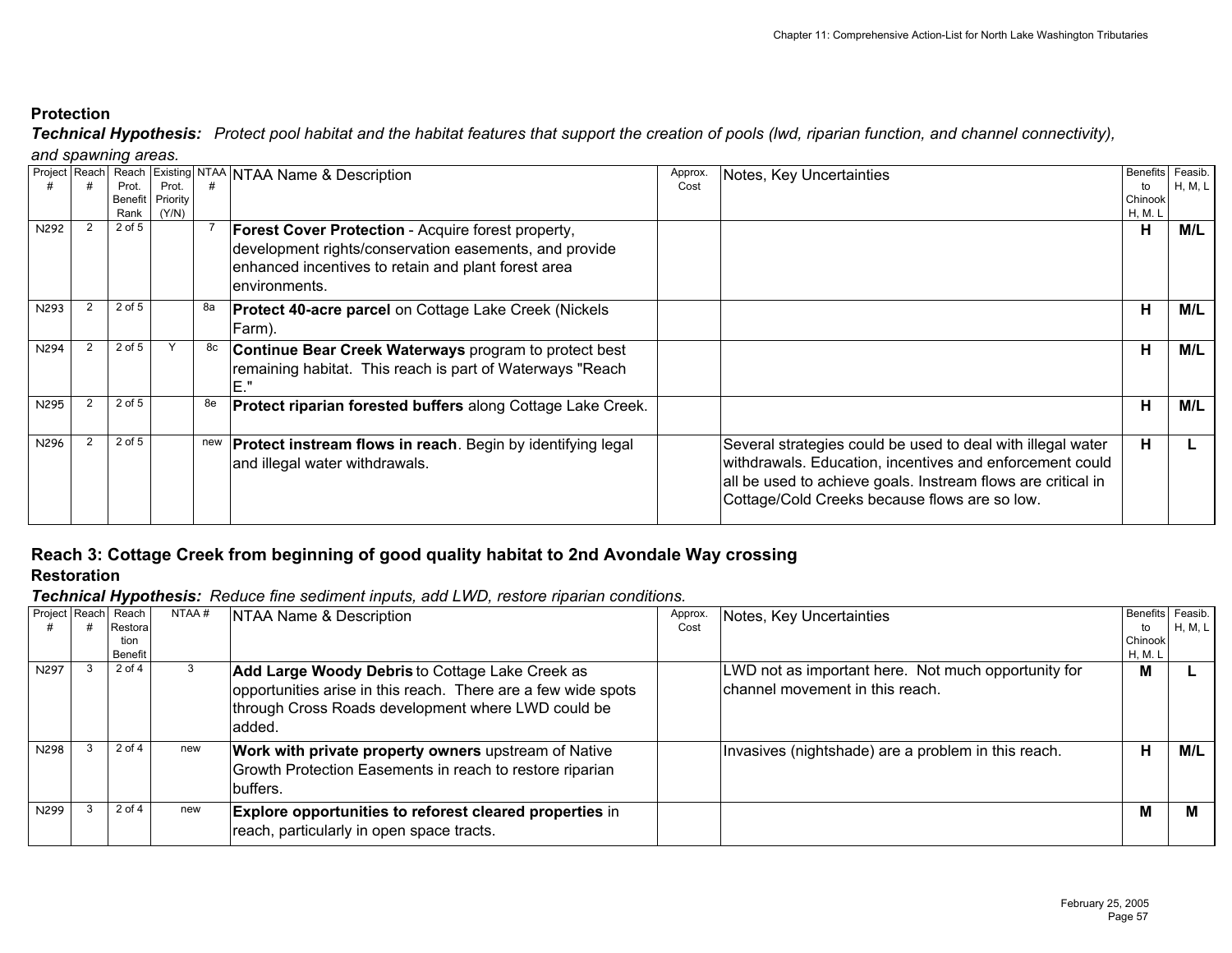*Technical Hypothesis: Protect pool habitat and the habitat features that support the creation of pools (lwd, riparian function, and channel connectivity), and spawning areas.*

|      |            |          |    | Project Reach Reach Existing NTAA NTAA Name & Description               | Approx. | Notes, Key Uncertainties                                     |         | Benefits Feasib. |
|------|------------|----------|----|-------------------------------------------------------------------------|---------|--------------------------------------------------------------|---------|------------------|
|      | Prot.      | Prot.    |    |                                                                         | Cost    |                                                              | to      | H, M, L          |
|      | Benefit    | Priority |    |                                                                         |         |                                                              | Chinook |                  |
|      | Rank       | (Y/N)    |    |                                                                         |         |                                                              | H, M. L |                  |
| N292 | $2$ of $5$ |          |    | <b>Forest Cover Protection</b> - Acquire forest property,               |         |                                                              | н       | M/L              |
|      |            |          |    | development rights/conservation easements, and provide                  |         |                                                              |         |                  |
|      |            |          |    | enhanced incentives to retain and plant forest area                     |         |                                                              |         |                  |
|      |            |          |    |                                                                         |         |                                                              |         |                  |
|      |            |          |    | lenvironments.                                                          |         |                                                              |         |                  |
| N293 | 2 of 5     |          | 8а | <b>Protect 40-acre parcel on Cottage Lake Creek (Nickels</b>            |         |                                                              | н       | M/L              |
|      |            |          |    |                                                                         |         |                                                              |         |                  |
|      |            |          |    | Farm).                                                                  |         |                                                              |         |                  |
| N294 | 2 of 5     |          |    | Continue Bear Creek Waterways program to protect best                   |         |                                                              | Н       | M/L              |
|      |            |          |    | remaining habitat. This reach is part of Waterways "Reach               |         |                                                              |         |                  |
|      |            |          |    | E."                                                                     |         |                                                              |         |                  |
|      |            |          |    |                                                                         |         |                                                              |         |                  |
| N295 | 2 of 5     |          | 8e | <b>Protect riparian forested buffers along Cottage Lake Creek.</b>      |         |                                                              | н       | M/L              |
|      |            |          |    |                                                                         |         |                                                              |         |                  |
| N296 | 2 of 5     |          |    | new <b>Protect instream flows in reach</b> . Begin by identifying legal |         | Several strategies could be used to deal with illegal water  | н       |                  |
|      |            |          |    |                                                                         |         |                                                              |         |                  |
|      |            |          |    | and illegal water withdrawals.                                          |         | withdrawals. Education, incentives and enforcement could     |         |                  |
|      |            |          |    |                                                                         |         | all be used to achieve goals. Instream flows are critical in |         |                  |
|      |            |          |    |                                                                         |         | Cottage/Cold Creeks because flows are so low.                |         |                  |
|      |            |          |    |                                                                         |         |                                                              |         |                  |
|      |            |          |    |                                                                         |         |                                                              |         |                  |

# **Reach 3: Cottage Creek from beginning of good quality habitat to 2nd Avondale Way crossing**

# **Restoration**

| Project Reach Reach |         | NTAA# | NTAA Name & Description                                        | Approx. | Notes, Key Uncertainties                            | Benefits Feasib. |         |
|---------------------|---------|-------|----------------------------------------------------------------|---------|-----------------------------------------------------|------------------|---------|
|                     | Restora |       |                                                                | Cost    |                                                     | to               | H, M, L |
|                     | tion    |       |                                                                |         |                                                     | Chinook          |         |
|                     | Benefit |       |                                                                |         |                                                     | H, M. L          |         |
| N297                | 2 of 4  | 3     | <b>Add Large Woody Debris to Cottage Lake Creek as</b>         |         | LWD not as important here. Not much opportunity for | М                |         |
|                     |         |       | opportunities arise in this reach. There are a few wide spots  |         | channel movement in this reach.                     |                  |         |
|                     |         |       | through Cross Roads development where LWD could be             |         |                                                     |                  |         |
|                     |         |       | added.                                                         |         |                                                     |                  |         |
| N298                | 2 of 4  | new   | <b>Work with private property owners</b> upstream of Native    |         | Invasives (nightshade) are a problem in this reach. | н                | M/L     |
|                     |         |       | Growth Protection Easements in reach to restore riparian       |         |                                                     |                  |         |
|                     |         |       | buffers.                                                       |         |                                                     |                  |         |
|                     |         |       |                                                                |         |                                                     |                  |         |
| N299                | 2 of 4  | new   | <b>Explore opportunities to reforest cleared properties in</b> |         |                                                     | М                | M       |
|                     |         |       | reach, particularly in open space tracts.                      |         |                                                     |                  |         |
|                     |         |       |                                                                |         |                                                     |                  |         |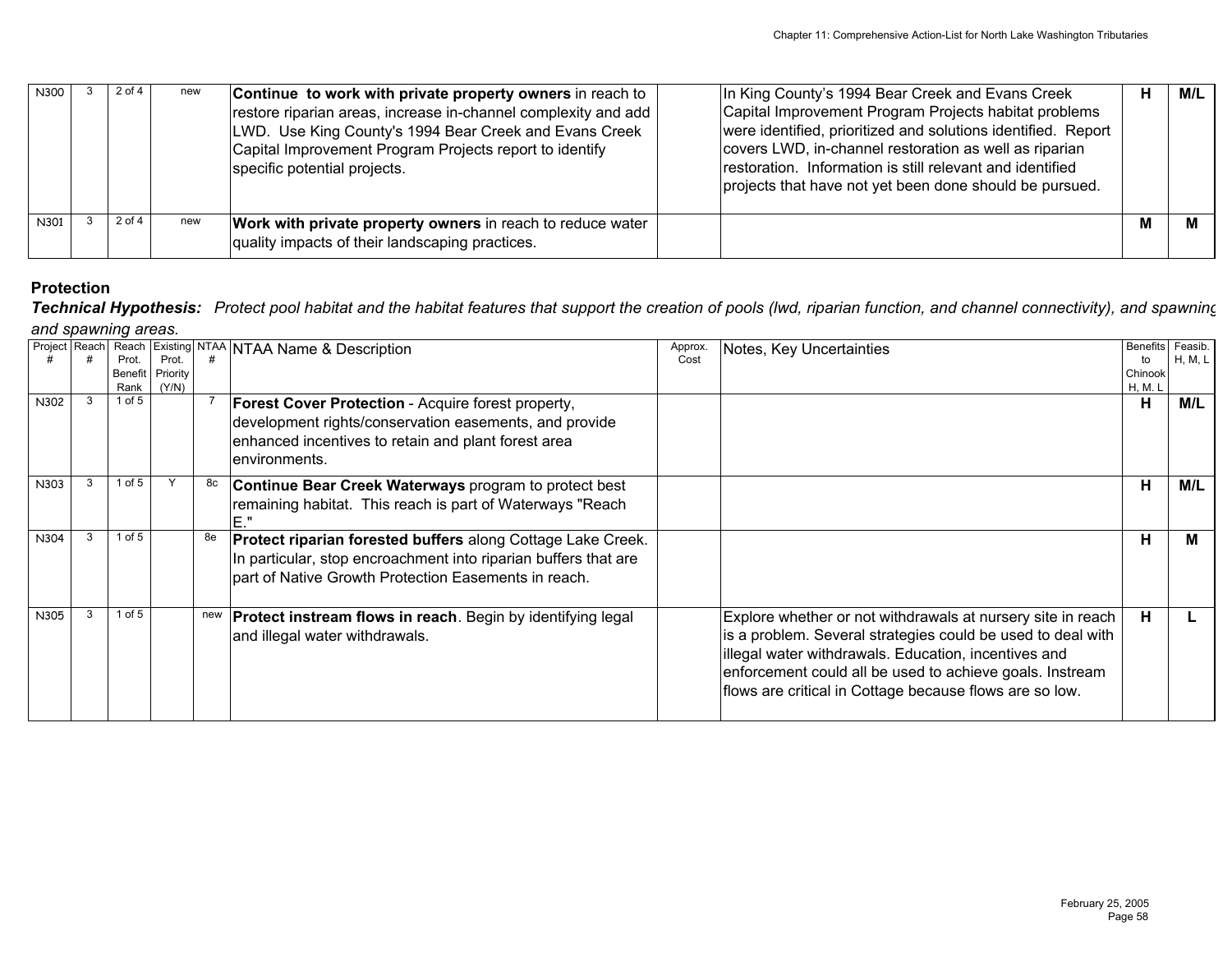| N300 | $2$ of $4$ | new | Continue to work with private property owners in reach to<br>restore riparian areas, increase in-channel complexity and add<br>LWD. Use King County's 1994 Bear Creek and Evans Creek<br>Capital Improvement Program Projects report to identify<br>specific potential projects. | In King County's 1994 Bear Creek and Evans Creek<br>Capital Improvement Program Projects habitat problems<br>were identified, prioritized and solutions identified. Report<br>covers LWD, in-channel restoration as well as riparian<br>restoration. Information is still relevant and identified<br>projects that have not yet been done should be pursued. | н | M/L |
|------|------------|-----|----------------------------------------------------------------------------------------------------------------------------------------------------------------------------------------------------------------------------------------------------------------------------------|--------------------------------------------------------------------------------------------------------------------------------------------------------------------------------------------------------------------------------------------------------------------------------------------------------------------------------------------------------------|---|-----|
| N301 | 2 of 4     | new | Work with private property owners in reach to reduce water  <br>quality impacts of their landscaping practices.                                                                                                                                                                  |                                                                                                                                                                                                                                                                                                                                                              | M |     |

*Technical Hypothesis: Protect pool habitat and the habitat features that support the creation of pools (lwd, riparian function, and channel connectivity), and spawning and spawning areas.*

|      |   |            |                  |    | Project Reach Reach Existing NTAA NTAA Name & Description          | Approx. | Notes, Key Uncertainties                                    | Benefits Feasib. |         |
|------|---|------------|------------------|----|--------------------------------------------------------------------|---------|-------------------------------------------------------------|------------------|---------|
|      |   | Prot.      | Prot.            |    |                                                                    | Cost    |                                                             | to               | H, M, L |
|      |   |            | Benefit Priority |    |                                                                    |         |                                                             | Chinook          |         |
|      |   | Rank       | (Y/N)            |    |                                                                    |         |                                                             | H, M. L          |         |
| N302 | 3 | $1$ of $5$ |                  |    | <b>Forest Cover Protection</b> - Acquire forest property,          |         |                                                             | н                | M/L     |
|      |   |            |                  |    | development rights/conservation easements, and provide             |         |                                                             |                  |         |
|      |   |            |                  |    | enhanced incentives to retain and plant forest area                |         |                                                             |                  |         |
|      |   |            |                  |    | lenvironments.                                                     |         |                                                             |                  |         |
|      |   |            |                  |    |                                                                    |         |                                                             |                  |         |
| N303 |   | $1$ of $5$ |                  | 8с | <b>Continue Bear Creek Waterways program to protect best</b>       |         |                                                             | н                | M/L     |
|      |   |            |                  |    | remaining habitat. This reach is part of Waterways "Reach          |         |                                                             |                  |         |
|      |   |            |                  |    | E."                                                                |         |                                                             |                  |         |
|      |   | $1$ of $5$ |                  |    |                                                                    |         |                                                             |                  |         |
| N304 |   |            |                  |    | Protect riparian forested buffers along Cottage Lake Creek.        |         |                                                             | н                |         |
|      |   |            |                  |    | In particular, stop encroachment into riparian buffers that are    |         |                                                             |                  |         |
|      |   |            |                  |    | part of Native Growth Protection Easements in reach.               |         |                                                             |                  |         |
|      |   |            |                  |    |                                                                    |         |                                                             |                  |         |
|      |   | 1 of $5$   |                  |    |                                                                    |         |                                                             |                  |         |
| N305 |   |            |                  |    | <b>Protect instream flows in reach.</b> Begin by identifying legal |         | Explore whether or not withdrawals at nursery site in reach | н                |         |
|      |   |            |                  |    | and illegal water withdrawals.                                     |         | is a problem. Several strategies could be used to deal with |                  |         |
|      |   |            |                  |    |                                                                    |         | illegal water withdrawals. Education, incentives and        |                  |         |
|      |   |            |                  |    |                                                                    |         | enforcement could all be used to achieve goals. Instream    |                  |         |
|      |   |            |                  |    |                                                                    |         | flows are critical in Cottage because flows are so low.     |                  |         |
|      |   |            |                  |    |                                                                    |         |                                                             |                  |         |
|      |   |            |                  |    |                                                                    |         |                                                             |                  |         |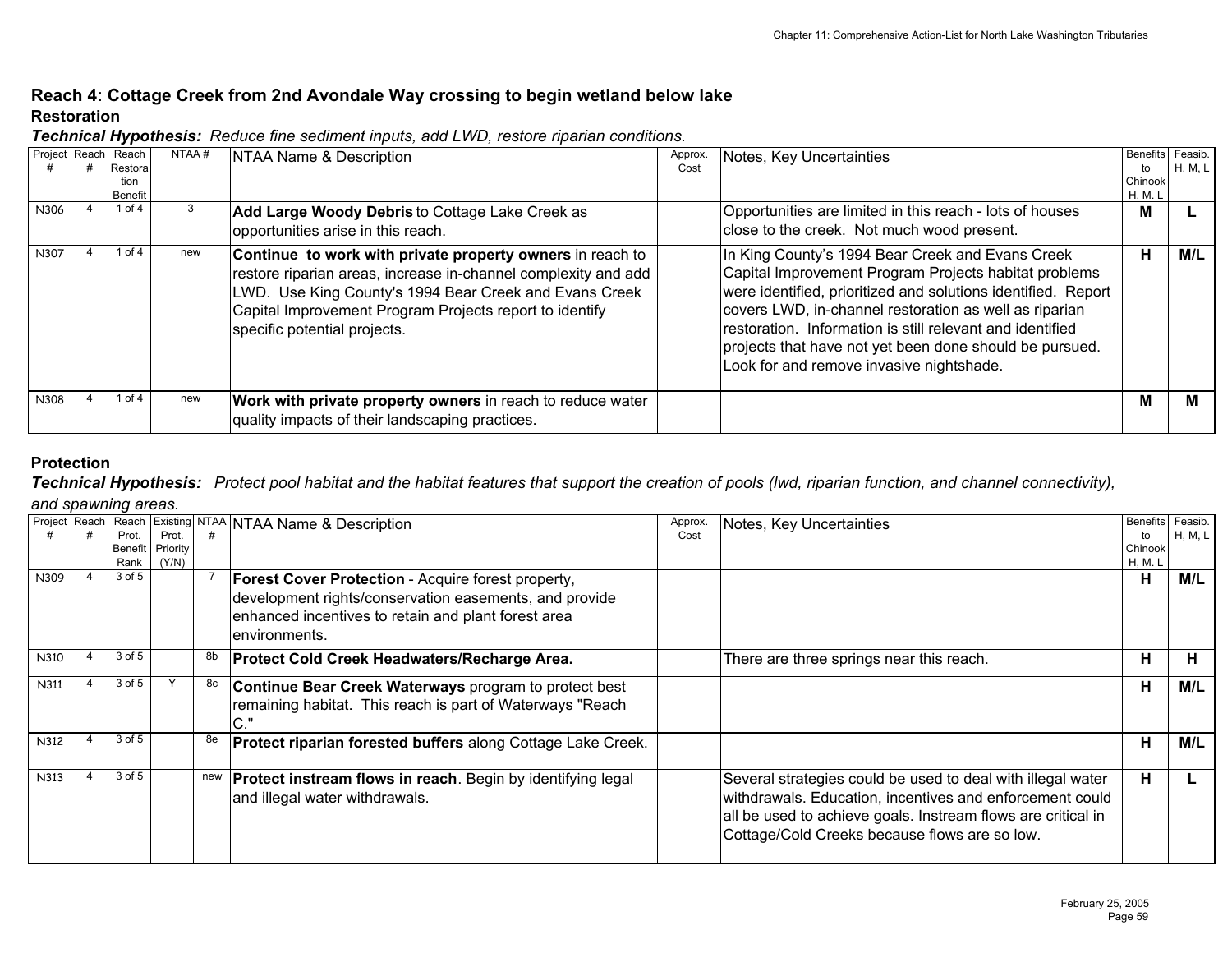# **Reach 4: Cottage Creek from 2nd Avondale Way crossing to begin wetland below lake Restoration**

| Project Reach Reach | Restoral        | NTAA# | NTAA Name & Description                                                                                                                                                                                                                                                          | Approx.<br>Cost | Notes, Key Uncertainties                                                                                                                                                                                                                                                                                                                                                                                 | Benefits Feasib.<br>to | H, M, L |
|---------------------|-----------------|-------|----------------------------------------------------------------------------------------------------------------------------------------------------------------------------------------------------------------------------------------------------------------------------------|-----------------|----------------------------------------------------------------------------------------------------------------------------------------------------------------------------------------------------------------------------------------------------------------------------------------------------------------------------------------------------------------------------------------------------------|------------------------|---------|
|                     | tion<br>Benefit |       |                                                                                                                                                                                                                                                                                  |                 |                                                                                                                                                                                                                                                                                                                                                                                                          | Chinook<br>H, M. L     |         |
| N306                | 1 of 4          |       | Add Large Woody Debris to Cottage Lake Creek as<br>opportunities arise in this reach.                                                                                                                                                                                            |                 | Opportunities are limited in this reach - lots of houses<br>close to the creek. Not much wood present.                                                                                                                                                                                                                                                                                                   | M                      |         |
| N307                | 1 of $4$        | new   | Continue to work with private property owners in reach to<br>restore riparian areas, increase in-channel complexity and add<br>LWD. Use King County's 1994 Bear Creek and Evans Creek<br>Capital Improvement Program Projects report to identify<br>specific potential projects. |                 | In King County's 1994 Bear Creek and Evans Creek<br>Capital Improvement Program Projects habitat problems<br>were identified, prioritized and solutions identified. Report<br>covers LWD, in-channel restoration as well as riparian<br>restoration. Information is still relevant and identified<br>projects that have not yet been done should be pursued.<br>Look for and remove invasive nightshade. | н                      | M/L     |
| N308                | 1 of $4$        | new   | Work with private property owners in reach to reduce water<br>quality impacts of their landscaping practices.                                                                                                                                                                    |                 |                                                                                                                                                                                                                                                                                                                                                                                                          | М                      | м       |

*Technical Hypothesis: Reduce fine sediment inputs, add LWD, restore riparian conditions.*

## **Protection**

*Technical Hypothesis: Protect pool habitat and the habitat features that support the creation of pools (lwd, riparian function, and channel connectivity),*

#### *and spawning areas.*

| Project Reach |            |          |     | Reach Existing NTAA NTAA Name & Description                        | Approx. | Notes, Key Uncertainties                                     | Benefits Feasib. |         |
|---------------|------------|----------|-----|--------------------------------------------------------------------|---------|--------------------------------------------------------------|------------------|---------|
|               | Prot.      | Prot.    |     |                                                                    | Cost    |                                                              | to               | H, M, L |
|               | Benefit    | Priority |     |                                                                    |         |                                                              | Chinook          |         |
|               | Rank       | (Y/N)    |     |                                                                    |         |                                                              | H, M. L          |         |
| N309          | $3$ of $5$ |          |     | <b>Forest Cover Protection - Acquire forest property,</b>          |         |                                                              | н                | M/L     |
|               |            |          |     | development rights/conservation easements, and provide             |         |                                                              |                  |         |
|               |            |          |     |                                                                    |         |                                                              |                  |         |
|               |            |          |     | enhanced incentives to retain and plant forest area                |         |                                                              |                  |         |
|               |            |          |     | lenvironments.                                                     |         |                                                              |                  |         |
| N310          | $3$ of $5$ |          | 8b  | Protect Cold Creek Headwaters/Recharge Area.                       |         | There are three springs near this reach.                     | н                | Ħ.      |
|               |            |          |     |                                                                    |         |                                                              |                  |         |
| N311          | $3$ of $5$ |          | 8с  | Continue Bear Creek Waterways program to protect best              |         |                                                              | н                | M/L     |
|               |            |          |     | remaining habitat. This reach is part of Waterways "Reach          |         |                                                              |                  |         |
|               |            |          |     | $\sim$ $\sqrt{ }$                                                  |         |                                                              |                  |         |
|               |            |          |     |                                                                    |         |                                                              |                  |         |
| N312          | $3$ of $5$ |          |     | <b>Protect riparian forested buffers along Cottage Lake Creek.</b> |         |                                                              | н                | M/L     |
|               |            |          |     |                                                                    |         |                                                              |                  |         |
| N313          | 3 of 5     |          | new | <b>Protect instream flows in reach.</b> Begin by identifying legal |         | Several strategies could be used to deal with illegal water  | н                |         |
|               |            |          |     |                                                                    |         | withdrawals. Education, incentives and enforcement could     |                  |         |
|               |            |          |     | and illegal water withdrawals.                                     |         |                                                              |                  |         |
|               |            |          |     |                                                                    |         | all be used to achieve goals. Instream flows are critical in |                  |         |
|               |            |          |     |                                                                    |         | Cottage/Cold Creeks because flows are so low.                |                  |         |
|               |            |          |     |                                                                    |         |                                                              |                  |         |
|               |            |          |     |                                                                    |         |                                                              |                  |         |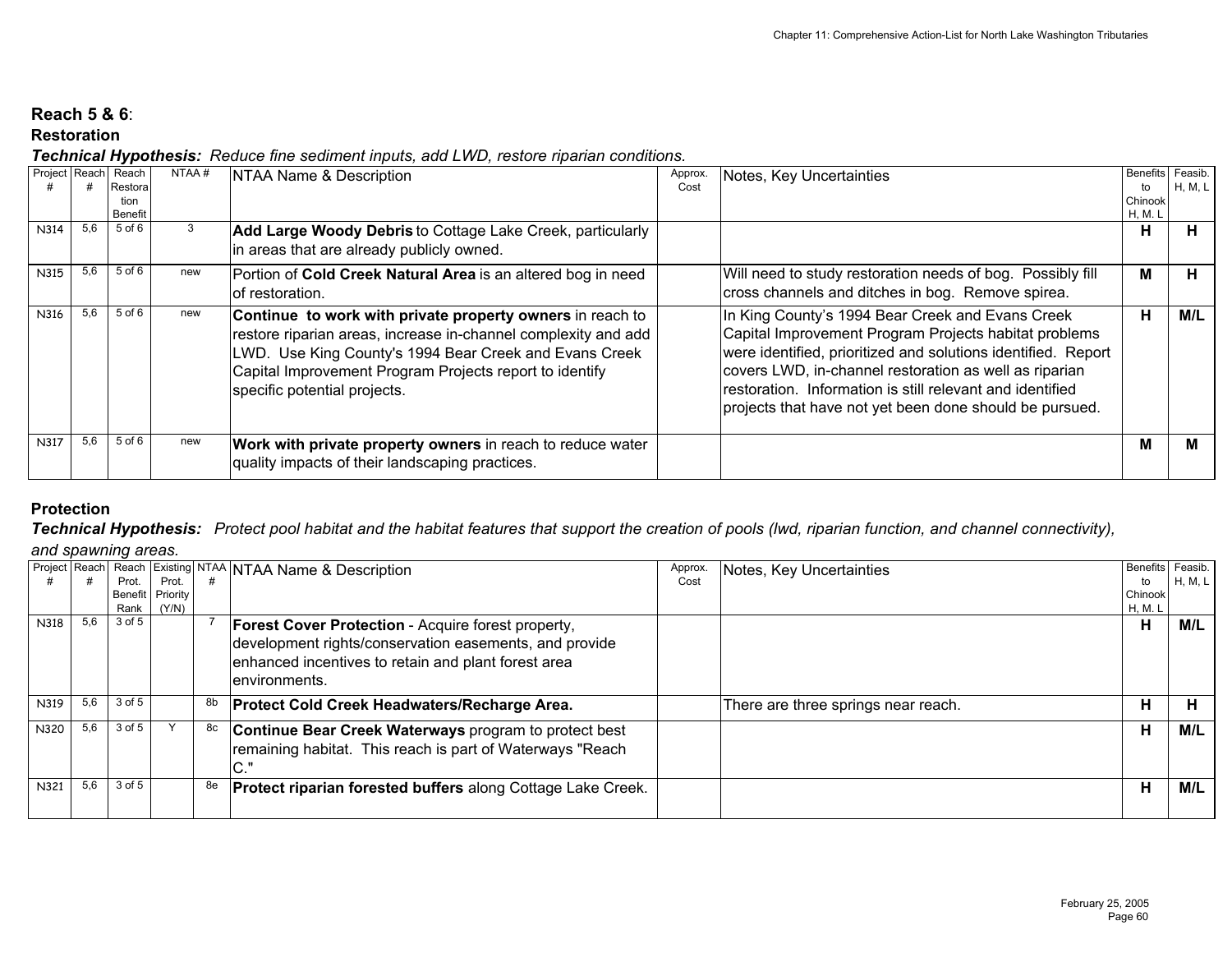# **Reach 5 & 6**:

# **Restoration**

*Technical Hypothesis: Reduce fine sediment inputs, add LWD, restore riparian conditions.*

| Project Reach |     | Reach<br>Restora<br>tion<br><b>Benefit</b> | NTAA# | NTAA Name & Description                                                                                                                                                                                                                                                          | Approx.<br>Cost | Notes, Key Uncertainties                                                                                                                                                                                                                                                                                                                                     | <b>Benefits</b><br>to<br>Chinook<br>H, M. L | Feasib.<br>H, M, L |
|---------------|-----|--------------------------------------------|-------|----------------------------------------------------------------------------------------------------------------------------------------------------------------------------------------------------------------------------------------------------------------------------------|-----------------|--------------------------------------------------------------------------------------------------------------------------------------------------------------------------------------------------------------------------------------------------------------------------------------------------------------------------------------------------------------|---------------------------------------------|--------------------|
| N314          | 5,6 | 5 of 6                                     | 3     | <b>Add Large Woody Debris to Cottage Lake Creek, particularly</b><br>in areas that are already publicly owned.                                                                                                                                                                   |                 |                                                                                                                                                                                                                                                                                                                                                              | н                                           | Н.                 |
| N315          | 5,6 | 5 of 6                                     | new   | Portion of Cold Creek Natural Area is an altered bog in need<br>lof restoration.                                                                                                                                                                                                 |                 | Will need to study restoration needs of bog. Possibly fill<br>cross channels and ditches in bog. Remove spirea.                                                                                                                                                                                                                                              | M                                           | н.                 |
| N316          | 5,6 | 5 of 6                                     | new   | Continue to work with private property owners in reach to<br>restore riparian areas, increase in-channel complexity and add<br>LWD. Use King County's 1994 Bear Creek and Evans Creek<br>Capital Improvement Program Projects report to identify<br>specific potential projects. |                 | In King County's 1994 Bear Creek and Evans Creek<br>Capital Improvement Program Projects habitat problems<br>were identified, prioritized and solutions identified. Report<br>covers LWD, in-channel restoration as well as riparian<br>restoration. Information is still relevant and identified<br>projects that have not yet been done should be pursued. | н                                           | M/L                |
| N317          | 5,6 | 5 of 6                                     | new   | Work with private property owners in reach to reduce water<br>quality impacts of their landscaping practices.                                                                                                                                                                    |                 |                                                                                                                                                                                                                                                                                                                                                              | M                                           | м                  |

# **Protection**

*Technical Hypothesis: Protect pool habitat and the habitat features that support the creation of pools (lwd, riparian function, and channel connectivity),* 

*and spawning areas.*

|      |     |        |                  |    | Project Reach Reach Existing NTAA NTAA Name & Description          | Approx. | Notes, Key Uncertainties            | <b>Benefits</b> | Feasib. |
|------|-----|--------|------------------|----|--------------------------------------------------------------------|---------|-------------------------------------|-----------------|---------|
|      |     | Prot.  | Prot.            |    |                                                                    | Cost    |                                     | to              | H, M, L |
|      |     |        | Benefit Priority |    |                                                                    |         |                                     | Chinook         |         |
|      |     |        | Rank (Y/N)       |    |                                                                    |         |                                     | H, M. L         |         |
| N318 | 5.6 | 3 of 5 |                  |    | <b>Forest Cover Protection - Acquire forest property,</b>          |         |                                     | н               | M/L     |
|      |     |        |                  |    | development rights/conservation easements, and provide             |         |                                     |                 |         |
|      |     |        |                  |    |                                                                    |         |                                     |                 |         |
|      |     |        |                  |    | enhanced incentives to retain and plant forest area                |         |                                     |                 |         |
|      |     |        |                  |    | environments.                                                      |         |                                     |                 |         |
|      |     |        |                  |    |                                                                    |         |                                     |                 |         |
| N319 | 5.6 | 3 of 5 |                  | 8b | Protect Cold Creek Headwaters/Recharge Area.                       |         | There are three springs near reach. | н               | н       |
| N320 | 5.6 | 3 of 5 |                  | 8c | Continue Bear Creek Waterways program to protect best              |         |                                     | Н               | M/L     |
|      |     |        |                  |    |                                                                    |         |                                     |                 |         |
|      |     |        |                  |    | remaining habitat. This reach is part of Waterways "Reach          |         |                                     |                 |         |
|      |     |        |                  |    | $\sim$ $\sqrt{ }$                                                  |         |                                     |                 |         |
| N321 | 5.6 | 3 of 5 |                  | 8e | <b>Protect riparian forested buffers along Cottage Lake Creek.</b> |         |                                     | Н               | M/L     |
|      |     |        |                  |    |                                                                    |         |                                     |                 |         |
|      |     |        |                  |    |                                                                    |         |                                     |                 |         |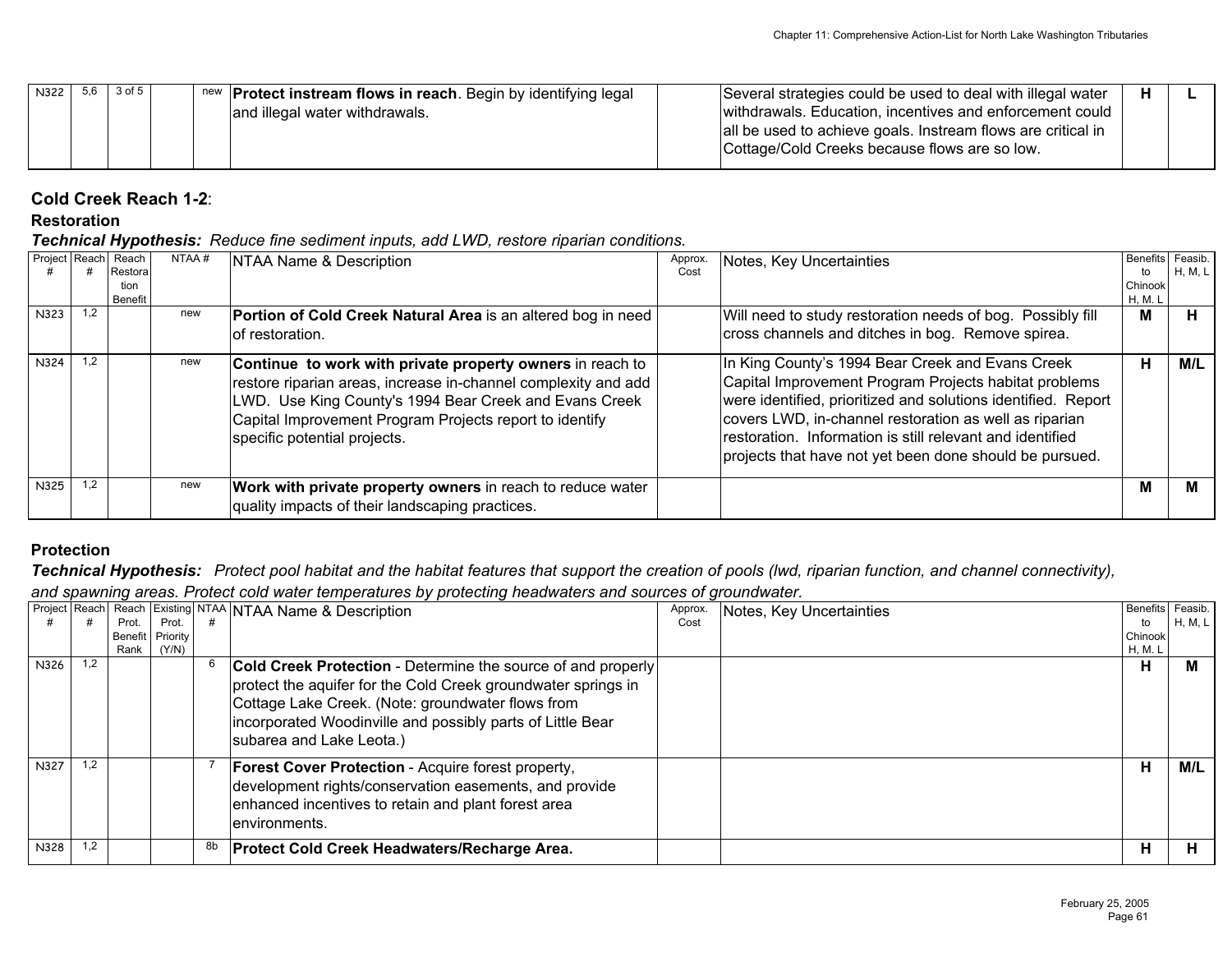| N322 | 5,6 3 of 5 |  | new   <b>Protect instream flows in reach</b> . Begin by identifying legal | Several strategies could be used to deal with illegal water  | н |  |
|------|------------|--|---------------------------------------------------------------------------|--------------------------------------------------------------|---|--|
|      |            |  | and illegal water withdrawals.                                            | withdrawals. Education, incentives and enforcement could     |   |  |
|      |            |  |                                                                           | all be used to achieve goals. Instream flows are critical in |   |  |
|      |            |  |                                                                           | Cottage/Cold Creeks because flows are so low.                |   |  |
|      |            |  |                                                                           |                                                              |   |  |

# **Cold Creek Reach 1-2**:

#### **Restoration**

*Technical Hypothesis: Reduce fine sediment inputs, add LWD, restore riparian conditions.*

|      |     | Project Reach Reach<br>Restora<br>tion<br><b>Benefit</b> | NTAA# | NTAA Name & Description                                                                                                                                                                                                                                                          | Approx.<br>Cost | Notes, Key Uncertainties                                                                                                                                                                                                                                                                                                                                     | Benefits Feasib.<br>to<br>Chinook<br><b>H, M. L</b> | H, M, L |
|------|-----|----------------------------------------------------------|-------|----------------------------------------------------------------------------------------------------------------------------------------------------------------------------------------------------------------------------------------------------------------------------------|-----------------|--------------------------------------------------------------------------------------------------------------------------------------------------------------------------------------------------------------------------------------------------------------------------------------------------------------------------------------------------------------|-----------------------------------------------------|---------|
| N323 | 1.2 |                                                          | new   | Portion of Cold Creek Natural Area is an altered bog in need<br>lof restoration.                                                                                                                                                                                                 |                 | Will need to study restoration needs of bog. Possibly fill<br>cross channels and ditches in bog. Remove spirea.                                                                                                                                                                                                                                              | M                                                   | н       |
| N324 | 1.2 |                                                          | new   | Continue to work with private property owners in reach to<br>restore riparian areas, increase in-channel complexity and add<br>LWD. Use King County's 1994 Bear Creek and Evans Creek<br>Capital Improvement Program Projects report to identify<br>specific potential projects. |                 | In King County's 1994 Bear Creek and Evans Creek<br>Capital Improvement Program Projects habitat problems<br>were identified, prioritized and solutions identified. Report<br>covers LWD, in-channel restoration as well as riparian<br>restoration. Information is still relevant and identified<br>projects that have not yet been done should be pursued. | н                                                   | M/L     |
| N325 | 1.2 |                                                          | new   | Work with private property owners in reach to reduce water<br>quality impacts of their landscaping practices.                                                                                                                                                                    |                 |                                                                                                                                                                                                                                                                                                                                                              | М                                                   |         |

# **Protection**

*Technical Hypothesis: Protect pool habitat and the habitat features that support the creation of pools (lwd, riparian function, and channel connectivity),* 

*and spawning areas. Protect cold water temperatures by protecting headwaters and sources of groundwater.* 

|             |     |       |                  |    | Project Reach Reach Existing NTAA NTAA Name & Description                                                                                                                                                                                        | Approx. | Notes, Key Uncertainties | Benefits Feasib. |         |
|-------------|-----|-------|------------------|----|--------------------------------------------------------------------------------------------------------------------------------------------------------------------------------------------------------------------------------------------------|---------|--------------------------|------------------|---------|
|             |     | Prot. | Prot.            |    |                                                                                                                                                                                                                                                  | Cost    |                          | to               | H, M, L |
|             |     |       | Benefit Priority |    |                                                                                                                                                                                                                                                  |         |                          | Chinook          |         |
|             |     | Rank  | (Y/N)            |    |                                                                                                                                                                                                                                                  |         |                          | H, M. L          |         |
| N326        | 1.2 |       |                  |    | Cold Creek Protection - Determine the source of and properly<br>protect the aquifer for the Cold Creek groundwater springs in<br>Cottage Lake Creek. (Note: groundwater flows from<br>incorporated Woodinville and possibly parts of Little Bear |         |                          | н                | м       |
| <b>N327</b> | 1.2 |       |                  |    | subarea and Lake Leota.)<br><b>Forest Cover Protection</b> - Acquire forest property,                                                                                                                                                            |         |                          | н                | M/L     |
|             |     |       |                  |    | development rights/conservation easements, and provide<br>enhanced incentives to retain and plant forest area<br>lenvironments.                                                                                                                  |         |                          |                  |         |
| N328        | 1,2 |       |                  | 8b | <b>Protect Cold Creek Headwaters/Recharge Area.</b>                                                                                                                                                                                              |         |                          | н                | н       |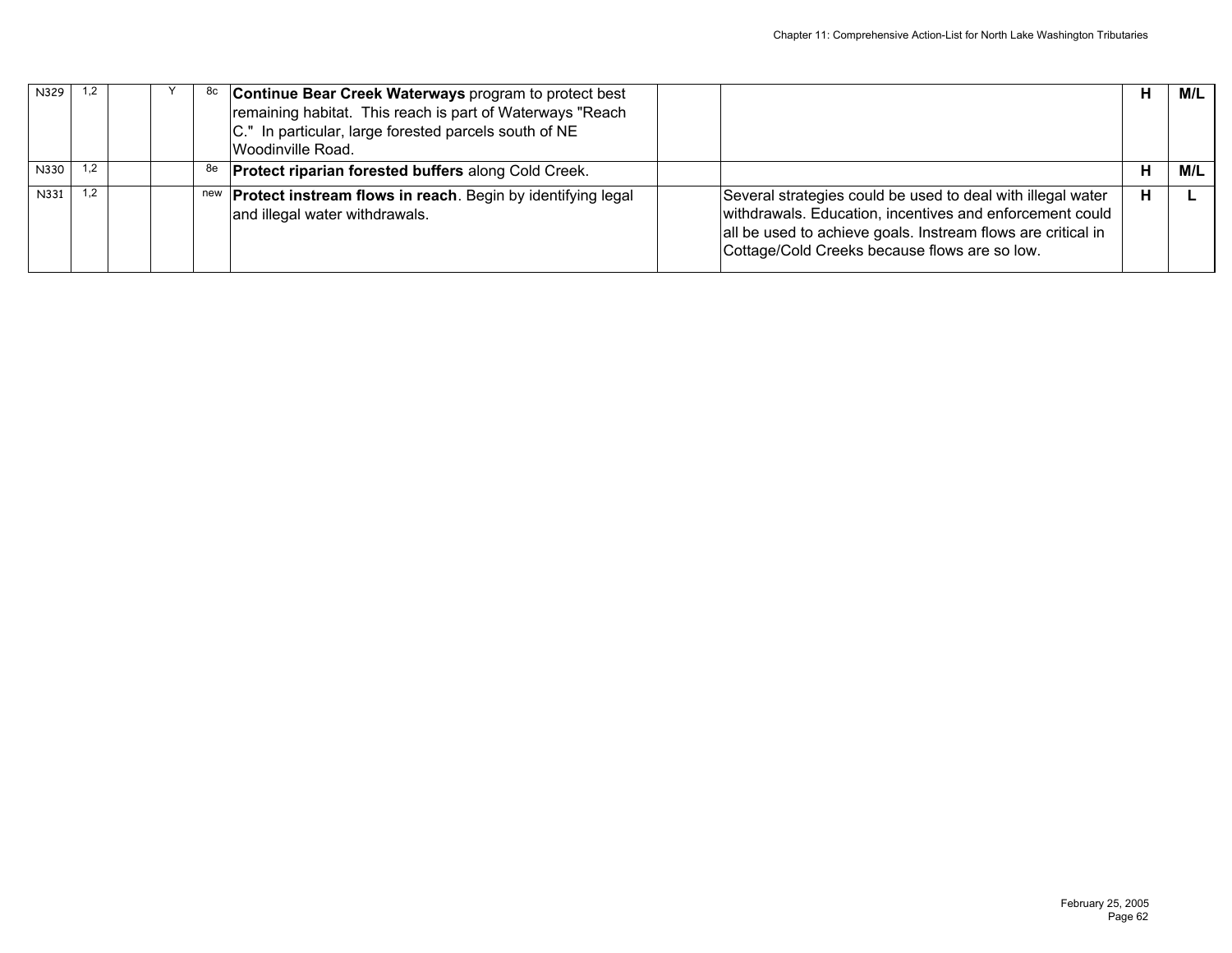| N329 | 1.2 |  |    | <sup>8c</sup> Continue Bear Creek Waterways program to protect best                                       |                                                                                                                                                                                                                                          | Н | M/L |
|------|-----|--|----|-----------------------------------------------------------------------------------------------------------|------------------------------------------------------------------------------------------------------------------------------------------------------------------------------------------------------------------------------------------|---|-----|
|      |     |  |    | remaining habitat. This reach is part of Waterways "Reach                                                 |                                                                                                                                                                                                                                          |   |     |
|      |     |  |    | C." In particular, large forested parcels south of NE                                                     |                                                                                                                                                                                                                                          |   |     |
|      |     |  |    | Woodinville Road.                                                                                         |                                                                                                                                                                                                                                          |   |     |
| N330 | 1.2 |  | 8e | <b>Protect riparian forested buffers along Cold Creek.</b>                                                |                                                                                                                                                                                                                                          | н | M/L |
| N331 | 1.2 |  |    | new <b>Protect instream flows in reach</b> . Begin by identifying legal<br>and illegal water withdrawals. | Several strategies could be used to deal with illegal water<br>withdrawals. Education, incentives and enforcement could<br>all be used to achieve goals. Instream flows are critical in<br>Cottage/Cold Creeks because flows are so low. | н |     |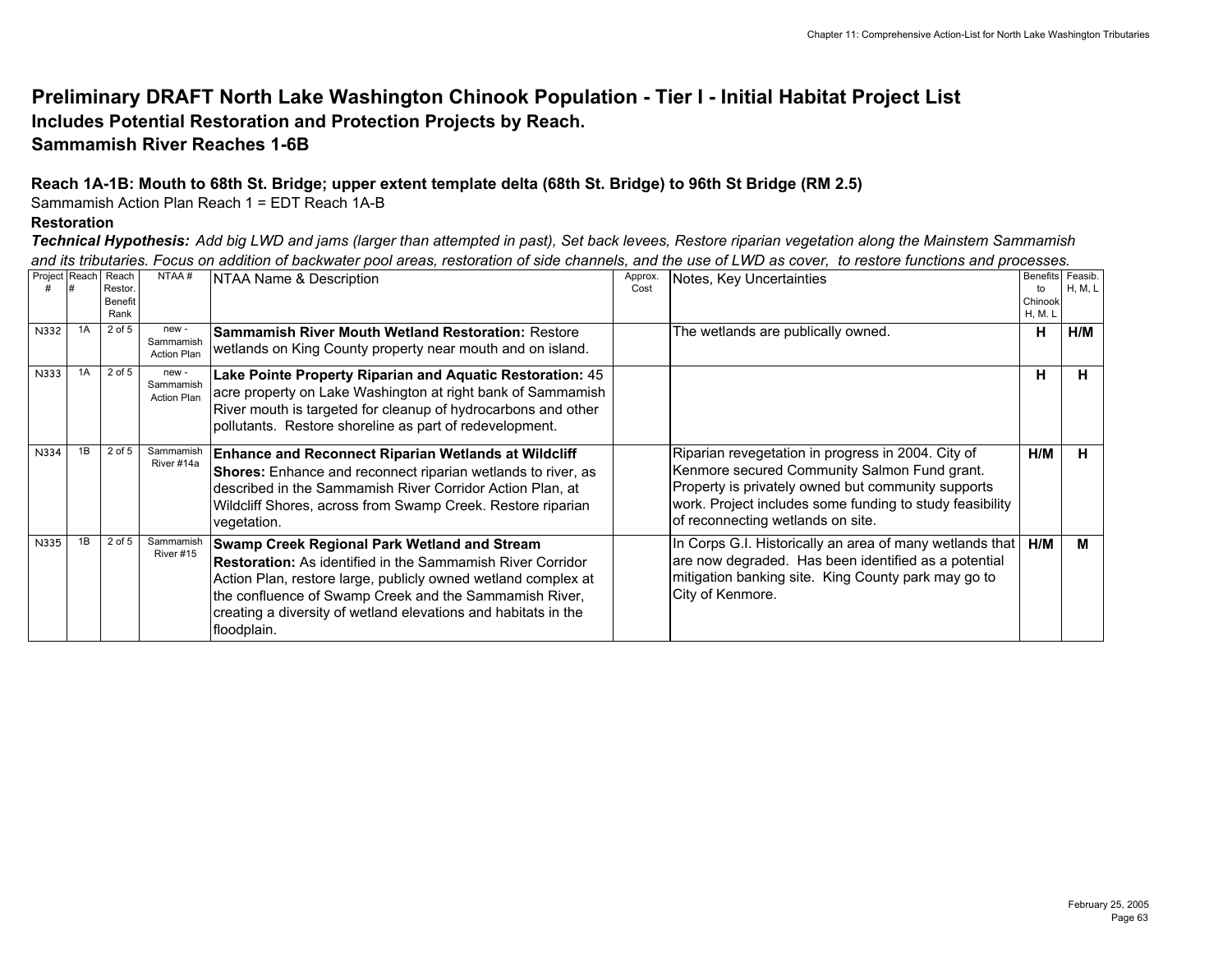# **Preliminary DRAFT North Lake Washington Chinook Population - Tier I - Initial Habitat Project List Includes Potential Restoration and Protection Projects by Reach.**

# **Sammamish River Reaches 1-6B**

## **Reach 1A-1B: Mouth to 68th St. Bridge; upper extent template delta (68th St. Bridge) to 96th St Bridge (RM 2.5)**

Sammamish Action Plan Reach 1 = EDT Reach 1A-B

#### **Restoration**

*Technical Hypothesis: Add big LWD and jams (larger than attempted in past), Set back levees, Restore riparian vegetation along the Mainstem Sammamish and its tributaries. Focus on addition of backwater pool areas, restoration of side channels, and the use of LWD as cover, to restore functions and processes.*

| Project Reach |    | Reach<br>Restor.<br>Benefit<br>Rank | NTAA#                                   | NTAA Name & Description                                                                                                                                                                                                                                                                                                       | Approx.<br>Cost | Notes, Key Uncertainties                                                                                                                                                                                                                                  | to<br>Chinook<br>H, M. L | Benefits Feasib.<br>H, M, L |
|---------------|----|-------------------------------------|-----------------------------------------|-------------------------------------------------------------------------------------------------------------------------------------------------------------------------------------------------------------------------------------------------------------------------------------------------------------------------------|-----------------|-----------------------------------------------------------------------------------------------------------------------------------------------------------------------------------------------------------------------------------------------------------|--------------------------|-----------------------------|
| N332          | 1A | 2 of 5                              | new-<br>Sammamish<br>Action Plan        | <b>Sammamish River Mouth Wetland Restoration: Restore</b><br>wetlands on King County property near mouth and on island.                                                                                                                                                                                                       |                 | The wetlands are publically owned.                                                                                                                                                                                                                        | н                        | H/M                         |
| N333          | 1A | $2$ of $5$                          | new-<br>Sammamish<br><b>Action Plan</b> | Lake Pointe Property Riparian and Aquatic Restoration: 45<br>acre property on Lake Washington at right bank of Sammamish<br>River mouth is targeted for cleanup of hydrocarbons and other<br>pollutants. Restore shoreline as part of redevelopment.                                                                          |                 |                                                                                                                                                                                                                                                           | н                        | н                           |
| N334          | 1B | 2 of 5                              | Sammamish<br>River #14a                 | <b>Enhance and Reconnect Riparian Wetlands at Wildcliff</b><br>Shores: Enhance and reconnect riparian wetlands to river, as<br>described in the Sammamish River Corridor Action Plan, at<br>Wildcliff Shores, across from Swamp Creek. Restore riparian<br>vegetation.                                                        |                 | Riparian revegetation in progress in 2004. City of<br>Kenmore secured Community Salmon Fund grant.<br>Property is privately owned but community supports<br>work. Project includes some funding to study feasibility<br>of reconnecting wetlands on site. | H/M                      | н                           |
| N335          | 1B | 2 of 5                              | Sammamish<br>River #15                  | Swamp Creek Regional Park Wetland and Stream<br><b>Restoration:</b> As identified in the Sammamish River Corridor<br>Action Plan, restore large, publicly owned wetland complex at<br>the confluence of Swamp Creek and the Sammamish River,<br>creating a diversity of wetland elevations and habitats in the<br>floodplain. |                 | In Corps G.I. Historically an area of many wetlands that<br>are now degraded. Has been identified as a potential<br>mitigation banking site. King County park may go to<br>City of Kenmore.                                                               | H/M                      | м                           |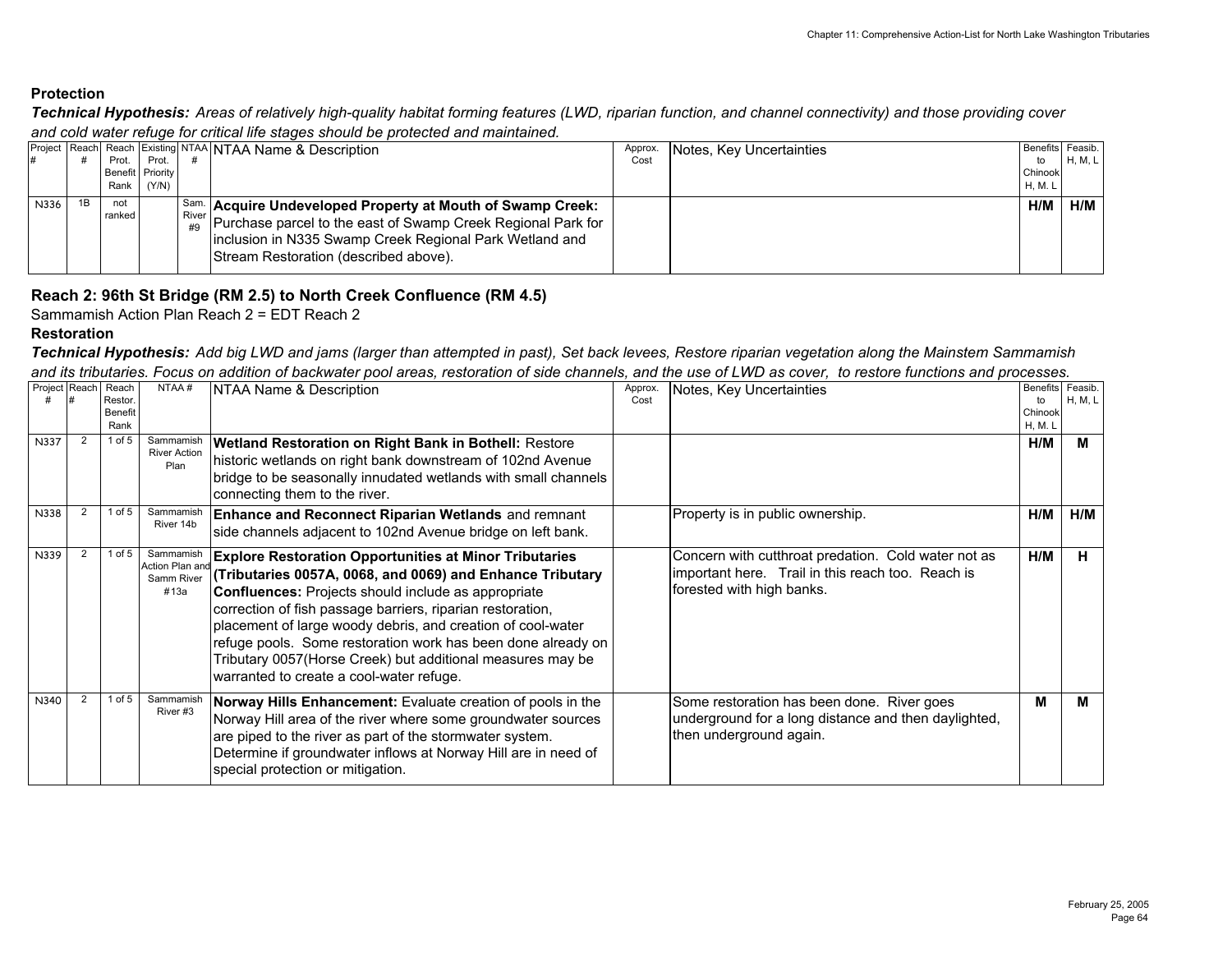*Technical Hypothesis: Areas of relatively high-quality habitat forming features (LWD, riparian function, and channel connectivity) and those providing cover and cold water refuge for critical life stages should be protected and maintained.*

|      |    |                  |       | <b>IProject Reach Reach Existing NTAA NTAA Name &amp; Description</b>                             | Approx. | Notes, Key Uncertainties | Benefits Feasib. |                |
|------|----|------------------|-------|---------------------------------------------------------------------------------------------------|---------|--------------------------|------------------|----------------|
|      |    | Prot.            | Prot. |                                                                                                   | Cost    |                          | to               | <b>H, M, L</b> |
|      |    | Benefit Priority |       |                                                                                                   |         |                          | Chinook          |                |
|      |    | Rank             | (Y/N) |                                                                                                   |         |                          | H. M. L          |                |
| N336 | 1B | not              |       | Sam. Acquire Undeveloped Property at Mouth of Swamp Creek:                                        |         |                          | H/M              | H/M            |
|      |    | ranked           |       | $\int_{-\pi\alpha}^{\text{River}}  P$ urchase parcel to the east of Swamp Creek Regional Park for |         |                          |                  |                |
|      |    |                  |       | inclusion in N335 Swamp Creek Regional Park Wetland and                                           |         |                          |                  |                |
|      |    |                  |       | Stream Restoration (described above).                                                             |         |                          |                  |                |
|      |    |                  |       |                                                                                                   |         |                          |                  |                |

## **Reach 2: 96th St Bridge (RM 2.5) to North Creek Confluence (RM 4.5)**

Sammamish Action Plan Reach 2 = EDT Reach 2

#### **Restoration**

#### *Technical Hypothesis: Add big LWD and jams (larger than attempted in past), Set back levees, Restore riparian vegetation along the Mainstem Sammamish and its tributaries. Focus on addition of backwater pool areas, restoration of side channels, and the use of LWD as cover, to restore functions and processes.*

| Project Reach |   | Reach<br>Restor.<br>Benefit<br>Rank | NTAA#                                              | NTAA Name & Description                                                                                                                                                                                                                                                                                                                                                                                                                                                                        | Approx.<br>Cost | Notes, Key Uncertainties                                                                                                              | Benefits Feasib.<br>to<br>Chinook<br><b>H, M. L</b> | H, M, L |
|---------------|---|-------------------------------------|----------------------------------------------------|------------------------------------------------------------------------------------------------------------------------------------------------------------------------------------------------------------------------------------------------------------------------------------------------------------------------------------------------------------------------------------------------------------------------------------------------------------------------------------------------|-----------------|---------------------------------------------------------------------------------------------------------------------------------------|-----------------------------------------------------|---------|
| N337          | 2 | 1 of $5$                            | Sammamish<br><b>River Action</b><br>Plan           | <b>Wetland Restoration on Right Bank in Bothell: Restore</b><br>historic wetlands on right bank downstream of 102nd Avenue<br>bridge to be seasonally innudated wetlands with small channels<br>connecting them to the river.                                                                                                                                                                                                                                                                  |                 |                                                                                                                                       | H/M                                                 | м       |
| N338          |   | $1$ of $5$                          | Sammamish<br>River 14b                             | <b>Enhance and Reconnect Riparian Wetlands and remnant</b><br>side channels adjacent to 102nd Avenue bridge on left bank.                                                                                                                                                                                                                                                                                                                                                                      |                 | Property is in public ownership.                                                                                                      | H/M                                                 | H/M     |
| N339          |   | 1 of 5                              | Sammamish<br>Action Plan and<br>Samm River<br>#13a | <b>Explore Restoration Opportunities at Minor Tributaries</b><br>Tributaries 0057A, 0068, and 0069) and Enhance Tributary<br><b>Confluences:</b> Projects should include as appropriate<br>correction of fish passage barriers, riparian restoration,<br>placement of large woody debris, and creation of cool-water<br>refuge pools. Some restoration work has been done already on<br>Tributary 0057(Horse Creek) but additional measures may be<br>warranted to create a cool-water refuge. |                 | Concern with cutthroat predation. Cold water not as<br>important here. Trail in this reach too. Reach is<br>forested with high banks. | H/M                                                 | н       |
| N340          |   | $1$ of $5$                          | Sammamish<br>River#3                               | Norway Hills Enhancement: Evaluate creation of pools in the<br>Norway Hill area of the river where some groundwater sources<br>are piped to the river as part of the stormwater system.<br>Determine if groundwater inflows at Norway Hill are in need of<br>special protection or mitigation.                                                                                                                                                                                                 |                 | Some restoration has been done. River goes<br>underground for a long distance and then daylighted,<br>then underground again.         | М                                                   | м       |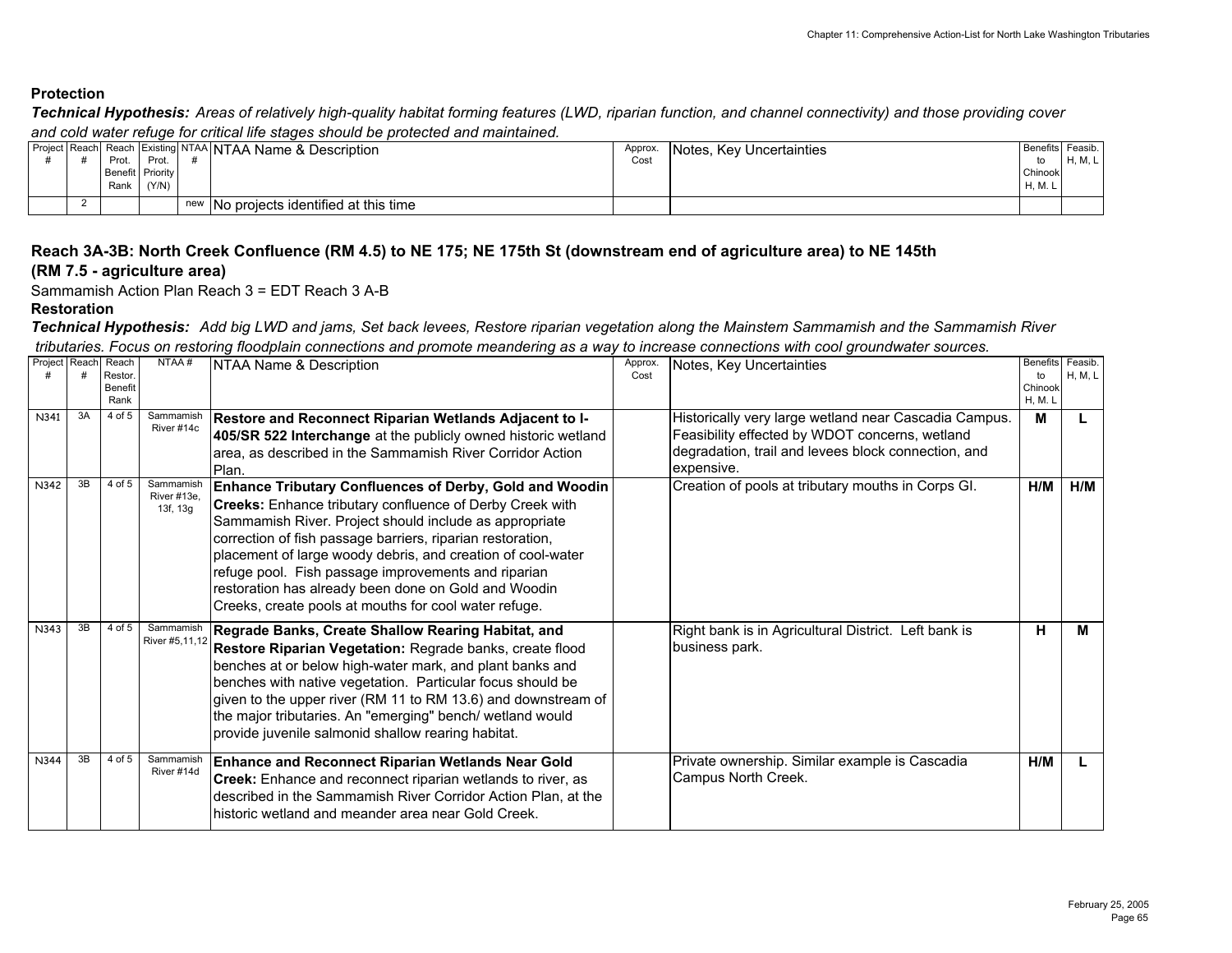*Technical Hypothesis: Areas of relatively high-quality habitat forming features (LWD, riparian function, and channel connectivity) and those providing cover and cold water refuge for critical life stages should be protected and maintained.*

|  | Prot.<br>Benefit Priority<br>Rank | Prot.<br>(Y/N) | Project Reach Reach Existing NTAA NTAA Name & Description | Approx.<br>Cost | Notes, Key Uncertainties | Benefits Feasib.<br>to<br>Chinook<br>H, M. | H, M, L |
|--|-----------------------------------|----------------|-----------------------------------------------------------|-----------------|--------------------------|--------------------------------------------|---------|
|  |                                   |                | new INo projects identified at this time                  |                 |                          |                                            |         |

#### **Reach 3A-3B: North Creek Confluence (RM 4.5) to NE 175; NE 175th St (downstream end of agriculture area) to NE 145th (RM 7.5 - agriculture area)**

Sammamish Action Plan Reach 3 = EDT Reach 3 A-B

#### **Restoration**

*Technical Hypothesis: Add big LWD and jams, Set back levees, Restore riparian vegetation along the Mainstem Sammamish and the Sammamish River tributaries. Focus on restoring floodplain connections and promote meandering as a way to increase connections with cool groundwater sources.*

| Project | Reach | Reach<br>Restor.<br><b>Benefit</b><br>Rank | NTAA#                                | NTAA Name & Description                                                                                                                                                                                                                                                                                                                                                                                                                                                                   | Approx.<br>Cost | Notes, Key Uncertainties                                                                                                                                                     | Benefits Feasib.<br>to<br>Chinook<br>H, M. L | H, M, L |
|---------|-------|--------------------------------------------|--------------------------------------|-------------------------------------------------------------------------------------------------------------------------------------------------------------------------------------------------------------------------------------------------------------------------------------------------------------------------------------------------------------------------------------------------------------------------------------------------------------------------------------------|-----------------|------------------------------------------------------------------------------------------------------------------------------------------------------------------------------|----------------------------------------------|---------|
| N341    | 3A    | 4 of 5                                     | Sammamish<br>River #14c              | Restore and Reconnect Riparian Wetlands Adjacent to I-<br>405/SR 522 Interchange at the publicly owned historic wetland<br>area, as described in the Sammamish River Corridor Action<br>Plan.                                                                                                                                                                                                                                                                                             |                 | Historically very large wetland near Cascadia Campus.<br>Feasibility effected by WDOT concerns, wetland<br>degradation, trail and levees block connection, and<br>expensive. | М                                            |         |
| N342    | 3B    | 4 of 5                                     | Sammamish<br>River #13e,<br>13f, 13g | Enhance Tributary Confluences of Derby, Gold and Woodin<br><b>Creeks:</b> Enhance tributary confluence of Derby Creek with<br>Sammamish River. Project should include as appropriate<br>correction of fish passage barriers, riparian restoration,<br>placement of large woody debris, and creation of cool-water<br>refuge pool. Fish passage improvements and riparian<br>restoration has already been done on Gold and Woodin<br>Creeks, create pools at mouths for cool water refuge. |                 | Creation of pools at tributary mouths in Corps GI.                                                                                                                           | H/M                                          | H/M     |
| N343    | 3B    | 4 of 5                                     | Sammamish<br>River #5.11.12          | Regrade Banks, Create Shallow Rearing Habitat, and<br>Restore Riparian Vegetation: Regrade banks, create flood<br>benches at or below high-water mark, and plant banks and<br>benches with native vegetation. Particular focus should be<br>given to the upper river (RM 11 to RM 13.6) and downstream of<br>the major tributaries. An "emerging" bench/ wetland would<br>provide juvenile salmonid shallow rearing habitat.                                                              |                 | Right bank is in Agricultural District. Left bank is<br>business park.                                                                                                       | н                                            | м       |
| N344    | 3B    | 4 of 5                                     | Sammamish<br>River #14d              | <b>Enhance and Reconnect Riparian Wetlands Near Gold</b><br>Creek: Enhance and reconnect riparian wetlands to river, as<br>described in the Sammamish River Corridor Action Plan, at the<br>historic wetland and meander area near Gold Creek.                                                                                                                                                                                                                                            |                 | Private ownership. Similar example is Cascadia<br>Campus North Creek.                                                                                                        | H/M                                          |         |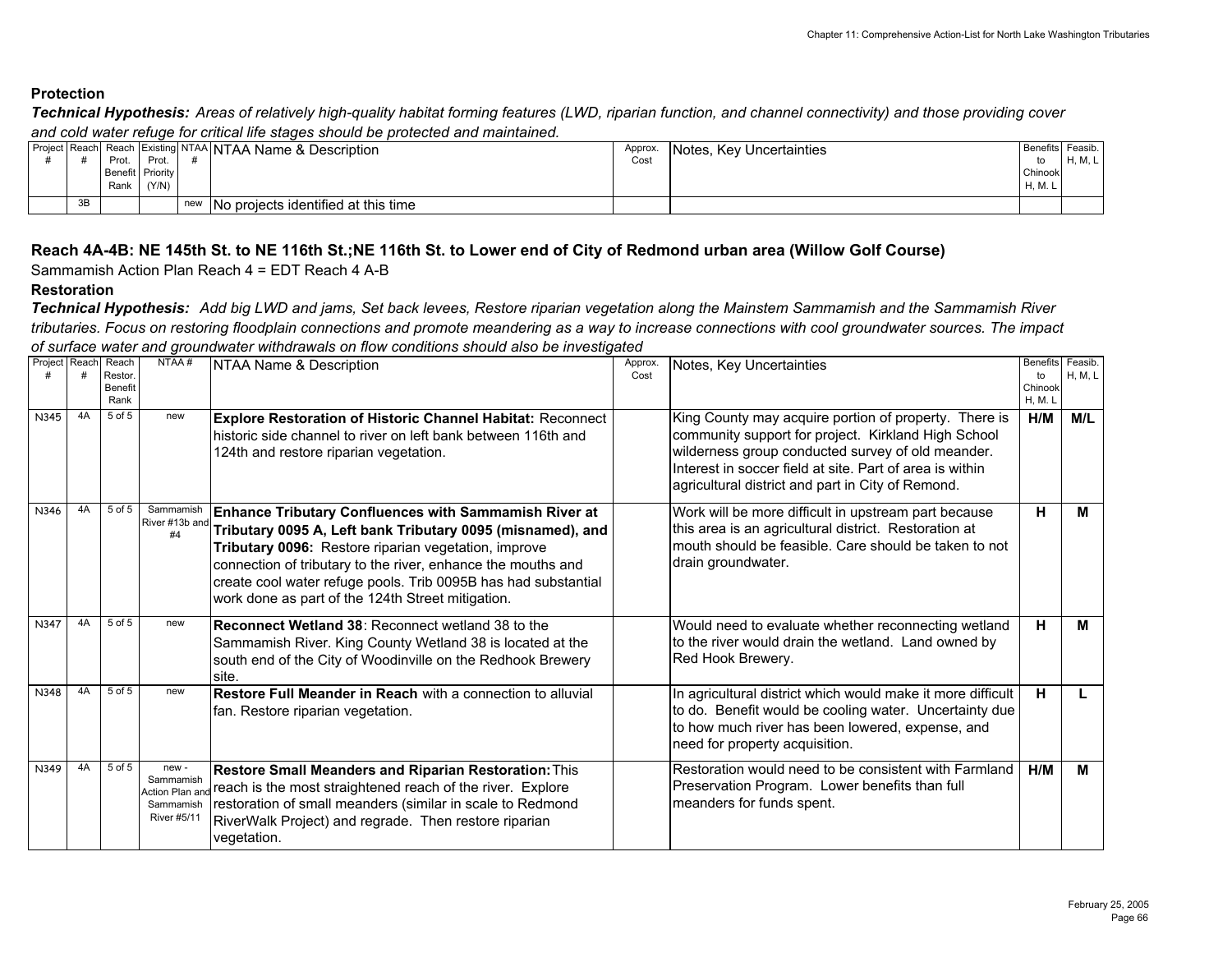*Technical Hypothesis: Areas of relatively high-quality habitat forming features (LWD, riparian function, and channel connectivity) and those providing cover and cold water refuge for critical life stages should be protected and maintained.*

|    | Prot.<br>Benefit Priority<br>Rank | Prot.<br>(Y/N) |     | Project Reach Reach Existing NTAA NTAA Name & Description | Approx.<br>Cost | Notes, Key Uncertainties | Benefits Feasib.<br>Chinook<br>H, M. | H, M, L |
|----|-----------------------------------|----------------|-----|-----------------------------------------------------------|-----------------|--------------------------|--------------------------------------|---------|
| 3B |                                   |                | new | INo proiects identified at this time                      |                 |                          |                                      |         |

#### **Reach 4A-4B: NE 145th St. to NE 116th St.;NE 116th St. to Lower end of City of Redmond urban area (Willow Golf Course)**

Sammamish Action Plan Reach 4 = EDT Reach 4 A-B

#### **Restoration**

*Technical Hypothesis: Add big LWD and jams, Set back levees, Restore riparian vegetation along the Mainstem Sammamish and the Sammamish River tributaries. Focus on restoring floodplain connections and promote meandering as a way to increase connections with cool groundwater sources. The impact of surface water and groundwater withdrawals on flow conditions should also be investigated*

| Project | Reach | Reach<br>Restor.<br><b>Benefit</b><br>Rank | NTAA#                                                                  | NTAA Name & Description                                                                                                                                                                                                                                                                                                                                                   | Approx.<br>Cost | Notes, Key Uncertainties                                                                                                                                                                                                                                                           | <b>Benefits</b><br>to<br>Chinook<br>H, M. L | Feasib.<br>H, M, L |
|---------|-------|--------------------------------------------|------------------------------------------------------------------------|---------------------------------------------------------------------------------------------------------------------------------------------------------------------------------------------------------------------------------------------------------------------------------------------------------------------------------------------------------------------------|-----------------|------------------------------------------------------------------------------------------------------------------------------------------------------------------------------------------------------------------------------------------------------------------------------------|---------------------------------------------|--------------------|
| N345    | 4A    | $5$ of $5$                                 | new                                                                    | <b>Explore Restoration of Historic Channel Habitat: Reconnect</b><br>historic side channel to river on left bank between 116th and<br>124th and restore riparian vegetation.                                                                                                                                                                                              |                 | King County may acquire portion of property. There is<br>community support for project. Kirkland High School<br>wilderness group conducted survey of old meander.<br>Interest in soccer field at site. Part of area is within<br>agricultural district and part in City of Remond. | H/M                                         | M/L                |
| N346    | 4A    | 5 of 5                                     | Sammamish<br>River #13b and<br>#4                                      | <b>Enhance Tributary Confluences with Sammamish River at</b><br>Tributary 0095 A, Left bank Tributary 0095 (misnamed), and<br>Tributary 0096: Restore riparian vegetation, improve<br>connection of tributary to the river, enhance the mouths and<br>create cool water refuge pools. Trib 0095B has had substantial<br>work done as part of the 124th Street mitigation. |                 | Work will be more difficult in upstream part because<br>this area is an agricultural district. Restoration at<br>mouth should be feasible. Care should be taken to not<br>drain groundwater.                                                                                       | н                                           | М                  |
| N347    | 4A    | 5 of 5                                     | new                                                                    | <b>Reconnect Wetland 38: Reconnect wetland 38 to the</b><br>Sammamish River. King County Wetland 38 is located at the<br>south end of the City of Woodinville on the Redhook Brewery<br>site.                                                                                                                                                                             |                 | Would need to evaluate whether reconnecting wetland<br>to the river would drain the wetland. Land owned by<br>Red Hook Brewery.                                                                                                                                                    | н                                           | м                  |
| N348    | 4A    | 5 of 5                                     | new                                                                    | <b>Restore Full Meander in Reach with a connection to alluvial</b><br>fan. Restore riparian vegetation.                                                                                                                                                                                                                                                                   |                 | In agricultural district which would make it more difficult<br>to do. Benefit would be cooling water. Uncertainty due<br>to how much river has been lowered, expense, and<br>need for property acquisition.                                                                        | н                                           |                    |
| N349    | 4A    | 5 of 5                                     | new-<br>Sammamish<br>Action Plan an<br>Sammamish<br><b>River #5/11</b> | Restore Small Meanders and Riparian Restoration: This<br>reach is the most straightened reach of the river. Explore<br>restoration of small meanders (similar in scale to Redmond<br>RiverWalk Project) and regrade. Then restore riparian<br>vegetation.                                                                                                                 |                 | Restoration would need to be consistent with Farmland<br>Preservation Program. Lower benefits than full<br>meanders for funds spent.                                                                                                                                               | H/M                                         | м                  |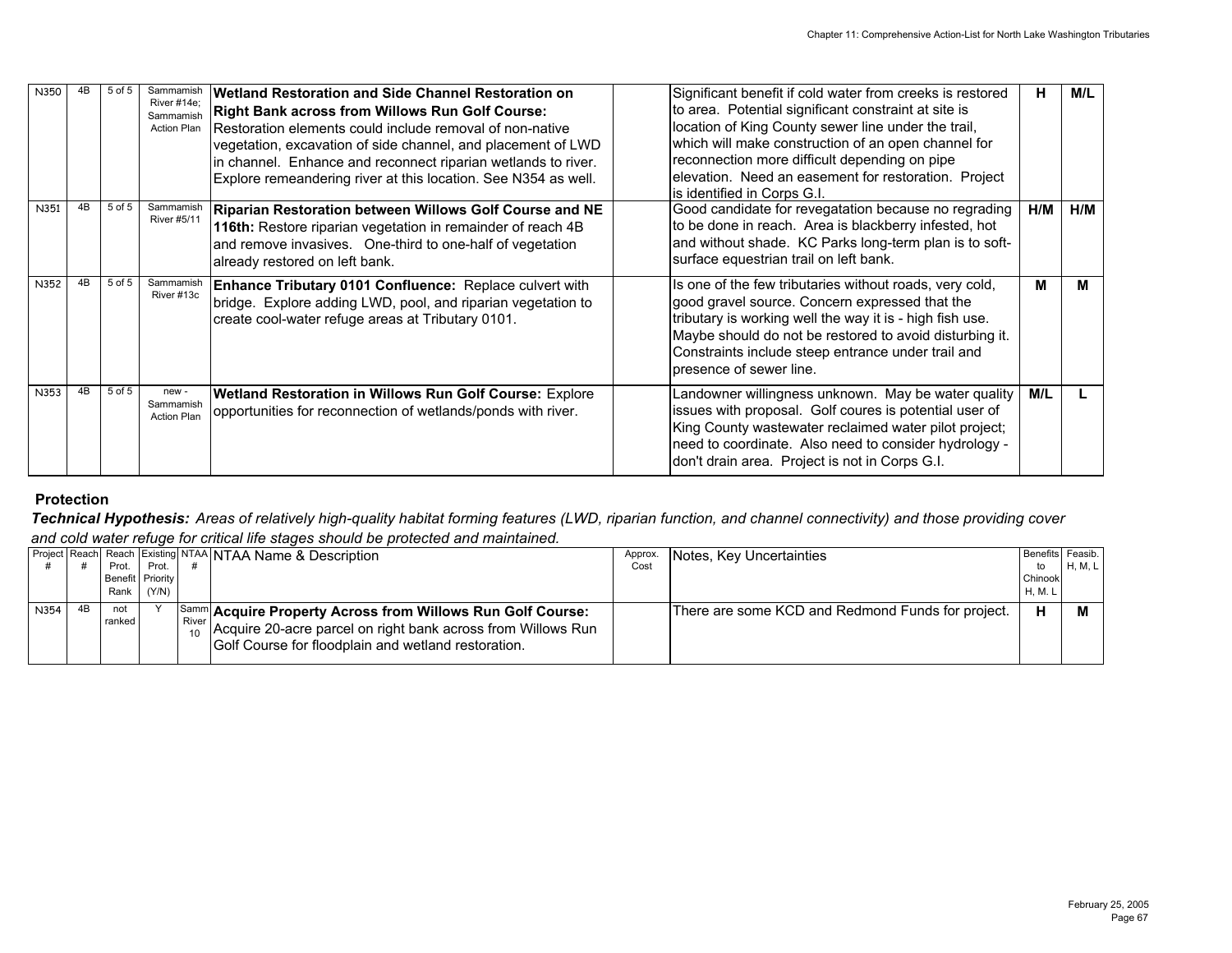| N350 | 4B | 5 of 5 | Sammamish<br>River #14e:<br>Sammamish<br><b>Action Plan</b> | Wetland Restoration and Side Channel Restoration on<br><b>Right Bank across from Willows Run Golf Course:</b><br>Restoration elements could include removal of non-native<br>vegetation, excavation of side channel, and placement of LWD<br>in channel. Enhance and reconnect riparian wetlands to river.<br>Explore remeandering river at this location. See N354 as well. | Significant benefit if cold water from creeks is restored<br>to area. Potential significant constraint at site is<br>location of King County sewer line under the trail,<br>which will make construction of an open channel for<br>reconnection more difficult depending on pipe<br>elevation. Need an easement for restoration. Project<br>lis identified in Corps G.I. | Н.  | M/L |
|------|----|--------|-------------------------------------------------------------|------------------------------------------------------------------------------------------------------------------------------------------------------------------------------------------------------------------------------------------------------------------------------------------------------------------------------------------------------------------------------|--------------------------------------------------------------------------------------------------------------------------------------------------------------------------------------------------------------------------------------------------------------------------------------------------------------------------------------------------------------------------|-----|-----|
| N351 | 4B | 5 of 5 | Sammamish<br><b>River #5/11</b>                             | Riparian Restoration between Willows Golf Course and NE<br>116th: Restore riparian vegetation in remainder of reach 4B<br>and remove invasives. One-third to one-half of vegetation<br>already restored on left bank.                                                                                                                                                        | Good candidate for revegatation because no regrading<br>to be done in reach. Area is blackberry infested, hot<br>and without shade. KC Parks long-term plan is to soft-<br>surface equestrian trail on left bank.                                                                                                                                                        | H/M | H/M |
| N352 | 4B | 5 of 5 | Sammamish<br>River #13c                                     | Enhance Tributary 0101 Confluence: Replace culvert with<br>bridge. Explore adding LWD, pool, and riparian vegetation to<br>create cool-water refuge areas at Tributary 0101.                                                                                                                                                                                                 | Is one of the few tributaries without roads, very cold,<br>good gravel source. Concern expressed that the<br>tributary is working well the way it is - high fish use.<br>Maybe should do not be restored to avoid disturbing it.<br>Constraints include steep entrance under trail and<br>bresence of sewer line.                                                        | Μ   | М   |
| N353 | 4B | 5 of 5 | new -<br>Sammamish<br><b>Action Plan</b>                    | Wetland Restoration in Willows Run Golf Course: Explore<br>opportunities for reconnection of wetlands/ponds with river.                                                                                                                                                                                                                                                      | Landowner willingness unknown. May be water quality<br>issues with proposal. Golf coures is potential user of<br>King County wastewater reclaimed water pilot project;<br>need to coordinate. Also need to consider hydrology -<br>don't drain area. Project is not in Corps G.I.                                                                                        | M/L |     |

*Technical Hypothesis: Areas of relatively high-quality habitat forming features (LWD, riparian function, and channel connectivity) and those providing cover and cold water refuge for critical life stages should be protected and maintained.*

|      |               |                  |         | Project Reach Reach Existing NTAA NTAA Name & Description                                                                                                                                                                  | Approx. | Notes, Key Uncertainties                          | Benefits Feasib. |         |
|------|---------------|------------------|---------|----------------------------------------------------------------------------------------------------------------------------------------------------------------------------------------------------------------------------|---------|---------------------------------------------------|------------------|---------|
|      | Prot.         | Prot.            |         |                                                                                                                                                                                                                            | Cost    |                                                   | to               | H, M, L |
|      |               | Benefit Priority |         |                                                                                                                                                                                                                            |         |                                                   | Chinook          |         |
|      | Rank          | (Y/N)            |         |                                                                                                                                                                                                                            |         |                                                   | H, M. L          |         |
| N354 | not<br>ranked |                  | River I | $\left \frac{\text{Sam}}{\text{Samm}}\right $ Acquire Property Across from Willows Run Golf Course:<br>Acquire 20-acre parcel on right bank across from Willows Run<br>Golf Course for floodplain and wetland restoration. |         | There are some KCD and Redmond Funds for project. |                  |         |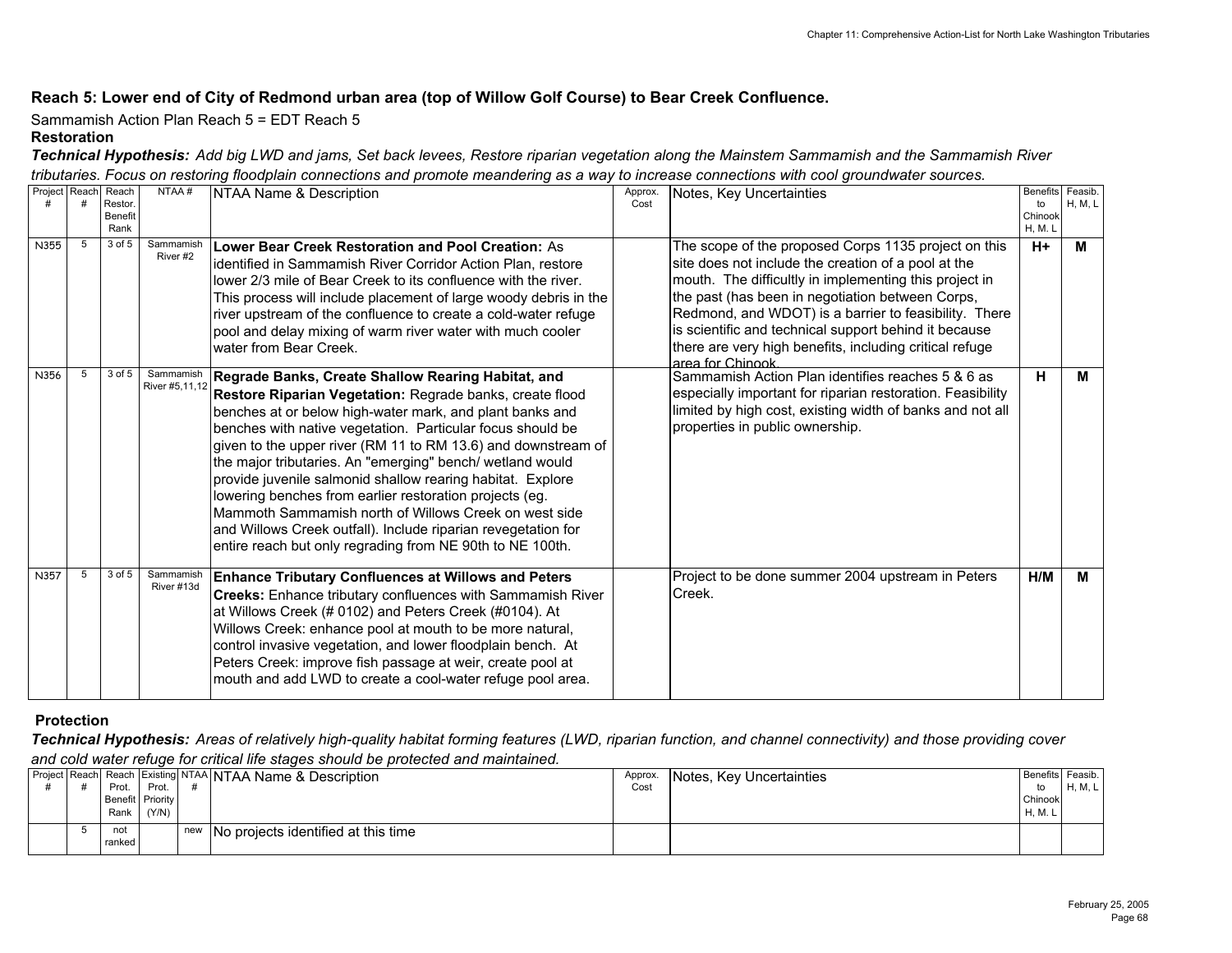#### **Reach 5: Lower end of City of Redmond urban area (top of Willow Golf Course) to Bear Creek Confluence.**

Sammamish Action Plan Reach 5 = EDT Reach 5

#### **Restoration**

*Technical Hypothesis: Add big LWD and jams, Set back levees, Restore riparian vegetation along the Mainstem Sammamish and the Sammamish River tributaries. Focus on restoring floodplain connections and promote meandering as a way to increase connections with cool groundwater sources.*

| Project Reach |   | Reach<br>Restor.<br><b>Benefit</b> | NTAA#                       | NTAA Name & Description                                                                                                                                                                                                                                                                                                                                                                                                                                                                                                                                                                                                                                                                | Approx.<br>Cost | Notes, Key Uncertainties                                                                                                                                                                                                                                                                                                                                                                                                   | to<br>Chinook          | Benefits Feasib.<br>H, M, L |
|---------------|---|------------------------------------|-----------------------------|----------------------------------------------------------------------------------------------------------------------------------------------------------------------------------------------------------------------------------------------------------------------------------------------------------------------------------------------------------------------------------------------------------------------------------------------------------------------------------------------------------------------------------------------------------------------------------------------------------------------------------------------------------------------------------------|-----------------|----------------------------------------------------------------------------------------------------------------------------------------------------------------------------------------------------------------------------------------------------------------------------------------------------------------------------------------------------------------------------------------------------------------------------|------------------------|-----------------------------|
| N355          | 5 | Rank<br>3 of 5                     | Sammamish<br>River#2        | Lower Bear Creek Restoration and Pool Creation: As<br>identified in Sammamish River Corridor Action Plan, restore<br>lower 2/3 mile of Bear Creek to its confluence with the river.<br>This process will include placement of large woody debris in the<br>river upstream of the confluence to create a cold-water refuge<br>pool and delay mixing of warm river water with much cooler<br>water from Bear Creek.                                                                                                                                                                                                                                                                      |                 | The scope of the proposed Corps 1135 project on this<br>site does not include the creation of a pool at the<br>mouth. The difficultly in implementing this project in<br>the past (has been in negotiation between Corps,<br>Redmond, and WDOT) is a barrier to feasibility. There<br>is scientific and technical support behind it because<br>there are very high benefits, including critical refuge<br>area for Chinook | <b>H, M. L</b><br>$H+$ | м                           |
| N356          | 5 | 3 of 5                             | Sammamish<br>River #5,11,12 | Regrade Banks, Create Shallow Rearing Habitat, and<br>Restore Riparian Vegetation: Regrade banks, create flood<br>benches at or below high-water mark, and plant banks and<br>benches with native vegetation. Particular focus should be<br>given to the upper river (RM 11 to RM 13.6) and downstream of<br>the major tributaries. An "emerging" bench/ wetland would<br>provide juvenile salmonid shallow rearing habitat. Explore<br>lowering benches from earlier restoration projects (eg.<br>Mammoth Sammamish north of Willows Creek on west side<br>and Willows Creek outfall). Include riparian revegetation for<br>entire reach but only regrading from NE 90th to NE 100th. |                 | Sammamish Action Plan identifies reaches 5 & 6 as<br>especially important for riparian restoration. Feasibility<br>limited by high cost, existing width of banks and not all<br>properties in public ownership.                                                                                                                                                                                                            | н                      | М                           |
| N357          | 5 | 3 of 5                             | Sammamish<br>River #13d     | <b>Enhance Tributary Confluences at Willows and Peters</b><br><b>Creeks:</b> Enhance tributary confluences with Sammamish River<br>at Willows Creek (# 0102) and Peters Creek (#0104). At<br>Willows Creek: enhance pool at mouth to be more natural,<br>control invasive vegetation, and lower floodplain bench. At<br>Peters Creek: improve fish passage at weir, create pool at<br>mouth and add LWD to create a cool-water refuge pool area.                                                                                                                                                                                                                                       |                 | Project to be done summer 2004 upstream in Peters<br>Creek.                                                                                                                                                                                                                                                                                                                                                                | H/M                    | м                           |

#### **Protection**

*Technical Hypothesis: Areas of relatively high-quality habitat forming features (LWD, riparian function, and channel connectivity) and those providing cover and cold water refuge for critical life stages should be protected and maintained.*

|  | Prot.<br>Benefit Priority<br>Rank | Prot.<br>(Y/N) |     | Project Reach Reach Existing NTAA NTAA Name & Description | Approx.<br>Cost | Notes, Key Uncertainties | Benefits Feasib.<br>to<br>Chinook<br>H, M, L | H, M, L |
|--|-----------------------------------|----------------|-----|-----------------------------------------------------------|-----------------|--------------------------|----------------------------------------------|---------|
|  | not<br>ranked                     |                | new | INo projects identified at this time                      |                 |                          |                                              |         |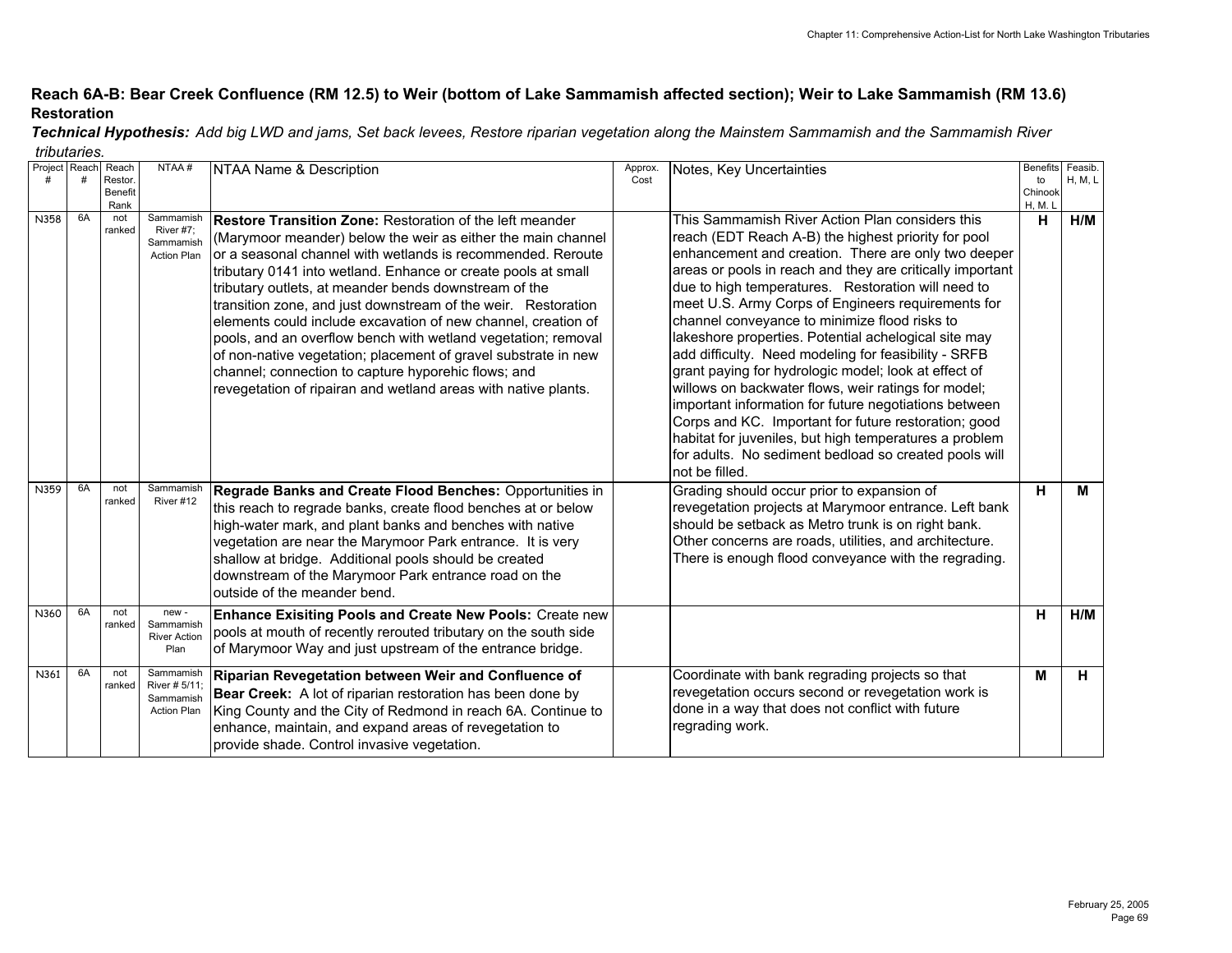## **Reach 6A-B: Bear Creek Confluence (RM 12.5) to Weir (bottom of Lake Sammamish affected section); Weir to Lake Sammamish (RM 13.6) Restoration**

| Project Reach |    | Reach   | NTAA#                           | NTAA Name & Description                                           | Approx. | Notes, Key Uncertainties                                  | <b>Benefits</b> | Feasib.        |
|---------------|----|---------|---------------------------------|-------------------------------------------------------------------|---------|-----------------------------------------------------------|-----------------|----------------|
|               |    | Restor. |                                 |                                                                   | Cost    |                                                           | to              | <b>H, M, L</b> |
|               |    | Benefit |                                 |                                                                   |         |                                                           | Chinook         |                |
|               |    | Rank    |                                 |                                                                   |         |                                                           | H, M. L         |                |
| N358          | 6A | not     | Sammamish                       | Restore Transition Zone: Restoration of the left meander          |         | This Sammamish River Action Plan considers this           | н               | H/M            |
|               |    | ranked  | River #7:<br>Sammamish          | (Marymoor meander) below the weir as either the main channel      |         | reach (EDT Reach A-B) the highest priority for pool       |                 |                |
|               |    |         | <b>Action Plan</b>              | or a seasonal channel with wetlands is recommended. Reroute       |         | enhancement and creation. There are only two deeper       |                 |                |
|               |    |         |                                 |                                                                   |         | areas or pools in reach and they are critically important |                 |                |
|               |    |         |                                 | tributary 0141 into wetland. Enhance or create pools at small     |         |                                                           |                 |                |
|               |    |         |                                 | tributary outlets, at meander bends downstream of the             |         | due to high temperatures. Restoration will need to        |                 |                |
|               |    |         |                                 | transition zone, and just downstream of the weir. Restoration     |         | meet U.S. Army Corps of Engineers requirements for        |                 |                |
|               |    |         |                                 | elements could include excavation of new channel, creation of     |         | channel conveyance to minimize flood risks to             |                 |                |
|               |    |         |                                 | pools, and an overflow bench with wetland vegetation; removal     |         | lakeshore properties. Potential achelogical site may      |                 |                |
|               |    |         |                                 | of non-native vegetation; placement of gravel substrate in new    |         | add difficulty. Need modeling for feasibility - SRFB      |                 |                |
|               |    |         |                                 | channel; connection to capture hyporehic flows; and               |         | grant paying for hydrologic model; look at effect of      |                 |                |
|               |    |         |                                 | revegetation of ripairan and wetland areas with native plants.    |         | willows on backwater flows, weir ratings for model;       |                 |                |
|               |    |         |                                 |                                                                   |         | important information for future negotiations between     |                 |                |
|               |    |         |                                 |                                                                   |         | Corps and KC. Important for future restoration; good      |                 |                |
|               |    |         |                                 |                                                                   |         |                                                           |                 |                |
|               |    |         |                                 |                                                                   |         | habitat for juveniles, but high temperatures a problem    |                 |                |
|               |    |         |                                 |                                                                   |         | for adults. No sediment bedload so created pools will     |                 |                |
|               |    |         |                                 |                                                                   |         | Inot be filled.                                           |                 |                |
| N359          | 6A | not     | Sammamish                       | Regrade Banks and Create Flood Benches: Opportunities in          |         | Grading should occur prior to expansion of                | н               | М              |
|               |    | ranked  | River #12                       | this reach to regrade banks, create flood benches at or below     |         | revegetation projects at Marymoor entrance. Left bank     |                 |                |
|               |    |         |                                 | high-water mark, and plant banks and benches with native          |         | should be setback as Metro trunk is on right bank.        |                 |                |
|               |    |         |                                 | vegetation are near the Marymoor Park entrance. It is very        |         | Other concerns are roads, utilities, and architecture.    |                 |                |
|               |    |         |                                 |                                                                   |         | There is enough flood conveyance with the regrading.      |                 |                |
|               |    |         |                                 | shallow at bridge. Additional pools should be created             |         |                                                           |                 |                |
|               |    |         |                                 | downstream of the Marymoor Park entrance road on the              |         |                                                           |                 |                |
|               |    |         |                                 | outside of the meander bend.                                      |         |                                                           |                 |                |
| N360          | 6A | not     | new-                            | Enhance Exisiting Pools and Create New Pools: Create new          |         |                                                           | н               | H/M            |
|               |    | ranked  | Sammamish                       | pools at mouth of recently rerouted tributary on the south side   |         |                                                           |                 |                |
|               |    |         | <b>River Action</b><br>Plan     | of Marymoor Way and just upstream of the entrance bridge.         |         |                                                           |                 |                |
|               |    |         |                                 |                                                                   |         |                                                           |                 |                |
| N361          | 6A | not     | Sammamish                       | Riparian Revegetation between Weir and Confluence of              |         | Coordinate with bank regrading projects so that           | M               | н              |
|               |    | ranked  | River # 5/11:                   | <b>Bear Creek:</b> A lot of riparian restoration has been done by |         | revegetation occurs second or revegetation work is        |                 |                |
|               |    |         | Sammamish<br><b>Action Plan</b> | King County and the City of Redmond in reach 6A. Continue to      |         | done in a way that does not conflict with future          |                 |                |
|               |    |         |                                 |                                                                   |         | regrading work.                                           |                 |                |
|               |    |         |                                 | enhance, maintain, and expand areas of revegetation to            |         |                                                           |                 |                |
|               |    |         |                                 | provide shade. Control invasive vegetation.                       |         |                                                           |                 |                |

*Technical Hypothesis: Add big LWD and jams, Set back levees, Restore riparian vegetation along the Mainstem Sammamish and the Sammamish River tributaries.*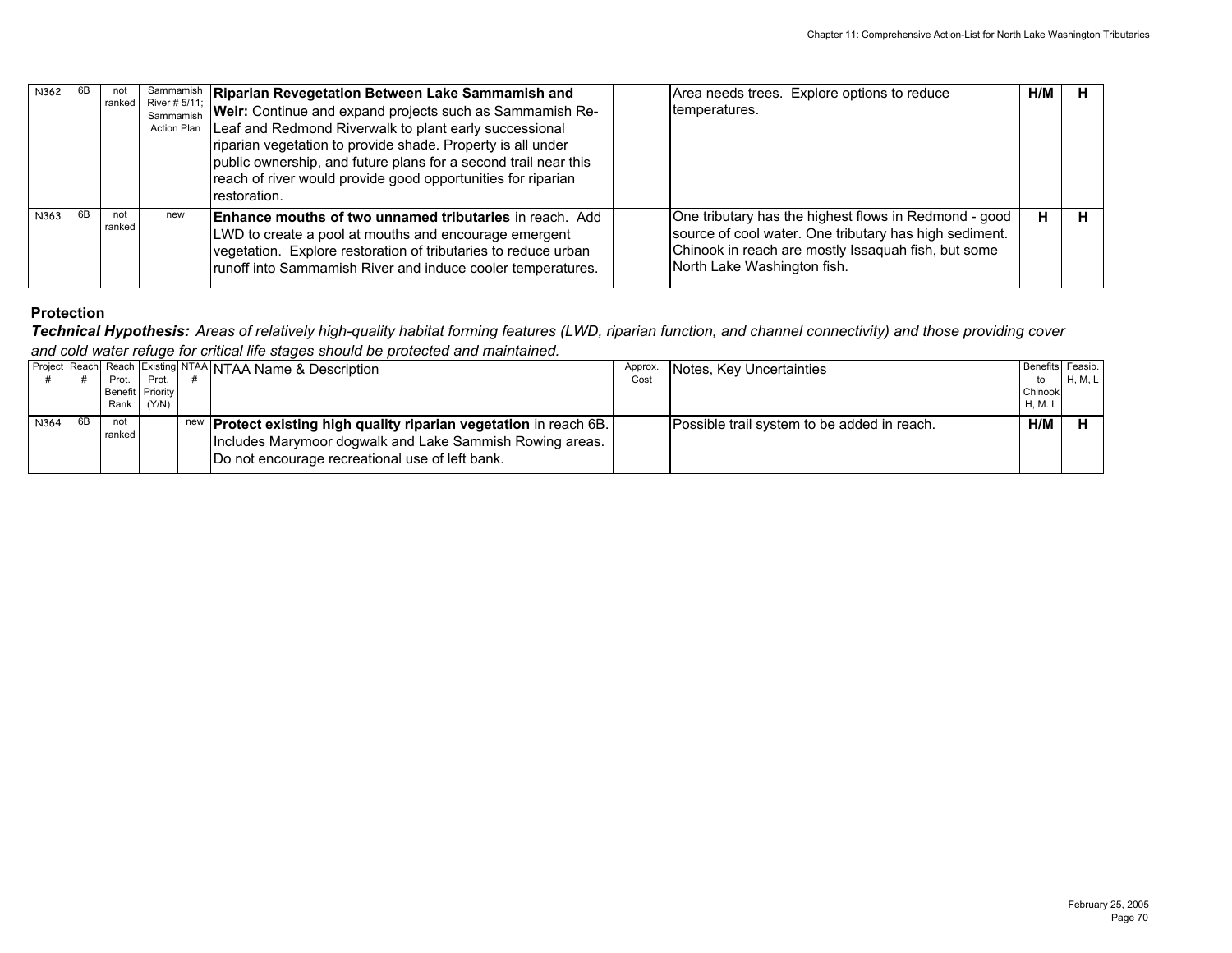| N362 |    | not<br>ranked | River # $5/11$ ;<br>Sammamish<br><b>Action Plan</b> | Sammamish   Riparian Revegetation Between Lake Sammamish and<br>Weir: Continue and expand projects such as Sammamish Re-<br>Leaf and Redmond Riverwalk to plant early successional<br>riparian vegetation to provide shade. Property is all under<br>public ownership, and future plans for a second trail near this<br>reach of river would provide good opportunities for riparian<br>restoration. | Area needs trees. Explore options to reduce<br>temperatures.                                                                                                                                          | H/M | н |
|------|----|---------------|-----------------------------------------------------|------------------------------------------------------------------------------------------------------------------------------------------------------------------------------------------------------------------------------------------------------------------------------------------------------------------------------------------------------------------------------------------------------|-------------------------------------------------------------------------------------------------------------------------------------------------------------------------------------------------------|-----|---|
| N363 | 6B | not<br>ranked | new                                                 | <b>Enhance mouths of two unnamed tributaries in reach. Add</b><br>LWD to create a pool at mouths and encourage emergent<br>vegetation. Explore restoration of tributaries to reduce urban<br>runoff into Sammamish River and induce cooler temperatures.                                                                                                                                             | One tributary has the highest flows in Redmond - good<br>source of cool water. One tributary has high sediment.<br>Chinook in reach are mostly Issaquah fish, but some<br>North Lake Washington fish. |     | н |

*Technical Hypothesis: Areas of relatively high-quality habitat forming features (LWD, riparian function, and channel connectivity) and those providing cover and cold water refuge for critical life stages should be protected and maintained.*

|      |                | Prot.            | Prot.      | <b>Project Reach Reach Existing NTAA NTAA Name &amp; Description</b>                                                                                                                     | Approx.<br>Cost | Notes, Key Uncertainties                    | Benefits Feasib.<br>to  | H, M, L |
|------|----------------|------------------|------------|------------------------------------------------------------------------------------------------------------------------------------------------------------------------------------------|-----------------|---------------------------------------------|-------------------------|---------|
|      |                | Benefit Priority | Rank (Y/N) |                                                                                                                                                                                          |                 |                                             | Chinook<br><b>H.M.L</b> |         |
| N364 | 6 <sub>R</sub> | not<br>ranked.   |            | new <b>Protect existing high quality riparian vegetation</b> in reach 6B.<br>Includes Marymoor dogwalk and Lake Sammish Rowing areas.<br>Do not encourage recreational use of left bank. |                 | Possible trail system to be added in reach. | H/M                     |         |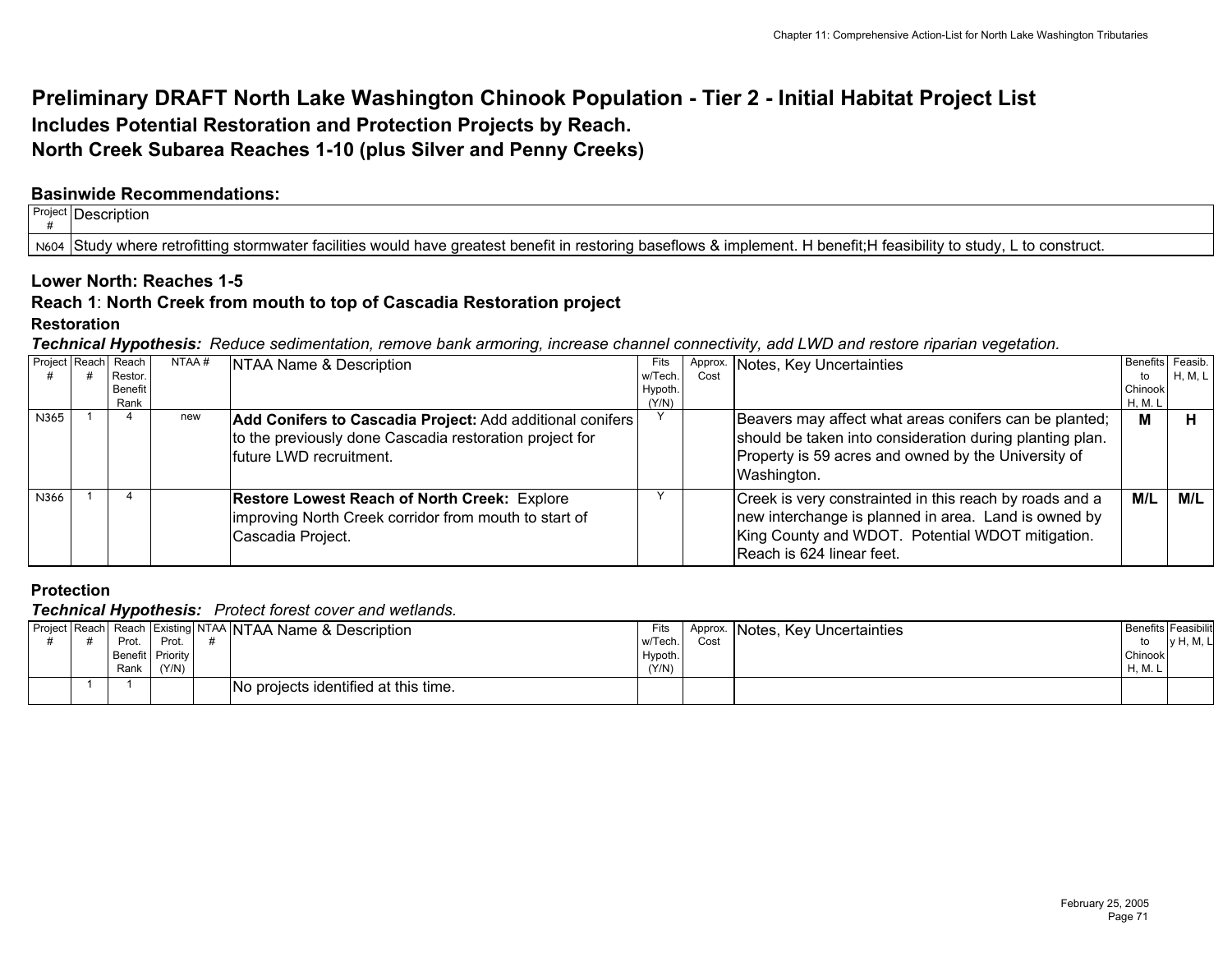# **Preliminary DRAFT North Lake Washington Chinook Population - Tier 2 - Initial Habitat Project List Includes Potential Restoration and Protection Projects by Reach. North Creek Subarea Reaches 1-10 (plus Silver and Penny Creeks)**

## **Basinwide Recommendations:**

| Project | ' -<br><b>Description</b>                                                                                                                                                                                        |  |
|---------|------------------------------------------------------------------------------------------------------------------------------------------------------------------------------------------------------------------|--|
| N604    | ' where retrofittina :<br>construct.<br>dement.<br>' feasibility<br>, +<br>. penetit in<br>lows<br>∍stud<br>tacilities would have greatest<br>l benefit:F<br>⊧stormwater<br>estorina<br><b>Study</b><br>- 03. 11 |  |

# **Lower North: Reaches 1-5**

#### **Reach 1**: **North Creek from mouth to top of Cascadia Restoration project**

#### **Restoration**

*Technical Hypothesis: Reduce sedimentation, remove bank armoring, increase channel connectivity, add LWD and restore riparian vegetation.*

|      | Project Reach Reach | NTAA# | NTAA Name & Description                                                                                                                          | Fits    |      | Approx. Notes, Key Uncertainties                                                                                                                                                                 | Benefits Feasib. |         |
|------|---------------------|-------|--------------------------------------------------------------------------------------------------------------------------------------------------|---------|------|--------------------------------------------------------------------------------------------------------------------------------------------------------------------------------------------------|------------------|---------|
|      | Restor.             |       |                                                                                                                                                  | w/Tech. | Cost |                                                                                                                                                                                                  | to               | H, M, L |
|      | Benefit             |       |                                                                                                                                                  | Hypoth. |      |                                                                                                                                                                                                  | Chinook          |         |
|      | Rank                |       |                                                                                                                                                  | (Y/N)   |      |                                                                                                                                                                                                  | H, M. L          |         |
| N365 |                     | new   | Add Conifers to Cascadia Project: Add additional conifers<br>to the previously done Cascadia restoration project for<br>Ifuture LWD recruitment. |         |      | Beavers may affect what areas conifers can be planted;<br>should be taken into consideration during planting plan.<br>Property is 59 acres and owned by the University of<br>Washington.         | м                |         |
| N366 |                     |       | <b>Restore Lowest Reach of North Creek: Explore</b><br>improving North Creek corridor from mouth to start of<br>Cascadia Project.                |         |      | Creek is very constrainted in this reach by roads and a<br>new interchange is planned in area. Land is owned by<br>King County and WDOT. Potential WDOT mitigation.<br>Reach is 624 linear feet. | M/L              | M/L     |

# **Protection**

*Technical Hypothesis: Protect forest cover and wetlands.*

|  | Prot.<br>Rank i | Prot.<br>Benefit   Priority<br>(Y/N) | Project Reach  Reach   Existing NTAA   NTAA Name & Description | Fits<br>w/Tech.<br>Hypoth<br>(Y/N) | Cost | Approx. Notes, Key Uncertainties | <b>Benefits Feasibilit</b><br>to<br>Chinook<br>H, M. | <b>v</b> H, M, L |
|--|-----------------|--------------------------------------|----------------------------------------------------------------|------------------------------------|------|----------------------------------|------------------------------------------------------|------------------|
|  |                 |                                      | No projects identified at this time.                           |                                    |      |                                  |                                                      |                  |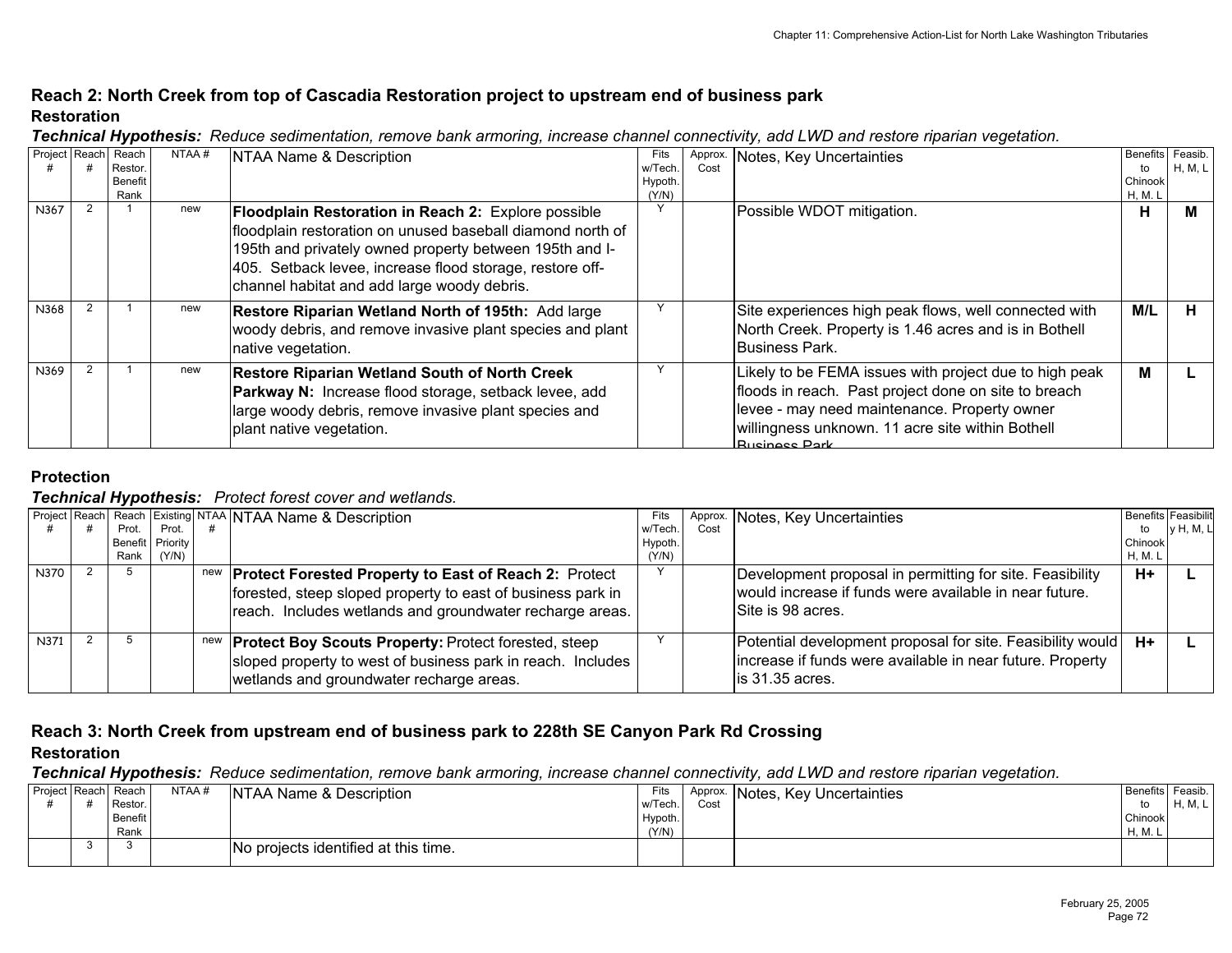## **Reach 2: North Creek from top of Cascadia Restoration project to upstream end of business park Restoration**

| Project Reach | Reach<br>Restor.<br>Benefit | NTAA# | NTAA Name & Description                                                                                                                                                                                                                                                                 | Fits<br>w/Tech.<br>Hypoth. | Approx.<br>Cost | Notes, Key Uncertainties                                                                                                                                                                                                                   | <b>Benefits</b><br>to<br>Chinook | Feasib.<br>H. M. L |
|---------------|-----------------------------|-------|-----------------------------------------------------------------------------------------------------------------------------------------------------------------------------------------------------------------------------------------------------------------------------------------|----------------------------|-----------------|--------------------------------------------------------------------------------------------------------------------------------------------------------------------------------------------------------------------------------------------|----------------------------------|--------------------|
| N367          | Rank                        | new   | Floodplain Restoration in Reach 2: Explore possible<br>floodplain restoration on unused baseball diamond north of<br>195th and privately owned property between 195th and I-<br>405. Setback levee, increase flood storage, restore off-<br>channel habitat and add large woody debris. | (Y/N)                      |                 | Possible WDOT mitigation.                                                                                                                                                                                                                  | H, M. L<br>н                     | м                  |
| N368          |                             | new   | Restore Riparian Wetland North of 195th: Add large<br>woody debris, and remove invasive plant species and plant<br>native vegetation.                                                                                                                                                   |                            |                 | Site experiences high peak flows, well connected with<br>North Creek. Property is 1.46 acres and is in Bothell<br>Business Park.                                                                                                           | M/L                              | н                  |
| N369          |                             | new   | <b>Restore Riparian Wetland South of North Creek</b><br>Parkway N: Increase flood storage, setback levee, add<br>large woody debris, remove invasive plant species and<br>plant native vegetation.                                                                                      |                            |                 | Likely to be FEMA issues with project due to high peak<br>floods in reach. Past project done on site to breach<br>levee - may need maintenance. Property owner<br>willingness unknown. 11 acre site within Bothell<br><b>Rugingee Park</b> | м                                |                    |

*Technical Hypothesis: Reduce sedimentation, remove bank armoring, increase channel connectivity, add LWD and restore riparian vegetation.*

## **Protection**

### *Technical Hypothesis: Protect forest cover and wetlands.*

|      |       |                  | Project Reach Reach Existing NTAA NTAA Name & Description                                                                                                                                   |         |      | Approx. Notes, Key Uncertainties                                                                                                            | <b>Benefits Feasibilit</b> |           |
|------|-------|------------------|---------------------------------------------------------------------------------------------------------------------------------------------------------------------------------------------|---------|------|---------------------------------------------------------------------------------------------------------------------------------------------|----------------------------|-----------|
|      | Prot. | Prot.            |                                                                                                                                                                                             | w/Tech. | Cost |                                                                                                                                             | to                         | y H, M, L |
|      |       | Benefit Priority |                                                                                                                                                                                             | Hypoth. |      |                                                                                                                                             | Chinook                    |           |
|      | Rank  | (Y/N)            |                                                                                                                                                                                             | (Y/N)   |      |                                                                                                                                             | H, M. L                    |           |
| N370 |       |                  | new <b>Protect Forested Property to East of Reach 2:</b> Protect<br>forested, steep sloped property to east of business park in<br>reach. Includes wetlands and groundwater recharge areas. |         |      | Development proposal in permitting for site. Feasibility<br>would increase if funds were available in near future.<br>ISite is 98 acres.    | $H+$                       |           |
| N371 |       |                  | new <b>Protect Boy Scouts Property:</b> Protect forested, steep<br>sloped property to west of business park in reach. Includes<br>wetlands and groundwater recharge areas.                  |         |      | Potential development proposal for site. Feasibility would<br>increase if funds were available in near future. Property<br>lis 31.35 acres. | H+                         |           |

# **Reach 3: North Creek from upstream end of business park to 228th SE Canyon Park Rd Crossing**

#### **Restoration**

*Technical Hypothesis: Reduce sedimentation, remove bank armoring, increase channel connectivity, add LWD and restore riparian vegetation.*

|  | Project Reach Reach<br>Restor. | NTAA# | NTAA Name & Description              | Fits<br>w/Tech.  | Approx.<br>Cost | Notes, Key Uncertainties | Benefits<br>to     | Feasib.<br>H, M, L |
|--|--------------------------------|-------|--------------------------------------|------------------|-----------------|--------------------------|--------------------|--------------------|
|  | Benefit<br>Rank                |       |                                      | Hypoth.<br>(Y/N) |                 |                          | Chinook<br>H, M. L |                    |
|  |                                |       | No projects identified at this time. |                  |                 |                          |                    |                    |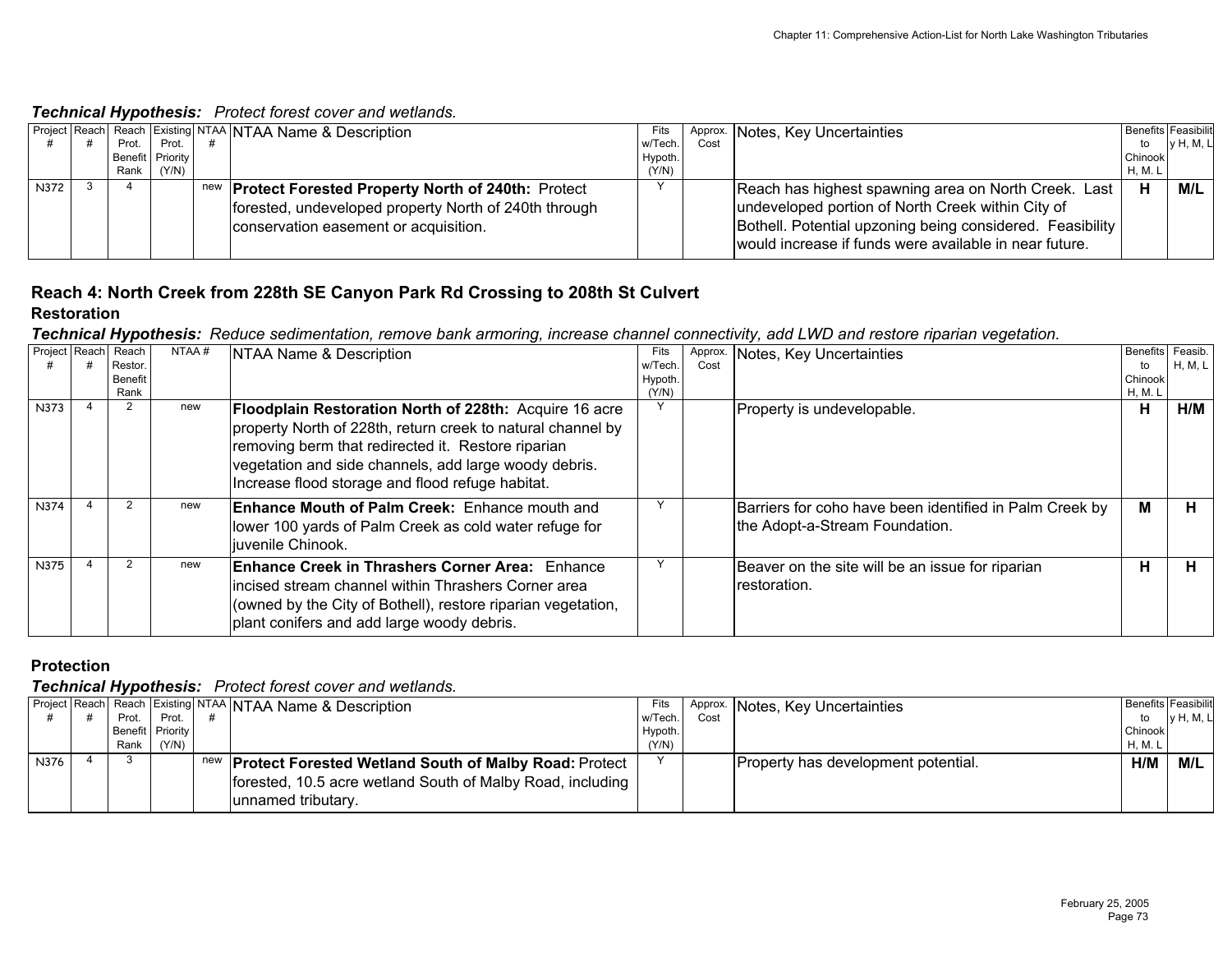## *Technical Hypothesis: Protect forest cover and wetlands.*

|             |       |                  | <b>Project Reach Reach Existing NTAA NTAA Name &amp; Description</b> | Fits    |      | Approx. Notes, Key Uncertainties                          |         | <b>Benefits Feasibilit</b> |
|-------------|-------|------------------|----------------------------------------------------------------------|---------|------|-----------------------------------------------------------|---------|----------------------------|
|             | Prot. | Prot.            |                                                                      | w/Tech. | Cost |                                                           | to      | <b>v</b> H, M, L           |
|             |       | Benefit Priority |                                                                      | Hypoth. |      |                                                           | Chinook |                            |
|             | Rank  | (Y/N)            |                                                                      | (Y/N)   |      |                                                           | H, M. L |                            |
| <b>N372</b> |       |                  | new <b>Protect Forested Property North of 240th:</b> Protect         |         |      | Reach has highest spawning area on North Creek. Last      | H       | M/L                        |
|             |       |                  | forested, undeveloped property North of 240th through                |         |      | undeveloped portion of North Creek within City of         |         |                            |
|             |       |                  | conservation easement or acquisition.                                |         |      | Bothell. Potential upzoning being considered. Feasibility |         |                            |
|             |       |                  |                                                                      |         |      | would increase if funds were available in near future.    |         |                            |

# **Reach 4: North Creek from 228th SE Canyon Park Rd Crossing to 208th St Culvert**

## **Restoration**

*Technical Hypothesis: Reduce sedimentation, remove bank armoring, increase channel connectivity, add LWD and restore riparian vegetation.*

| Project Reach | Reach<br>Restor.<br>Benefit<br>Rank | NTAA# | NTAA Name & Description                                                                                                                                                                                                                                                                  | Fits<br>w/Tech.<br>Hypoth.<br>(Y/N) | Approx.<br>Cost | Notes, Key Uncertainties                                                                  | <b>Benefits</b><br>to<br>Chinook<br>H, M. L | Feasib.<br>H, M, L |
|---------------|-------------------------------------|-------|------------------------------------------------------------------------------------------------------------------------------------------------------------------------------------------------------------------------------------------------------------------------------------------|-------------------------------------|-----------------|-------------------------------------------------------------------------------------------|---------------------------------------------|--------------------|
| N373          |                                     | new   | Floodplain Restoration North of 228th: Acquire 16 acre<br>property North of 228th, return creek to natural channel by<br>removing berm that redirected it. Restore riparian<br>vegetation and side channels, add large woody debris.<br>Increase flood storage and flood refuge habitat. |                                     |                 | Property is undevelopable.                                                                | н                                           | H/M                |
| N374          |                                     | new   | <b>Enhance Mouth of Palm Creek:</b> Enhance mouth and<br>lower 100 yards of Palm Creek as cold water refuge for<br>liuvenile Chinook.                                                                                                                                                    |                                     |                 | Barriers for coho have been identified in Palm Creek by<br>the Adopt-a-Stream Foundation. | м                                           | н.                 |
| N375          |                                     | new   | <b>Enhance Creek in Thrashers Corner Area: Enhance</b><br>lincised stream channel within Thrashers Corner area<br>(owned by the City of Bothell), restore riparian vegetation,<br>plant conifers and add large woody debris.                                                             |                                     |                 | Beaver on the site will be an issue for riparian<br>Irestoration.                         | н                                           | н                  |

## **Protection**

|      |                  |       | Project Reach Reach Existing NTAA NTAA Name & Description   | Fits    |      | Approx. Notes, Key Uncertainties      | <b>Benefits Feasibilit</b> |                  |
|------|------------------|-------|-------------------------------------------------------------|---------|------|---------------------------------------|----------------------------|------------------|
|      | Prot.            | Prot. |                                                             | w/Tech. | Cost |                                       | to                         | <b>v</b> H, M, L |
|      | Benefit Priority |       |                                                             | Hypoth. |      |                                       | Chinook                    |                  |
|      | Rank             | (Y/N) |                                                             | (Y/N)   |      |                                       | <b>H, M. L</b>             |                  |
| N376 |                  |       | new   Protect Forested Wetland South of Malby Road: Protect |         |      | (Property has development potential.) | H/M                        | M/L              |
|      |                  |       | forested, 10.5 acre wetland South of Malby Road, including  |         |      |                                       |                            |                  |
|      |                  |       | unnamed tributary.                                          |         |      |                                       |                            |                  |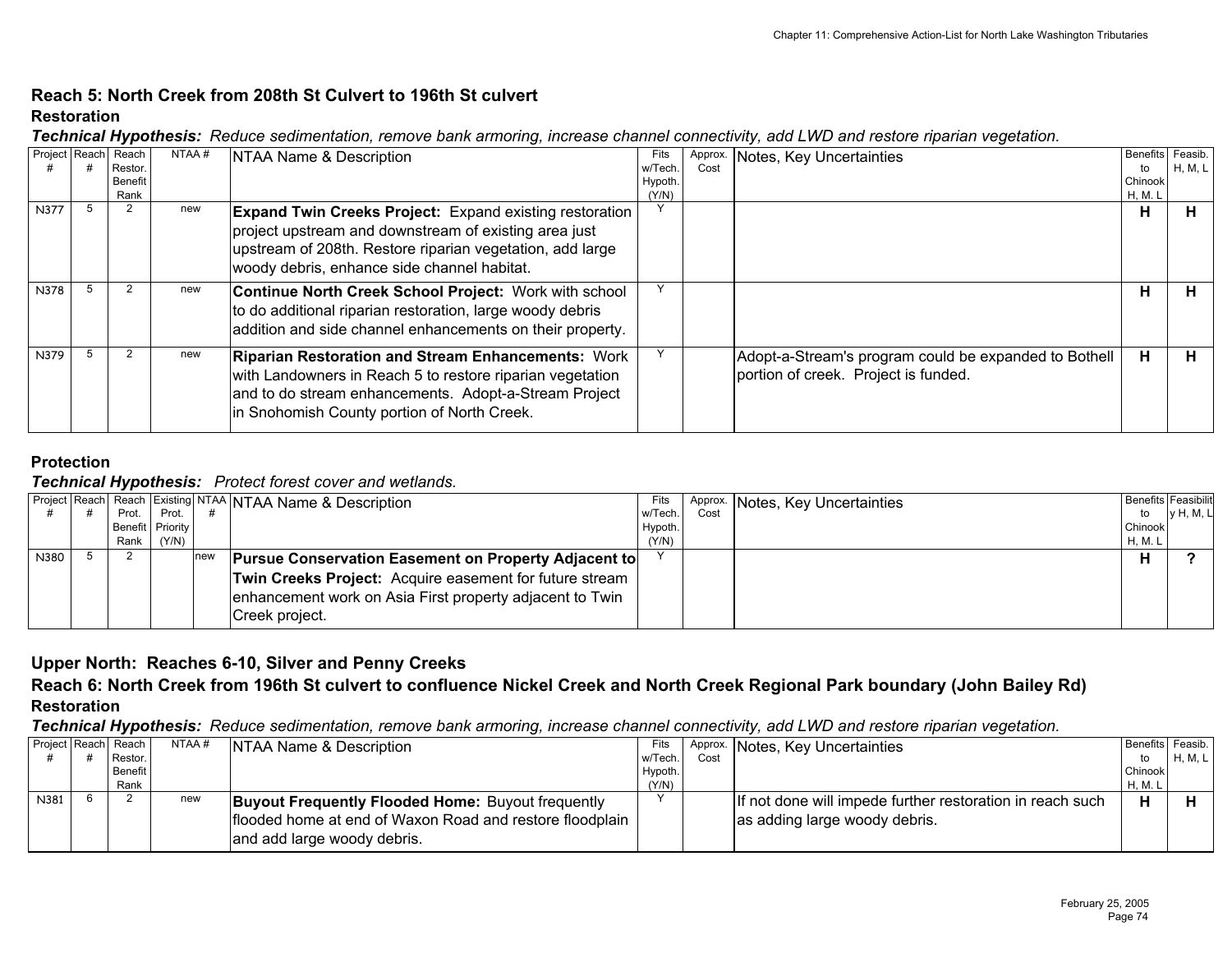## **Reach 5: North Creek from 208th St Culvert to 196th St culvertRestoration**

| Technical Hypothesis: Reduce sedimentation, remove bank armoring, increase channel connectivity, add LWD and restore riparian vegetation. |  |  |  |  |  |  |
|-------------------------------------------------------------------------------------------------------------------------------------------|--|--|--|--|--|--|
|                                                                                                                                           |  |  |  |  |  |  |

| Project Reach | Reach<br>Restor.<br><b>Benefit</b> | NTAA# | NTAA Name & Description                                        | Fits<br>w/Tech.<br>Hypoth. | Approx.<br>Cost | Notes, Key Uncertainties                              | <b>Benefits</b><br>to<br>Chinook | Feasib.<br>H, M, L |
|---------------|------------------------------------|-------|----------------------------------------------------------------|----------------------------|-----------------|-------------------------------------------------------|----------------------------------|--------------------|
|               | Rank                               |       |                                                                | (Y/N)                      |                 |                                                       | H, M. L                          |                    |
| N377          |                                    | new   | <b>Expand Twin Creeks Project:</b> Expand existing restoration |                            |                 |                                                       | н                                |                    |
|               |                                    |       | project upstream and downstream of existing area just          |                            |                 |                                                       |                                  |                    |
|               |                                    |       | upstream of 208th. Restore riparian vegetation, add large      |                            |                 |                                                       |                                  |                    |
|               |                                    |       | woody debris, enhance side channel habitat.                    |                            |                 |                                                       |                                  |                    |
| N378          |                                    | new   | Continue North Creek School Project: Work with school          |                            |                 |                                                       | н                                | н                  |
|               |                                    |       | to do additional riparian restoration, large woody debris      |                            |                 |                                                       |                                  |                    |
|               |                                    |       | addition and side channel enhancements on their property.      |                            |                 |                                                       |                                  |                    |
|               |                                    |       |                                                                |                            |                 |                                                       |                                  |                    |
| N379          |                                    | new   | <b>Riparian Restoration and Stream Enhancements: Work</b>      |                            |                 | Adopt-a-Stream's program could be expanded to Bothell | н                                | н                  |
|               |                                    |       | with Landowners in Reach 5 to restore riparian vegetation      |                            |                 | portion of creek. Project is funded.                  |                                  |                    |
|               |                                    |       | and to do stream enhancements. Adopt-a-Stream Project          |                            |                 |                                                       |                                  |                    |
|               |                                    |       | in Snohomish County portion of North Creek.                    |                            |                 |                                                       |                                  |                    |
|               |                                    |       |                                                                |                            |                 |                                                       |                                  |                    |

## **Protection**

### *Technical Hypothesis: Protect forest cover and wetlands.*

|      | . .              |       |     |                                                             |         |      |                                  |         |                            |
|------|------------------|-------|-----|-------------------------------------------------------------|---------|------|----------------------------------|---------|----------------------------|
|      |                  |       |     | Project Reach Reach Existing NTAA NTAA Name & Description   | Fits    |      | Approx. Notes, Key Uncertainties |         | <b>Benefits Feasibilit</b> |
|      | Prot.            | Prot. |     |                                                             | w/Tech. | Cost |                                  | to      | y H, M, L                  |
|      | Benefit Priority |       |     |                                                             | Hypoth. |      |                                  | Chinook |                            |
|      | Rank             | (Y/N) |     |                                                             | (Y/N)   |      |                                  | H, M. L |                            |
| N380 |                  |       | new | <b>Pursue Conservation Easement on Property Adjacent to</b> |         |      |                                  | н       |                            |
|      |                  |       |     | Twin Creeks Project: Acquire easement for future stream     |         |      |                                  |         |                            |
|      |                  |       |     | enhancement work on Asia First property adjacent to Twin    |         |      |                                  |         |                            |
|      |                  |       |     | Creek project.                                              |         |      |                                  |         |                            |

## **Upper North: Reaches 6-10, Silver and Penny Creeks**

# **Reach 6: North Creek from 196th St culvert to confluence Nickel Creek and North Creek Regional Park boundary (John Bailey Rd) Restoration**

*Technical Hypothesis: Reduce sedimentation, remove bank armoring, increase channel connectivity, add LWD and restore riparian vegetation.*

| Project Reach Reach |         | NTAA# | NTAA Name & Description                                  | Fits    |      | Approx. Notes, Key Uncertainties                          | Benefits Feasib. |         |
|---------------------|---------|-------|----------------------------------------------------------|---------|------|-----------------------------------------------------------|------------------|---------|
|                     | Restor. |       |                                                          | w/Tech. | Cost |                                                           | to               | H, M, L |
|                     | Benefit |       |                                                          | Hypoth. |      |                                                           | Chinook          |         |
|                     | Rank    |       |                                                          | (Y/N)   |      |                                                           | <b>H, M. L</b>   |         |
| N381                |         | new   | <b>Buyout Frequently Flooded Home:</b> Buyout frequently |         |      | If not done will impede further restoration in reach such | ц                |         |
|                     |         |       | flooded home at end of Waxon Road and restore floodplain |         |      | as adding large woody debris.                             |                  |         |
|                     |         |       | and add large woody debris.                              |         |      |                                                           |                  |         |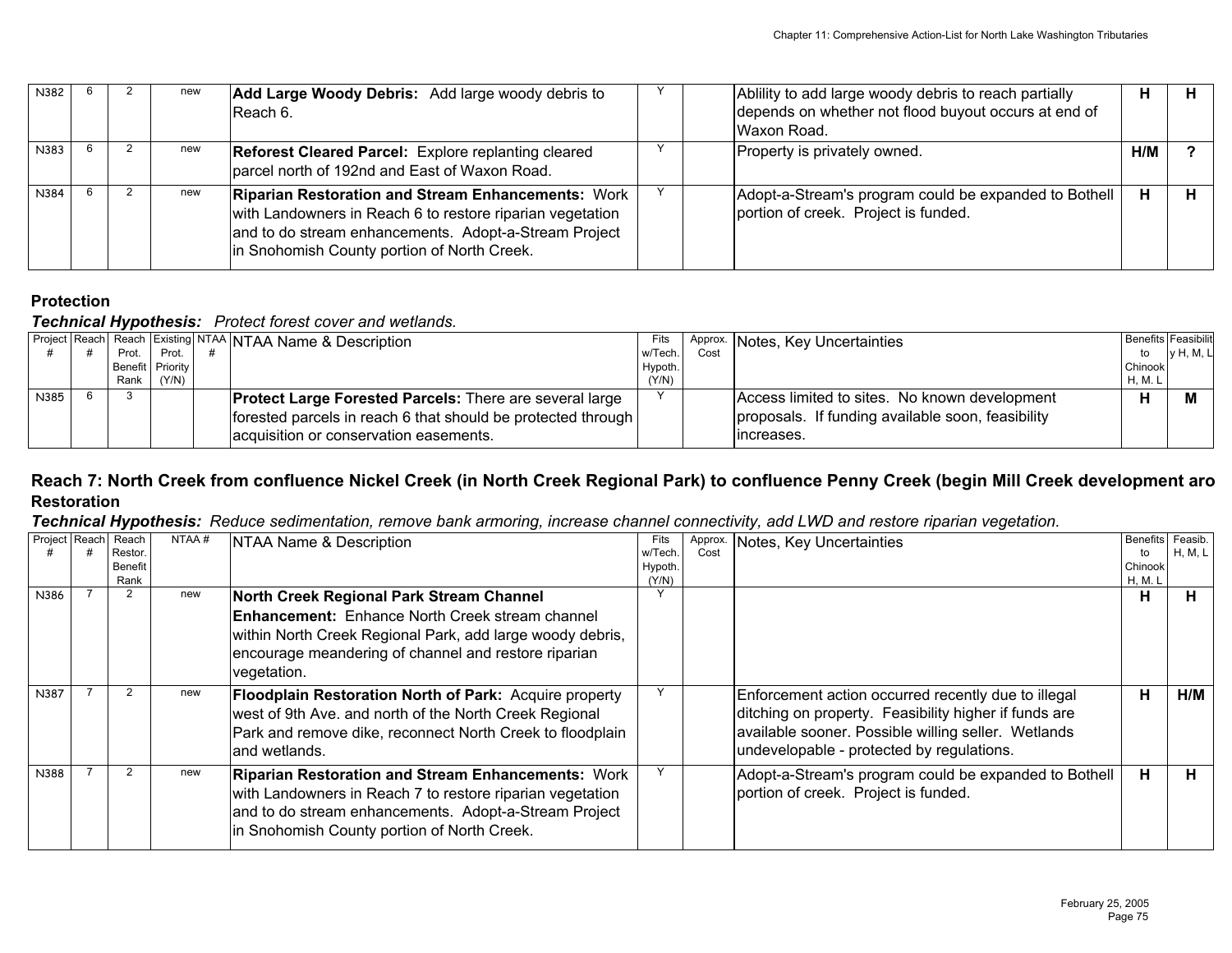| N382 |  | new | <b>Add Large Woody Debris:</b> Add large woody debris to<br>Reach 6.                                                                                                                                                           | Ablility to add large woody debris to reach partially<br>depends on whether not flood buyout occurs at end of<br>lWaxon Road. | н   |  |
|------|--|-----|--------------------------------------------------------------------------------------------------------------------------------------------------------------------------------------------------------------------------------|-------------------------------------------------------------------------------------------------------------------------------|-----|--|
| N383 |  | new | <b>Reforest Cleared Parcel:</b> Explore replanting cleared<br>parcel north of 192nd and East of Waxon Road.                                                                                                                    | Property is privately owned.                                                                                                  | H/M |  |
| N384 |  | new | <b>Riparian Restoration and Stream Enhancements: Work</b><br>with Landowners in Reach 6 to restore riparian vegetation<br>and to do stream enhancements. Adopt-a-Stream Project<br>In Snohomish County portion of North Creek. | Adopt-a-Stream's program could be expanded to Bothell<br>portion of creek. Project is funded.                                 | н   |  |

## *Technical Hypothesis: Protect forest cover and wetlands.*

|      |       |                  | Project Reach Reach Existing NTAA NTAA Name & Description      | Fits    |      | Approx. Notes, Key Uncertainties                  |         | <b>Benefits Feasibilit</b> |
|------|-------|------------------|----------------------------------------------------------------|---------|------|---------------------------------------------------|---------|----------------------------|
|      | Prot. | Prot.            |                                                                | w/Tech. | Cost |                                                   | to      | <b>v</b> H, M, L           |
|      |       | Benefit Priority |                                                                | Hypoth. |      |                                                   | Chinook |                            |
|      | Rank  | (Y/N)            |                                                                | (Y/N)   |      |                                                   | H, M. L |                            |
| N385 |       |                  | <b>Protect Large Forested Parcels: There are several large</b> |         |      | Access limited to sites. No known development     | н       |                            |
|      |       |                  | forested parcels in reach 6 that should be protected through   |         |      | proposals. If funding available soon, feasibility |         |                            |
|      |       |                  | acquisition or conservation easements.                         |         |      | Iincreases.                                       |         |                            |

## **Reach 7: North Creek from confluence Nickel Creek (in North Creek Regional Park) to confluence Penny Creek (begin Mill Creek development aro Restoration**

## *Technical Hypothesis: Reduce sedimentation, remove bank armoring, increase channel connectivity, add LWD and restore riparian vegetation.*

| Project Reach | Reach<br>Restor<br><b>Benefit</b><br>Rank | NTAA# | NTAA Name & Description                                                                                                                                                                                                                | Fits<br>w/Tech.<br>Hypoth.<br>(Y/N) | Approx<br>Cost | Notes, Key Uncertainties                                                                                                                                                                                         | Benefits Feasib.<br>to<br>Chinook<br>H, M. L | H, M, L |
|---------------|-------------------------------------------|-------|----------------------------------------------------------------------------------------------------------------------------------------------------------------------------------------------------------------------------------------|-------------------------------------|----------------|------------------------------------------------------------------------------------------------------------------------------------------------------------------------------------------------------------------|----------------------------------------------|---------|
| N386          | $\overline{2}$                            | new   | North Creek Regional Park Stream Channel<br><b>Enhancement:</b> Enhance North Creek stream channel<br>within North Creek Regional Park, add large woody debris,<br>encourage meandering of channel and restore riparian<br>vegetation. |                                     |                |                                                                                                                                                                                                                  | н                                            | н       |
| N387          |                                           | new   | <b>Floodplain Restoration North of Park:</b> Acquire property<br>west of 9th Ave. and north of the North Creek Regional<br>Park and remove dike, reconnect North Creek to floodplain<br>land wetlands.                                 |                                     |                | Enforcement action occurred recently due to illegal<br>ditching on property. Feasibility higher if funds are<br>available sooner. Possible willing seller. Wetlands<br>undevelopable - protected by regulations. | H                                            | H/M     |
| N388          | $\overline{2}$                            | new   | <b>Riparian Restoration and Stream Enhancements: Work</b><br>with Landowners in Reach 7 to restore riparian vegetation<br>and to do stream enhancements. Adopt-a-Stream Project<br>in Snohomish County portion of North Creek.         |                                     |                | Adopt-a-Stream's program could be expanded to Bothell<br>portion of creek. Project is funded.                                                                                                                    | н.                                           | н       |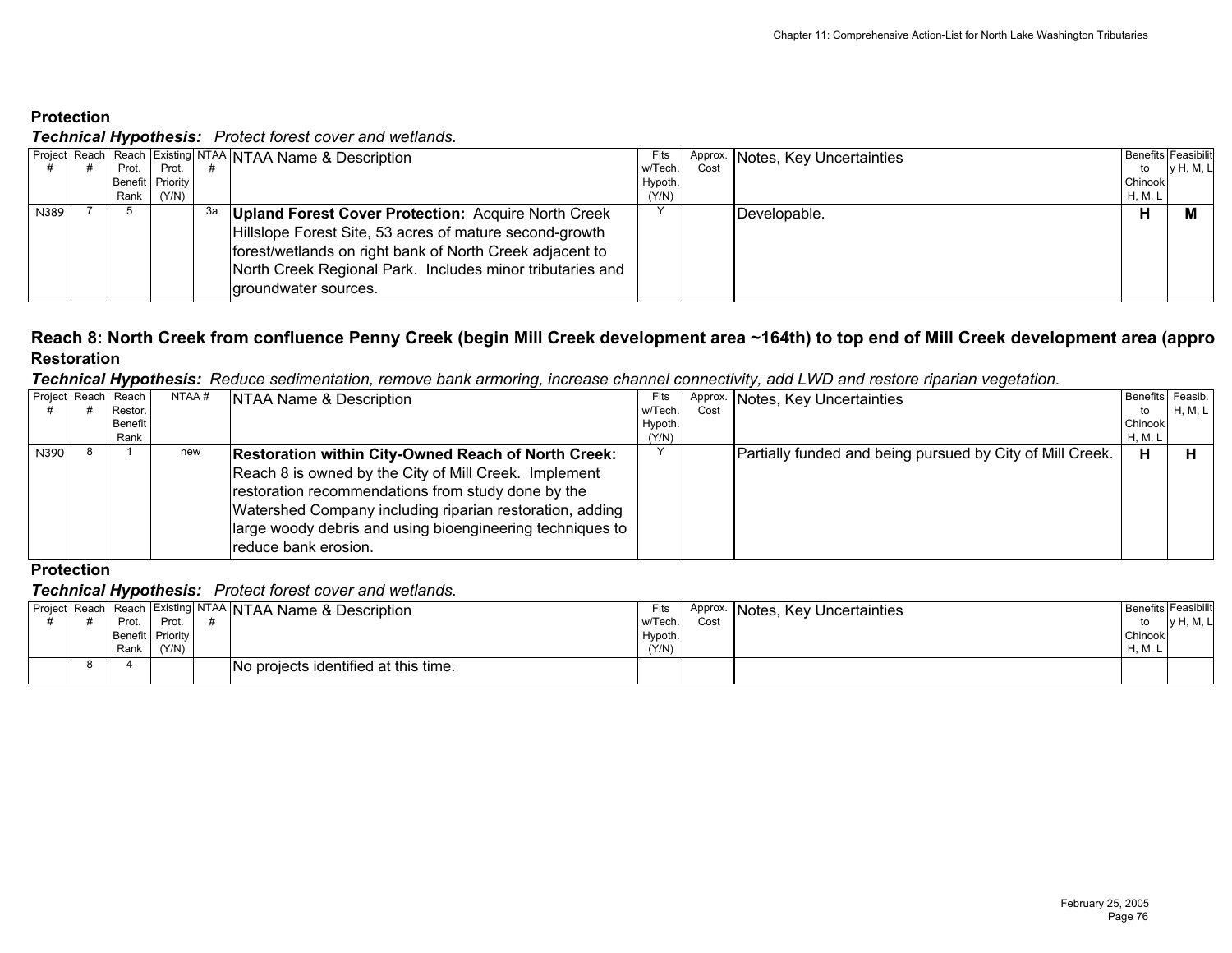*Technical Hypothesis: Protect forest cover and wetlands.*

|      |       |                  |    | <b>Project Reach Reach Existing NTAA NTAA Name &amp; Description</b> | Fits    |      | Approx. Notes, Key Uncertainties | <b>Benefits Feasibilit</b> |            |
|------|-------|------------------|----|----------------------------------------------------------------------|---------|------|----------------------------------|----------------------------|------------|
|      | Prot. | Prot.            |    |                                                                      | w/Tech. | Cost |                                  | to                         | ly H, M, L |
|      |       | Benefit Priority |    |                                                                      | Hypoth. |      |                                  | Chinook                    |            |
|      | Rank  | (Y/N)            |    |                                                                      | (Y/N)   |      |                                  | H, M. L                    |            |
| N389 |       |                  | за | <b>Upland Forest Cover Protection: Acquire North Creek</b>           |         |      | Developable.                     |                            |            |
|      |       |                  |    | Hillslope Forest Site, 53 acres of mature second-growth              |         |      |                                  |                            |            |
|      |       |                  |    | forest/wetlands on right bank of North Creek adjacent to             |         |      |                                  |                            |            |
|      |       |                  |    | North Creek Regional Park. Includes minor tributaries and            |         |      |                                  |                            |            |
|      |       |                  |    | groundwater sources.                                                 |         |      |                                  |                            |            |
|      |       |                  |    |                                                                      |         |      |                                  |                            |            |

## **Reach 8: North Creek from confluence Penny Creek (begin Mill Creek development area ~164th) to top end of Mill Creek development area (appro Restoration**

*Technical Hypothesis: Reduce sedimentation, remove bank armoring, increase channel connectivity, add LWD and restore riparian vegetation.*

| Project Reach | Reach   | NTAA# | <b>NTAA Name &amp; Description</b>                                                                                  | Fits    | Approx. | Notes, Key Uncertainties                                  | Benefits Feasib. |         |
|---------------|---------|-------|---------------------------------------------------------------------------------------------------------------------|---------|---------|-----------------------------------------------------------|------------------|---------|
|               | Restor. |       |                                                                                                                     | w/Tech. | Cost    |                                                           | to               | H, M, L |
|               | Benefit |       |                                                                                                                     | Hypoth. |         |                                                           | Chinook          |         |
|               | Rank    |       |                                                                                                                     | (Y/N)   |         |                                                           | H, M. L          |         |
| N390          |         | new   | <b>Restoration within City-Owned Reach of North Creek:</b><br>Reach 8 is owned by the City of Mill Creek. Implement |         |         | Partially funded and being pursued by City of Mill Creek. | H                |         |
|               |         |       | restoration recommendations from study done by the                                                                  |         |         |                                                           |                  |         |
|               |         |       | Watershed Company including riparian restoration, adding                                                            |         |         |                                                           |                  |         |
|               |         |       | large woody debris and using bioengineering techniques to<br>reduce bank erosion.                                   |         |         |                                                           |                  |         |

## **Protection**

|  | --               |       | Project Reach Reach Existing NTAA NTAA Name & Description | Fits    | Approx. | INotes, Key Uncertainties | <b>Benefits Feasibilit</b> |                  |
|--|------------------|-------|-----------------------------------------------------------|---------|---------|---------------------------|----------------------------|------------------|
|  | Prot.            | Prot. |                                                           | w/Tech. | Cost    |                           |                            | <b>v</b> H, M, L |
|  | Benefit Priority |       |                                                           | Hypoth. |         |                           | Chinook                    |                  |
|  | Rank             | (Y/N) |                                                           | (Y/N)   |         |                           | H, M.                      |                  |
|  |                  |       | No projects identified at this time.                      |         |         |                           |                            |                  |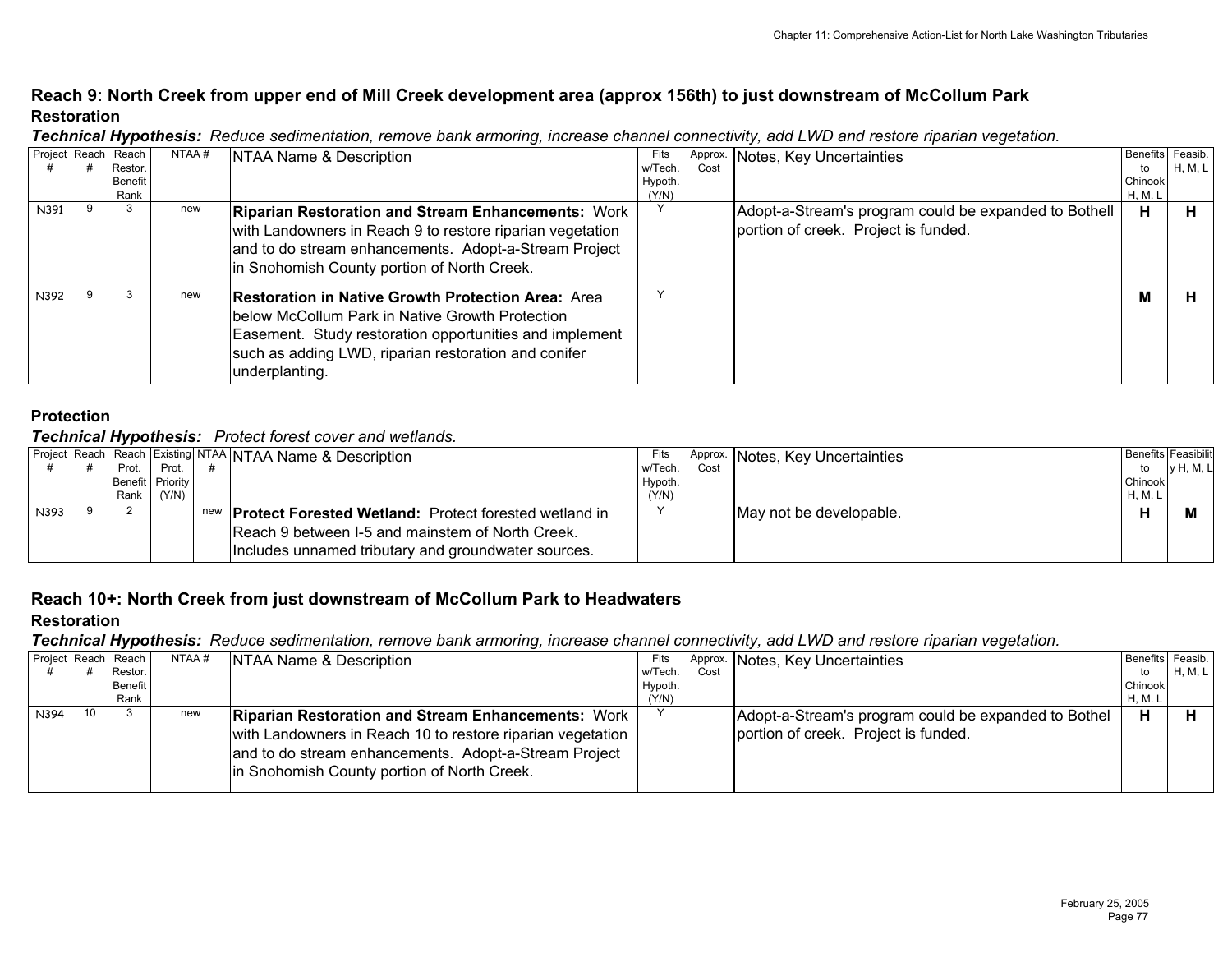## **Reach 9: North Creek from upper end of Mill Creek development area (approx 156th) to just downstream of McCollum Park Restoration**

| Project Reach Reach |                    | NTAA# | NTAA Name & Description                                   | Fits               | Approx. | Notes, Key Uncertainties                              | Benefits Feasib. |         |
|---------------------|--------------------|-------|-----------------------------------------------------------|--------------------|---------|-------------------------------------------------------|------------------|---------|
|                     | Restor.<br>Benefit |       |                                                           | w/Tech.<br>Hypoth. | Cost    |                                                       | to<br>Chinook    | H, M, L |
|                     | Rank               |       |                                                           | (Y/N)              |         |                                                       | H, M. L          |         |
| N391                |                    | new   | <b>Riparian Restoration and Stream Enhancements: Work</b> |                    |         | Adopt-a-Stream's program could be expanded to Bothell | Н.               |         |
|                     |                    |       | with Landowners in Reach 9 to restore riparian vegetation |                    |         | portion of creek. Project is funded.                  |                  |         |
|                     |                    |       | and to do stream enhancements. Adopt-a-Stream Project     |                    |         |                                                       |                  |         |
|                     |                    |       | in Snohomish County portion of North Creek.               |                    |         |                                                       |                  |         |
| N392                |                    | new   | <b>Restoration in Native Growth Protection Area: Area</b> |                    |         |                                                       | M                |         |
|                     |                    |       | below McCollum Park in Native Growth Protection           |                    |         |                                                       |                  |         |
|                     |                    |       | Easement. Study restoration opportunities and implement   |                    |         |                                                       |                  |         |
|                     |                    |       | such as adding LWD, riparian restoration and conifer      |                    |         |                                                       |                  |         |
|                     |                    |       | underplanting.                                            |                    |         |                                                       |                  |         |

*Technical Hypothesis: Reduce sedimentation, remove bank armoring, increase channel connectivity, add LWD and restore riparian vegetation.*

## **Protection**

#### *Technical Hypothesis: Protect forest cover and wetlands.*

|      |       |                  | Project Reach Reach Existing NTAA NTAA Name & Description        |         | Approx. | Notes, Key Uncertainties |         | <b>Benefits Feasibilit</b> |
|------|-------|------------------|------------------------------------------------------------------|---------|---------|--------------------------|---------|----------------------------|
|      | Prot. | Prot.            |                                                                  | w/Tech. | Cost    |                          | to      | <b>v</b> H, M, L           |
|      |       | Benefit Priority |                                                                  | Hypoth. |         |                          | Chinook |                            |
|      | Rank  | (Y/N)            |                                                                  | (Y/N)   |         |                          | H, M. L |                            |
| N393 |       |                  | new <b>Protect Forested Wetland:</b> Protect forested wetland in |         |         | May not be developable.  |         |                            |
|      |       |                  | Reach 9 between I-5 and mainstem of North Creek.                 |         |         |                          |         |                            |
|      |       |                  | Includes unnamed tributary and groundwater sources.              |         |         |                          |         |                            |

### **Reach 10+: North Creek from just downstream of McCollum Park to Headwaters Restoration**

*Technical Hypothesis: Reduce sedimentation, remove bank armoring, increase channel connectivity, add LWD and restore riparian vegetation.*

|      | Project Reach Reach | NTAA # | NTAA Name & Description                                    | Fits    |      | Approx. Notes, Key Uncertainties                     | Benefits Feasib. |         |
|------|---------------------|--------|------------------------------------------------------------|---------|------|------------------------------------------------------|------------------|---------|
|      | Restor.             |        |                                                            | w/Tech. | Cost |                                                      | to               | H, M, L |
|      | Benefit             |        |                                                            | Hypoth. |      |                                                      | Chinook          |         |
|      | Rank                |        |                                                            | (Y/N)   |      |                                                      | H, M. L          |         |
| N394 |                     | new    | <b>Riparian Restoration and Stream Enhancements: Work</b>  |         |      | Adopt-a-Stream's program could be expanded to Bothel | н                |         |
|      |                     |        | with Landowners in Reach 10 to restore riparian vegetation |         |      | portion of creek. Project is funded.                 |                  |         |
|      |                     |        | and to do stream enhancements. Adopt-a-Stream Project      |         |      |                                                      |                  |         |
|      |                     |        | in Snohomish County portion of North Creek.                |         |      |                                                      |                  |         |
|      |                     |        |                                                            |         |      |                                                      |                  |         |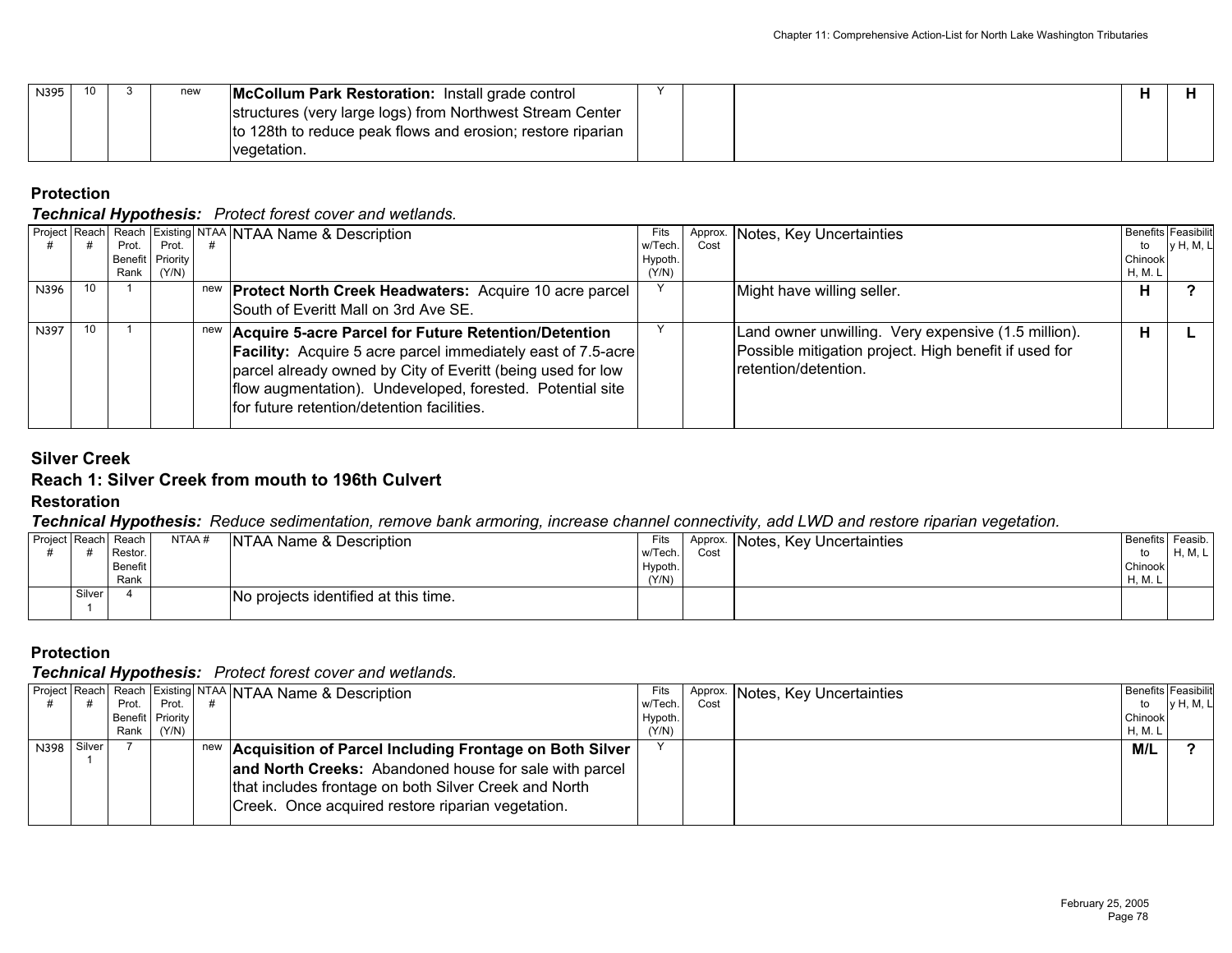| N395 | 10 | new | McCollum Park Restoration: Install grade control            |  |  |  |
|------|----|-----|-------------------------------------------------------------|--|--|--|
|      |    |     | structures (very large logs) from Northwest Stream Center   |  |  |  |
|      |    |     | to 128th to reduce peak flows and erosion; restore riparian |  |  |  |
|      |    |     | vegetation.                                                 |  |  |  |

*Technical Hypothesis: Protect forest cover and wetlands.*

|      |    |       |                  | Project Reach Reach Existing NTAA NTAA Name & Description           | Fits    |      | Approx. Notes, Key Uncertainties                      | <b>Benefits Feasibilit</b> |                  |
|------|----|-------|------------------|---------------------------------------------------------------------|---------|------|-------------------------------------------------------|----------------------------|------------------|
|      |    | Prot. | Prot.            |                                                                     | w/Tech. | Cost |                                                       | to                         | <b>v</b> H, M, L |
|      |    |       | Benefit Priority |                                                                     | Hypoth. |      |                                                       | Chinook                    |                  |
|      |    |       | Rank $(Y/N)$     |                                                                     | (Y/N)   |      |                                                       | <b>H, M. L</b>             |                  |
| N396 | 10 |       |                  | new <b>Protect North Creek Headwaters:</b> Acquire 10 acre parcel   |         |      | Might have willing seller.                            |                            |                  |
|      |    |       |                  | South of Everitt Mall on 3rd Ave SE.                                |         |      |                                                       |                            |                  |
| N397 | 10 |       |                  | new Acquire 5-acre Parcel for Future Retention/Detention            |         |      | Land owner unwilling. Very expensive (1.5 million).   | н                          |                  |
|      |    |       |                  | <b>Facility:</b> Acquire 5 acre parcel immediately east of 7.5-acre |         |      | Possible mitigation project. High benefit if used for |                            |                  |
|      |    |       |                  | parcel already owned by City of Everitt (being used for low         |         |      | Iretention/detention.                                 |                            |                  |
|      |    |       |                  | flow augmentation). Undeveloped, forested. Potential site           |         |      |                                                       |                            |                  |
|      |    |       |                  | for future retention/detention facilities.                          |         |      |                                                       |                            |                  |
|      |    |       |                  |                                                                     |         |      |                                                       |                            |                  |

## **Silver Creek**

#### **Reach 1: Silver Creek from mouth to 196th Culvert Restoration**

*Technical Hypothesis: Reduce sedimentation, remove bank armoring, increase channel connectivity, add LWD and restore riparian vegetation.*

|        | Project Reach Reach<br>Restor.<br>Benefit<br>Rank | NTAA# | <b>NTAA Name &amp; Description</b>   | Fits<br>w/Tech.<br>Hypoth.<br>(Y/N) | Cost | Approx. Notes, Key Uncertainties | Benefits Feasib.<br>to<br>Chinook<br>H. M. | H, M, L |
|--------|---------------------------------------------------|-------|--------------------------------------|-------------------------------------|------|----------------------------------|--------------------------------------------|---------|
| Silver |                                                   |       | No projects identified at this time. |                                     |      |                                  |                                            |         |

## **Protection**

|             |       |                  | Project Reach  Reach Existing NTAA   NTAA Name & Description | Fits    |      | Approx. Notes, Key Uncertainties |         | <b>Benefits Feasibilit</b> |
|-------------|-------|------------------|--------------------------------------------------------------|---------|------|----------------------------------|---------|----------------------------|
|             | Prot. | Prot.            |                                                              | w/Tech. | Cost |                                  | to      | y H, M, L                  |
|             |       | Benefit Priority |                                                              | Hypoth. |      |                                  | Chinook |                            |
|             | Rank  | (Y/N)            |                                                              | (Y/N)   |      |                                  | H, M. L |                            |
| N398 Silver |       |                  | new Acquisition of Parcel Including Frontage on Both Silver  |         |      |                                  | M/L     |                            |
|             |       |                  | and North Creeks: Abandoned house for sale with parcel       |         |      |                                  |         |                            |
|             |       |                  | that includes frontage on both Silver Creek and North        |         |      |                                  |         |                            |
|             |       |                  | Creek. Once acquired restore riparian vegetation.            |         |      |                                  |         |                            |
|             |       |                  |                                                              |         |      |                                  |         |                            |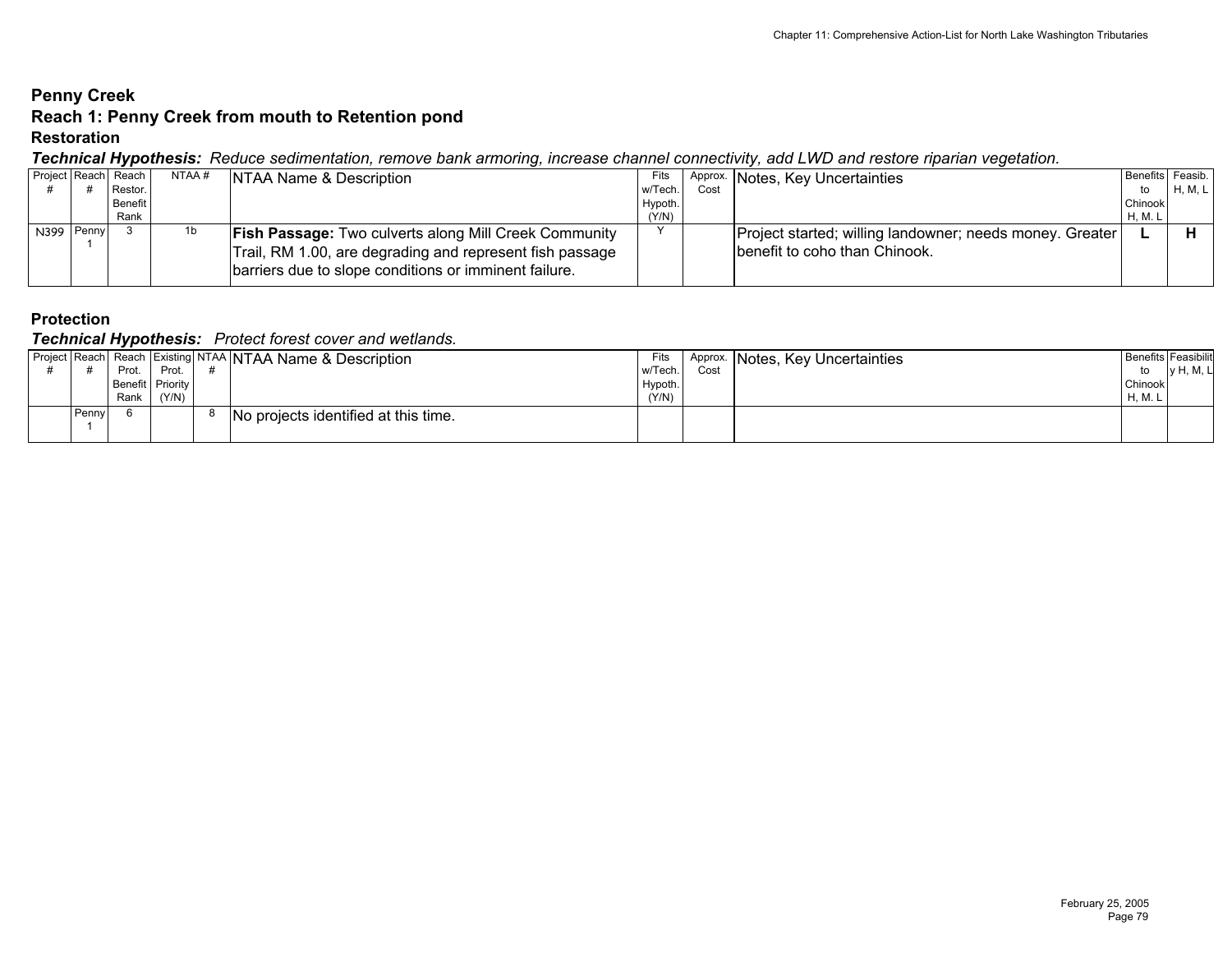# **Penny Creek Reach 1: Penny Creek from mouth to Retention pond**

#### **Restoration**

### *Technical Hypothesis: Reduce sedimentation, remove bank armoring, increase channel connectivity, add LWD and restore riparian vegetation.*

|            | - -<br>Project Reach Reach | NTAA # | NTAA Name & Description                                      | Fits    |      | Approx. Notes, Key Uncertainties                           | Benefits Feasib. |         |
|------------|----------------------------|--------|--------------------------------------------------------------|---------|------|------------------------------------------------------------|------------------|---------|
|            | Restor.                    |        |                                                              | w/Tech. | Cost |                                                            | to               | H, M, L |
|            | Benefit                    |        |                                                              | Hypoth. |      |                                                            | Chinook          |         |
|            | Rank                       |        |                                                              | (Y/N)   |      |                                                            | <b>H, M. L</b>   |         |
| N399 Penny |                            | 1b     | <b>Fish Passage: Two culverts along Mill Creek Community</b> |         |      | Project started; willing landowner; needs money. Greater I |                  |         |
|            |                            |        | Trail, RM 1.00, are degrading and represent fish passage     |         |      | benefit to coho than Chinook.                              |                  |         |
|            |                            |        | barriers due to slope conditions or imminent failure.        |         |      |                                                            |                  |         |
|            |                            |        |                                                              |         |      |                                                            |                  |         |

## **Protection**

|       | . .<br>Prot.             | Prot. | Project Reach Reach Existing NTAA NTAA Name & Description | Fits<br>w/Tech.  | Approx.<br>Cost | Notes, Key Uncertainties | <b>Benefits Feasibilit</b><br>to | <b>v</b> H, M, L |
|-------|--------------------------|-------|-----------------------------------------------------------|------------------|-----------------|--------------------------|----------------------------------|------------------|
|       | Benefit Priority<br>Rank | (Y/N) |                                                           | Hypoth.<br>(Y/N) |                 |                          | Chinook<br>H, M.                 |                  |
| Penny |                          |       | No projects identified at this time.                      |                  |                 |                          |                                  |                  |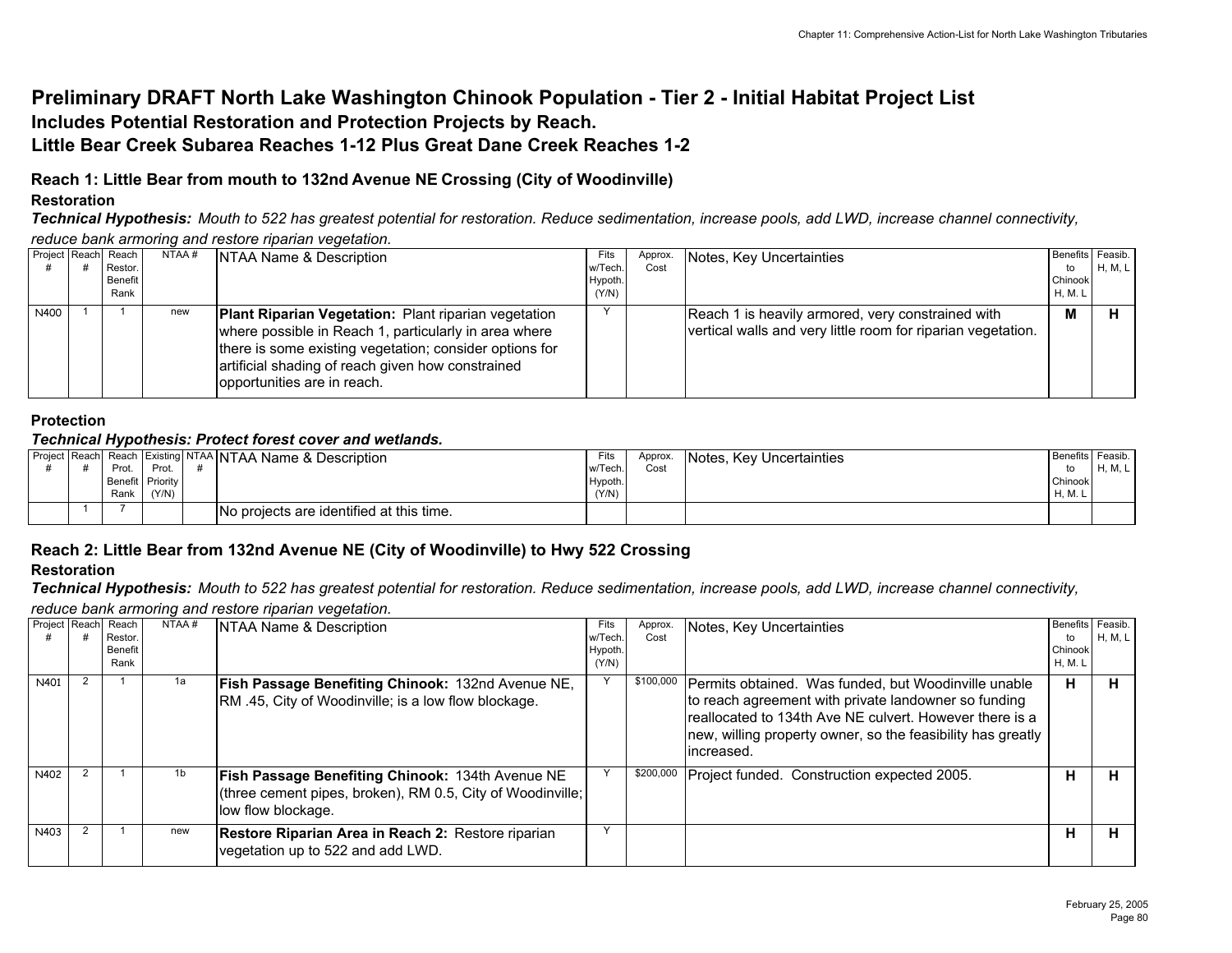# **Preliminary DRAFT North Lake Washington Chinook Population - Tier 2 - Initial Habitat Project List Includes Potential Restoration and Protection Projects by Reach. Little Bear Creek Subarea Reaches 1-12 Plus Great Dane Creek Reaches 1-2**

# **Reach 1: Little Bear from mouth to 132nd Avenue NE Crossing (City of Woodinville)**

## **Restoration**

*Technical Hypothesis: Mouth to 522 has greatest potential for restoration. Reduce sedimentation, increase pools, add LWD, increase channel connectivity, reduce bank armoring and restore riparian vegetation.*

|      | Project Reach Reach        | NTAA # | NTAA Name & Description                                                                                                                                                                                                                                             | Fits                       | Approx. | Notes, Key Uncertainties                                                                                          | Benefits Feasib.               |         |
|------|----------------------------|--------|---------------------------------------------------------------------------------------------------------------------------------------------------------------------------------------------------------------------------------------------------------------------|----------------------------|---------|-------------------------------------------------------------------------------------------------------------------|--------------------------------|---------|
|      | Restor.<br>Benefit<br>Rank |        |                                                                                                                                                                                                                                                                     | w/Tech<br>Hypoth.<br>(Y/N) | Cost    |                                                                                                                   | to<br>Chinook<br><b>H, M.L</b> | H, M, L |
| N400 |                            | new    | <b>Plant Riparian Vegetation:</b> Plant riparian vegetation<br>where possible in Reach 1, particularly in area where<br>there is some existing vegetation; consider options for<br>artificial shading of reach given how constrained<br>opportunities are in reach. |                            |         | Reach 1 is heavily armored, very constrained with<br>vertical walls and very little room for riparian vegetation. | M                              |         |

### **Protection**

### *Technical Hypothesis: Protect forest cover and wetlands.*

|  | Prot. | Prot.                     | Project Reach Reach Existing NTAA NTAA Name & Description | Fits<br>w/Tech.  | Approx.<br>Cost | Notes, Key Uncertainties | Benefits Feasib.   | H, M, L |
|--|-------|---------------------------|-----------------------------------------------------------|------------------|-----------------|--------------------------|--------------------|---------|
|  | Rank  | Benefit Priority<br>(Y/N) |                                                           | Hypoth.<br>(Y/N) |                 |                          | Chinook<br>H, M. L |         |
|  |       |                           | No projects are identified at this time.                  |                  |                 |                          |                    |         |

## **Reach 2: Little Bear from 132nd Avenue NE (City of Woodinville) to Hwy 522 Crossing**

## **Restoration**

*Technical Hypothesis: Mouth to 522 has greatest potential for restoration. Reduce sedimentation, increase pools, add LWD, increase channel connectivity, reduce bank armoring and restore riparian vegetation.*

| Project Reach Reach | Restor. | NTAA# | NTAA Name & Description                                                                                                                     | Fits<br>w/Tech | Approx.<br>Cost | Notes, Key Uncertainties                                                                                                                                                                                                                               | <b>Benefits</b><br>to | Feasib.<br>H, M, L |
|---------------------|---------|-------|---------------------------------------------------------------------------------------------------------------------------------------------|----------------|-----------------|--------------------------------------------------------------------------------------------------------------------------------------------------------------------------------------------------------------------------------------------------------|-----------------------|--------------------|
|                     | Benefit |       |                                                                                                                                             | Hypoth.        |                 |                                                                                                                                                                                                                                                        | Chinook               |                    |
|                     | Rank    |       |                                                                                                                                             | (Y/N)          |                 |                                                                                                                                                                                                                                                        | <b>H, M. L</b>        |                    |
| N401                |         | 1a    | Fish Passage Benefiting Chinook: 132nd Avenue NE,<br>RM .45, City of Woodinville; is a low flow blockage.                                   |                | \$100,000       | Permits obtained. Was funded, but Woodinville unable<br>to reach agreement with private landowner so funding<br>Ireallocated to 134th Ave NE culvert. However there is a<br>new, willing property owner, so the feasibility has greatly<br>lincreased. | н                     |                    |
| N402                |         | 1b    | <b>Fish Passage Benefiting Chinook: 134th Avenue NE</b><br>(three cement pipes, broken), RM 0.5, City of Woodinville;<br>low flow blockage. |                | \$200,000       | Project funded. Construction expected 2005.                                                                                                                                                                                                            | н                     |                    |
| N403                |         | new   | Restore Riparian Area in Reach 2: Restore riparian<br>vegetation up to 522 and add LWD.                                                     |                |                 |                                                                                                                                                                                                                                                        | н                     | п.                 |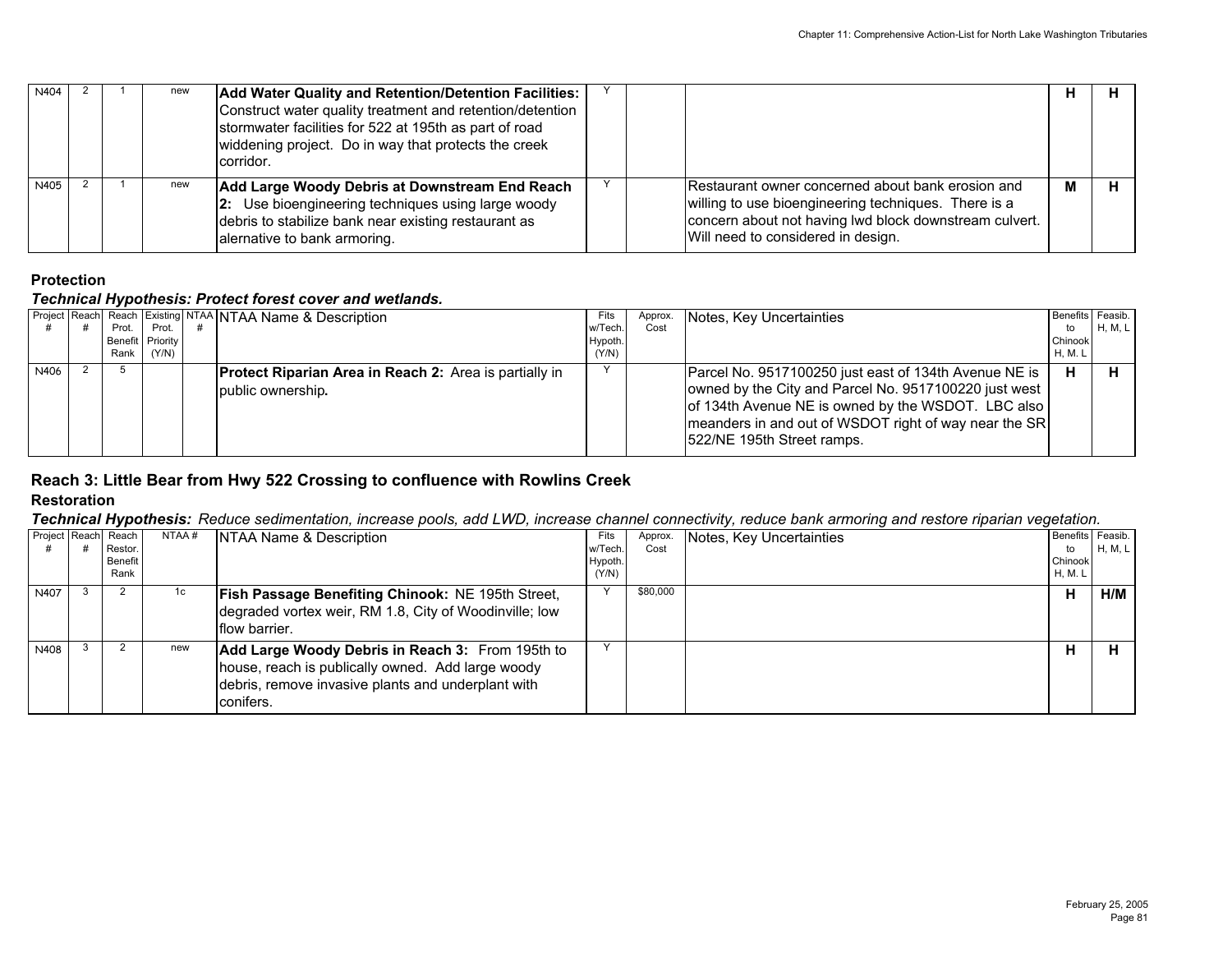| N404 |  | new | Add Water Quality and Retention/Detention Facilities:<br>Construct water quality treatment and retention/detention<br>stormwater facilities for 522 at 195th as part of road<br>widdening project. Do in way that protects the creek<br>corridor. |  |                                                                                                                                                                                                           |   | п. |
|------|--|-----|---------------------------------------------------------------------------------------------------------------------------------------------------------------------------------------------------------------------------------------------------|--|-----------------------------------------------------------------------------------------------------------------------------------------------------------------------------------------------------------|---|----|
| N405 |  | new | Add Large Woody Debris at Downstream End Reach<br>2: Use bioengineering techniques using large woody<br>debris to stabilize bank near existing restaurant as<br>alernative to bank armoring.                                                      |  | Restaurant owner concerned about bank erosion and<br>willing to use bioengineering techniques. There is a<br>concern about not having lwd block downstream culvert.<br>Will need to considered in design. | M | н  |

## *Technical Hypothesis: Protect forest cover and wetlands.*

|      |       |                  | Project Reach Reach Existing NTAA NTAA Name & Description     | Fits    | Approx. | Notes, Key Uncertainties                                                                                                                                                                            | Benefits Feasib. |         |
|------|-------|------------------|---------------------------------------------------------------|---------|---------|-----------------------------------------------------------------------------------------------------------------------------------------------------------------------------------------------------|------------------|---------|
|      | Prot. | Prot.            |                                                               | w/Tech. | Cost    |                                                                                                                                                                                                     | to               | H, M, L |
|      |       | Benefit Priority |                                                               | Hypoth. |         |                                                                                                                                                                                                     | Chinook          |         |
|      | Rank  | (Y/N)            |                                                               | (Y/N)   |         |                                                                                                                                                                                                     | H. M. L          |         |
| N406 |       |                  | <b>Protect Riparian Area in Reach 2:</b> Area is partially in |         |         | Parcel No. 9517100250 just east of 134th Avenue NE is                                                                                                                                               | н                |         |
|      |       |                  | public ownership.                                             |         |         | owned by the City and Parcel No. 9517100220 just west<br>of 134th Avenue NE is owned by the WSDOT. LBC also<br>meanders in and out of WSDOT right of way near the SR<br>1522/NE 195th Street ramps. |                  |         |

### **Reach 3: Little Bear from Hwy 522 Crossing to confluence with Rowlins Creek Restoration**

*Technical Hypothesis: Reduce sedimentation, increase pools, add LWD, increase channel connectivity, reduce bank armoring and restore riparian vegetation.*

|      | Project Reach Reach<br>Restor.<br>Benefit<br>Rank | NTAA# | NTAA Name & Description                                                                                                                                                  | Fits<br>w/Tech<br>Hypoth.<br>(Y/N) | Approx.<br>Cost | Notes, Key Uncertainties | Benefits Feasib.<br>to<br>Chinook<br>H, M. L | H, M, L |
|------|---------------------------------------------------|-------|--------------------------------------------------------------------------------------------------------------------------------------------------------------------------|------------------------------------|-----------------|--------------------------|----------------------------------------------|---------|
| N407 |                                                   | 1c.   | <b>Fish Passage Benefiting Chinook: NE 195th Street,</b><br>degraded vortex weir, RM 1.8, City of Woodinville; low<br><b>Iflow barrier.</b>                              |                                    | \$80,000        |                          | н                                            | H/M     |
| N408 |                                                   | new   | Add Large Woody Debris in Reach 3: From 195th to<br>house, reach is publically owned. Add large woody<br>debris, remove invasive plants and underplant with<br>conifers. |                                    |                 |                          | н                                            |         |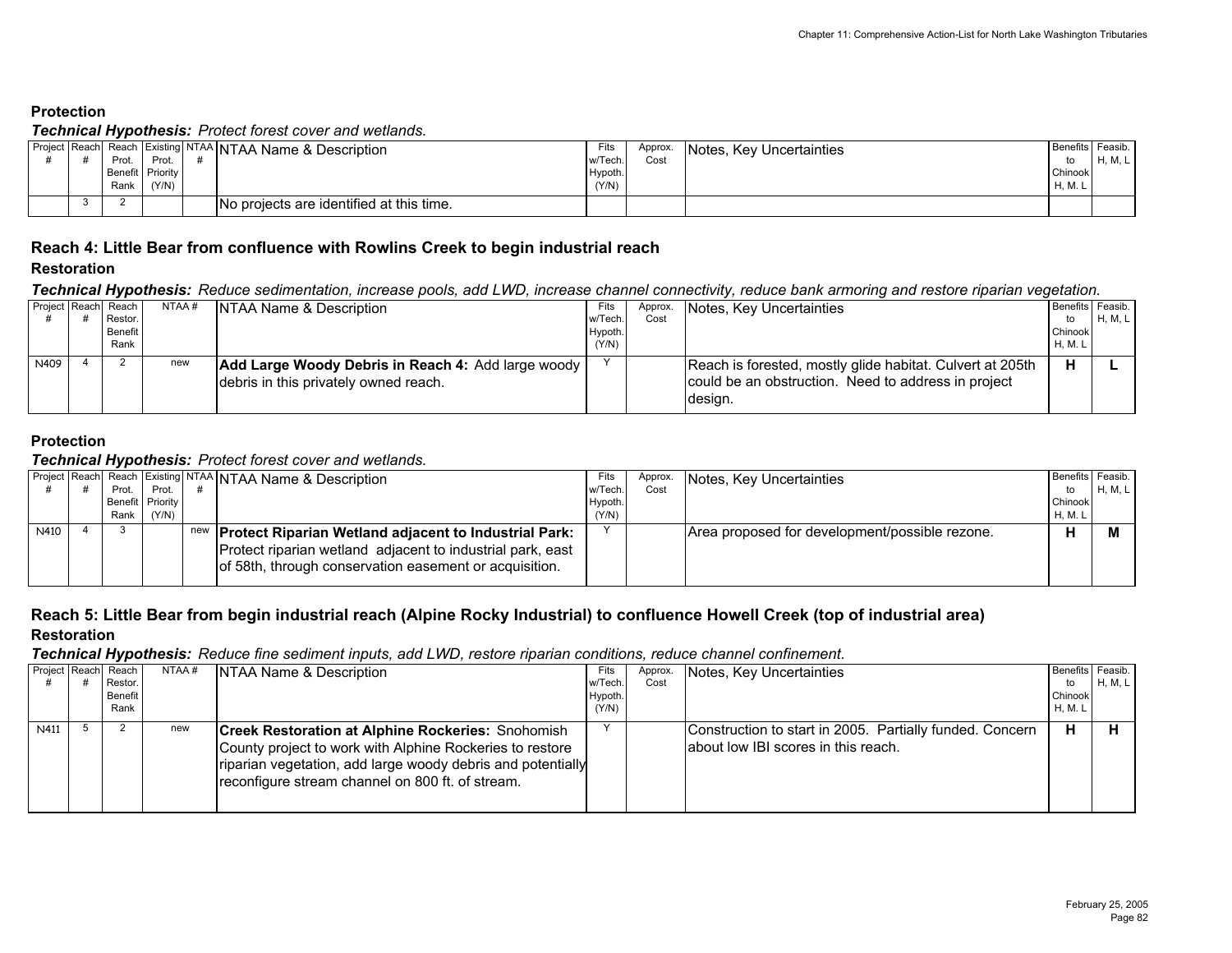#### *Technical Hypothesis: Protect forest cover and wetlands.*

|  |      |                  | Project Reach Reach Existing NTAA NTAA Name & Description | Fits    | Approx. | Notes, Key Uncertainties | <b>Benefits Feasib.</b> |         |
|--|------|------------------|-----------------------------------------------------------|---------|---------|--------------------------|-------------------------|---------|
|  | Prot | Prot             |                                                           | w/Tech. | Cost    |                          |                         | H, M, L |
|  |      | Benefit Priority |                                                           | Hypoth. |         |                          | Chinook                 |         |
|  | Rank | (Y/N)            |                                                           | (Y/N)   |         |                          | H, M. L                 |         |
|  |      |                  | No projects are identified at this time.                  |         |         |                          |                         |         |

### **Reach 4: Little Bear from confluence with Rowlins Creek to begin industrial reach**

#### **Restoration**

*Technical Hypothesis: Reduce sedimentation, increase pools, add LWD, increase channel connectivity, reduce bank armoring and restore riparian vegetation.*

|      | Project Reach Reach | NTAA # | NTAA Name & Description                            | Fits    | Approx. | Notes, Key Uncertainties                                  | Benefits Feasib. |         |
|------|---------------------|--------|----------------------------------------------------|---------|---------|-----------------------------------------------------------|------------------|---------|
|      | Restor.             |        |                                                    | w/Tech  | Cost    |                                                           | to               | H, M, L |
|      | Benefit             |        |                                                    | Hypoth. |         |                                                           | Chinook          |         |
|      | Rank                |        |                                                    | (Y/N)   |         |                                                           | H, M. L          |         |
| N409 |                     | new    | Add Large Woody Debris in Reach 4: Add large woody |         |         | Reach is forested, mostly glide habitat. Culvert at 205th |                  |         |
|      |                     |        | debris in this privately owned reach.              |         |         | could be an obstruction. Need to address in project       |                  |         |
|      |                     |        |                                                    |         |         | design.                                                   |                  |         |

## **Protection**

#### *Technical Hypothesis: Protect forest cover and wetlands.*

|      |                  |       | Project Reach Reach Existing NTAA NTAA Name & Description                                                            | Fits   | Approx. | Notes, Key Uncertainties                       | Benefits Feasib. |         |
|------|------------------|-------|----------------------------------------------------------------------------------------------------------------------|--------|---------|------------------------------------------------|------------------|---------|
|      | Prot.            | Prot. |                                                                                                                      | w/Tech | Cost    |                                                | to               | H, M, L |
|      | Benefit Priority |       |                                                                                                                      | Hypoth |         |                                                | Chinook          |         |
|      | Rank             | (Y/N) |                                                                                                                      | (Y/N)  |         |                                                | <b>H, M. L</b>   |         |
| N410 |                  |       | new   Protect Riparian Wetland adjacent to Industrial Park:                                                          |        |         | Area proposed for development/possible rezone. |                  |         |
|      |                  |       | Protect riparian wetland adjacent to industrial park, east<br>of 58th, through conservation easement or acquisition. |        |         |                                                |                  |         |

#### **Reach 5: Little Bear from begin industrial reach (Alpine Rocky Industrial) to confluence Howell Creek (top of industrial area) Restoration**

*Technical Hypothesis: Reduce fine sediment inputs, add LWD, restore riparian conditions, reduce channel confinement.*

| Project Reach | Reach<br>Restor.       | NTAA# | NTAA Name & Description                                                                                                                                                                                                                 | Fits<br>w/Tech  | Approx.<br>Cost | Notes, Key Uncertainties                                                                        | to                 | Benefits Feasib.<br>H, M, L |
|---------------|------------------------|-------|-----------------------------------------------------------------------------------------------------------------------------------------------------------------------------------------------------------------------------------------|-----------------|-----------------|-------------------------------------------------------------------------------------------------|--------------------|-----------------------------|
|               | <b>Benefit</b><br>Rank |       |                                                                                                                                                                                                                                         | Hypoth<br>(Y/N) |                 |                                                                                                 | Chinook<br>H. M. L |                             |
| N411          |                        | new   | <b>Creek Restoration at Alphine Rockeries: Snohomish</b><br>County project to work with Alphine Rockeries to restore<br>riparian vegetation, add large woody debris and potentially<br>reconfigure stream channel on 800 ft. of stream. |                 |                 | Construction to start in 2005. Partially funded. Concern<br>about low IBI scores in this reach. | н                  |                             |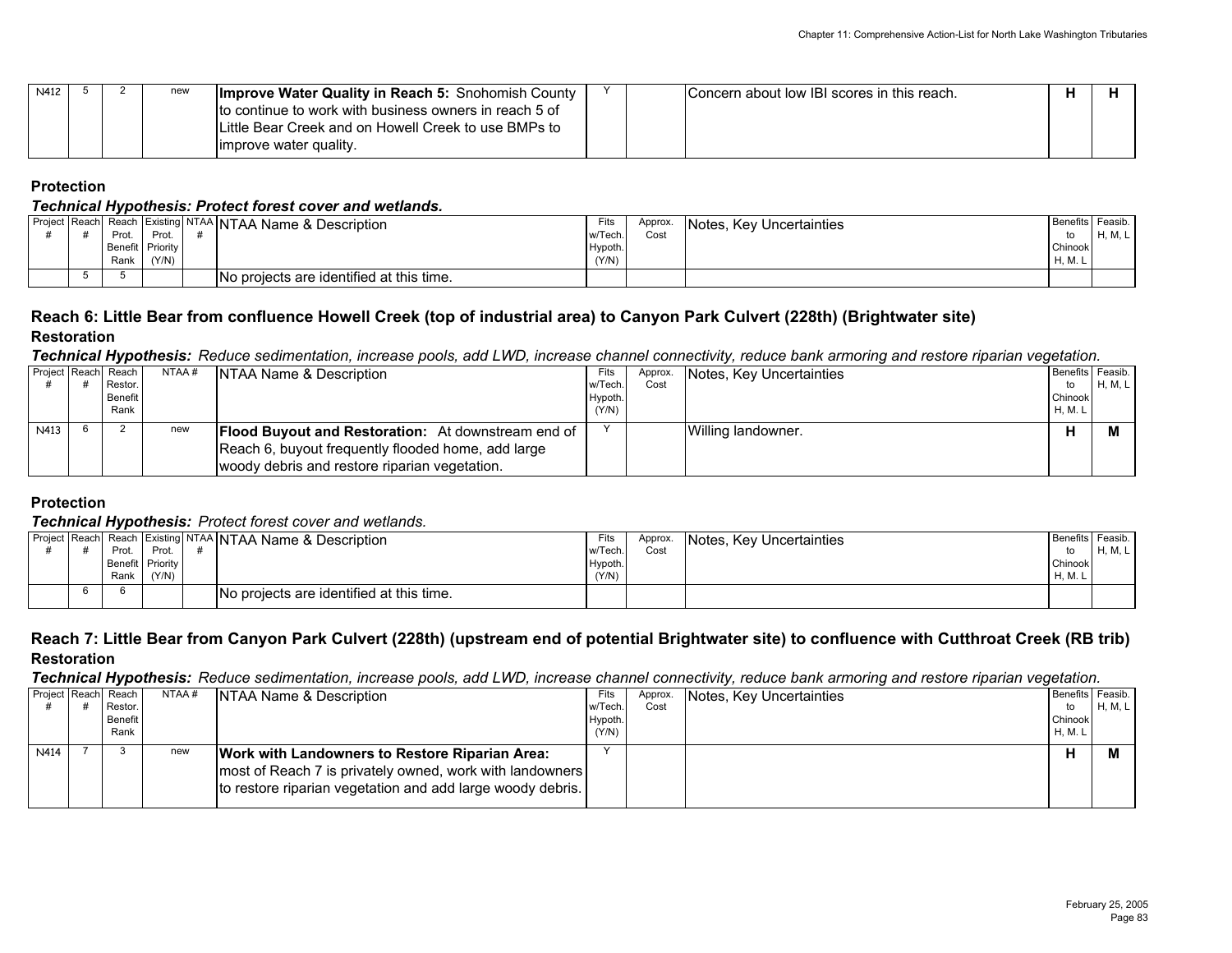| N412 |  | new | Improve Water Quality in Reach 5: Snohomish County<br>to continue to work with business owners in reach 5 of<br>ILittle Bear Creek and on Howell Creek to use BMPs to |  | Concern about low IBI scores in this reach. |  |
|------|--|-----|-----------------------------------------------------------------------------------------------------------------------------------------------------------------------|--|---------------------------------------------|--|
|      |  |     | limprove water quality.                                                                                                                                               |  |                                             |  |

#### *Technical Hypothesis: Protect forest cover and wetlands.*

|  |      |                  | Project Reach Reach Existing NTAA NTAA Name & Description | Fits    | Approx. | Notes, Key Uncertainties | Benefits Feasib. |               |
|--|------|------------------|-----------------------------------------------------------|---------|---------|--------------------------|------------------|---------------|
|  | Prot | Prot.            |                                                           | w/Tech. | Cost    |                          |                  | <b>M</b><br>- |
|  |      | Benefit Priority |                                                           | Hypoth. |         |                          | Chinook          |               |
|  | Rank | (Y/N)            |                                                           | (Y/N)   |         |                          | H, M. L          |               |
|  |      |                  | No projects are identified at this time.                  |         |         |                          |                  |               |

#### **Reach 6: Little Bear from confluence Howell Creek (top of industrial area) to Canyon Park Culvert (228th) (Brightwater site) Restoration**

#### *Technical Hypothesis: Reduce sedimentation, increase pools, add LWD, increase channel connectivity, reduce bank armoring and restore riparian vegetation.*

|      | Project Reach Reach | NTAA # | <b>NTAA Name &amp; Description</b>                        | Fits    | Approx. | Notes, Key Uncertainties | Benefits Feasib. |         |
|------|---------------------|--------|-----------------------------------------------------------|---------|---------|--------------------------|------------------|---------|
|      | Restor.             |        |                                                           | w/Tech. | Cost    |                          | to               | H, M, L |
|      | Benefit             |        |                                                           | Hypoth. |         |                          | Chinook          |         |
|      | Rank                |        |                                                           | (Y/N)   |         |                          | H, M. L          |         |
| N413 |                     | new    | <b>Flood Buyout and Restoration:</b> At downstream end of |         |         | Willing landowner.       |                  |         |
|      |                     |        | Reach 6, buyout frequently flooded home, add large        |         |         |                          |                  |         |
|      |                     |        | woody debris and restore riparian vegetation.             |         |         |                          |                  |         |

#### **Protection**

#### *Technical Hypothesis: Protect forest cover and wetlands.*

|  | . .   |                  | Project Reach Reach Existing NTAA NTAA Name & Description | Fits    | Approx. | Notes, Key Uncertainties | Benefits Feasib. |         |
|--|-------|------------------|-----------------------------------------------------------|---------|---------|--------------------------|------------------|---------|
|  | Prot. | Prot             |                                                           | w/Tech. | Cost    |                          |                  | H, M, L |
|  |       | Benefit Priority |                                                           | Hypoth. |         |                          | Chinook          |         |
|  | Rank  | (Y/N)            |                                                           | (Y/N)   |         |                          | H, M. L          |         |
|  |       |                  | No projects are identified at this time.                  |         |         |                          |                  |         |

## **Reach 7: Little Bear from Canyon Park Culvert (228th) (upstream end of potential Brightwater site) to confluence with Cutthroat Creek (RB trib) Restoration**

*Technical Hypothesis: Reduce sedimentation, increase pools, add LWD, increase channel connectivity, reduce bank armoring and restore riparian vegetation.*

|      | Project Reach Reach | NTAA# | <b>NTAA Name &amp; Description</b>                                                                                     | Fits    | Approx. | Notes, Key Uncertainties | Benefits Feasib. |         |
|------|---------------------|-------|------------------------------------------------------------------------------------------------------------------------|---------|---------|--------------------------|------------------|---------|
|      | Restor.             |       |                                                                                                                        | w/Tech  | Cost    |                          | to               | H, M, L |
|      | <b>Benefit</b>      |       |                                                                                                                        | Hypoth. |         |                          | Chinook          |         |
|      | Rank                |       |                                                                                                                        | (Y/N)   |         |                          | H, M. L          |         |
| N414 |                     | new   | <b>Work with Landowners to Restore Riparian Area:</b>                                                                  |         |         |                          | п                |         |
|      |                     |       | most of Reach 7 is privately owned, work with landowners<br>to restore riparian vegetation and add large woody debris. |         |         |                          |                  |         |
|      |                     |       |                                                                                                                        |         |         |                          |                  |         |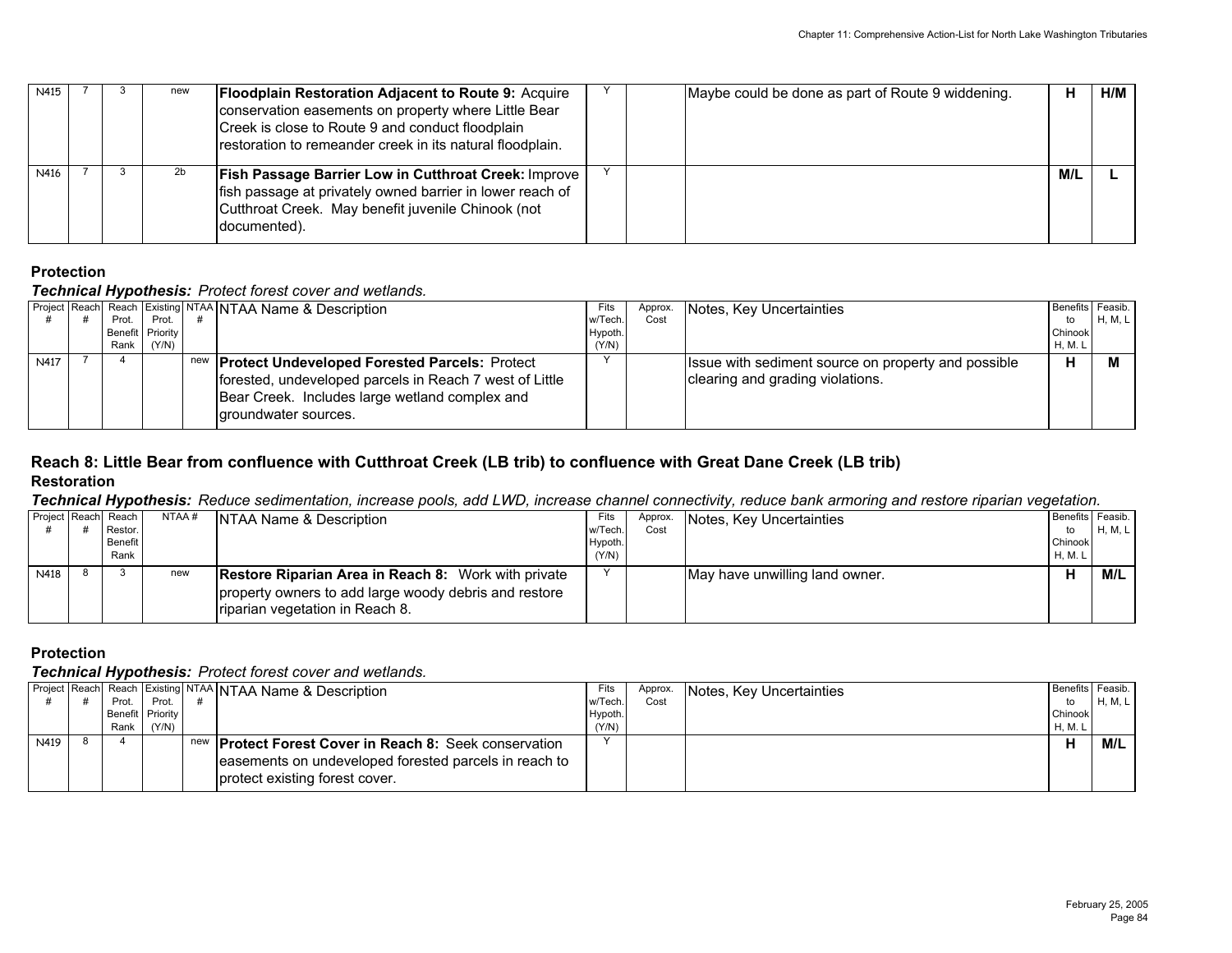| N415 |  | new | <b>Floodplain Restoration Adjacent to Route 9: Acquire</b><br>conservation easements on property where Little Bear<br>Creek is close to Route 9 and conduct floodplain<br>restoration to remeander creek in its natural floodplain. |  | Maybe could be done as part of Route 9 widdening. | н   | H/M |
|------|--|-----|-------------------------------------------------------------------------------------------------------------------------------------------------------------------------------------------------------------------------------------|--|---------------------------------------------------|-----|-----|
| N416 |  | 2b  | <b>Fish Passage Barrier Low in Cutthroat Creek: Improve  </b><br>fish passage at privately owned barrier in lower reach of<br>Cutthroat Creek. May benefit juvenile Chinook (not<br>documented).                                    |  |                                                   | M/L |     |

### *Technical Hypothesis: Protect forest cover and wetlands.*

|      | . .              |       |                                                                                                                                   |         |         |                                                     |                  |         |
|------|------------------|-------|-----------------------------------------------------------------------------------------------------------------------------------|---------|---------|-----------------------------------------------------|------------------|---------|
|      |                  |       | Project   Reach   Reach   Existing   NTAA   NTAA Name & Description                                                               | Fits    | Approx. | Notes, Key Uncertainties                            | Benefits Feasib. |         |
|      | Prot.            | Prot. |                                                                                                                                   | w/Tech  | Cost    |                                                     | to               | H, M, L |
|      | Benefit Priority |       |                                                                                                                                   | Hypoth. |         |                                                     | Chinook          |         |
|      | Rank             | (Y/N) |                                                                                                                                   | (Y/N)   |         |                                                     | <b>H, M. L</b>   |         |
| N417 |                  |       | new <b>Protect Undeveloped Forested Parcels:</b> Protect                                                                          |         |         | Issue with sediment source on property and possible | н                |         |
|      |                  |       | forested, undeveloped parcels in Reach 7 west of Little<br>Bear Creek. Includes large wetland complex and<br>groundwater sources. |         |         | clearing and grading violations.                    |                  |         |

### **Reach 8: Little Bear from confluence with Cutthroat Creek (LB trib) to confluence with Great Dane Creek (LB trib) Restoration**

### *Technical Hypothesis: Reduce sedimentation, increase pools, add LWD, increase channel connectivity, reduce bank armoring and restore riparian vegetation.*

|      | - -<br>Project Reach Reach | NTAA # | NTAA Name & Description                                    | Fits    | Approx. | Notes, Key Uncertainties       | Benefits Feasib. |         |
|------|----------------------------|--------|------------------------------------------------------------|---------|---------|--------------------------------|------------------|---------|
|      | Restor.                    |        |                                                            | w/Tech  | Cost    |                                | to               | H, M, L |
|      | Benefit                    |        |                                                            | Hypoth. |         |                                | Chinook          |         |
|      | Rank                       |        |                                                            | (Y/N)   |         |                                | H, M. L          |         |
| N418 |                            | new    | <b>Restore Riparian Area in Reach 8:</b> Work with private |         |         | May have unwilling land owner. |                  | M/L     |
|      |                            |        | property owners to add large woody debris and restore      |         |         |                                |                  |         |
|      |                            |        | riparian vegetation in Reach 8.                            |         |         |                                |                  |         |

#### **Protection**

|      |      |                  | <sub>I</sub> Project Reach Reach Existing NTAA NTAA Name & Description | Fits    | Approx. | Notes, Key Uncertainties | Benefits Feasib. |         |
|------|------|------------------|------------------------------------------------------------------------|---------|---------|--------------------------|------------------|---------|
|      | Prot | Prot.            |                                                                        | w/Tech. | Cost    |                          | to               | H, M, L |
|      |      | Benefit Priority |                                                                        | Hypoth. |         |                          | Chinook          |         |
|      | Rank | (Y/N)            |                                                                        | (Y/N)   |         |                          | H, M. L          |         |
| N419 |      |                  | new <b>Protect Forest Cover in Reach 8:</b> Seek conservation          |         |         |                          |                  | M/L     |
|      |      |                  | leasements on undeveloped forested parcels in reach to                 |         |         |                          |                  |         |
|      |      |                  | protect existing forest cover.                                         |         |         |                          |                  |         |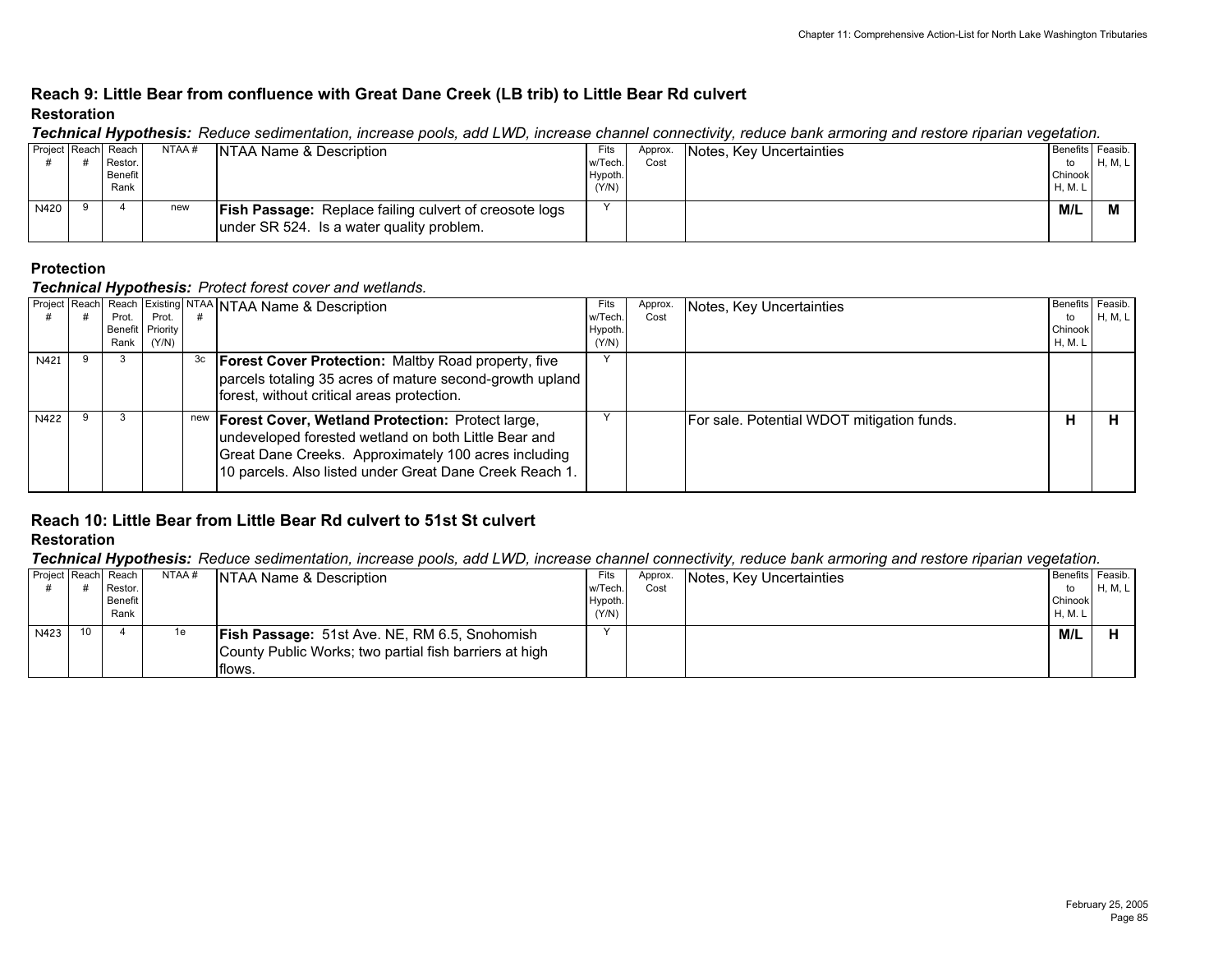## **Reach 9: Little Bear from confluence with Great Dane Creek (LB trib) to Little Bear Rd culvert Restoration**

|      |                     |       | recrimcar rivpothesis. Twouce seamlentation, increase pools, and LVVD, increase channel comfetting, requee bank annoing and restore manari vegetation. |         |         |                          |                  |         |
|------|---------------------|-------|--------------------------------------------------------------------------------------------------------------------------------------------------------|---------|---------|--------------------------|------------------|---------|
|      | Project Reach Reach | NTAA# | <b>INTAA Name &amp; Description</b>                                                                                                                    | Fits    | Approx. | Notes, Key Uncertainties | Benefits Feasib. |         |
|      | Restor.             |       |                                                                                                                                                        | w/Tech  | Cost    |                          | to               | H, M, L |
|      | <b>Benefit</b>      |       |                                                                                                                                                        | Hypoth. |         |                          | Chinook          |         |
|      | Rank                |       |                                                                                                                                                        | (Y/N)   |         |                          | H, M. L          |         |
| N420 |                     | new   | <b>Fish Passage:</b> Replace failing culvert of creosote logs<br>lunder SR 524. Is a water quality problem.                                            |         |         |                          | M/L              |         |

#### *Technical Hypothesis: Reduce sedimentation, increase pools, add LWD, increase channel connectivity, reduce bank armoring and restore riparian vegetation.*

### **Protection**

#### *Technical Hypothesis: Protect forest cover and wetlands.*

|      | Prot.  | Prot.            |    | Project   Reach   Reach   Existing   NTAA   NTAA Name & Description | Fits<br>w/Tech. | Approx.<br>Cost | Notes, Key Uncertainties                   | Benefits Feasib.<br>to | <b>H, M, L</b> |
|------|--------|------------------|----|---------------------------------------------------------------------|-----------------|-----------------|--------------------------------------------|------------------------|----------------|
|      |        | Benefit Priority |    |                                                                     | Hypoth.         |                 |                                            | Chinook                |                |
|      | Rank I | (Y/N)            |    |                                                                     | (Y/N)           |                 |                                            | H, M. L                |                |
| N421 |        |                  | 3c | <b>Forest Cover Protection: Maltby Road property, five</b>          |                 |                 |                                            |                        |                |
|      |        |                  |    | parcels totaling 35 acres of mature second-growth upland            |                 |                 |                                            |                        |                |
|      |        |                  |    | forest, without critical areas protection.                          |                 |                 |                                            |                        |                |
|      |        |                  |    |                                                                     |                 |                 |                                            |                        |                |
| N422 |        |                  |    | new   Forest Cover, Wetland Protection: Protect large,              |                 |                 | For sale. Potential WDOT mitigation funds. | н                      |                |
|      |        |                  |    | undeveloped forested wetland on both Little Bear and                |                 |                 |                                            |                        |                |
|      |        |                  |    | Great Dane Creeks. Approximately 100 acres including                |                 |                 |                                            |                        |                |
|      |        |                  |    | 10 parcels. Also listed under Great Dane Creek Reach 1.             |                 |                 |                                            |                        |                |
|      |        |                  |    |                                                                     |                 |                 |                                            |                        |                |

#### **Reach 10: Little Bear from Little Bear Rd culvert to 51st St culvert Restoration**

*Technical Hypothesis: Reduce sedimentation, increase pools, add LWD, increase channel connectivity, reduce bank armoring and restore riparian vegetation.*

| Project Reach Reach |    |                | NTAA# | <b>NTAA Name &amp; Description</b>                     | Fits    | Approx. | Notes, Key Uncertainties | Benefits Feasib. |         |
|---------------------|----|----------------|-------|--------------------------------------------------------|---------|---------|--------------------------|------------------|---------|
|                     |    | Restor.        |       |                                                        | w/Tech  | Cost    |                          | to               | H, M, L |
|                     |    | <b>Benefit</b> |       |                                                        | Hypoth  |         |                          | Chinook          |         |
|                     |    | Rank           |       |                                                        | (Y/N)   |         |                          | H, M. L          |         |
| N423                | 10 |                | 1e    | <b>Fish Passage: 51st Ave. NE, RM 6.5, Snohomish</b>   | $\cdot$ |         |                          | M/L              |         |
|                     |    |                |       | County Public Works; two partial fish barriers at high |         |         |                          |                  |         |
|                     |    |                |       | flows.                                                 |         |         |                          |                  |         |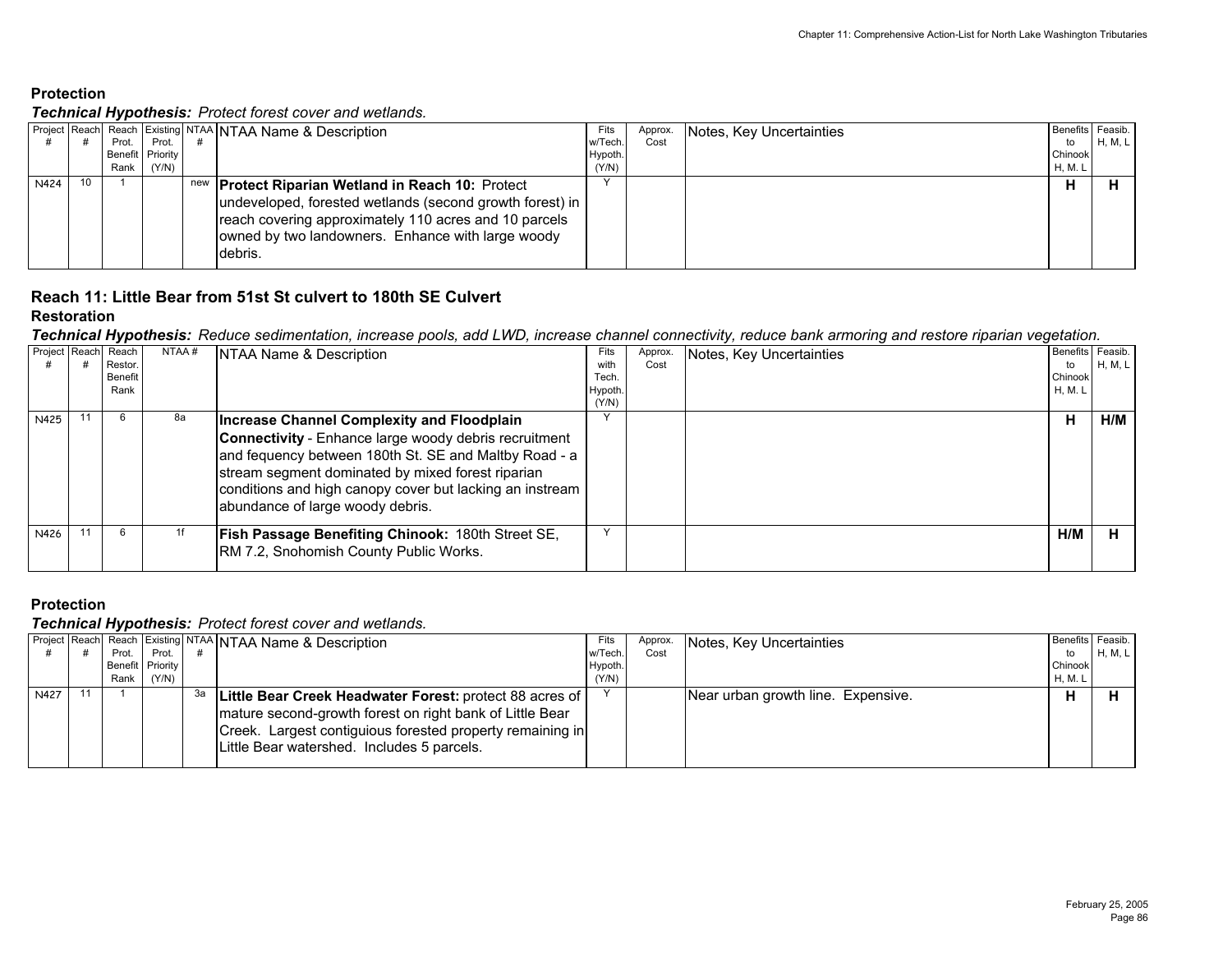#### *Technical Hypothesis: Protect forest cover and wetlands.*

|      |    | . .     |                  | Project Reach  Reach Existing NTAA   NTAA Name & Description                                                                                                                        | Fits    | Approx. | Notes, Key Uncertainties | Benefits Feasib. |         |
|------|----|---------|------------------|-------------------------------------------------------------------------------------------------------------------------------------------------------------------------------------|---------|---------|--------------------------|------------------|---------|
|      |    | Prot. I | Prot.            |                                                                                                                                                                                     | w/Tech. | Cost    |                          | to               | H, M, L |
|      |    |         | Benefit Priority |                                                                                                                                                                                     | Hypoth. |         |                          | Chinook          |         |
|      |    | Rank I  | (Y/N)            |                                                                                                                                                                                     | (Y/N)   |         |                          | H, M. L          |         |
| N424 | 10 |         |                  | new <b>Protect Riparian Wetland in Reach 10:</b> Protect                                                                                                                            |         |         |                          | н                |         |
|      |    |         |                  | undeveloped, forested wetlands (second growth forest) in  <br>reach covering approximately 110 acres and 10 parcels<br>owned by two landowners. Enhance with large woody<br>debris. |         |         |                          |                  |         |

## **Reach 11: Little Bear from 51st St culvert to 180th SE Culvert**

#### **Restoration**

*Technical Hypothesis: Reduce sedimentation, increase pools, add LWD, increase channel connectivity, reduce bank armoring and restore riparian vegetation.*

| Project Reach | Reach<br>Restor.<br>Benefit<br>Rank | NTAA# | NTAA Name & Description                                                                                                                                                                                                                                                                                           | Fits<br>with<br>Tech.<br>Hypoth.<br>(Y/N) | Approx.<br>Cost | Notes, Key Uncertainties | Benefits Feasib.<br>to<br>Chinook<br>H, M. L | <b>H, M, L</b> |
|---------------|-------------------------------------|-------|-------------------------------------------------------------------------------------------------------------------------------------------------------------------------------------------------------------------------------------------------------------------------------------------------------------------|-------------------------------------------|-----------------|--------------------------|----------------------------------------------|----------------|
| N425          | 6                                   | 8а    | Increase Channel Complexity and Floodplain<br>Connectivity - Enhance large woody debris recruitment<br>and fequency between 180th St. SE and Maltby Road - a<br>stream segment dominated by mixed forest riparian<br>conditions and high canopy cover but lacking an instream<br>abundance of large woody debris. |                                           |                 |                          | н                                            | H/M            |
| N426          |                                     |       | Fish Passage Benefiting Chinook: 180th Street SE,<br>RM 7.2, Snohomish County Public Works.                                                                                                                                                                                                                       |                                           |                 |                          | H/M                                          | н              |

### **Protection**

|      |         |                  |    | Project Reach Reach Existing NTAA NTAA Name & Description                                                                                                                                                                        | Fits    | Approx | Notes, Key Uncertainties           | Benefits Feasib. |         |
|------|---------|------------------|----|----------------------------------------------------------------------------------------------------------------------------------------------------------------------------------------------------------------------------------|---------|--------|------------------------------------|------------------|---------|
|      | Prot. I | Prot.            |    |                                                                                                                                                                                                                                  | w/Tech. | Cost   |                                    | to               | H, M, L |
|      |         | Benefit Priority |    |                                                                                                                                                                                                                                  | Hypoth. |        |                                    | Chinook          |         |
|      |         | Rank $(Y/N)$     |    |                                                                                                                                                                                                                                  | (Y/N)   |        |                                    | H, M. L          |         |
| N427 |         |                  | за | Little Bear Creek Headwater Forest: protect 88 acres of  <br>mature second-growth forest on right bank of Little Bear<br>Creek. Largest contiguious forested property remaining in<br>Little Bear watershed. Includes 5 parcels. |         |        | Near urban growth line. Expensive. | п                |         |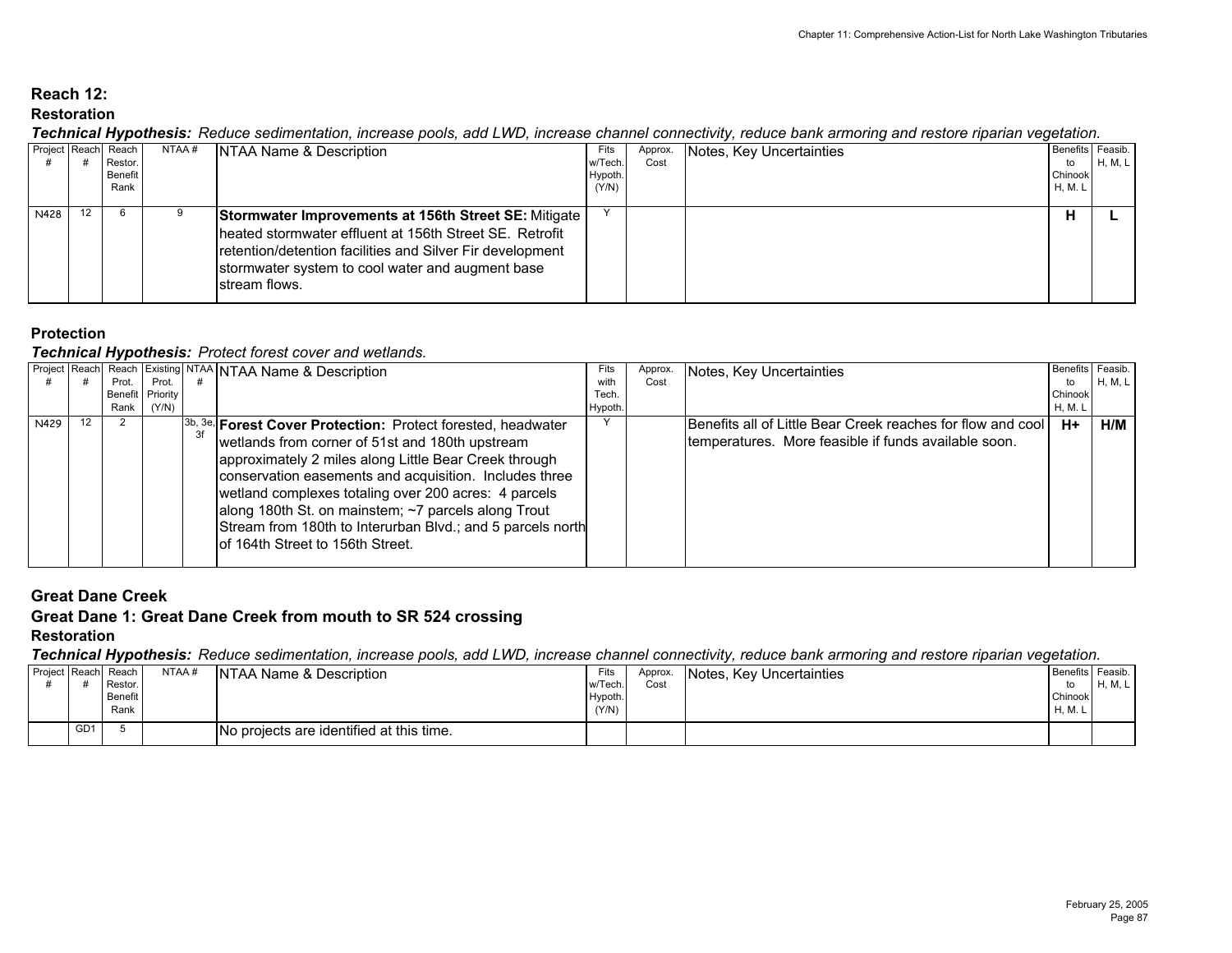## **Reach 12:Restoration**

#### *Technical Hypothesis: Reduce sedimentation, increase pools, add LWD, increase channel connectivity, reduce bank armoring and restore riparian vegetation.*

|      |    | Project Reach Reach I<br>Restor.<br>Benefit<br>Rank | NTAA # | NTAA Name & Description                                                                                                                                                                                                                            | Fits<br>w/Tech<br>Hypoth<br>(Y/N) | Approx.<br>Cost | Notes, Key Uncertainties | Benefits Feasib.<br>to<br>Chinook<br>H, M. L | H, M, L |
|------|----|-----------------------------------------------------|--------|----------------------------------------------------------------------------------------------------------------------------------------------------------------------------------------------------------------------------------------------------|-----------------------------------|-----------------|--------------------------|----------------------------------------------|---------|
| N428 | 12 | -6                                                  |        | Stormwater Improvements at 156th Street SE: Mitigate<br>Iheated stormwater effluent at 156th Street SE. Retrofit<br>retention/detention facilities and Silver Fir development<br>stormwater system to cool water and augment base<br>stream flows. |                                   |                 |                          |                                              |         |

## **Protection**

### *Technical Hypothesis: Protect forest cover and wetlands.*

|      |       |                  | Project Reach Reach Existing NTAA NTAA Name & Description                                                                                                                                                                                                                                                                                                                                                                                             | Fits   | Approx. | Notes, Key Uncertainties                                                                                             | Benefits Feasib. |                |
|------|-------|------------------|-------------------------------------------------------------------------------------------------------------------------------------------------------------------------------------------------------------------------------------------------------------------------------------------------------------------------------------------------------------------------------------------------------------------------------------------------------|--------|---------|----------------------------------------------------------------------------------------------------------------------|------------------|----------------|
|      | Prot. | Prot.            |                                                                                                                                                                                                                                                                                                                                                                                                                                                       | with   | Cost    |                                                                                                                      | to               | <b>H, M, L</b> |
|      |       | Benefit Priority |                                                                                                                                                                                                                                                                                                                                                                                                                                                       | Tech.  |         |                                                                                                                      | Chinook          |                |
|      | Rank  | (Y/N)            |                                                                                                                                                                                                                                                                                                                                                                                                                                                       | Hypoth |         |                                                                                                                      | H, M. L          |                |
| N429 |       |                  | [3b, 3e, Forest Cover Protection: Protect forested, headwater<br>wetlands from corner of 51st and 180th upstream<br>approximately 2 miles along Little Bear Creek through<br>conservation easements and acquisition. Includes three<br>wetland complexes totaling over 200 acres: 4 parcels<br>along 180th St. on mainstem; ~7 parcels along Trout<br>Stream from 180th to Interurban Blvd.; and 5 parcels north<br>lof 164th Street to 156th Street. |        |         | Benefits all of Little Bear Creek reaches for flow and cool<br>Itemperatures. More feasible if funds available soon. | $H+$             | H/M            |

## **Great Dane Creek**

## **Great Dane 1: Great Dane Creek from mouth to SR 524 crossing**

#### **Restoration**

*Technical Hypothesis: Reduce sedimentation, increase pools, add LWD, increase channel connectivity, reduce bank armoring and restore riparian vegetation.*

|                 | - -<br>Project Reach Reach<br>Restor.<br>Benefit<br>Rank | NTAA# | NTAA Name & Description                  | Fits<br>w/Tech.<br>Hypoth.<br>(Y/N) | Approx.<br>Cost | Notes, Key Uncertainties | Benefits Feasib.<br>to<br>Chinook<br><b>H, M. L</b> | H, M, I |
|-----------------|----------------------------------------------------------|-------|------------------------------------------|-------------------------------------|-----------------|--------------------------|-----------------------------------------------------|---------|
| GD <sub>1</sub> |                                                          |       | No projects are identified at this time. |                                     |                 |                          |                                                     |         |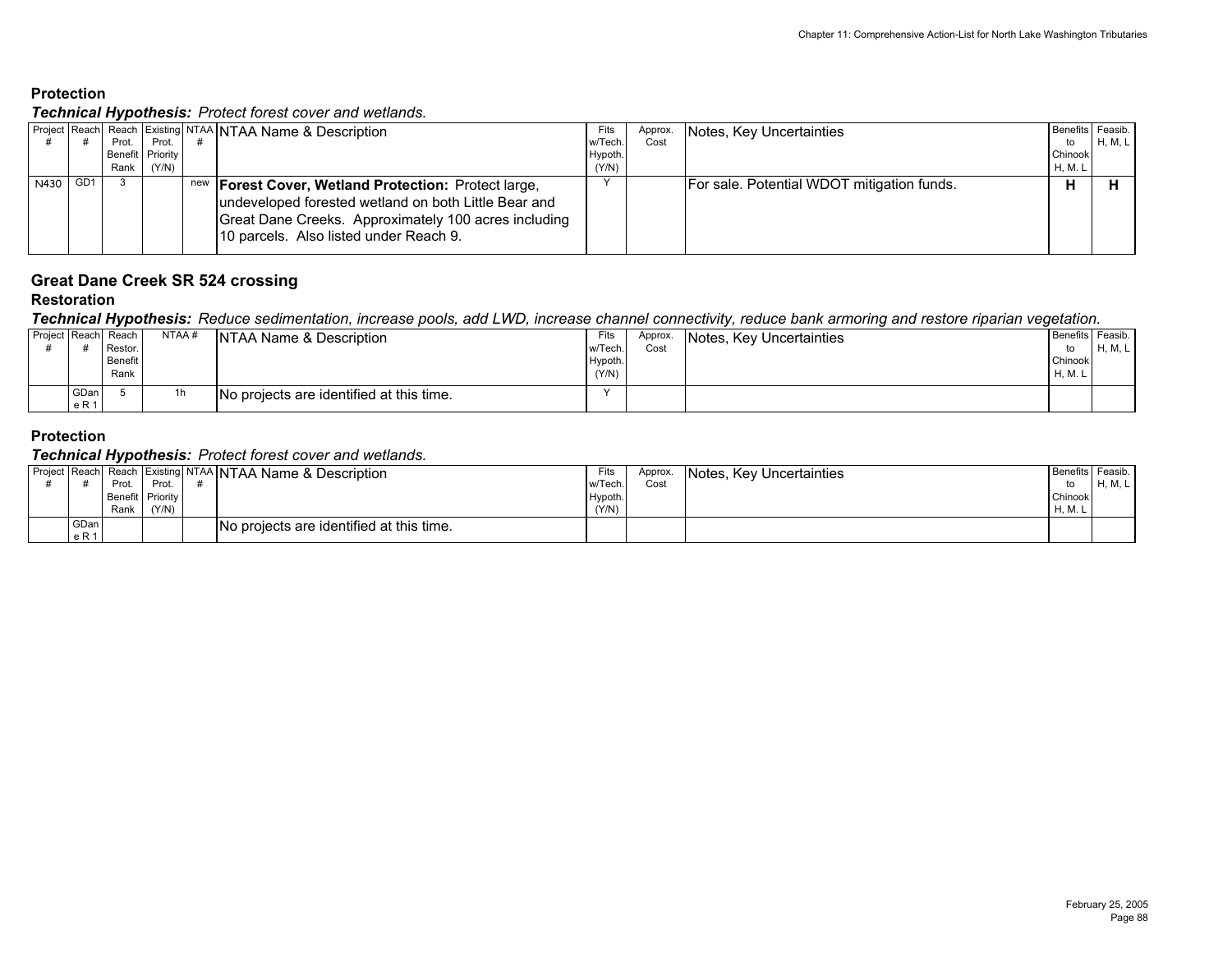#### *Technical Hypothesis: Protect forest cover and wetlands.*

|          | . .              |       | Project Reach Reach Existing NTAA NTAA Name & Description                                                                                                                                                             | Fits    | Approx. | Notes, Key Uncertainties                   | Benefits Feasib. |         |
|----------|------------------|-------|-----------------------------------------------------------------------------------------------------------------------------------------------------------------------------------------------------------------------|---------|---------|--------------------------------------------|------------------|---------|
|          | Prot.            | Prot. |                                                                                                                                                                                                                       | w/Tech. | Cost    |                                            | to               | H, M, L |
|          | Benefit Priority |       |                                                                                                                                                                                                                       | Hypoth. |         |                                            | Chinook          |         |
|          | Rank             | (Y/N) |                                                                                                                                                                                                                       | (Y/N)   |         |                                            | <b>H.M.L</b>     |         |
| N430 GD1 |                  |       | new <b>Forest Cover, Wetland Protection:</b> Protect large,<br>undeveloped forested wetland on both Little Bear and<br>Great Dane Creeks. Approximately 100 acres including<br>10 parcels. Also listed under Reach 9. |         |         | For sale. Potential WDOT mitigation funds. |                  |         |

## **Great Dane Creek SR 524 crossing**

#### **Restoration**

#### *Technical Hypothesis: Reduce sedimentation, increase pools, add LWD, increase channel connectivity, reduce bank armoring and restore riparian vegetation.*

| Project Reach Reach |               | Restor.         | NTAA# | NTAA Name & Description                  | Fits<br>w/Tech   | Approx.<br>Cost | Notes, Key Uncertainties | to                 | Benefits Feasib.<br>H, M, L |
|---------------------|---------------|-----------------|-------|------------------------------------------|------------------|-----------------|--------------------------|--------------------|-----------------------------|
|                     |               | Benefit<br>Rank |       |                                          | Hypoth.<br>(Y/N) |                 |                          | Chinook<br>H. M. L |                             |
|                     | GDan<br>e R 1 |                 | 1h    | No projects are identified at this time. |                  |                 |                          |                    |                             |

#### **Protection**

|             |                  |       | Project Reach Reach Existing NTAA NTAA Name & Description | Fits    | Approx. | Notes, Key Uncertainties | Benefits   Feasib. |         |
|-------------|------------------|-------|-----------------------------------------------------------|---------|---------|--------------------------|--------------------|---------|
|             | Prot.            | Prot. |                                                           | w/Tech  | Cost    |                          |                    | H, M, L |
|             | Benefit Priority |       |                                                           | Hypoth. |         |                          | Chinook            |         |
|             | Rank             | (Y/N) |                                                           | (Y/N)   |         |                          | H, M.              |         |
| <b>GDan</b> |                  |       | No projects are identified at this time.                  |         |         |                          |                    |         |
| e R 1       |                  |       |                                                           |         |         |                          |                    |         |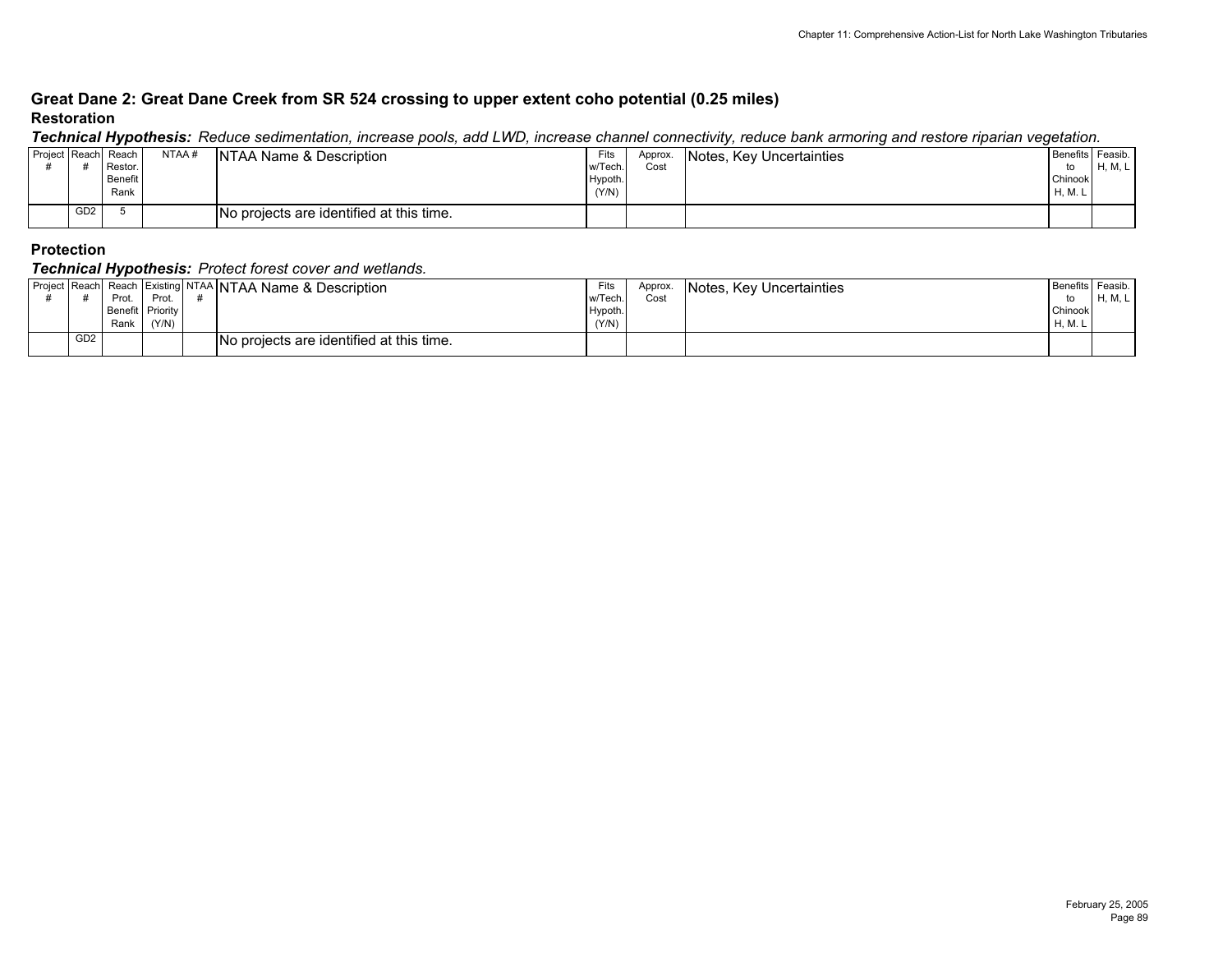### **Great Dane 2: Great Dane Creek from SR 524 crossing to upper extent coho potential (0.25 miles) Restoration**

*Technical Hypothesis: Reduce sedimentation, increase pools, add LWD, increase channel connectivity, reduce bank armoring and restore riparian vegetation.*

|                     |                 | . .            |       |                                          |         |         |                          |                  |         |
|---------------------|-----------------|----------------|-------|------------------------------------------|---------|---------|--------------------------|------------------|---------|
| Project Reach Reach |                 |                | NTAA# | NTAA Name & Description                  | Fits    | Approx. | Notes, Key Uncertainties | Benefits Feasib. |         |
|                     |                 | Restor.        |       |                                          | w/Tech. | Cost    |                          | to               | H, M, I |
|                     |                 | <b>Benefit</b> |       |                                          | Hypoth. |         |                          | Chinook          |         |
|                     |                 | Rank           |       |                                          | (Y/N)   |         |                          | H, M. L          |         |
|                     |                 |                |       |                                          |         |         |                          |                  |         |
|                     | GD <sub>2</sub> |                |       | No projects are identified at this time. |         |         |                          |                  |         |
|                     |                 |                |       |                                          |         |         |                          |                  |         |

#### **Protection**

|                 | Prot.<br>Benefit Priority<br>Rank | Prot.<br>(Y/N) | Project Reach Reach Existing NTAA NTAA Name & Description | Fits<br>w/Tech.<br>Hypoth.<br>(Y/N) | Approx.<br>Cost | Notes, Key Uncertainties | Benefits Feasib.<br>to<br>Chinook<br>H.M. | <b>H, M, L</b> |
|-----------------|-----------------------------------|----------------|-----------------------------------------------------------|-------------------------------------|-----------------|--------------------------|-------------------------------------------|----------------|
| GD <sub>2</sub> |                                   |                | No projects are identified at this time.                  |                                     |                 |                          |                                           |                |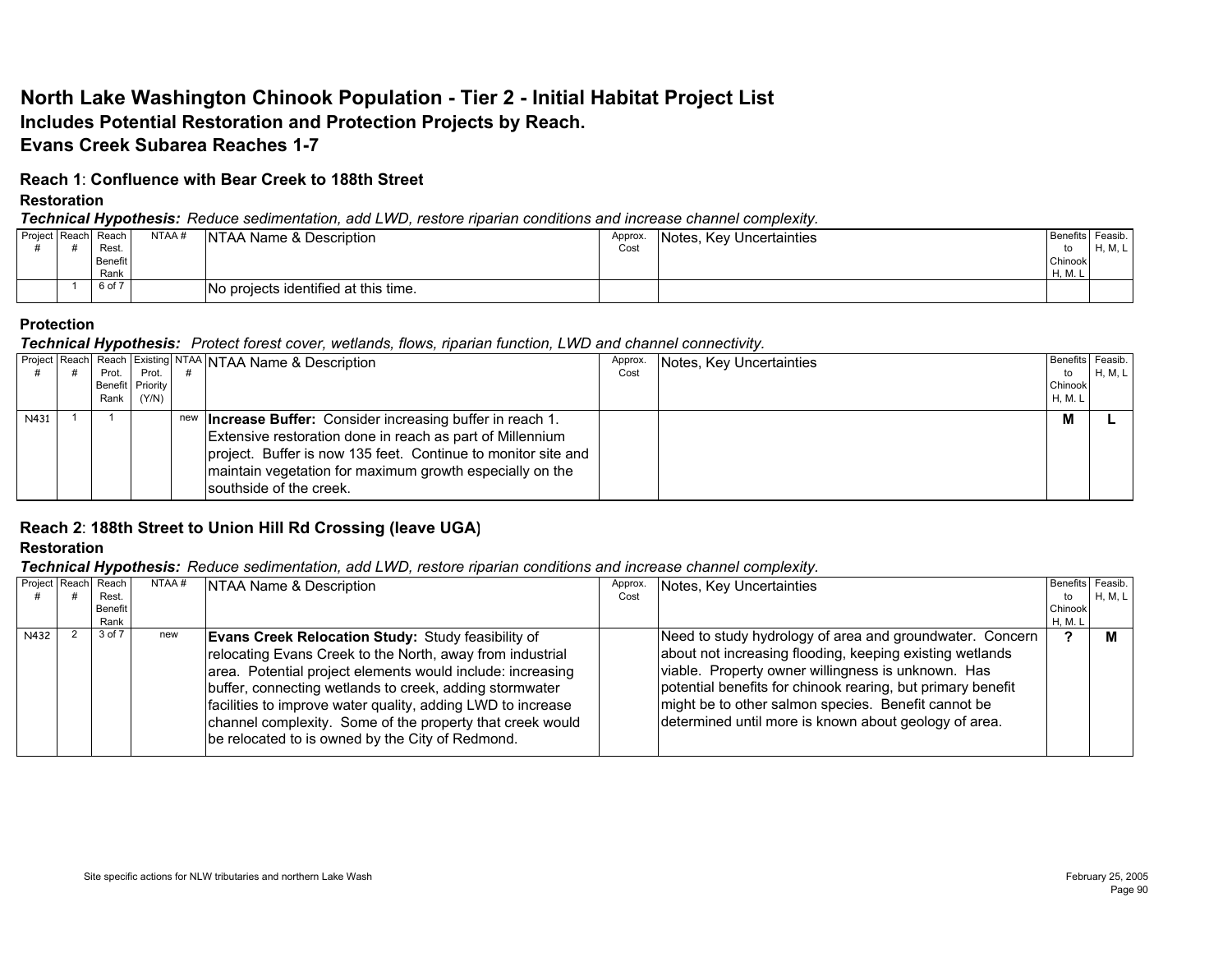# **North Lake Washington Chinook Population - Tier 2 - Initial Habitat Project List Includes Potential Restoration and Protection Projects by Reach. Evans Creek Subarea Reaches 1-7**

### **Reach 1**: **Confluence with Bear Creek to 188th Street**

### **Restoration**

### *Technical Hypothesis: Reduce sedimentation, add LWD, restore riparian conditions and increase channel complexity.*

|  | Project Reach Reach | NTAA# | NTAA Name & Description              | Approx. | Notes, Key Uncertainties | Benefits Feasib. |         |
|--|---------------------|-------|--------------------------------------|---------|--------------------------|------------------|---------|
|  | Rest.               |       |                                      | Cost    |                          | to               | H, M, L |
|  | Benefit             |       |                                      |         |                          | Chinook          |         |
|  | Rank                |       |                                      |         |                          | H, M.            |         |
|  | 6 of 7              |       | No projects identified at this time. |         |                          |                  |         |

### **Protection**

### *Technical Hypothesis: Protect forest cover, wetlands, flows, riparian function, LWD and channel connectivity.*

|      | Prot. I | Prot.            | Project Reach Reach Existing NTAA NTAA Name & Description                                                                                                                                                                                                                               | Approx.<br>Cost | Notes, Key Uncertainties | to      | Benefits Feasib.<br>H, M, L |
|------|---------|------------------|-----------------------------------------------------------------------------------------------------------------------------------------------------------------------------------------------------------------------------------------------------------------------------------------|-----------------|--------------------------|---------|-----------------------------|
|      |         | Benefit Priority |                                                                                                                                                                                                                                                                                         |                 |                          | Chinook |                             |
|      |         | Rank (Y/N)       |                                                                                                                                                                                                                                                                                         |                 |                          | H, M. I |                             |
| N431 |         |                  | new <b>Increase Buffer:</b> Consider increasing buffer in reach 1.<br>Extensive restoration done in reach as part of Millennium<br>project. Buffer is now 135 feet. Continue to monitor site and<br>maintain vegetation for maximum growth especially on the<br>southside of the creek. |                 |                          | M       |                             |

## **Reach 2**: **188th Street to Union Hill Rd Crossing (leave UGA)**

## **Restoration**

### *Technical Hypothesis: Reduce sedimentation, add LWD, restore riparian conditions and increase channel complexity.*

|      | Project Reach Reach | NTAA# | NTAA Name & Description                                     | Approx. | Notes, Key Uncertainties                                    | Benefits Feasib. |         |
|------|---------------------|-------|-------------------------------------------------------------|---------|-------------------------------------------------------------|------------------|---------|
|      | Rest.               |       |                                                             | Cost    |                                                             | to               | H, M, L |
|      | <b>Benefit</b>      |       |                                                             |         |                                                             | Chinook          |         |
|      | Rank                |       |                                                             |         |                                                             | H, M. L          |         |
| N432 | 3 of 7              | new   | <b>Evans Creek Relocation Study: Study feasibility of</b>   |         | Need to study hydrology of area and groundwater. Concern    |                  |         |
|      |                     |       | relocating Evans Creek to the North, away from industrial   |         | about not increasing flooding, keeping existing wetlands    |                  |         |
|      |                     |       | area. Potential project elements would include: increasing  |         | viable. Property owner willingness is unknown. Has          |                  |         |
|      |                     |       | buffer, connecting wetlands to creek, adding stormwater     |         | potential benefits for chinook rearing, but primary benefit |                  |         |
|      |                     |       | facilities to improve water quality, adding LWD to increase |         | might be to other salmon species. Benefit cannot be         |                  |         |
|      |                     |       | channel complexity. Some of the property that creek would   |         | determined until more is known about geology of area.       |                  |         |
|      |                     |       |                                                             |         |                                                             |                  |         |
|      |                     |       | be relocated to is owned by the City of Redmond.            |         |                                                             |                  |         |
|      |                     |       |                                                             |         |                                                             |                  |         |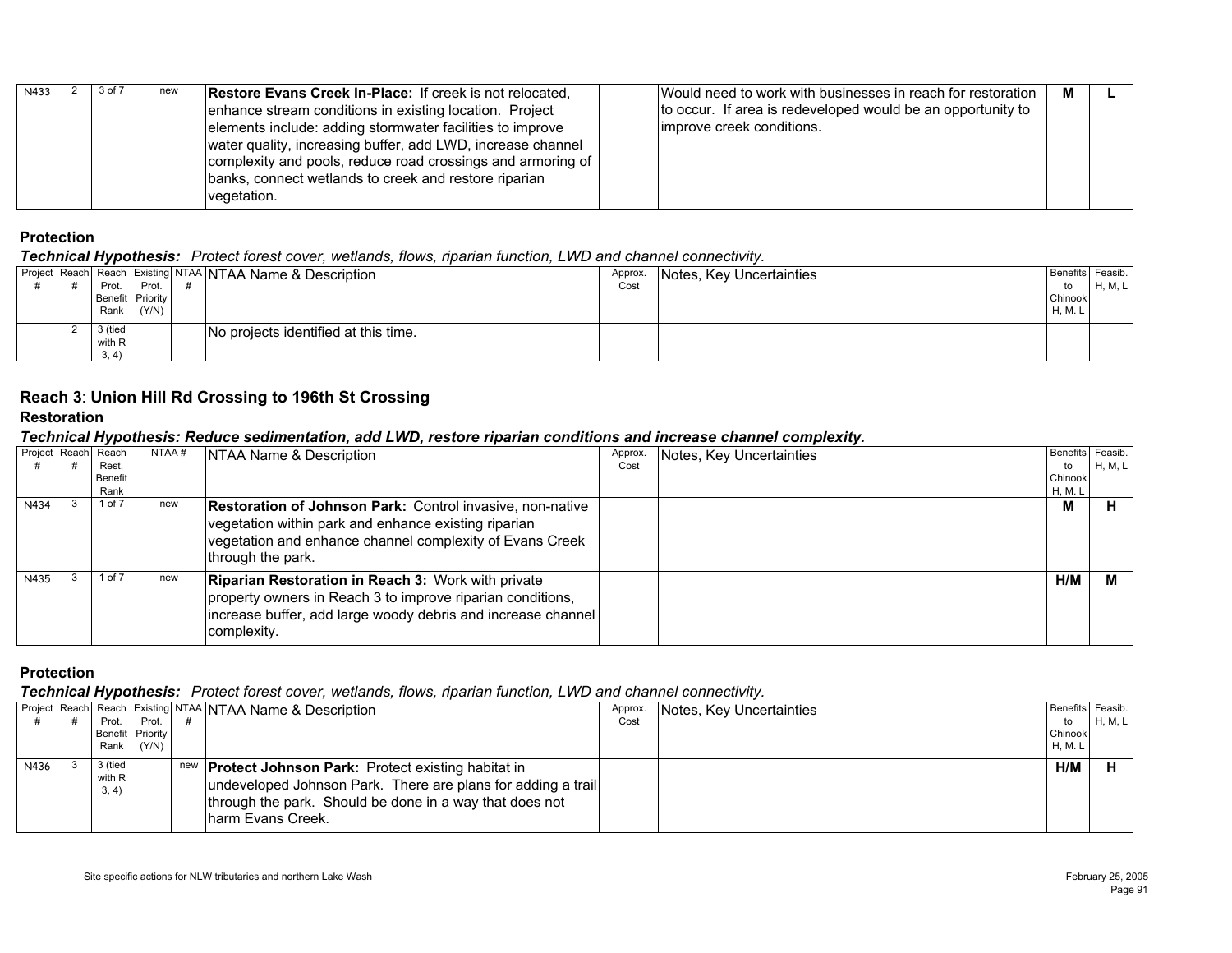| 3 of 7<br>N433<br><b>Restore Evans Creek In-Place: If creek is not relocated.</b><br>new<br>to occur. If area is redeveloped would be an opportunity to<br>enhance stream conditions in existing location. Project<br>elements include: adding stormwater facilities to improve<br>limprove creek conditions.<br>water quality, increasing buffer, add LWD, increase channel<br>complexity and pools, reduce road crossings and armoring of<br>banks, connect wetlands to creek and restore riparian<br>vegetation. | Would need to work with businesses in reach for restoration<br>м |  |
|---------------------------------------------------------------------------------------------------------------------------------------------------------------------------------------------------------------------------------------------------------------------------------------------------------------------------------------------------------------------------------------------------------------------------------------------------------------------------------------------------------------------|------------------------------------------------------------------|--|
|---------------------------------------------------------------------------------------------------------------------------------------------------------------------------------------------------------------------------------------------------------------------------------------------------------------------------------------------------------------------------------------------------------------------------------------------------------------------------------------------------------------------|------------------------------------------------------------------|--|

#### *Technical Hypothesis: Protect forest cover, wetlands, flows, riparian function, LWD and channel connectivity.*

|       |                |                            |                    | Approx.                              | Benefits Feasib.                                                                                 |         |
|-------|----------------|----------------------------|--------------------|--------------------------------------|--------------------------------------------------------------------------------------------------|---------|
| Prot. |                |                            |                    | Cost                                 | to                                                                                               | H, M, L |
|       |                |                            |                    |                                      | Chinook                                                                                          |         |
|       | (Y/N)          |                            |                    |                                      | <b>H, M. L</b>                                                                                   |         |
|       |                |                            |                    |                                      |                                                                                                  |         |
|       |                |                            |                    |                                      |                                                                                                  |         |
|       |                |                            |                    |                                      |                                                                                                  |         |
|       | with R<br>3.4) | Prot.<br>Rank  <br>3 (tied | Benefit   Priority | No projects identified at this time. | <b>Project Reach Reach Existing NTAA NTAA Name &amp; Description</b><br>Notes, Key Uncertainties |         |

## **Reach 3**: **Union Hill Rd Crossing to 196th St Crossing**

#### **Restoration**

## *Technical Hypothesis: Reduce sedimentation, add LWD, restore riparian conditions and increase channel complexity.*

|      | Project Reach Reach | NTAA# | <b>NTAA Name &amp; Description</b>                                                                                                                                                                        | Approx. | Notes, Key Uncertainties | Benefits Feasib. |         |
|------|---------------------|-------|-----------------------------------------------------------------------------------------------------------------------------------------------------------------------------------------------------------|---------|--------------------------|------------------|---------|
|      | Rest.               |       |                                                                                                                                                                                                           | Cost    |                          | to               | H, M, L |
|      | Benefit             |       |                                                                                                                                                                                                           |         |                          | Chinook          |         |
|      | Rank                |       |                                                                                                                                                                                                           |         |                          | H, M. L          |         |
| N434 | 1 of 7              | new   | <b>Restoration of Johnson Park:</b> Control invasive, non-native<br>vegetation within park and enhance existing riparian<br>vegetation and enhance channel complexity of Evans Creek<br>through the park. |         |                          | м                |         |
| N435 | $1$ of $7$          | new   | <b>Riparian Restoration in Reach 3: Work with private</b><br>property owners in Reach 3 to improve riparian conditions,<br>increase buffer, add large woody debris and increase channel<br>complexity.    |         |                          | H/M              |         |

## **Protection**

|      |                            |                  | Project Reach Reach Existing NTAA NTAA Name & Description                                                                                                                                                    | Approx. | Notes, Key Uncertainties | Benefits Feasib. |         |
|------|----------------------------|------------------|--------------------------------------------------------------------------------------------------------------------------------------------------------------------------------------------------------------|---------|--------------------------|------------------|---------|
|      | Prot. I                    | Prot.            |                                                                                                                                                                                                              | Cost    |                          | to               | H, M, L |
|      |                            | Benefit Priority |                                                                                                                                                                                                              |         |                          | Chinook          |         |
|      | Rank                       | (Y/N)            |                                                                                                                                                                                                              |         |                          | H, M. L          |         |
| N436 | 3 (tied<br>with R<br>3, 4) |                  | new <b>Protect Johnson Park:</b> Protect existing habitat in<br>undeveloped Johnson Park. There are plans for adding a trail<br>through the park. Should be done in a way that does not<br>harm Evans Creek. |         |                          | H/M              |         |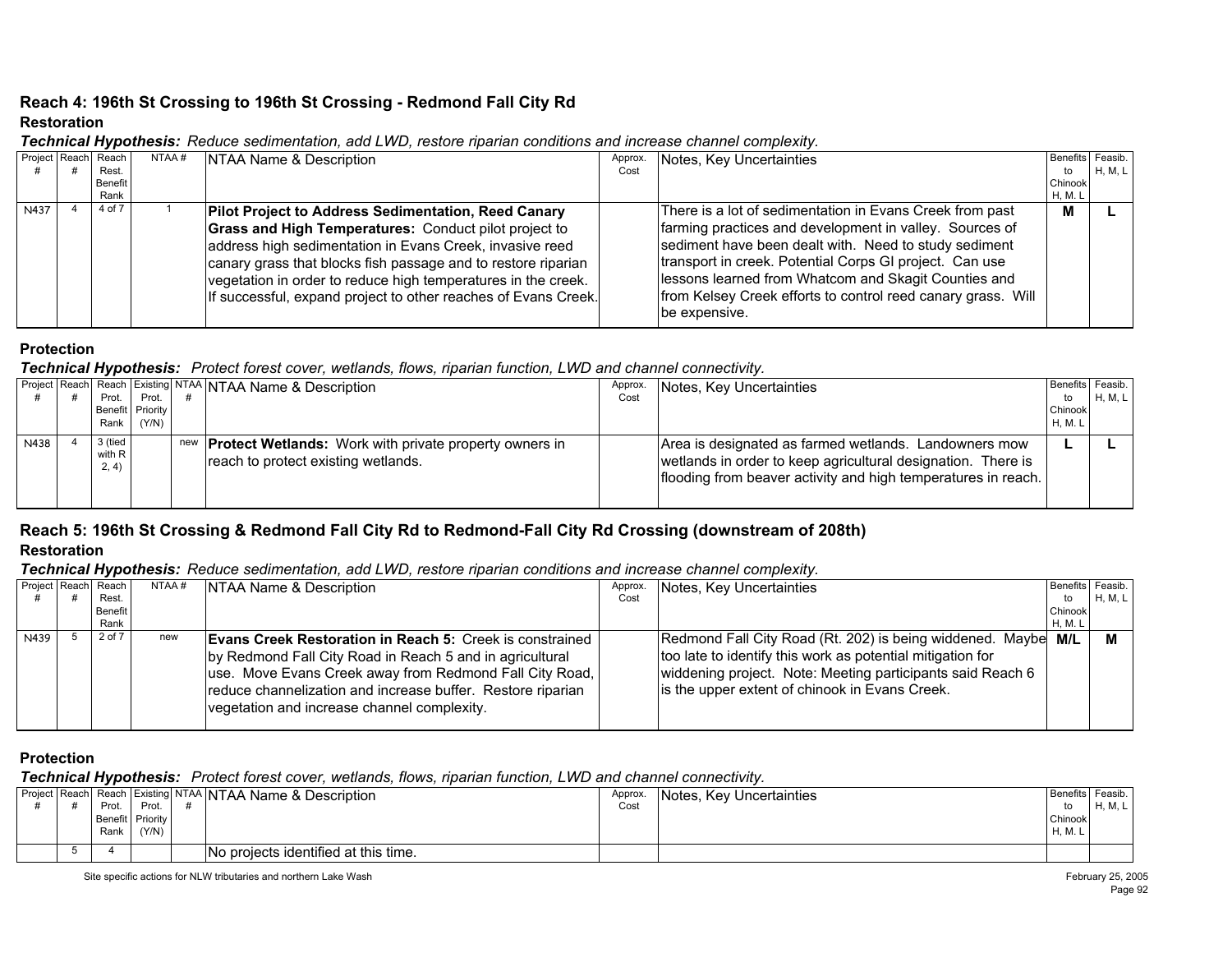## **Reach 4: 196th St Crossing to 196th St Crossing - Redmond Fall City Rd Restoration**

| Project Reach | Reach<br>Rest.         | NTAA# | NTAA Name & Description                                                                                                                                                                                                                                                                                                                                                                    | Approx.<br>Cost | Notes, Key Uncertainties                                                                                                                                                                                                                                                                                                                                                         | Benefits Feasib.<br>to | H, M, L |
|---------------|------------------------|-------|--------------------------------------------------------------------------------------------------------------------------------------------------------------------------------------------------------------------------------------------------------------------------------------------------------------------------------------------------------------------------------------------|-----------------|----------------------------------------------------------------------------------------------------------------------------------------------------------------------------------------------------------------------------------------------------------------------------------------------------------------------------------------------------------------------------------|------------------------|---------|
|               | <b>Benefit</b><br>Rank |       |                                                                                                                                                                                                                                                                                                                                                                                            |                 |                                                                                                                                                                                                                                                                                                                                                                                  | Chinook<br>H, M. L     |         |
| N437          | 4 of 7                 |       | <b>Pilot Project to Address Sedimentation, Reed Canary</b><br><b>Grass and High Temperatures: Conduct pilot project to</b><br>address high sedimentation in Evans Creek, invasive reed<br>canary grass that blocks fish passage and to restore riparian<br>vegetation in order to reduce high temperatures in the creek.<br>If successful, expand project to other reaches of Evans Creek. |                 | There is a lot of sedimentation in Evans Creek from past<br>farming practices and development in valley. Sources of<br>sediment have been dealt with. Need to study sediment<br>transport in creek. Potential Corps GI project. Can use<br>lessons learned from Whatcom and Skagit Counties and<br>from Kelsey Creek efforts to control reed canary grass. Will<br>be expensive. | м                      |         |

#### *Technical Hypothesis: Reduce sedimentation, add LWD, restore riparian conditions and increase channel complexity.*

#### **Protection**

### *Technical Hypothesis: Protect forest cover, wetlands, flows, riparian function, LWD and channel connectivity.*

|      |                            |                           | Project Reach Reach Existing NTAA NTAA Name & Description                                                | Approx. | Notes, Key Uncertainties                                                                                                                                                               | Benefits Feasib. |         |
|------|----------------------------|---------------------------|----------------------------------------------------------------------------------------------------------|---------|----------------------------------------------------------------------------------------------------------------------------------------------------------------------------------------|------------------|---------|
|      | Prot.                      | Prot.<br>Benefit Priority |                                                                                                          | Cost    |                                                                                                                                                                                        | to<br>Chinook    | H, M, L |
|      | Rank                       | (Y/N)                     |                                                                                                          |         |                                                                                                                                                                                        | <b>H.M.L</b>     |         |
| N438 | 3 (tied<br>with R<br>2, 4) |                           | new <b>Protect Wetlands:</b> Work with private property owners in<br>reach to protect existing wetlands. |         | Area is designated as farmed wetlands. Landowners mow<br>wetlands in order to keep agricultural designation. There is<br>flooding from beaver activity and high temperatures in reach. |                  |         |

## **Reach 5: 196th St Crossing & Redmond Fall City Rd to Redmond-Fall City Rd Crossing (downstream of 208th) Restoration**

#### *Technical Hypothesis: Reduce sedimentation, add LWD, restore riparian conditions and increase channel complexity.*

|      | Project Reach Reach | NTAA# | NTAA Name & Description                                           | Approx. | Notes, Key Uncertainties                                   | Benefits Feasib. |         |
|------|---------------------|-------|-------------------------------------------------------------------|---------|------------------------------------------------------------|------------------|---------|
|      | Rest.               |       |                                                                   | Cost    |                                                            | to               | H, M, L |
|      | Benefit             |       |                                                                   |         |                                                            | Chinook          |         |
|      | Rank                |       |                                                                   |         |                                                            | <b>H, M. L</b>   |         |
| N439 | 2 of 7              | new   | <b>Evans Creek Restoration in Reach 5: Creek is constrained  </b> |         | Redmond Fall City Road (Rt. 202) is being widdened. Maybe  | M/L              |         |
|      |                     |       | by Redmond Fall City Road in Reach 5 and in agricultural          |         | too late to identify this work as potential mitigation for |                  |         |
|      |                     |       | use. Move Evans Creek away from Redmond Fall City Road,           |         | widdening project. Note: Meeting participants said Reach 6 |                  |         |
|      |                     |       | reduce channelization and increase buffer. Restore riparian       |         | is the upper extent of chinook in Evans Creek.             |                  |         |
|      |                     |       | vegetation and increase channel complexity.                       |         |                                                            |                  |         |
|      |                     |       |                                                                   |         |                                                            |                  |         |

#### **Protection**

|  |       |                  | Project Reach Reach Existing NTAA NTAA Name & Description | Approx | Notes, Key Uncertainties | Benefits Feasib. |       |
|--|-------|------------------|-----------------------------------------------------------|--------|--------------------------|------------------|-------|
|  | Prot. | Prot.            |                                                           | Cos    |                          | to               | $H$ M |
|  |       | Benefit Priority |                                                           |        |                          | Chinook          |       |
|  | Rank  | (Y/N)            |                                                           |        |                          | H, M. L          |       |
|  |       |                  | No projects identified at this time.                      |        |                          |                  |       |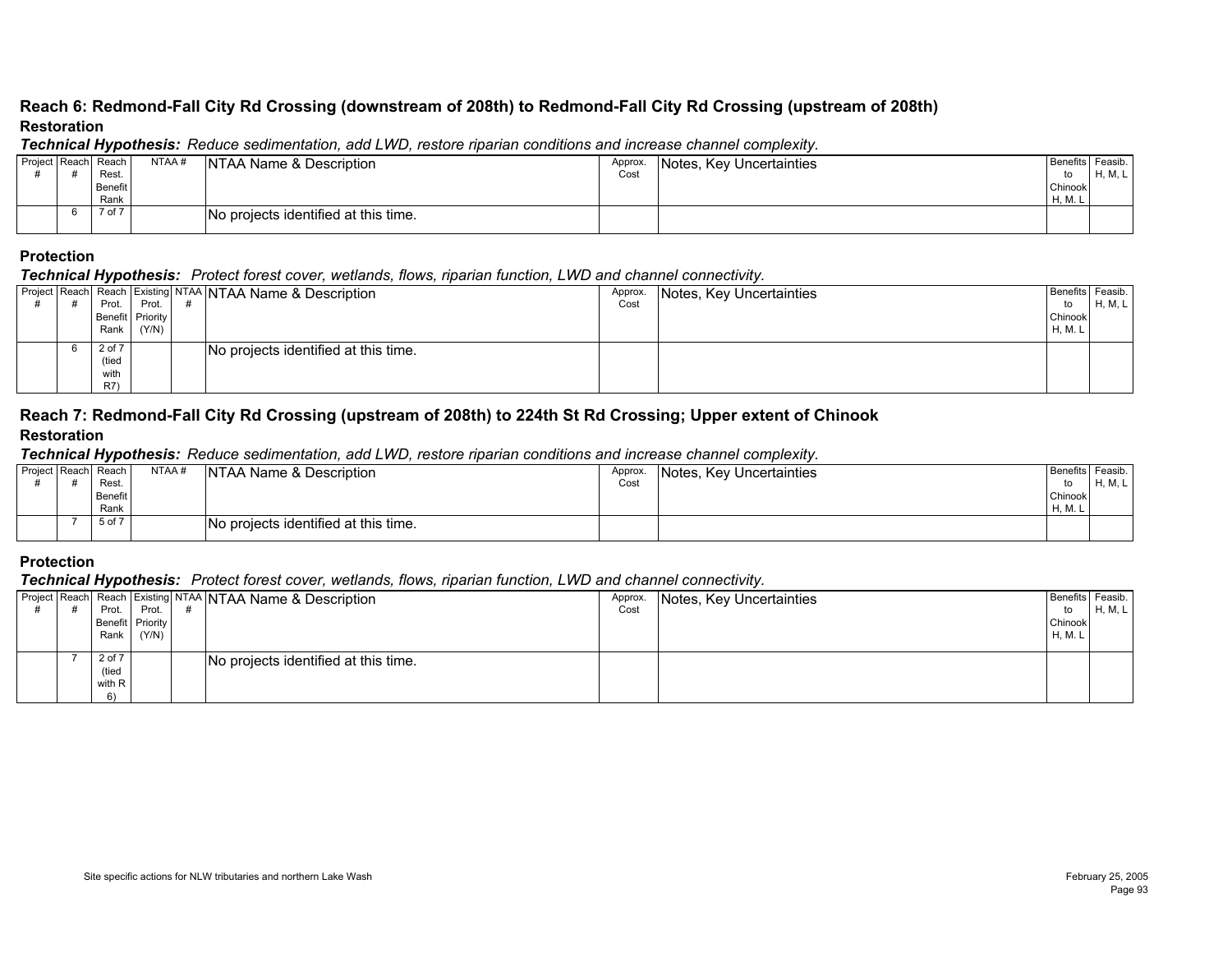#### **Reach 6: Redmond-Fall City Rd Crossing (downstream of 208th) to Redmond-Fall City Rd Crossing (upstream of 208th) Restoration**

#### *Technical Hypothesis: Reduce sedimentation, add LWD, restore riparian conditions and increase channel complexity.*

|  | Project Reach Reach | NTAA # | <b>INTAA Name &amp; Description</b>  | Approx. | Notes, Key Uncertainties | Benefits Feasib. |         |
|--|---------------------|--------|--------------------------------------|---------|--------------------------|------------------|---------|
|  | Rest.               |        |                                      | Cost    |                          | to               | H, M, L |
|  | Benefit             |        |                                      |         |                          | Chinook          |         |
|  | Rank                |        |                                      |         |                          | H, M.            |         |
|  | 7 of 7              |        | No projects identified at this time. |         |                          |                  |         |
|  |                     |        |                                      |         |                          |                  |         |

### **Protection**

#### *Technical Hypothesis: Protect forest cover, wetlands, flows, riparian function, LWD and channel connectivity.*

|  | - -         |                  |                                                           |         |                          |                  |         |
|--|-------------|------------------|-----------------------------------------------------------|---------|--------------------------|------------------|---------|
|  |             |                  | Project Reach Reach Existing NTAA NTAA Name & Description | Approx. | Notes, Key Uncertainties | Benefits Feasib. |         |
|  | Prot.       | Prot.            |                                                           | Cost    |                          | to               | H, M, L |
|  |             | Benefit Priority |                                                           |         |                          | Chinook          |         |
|  | Rank        | (Y/N)            |                                                           |         |                          | H, M. L          |         |
|  | 2 of 7      |                  | No projects identified at this time.                      |         |                          |                  |         |
|  | (tied       |                  |                                                           |         |                          |                  |         |
|  | with        |                  |                                                           |         |                          |                  |         |
|  | <b>R7</b> ) |                  |                                                           |         |                          |                  |         |

#### **Reach 7: Redmond-Fall City Rd Crossing (upstream of 208th) to 224th St Rd Crossing; Upper extent of Chinook Restoration**

#### *Technical Hypothesis: Reduce sedimentation, add LWD, restore riparian conditions and increase channel complexity.*

| Benefits Feasib.<br>Notes, Key Uncertainties |                |
|----------------------------------------------|----------------|
|                                              | <b>H, M, L</b> |
| Chinook                                      |                |
| H, M.                                        |                |
|                                              |                |
|                                              |                |

#### **Protection**

|  | - -              |       |                                                           |         |                          |                  |         |
|--|------------------|-------|-----------------------------------------------------------|---------|--------------------------|------------------|---------|
|  |                  |       | Project Reach Reach Existing NTAA NTAA Name & Description | Approx. | Notes, Key Uncertainties | Benefits Feasib. |         |
|  | Prot.            | Prot. |                                                           | Cost    |                          | to               | H, M, L |
|  | Benefit Priority |       |                                                           |         |                          | Chinook          |         |
|  | Rank             | (Y/N) |                                                           |         |                          | H, M. L          |         |
|  |                  |       |                                                           |         |                          |                  |         |
|  | 2 of 7           |       | No projects identified at this time.                      |         |                          |                  |         |
|  | (tied            |       |                                                           |         |                          |                  |         |
|  | with R           |       |                                                           |         |                          |                  |         |
|  | 6)               |       |                                                           |         |                          |                  |         |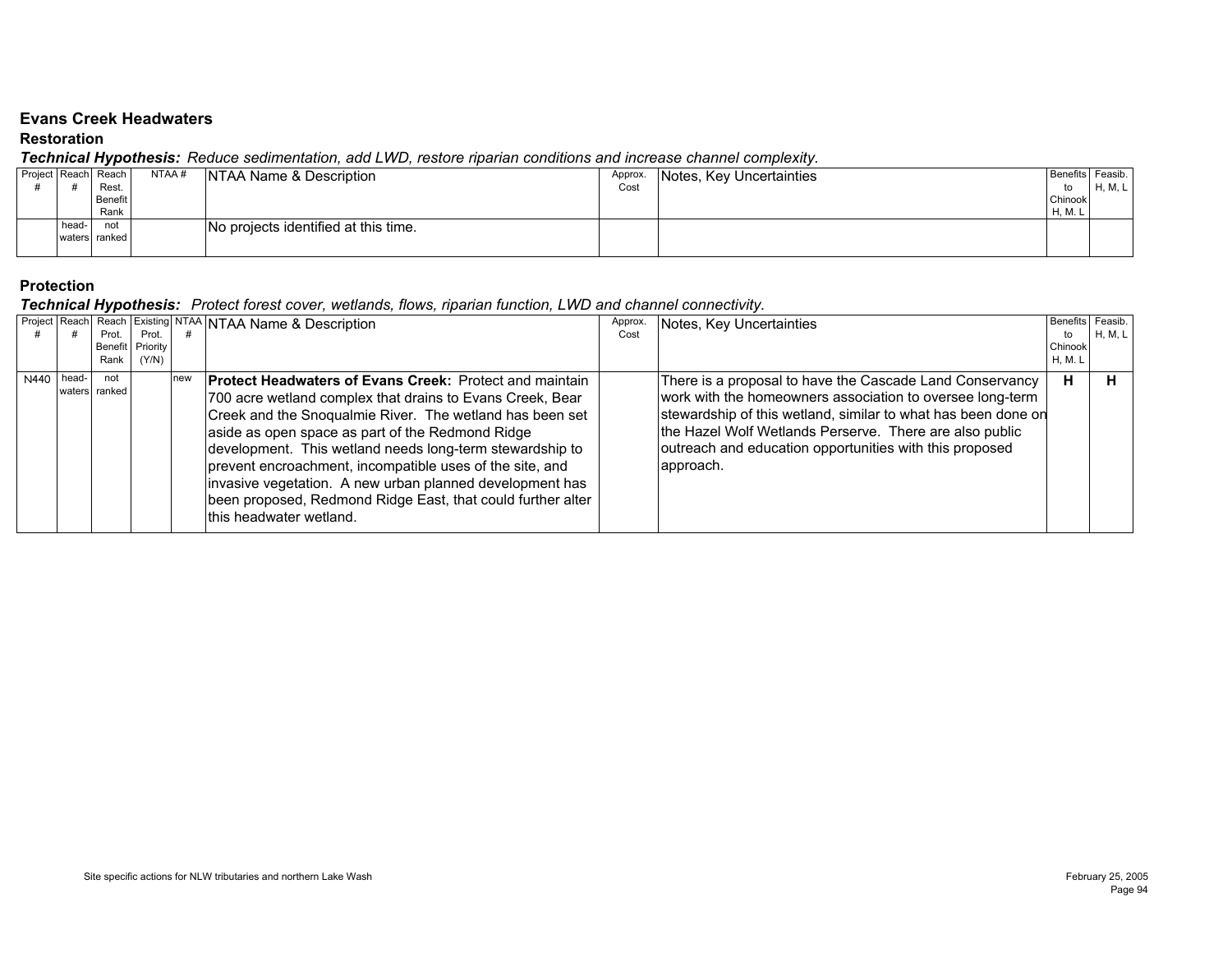#### **Evans Creek Headwaters**

#### **Restoration**

#### *Technical Hypothesis: Reduce sedimentation, add LWD, restore riparian conditions and increase channel complexity.*

|  |       | . .                 |       |                                      |         |                          |                    |         |
|--|-------|---------------------|-------|--------------------------------------|---------|--------------------------|--------------------|---------|
|  |       | Project Reach Reach | NTAA# | NTAA Name & Description              | Approx. | Notes, Key Uncertainties | Benefits   Feasib. |         |
|  |       | Rest                |       |                                      | Cost    |                          | to                 | H, M, L |
|  |       | Benefit             |       |                                      |         |                          | Chinook            |         |
|  |       | Rank                |       |                                      |         |                          | H, M. L            |         |
|  | head- | not                 |       | No projects identified at this time. |         |                          |                    |         |
|  |       | waters ranked       |       |                                      |         |                          |                    |         |
|  |       |                     |       |                                      |         |                          |                    |         |

#### **Protection**

|              |                      |                                      |     | <b>Froject Reach Reach Existing NTAA NTAA Name &amp; Description</b>                                                                                                                                                                                                                                                                                                                                                                                                                                                       | Approx. | Notes, Key Uncertainties                                                                                                                                                                                                                                                                                                  | <b>Benefits</b> Feasib   |                |
|--------------|----------------------|--------------------------------------|-----|----------------------------------------------------------------------------------------------------------------------------------------------------------------------------------------------------------------------------------------------------------------------------------------------------------------------------------------------------------------------------------------------------------------------------------------------------------------------------------------------------------------------------|---------|---------------------------------------------------------------------------------------------------------------------------------------------------------------------------------------------------------------------------------------------------------------------------------------------------------------------------|--------------------------|----------------|
|              | Prot.<br>Rank        | Prot.<br>Benefit   Priority<br>(Y/N) |     |                                                                                                                                                                                                                                                                                                                                                                                                                                                                                                                            | Cost    |                                                                                                                                                                                                                                                                                                                           | to<br>Chinook<br>H, M. L | <b>H, M, L</b> |
| $N440$ head- | not<br>waters ranked |                                      | new | <b>IProtect Headwaters of Evans Creek: Protect and maintain</b><br>700 acre wetland complex that drains to Evans Creek, Bear<br>Creek and the Snoqualmie River. The wetland has been set<br>aside as open space as part of the Redmond Ridge<br>development. This wetland needs long-term stewardship to<br>prevent encroachment, incompatible uses of the site, and<br>invasive vegetation. A new urban planned development has<br>been proposed, Redmond Ridge East, that could further alter<br>this headwater wetland. |         | There is a proposal to have the Cascade Land Conservancy<br>work with the homeowners association to oversee long-term<br>stewardship of this wetland, similar to what has been done on<br>the Hazel Wolf Wetlands Perserve. There are also public<br>outreach and education opportunities with this proposed<br>approach. | н                        |                |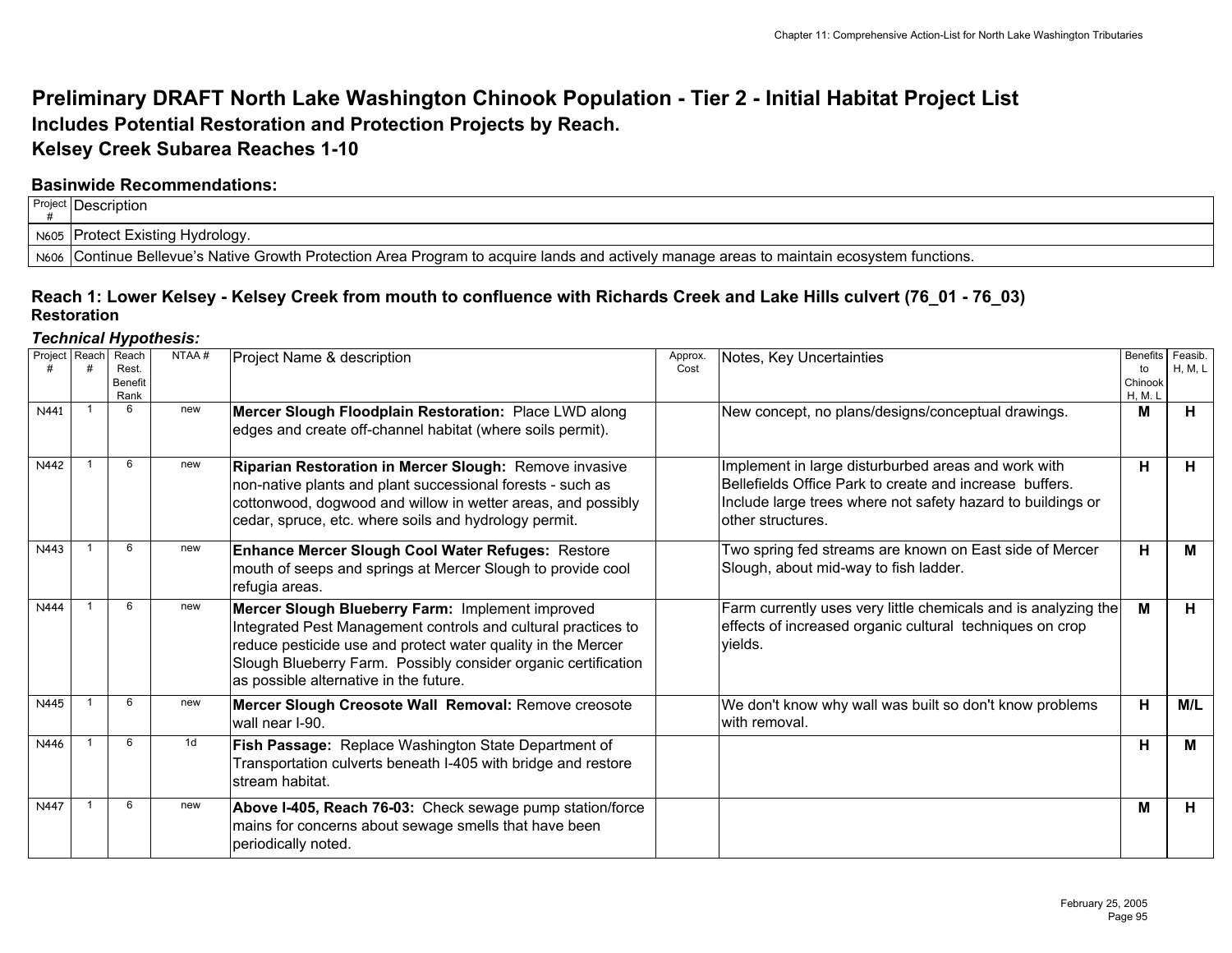# **Preliminary DRAFT North Lake Washington Chinook Population - Tier 2 - Initial Habitat Project List Includes Potential Restoration and Protection Projects by Reach. Kelsey Creek Subarea Reaches 1-10**

## **Basinwide Recommendations:**

| Project | ∶IDescription                                                                                                                                |
|---------|----------------------------------------------------------------------------------------------------------------------------------------------|
| N605    | ∍  Protect Existing Hydrology.                                                                                                               |
|         | N606   Continue Bellevue's Native Growth Protection Area Program to acquire lands and actively manage areas to maintain ecosystem functions. |

## **Reach 1: Lower Kelsey - Kelsey Creek from mouth to confluence with Richards Creek and Lake Hills culvert (76\_01 - 76\_03) Restoration**

| Project Reach | Reach<br>Rest.<br>Benefit<br>Rank | NTAA#          | Project Name & description                                                                                                                                                                                                                                                                    | Approx.<br>Cost | Notes, Key Uncertainties                                                                                                                                                                            | Benefits Feasib.<br>to<br>Chinook<br>H, M. L | H, M, L |
|---------------|-----------------------------------|----------------|-----------------------------------------------------------------------------------------------------------------------------------------------------------------------------------------------------------------------------------------------------------------------------------------------|-----------------|-----------------------------------------------------------------------------------------------------------------------------------------------------------------------------------------------------|----------------------------------------------|---------|
| N441          | 6                                 | new            | Mercer Slough Floodplain Restoration: Place LWD along<br>edges and create off-channel habitat (where soils permit).                                                                                                                                                                           |                 | New concept, no plans/designs/conceptual drawings.                                                                                                                                                  | M                                            | Н.      |
| N442          | 6                                 | new            | Riparian Restoration in Mercer Slough: Remove invasive<br>non-native plants and plant successional forests - such as<br>cottonwood, dogwood and willow in wetter areas, and possibly<br>cedar, spruce, etc. where soils and hydrology permit.                                                 |                 | Implement in large disturburbed areas and work with<br>Bellefields Office Park to create and increase buffers.<br>Include large trees where not safety hazard to buildings or<br>lother structures. | H                                            | H       |
| N443          | 6                                 | new            | Enhance Mercer Slough Cool Water Refuges: Restore<br>mouth of seeps and springs at Mercer Slough to provide cool<br>refugia areas.                                                                                                                                                            |                 | Two spring fed streams are known on East side of Mercer<br>Slough, about mid-way to fish ladder.                                                                                                    | H                                            | М       |
| N444          | 6                                 | new            | Mercer Slough Blueberry Farm: Implement improved<br>Integrated Pest Management controls and cultural practices to<br>reduce pesticide use and protect water quality in the Mercer<br>Slough Blueberry Farm. Possibly consider organic certification<br>as possible alternative in the future. |                 | Farm currently uses very little chemicals and is analyzing the<br>effects of increased organic cultural techniques on crop<br>vields.                                                               | M                                            | Н.      |
| N445          | 6                                 | new            | Mercer Slough Creosote Wall Removal: Remove creosote<br>wall near I-90.                                                                                                                                                                                                                       |                 | We don't know why wall was built so don't know problems<br>with removal.                                                                                                                            | H                                            | M/L     |
| N446          | 6                                 | 1 <sub>d</sub> | Fish Passage: Replace Washington State Department of<br>Transportation culverts beneath I-405 with bridge and restore<br>stream habitat.                                                                                                                                                      |                 |                                                                                                                                                                                                     | н                                            | м       |
| N447          | 6                                 | new            | Above I-405, Reach 76-03: Check sewage pump station/force<br>mains for concerns about sewage smells that have been<br>periodically noted.                                                                                                                                                     |                 |                                                                                                                                                                                                     | M                                            | н       |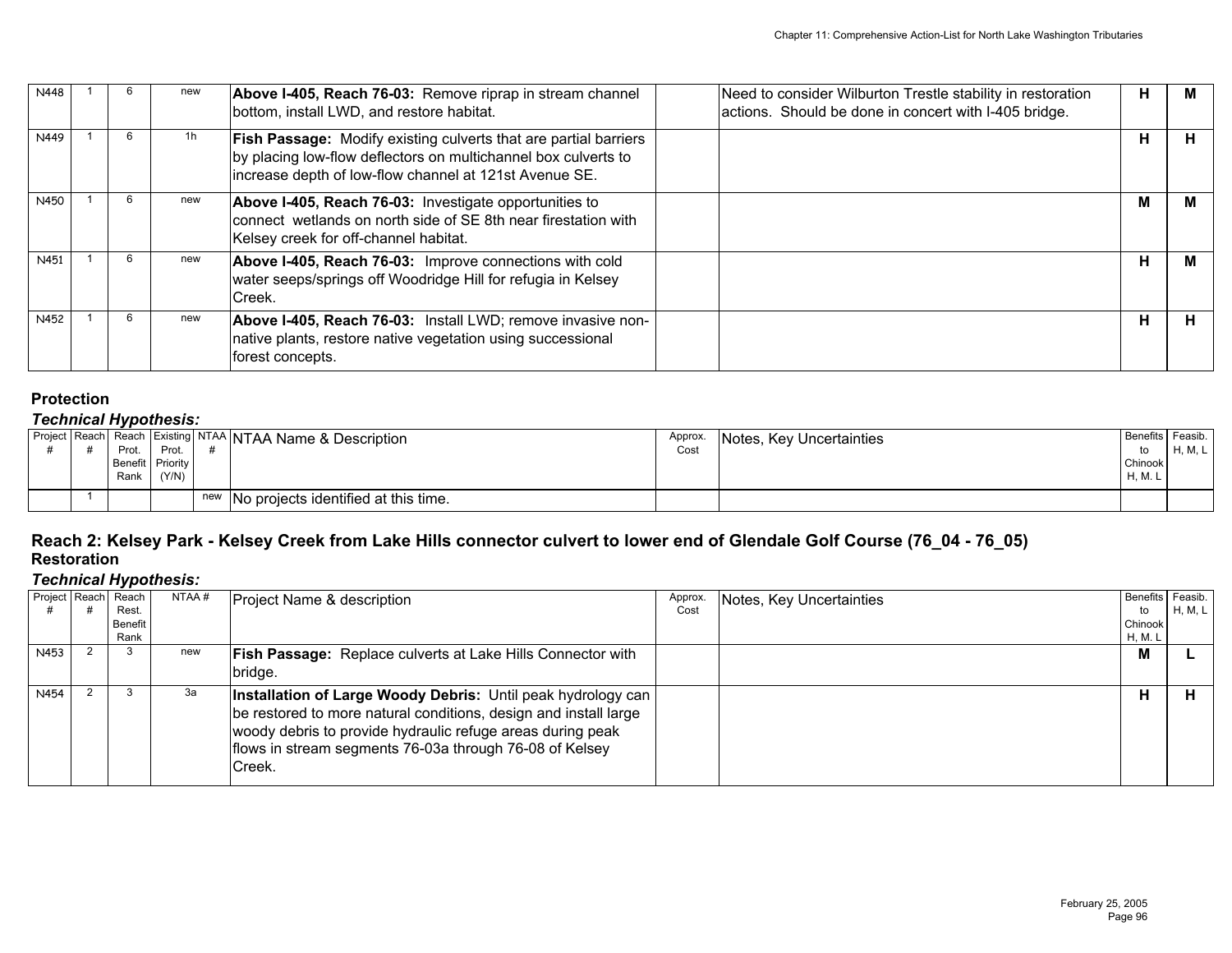| N448 |  | new | Above I-405, Reach 76-03: Remove riprap in stream channel<br>bottom, install LWD, and restore habitat.                                                                                              | Need to consider Wilburton Trestle stability in restoration<br>actions. Should be done in concert with I-405 bridge. | н | м  |
|------|--|-----|-----------------------------------------------------------------------------------------------------------------------------------------------------------------------------------------------------|----------------------------------------------------------------------------------------------------------------------|---|----|
| N449 |  | 1h  | <b>Fish Passage:</b> Modify existing culverts that are partial barriers<br>by placing low-flow deflectors on multichannel box culverts to<br>increase depth of low-flow channel at 121st Avenue SE. |                                                                                                                      | н | н. |
| N450 |  | new | Above I-405, Reach 76-03: Investigate opportunities to<br>connect wetlands on north side of SE 8th near firestation with<br>Kelsey creek for off-channel habitat.                                   |                                                                                                                      | М |    |
| N451 |  | new | Above I-405, Reach 76-03: Improve connections with cold<br>water seeps/springs off Woodridge Hill for refugia in Kelsey<br>Creek.                                                                   |                                                                                                                      | н | м  |
| N452 |  | new | Above I-405, Reach 76-03: Install LWD; remove invasive non-<br>native plants, restore native vegetation using successional<br>forest concepts.                                                      |                                                                                                                      | н | н  |

## *Technical Hypothesis:*

|  | Prot.<br>Rank | Prot.<br>Benefit Priority<br>(Y/N) | Project Reach Reach Existing NTAA NTAA Name & Description | Approx.<br>Cost | Notes, Key Uncertainties | Benefits Feasib.<br>Chinook<br>H, M. L | H, M, L |
|--|---------------|------------------------------------|-----------------------------------------------------------|-----------------|--------------------------|----------------------------------------|---------|
|  |               |                                    | new No projects identified at this time.                  |                 |                          |                                        |         |

## **Reach 2: Kelsey Park - Kelsey Creek from Lake Hills connector culvert to lower end of Glendale Golf Course (76\_04 - 76\_05) Restoration**

|      | Project Reach | . .<br>Reach<br>Rest.<br>Benefit | NTAA# | Project Name & description                                                                                                                                                                                                                                          | Approx.<br>Cost | Notes, Key Uncertainties | <b>Benefits</b><br>to<br>Chinook | Feasib.<br>H, M, L |
|------|---------------|----------------------------------|-------|---------------------------------------------------------------------------------------------------------------------------------------------------------------------------------------------------------------------------------------------------------------------|-----------------|--------------------------|----------------------------------|--------------------|
| N453 |               | Rank                             | new   | <b>Fish Passage: Replace culverts at Lake Hills Connector with</b>                                                                                                                                                                                                  |                 |                          | H, M. L<br>M                     |                    |
|      |               |                                  |       | bridge.                                                                                                                                                                                                                                                             |                 |                          |                                  |                    |
| N454 |               |                                  | За    | Installation of Large Woody Debris: Until peak hydrology can<br>be restored to more natural conditions, design and install large<br>woody debris to provide hydraulic refuge areas during peak<br>flows in stream segments 76-03a through 76-08 of Kelsey<br>Creek. |                 |                          | н                                |                    |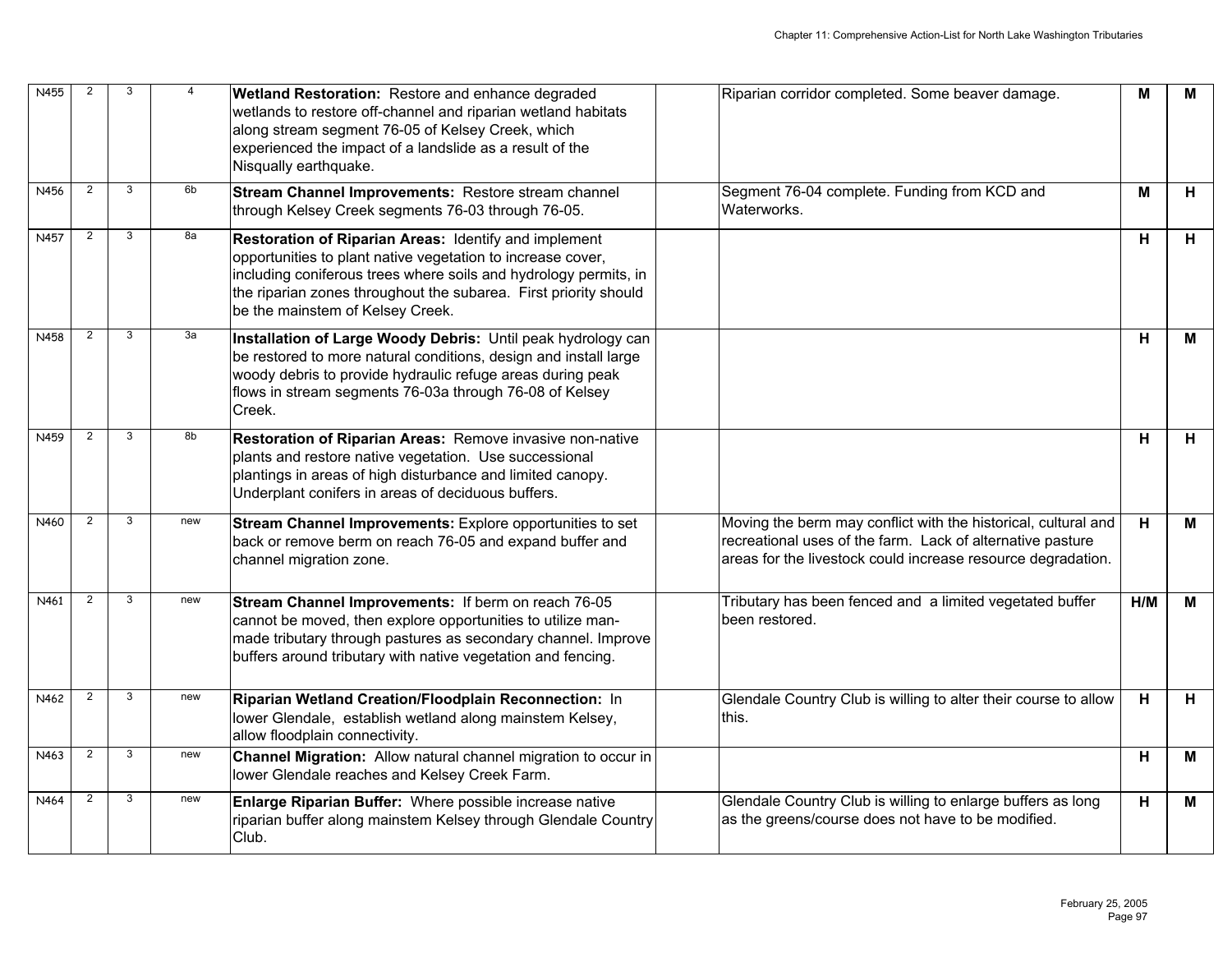| N455 | 2              | 3 | 4   | <b>Wetland Restoration:</b> Restore and enhance degraded<br>wetlands to restore off-channel and riparian wetland habitats<br>along stream segment 76-05 of Kelsey Creek, which<br>experienced the impact of a landslide as a result of the<br>Nisqually earthquake.                              | Riparian corridor completed. Some beaver damage.                                                                                                                                             | M   | М |
|------|----------------|---|-----|--------------------------------------------------------------------------------------------------------------------------------------------------------------------------------------------------------------------------------------------------------------------------------------------------|----------------------------------------------------------------------------------------------------------------------------------------------------------------------------------------------|-----|---|
| N456 | $\overline{2}$ | 3 | 6b  | Stream Channel Improvements: Restore stream channel<br>through Kelsey Creek segments 76-03 through 76-05.                                                                                                                                                                                        | Segment 76-04 complete. Funding from KCD and<br>Waterworks.                                                                                                                                  | м   | н |
| N457 | $\overline{2}$ | 3 | 8a  | Restoration of Riparian Areas: Identify and implement<br>opportunities to plant native vegetation to increase cover,<br>including coniferous trees where soils and hydrology permits, in<br>the riparian zones throughout the subarea. First priority should<br>be the mainstem of Kelsey Creek. |                                                                                                                                                                                              | н   | H |
| N458 | $\overline{2}$ | 3 | За  | Installation of Large Woody Debris: Until peak hydrology can<br>be restored to more natural conditions, design and install large<br>woody debris to provide hydraulic refuge areas during peak<br>flows in stream segments 76-03a through 76-08 of Kelsey<br>Creek.                              |                                                                                                                                                                                              | н   | М |
| N459 | 2              | 3 | 8b  | Restoration of Riparian Areas: Remove invasive non-native<br>plants and restore native vegetation. Use successional<br>plantings in areas of high disturbance and limited canopy.<br>Underplant conifers in areas of deciduous buffers.                                                          |                                                                                                                                                                                              | н   | H |
| N460 | $\overline{2}$ | 3 | new | Stream Channel Improvements: Explore opportunities to set<br>back or remove berm on reach 76-05 and expand buffer and<br>channel migration zone.                                                                                                                                                 | Moving the berm may conflict with the historical, cultural and<br>recreational uses of the farm. Lack of alternative pasture<br>areas for the livestock could increase resource degradation. | H.  | М |
| N461 | 2              | 3 | new | Stream Channel Improvements: If berm on reach 76-05<br>cannot be moved, then explore opportunities to utilize man-<br>made tributary through pastures as secondary channel. Improve<br>buffers around tributary with native vegetation and fencing.                                              | Tributary has been fenced and a limited vegetated buffer<br>been restored.                                                                                                                   | H/M | М |
| N462 | $\overline{2}$ | 3 | new | Riparian Wetland Creation/Floodplain Reconnection: In<br>lower Glendale, establish wetland along mainstem Kelsey,<br>allow floodplain connectivity.                                                                                                                                              | Glendale Country Club is willing to alter their course to allow<br>lthis.                                                                                                                    | H.  | H |
| N463 | $\overline{2}$ | 3 | new | Channel Migration: Allow natural channel migration to occur in<br>lower Glendale reaches and Kelsey Creek Farm.                                                                                                                                                                                  |                                                                                                                                                                                              | H   | М |
| N464 | $\overline{2}$ | 3 | new | Enlarge Riparian Buffer: Where possible increase native<br>riparian buffer along mainstem Kelsey through Glendale Country<br>Club.                                                                                                                                                               | Glendale Country Club is willing to enlarge buffers as long<br>as the greens/course does not have to be modified.                                                                            | н   | М |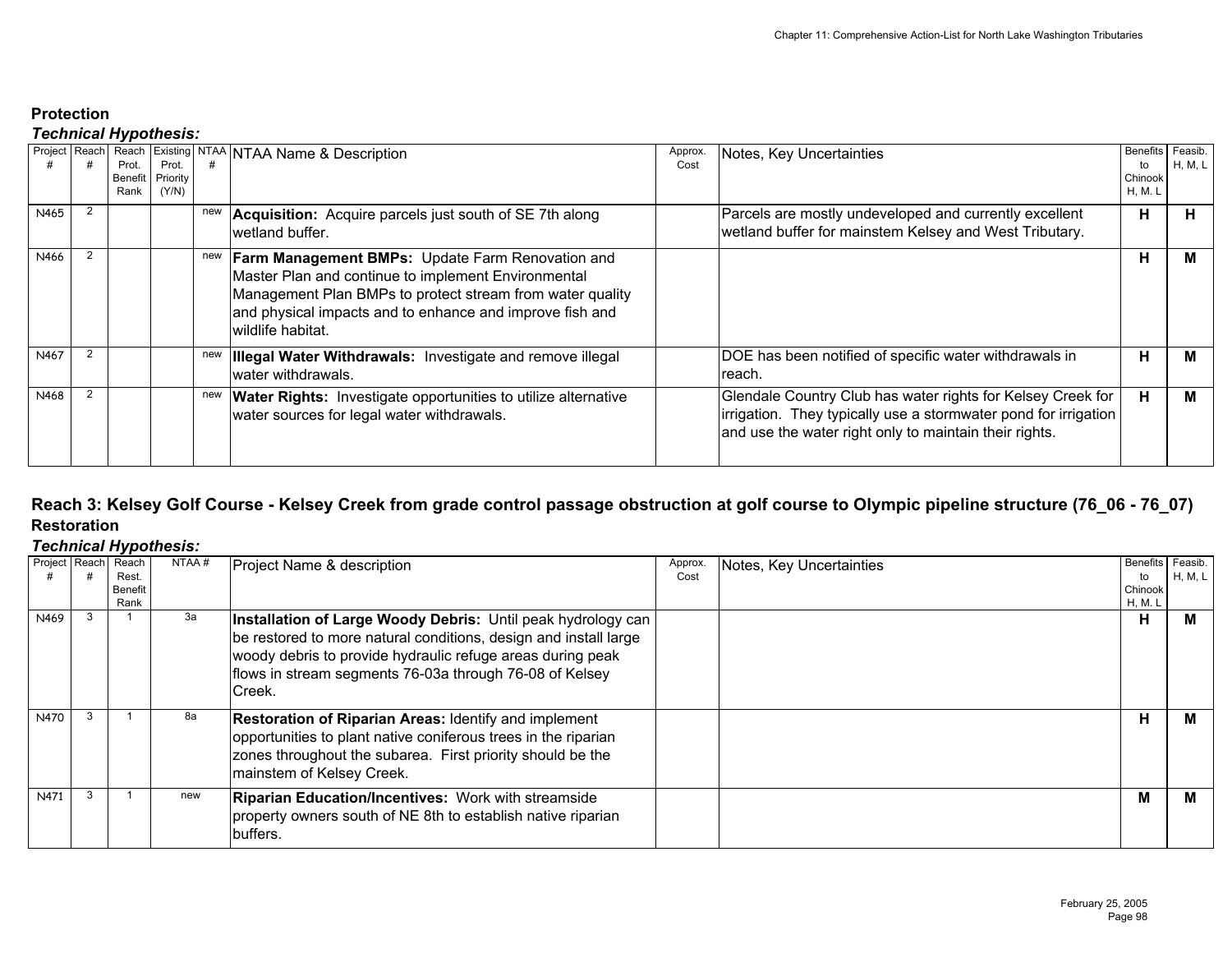## *Technical Hypothesis:*

| Project Reach |                | . .<br>Prot.<br>Benefit<br>Rank | Prot.<br>Priority<br>(Y/N) |     | Reach Existing NTAA NTAA Name & Description                                                                                                                                                                                                                  | Approx.<br>Cost | Notes, Key Uncertainties                                                                                                                                                                 | Benefits Feasib.<br>to<br>Chinook<br>H, M. L | H, M, L |
|---------------|----------------|---------------------------------|----------------------------|-----|--------------------------------------------------------------------------------------------------------------------------------------------------------------------------------------------------------------------------------------------------------------|-----------------|------------------------------------------------------------------------------------------------------------------------------------------------------------------------------------------|----------------------------------------------|---------|
| N465          | $\overline{2}$ |                                 |                            | new | <b>Acquisition:</b> Acquire parcels just south of SE 7th along<br>wetland buffer.                                                                                                                                                                            |                 | Parcels are mostly undeveloped and currently excellent<br>wetland buffer for mainstem Kelsey and West Tributary.                                                                         | н                                            |         |
| N466          |                |                                 |                            | new | <b>Farm Management BMPs:</b> Update Farm Renovation and<br>Master Plan and continue to implement Environmental<br>Management Plan BMPs to protect stream from water quality<br>and physical impacts and to enhance and improve fish and<br>wildlife habitat. |                 |                                                                                                                                                                                          | н                                            |         |
| N467          |                |                                 |                            | new | <b>Illegal Water Withdrawals: Investigate and remove illegal</b><br>water withdrawals.                                                                                                                                                                       |                 | DOE has been notified of specific water withdrawals in<br>reach.                                                                                                                         | н                                            | м       |
| N468          |                |                                 |                            | new | <b>Water Rights:</b> Investigate opportunities to utilize alternative<br>water sources for legal water withdrawals.                                                                                                                                          |                 | Glendale Country Club has water rights for Kelsey Creek for<br>irrigation. They typically use a stormwater pond for irrigation<br>and use the water right only to maintain their rights. | н                                            |         |

## **Reach 3: Kelsey Golf Course - Kelsey Creek from grade control passage obstruction at golf course to Olympic pipeline structure (76\_06 - 76\_07) Restoration**

| Project Reach | Reach<br>Rest.<br>Benefit<br>Rank | NTAA# | Project Name & description                                                                                                                                                                                                                                          | Approx.<br>Cost | Notes, Key Uncertainties | <b>Benefits</b><br>to<br>Chinook<br>H, M. L | Feasib.<br>H, M, L |
|---------------|-----------------------------------|-------|---------------------------------------------------------------------------------------------------------------------------------------------------------------------------------------------------------------------------------------------------------------------|-----------------|--------------------------|---------------------------------------------|--------------------|
| N469          |                                   | За    | Installation of Large Woody Debris: Until peak hydrology can<br>be restored to more natural conditions, design and install large<br>woody debris to provide hydraulic refuge areas during peak<br>flows in stream segments 76-03a through 76-08 of Kelsey<br>Creek. |                 |                          | н                                           | м                  |
| N470          |                                   | 8а    | <b>Restoration of Riparian Areas: Identify and implement</b><br>opportunities to plant native coniferous trees in the riparian<br>zones throughout the subarea. First priority should be the<br>mainstem of Kelsey Creek.                                           |                 |                          | н                                           | M                  |
| N471          |                                   | new   | <b>Riparian Education/Incentives: Work with streamside</b><br>property owners south of NE 8th to establish native riparian<br>buffers.                                                                                                                              |                 |                          | М                                           | м                  |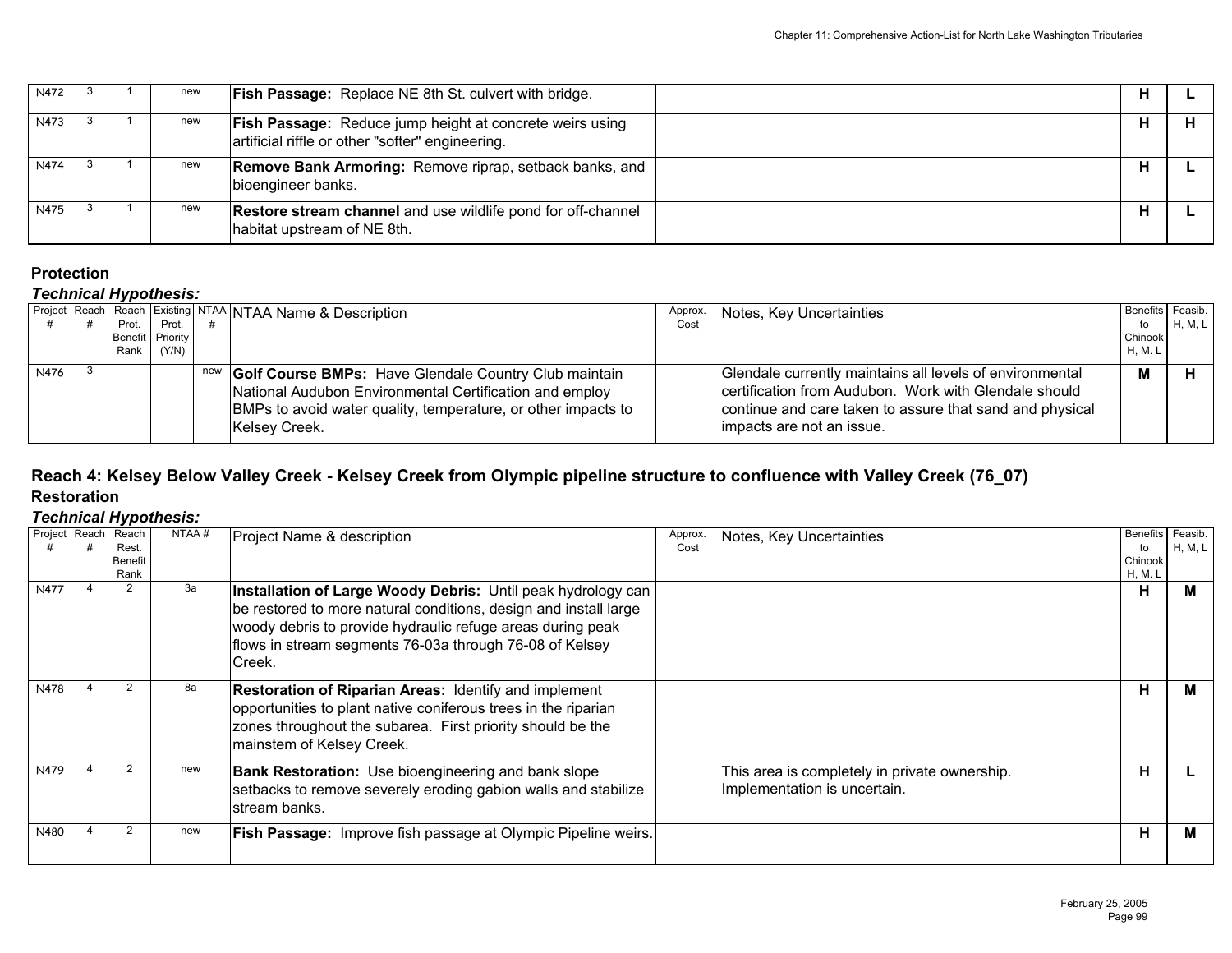| N472        |  | new | <b>Fish Passage:</b> Replace NE 8th St. culvert with bridge.                                                        |  |
|-------------|--|-----|---------------------------------------------------------------------------------------------------------------------|--|
| N473        |  | new | <b>Fish Passage:</b> Reduce jump height at concrete weirs using<br>artificial riffle or other "softer" engineering. |  |
| <b>N474</b> |  | new | <b>Remove Bank Armoring: Remove riprap, setback banks, and</b><br>bioengineer banks.                                |  |
| N475        |  | new | <b>Restore stream channel</b> and use wildlife pond for off-channel<br>habitat upstream of NE 8th.                  |  |

# *Technical Hypothesis:*

|      |  |       |                  |  | Project Reach Reach Existing NTAA NTAA Name & Description                                                                                                                                                     | Approx. | Notes, Key Uncertainties                                                                                                                                                                                    |         | Benefits Feasib. |
|------|--|-------|------------------|--|---------------------------------------------------------------------------------------------------------------------------------------------------------------------------------------------------------------|---------|-------------------------------------------------------------------------------------------------------------------------------------------------------------------------------------------------------------|---------|------------------|
|      |  | Prot. | Prot.            |  |                                                                                                                                                                                                               | Cost    |                                                                                                                                                                                                             | to      | H, M, L          |
|      |  |       | Benefit Priority |  |                                                                                                                                                                                                               |         |                                                                                                                                                                                                             | Chinook |                  |
|      |  | Rank  | (Y/N)            |  |                                                                                                                                                                                                               |         |                                                                                                                                                                                                             | H, M. L |                  |
| N476 |  |       |                  |  | new Golf Course BMPs: Have Glendale Country Club maintain<br>National Audubon Environmental Certification and employ<br>BMPs to avoid water quality, temperature, or other impacts to<br><b>Kelsey Creek.</b> |         | Glendale currently maintains all levels of environmental<br>certification from Audubon. Work with Glendale should<br>continue and care taken to assure that sand and physical<br>limpacts are not an issue. | M       |                  |

### **Reach 4: Kelsey Below Valley Creek - Kelsey Creek from Olympic pipeline structure to confluence with Valley Creek (76\_07) Restoration**

| Project Reach Reach | Rest.<br>Benefit<br>Rank | NTAA# | Project Name & description                                                                                                                                                                                                                                          | Approx.<br>Cost | Notes, Key Uncertainties                                                      | Benefits Feasib.<br>to<br>Chinook<br>H, M. L | H, M, L |
|---------------------|--------------------------|-------|---------------------------------------------------------------------------------------------------------------------------------------------------------------------------------------------------------------------------------------------------------------------|-----------------|-------------------------------------------------------------------------------|----------------------------------------------|---------|
| <b>N477</b>         | $\mathcal{P}$            | 3a    | Installation of Large Woody Debris: Until peak hydrology can<br>be restored to more natural conditions, design and install large<br>woody debris to provide hydraulic refuge areas during peak<br>flows in stream segments 76-03a through 76-08 of Kelsey<br>Creek. |                 |                                                                               | H                                            | м       |
| N478                |                          | 8а    | <b>Restoration of Riparian Areas: Identify and implement</b><br>opportunities to plant native coniferous trees in the riparian<br>zones throughout the subarea. First priority should be the<br>mainstem of Kelsey Creek.                                           |                 |                                                                               | н                                            | м       |
| N479                |                          | new   | <b>Bank Restoration:</b> Use bioengineering and bank slope<br>setbacks to remove severely eroding gabion walls and stabilize<br>Istream banks.                                                                                                                      |                 | This area is completely in private ownership.<br>Implementation is uncertain. | н                                            |         |
| N480                | $\mathcal{P}$            | new   | <b>Fish Passage: Improve fish passage at Olympic Pipeline weirs.</b>                                                                                                                                                                                                |                 |                                                                               | н                                            | м       |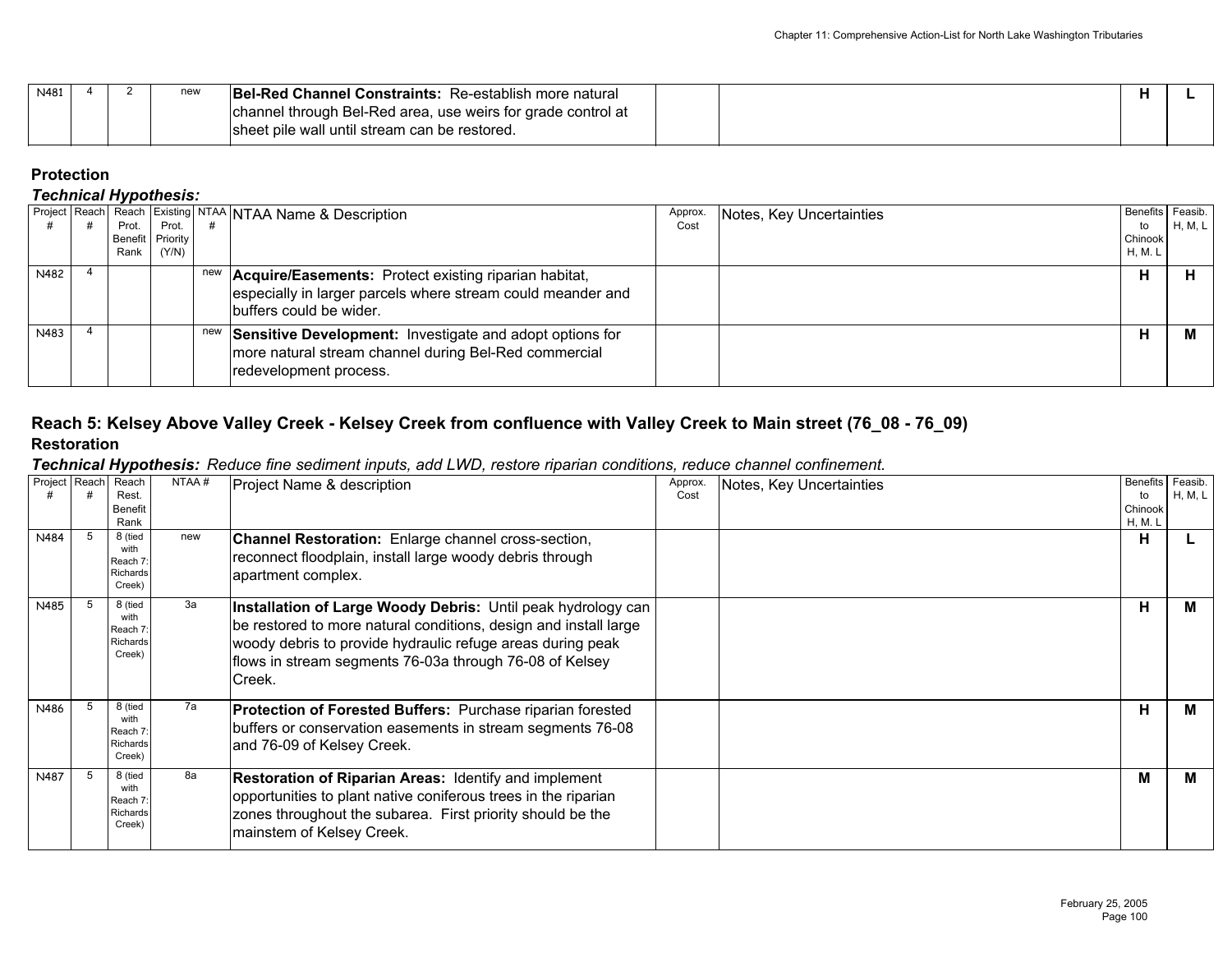| N481 |  | new | <b>Bel-Red Channel Constraints: Re-establish more natural</b> |  |  |
|------|--|-----|---------------------------------------------------------------|--|--|
|      |  |     | channel through Bel-Red area, use weirs for grade control at  |  |  |
|      |  |     | sheet pile wall until stream can be restored.                 |  |  |

## *Technical Hypothesis:*

|      | Rank | Prot. Prot.<br>Benefit Priority<br>(Y/N) |     | Project Reach Reach Existing NTAA NTAA Name & Description                                                                                       | Approx.<br>Cost | Notes, Key Uncertainties | Benefits Feasib.<br>to<br>Chinook<br>H, M. L | H, M, L |
|------|------|------------------------------------------|-----|-------------------------------------------------------------------------------------------------------------------------------------------------|-----------------|--------------------------|----------------------------------------------|---------|
| N482 |      |                                          | new | Acquire/Easements: Protect existing riparian habitat,<br>especially in larger parcels where stream could meander and<br>buffers could be wider. |                 |                          | н                                            |         |
| N483 |      |                                          | new | Sensitive Development: Investigate and adopt options for<br>more natural stream channel during Bel-Red commercial<br>redevelopment process.     |                 |                          | н                                            |         |

## **Reach 5: Kelsey Above Valley Creek - Kelsey Creek from confluence with Valley Creek to Main street (76\_08 - 76\_09) Restoration**

#### *Technical Hypothesis: Reduce fine sediment inputs, add LWD, restore riparian conditions, reduce channel confinement.*

| Project Reach | Reach<br>Rest.<br><b>Benefit</b><br>Rank          | NTAA# | Project Name & description                                                                                                                                                                                                                                          | Approx.<br>Cost | Notes, Key Uncertainties | <b>Benefits</b><br>to<br>Chinook<br>H, M. L | Feasib.<br>H, M, L |
|---------------|---------------------------------------------------|-------|---------------------------------------------------------------------------------------------------------------------------------------------------------------------------------------------------------------------------------------------------------------------|-----------------|--------------------------|---------------------------------------------|--------------------|
| N484          | 8 (tied<br>with<br>Reach 7:<br>Richards<br>Creek) | new   | Channel Restoration: Enlarge channel cross-section,<br>reconnect floodplain, install large woody debris through<br>apartment complex.                                                                                                                               |                 |                          | н                                           |                    |
| N485          | 8 (tied<br>with<br>Reach 7:<br>Richards<br>Creek) | За    | Installation of Large Woody Debris: Until peak hydrology can<br>be restored to more natural conditions, design and install large<br>woody debris to provide hydraulic refuge areas during peak<br>flows in stream segments 76-03a through 76-08 of Kelsey<br>Creek. |                 |                          | Н                                           |                    |
| N486          | 8 (tied<br>with<br>Reach 7:<br>Richards<br>Creek) | 7a    | Protection of Forested Buffers: Purchase riparian forested<br>buffers or conservation easements in stream segments 76-08<br>and 76-09 of Kelsey Creek.                                                                                                              |                 |                          | H                                           | м                  |
| N487          | 8 (tied<br>with<br>Reach 7:<br>Richards<br>Creek) | 8a    | Restoration of Riparian Areas: Identify and implement<br>opportunities to plant native coniferous trees in the riparian<br>zones throughout the subarea. First priority should be the<br>mainstem of Kelsey Creek.                                                  |                 |                          | M                                           | м                  |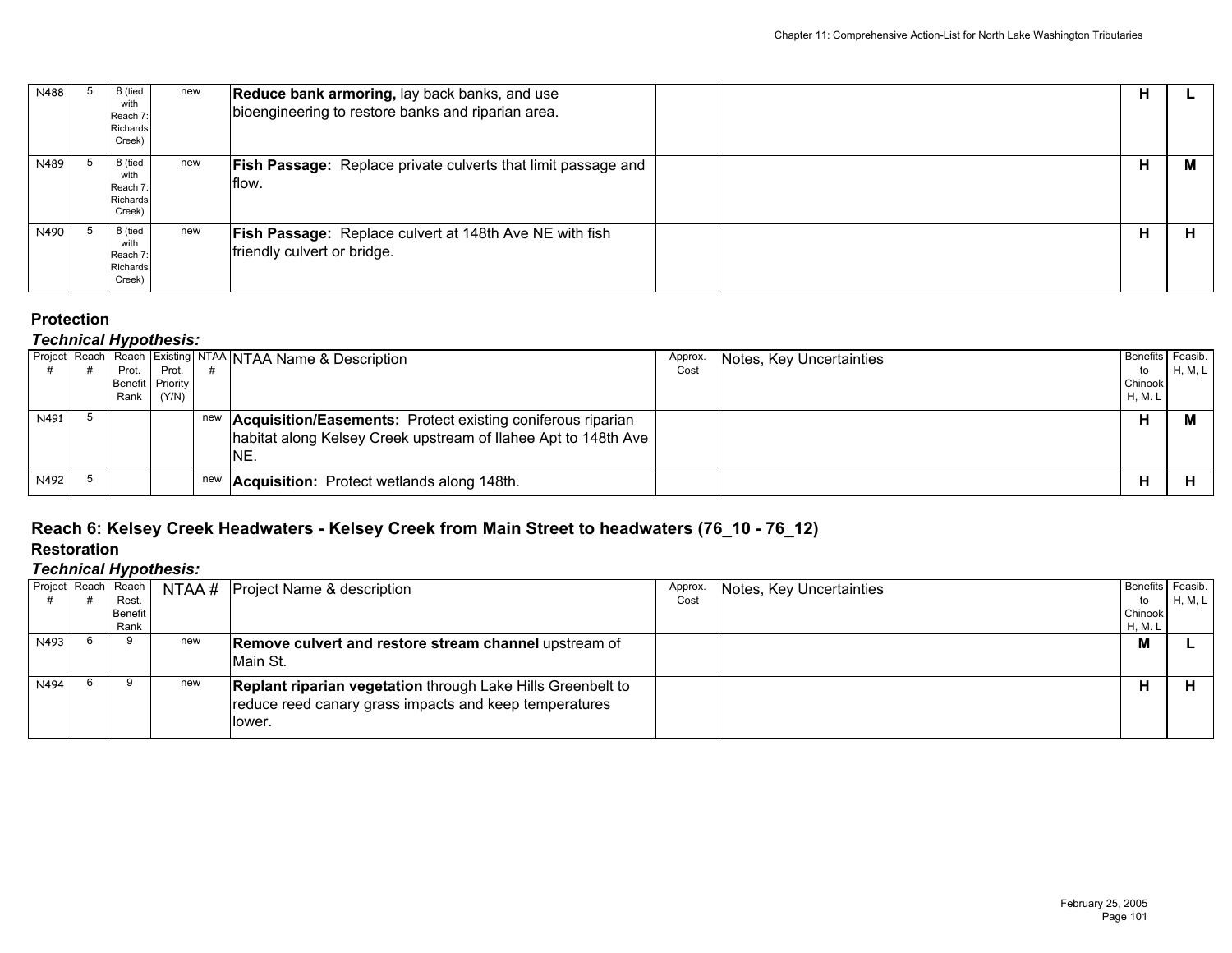| N488 | 8 (tied<br>with<br>Reach 7:<br>Richards<br>Creek) | new | Reduce bank armoring, lay back banks, and use<br>bioengineering to restore banks and riparian area. | н |   |
|------|---------------------------------------------------|-----|-----------------------------------------------------------------------------------------------------|---|---|
| N489 | 8 (tied<br>with<br>Reach 7:<br>Richards<br>Creek) | new | <b>Fish Passage:</b> Replace private culverts that limit passage and<br>flow.                       | н | М |
| N490 | 8 (tied<br>with<br>Reach 7:<br>Richards<br>Creek) | new | <b>Fish Passage: Replace culvert at 148th Ave NE with fish</b><br>friendly culvert or bridge.       | н |   |

### *Technical Hypothesis:*

|      |                    |       | Project Reach Reach Existing NTAA NTAA Name & Description                                                                                        | Approx. | Notes, Key Uncertainties | Benefits Feasib. |         |
|------|--------------------|-------|--------------------------------------------------------------------------------------------------------------------------------------------------|---------|--------------------------|------------------|---------|
|      | Prot.              | Prot. |                                                                                                                                                  | Cost    |                          | to               | H, M, L |
|      | Benefit   Priority |       |                                                                                                                                                  |         |                          | Chinook          |         |
|      | Rank               | (Y/N) |                                                                                                                                                  |         |                          | <b>H, M. L</b>   |         |
| N491 |                    |       | new <b>Acquisition/Easements:</b> Protect existing coniferous riparian<br>habitat along Kelsey Creek upstream of Ilahee Apt to 148th Ave<br>INE. |         |                          | л                |         |
| N492 |                    |       | new <b>Acquisition:</b> Protect wetlands along 148th.                                                                                            |         |                          | п                |         |

# **Reach 6: Kelsey Creek Headwaters - Kelsey Creek from Main Street to headwaters (76\_10 - 76\_12)**

## **Restoration**

|      | . .<br>Project Reach Reach<br>Rest. | NTAA # | <b>Project Name &amp; description</b>                                                                                                  | Approx.<br>Cost | Notes, Key Uncertainties | Benefits Feasib.<br>to | H, M, L |
|------|-------------------------------------|--------|----------------------------------------------------------------------------------------------------------------------------------------|-----------------|--------------------------|------------------------|---------|
|      | Benefit<br>Rank                     |        |                                                                                                                                        |                 |                          | Chinook<br>H, M. L     |         |
| N493 | 9                                   | new    | <b>Remove culvert and restore stream channel upstream of</b><br>Main St.                                                               |                 |                          | M                      |         |
| N494 | 9                                   | new    | <b>Replant riparian vegetation through Lake Hills Greenbelt to</b><br>reduce reed canary grass impacts and keep temperatures<br>lower. |                 |                          | н                      |         |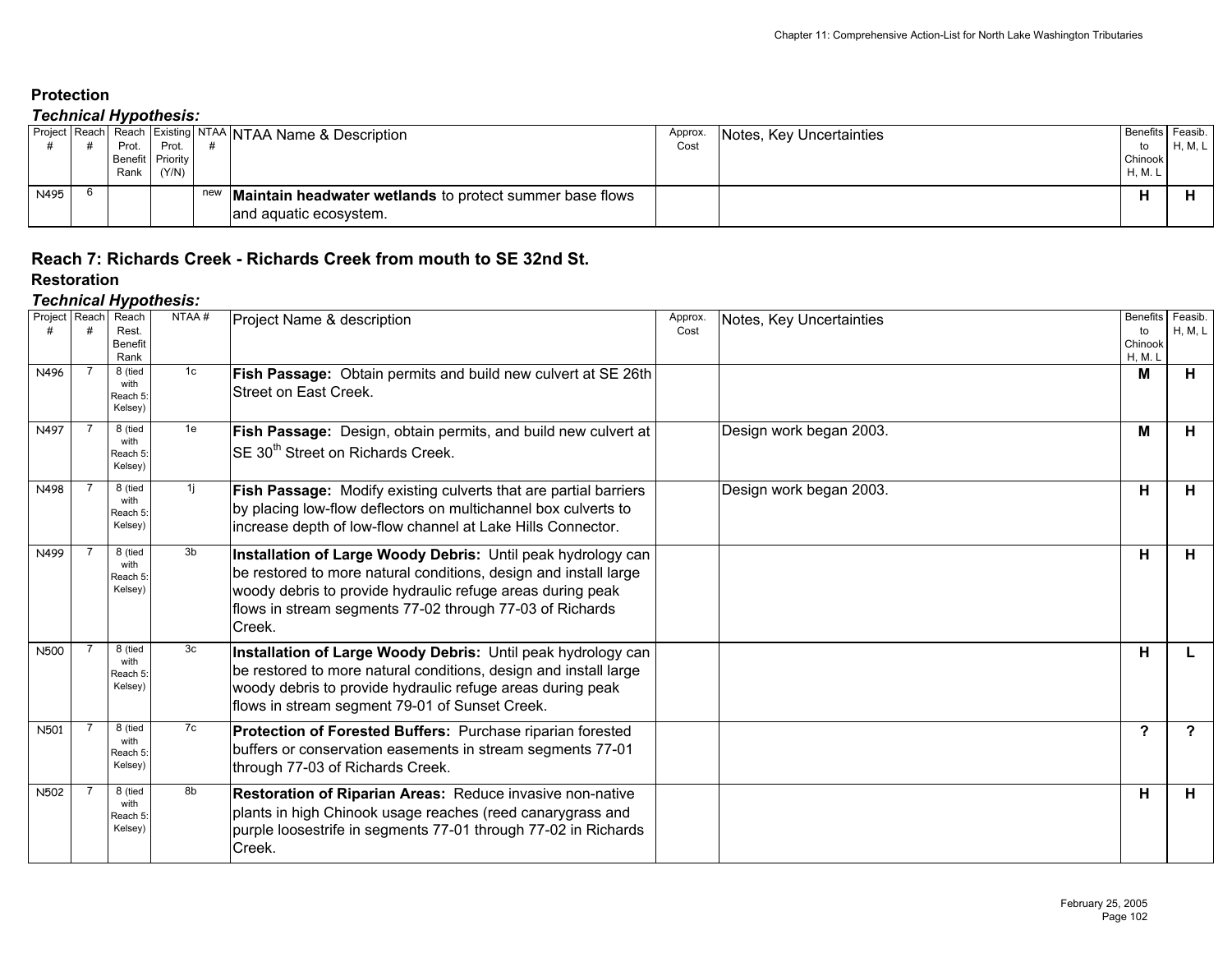### *Technical Hypothesis:*

|      |       |                  |     | Project Reach Reach Existing NTAA NTAA Name & Description                            | Approx. | Notes, Key Uncertainties | Benefits | Feasib. |
|------|-------|------------------|-----|--------------------------------------------------------------------------------------|---------|--------------------------|----------|---------|
|      | Prot. | Prot.            |     |                                                                                      | Cost    |                          | to       | H, M, L |
|      |       | Benefit Priority |     |                                                                                      |         |                          | Chinook  |         |
|      | Rank  | (Y/N)            |     |                                                                                      |         |                          | H, M. L  |         |
| N495 |       |                  | new | / Maintain headwater wetlands to protect summer base flows<br>and aquatic ecosystem. |         |                          |          |         |

### **Reach 7: Richards Creek - Richards Creek from mouth to SE 32nd St. Restoration**

|               |                | ח ני                                   |       |                                                                                                                                                                                                                                                                      |                 |                          |                                             |                         |
|---------------|----------------|----------------------------------------|-------|----------------------------------------------------------------------------------------------------------------------------------------------------------------------------------------------------------------------------------------------------------------------|-----------------|--------------------------|---------------------------------------------|-------------------------|
| Project Reach |                | Reach<br>Rest.<br>Benefit<br>Rank      | NTAA# | Project Name & description                                                                                                                                                                                                                                           | Approx.<br>Cost | Notes, Key Uncertainties | <b>Benefits</b><br>to<br>Chinook<br>H, M. L | Feasib.<br>H, M, L      |
| N496          |                | 8 (tied<br>with<br>Reach 5:<br>Kelsey) | 1c    | Fish Passage: Obtain permits and build new culvert at SE 26th<br>Street on East Creek.                                                                                                                                                                               |                 |                          | М                                           | H                       |
| N497          | -7             | 8 (tied<br>with<br>Reach 5:<br>Kelsey) | 1e    | Fish Passage: Design, obtain permits, and build new culvert at<br>SE 30 <sup>th</sup> Street on Richards Creek.                                                                                                                                                      |                 | Design work began 2003.  | M                                           | H                       |
| N498          | -7             | 8 (tied<br>with<br>Reach 5:<br>Kelsey) | 11    | Fish Passage: Modify existing culverts that are partial barriers<br>by placing low-flow deflectors on multichannel box culverts to<br>increase depth of low-flow channel at Lake Hills Connector.                                                                    |                 | Design work began 2003.  | H                                           | H                       |
| N499          |                | 8 (tied<br>with<br>Reach 5:<br>Kelsey) | 3b    | Installation of Large Woody Debris: Until peak hydrology can<br>be restored to more natural conditions, design and install large<br>woody debris to provide hydraulic refuge areas during peak<br>flows in stream segments 77-02 through 77-03 of Richards<br>Creek. |                 |                          | н                                           | H.                      |
| <b>N500</b>   |                | 8 (tied<br>with<br>Reach 5:<br>Kelsey) | 3c    | Installation of Large Woody Debris: Until peak hydrology can<br>be restored to more natural conditions, design and install large<br>woody debris to provide hydraulic refuge areas during peak<br>flows in stream segment 79-01 of Sunset Creek.                     |                 |                          | н                                           | L                       |
| N501          | $\overline{7}$ | 8 (tied<br>with<br>Reach 5:<br>Kelsey) | 7c    | Protection of Forested Buffers: Purchase riparian forested<br>buffers or conservation easements in stream segments 77-01<br>through 77-03 of Richards Creek.                                                                                                         |                 |                          | $\overline{\mathbf{?}}$                     | $\overline{\mathbf{?}}$ |
| N502          |                | 8 (tied<br>with<br>Reach 5:<br>Kelsey) | 8b    | Restoration of Riparian Areas: Reduce invasive non-native<br>plants in high Chinook usage reaches (reed canarygrass and<br>purple loosestrife in segments 77-01 through 77-02 in Richards<br>Creek.                                                                  |                 |                          | H                                           | H                       |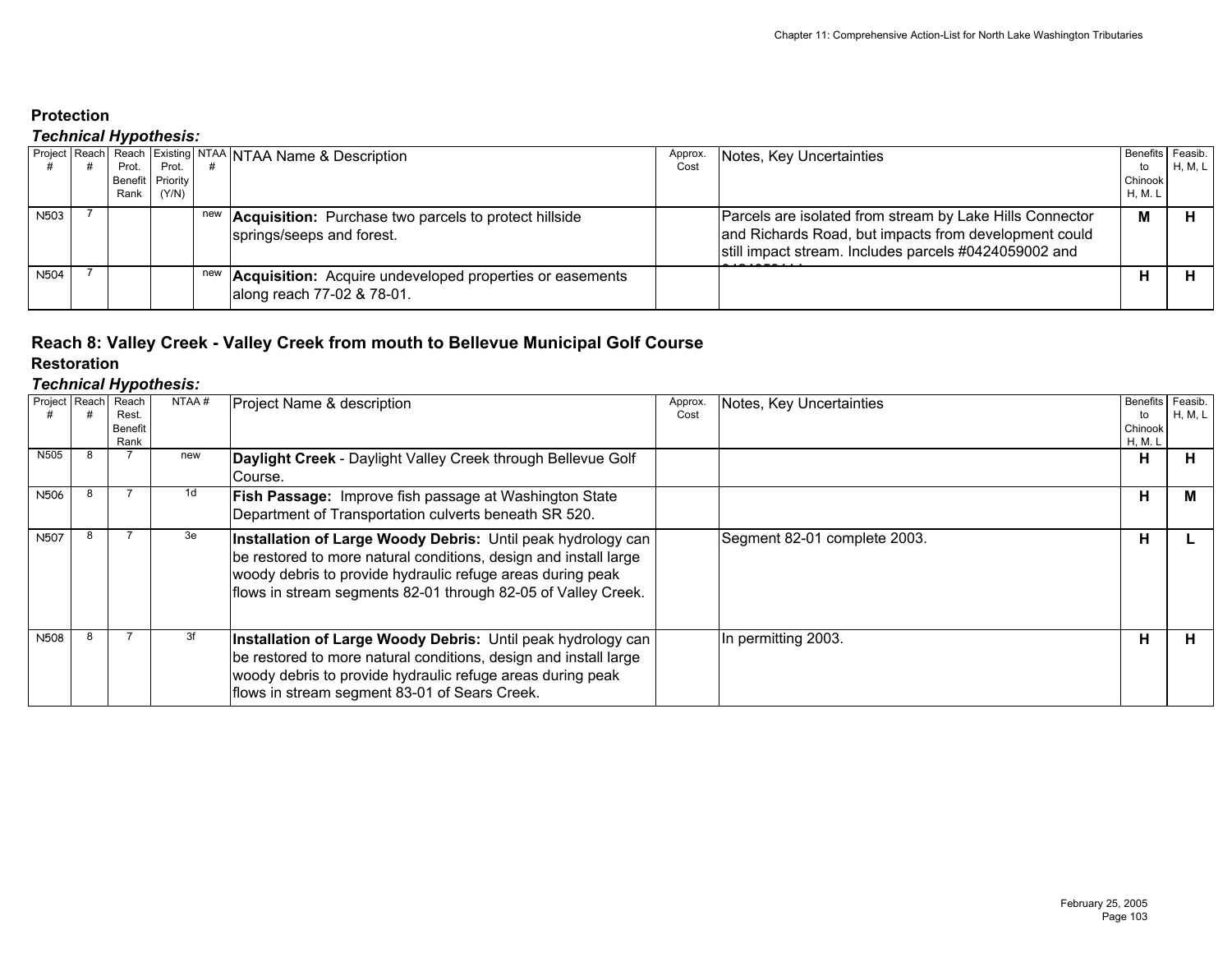### *Technical Hypothesis:*

|                  |  |       |                  |  | Project Reach Reach Existing NTAA NTAA Name & Description                                         | Approx. | Notes, Key Uncertainties                                                                                                                                                   |         | Benefits Feasib. |  |
|------------------|--|-------|------------------|--|---------------------------------------------------------------------------------------------------|---------|----------------------------------------------------------------------------------------------------------------------------------------------------------------------------|---------|------------------|--|
|                  |  | Prot. | Prot.            |  |                                                                                                   | Cost    |                                                                                                                                                                            | to      | H, M, L          |  |
|                  |  |       | Benefit Priority |  |                                                                                                   |         |                                                                                                                                                                            | Chinook |                  |  |
|                  |  | Rank  | (Y/N)            |  |                                                                                                   |         |                                                                                                                                                                            | H. M. L |                  |  |
| N <sub>503</sub> |  |       |                  |  | new <b>Acquisition:</b> Purchase two parcels to protect hillside<br>springs/seeps and forest.     |         | Parcels are isolated from stream by Lake Hills Connector<br>and Richards Road, but impacts from development could<br>still impact stream. Includes parcels #0424059002 and | M       |                  |  |
| <b>N504</b>      |  |       |                  |  | new <b>Acquisition:</b> Acquire undeveloped properties or easements<br>along reach 77-02 & 78-01. |         |                                                                                                                                                                            |         |                  |  |

# **Reach 8: Valley Creek - Valley Creek from mouth to Bellevue Municipal Golf Course**

**Restoration**

| Project Reach | . .<br>Reach | NTAA# | Project Name & description                                       | Approx. | Notes, Key Uncertainties     | <b>Benefits</b> | Feasib. |
|---------------|--------------|-------|------------------------------------------------------------------|---------|------------------------------|-----------------|---------|
|               | Rest.        |       |                                                                  | Cost    |                              | to              | H, M, L |
|               | Benefit      |       |                                                                  |         |                              | Chinook         |         |
|               | Rank         |       |                                                                  |         |                              | H, M. L         |         |
| N505          |              | new   | Daylight Creek - Daylight Valley Creek through Bellevue Golf     |         |                              | н               | п.      |
|               |              |       | Course.                                                          |         |                              |                 |         |
| N506          |              | 1d    | <b>Fish Passage:</b> Improve fish passage at Washington State    |         |                              | н               | M       |
|               |              |       | Department of Transportation culverts beneath SR 520.            |         |                              |                 |         |
| <b>N507</b>   |              | 3e    |                                                                  |         |                              |                 |         |
|               |              |       | Installation of Large Woody Debris: Until peak hydrology can     |         | Segment 82-01 complete 2003. | н               |         |
|               |              |       | be restored to more natural conditions, design and install large |         |                              |                 |         |
|               |              |       | woody debris to provide hydraulic refuge areas during peak       |         |                              |                 |         |
|               |              |       | flows in stream segments 82-01 through 82-05 of Valley Creek.    |         |                              |                 |         |
|               |              |       |                                                                  |         |                              |                 |         |
|               |              |       |                                                                  |         |                              |                 |         |
| <b>N508</b>   |              | 3f    | Installation of Large Woody Debris: Until peak hydrology can     |         | In permitting 2003.          | н               | н.      |
|               |              |       | be restored to more natural conditions, design and install large |         |                              |                 |         |
|               |              |       | woody debris to provide hydraulic refuge areas during peak       |         |                              |                 |         |
|               |              |       |                                                                  |         |                              |                 |         |
|               |              |       | flows in stream segment 83-01 of Sears Creek.                    |         |                              |                 |         |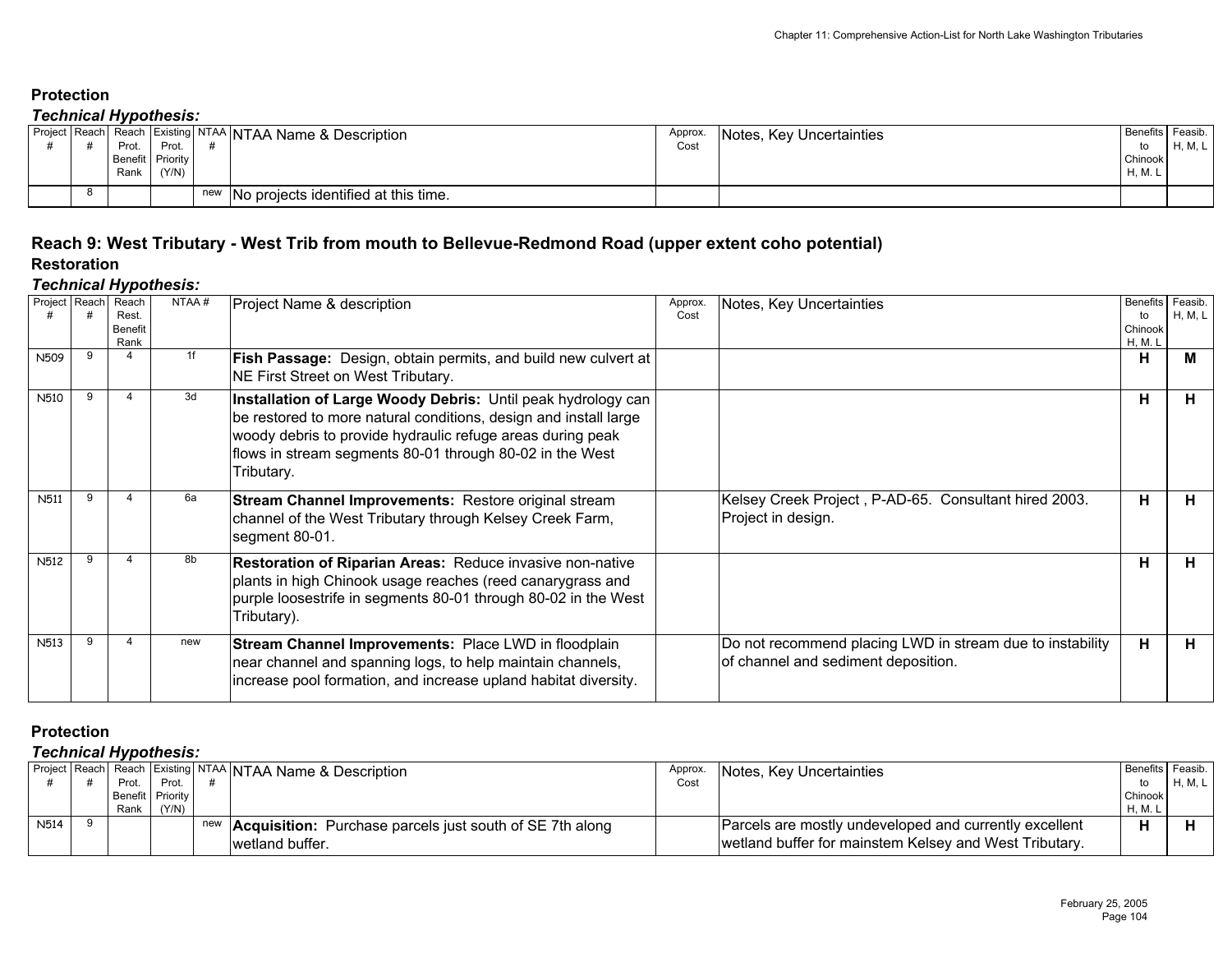### *Technical Hypothesis:*

|  |       | . <i>. <b>.</b> .</i> |                                                                      |         |                          |                  |         |
|--|-------|-----------------------|----------------------------------------------------------------------|---------|--------------------------|------------------|---------|
|  |       |                       | <b>Project Reach Reach Existing NTAA NTAA Name &amp; Description</b> | Approx. | Notes, Key Uncertainties | Benefits Feasib. |         |
|  | Prot. | Prot.                 |                                                                      | Cost    |                          |                  | H, M, L |
|  |       | Benefit Priority      |                                                                      |         |                          | Chinook          |         |
|  | Rank  | (Y/N)                 |                                                                      |         |                          | H, M.            |         |
|  |       |                       |                                                                      |         |                          |                  |         |
|  |       |                       | new No projects identified at this time.                             |         |                          |                  |         |
|  |       |                       |                                                                      |         |                          |                  |         |

## **Reach 9: West Tributary - West Trib from mouth to Bellevue-Redmond Road (upper extent coho potential) Restoration**

#### *Technical Hypothesis:*

| Project Reach    |   | Reach<br>Rest.<br><b>Benefit</b><br>Rank | NTAA# | Project Name & description                                                                                                                                                                                                                                               | Approx.<br>Cost | Notes, Key Uncertainties                                                                         | Benefits Feasib.<br>to<br>Chinook<br>H, M. I | H, M, L |
|------------------|---|------------------------------------------|-------|--------------------------------------------------------------------------------------------------------------------------------------------------------------------------------------------------------------------------------------------------------------------------|-----------------|--------------------------------------------------------------------------------------------------|----------------------------------------------|---------|
| N509             |   |                                          | 1f    | <b>Fish Passage:</b> Design, obtain permits, and build new culvert at<br>NE First Street on West Tributary.                                                                                                                                                              |                 |                                                                                                  | н                                            | м       |
| N510             | 9 |                                          | 3d    | Installation of Large Woody Debris: Until peak hydrology can<br>be restored to more natural conditions, design and install large<br>woody debris to provide hydraulic refuge areas during peak<br>flows in stream segments 80-01 through 80-02 in the West<br>Tributary. |                 |                                                                                                  | н                                            | H       |
| <b>N511</b>      |   | 4                                        | 6a    | <b>Stream Channel Improvements: Restore original stream</b><br>channel of the West Tributary through Kelsey Creek Farm,<br>segment 80-01.                                                                                                                                |                 | Kelsey Creek Project, P-AD-65. Consultant hired 2003.<br>Project in design.                      | н                                            | H       |
| N <sub>512</sub> |   |                                          | 8b    | <b>Restoration of Riparian Areas: Reduce invasive non-native</b><br>plants in high Chinook usage reaches (reed canarygrass and<br>purple loosestrife in segments 80-01 through 80-02 in the West<br>Tributary).                                                          |                 |                                                                                                  | н                                            | н.      |
| N <sub>513</sub> |   |                                          | new   | Stream Channel Improvements: Place LWD in floodplain<br>near channel and spanning logs, to help maintain channels,<br>increase pool formation, and increase upland habitat diversity.                                                                                    |                 | Do not recommend placing LWD in stream due to instability<br>of channel and sediment deposition. | н                                            | н       |

## **Protection**

|             |       |                  | Project Reach Reach Existing NTAA NTAA Name & Description           | Approx. | Notes, Key Uncertainties                               | Benefits Feasib. |                |
|-------------|-------|------------------|---------------------------------------------------------------------|---------|--------------------------------------------------------|------------------|----------------|
|             | Prot. | Prot             |                                                                     | Cost    |                                                        | to               | <b>H, M, L</b> |
|             |       | Benefit Priority |                                                                     |         |                                                        | Chinook          |                |
|             | Rank  | (Y/N)            |                                                                     |         |                                                        | H, M.            |                |
| <b>N514</b> |       |                  | new <b>Acquisition:</b> Purchase parcels just south of SE 7th along |         | Parcels are mostly undeveloped and currently excellent |                  |                |
|             |       |                  | wetland buffer.                                                     |         | wetland buffer for mainstem Kelsey and West Tributary. |                  |                |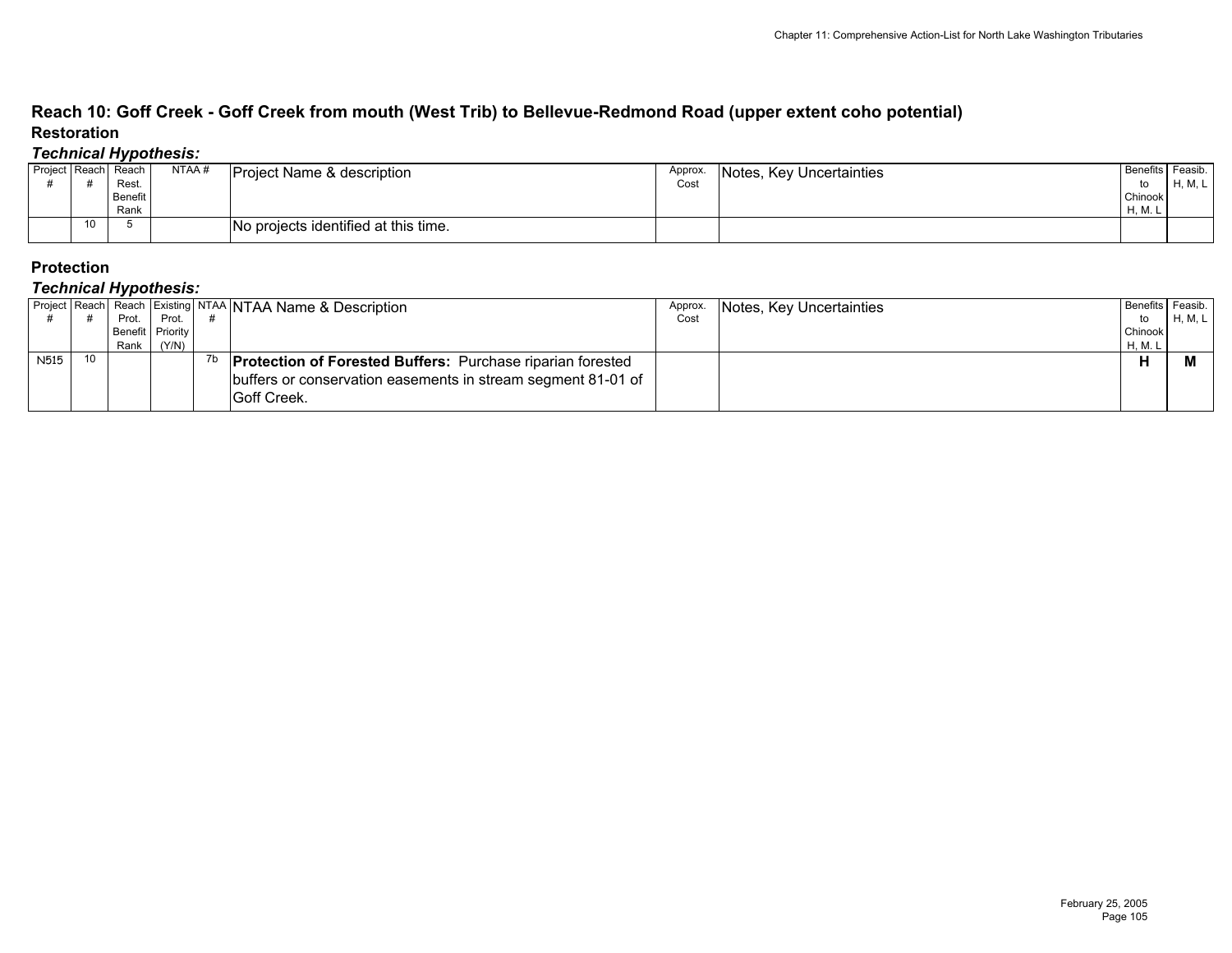## **Reach 10: Goff Creek - Goff Creek from mouth (West Trib) to Bellevue-Redmond Road (upper extent coho potential) Restoration**

### *Technical Hypothesis:*

| Project Reach |                 | Reach   | NTAA# | <b>Project Name &amp; description</b> | Approx. | Notes, Key Uncertainties | <b>Benefits</b> | Feasib. |
|---------------|-----------------|---------|-------|---------------------------------------|---------|--------------------------|-----------------|---------|
|               |                 | Rest.   |       |                                       |         |                          | to              | H, M, L |
|               |                 | Benefit |       |                                       |         |                          | Chinook         |         |
|               |                 | Rank    |       |                                       |         |                          | H, M. L         |         |
|               | 10 <sup>°</sup> |         |       | No projects identified at this time.  |         |                          |                 |         |

### **Protection**

|      |                 | - -     |                  | Project   Reach   Reach   Existing   NTAA   NTAA Name & Description | Approx. | Notes, Key Uncertainties |         | Benefits Feasib. |
|------|-----------------|---------|------------------|---------------------------------------------------------------------|---------|--------------------------|---------|------------------|
|      |                 | Prot. I | Prot.            |                                                                     | Cost    |                          | to      | H, M, L          |
|      |                 |         | Benefit Priority |                                                                     |         |                          | Chinook |                  |
|      |                 | Rank I  | (Y/N)            |                                                                     |         |                          | H, M. L |                  |
| N515 | 10 <sup>1</sup> |         |                  | <b>Protection of Forested Buffers: Purchase riparian forested</b>   |         |                          | п       |                  |
|      |                 |         |                  | buffers or conservation easements in stream segment 81-01 of        |         |                          |         |                  |
|      |                 |         |                  | <b>IGoff Creek.</b>                                                 |         |                          |         |                  |
|      |                 |         |                  |                                                                     |         |                          |         |                  |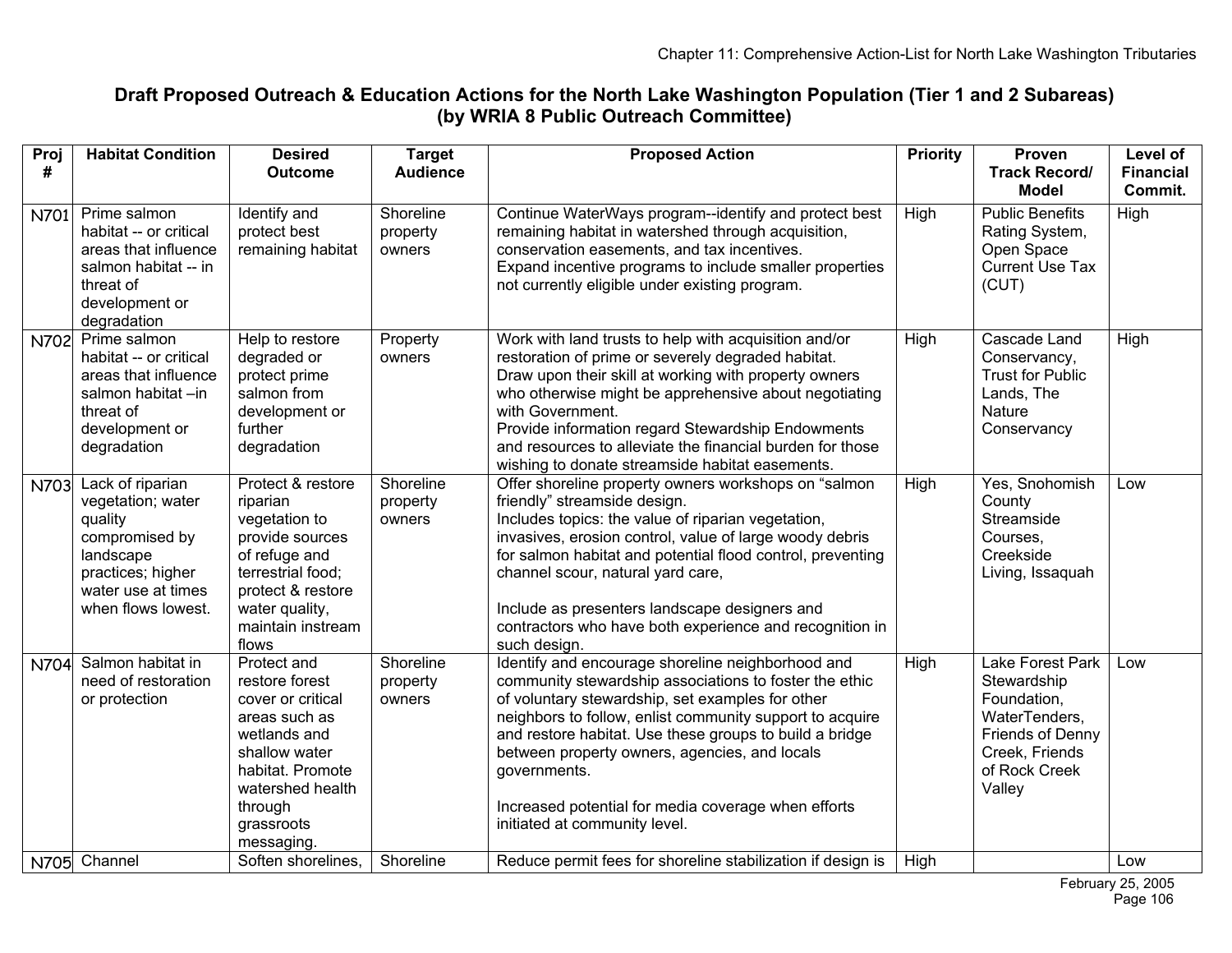# **Draft Proposed Outreach & Education Actions for the North Lake Washington Population (Tier 1 and 2 Subareas) (by WRIA 8 Public Outreach Committee)**

| Proj<br># | <b>Habitat Condition</b>                                                                                                                         | <b>Desired</b><br><b>Outcome</b>                                                                                                                                                    | <b>Target</b><br><b>Audience</b> | <b>Proposed Action</b>                                                                                                                                                                                                                                                                                                                                                                                                                          | <b>Priority</b> | Proven<br><b>Track Record/</b><br><b>Model</b>                                                                                   | Level of<br><b>Financial</b><br>Commit. |
|-----------|--------------------------------------------------------------------------------------------------------------------------------------------------|-------------------------------------------------------------------------------------------------------------------------------------------------------------------------------------|----------------------------------|-------------------------------------------------------------------------------------------------------------------------------------------------------------------------------------------------------------------------------------------------------------------------------------------------------------------------------------------------------------------------------------------------------------------------------------------------|-----------------|----------------------------------------------------------------------------------------------------------------------------------|-----------------------------------------|
| N701      | Prime salmon<br>habitat -- or critical<br>areas that influence<br>salmon habitat -- in<br>threat of<br>development or<br>degradation             | Identify and<br>protect best<br>remaining habitat                                                                                                                                   | Shoreline<br>property<br>owners  | Continue WaterWays program--identify and protect best<br>remaining habitat in watershed through acquisition,<br>conservation easements, and tax incentives.<br>Expand incentive programs to include smaller properties<br>not currently eligible under existing program.                                                                                                                                                                        | High            | <b>Public Benefits</b><br>Rating System,<br>Open Space<br>Current Use Tax<br>(CUT)                                               | High                                    |
| N702      | Prime salmon<br>habitat -- or critical<br>areas that influence<br>salmon habitat-in<br>threat of<br>development or<br>degradation                | Help to restore<br>degraded or<br>protect prime<br>salmon from<br>development or<br>further<br>degradation                                                                          | Property<br>owners               | Work with land trusts to help with acquisition and/or<br>restoration of prime or severely degraded habitat.<br>Draw upon their skill at working with property owners<br>who otherwise might be apprehensive about negotiating<br>with Government.<br>Provide information regard Stewardship Endowments<br>and resources to alleviate the financial burden for those<br>wishing to donate streamside habitat easements.                          | High            | Cascade Land<br>Conservancy,<br><b>Trust for Public</b><br>Lands, The<br><b>Nature</b><br>Conservancy                            | High                                    |
| N703      | Lack of riparian<br>vegetation; water<br>quality<br>compromised by<br>landscape<br>practices; higher<br>water use at times<br>when flows lowest. | Protect & restore<br>riparian<br>vegetation to<br>provide sources<br>of refuge and<br>terrestrial food;<br>protect & restore<br>water quality,<br>maintain instream<br>flows        | Shoreline<br>property<br>owners  | Offer shoreline property owners workshops on "salmon<br>friendly" streamside design.<br>Includes topics: the value of riparian vegetation,<br>invasives, erosion control, value of large woody debris<br>for salmon habitat and potential flood control, preventing<br>channel scour, natural yard care,<br>Include as presenters landscape designers and<br>contractors who have both experience and recognition in<br>such design.            | High            | Yes, Snohomish<br>County<br>Streamside<br>Courses.<br>Creekside<br>Living, Issaquah                                              | Low                                     |
| N704      | Salmon habitat in<br>need of restoration<br>or protection                                                                                        | Protect and<br>restore forest<br>cover or critical<br>areas such as<br>wetlands and<br>shallow water<br>habitat. Promote<br>watershed health<br>through<br>grassroots<br>messaging. | Shoreline<br>property<br>owners  | Identify and encourage shoreline neighborhood and<br>community stewardship associations to foster the ethic<br>of voluntary stewardship, set examples for other<br>neighbors to follow, enlist community support to acquire<br>and restore habitat. Use these groups to build a bridge<br>between property owners, agencies, and locals<br>governments.<br>Increased potential for media coverage when efforts<br>initiated at community level. | High            | Lake Forest Park<br>Stewardship<br>Foundation,<br>WaterTenders,<br>Friends of Denny<br>Creek, Friends<br>of Rock Creek<br>Valley | Low                                     |
|           | N705 Channel                                                                                                                                     | Soften shorelines,                                                                                                                                                                  | Shoreline                        | Reduce permit fees for shoreline stabilization if design is                                                                                                                                                                                                                                                                                                                                                                                     | High            |                                                                                                                                  | Low                                     |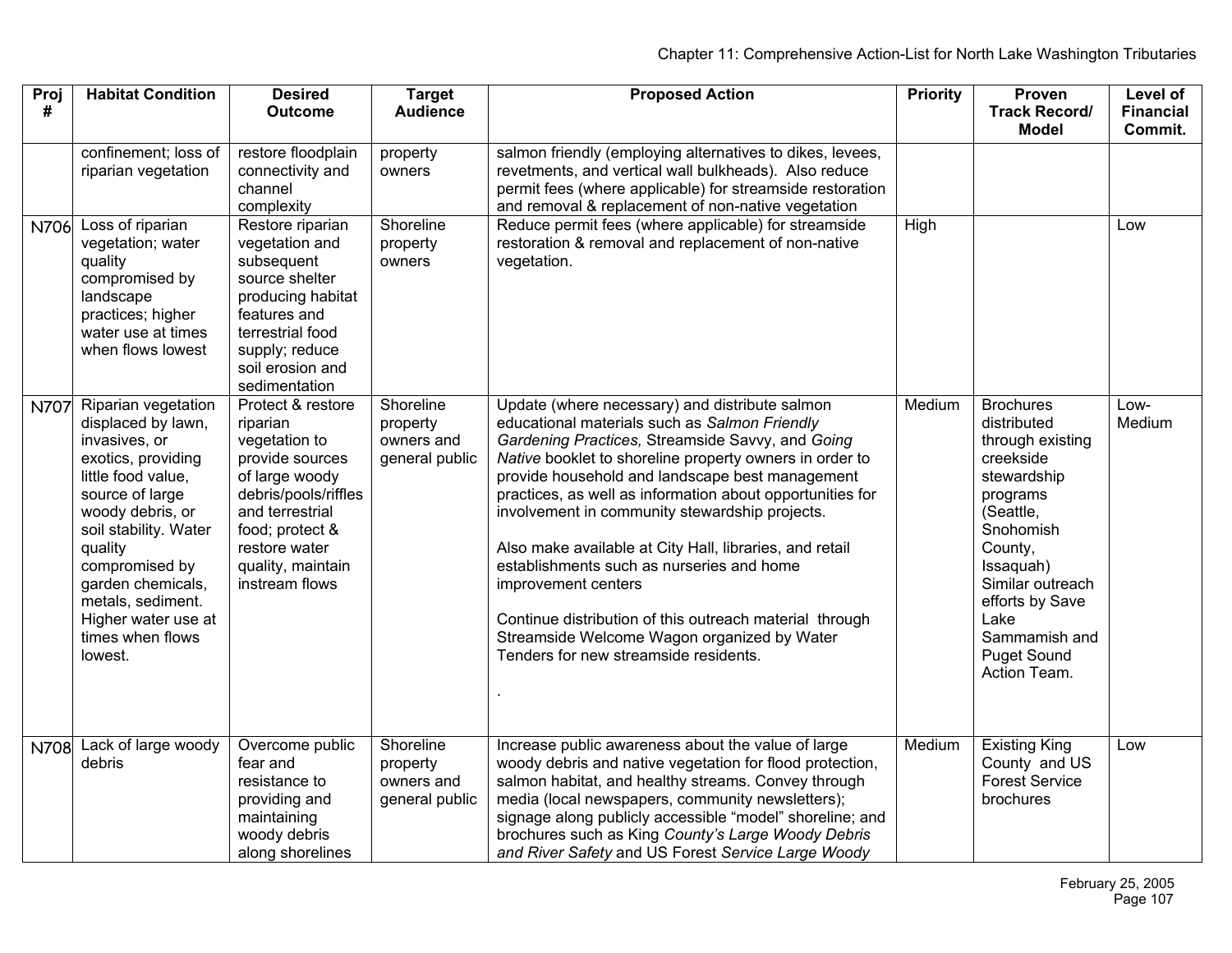| Proj<br>#   | <b>Habitat Condition</b>                                                                                                                                                                                                                                                                            | <b>Desired</b><br><b>Outcome</b>                                                                                                                                                                          | <b>Target</b><br><b>Audience</b>                      | <b>Proposed Action</b>                                                                                                                                                                                                                                                                                                                                                                                                                                                                                                                                                                                                                                             | <b>Priority</b> | Proven<br><b>Track Record/</b><br><b>Model</b>                                                                                                                                                                                                      | Level of<br><b>Financial</b><br>Commit. |
|-------------|-----------------------------------------------------------------------------------------------------------------------------------------------------------------------------------------------------------------------------------------------------------------------------------------------------|-----------------------------------------------------------------------------------------------------------------------------------------------------------------------------------------------------------|-------------------------------------------------------|--------------------------------------------------------------------------------------------------------------------------------------------------------------------------------------------------------------------------------------------------------------------------------------------------------------------------------------------------------------------------------------------------------------------------------------------------------------------------------------------------------------------------------------------------------------------------------------------------------------------------------------------------------------------|-----------------|-----------------------------------------------------------------------------------------------------------------------------------------------------------------------------------------------------------------------------------------------------|-----------------------------------------|
|             | confinement; loss of<br>riparian vegetation                                                                                                                                                                                                                                                         | restore floodplain<br>connectivity and<br>channel<br>complexity                                                                                                                                           | property<br>owners                                    | salmon friendly (employing alternatives to dikes, levees,<br>revetments, and vertical wall bulkheads). Also reduce<br>permit fees (where applicable) for streamside restoration<br>and removal & replacement of non-native vegetation                                                                                                                                                                                                                                                                                                                                                                                                                              |                 |                                                                                                                                                                                                                                                     |                                         |
| N706        | Loss of riparian<br>vegetation; water<br>quality<br>compromised by<br>landscape<br>practices; higher<br>water use at times<br>when flows lowest                                                                                                                                                     | Restore riparian<br>vegetation and<br>subsequent<br>source shelter<br>producing habitat<br>features and<br>terrestrial food<br>supply; reduce<br>soil erosion and<br>sedimentation                        | Shoreline<br>property<br>owners                       | Reduce permit fees (where applicable) for streamside<br>restoration & removal and replacement of non-native<br>vegetation.                                                                                                                                                                                                                                                                                                                                                                                                                                                                                                                                         | High            |                                                                                                                                                                                                                                                     | Low                                     |
| N707        | Riparian vegetation<br>displaced by lawn,<br>invasives, or<br>exotics, providing<br>little food value,<br>source of large<br>woody debris, or<br>soil stability. Water<br>quality<br>compromised by<br>garden chemicals,<br>metals, sediment.<br>Higher water use at<br>times when flows<br>lowest. | Protect & restore<br>riparian<br>vegetation to<br>provide sources<br>of large woody<br>debris/pools/riffles<br>and terrestrial<br>food; protect &<br>restore water<br>quality, maintain<br>instream flows | Shoreline<br>property<br>owners and<br>general public | Update (where necessary) and distribute salmon<br>educational materials such as Salmon Friendly<br>Gardening Practices, Streamside Savvy, and Going<br>Native booklet to shoreline property owners in order to<br>provide household and landscape best management<br>practices, as well as information about opportunities for<br>involvement in community stewardship projects.<br>Also make available at City Hall, libraries, and retail<br>establishments such as nurseries and home<br>improvement centers<br>Continue distribution of this outreach material through<br>Streamside Welcome Wagon organized by Water<br>Tenders for new streamside residents. | Medium          | <b>Brochures</b><br>distributed<br>through existing<br>creekside<br>stewardship<br>programs<br>(Seattle,<br>Snohomish<br>County,<br>Issaquah)<br>Similar outreach<br>efforts by Save<br>Lake<br>Sammamish and<br><b>Puget Sound</b><br>Action Team. | Low-<br>Medium                          |
| <b>N708</b> | Lack of large woody<br>debris                                                                                                                                                                                                                                                                       | Overcome public<br>fear and<br>resistance to<br>providing and<br>maintaining<br>woody debris<br>along shorelines                                                                                          | Shoreline<br>property<br>owners and<br>general public | Increase public awareness about the value of large<br>woody debris and native vegetation for flood protection,<br>salmon habitat, and healthy streams. Convey through<br>media (local newspapers, community newsletters);<br>signage along publicly accessible "model" shoreline; and<br>brochures such as King County's Large Woody Debris<br>and River Safety and US Forest Service Large Woody                                                                                                                                                                                                                                                                  | Medium          | <b>Existing King</b><br>County and US<br><b>Forest Service</b><br>brochures                                                                                                                                                                         | Low                                     |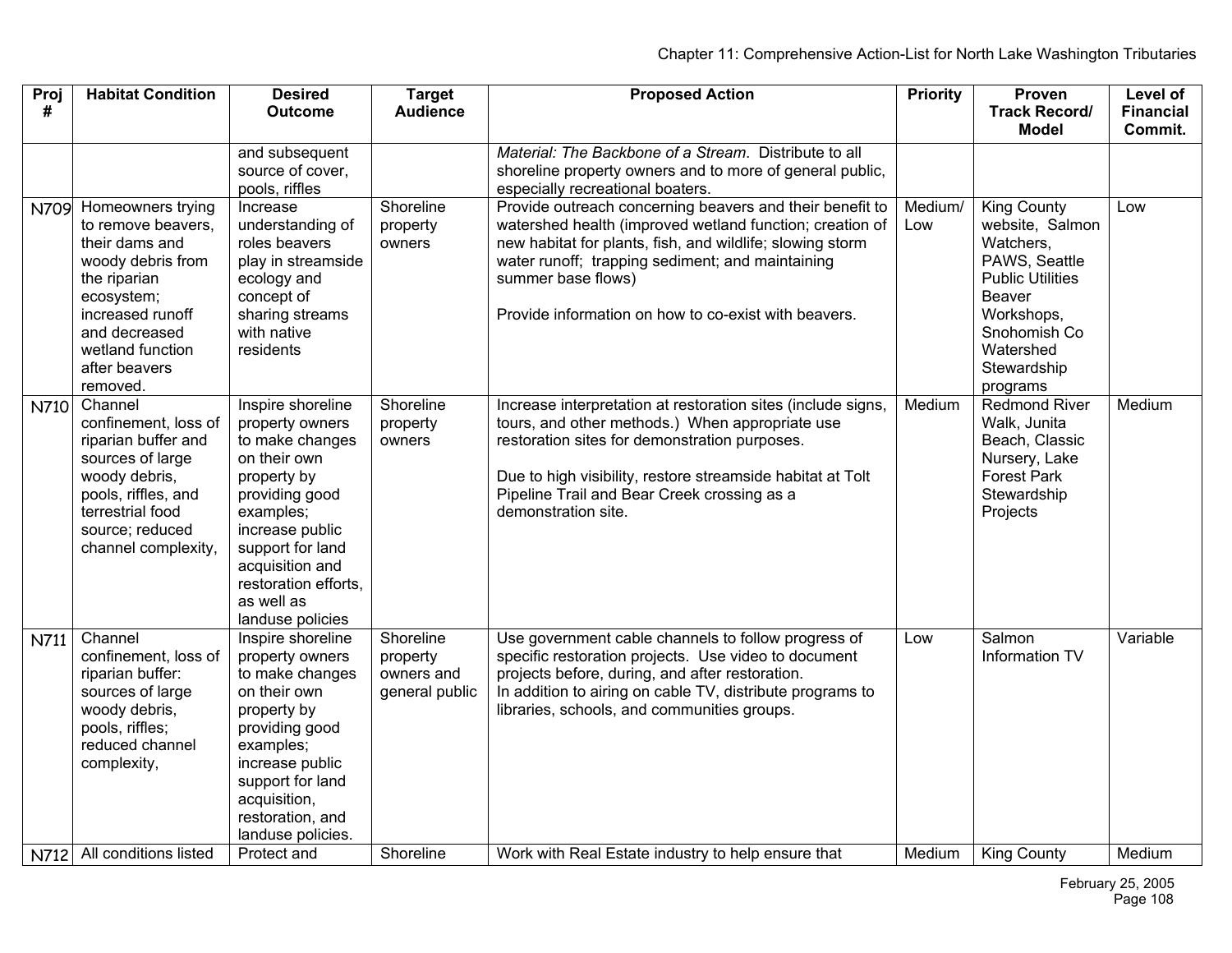| Proj | <b>Habitat Condition</b>          | <b>Desired</b>                      | <b>Target</b>   | <b>Proposed Action</b>                                                 | <b>Priority</b> | Proven                     | <b>Level of</b>  |
|------|-----------------------------------|-------------------------------------|-----------------|------------------------------------------------------------------------|-----------------|----------------------------|------------------|
| #    |                                   | <b>Outcome</b>                      | <b>Audience</b> |                                                                        |                 | <b>Track Record/</b>       | <b>Financial</b> |
|      |                                   |                                     |                 |                                                                        |                 | <b>Model</b>               | Commit.          |
|      |                                   | and subsequent                      |                 | Material: The Backbone of a Stream. Distribute to all                  |                 |                            |                  |
|      |                                   | source of cover,                    |                 | shoreline property owners and to more of general public,               |                 |                            |                  |
|      |                                   | pools, riffles                      |                 | especially recreational boaters.                                       |                 |                            |                  |
| N709 | Homeowners trying                 | Increase                            | Shoreline       | Provide outreach concerning beavers and their benefit to               | Medium/         | <b>King County</b>         | Low              |
|      | to remove beavers,                | understanding of                    | property        | watershed health (improved wetland function; creation of               | Low             | website, Salmon            |                  |
|      | their dams and                    | roles beavers<br>play in streamside | owners          | new habitat for plants, fish, and wildlife; slowing storm              |                 | Watchers,<br>PAWS, Seattle |                  |
|      | woody debris from<br>the riparian | ecology and                         |                 | water runoff; trapping sediment; and maintaining<br>summer base flows) |                 | <b>Public Utilities</b>    |                  |
|      | ecosystem;                        | concept of                          |                 |                                                                        |                 | <b>Beaver</b>              |                  |
|      | increased runoff                  | sharing streams                     |                 | Provide information on how to co-exist with beavers.                   |                 | Workshops,                 |                  |
|      | and decreased                     | with native                         |                 |                                                                        |                 | Snohomish Co               |                  |
|      | wetland function                  | residents                           |                 |                                                                        |                 | Watershed                  |                  |
|      | after beavers                     |                                     |                 |                                                                        |                 | Stewardship                |                  |
|      | removed.                          |                                     |                 |                                                                        |                 | programs                   |                  |
| N710 | Channel                           | Inspire shoreline                   | Shoreline       | Increase interpretation at restoration sites (include signs,           | Medium          | <b>Redmond River</b>       | Medium           |
|      | confinement, loss of              | property owners                     | property        | tours, and other methods.) When appropriate use                        |                 | Walk, Junita               |                  |
|      | riparian buffer and               | to make changes                     | owners          | restoration sites for demonstration purposes.                          |                 | Beach, Classic             |                  |
|      | sources of large                  | on their own                        |                 |                                                                        |                 | Nursery, Lake              |                  |
|      | woody debris,                     | property by                         |                 | Due to high visibility, restore streamside habitat at Tolt             |                 | <b>Forest Park</b>         |                  |
|      | pools, riffles, and               | providing good                      |                 | Pipeline Trail and Bear Creek crossing as a                            |                 | Stewardship                |                  |
|      | terrestrial food                  | examples;                           |                 | demonstration site.                                                    |                 | Projects                   |                  |
|      | source; reduced                   | increase public<br>support for land |                 |                                                                        |                 |                            |                  |
|      | channel complexity,               | acquisition and                     |                 |                                                                        |                 |                            |                  |
|      |                                   | restoration efforts.                |                 |                                                                        |                 |                            |                  |
|      |                                   | as well as                          |                 |                                                                        |                 |                            |                  |
|      |                                   | landuse policies                    |                 |                                                                        |                 |                            |                  |
| N711 | Channel                           | Inspire shoreline                   | Shoreline       | Use government cable channels to follow progress of                    | Low             | Salmon                     | Variable         |
|      | confinement, loss of              | property owners                     | property        | specific restoration projects. Use video to document                   |                 | Information TV             |                  |
|      | riparian buffer:                  | to make changes                     | owners and      | projects before, during, and after restoration.                        |                 |                            |                  |
|      | sources of large                  | on their own                        | general public  | In addition to airing on cable TV, distribute programs to              |                 |                            |                  |
|      | woody debris,                     | property by                         |                 | libraries, schools, and communities groups.                            |                 |                            |                  |
|      | pools, riffles;                   | providing good                      |                 |                                                                        |                 |                            |                  |
|      | reduced channel                   | examples;                           |                 |                                                                        |                 |                            |                  |
|      | complexity,                       | increase public                     |                 |                                                                        |                 |                            |                  |
|      |                                   | support for land                    |                 |                                                                        |                 |                            |                  |
|      |                                   | acquisition,<br>restoration, and    |                 |                                                                        |                 |                            |                  |
|      |                                   | landuse policies.                   |                 |                                                                        |                 |                            |                  |
|      | N712 All conditions listed        | Protect and                         | Shoreline       | Work with Real Estate industry to help ensure that                     | Medium          | <b>King County</b>         | Medium           |
|      |                                   |                                     |                 |                                                                        |                 |                            |                  |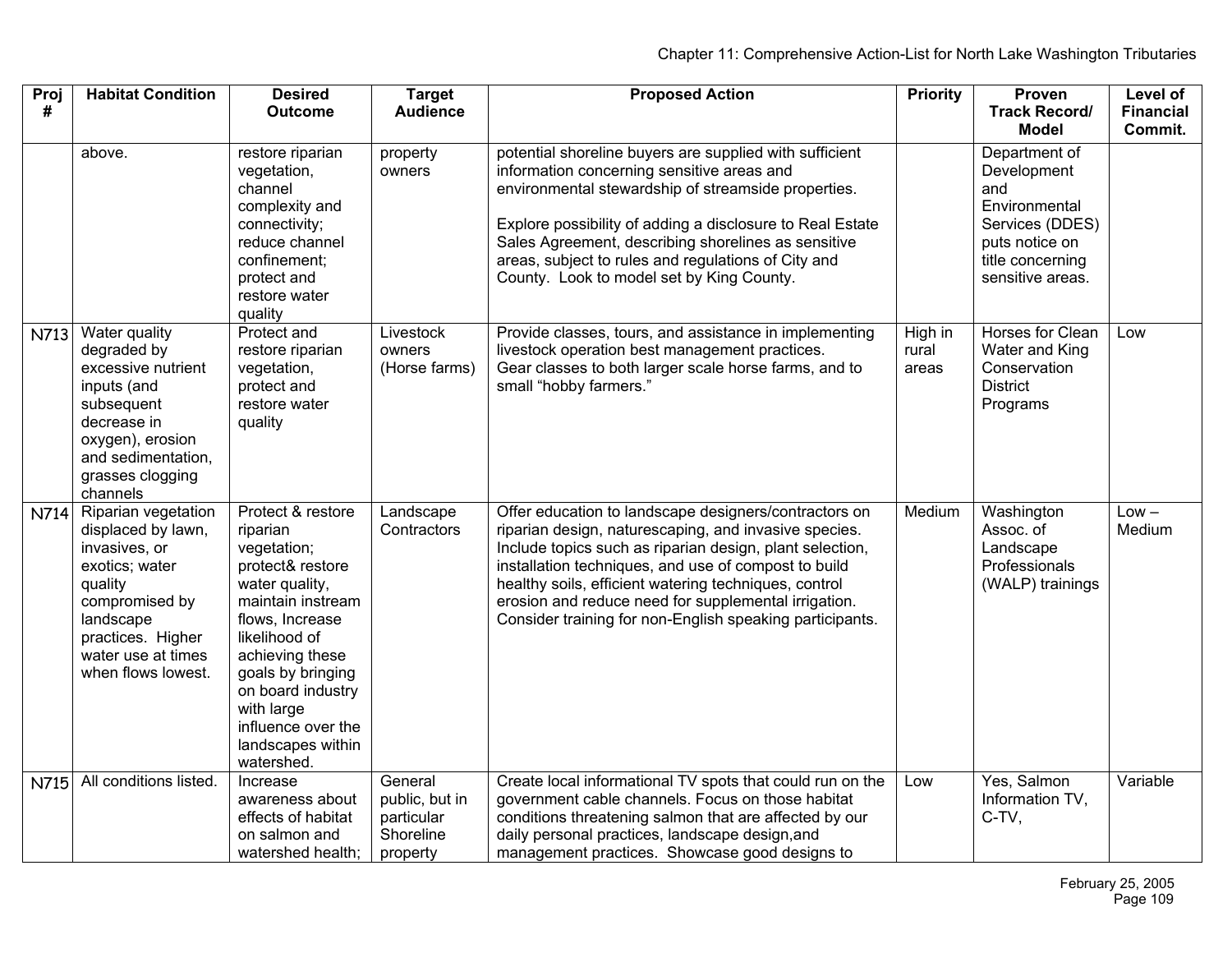| Proj<br># | <b>Habitat Condition</b>                                                                                                                                                                | <b>Desired</b><br><b>Outcome</b>                                                                                                                                                                                                                                                | <b>Target</b><br><b>Audience</b>                                 | <b>Proposed Action</b>                                                                                                                                                                                                                                                                                                                                                                                          | <b>Priority</b>           | Proven<br><b>Track Record/</b>                                                                                                             | Level of<br><b>Financial</b> |
|-----------|-----------------------------------------------------------------------------------------------------------------------------------------------------------------------------------------|---------------------------------------------------------------------------------------------------------------------------------------------------------------------------------------------------------------------------------------------------------------------------------|------------------------------------------------------------------|-----------------------------------------------------------------------------------------------------------------------------------------------------------------------------------------------------------------------------------------------------------------------------------------------------------------------------------------------------------------------------------------------------------------|---------------------------|--------------------------------------------------------------------------------------------------------------------------------------------|------------------------------|
|           | above.                                                                                                                                                                                  | restore riparian<br>vegetation,<br>channel<br>complexity and<br>connectivity;<br>reduce channel<br>confinement;<br>protect and<br>restore water<br>quality                                                                                                                      | property<br>owners                                               | potential shoreline buyers are supplied with sufficient<br>information concerning sensitive areas and<br>environmental stewardship of streamside properties.<br>Explore possibility of adding a disclosure to Real Estate<br>Sales Agreement, describing shorelines as sensitive<br>areas, subject to rules and regulations of City and<br>County. Look to model set by King County.                            |                           | Model<br>Department of<br>Development<br>and<br>Environmental<br>Services (DDES)<br>puts notice on<br>title concerning<br>sensitive areas. | Commit.                      |
| N713      | Water quality<br>degraded by<br>excessive nutrient<br>inputs (and<br>subsequent<br>decrease in<br>oxygen), erosion<br>and sedimentation,<br>grasses clogging<br>channels                | <b>Protect and</b><br>restore riparian<br>vegetation,<br>protect and<br>restore water<br>quality                                                                                                                                                                                | Livestock<br>owners<br>(Horse farms)                             | Provide classes, tours, and assistance in implementing<br>livestock operation best management practices.<br>Gear classes to both larger scale horse farms, and to<br>small "hobby farmers."                                                                                                                                                                                                                     | High in<br>rural<br>areas | Horses for Clean<br>Water and King<br>Conservation<br><b>District</b><br>Programs                                                          | Low                          |
| N714      | Riparian vegetation<br>displaced by lawn,<br>invasives, or<br>exotics; water<br>quality<br>compromised by<br>landscape<br>practices. Higher<br>water use at times<br>when flows lowest. | Protect & restore<br>riparian<br>vegetation;<br>protect& restore<br>water quality,<br>maintain instream<br>flows, Increase<br>likelihood of<br>achieving these<br>goals by bringing<br>on board industry<br>with large<br>influence over the<br>landscapes within<br>watershed. | Landscape<br>Contractors                                         | Offer education to landscape designers/contractors on<br>riparian design, naturescaping, and invasive species.<br>Include topics such as riparian design, plant selection,<br>installation techniques, and use of compost to build<br>healthy soils, efficient watering techniques, control<br>erosion and reduce need for supplemental irrigation.<br>Consider training for non-English speaking participants. | Medium                    | Washington<br>Assoc. of<br>Landscape<br>Professionals<br>(WALP) trainings                                                                  | $Low -$<br>Medium            |
| N715      | All conditions listed.                                                                                                                                                                  | Increase<br>awareness about<br>effects of habitat<br>on salmon and<br>watershed health;                                                                                                                                                                                         | General<br>public, but in<br>particular<br>Shoreline<br>property | Create local informational TV spots that could run on the<br>government cable channels. Focus on those habitat<br>conditions threatening salmon that are affected by our<br>daily personal practices, landscape design, and<br>management practices. Showcase good designs to                                                                                                                                   | Low                       | Yes, Salmon<br>Information TV,<br>C-TV,                                                                                                    | Variable                     |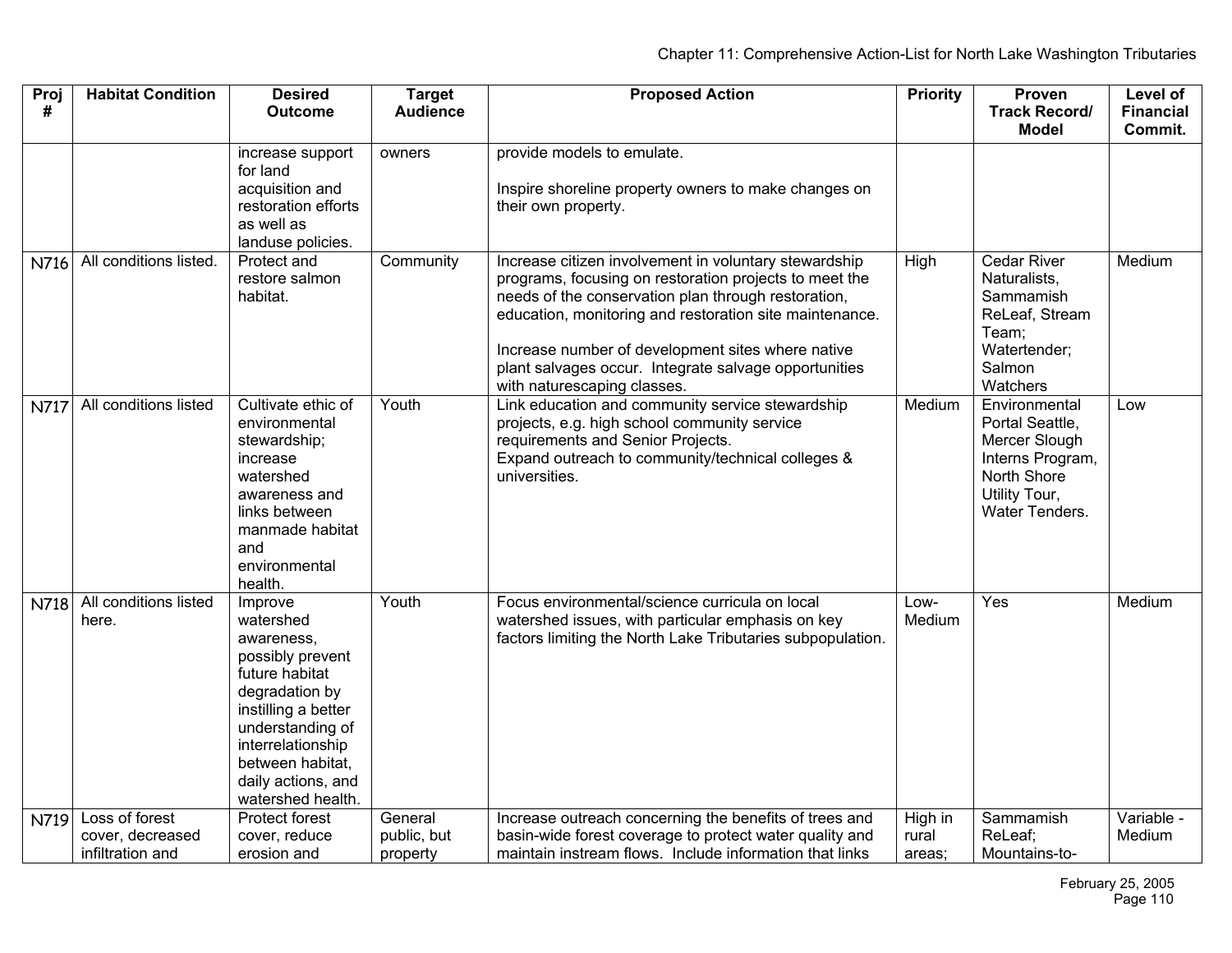| Proj        | <b>Habitat Condition</b>             | <b>Desired</b>                                                                                                                                                                                                            | <b>Target</b>           | <b>Proposed Action</b>                                                                                                                                                                                                                                                                                                                                                         | <b>Priority</b> | Proven                                                                                                                  | Level of         |
|-------------|--------------------------------------|---------------------------------------------------------------------------------------------------------------------------------------------------------------------------------------------------------------------------|-------------------------|--------------------------------------------------------------------------------------------------------------------------------------------------------------------------------------------------------------------------------------------------------------------------------------------------------------------------------------------------------------------------------|-----------------|-------------------------------------------------------------------------------------------------------------------------|------------------|
| #           |                                      | <b>Outcome</b>                                                                                                                                                                                                            | <b>Audience</b>         |                                                                                                                                                                                                                                                                                                                                                                                |                 | <b>Track Record/</b>                                                                                                    | <b>Financial</b> |
|             |                                      |                                                                                                                                                                                                                           |                         |                                                                                                                                                                                                                                                                                                                                                                                |                 | <b>Model</b>                                                                                                            | Commit.          |
|             |                                      | increase support<br>for land<br>acquisition and<br>restoration efforts<br>as well as                                                                                                                                      | owners                  | provide models to emulate.<br>Inspire shoreline property owners to make changes on<br>their own property.                                                                                                                                                                                                                                                                      |                 |                                                                                                                         |                  |
|             |                                      | landuse policies.                                                                                                                                                                                                         |                         |                                                                                                                                                                                                                                                                                                                                                                                |                 |                                                                                                                         |                  |
| N716        | All conditions listed.               | Protect and<br>restore salmon<br>habitat.                                                                                                                                                                                 | Community               | Increase citizen involvement in voluntary stewardship<br>programs, focusing on restoration projects to meet the<br>needs of the conservation plan through restoration,<br>education, monitoring and restoration site maintenance.<br>Increase number of development sites where native<br>plant salvages occur. Integrate salvage opportunities<br>with naturescaping classes. | High            | <b>Cedar River</b><br>Naturalists,<br>Sammamish<br>ReLeaf, Stream<br>Team;<br>Watertender;<br>Salmon<br>Watchers        | Medium           |
| <b>N717</b> | All conditions listed                | Cultivate ethic of<br>environmental<br>stewardship;<br>increase<br>watershed<br>awareness and<br>links between<br>manmade habitat<br>and<br>environmental<br>health.                                                      | Youth                   | Link education and community service stewardship<br>projects, e.g. high school community service<br>requirements and Senior Projects.<br>Expand outreach to community/technical colleges &<br>universities.                                                                                                                                                                    | Medium          | Environmental<br>Portal Seattle,<br>Mercer Slough<br>Interns Program,<br>North Shore<br>Utility Tour,<br>Water Tenders. | Low              |
| N718        | All conditions listed<br>here.       | Improve<br>watershed<br>awareness,<br>possibly prevent<br>future habitat<br>degradation by<br>instilling a better<br>understanding of<br>interrelationship<br>between habitat,<br>daily actions, and<br>watershed health. | Youth                   | Focus environmental/science curricula on local<br>watershed issues, with particular emphasis on key<br>factors limiting the North Lake Tributaries subpopulation.                                                                                                                                                                                                              | Low-<br>Medium  | Yes                                                                                                                     | Medium           |
| N719        | Loss of forest                       | Protect forest                                                                                                                                                                                                            | General                 | Increase outreach concerning the benefits of trees and                                                                                                                                                                                                                                                                                                                         | High in         | Sammamish                                                                                                               | Variable -       |
|             | cover, decreased<br>infiltration and | cover, reduce<br>erosion and                                                                                                                                                                                              | public, but<br>property | basin-wide forest coverage to protect water quality and<br>maintain instream flows. Include information that links                                                                                                                                                                                                                                                             | rural<br>areas; | ReLeaf;<br>Mountains-to-                                                                                                | Medium           |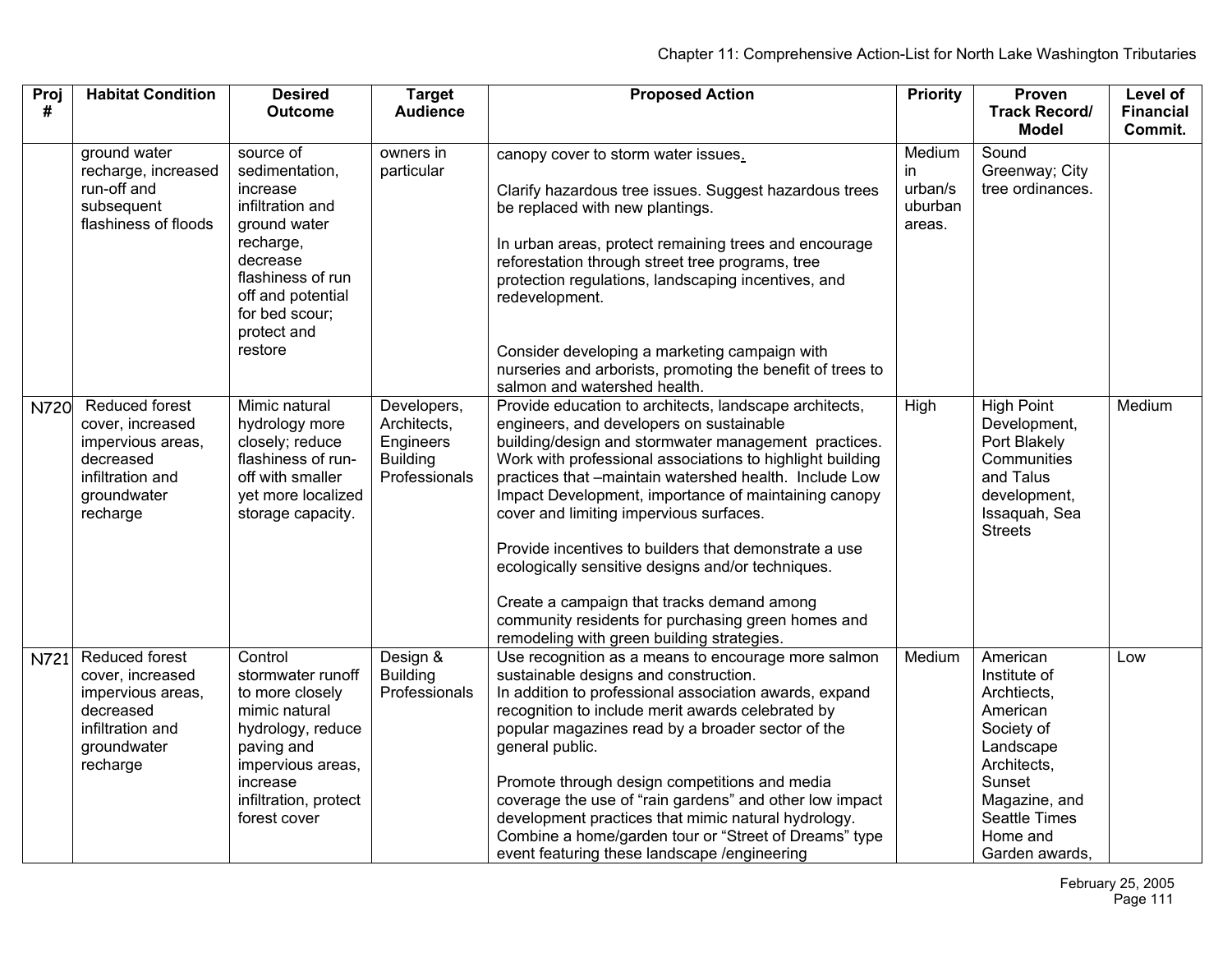| Proj        | <b>Habitat Condition</b>                                                                                            | <b>Desired</b>                                                                                                                                                                             | <b>Target</b>                                                               | <b>Proposed Action</b>                                                                                                                                                                                                                                                                                                                                                                                                                                                                                                                                                                                                                               | <b>Priority</b>                               | Proven                                                                                                                                                                  | Level of         |
|-------------|---------------------------------------------------------------------------------------------------------------------|--------------------------------------------------------------------------------------------------------------------------------------------------------------------------------------------|-----------------------------------------------------------------------------|------------------------------------------------------------------------------------------------------------------------------------------------------------------------------------------------------------------------------------------------------------------------------------------------------------------------------------------------------------------------------------------------------------------------------------------------------------------------------------------------------------------------------------------------------------------------------------------------------------------------------------------------------|-----------------------------------------------|-------------------------------------------------------------------------------------------------------------------------------------------------------------------------|------------------|
| #           |                                                                                                                     | <b>Outcome</b>                                                                                                                                                                             | <b>Audience</b>                                                             |                                                                                                                                                                                                                                                                                                                                                                                                                                                                                                                                                                                                                                                      |                                               | <b>Track Record/</b>                                                                                                                                                    | <b>Financial</b> |
|             |                                                                                                                     |                                                                                                                                                                                            |                                                                             |                                                                                                                                                                                                                                                                                                                                                                                                                                                                                                                                                                                                                                                      |                                               | <b>Model</b>                                                                                                                                                            | Commit.          |
|             | ground water<br>recharge, increased<br>run-off and<br>subsequent<br>flashiness of floods                            | source of<br>sedimentation,<br>increase<br>infiltration and<br>ground water<br>recharge,<br>decrease<br>flashiness of run<br>off and potential<br>for bed scour;<br>protect and<br>restore | owners in<br>particular                                                     | canopy cover to storm water issues.<br>Clarify hazardous tree issues. Suggest hazardous trees<br>be replaced with new plantings.<br>In urban areas, protect remaining trees and encourage<br>reforestation through street tree programs, tree<br>protection regulations, landscaping incentives, and<br>redevelopment.<br>Consider developing a marketing campaign with<br>nurseries and arborists, promoting the benefit of trees to<br>salmon and watershed health.                                                                                                                                                                                | Medium<br>in.<br>urban/s<br>uburban<br>areas. | Sound<br>Greenway; City<br>tree ordinances.                                                                                                                             |                  |
| <b>N720</b> | Reduced forest<br>cover, increased<br>impervious areas,<br>decreased<br>infiltration and<br>groundwater<br>recharge | Mimic natural<br>hydrology more<br>closely; reduce<br>flashiness of run-<br>off with smaller<br>yet more localized<br>storage capacity.                                                    | Developers,<br>Architects,<br>Engineers<br><b>Building</b><br>Professionals | Provide education to architects, landscape architects,<br>engineers, and developers on sustainable<br>building/design and stormwater management practices.<br>Work with professional associations to highlight building<br>practices that -maintain watershed health. Include Low<br>Impact Development, importance of maintaining canopy<br>cover and limiting impervious surfaces.<br>Provide incentives to builders that demonstrate a use<br>ecologically sensitive designs and/or techniques.<br>Create a campaign that tracks demand among<br>community residents for purchasing green homes and<br>remodeling with green building strategies. | High                                          | <b>High Point</b><br>Development,<br>Port Blakely<br>Communities<br>and Talus<br>development,<br>Issaquah, Sea<br><b>Streets</b>                                        | Medium           |
| N721        | Reduced forest<br>cover, increased<br>impervious areas,<br>decreased<br>infiltration and<br>groundwater<br>recharge | Control<br>stormwater runoff<br>to more closely<br>mimic natural<br>hydrology, reduce<br>paving and<br>impervious areas,<br>increase<br>infiltration, protect<br>forest cover              | Design &<br><b>Building</b><br>Professionals                                | Use recognition as a means to encourage more salmon<br>sustainable designs and construction.<br>In addition to professional association awards, expand<br>recognition to include merit awards celebrated by<br>popular magazines read by a broader sector of the<br>general public.<br>Promote through design competitions and media<br>coverage the use of "rain gardens" and other low impact<br>development practices that mimic natural hydrology.<br>Combine a home/garden tour or "Street of Dreams" type<br>event featuring these landscape /engineering                                                                                      | Medium                                        | American<br>Institute of<br>Archtiects,<br>American<br>Society of<br>Landscape<br>Architects,<br>Sunset<br>Magazine, and<br>Seattle Times<br>Home and<br>Garden awards, | Low              |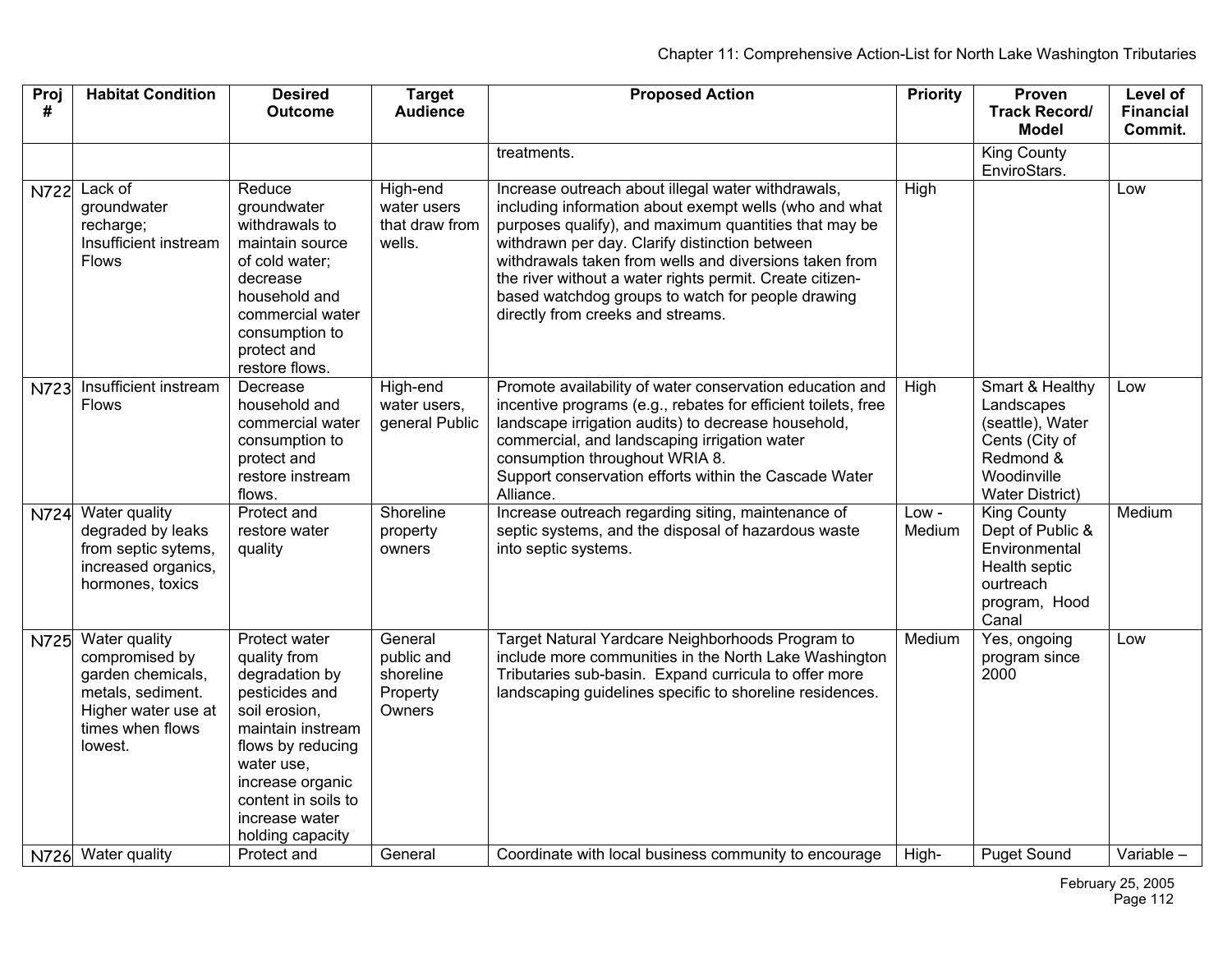| Proj<br>#   | <b>Habitat Condition</b>                                                                                                        | <b>Desired</b><br><b>Outcome</b>                                                                                                                                                                                            | <b>Target</b><br><b>Audience</b>                         | <b>Proposed Action</b>                                                                                                                                                                                                                                                                                                                                                                                                                  | <b>Priority</b> | Proven<br><b>Track Record/</b><br>Model                                                                                   | Level of<br><b>Financial</b><br>Commit. |
|-------------|---------------------------------------------------------------------------------------------------------------------------------|-----------------------------------------------------------------------------------------------------------------------------------------------------------------------------------------------------------------------------|----------------------------------------------------------|-----------------------------------------------------------------------------------------------------------------------------------------------------------------------------------------------------------------------------------------------------------------------------------------------------------------------------------------------------------------------------------------------------------------------------------------|-----------------|---------------------------------------------------------------------------------------------------------------------------|-----------------------------------------|
|             |                                                                                                                                 |                                                                                                                                                                                                                             |                                                          | treatments.                                                                                                                                                                                                                                                                                                                                                                                                                             |                 | <b>King County</b><br>EnviroStars.                                                                                        |                                         |
| <b>N722</b> | Lack of<br>groundwater<br>recharge;<br>Insufficient instream<br><b>Flows</b>                                                    | Reduce<br>groundwater<br>withdrawals to<br>maintain source<br>of cold water;<br>decrease<br>household and<br>commercial water<br>consumption to<br>protect and<br>restore flows.                                            | High-end<br>water users<br>that draw from<br>wells.      | Increase outreach about illegal water withdrawals,<br>including information about exempt wells (who and what<br>purposes qualify), and maximum quantities that may be<br>withdrawn per day. Clarify distinction between<br>withdrawals taken from wells and diversions taken from<br>the river without a water rights permit. Create citizen-<br>based watchdog groups to watch for people drawing<br>directly from creeks and streams. | High            |                                                                                                                           | Low                                     |
| N723        | Insufficient instream<br><b>Flows</b>                                                                                           | Decrease<br>household and<br>commercial water<br>consumption to<br>protect and<br>restore instream<br>flows.                                                                                                                | High-end<br>water users,<br>general Public               | Promote availability of water conservation education and<br>incentive programs (e.g., rebates for efficient toilets, free<br>landscape irrigation audits) to decrease household,<br>commercial, and landscaping irrigation water<br>consumption throughout WRIA 8.<br>Support conservation efforts within the Cascade Water<br>Alliance.                                                                                                | High            | Smart & Healthy<br>Landscapes<br>(seattle), Water<br>Cents (City of<br>Redmond &<br>Woodinville<br><b>Water District)</b> | Low                                     |
| <b>N724</b> | Water quality<br>degraded by leaks<br>from septic sytems,<br>increased organics,<br>hormones, toxics                            | Protect and<br>restore water<br>quality                                                                                                                                                                                     | Shoreline<br>property<br>owners                          | Increase outreach regarding siting, maintenance of<br>septic systems, and the disposal of hazardous waste<br>into septic systems.                                                                                                                                                                                                                                                                                                       | Low -<br>Medium | <b>King County</b><br>Dept of Public &<br>Environmental<br>Health septic<br>ourtreach<br>program, Hood<br>Canal           | Medium                                  |
| N725        | Water quality<br>compromised by<br>garden chemicals,<br>metals, sediment.<br>Higher water use at<br>times when flows<br>lowest. | Protect water<br>quality from<br>degradation by<br>pesticides and<br>soil erosion,<br>maintain instream<br>flows by reducing<br>water use,<br>increase organic<br>content in soils to<br>increase water<br>holding capacity | General<br>public and<br>shoreline<br>Property<br>Owners | Target Natural Yardcare Neighborhoods Program to<br>include more communities in the North Lake Washington<br>Tributaries sub-basin. Expand curricula to offer more<br>landscaping guidelines specific to shoreline residences.                                                                                                                                                                                                          | Medium          | Yes, ongoing<br>program since<br>2000                                                                                     | Low                                     |
|             | N726 Water quality                                                                                                              | Protect and                                                                                                                                                                                                                 | General                                                  | Coordinate with local business community to encourage                                                                                                                                                                                                                                                                                                                                                                                   | High-           | <b>Puget Sound</b>                                                                                                        | Variable -                              |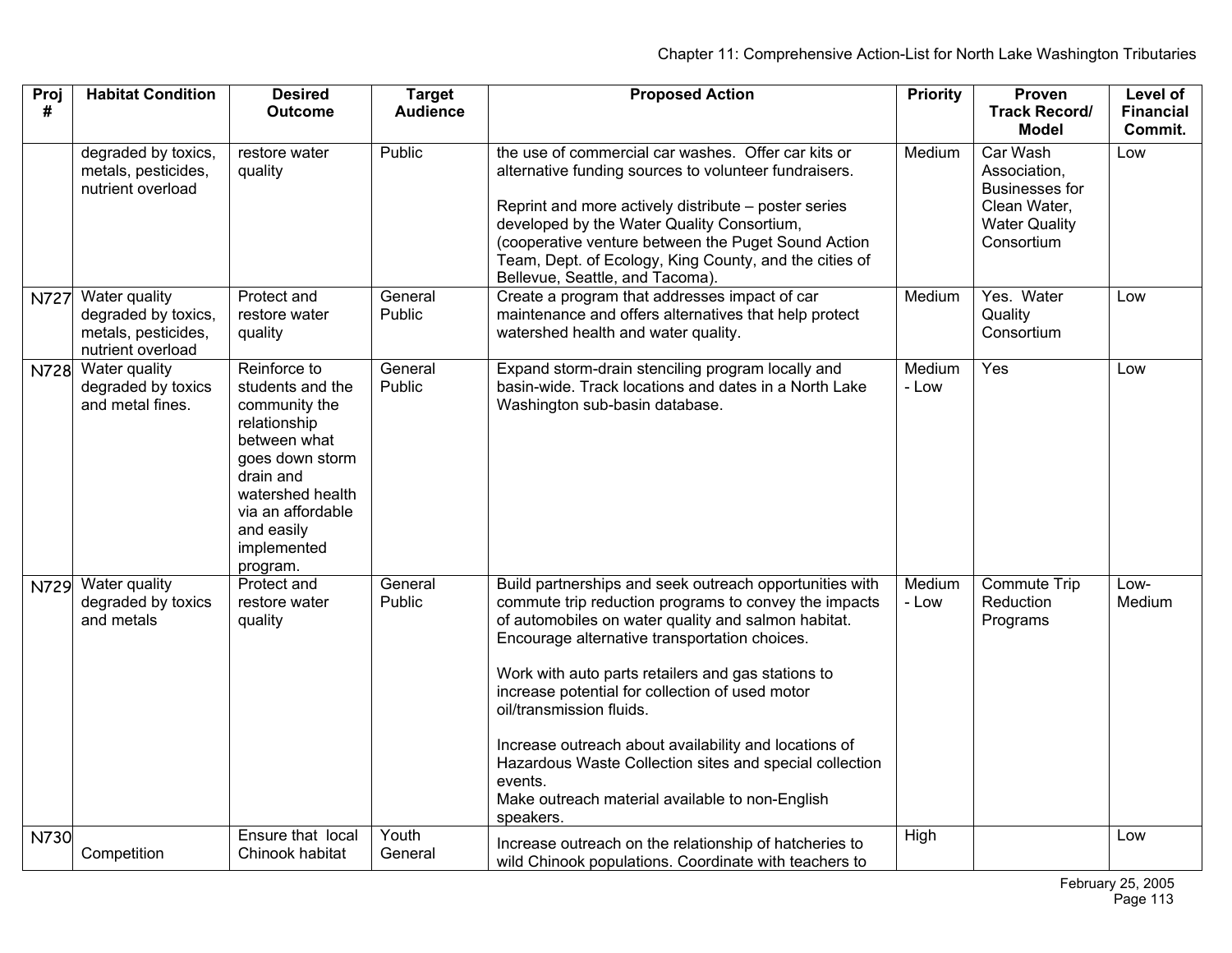| Proj<br>#   | <b>Habitat Condition</b>                                                         | <b>Desired</b><br><b>Outcome</b>                                                                                                                                                                    | <b>Target</b><br><b>Audience</b> | <b>Proposed Action</b>                                                                                                                                                                                                                                                                                                                                                                                                                                                                                                                                       | <b>Priority</b> | Proven<br><b>Track Record/</b>                                                                          | Level of<br><b>Financial</b> |
|-------------|----------------------------------------------------------------------------------|-----------------------------------------------------------------------------------------------------------------------------------------------------------------------------------------------------|----------------------------------|--------------------------------------------------------------------------------------------------------------------------------------------------------------------------------------------------------------------------------------------------------------------------------------------------------------------------------------------------------------------------------------------------------------------------------------------------------------------------------------------------------------------------------------------------------------|-----------------|---------------------------------------------------------------------------------------------------------|------------------------------|
|             |                                                                                  |                                                                                                                                                                                                     |                                  |                                                                                                                                                                                                                                                                                                                                                                                                                                                                                                                                                              |                 | <b>Model</b>                                                                                            | Commit.                      |
|             | degraded by toxics,<br>metals, pesticides,<br>nutrient overload                  | restore water<br>quality                                                                                                                                                                            | Public                           | the use of commercial car washes. Offer car kits or<br>alternative funding sources to volunteer fundraisers.<br>Reprint and more actively distribute – poster series<br>developed by the Water Quality Consortium,<br>(cooperative venture between the Puget Sound Action<br>Team, Dept. of Ecology, King County, and the cities of<br>Bellevue, Seattle, and Tacoma).                                                                                                                                                                                       | Medium          | Car Wash<br>Association,<br><b>Businesses for</b><br>Clean Water,<br><b>Water Quality</b><br>Consortium | Low                          |
| <b>N727</b> | Water quality<br>degraded by toxics,<br>metals, pesticides,<br>nutrient overload | Protect and<br>restore water<br>quality                                                                                                                                                             | General<br>Public                | Create a program that addresses impact of car<br>maintenance and offers alternatives that help protect<br>watershed health and water quality.                                                                                                                                                                                                                                                                                                                                                                                                                | Medium          | Yes. Water<br>Quality<br>Consortium                                                                     | Low                          |
| N728        | Water quality<br>degraded by toxics<br>and metal fines.                          | Reinforce to<br>students and the<br>community the<br>relationship<br>between what<br>goes down storm<br>drain and<br>watershed health<br>via an affordable<br>and easily<br>implemented<br>program. | General<br>Public                | Expand storm-drain stenciling program locally and<br>basin-wide. Track locations and dates in a North Lake<br>Washington sub-basin database.                                                                                                                                                                                                                                                                                                                                                                                                                 | Medium<br>- Low | Yes                                                                                                     | Low                          |
| N729        | Water quality<br>degraded by toxics<br>and metals                                | Protect and<br>restore water<br>quality                                                                                                                                                             | General<br>Public                | Build partnerships and seek outreach opportunities with<br>commute trip reduction programs to convey the impacts<br>of automobiles on water quality and salmon habitat.<br>Encourage alternative transportation choices.<br>Work with auto parts retailers and gas stations to<br>increase potential for collection of used motor<br>oil/transmission fluids.<br>Increase outreach about availability and locations of<br>Hazardous Waste Collection sites and special collection<br>events.<br>Make outreach material available to non-English<br>speakers. | Medium<br>- Low | <b>Commute Trip</b><br>Reduction<br>Programs                                                            | Low-<br>Medium               |
| N730        | Competition                                                                      | Ensure that local<br>Chinook habitat                                                                                                                                                                | Youth<br>General                 | Increase outreach on the relationship of hatcheries to<br>wild Chinook populations. Coordinate with teachers to                                                                                                                                                                                                                                                                                                                                                                                                                                              | High            |                                                                                                         | Low                          |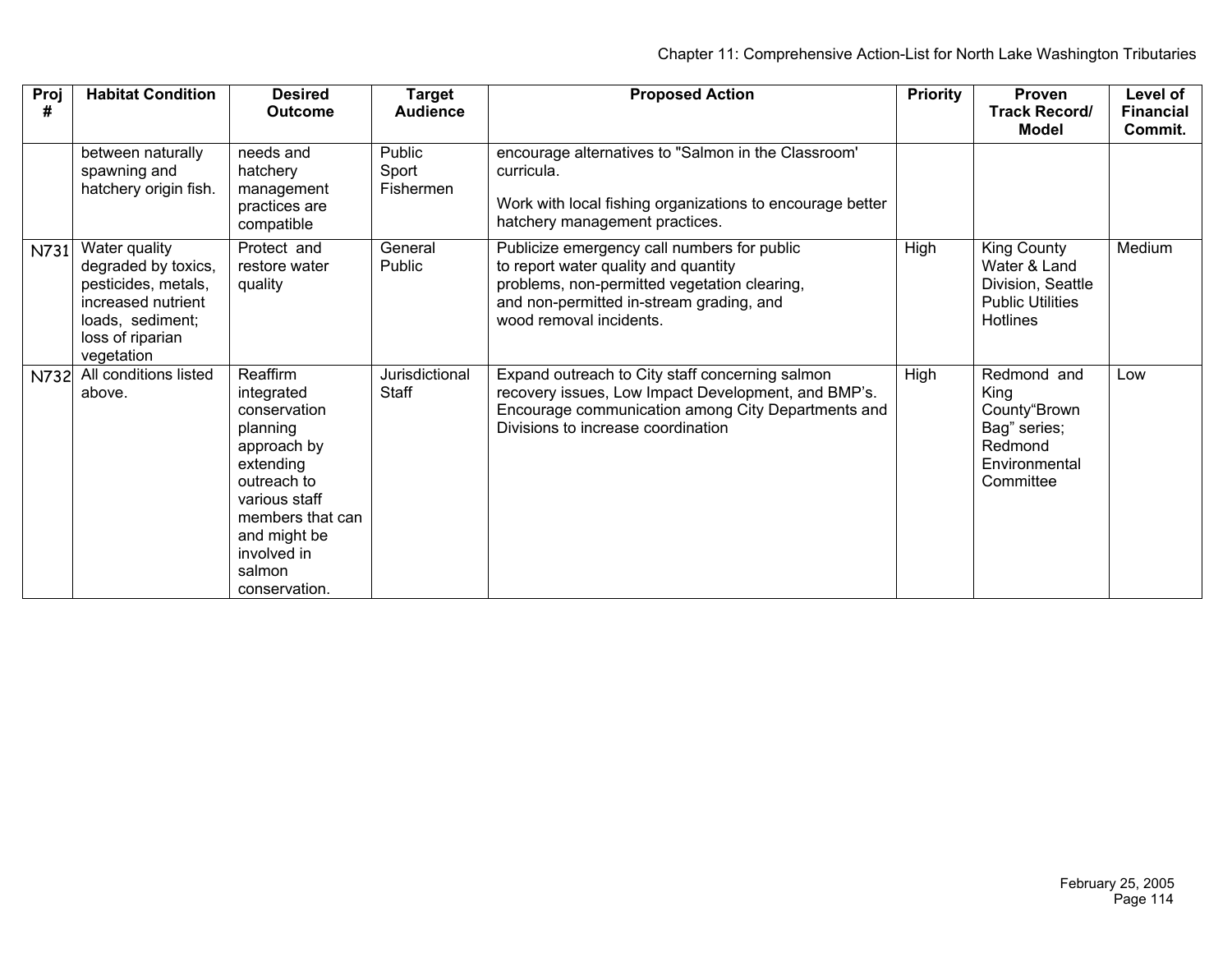| Proj<br># | <b>Habitat Condition</b>                                                                                                                | <b>Desired</b><br><b>Outcome</b>                                                                                                                                                             | <b>Target</b><br><b>Audience</b> | <b>Proposed Action</b>                                                                                                                                                                                     | <b>Priority</b> | Proven<br><b>Track Record/</b><br><b>Model</b>                                                 | Level of<br><b>Financial</b><br>Commit. |
|-----------|-----------------------------------------------------------------------------------------------------------------------------------------|----------------------------------------------------------------------------------------------------------------------------------------------------------------------------------------------|----------------------------------|------------------------------------------------------------------------------------------------------------------------------------------------------------------------------------------------------------|-----------------|------------------------------------------------------------------------------------------------|-----------------------------------------|
|           | between naturally<br>spawning and<br>hatchery origin fish.                                                                              | needs and<br>hatchery<br>management<br>practices are<br>compatible                                                                                                                           | Public<br>Sport<br>Fishermen     | encourage alternatives to "Salmon in the Classroom'<br>curricula.<br>Work with local fishing organizations to encourage better<br>hatchery management practices.                                           |                 |                                                                                                |                                         |
| N731      | Water quality<br>degraded by toxics,<br>pesticides, metals,<br>increased nutrient<br>loads, sediment;<br>loss of riparian<br>vegetation | Protect and<br>restore water<br>quality                                                                                                                                                      | General<br>Public                | Publicize emergency call numbers for public<br>to report water quality and quantity<br>problems, non-permitted vegetation clearing,<br>and non-permitted in-stream grading, and<br>wood removal incidents. | High            | King County<br>Water & Land<br>Division, Seattle<br><b>Public Utilities</b><br><b>Hotlines</b> | Medium                                  |
| N732      | All conditions listed<br>above.                                                                                                         | Reaffirm<br>integrated<br>conservation<br>planning<br>approach by<br>extending<br>outreach to<br>various staff<br>members that can<br>and might be<br>involved in<br>salmon<br>conservation. | Jurisdictional<br>Staff          | Expand outreach to City staff concerning salmon<br>recovery issues, Low Impact Development, and BMP's.<br>Encourage communication among City Departments and<br>Divisions to increase coordination         | High            | Redmond and<br>Kina<br>County"Brown<br>Bag" series;<br>Redmond<br>Environmental<br>Committee   | Low                                     |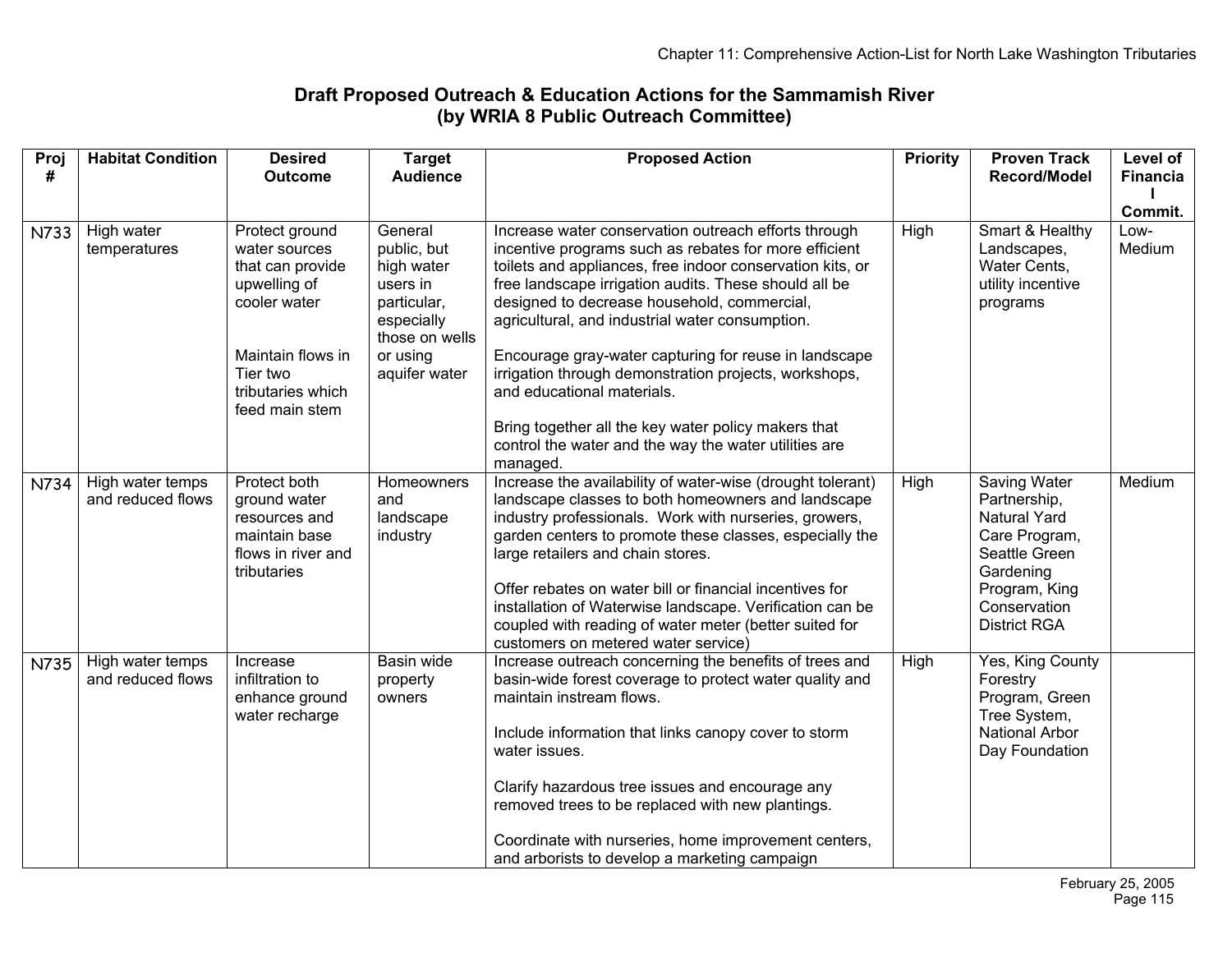## **Draft Proposed Outreach & Education Actions for the Sammamish River (by WRIA 8 Public Outreach Committee)**

| Proj<br># | <b>Habitat Condition</b>              | <b>Desired</b><br><b>Outcome</b>                                                                    | <b>Target</b><br><b>Audience</b>                                                                | <b>Proposed Action</b>                                                                                                                                                                                                                                                                                                                                                                                                                                                                            | <b>Priority</b> | <b>Proven Track</b><br><b>Record/Model</b>                                                                                                                 | Level of<br><b>Financia</b> |
|-----------|---------------------------------------|-----------------------------------------------------------------------------------------------------|-------------------------------------------------------------------------------------------------|---------------------------------------------------------------------------------------------------------------------------------------------------------------------------------------------------------------------------------------------------------------------------------------------------------------------------------------------------------------------------------------------------------------------------------------------------------------------------------------------------|-----------------|------------------------------------------------------------------------------------------------------------------------------------------------------------|-----------------------------|
|           |                                       |                                                                                                     |                                                                                                 |                                                                                                                                                                                                                                                                                                                                                                                                                                                                                                   |                 |                                                                                                                                                            |                             |
|           |                                       |                                                                                                     |                                                                                                 |                                                                                                                                                                                                                                                                                                                                                                                                                                                                                                   |                 |                                                                                                                                                            | Commit.                     |
| N733      | High water<br>temperatures            | Protect ground<br>water sources<br>that can provide<br>upwelling of<br>cooler water                 | General<br>public, but<br>high water<br>users in<br>particular,<br>especially<br>those on wells | Increase water conservation outreach efforts through<br>incentive programs such as rebates for more efficient<br>toilets and appliances, free indoor conservation kits, or<br>free landscape irrigation audits. These should all be<br>designed to decrease household, commercial,<br>agricultural, and industrial water consumption.                                                                                                                                                             | High            | Smart & Healthy<br>Landscapes,<br>Water Cents,<br>utility incentive<br>programs                                                                            | Low-<br>Medium              |
|           |                                       | Maintain flows in<br>Tier two<br>tributaries which<br>feed main stem                                | or using<br>aquifer water                                                                       | Encourage gray-water capturing for reuse in landscape<br>irrigation through demonstration projects, workshops,<br>and educational materials.<br>Bring together all the key water policy makers that                                                                                                                                                                                                                                                                                               |                 |                                                                                                                                                            |                             |
|           |                                       |                                                                                                     |                                                                                                 | control the water and the way the water utilities are<br>managed.                                                                                                                                                                                                                                                                                                                                                                                                                                 |                 |                                                                                                                                                            |                             |
| N734      | High water temps<br>and reduced flows | Protect both<br>ground water<br>resources and<br>maintain base<br>flows in river and<br>tributaries | Homeowners<br>and<br>landscape<br>industry                                                      | Increase the availability of water-wise (drought tolerant)<br>landscape classes to both homeowners and landscape<br>industry professionals. Work with nurseries, growers,<br>garden centers to promote these classes, especially the<br>large retailers and chain stores.<br>Offer rebates on water bill or financial incentives for<br>installation of Waterwise landscape. Verification can be<br>coupled with reading of water meter (better suited for<br>customers on metered water service) | High            | Saving Water<br>Partnership,<br><b>Natural Yard</b><br>Care Program,<br>Seattle Green<br>Gardening<br>Program, King<br>Conservation<br><b>District RGA</b> | Medium                      |
| N735      | High water temps<br>and reduced flows | Increase<br>infiltration to<br>enhance ground<br>water recharge                                     | Basin wide<br>property<br>owners                                                                | Increase outreach concerning the benefits of trees and<br>basin-wide forest coverage to protect water quality and<br>maintain instream flows.<br>Include information that links canopy cover to storm<br>water issues.<br>Clarify hazardous tree issues and encourage any<br>removed trees to be replaced with new plantings.<br>Coordinate with nurseries, home improvement centers,<br>and arborists to develop a marketing campaign                                                            | High            | Yes, King County<br>Forestry<br>Program, Green<br>Tree System,<br>National Arbor<br>Day Foundation                                                         |                             |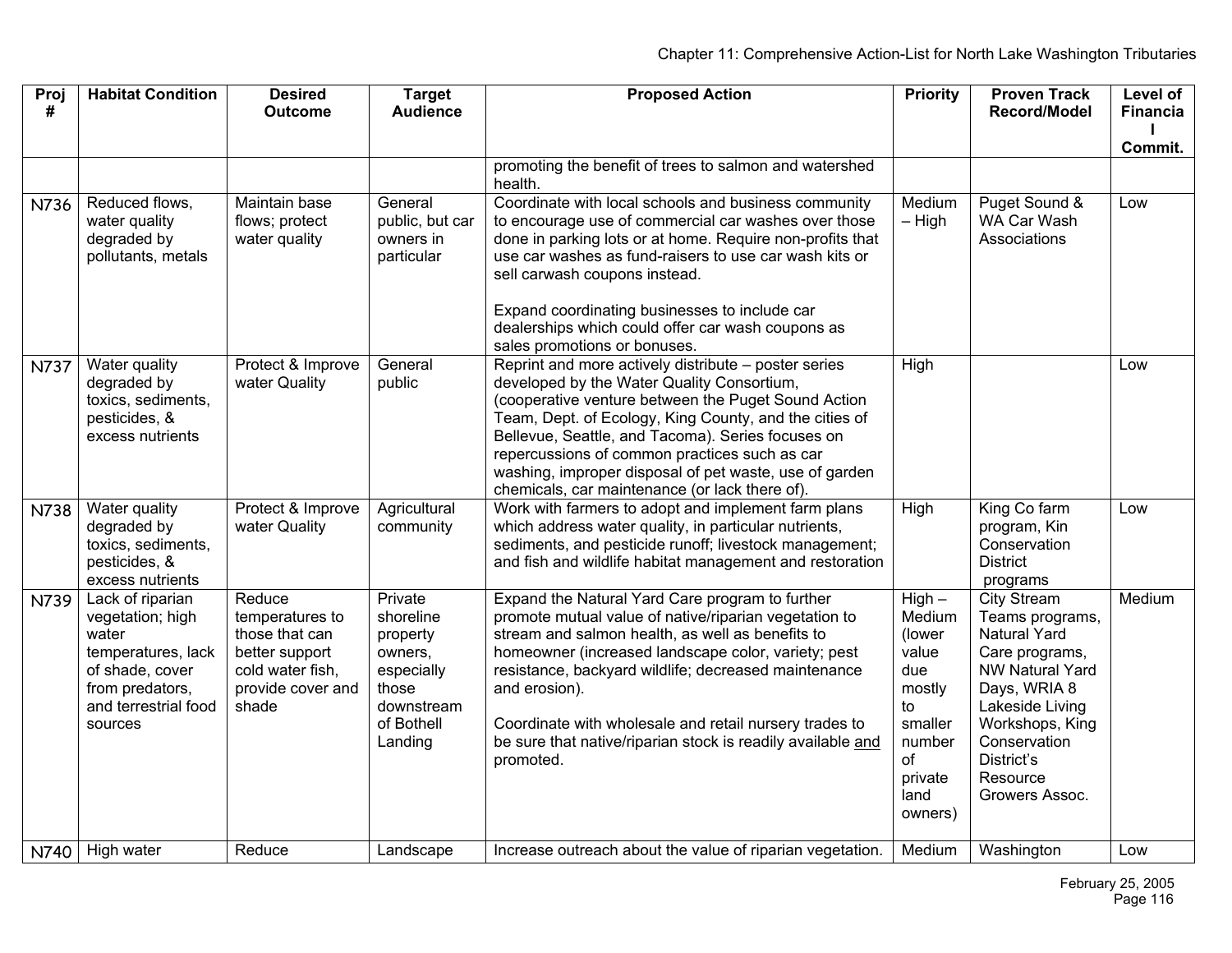| Proj<br>#   | <b>Habitat Condition</b>                                                                                                                     | <b>Desired</b><br><b>Outcome</b>                                                                                | <b>Target</b><br><b>Audience</b>                                                                          | <b>Proposed Action</b>                                                                                                                                                                                                                                                                                                                                                                                                                | <b>Priority</b>                                                                                                       | <b>Proven Track</b><br><b>Record/Model</b>                                                                                                                                                            | Level of<br><b>Financia</b> |
|-------------|----------------------------------------------------------------------------------------------------------------------------------------------|-----------------------------------------------------------------------------------------------------------------|-----------------------------------------------------------------------------------------------------------|---------------------------------------------------------------------------------------------------------------------------------------------------------------------------------------------------------------------------------------------------------------------------------------------------------------------------------------------------------------------------------------------------------------------------------------|-----------------------------------------------------------------------------------------------------------------------|-------------------------------------------------------------------------------------------------------------------------------------------------------------------------------------------------------|-----------------------------|
|             |                                                                                                                                              |                                                                                                                 |                                                                                                           |                                                                                                                                                                                                                                                                                                                                                                                                                                       |                                                                                                                       |                                                                                                                                                                                                       |                             |
|             |                                                                                                                                              |                                                                                                                 |                                                                                                           |                                                                                                                                                                                                                                                                                                                                                                                                                                       |                                                                                                                       |                                                                                                                                                                                                       | Commit.                     |
|             |                                                                                                                                              |                                                                                                                 |                                                                                                           | promoting the benefit of trees to salmon and watershed<br>health.                                                                                                                                                                                                                                                                                                                                                                     |                                                                                                                       |                                                                                                                                                                                                       |                             |
| N736        | Reduced flows,<br>water quality<br>degraded by<br>pollutants, metals                                                                         | Maintain base<br>flows; protect<br>water quality                                                                | General<br>public, but car<br>owners in<br>particular                                                     | Coordinate with local schools and business community<br>to encourage use of commercial car washes over those<br>done in parking lots or at home. Require non-profits that<br>use car washes as fund-raisers to use car wash kits or<br>sell carwash coupons instead.<br>Expand coordinating businesses to include car<br>dealerships which could offer car wash coupons as<br>sales promotions or bonuses.                            | Medium<br>$-$ High                                                                                                    | Puget Sound &<br>WA Car Wash<br>Associations                                                                                                                                                          | Low                         |
| <b>N737</b> | Water quality<br>degraded by<br>toxics, sediments,<br>pesticides, &<br>excess nutrients                                                      | Protect & Improve<br>water Quality                                                                              | General<br>public                                                                                         | Reprint and more actively distribute - poster series<br>developed by the Water Quality Consortium,<br>(cooperative venture between the Puget Sound Action<br>Team, Dept. of Ecology, King County, and the cities of<br>Bellevue, Seattle, and Tacoma). Series focuses on<br>repercussions of common practices such as car<br>washing, improper disposal of pet waste, use of garden<br>chemicals, car maintenance (or lack there of). | High                                                                                                                  |                                                                                                                                                                                                       | Low                         |
| N738        | Water quality<br>degraded by<br>toxics, sediments,<br>pesticides, &<br>excess nutrients                                                      | Protect & Improve<br>water Quality                                                                              | Agricultural<br>community                                                                                 | Work with farmers to adopt and implement farm plans<br>which address water quality, in particular nutrients,<br>sediments, and pesticide runoff; livestock management;<br>and fish and wildlife habitat management and restoration                                                                                                                                                                                                    | <b>High</b>                                                                                                           | King Co farm<br>program, Kin<br>Conservation<br><b>District</b><br>programs                                                                                                                           | Low                         |
| N739        | Lack of riparian<br>vegetation; high<br>water<br>temperatures, lack<br>of shade, cover<br>from predators,<br>and terrestrial food<br>sources | Reduce<br>temperatures to<br>those that can<br>better support<br>cold water fish,<br>provide cover and<br>shade | Private<br>shoreline<br>property<br>owners,<br>especially<br>those<br>downstream<br>of Bothell<br>Landing | Expand the Natural Yard Care program to further<br>promote mutual value of native/riparian vegetation to<br>stream and salmon health, as well as benefits to<br>homeowner (increased landscape color, variety; pest<br>resistance, backyard wildlife; decreased maintenance<br>and erosion).<br>Coordinate with wholesale and retail nursery trades to<br>be sure that native/riparian stock is readily available and<br>promoted.    | $High -$<br>Medium<br>(lower<br>value<br>due<br>mostly<br>to<br>smaller<br>number<br>of<br>private<br>land<br>owners) | City Stream<br>Teams programs,<br>Natural Yard<br>Care programs,<br>NW Natural Yard<br>Days, WRIA 8<br>Lakeside Living<br>Workshops, King<br>Conservation<br>District's<br>Resource<br>Growers Assoc. | Medium                      |
|             | N740 High water                                                                                                                              | Reduce                                                                                                          | Landscape                                                                                                 | Increase outreach about the value of riparian vegetation.                                                                                                                                                                                                                                                                                                                                                                             | Medium                                                                                                                | Washington                                                                                                                                                                                            | Low                         |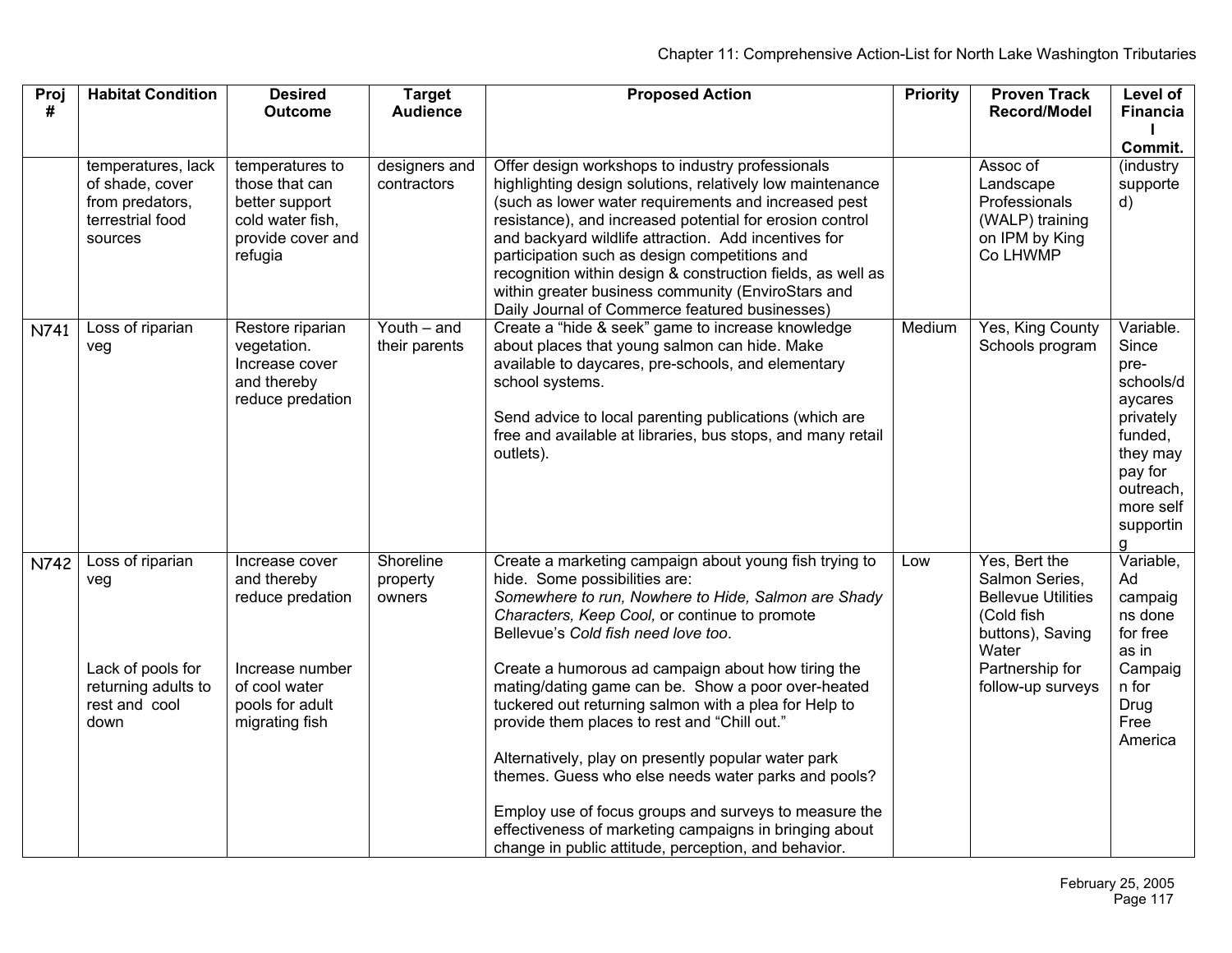| <b>Habitat Condition</b>                                                                     | <b>Desired</b>                                                                                                             | <b>Target</b>                                         | <b>Proposed Action</b>                                                                                                                                                                                                                                                                                                                                                                                                                                                                                                                                                                                                                                                                       | <b>Priority</b>                                                                                                                                               | <b>Proven Track</b>                                                                                                                             | <b>Level of</b><br>Financia                                                                                                                   |
|----------------------------------------------------------------------------------------------|----------------------------------------------------------------------------------------------------------------------------|-------------------------------------------------------|----------------------------------------------------------------------------------------------------------------------------------------------------------------------------------------------------------------------------------------------------------------------------------------------------------------------------------------------------------------------------------------------------------------------------------------------------------------------------------------------------------------------------------------------------------------------------------------------------------------------------------------------------------------------------------------------|---------------------------------------------------------------------------------------------------------------------------------------------------------------|-------------------------------------------------------------------------------------------------------------------------------------------------|-----------------------------------------------------------------------------------------------------------------------------------------------|
|                                                                                              |                                                                                                                            |                                                       |                                                                                                                                                                                                                                                                                                                                                                                                                                                                                                                                                                                                                                                                                              |                                                                                                                                                               |                                                                                                                                                 |                                                                                                                                               |
|                                                                                              |                                                                                                                            |                                                       |                                                                                                                                                                                                                                                                                                                                                                                                                                                                                                                                                                                                                                                                                              |                                                                                                                                                               |                                                                                                                                                 | Commit.                                                                                                                                       |
| of shade, cover<br>from predators,<br>terrestrial food<br>sources                            | those that can<br>better support<br>cold water fish.<br>provide cover and<br>refugia                                       | contractors                                           | highlighting design solutions, relatively low maintenance<br>(such as lower water requirements and increased pest<br>resistance), and increased potential for erosion control<br>and backyard wildlife attraction. Add incentives for<br>participation such as design competitions and<br>recognition within design & construction fields, as well as<br>within greater business community (EnviroStars and<br>Daily Journal of Commerce featured businesses)                                                                                                                                                                                                                                |                                                                                                                                                               | Landscape<br>Professionals<br>(WALP) training<br>on IPM by King<br>Co LHWMP                                                                     | (industry<br>supporte<br>d)                                                                                                                   |
| veg                                                                                          | vegetation.<br>Increase cover<br>and thereby<br>reduce predation                                                           | their parents                                         | about places that young salmon can hide. Make<br>available to daycares, pre-schools, and elementary<br>school systems.<br>Send advice to local parenting publications (which are<br>free and available at libraries, bus stops, and many retail<br>outlets).                                                                                                                                                                                                                                                                                                                                                                                                                                 |                                                                                                                                                               | Schools program                                                                                                                                 | Variable.<br>Since<br>pre-<br>schools/d<br>aycares<br>privately<br>funded,<br>they may<br>pay for<br>outreach,<br>more self<br>supportin<br>a |
| Loss of riparian<br>veg<br>Lack of pools for<br>returning adults to<br>rest and cool<br>down | Increase cover<br>and thereby<br>reduce predation<br>Increase number<br>of cool water<br>pools for adult<br>migrating fish | Shoreline<br>property<br>owners                       | Create a marketing campaign about young fish trying to<br>hide. Some possibilities are:<br>Somewhere to run, Nowhere to Hide, Salmon are Shady<br>Characters, Keep Cool, or continue to promote<br>Bellevue's Cold fish need love too.<br>Create a humorous ad campaign about how tiring the<br>mating/dating game can be. Show a poor over-heated<br>tuckered out returning salmon with a plea for Help to<br>provide them places to rest and "Chill out."<br>Alternatively, play on presently popular water park<br>themes. Guess who else needs water parks and pools?<br>Employ use of focus groups and surveys to measure the<br>effectiveness of marketing campaigns in bringing about | Low                                                                                                                                                           | Yes, Bert the<br>Salmon Series,<br><b>Bellevue Utilities</b><br>(Cold fish<br>buttons), Saving<br>Water<br>Partnership for<br>follow-up surveys | Variable,<br>Ad<br>campaig<br>ns done<br>for free<br>as in<br>Campaig<br>n for<br>Drug<br>Free<br>America                                     |
|                                                                                              | temperatures, lack<br>Loss of riparian                                                                                     | <b>Outcome</b><br>temperatures to<br>Restore riparian | <b>Audience</b><br>designers and<br>Youth $-$ and                                                                                                                                                                                                                                                                                                                                                                                                                                                                                                                                                                                                                                            | Offer design workshops to industry professionals<br>Create a "hide & seek" game to increase knowledge<br>change in public attitude, perception, and behavior. | Medium                                                                                                                                          | Record/Model<br>Assoc of<br>Yes, King County                                                                                                  |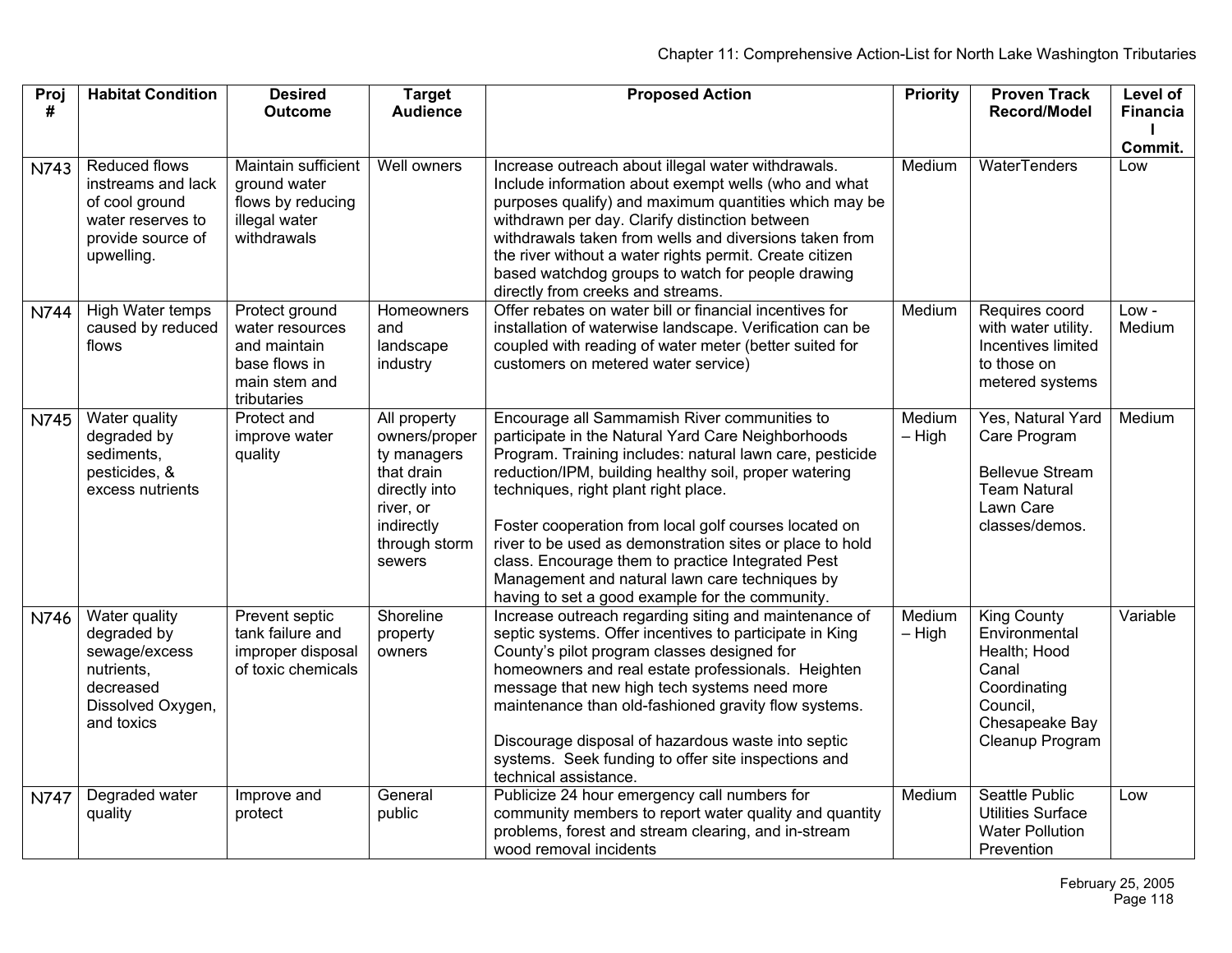| Proj<br>#   | <b>Habitat Condition</b>                                                                                      | <b>Desired</b><br><b>Outcome</b>                                                                   | <b>Target</b><br><b>Audience</b>                                                                                                  | <b>Proposed Action</b>                                                                                                                                                                                                                                                                                                                                                                                                                                                                                                                         | <b>Priority</b>    | <b>Proven Track</b><br>Record/Model                                                                                           | Level of<br><b>Financia</b> |
|-------------|---------------------------------------------------------------------------------------------------------------|----------------------------------------------------------------------------------------------------|-----------------------------------------------------------------------------------------------------------------------------------|------------------------------------------------------------------------------------------------------------------------------------------------------------------------------------------------------------------------------------------------------------------------------------------------------------------------------------------------------------------------------------------------------------------------------------------------------------------------------------------------------------------------------------------------|--------------------|-------------------------------------------------------------------------------------------------------------------------------|-----------------------------|
| N743        | Reduced flows<br>instreams and lack<br>of cool ground<br>water reserves to<br>provide source of<br>upwelling. | Maintain sufficient<br>ground water<br>flows by reducing<br>illegal water<br>withdrawals           | Well owners                                                                                                                       | Increase outreach about illegal water withdrawals.<br>Include information about exempt wells (who and what<br>purposes qualify) and maximum quantities which may be<br>withdrawn per day. Clarify distinction between<br>withdrawals taken from wells and diversions taken from<br>the river without a water rights permit. Create citizen<br>based watchdog groups to watch for people drawing<br>directly from creeks and streams.                                                                                                           | Medium             | WaterTenders                                                                                                                  | Commit.<br>Low              |
| N744        | High Water temps<br>caused by reduced<br>flows                                                                | Protect ground<br>water resources<br>and maintain<br>base flows in<br>main stem and<br>tributaries | Homeowners<br>and<br>landscape<br>industry                                                                                        | Offer rebates on water bill or financial incentives for<br>installation of waterwise landscape. Verification can be<br>coupled with reading of water meter (better suited for<br>customers on metered water service)                                                                                                                                                                                                                                                                                                                           | Medium             | Requires coord<br>with water utility.<br>Incentives limited<br>to those on<br>metered systems                                 | Low -<br>Medium             |
| N745        | Water quality<br>degraded by<br>sediments,<br>pesticides, &<br>excess nutrients                               | Protect and<br>improve water<br>quality                                                            | All property<br>owners/proper<br>ty managers<br>that drain<br>directly into<br>river, or<br>indirectly<br>through storm<br>sewers | Encourage all Sammamish River communities to<br>participate in the Natural Yard Care Neighborhoods<br>Program. Training includes: natural lawn care, pesticide<br>reduction/IPM, building healthy soil, proper watering<br>techniques, right plant right place.<br>Foster cooperation from local golf courses located on<br>river to be used as demonstration sites or place to hold<br>class. Encourage them to practice Integrated Pest<br>Management and natural lawn care techniques by<br>having to set a good example for the community. | Medium<br>$-$ High | Yes, Natural Yard<br>Care Program<br><b>Bellevue Stream</b><br><b>Team Natural</b><br>Lawn Care<br>classes/demos.             | Medium                      |
| N746        | Water quality<br>degraded by<br>sewage/excess<br>nutrients.<br>decreased<br>Dissolved Oxygen,<br>and toxics   | Prevent septic<br>tank failure and<br>improper disposal<br>of toxic chemicals                      | Shoreline<br>property<br>owners                                                                                                   | Increase outreach regarding siting and maintenance of<br>septic systems. Offer incentives to participate in King<br>County's pilot program classes designed for<br>homeowners and real estate professionals. Heighten<br>message that new high tech systems need more<br>maintenance than old-fashioned gravity flow systems.<br>Discourage disposal of hazardous waste into septic<br>systems. Seek funding to offer site inspections and<br>technical assistance.                                                                            | Medium<br>$-$ High | <b>King County</b><br>Environmental<br>Health; Hood<br>Canal<br>Coordinating<br>Council,<br>Chesapeake Bay<br>Cleanup Program | Variable                    |
| <b>N747</b> | Degraded water<br>quality                                                                                     | Improve and<br>protect                                                                             | General<br>public                                                                                                                 | Publicize 24 hour emergency call numbers for<br>community members to report water quality and quantity<br>problems, forest and stream clearing, and in-stream<br>wood removal incidents                                                                                                                                                                                                                                                                                                                                                        | Medium             | <b>Seattle Public</b><br><b>Utilities Surface</b><br><b>Water Pollution</b><br>Prevention                                     | Low                         |